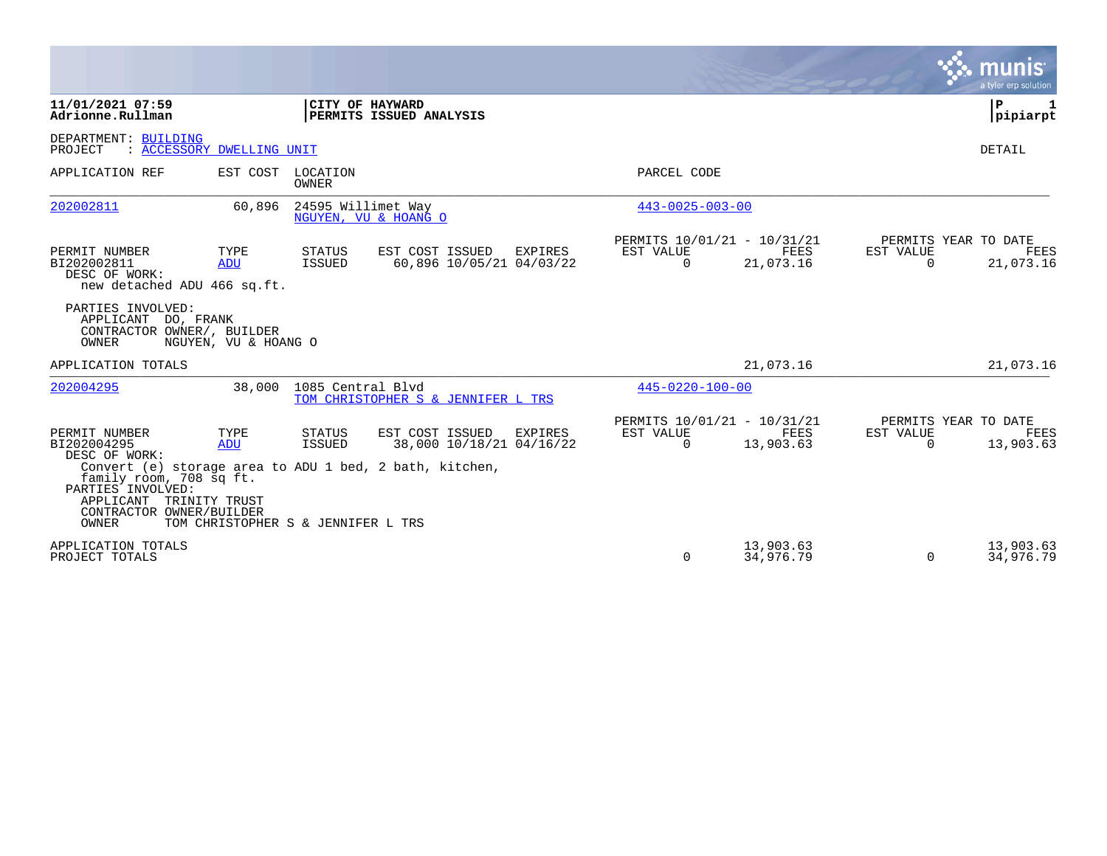|                                                                                                                                                               |                                                          |                                   |                                                                                                        |                |                                                      |                        |                       | munis<br>a tyler erp solution             |
|---------------------------------------------------------------------------------------------------------------------------------------------------------------|----------------------------------------------------------|-----------------------------------|--------------------------------------------------------------------------------------------------------|----------------|------------------------------------------------------|------------------------|-----------------------|-------------------------------------------|
| 11/01/2021 07:59<br>Adrionne.Rullman                                                                                                                          |                                                          |                                   | CITY OF HAYWARD<br>PERMITS ISSUED ANALYSIS                                                             |                |                                                      |                        |                       | ΙP<br>pipiarpt                            |
| DEPARTMENT: BUILDING<br>PROJECT                                                                                                                               | : ACCESSORY DWELLING UNIT                                |                                   |                                                                                                        |                |                                                      |                        |                       | DETAIL                                    |
| APPLICATION REF                                                                                                                                               |                                                          | EST COST LOCATION<br><b>OWNER</b> |                                                                                                        |                | PARCEL CODE                                          |                        |                       |                                           |
| 202002811                                                                                                                                                     | 60,896                                                   | 24595 Willimet Way                | NGUYEN, VU & HOANG O                                                                                   |                | $443 - 0025 - 003 - 00$                              |                        |                       |                                           |
| PERMIT NUMBER<br>BI202002811<br>DESC OF WORK:<br>new detached ADU 466 sq.ft.                                                                                  | TYPE<br>ADU                                              | STATUS<br>ISSUED                  | EST COST ISSUED<br>60,896 10/05/21 04/03/22                                                            | EXPIRES        | PERMITS 10/01/21 - 10/31/21<br>EST VALUE<br>$\Omega$ | FEES<br>21,073.16      | EST VALUE<br>$\Omega$ | PERMITS YEAR TO DATE<br>FEES<br>21,073.16 |
| PARTIES INVOLVED:<br>APPLICANT DO, FRANK<br>CONTRACTOR OWNER/, BUILDER<br>OWNER                                                                               | NGUYEN, VU & HOANG O                                     |                                   |                                                                                                        |                |                                                      |                        |                       |                                           |
| APPLICATION TOTALS                                                                                                                                            |                                                          |                                   |                                                                                                        |                |                                                      | 21,073.16              |                       | 21,073.16                                 |
| 202004295                                                                                                                                                     | 38,000                                                   | 1085 Central Blyd                 | TOM CHRISTOPHER S & JENNIFER L TRS                                                                     |                | $445 - 0220 - 100 - 00$                              |                        |                       |                                           |
| PERMIT NUMBER<br>BI202004295<br>DESC OF WORK:<br>family room, 708 sq ft.<br>PARTIES INVOLVED:<br>APPLICANT TRINITY TRUST<br>CONTRACTOR OWNER/BUILDER<br>OWNER | TYPE<br><b>ADU</b><br>TOM CHRISTOPHER S & JENNIFER L TRS | STATUS<br>ISSUED                  | EST COST ISSUED<br>38,000 10/18/21 04/16/22<br>Convert (e) storage area to ADU 1 bed, 2 bath, kitchen, | <b>EXPIRES</b> | PERMITS 10/01/21 - 10/31/21<br>EST VALUE<br>$\Omega$ | FEES<br>13,903.63      | EST VALUE<br>$\Omega$ | PERMITS YEAR TO DATE<br>FEES<br>13,903.63 |
| APPLICATION TOTALS<br>PROJECT TOTALS                                                                                                                          |                                                          |                                   |                                                                                                        |                | $\Omega$                                             | 13,903.63<br>34,976.79 | $\Omega$              | 13,903.63<br>34,976.79                    |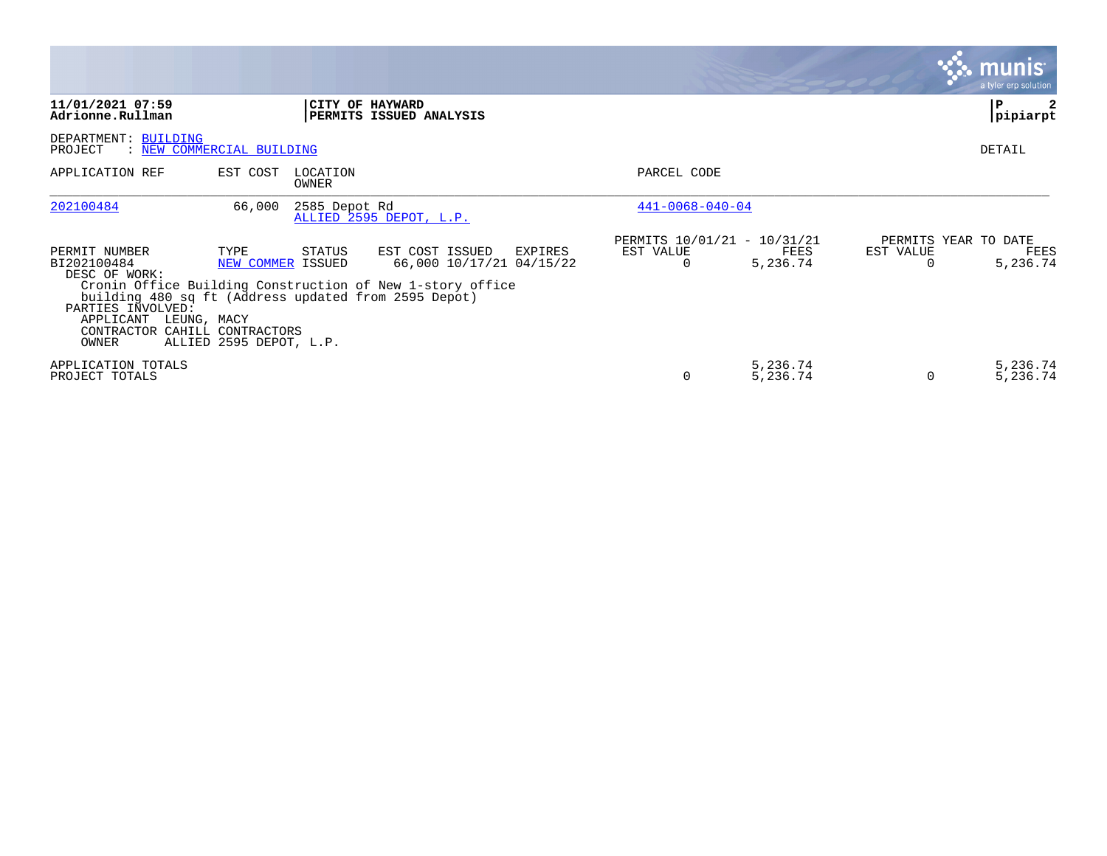|                                                                                                                                                                                                  |                                                      |                   |                                                                                                                     |                                                      |                      |                | <b>munis</b><br>a tyler erp solution     |
|--------------------------------------------------------------------------------------------------------------------------------------------------------------------------------------------------|------------------------------------------------------|-------------------|---------------------------------------------------------------------------------------------------------------------|------------------------------------------------------|----------------------|----------------|------------------------------------------|
| 11/01/2021 07:59<br>Adrionne.Rullman                                                                                                                                                             |                                                      | CITY OF HAYWARD   | PERMITS ISSUED ANALYSIS                                                                                             |                                                      |                      |                | $\mathbf{P}$<br>pipiarpt                 |
| DEPARTMENT: BUILDING<br>: NEW COMMERCIAL BUILDING<br>PROJECT                                                                                                                                     |                                                      |                   |                                                                                                                     |                                                      |                      |                | DETAIL                                   |
| APPLICATION REF                                                                                                                                                                                  | EST COST                                             | LOCATION<br>OWNER |                                                                                                                     | PARCEL CODE                                          |                      |                |                                          |
| 202100484                                                                                                                                                                                        | 66,000                                               | 2585 Depot Rd     | ALLIED 2595 DEPOT, L.P.                                                                                             | $441 - 0068 - 040 - 04$                              |                      |                |                                          |
| PERMIT NUMBER<br>BI202100484<br>DESC OF WORK:<br>building 480 sq ft (Address updated from 2595 Depot)<br>PARTIES INVOLVED:<br>APPLICANT<br>LEUNG, MACY<br>CONTRACTOR CAHILL CONTRACTORS<br>OWNER | TYPE<br>NEW COMMER ISSUED<br>ALLIED 2595 DEPOT, L.P. | STATUS            | EST COST ISSUED<br>EXPIRES<br>66,000 10/17/21 04/15/22<br>Cronin Office Building Construction of New 1-story office | PERMITS 10/01/21 - 10/31/21<br>EST VALUE<br>$\Omega$ | FEES<br>5,236.74     | EST VALUE<br>O | PERMITS YEAR TO DATE<br>FEES<br>5,236.74 |
| APPLICATION TOTALS<br>PROJECT TOTALS                                                                                                                                                             |                                                      |                   |                                                                                                                     | 0                                                    | 5,236.74<br>5,236.74 | $\Omega$       | 5,236.74<br>5,236.74                     |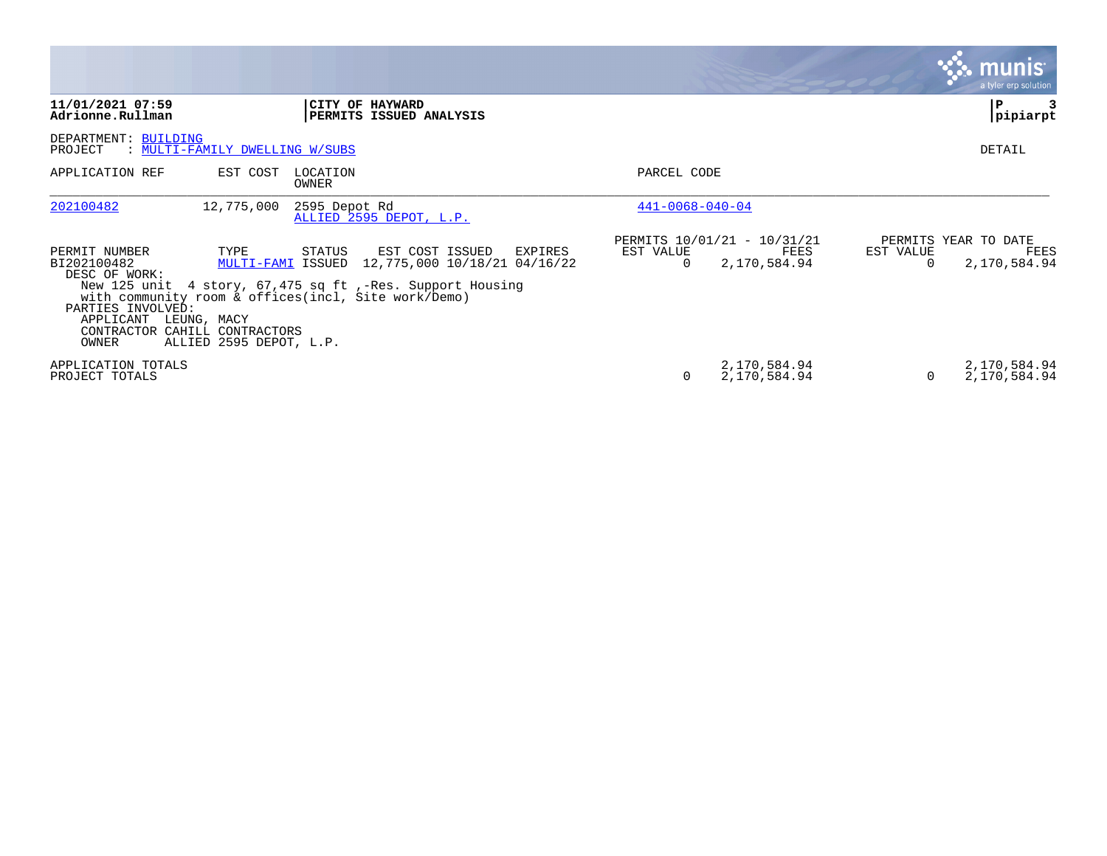|                                                                                                                           |                                                |                                                                                                                                                                                                            |                         |                                                     |           | $\boldsymbol{\ddot{\cdot}}$ . munis<br>a tyler erp solution |
|---------------------------------------------------------------------------------------------------------------------------|------------------------------------------------|------------------------------------------------------------------------------------------------------------------------------------------------------------------------------------------------------------|-------------------------|-----------------------------------------------------|-----------|-------------------------------------------------------------|
| 11/01/2021 07:59<br>Adrionne.Rullman                                                                                      |                                                | CITY OF HAYWARD<br>PERMITS ISSUED ANALYSIS                                                                                                                                                                 |                         |                                                     |           | P<br> pipiarpt                                              |
| DEPARTMENT: BUILDING<br>PROJECT                                                                                           | : MULTI-FAMILY DWELLING W/SUBS                 |                                                                                                                                                                                                            |                         |                                                     |           | DETAIL                                                      |
| APPLICATION REF                                                                                                           | EST COST                                       | LOCATION<br>OWNER                                                                                                                                                                                          | PARCEL CODE             |                                                     |           |                                                             |
| 202100482                                                                                                                 | 12,775,000                                     | 2595 Depot Rd<br>ALLIED 2595 DEPOT, L.P.                                                                                                                                                                   | $441 - 0068 - 040 - 04$ |                                                     |           |                                                             |
| PERMIT NUMBER<br>BI202100482<br>DESC OF WORK:<br>PARTIES INVOLVED:<br>APPLICANT<br>CONTRACTOR CAHILL CONTRACTORS<br>OWNER | TYPE<br>LEUNG, MACY<br>ALLIED 2595 DEPOT, L.P. | EST COST ISSUED<br>STATUS<br>EXPIRES<br>MULTI-FAMI ISSUED 12,775,000 10/18/21 04/16/22<br>New 125 unit 4 story, 67,475 sq ft ,-Res. Support Housing<br>with community room & offices(incl, Site work/Demo) | EST VALUE<br>$\Omega$   | PERMITS 10/01/21 - 10/31/21<br>FEES<br>2,170,584.94 | EST VALUE | PERMITS YEAR TO DATE<br>FEES<br>2,170,584.94                |
| APPLICATION TOTALS<br>PROJECT TOTALS                                                                                      |                                                |                                                                                                                                                                                                            | $\Omega$                | 2,170,584.94<br>2,170,584.94                        |           | 2,170,584.94<br>2,170,584.94                                |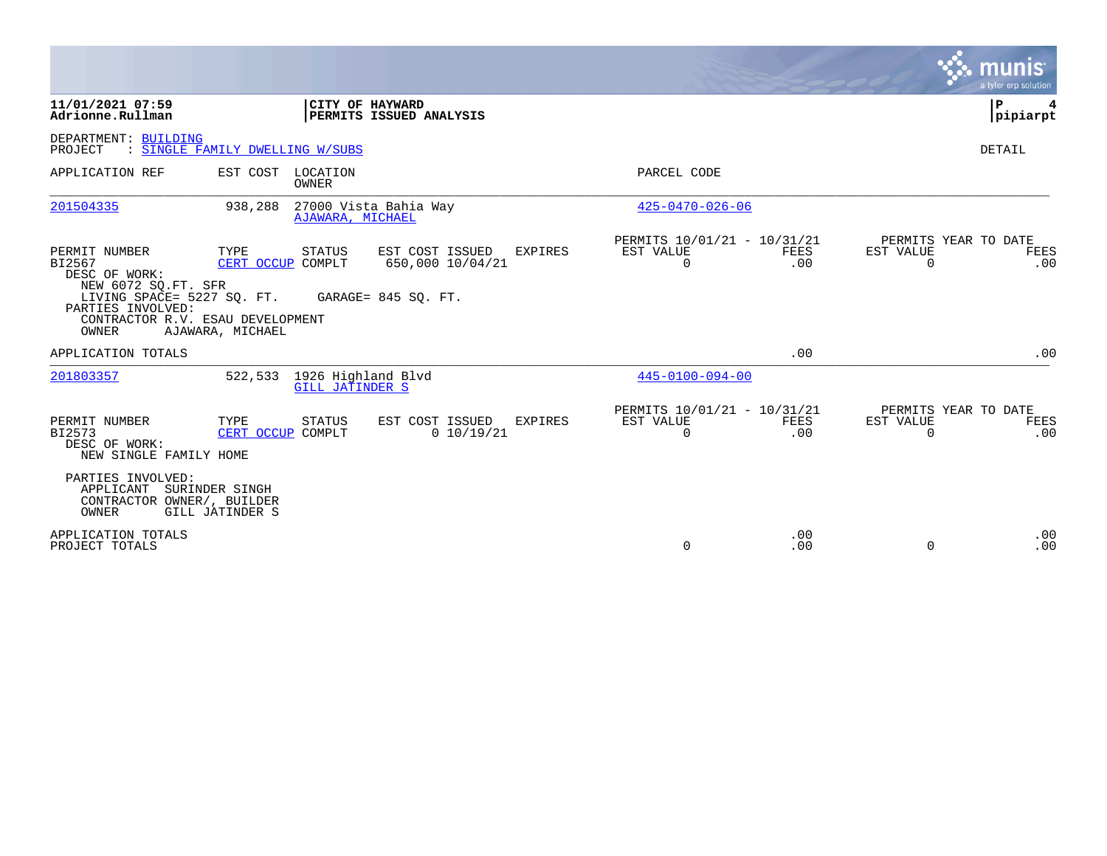|                                                                                                                                                                 |                                                                |                                                                              |                                                      |                    |                       | munis<br>a tyler erp solution       |
|-----------------------------------------------------------------------------------------------------------------------------------------------------------------|----------------------------------------------------------------|------------------------------------------------------------------------------|------------------------------------------------------|--------------------|-----------------------|-------------------------------------|
| 11/01/2021 07:59<br>Adrionne.Rullman                                                                                                                            | CITY OF HAYWARD                                                | PERMITS ISSUED ANALYSIS                                                      |                                                      |                    |                       | P.<br>4<br> pipiarpt                |
| DEPARTMENT: BUILDING<br>PROJECT                                                                                                                                 | : SINGLE FAMILY DWELLING W/SUBS                                |                                                                              |                                                      |                    |                       | DETAIL                              |
| APPLICATION REF                                                                                                                                                 | EST COST LOCATION<br>OWNER                                     |                                                                              | PARCEL CODE                                          |                    |                       |                                     |
| 201504335                                                                                                                                                       | 938,288<br>AJAWARA, MICHAEL                                    | 27000 Vista Bahia Way                                                        | $425 - 0470 - 026 - 06$                              |                    |                       |                                     |
| PERMIT NUMBER<br>BI2567<br>DESC OF WORK:<br>NEW 6072 SQ.FT. SFR<br>LIVING SPACE= 5227 SQ. FT.<br>PARTIES INVOLVED:<br>CONTRACTOR R.V. ESAU DEVELOPMENT<br>OWNER | TYPE<br><b>STATUS</b><br>CERT OCCUP COMPLT<br>AJAWARA, MICHAEL | EST COST ISSUED<br><b>EXPIRES</b><br>650,000 10/04/21<br>GARAGE= 845 SQ. FT. | PERMITS 10/01/21 - 10/31/21<br>EST VALUE<br>$\Omega$ | FEES<br>.00        | EST VALUE<br>$\Omega$ | PERMITS YEAR TO DATE<br>FEES<br>.00 |
| APPLICATION TOTALS                                                                                                                                              |                                                                |                                                                              |                                                      | .00                |                       | .00                                 |
| 201803357                                                                                                                                                       | 1926 Highland Blvd<br>522,533<br><b>GILL JATINDER S</b>        |                                                                              | $445 - 0100 - 094 - 00$                              |                    |                       |                                     |
| PERMIT NUMBER<br>BI2573<br>DESC OF WORK:<br>NEW SINGLE FAMILY HOME                                                                                              | TYPE<br><b>STATUS</b><br>CERT OCCUP COMPLT                     | EST COST ISSUED<br><b>EXPIRES</b><br>0 10/19/21                              | PERMITS 10/01/21 - 10/31/21<br>EST VALUE<br>0        | <b>FEES</b><br>.00 | EST VALUE<br>0        | PERMITS YEAR TO DATE<br>FEES<br>.00 |
| PARTIES INVOLVED:<br>APPLICANT<br>CONTRACTOR OWNER/, BUILDER<br>OWNER                                                                                           | SURINDER SINGH<br>GILL JATINDER S                              |                                                                              |                                                      |                    |                       |                                     |
| APPLICATION TOTALS<br>PROJECT TOTALS                                                                                                                            |                                                                |                                                                              | 0                                                    | .00<br>.00         | 0                     | .00<br>.00                          |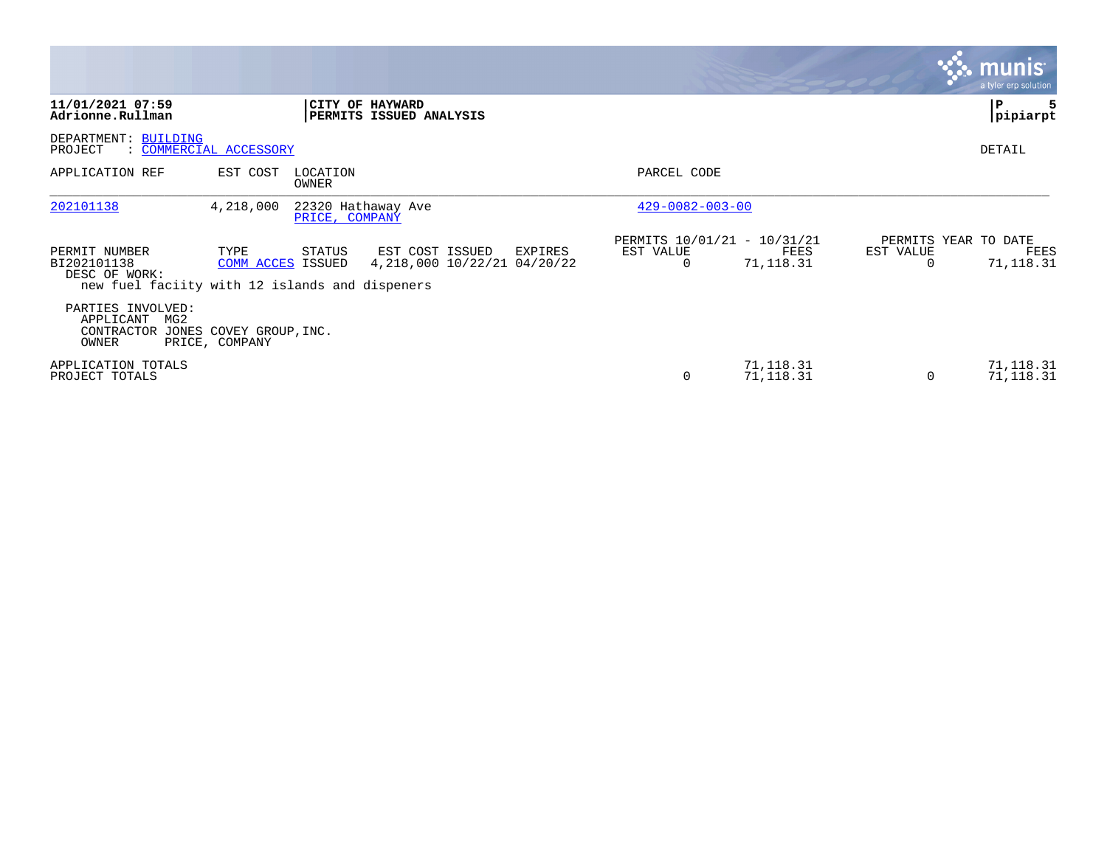|                                                                                                 |                           |                                      |                                                  |         |                                                      |                        |           | <b>munis</b><br>a tyler erp solution      |
|-------------------------------------------------------------------------------------------------|---------------------------|--------------------------------------|--------------------------------------------------|---------|------------------------------------------------------|------------------------|-----------|-------------------------------------------|
| 11/01/2021 07:59<br>Adrionne.Rullman                                                            |                           |                                      | CITY OF HAYWARD<br>PERMITS ISSUED ANALYSIS       |         |                                                      |                        |           | Р<br>pipiarpt                             |
| DEPARTMENT: BUILDING<br>PROJECT                                                                 | : COMMERCIAL ACCESSORY    |                                      |                                                  |         |                                                      |                        |           | DETAIL                                    |
| APPLICATION REF                                                                                 | EST COST                  | LOCATION<br>OWNER                    |                                                  |         | PARCEL CODE                                          |                        |           |                                           |
| 202101138                                                                                       | 4,218,000                 | 22320 Hathaway Ave<br>PRICE, COMPANY |                                                  |         | $429 - 0082 - 003 - 00$                              |                        |           |                                           |
| PERMIT NUMBER<br>BI202101138<br>DESC OF WORK:<br>new fuel faciity with 12 islands and dispeners | TYPE<br>COMM ACCES ISSUED | STATUS                               | EST COST ISSUED<br>4, 218, 000 10/22/21 04/20/22 | EXPIRES | PERMITS 10/01/21 - 10/31/21<br>EST VALUE<br>$\Omega$ | FEES<br>71,118.31      | EST VALUE | PERMITS YEAR TO DATE<br>FEES<br>71,118.31 |
| PARTIES INVOLVED:<br>APPLICANT<br>MG2<br>CONTRACTOR JONES COVEY GROUP, INC.<br>OWNER            | PRICE, COMPANY            |                                      |                                                  |         |                                                      |                        |           |                                           |
| APPLICATION TOTALS<br>PROJECT TOTALS                                                            |                           |                                      |                                                  |         | 0                                                    | 71,118.31<br>71,118.31 | $\Omega$  | 71,118.31<br>71, 118.31                   |

the property of the control of

and the contract of the contract of the contract of the contract of the contract of the contract of the contract of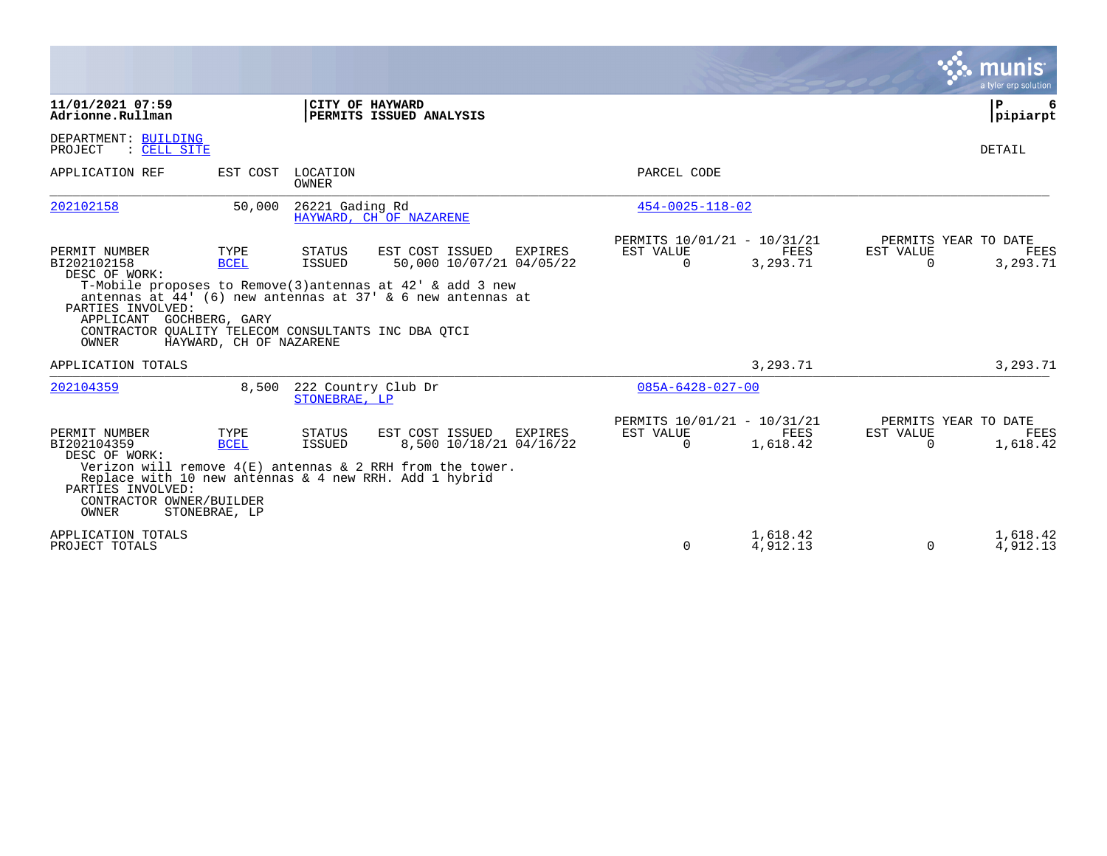|                                                                                                                                                                       |                                                |                                            |                                                                                                                                                                                           |                                                      |                         |                       | munis<br>a tyler erp solution            |
|-----------------------------------------------------------------------------------------------------------------------------------------------------------------------|------------------------------------------------|--------------------------------------------|-------------------------------------------------------------------------------------------------------------------------------------------------------------------------------------------|------------------------------------------------------|-------------------------|-----------------------|------------------------------------------|
| 11/01/2021 07:59<br>Adrionne.Rullman                                                                                                                                  |                                                | CITY OF HAYWARD                            | PERMITS ISSUED ANALYSIS                                                                                                                                                                   |                                                      |                         |                       | ΙP<br>6<br> pipiarpt                     |
| DEPARTMENT: BUILDING<br>PROJECT<br>: CELL SITE                                                                                                                        |                                                |                                            |                                                                                                                                                                                           |                                                      |                         |                       | DETAIL                                   |
| APPLICATION REF                                                                                                                                                       |                                                | EST COST LOCATION<br><b>OWNER</b>          |                                                                                                                                                                                           | PARCEL CODE                                          |                         |                       |                                          |
| 202102158                                                                                                                                                             | 50,000                                         | 26221 Gading Rd                            | HAYWARD, CH OF NAZARENE                                                                                                                                                                   | $454 - 0025 - 118 - 02$                              |                         |                       |                                          |
| PERMIT NUMBER<br>BI202102158<br>DESC OF WORK:<br>PARTIES INVOLVED:<br>APPLICANT GOCHBERG, GARY<br>CONTRACTOR QUALITY TELECOM CONSULTANTS INC DBA QTCI<br><b>OWNER</b> | TYPE<br><b>BCEL</b><br>HAYWARD, CH OF NAZARENE | STATUS<br><b>ISSUED</b>                    | EST COST ISSUED<br>EXPIRES<br>50,000 10/07/21 04/05/22<br>T-Mobile proposes to Remove(3) antennas at $42'$ & add 3 new<br>antennas at $44'$ (6) new antennas at $37'$ & 6 new antennas at | PERMITS 10/01/21 - 10/31/21<br>EST VALUE<br>$\Omega$ | FEES<br>3,293.71        | EST VALUE<br>$\Omega$ | PERMITS YEAR TO DATE<br>FEES<br>3,293.71 |
| APPLICATION TOTALS                                                                                                                                                    |                                                |                                            |                                                                                                                                                                                           |                                                      | 3,293.71                |                       | 3,293.71                                 |
| 202104359                                                                                                                                                             |                                                | 8,500 222 Country Club Dr<br>STONEBRAE, LP |                                                                                                                                                                                           | $085A - 6428 - 027 - 00$                             |                         |                       |                                          |
| PERMIT NUMBER<br>BI202104359<br>DESC OF WORK:<br>PARTIES INVOLVED:<br>CONTRACTOR OWNER/BUILDER<br><b>OWNER</b>                                                        | TYPE<br><b>BCEL</b><br>STONEBRAE, LP           | STATUS<br><b>ISSUED</b>                    | EST COST ISSUED<br>EXPIRES<br>8,500 10/18/21 04/16/22<br>Verizon will remove $4(E)$ antennas & 2 RRH from the tower.<br>Replace with 10 new antennas & 4 new RRH. Add 1 hybrid            | PERMITS 10/01/21 - 10/31/21<br>EST VALUE<br>$\Omega$ | <b>FEES</b><br>1,618.42 | EST VALUE<br>$\Omega$ | PERMITS YEAR TO DATE<br>FEES<br>1,618.42 |
| APPLICATION TOTALS<br>PROJECT TOTALS                                                                                                                                  |                                                |                                            |                                                                                                                                                                                           | $\Omega$                                             | 1,618.42<br>4,912.13    | $\Omega$              | 1,618.42<br>4,912.13                     |

**Contract**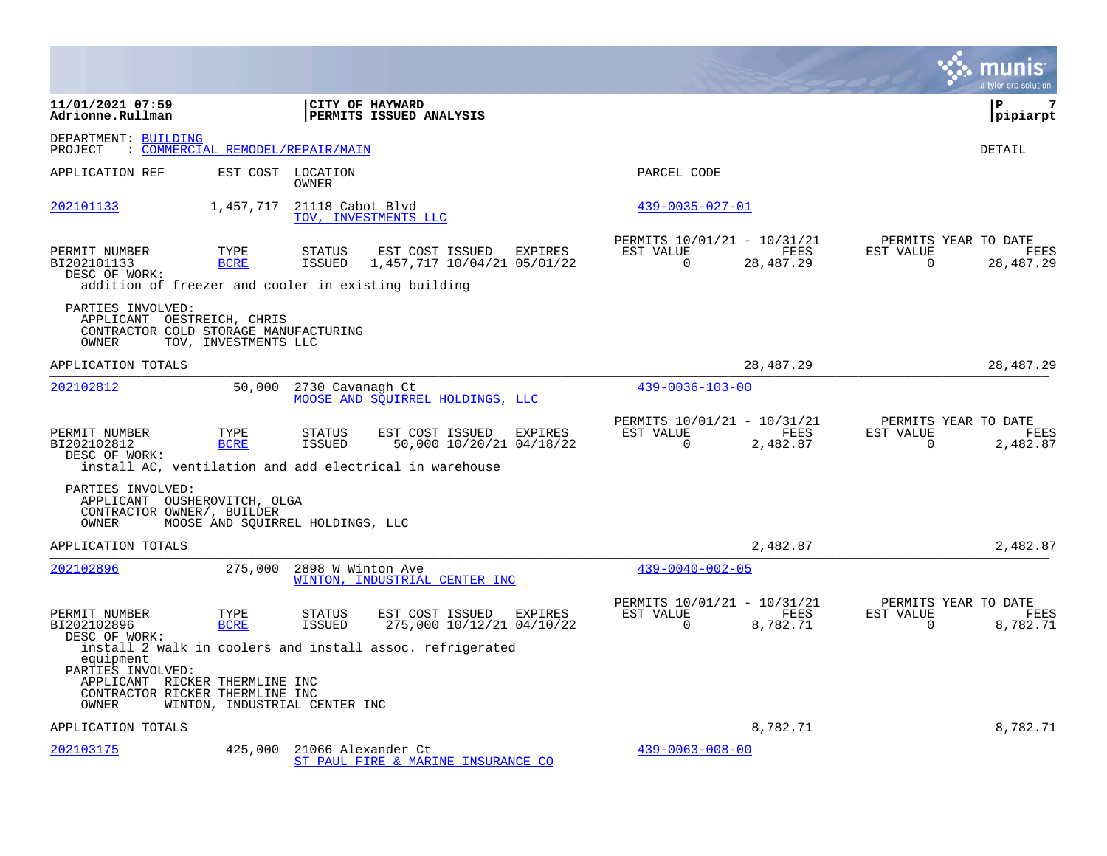|                                                                                                              |                                  |                                                                                                                                              |                                                      |                         |                                               | a tyler erp solution  |
|--------------------------------------------------------------------------------------------------------------|----------------------------------|----------------------------------------------------------------------------------------------------------------------------------------------|------------------------------------------------------|-------------------------|-----------------------------------------------|-----------------------|
| 11/01/2021 07:59<br>Adrionne.Rullman                                                                         |                                  | <b>CITY OF HAYWARD</b><br><b>PERMITS ISSUED ANALYSIS</b>                                                                                     |                                                      |                         |                                               | l P<br>7<br> pipiarpt |
| DEPARTMENT: BUILDING<br>PROJECT                                                                              | : COMMERCIAL REMODEL/REPAIR/MAIN |                                                                                                                                              |                                                      |                         |                                               | DETAIL                |
| APPLICATION REF                                                                                              |                                  | EST COST LOCATION<br>OWNER                                                                                                                   | PARCEL CODE                                          |                         |                                               |                       |
| 202101133                                                                                                    | 1,457,717                        | 21118 Cabot Blvd<br>TOV, INVESTMENTS LLC                                                                                                     | $439 - 0035 - 027 - 01$                              |                         |                                               |                       |
| PERMIT NUMBER<br>BI202101133<br>DESC OF WORK:                                                                | TYPE<br><b>BCRE</b>              | EST COST ISSUED<br><b>STATUS</b><br>EXPIRES<br>1,457,717 10/04/21 05/01/22<br>ISSUED<br>addition of freezer and cooler in existing building  | PERMITS 10/01/21 - 10/31/21<br>EST VALUE<br>$\Omega$ | FEES<br>28,487.29       | PERMITS YEAR TO DATE<br>EST VALUE<br>$\Omega$ | FEES<br>28,487.29     |
| PARTIES INVOLVED:<br>APPLICANT OESTREICH, CHRIS<br>CONTRACTOR COLD STORAGE MANUFACTURING<br>OWNER            | TOV, INVESTMENTS LLC             |                                                                                                                                              |                                                      |                         |                                               |                       |
| APPLICATION TOTALS                                                                                           |                                  |                                                                                                                                              |                                                      | 28, 487. 29             |                                               | 28, 487. 29           |
| 202102812                                                                                                    | 50,000                           | 2730 Cavanagh Ct<br>MOOSE AND SOUIRREL HOLDINGS, LLC                                                                                         | $439 - 0036 - 103 - 00$                              |                         |                                               |                       |
| PERMIT NUMBER<br>BI202102812<br>DESC OF WORK:                                                                | TYPE<br><b>BCRE</b>              | EST COST ISSUED<br>EXPIRES<br><b>STATUS</b><br>50,000 10/20/21 04/18/22<br>ISSUED<br>install AC, ventilation and add electrical in warehouse | PERMITS 10/01/21 - 10/31/21<br>EST VALUE<br>$\Omega$ | <b>FEES</b><br>2,482.87 | PERMITS YEAR TO DATE<br>EST VALUE<br>$\Omega$ | FEES<br>2,482.87      |
| PARTIES INVOLVED:<br>APPLICANT OUSHEROVITCH, OLGA<br>CONTRACTOR OWNER/, BUILDER<br><b>OWNER</b>              |                                  | MOOSE AND SOUIRREL HOLDINGS, LLC                                                                                                             |                                                      |                         |                                               |                       |
| APPLICATION TOTALS                                                                                           |                                  |                                                                                                                                              |                                                      | 2,482.87                |                                               | 2,482.87              |
| 202102896                                                                                                    | 275,000                          | 2898 W Winton Ave<br>WINTON, INDUSTRIAL CENTER INC                                                                                           | $439 - 0040 - 002 - 05$                              |                         |                                               |                       |
| PERMIT NUMBER<br>BI202102896<br>DESC OF WORK:                                                                | TYPE<br><b>BCRE</b>              | <b>STATUS</b><br>EST COST ISSUED<br>EXPIRES<br>275,000 10/12/21 04/10/22<br>ISSUED                                                           | PERMITS 10/01/21 - 10/31/21<br>EST VALUE<br>$\Omega$ | FEES<br>8,782.71        | PERMITS YEAR TO DATE<br>EST VALUE<br>$\Omega$ | FEES<br>8,782.71      |
| equipment<br>PARTIES INVOLVED:<br>APPLICANT RICKER THERMLINE INC<br>CONTRACTOR RICKER THERMLINE INC<br>OWNER |                                  | install 2 walk in coolers and install assoc. refrigerated<br>WINTON, INDUSTRIAL CENTER INC                                                   |                                                      |                         |                                               |                       |
| APPLICATION TOTALS                                                                                           |                                  |                                                                                                                                              |                                                      | 8,782.71                |                                               | 8,782.71              |
| 202103175                                                                                                    | 425,000                          | 21066 Alexander Ct<br>ST PAUL FIRE & MARINE INSURANCE CO                                                                                     | $439 - 0063 - 008 - 00$                              |                         |                                               |                       |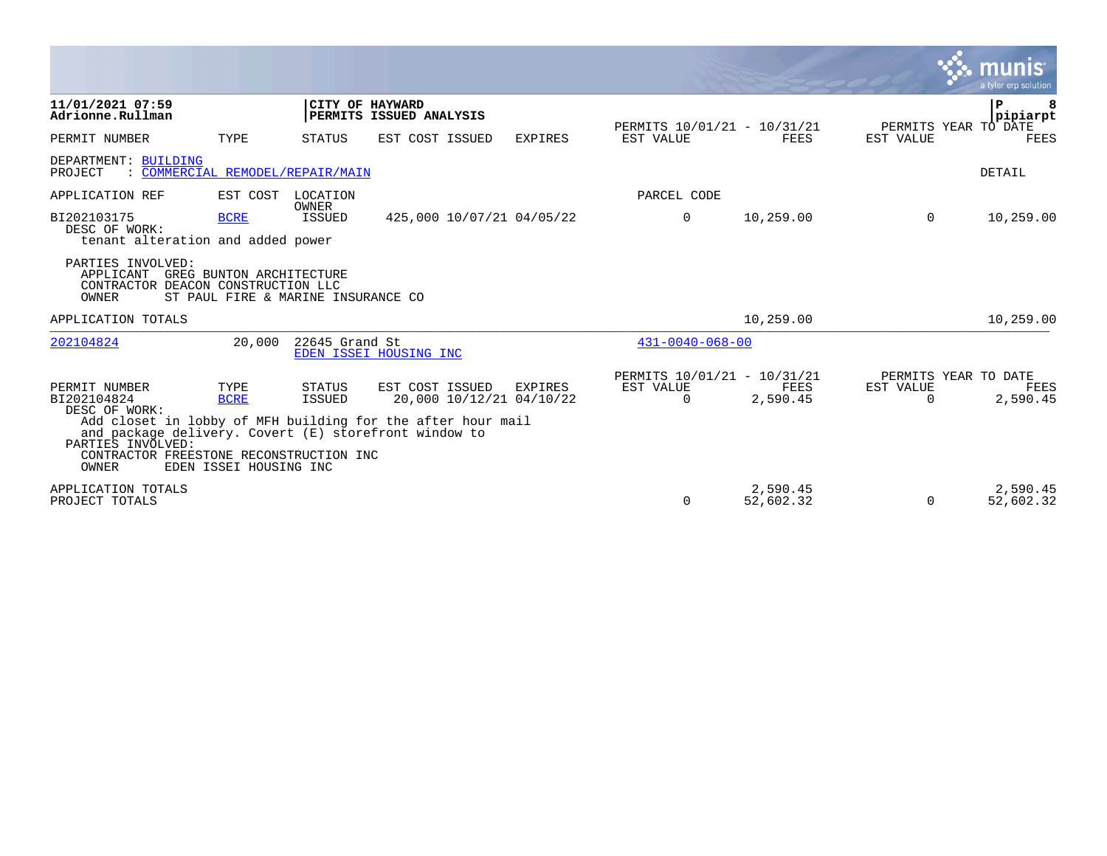|                                                                                                                                                                                                                                                |                                               |                         |                                             |                |                                                      |                       | <b>W. munis</b>                        | a tyler erp solution  |
|------------------------------------------------------------------------------------------------------------------------------------------------------------------------------------------------------------------------------------------------|-----------------------------------------------|-------------------------|---------------------------------------------|----------------|------------------------------------------------------|-----------------------|----------------------------------------|-----------------------|
| 11/01/2021 07:59<br>Adrionne.Rullman                                                                                                                                                                                                           |                                               | CITY OF HAYWARD         | PERMITS ISSUED ANALYSIS                     |                |                                                      |                       | P                                      | 8<br>pipiarpt         |
| PERMIT NUMBER                                                                                                                                                                                                                                  | TYPE                                          | STATUS                  | EST COST ISSUED                             | <b>EXPIRES</b> | PERMITS 10/01/21 - 10/31/21<br>EST VALUE             | <b>FEES</b>           | PERMITS YEAR TO DATE<br>EST VALUE      | FEES                  |
| DEPARTMENT: BUILDING<br>: COMMERCIAL REMODEL/REPAIR/MAIN<br>PROJECT                                                                                                                                                                            |                                               |                         |                                             |                |                                                      |                       |                                        | DETAIL                |
| APPLICATION REF                                                                                                                                                                                                                                | EST COST                                      | LOCATION<br>OWNER       |                                             |                | PARCEL CODE                                          |                       |                                        |                       |
| BI202103175<br>DESC OF WORK:<br>tenant alteration and added power                                                                                                                                                                              | <b>BCRE</b>                                   | ISSUED                  | 425,000 10/07/21 04/05/22                   |                | 0                                                    | 10,259.00             | $\mathbf{0}$                           | 10,259.00             |
| PARTIES INVOLVED:<br>APPLICANT GREG BUNTON ARCHITECTURE<br>CONTRACTOR DEACON CONSTRUCTION LLC<br>OWNER                                                                                                                                         | ST PAUL FIRE & MARINE INSURANCE CO            |                         |                                             |                |                                                      |                       |                                        |                       |
| APPLICATION TOTALS                                                                                                                                                                                                                             |                                               |                         |                                             |                |                                                      | 10,259.00             |                                        | 10,259.00             |
| 202104824                                                                                                                                                                                                                                      | 20,000                                        | 22645 Grand St          | EDEN ISSEI HOUSING INC                      |                | $431 - 0040 - 068 - 00$                              |                       |                                        |                       |
| PERMIT NUMBER<br>BI202104824<br>DESC OF WORK:<br>Add closet in lobby of MFH building for the after hour mail<br>and package delivery. Covert (E) storefront window to<br>PARTIES INVOLVED:<br>CONTRACTOR FREESTONE RECONSTRUCTION INC<br>OWNER | TYPE<br><b>BCRE</b><br>EDEN ISSEI HOUSING INC | <b>STATUS</b><br>ISSUED | EST COST ISSUED<br>20,000 10/12/21 04/10/22 | <b>EXPIRES</b> | PERMITS 10/01/21 - 10/31/21<br>EST VALUE<br>$\Omega$ | FEES<br>2,590.45      | PERMITS YEAR TO DATE<br>EST VALUE<br>0 | FEES<br>2,590.45      |
| APPLICATION TOTALS<br>PROJECT TOTALS                                                                                                                                                                                                           |                                               |                         |                                             |                | $\Omega$                                             | 2,590.45<br>52,602.32 | 0                                      | 2,590.45<br>52,602.32 |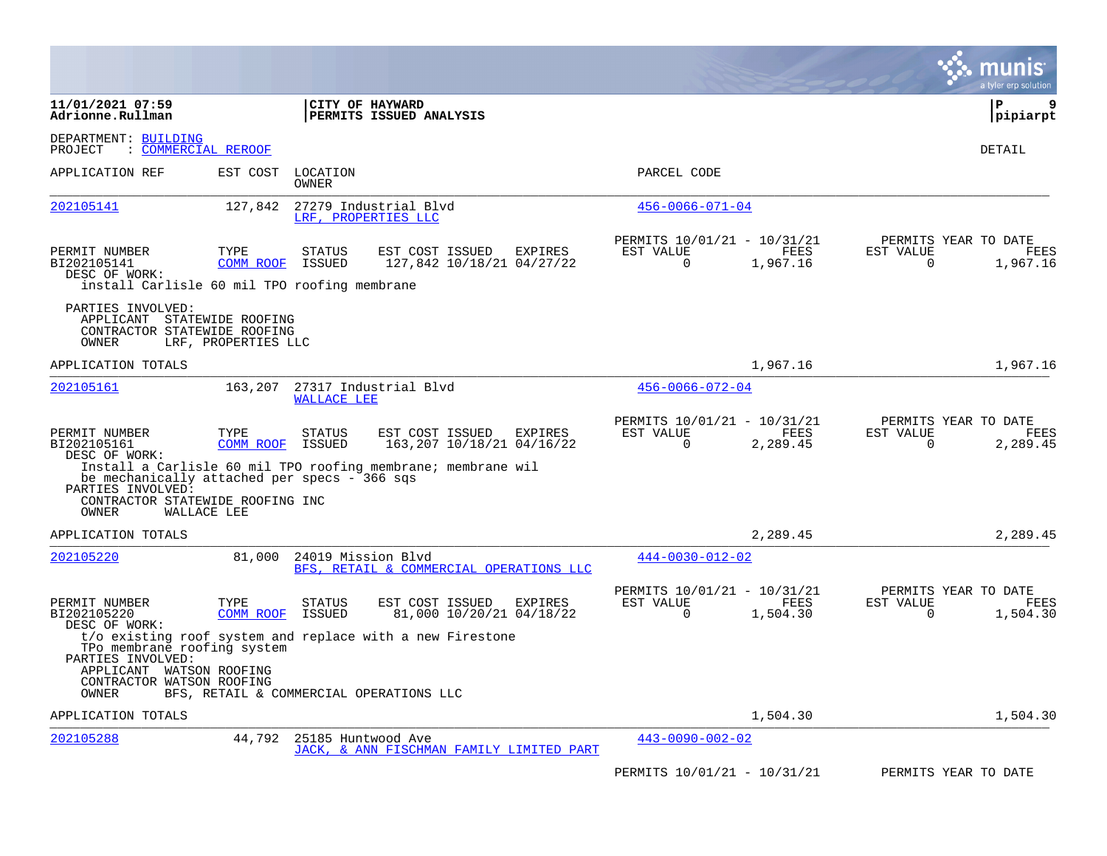|                                                                                                                       |                          |                         |                                                                                                      |                                                         |                  | munis<br>a tyler erp solution                                        |
|-----------------------------------------------------------------------------------------------------------------------|--------------------------|-------------------------|------------------------------------------------------------------------------------------------------|---------------------------------------------------------|------------------|----------------------------------------------------------------------|
| 11/01/2021 07:59<br>Adrionne.Rullman                                                                                  |                          |                         | CITY OF HAYWARD<br><b>PERMITS ISSUED ANALYSIS</b>                                                    |                                                         |                  | l P<br>9<br> pipiarpt                                                |
| DEPARTMENT: BUILDING<br>PROJECT<br>: COMMERCIAL REROOF                                                                |                          |                         |                                                                                                      |                                                         |                  | DETAIL                                                               |
| APPLICATION REF                                                                                                       | EST COST                 | LOCATION<br>OWNER       |                                                                                                      | PARCEL CODE                                             |                  |                                                                      |
| 202105141                                                                                                             | 127,842                  |                         | 27279 Industrial Blvd<br>LRF, PROPERTIES LLC                                                         | $456 - 0066 - 071 - 04$                                 |                  |                                                                      |
| PERMIT NUMBER<br>BI202105141<br>DESC OF WORK:<br>install Carlisle 60 mil TPO roofing membrane                         | TYPE<br><b>COMM ROOF</b> | <b>STATUS</b><br>ISSUED | EST COST ISSUED<br>EXPIRES<br>127,842 10/18/21 04/27/22                                              | PERMITS 10/01/21 - 10/31/21<br>EST VALUE<br>$\mathbf 0$ | FEES<br>1,967.16 | PERMITS YEAR TO DATE<br>EST VALUE<br>FEES<br>$\mathbf 0$<br>1,967.16 |
| PARTIES INVOLVED:<br>APPLICANT STATEWIDE ROOFING<br>CONTRACTOR STATEWIDE ROOFING<br>OWNER                             | LRF, PROPERTIES LLC      |                         |                                                                                                      |                                                         |                  |                                                                      |
| APPLICATION TOTALS                                                                                                    |                          |                         |                                                                                                      |                                                         | 1,967.16         | 1,967.16                                                             |
| 202105161                                                                                                             | 163,207                  | <b>WALLACE LEE</b>      | 27317 Industrial Blvd                                                                                | $456 - 0066 - 072 - 04$                                 |                  |                                                                      |
| PERMIT NUMBER<br>BI202105161<br>DESC OF WORK:                                                                         | TYPE<br>COMM ROOF        | <b>STATUS</b><br>ISSUED | EST COST ISSUED<br>EXPIRES<br>163,207 10/18/21 04/16/22                                              | PERMITS 10/01/21 - 10/31/21<br>EST VALUE<br>$\Omega$    | FEES<br>2,289.45 | PERMITS YEAR TO DATE<br>EST VALUE<br>FEES<br>0<br>2,289.45           |
| be mechanically attached per specs - 366 sqs<br>PARTIES INVOLVED:<br>CONTRACTOR STATEWIDE ROOFING INC<br><b>OWNER</b> | WALLACE LEE              |                         | Install a Carlisle 60 mil TPO roofing membrane; membrane wil                                         |                                                         |                  |                                                                      |
| APPLICATION TOTALS                                                                                                    |                          |                         |                                                                                                      |                                                         | 2,289.45         | 2,289.45                                                             |
| 202105220                                                                                                             | 81,000                   | 24019 Mission Blvd      | BFS, RETAIL & COMMERCIAL OPERATIONS LLC                                                              | $444 - 0030 - 012 - 02$                                 |                  |                                                                      |
| PERMIT NUMBER<br>BI202105220<br>DESC OF WORK:                                                                         | TYPE<br>COMM ROOF        | <b>STATUS</b><br>ISSUED | EST COST ISSUED<br>EXPIRES<br>81,000 10/20/21 04/18/22                                               | PERMITS 10/01/21 - 10/31/21<br>EST VALUE<br>$\mathbf 0$ | FEES<br>1,504.30 | PERMITS YEAR TO DATE<br>EST VALUE<br>FEES<br>$\Omega$<br>1,504.30    |
| TPo membrane roofing system<br>PARTIES INVOLVED:<br>APPLICANT WATSON ROOFING<br>CONTRACTOR WATSON ROOFING<br>OWNER    |                          |                         | t/o existing roof system and replace with a new Firestone<br>BFS, RETAIL & COMMERCIAL OPERATIONS LLC |                                                         |                  |                                                                      |
| APPLICATION TOTALS                                                                                                    |                          |                         |                                                                                                      |                                                         | 1,504.30         | 1,504.30                                                             |
| 202105288                                                                                                             | 44,792                   | 25185 Huntwood Ave      | JACK, & ANN FISCHMAN FAMILY LIMITED PART                                                             | $443 - 0090 - 002 - 02$                                 |                  |                                                                      |
|                                                                                                                       |                          |                         |                                                                                                      | PERMITS 10/01/21 - 10/31/21                             |                  | PERMITS YEAR TO DATE                                                 |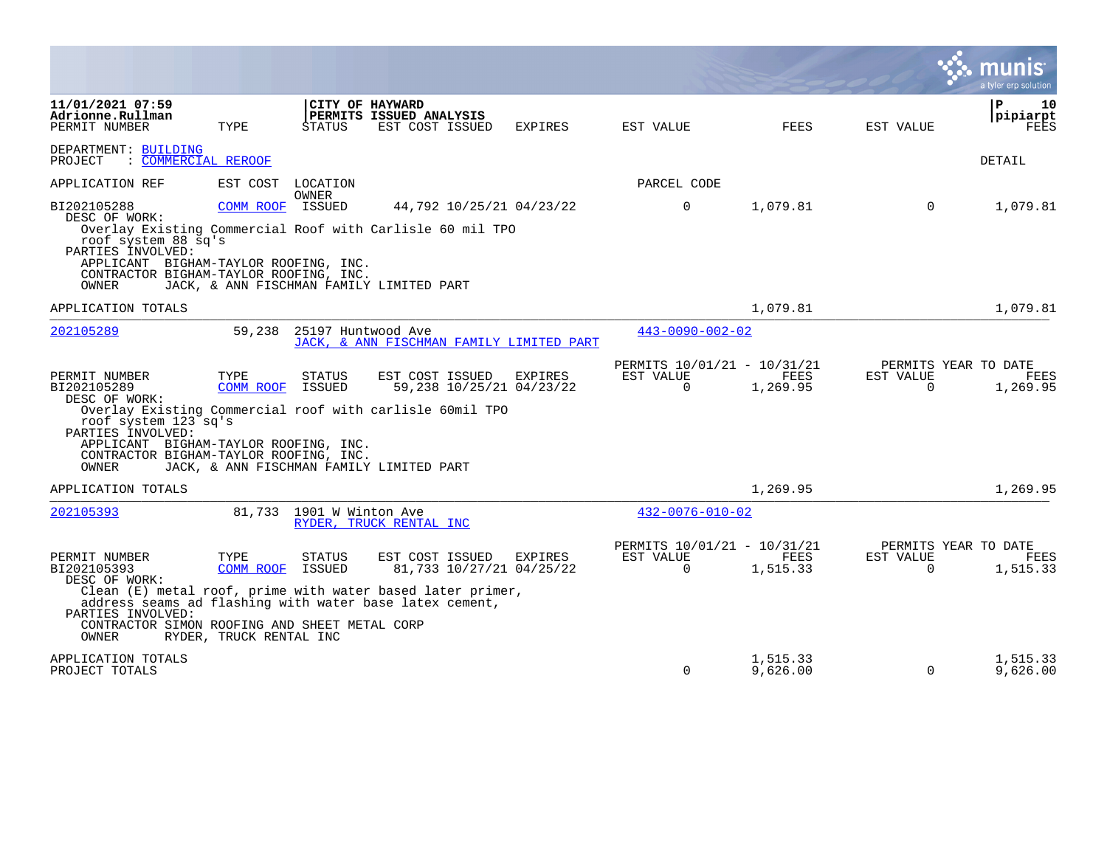|                                                                                                                                                                                        |                                              |                           |                                                                                                                                                                      |                |                                                      |                      |                       | a tyler erp solution                     |
|----------------------------------------------------------------------------------------------------------------------------------------------------------------------------------------|----------------------------------------------|---------------------------|----------------------------------------------------------------------------------------------------------------------------------------------------------------------|----------------|------------------------------------------------------|----------------------|-----------------------|------------------------------------------|
| 11/01/2021 07:59<br>Adrionne.Rullman<br>PERMIT NUMBER                                                                                                                                  | TYPE                                         | CITY OF HAYWARD<br>STATUS | PERMITS ISSUED ANALYSIS<br>EST COST ISSUED                                                                                                                           | <b>EXPIRES</b> | EST VALUE                                            | FEES                 | EST VALUE             | l P<br>10<br> pipiarpt<br>FEES           |
| DEPARTMENT: BUILDING<br>: COMMERCIAL REROOF<br>PROJECT                                                                                                                                 |                                              |                           |                                                                                                                                                                      |                |                                                      |                      |                       | DETAIL                                   |
| APPLICATION REF                                                                                                                                                                        | EST COST                                     | LOCATION                  |                                                                                                                                                                      |                | PARCEL CODE                                          |                      |                       |                                          |
| BI202105288<br>DESC OF WORK:<br>roof system 88 sq's<br>PARTIES INVOLVED:<br>APPLICANT BIGHAM-TAYLOR ROOFING, INC.<br>CONTRACTOR BIGHAM-TAYLOR ROOFING, INC.<br><b>OWNER</b>            | COMM ROOF ISSUED                             | OWNER                     | 44,792 10/25/21 04/23/22<br>Overlay Existing Commercial Roof with Carlisle 60 mil TPO<br>JACK, & ANN FISCHMAN FAMILY LIMITED PART                                    |                | $\Omega$                                             | 1,079.81             | $\Omega$              | 1,079.81                                 |
| APPLICATION TOTALS                                                                                                                                                                     |                                              |                           |                                                                                                                                                                      |                |                                                      | 1,079.81             |                       | 1,079.81                                 |
| 202105289                                                                                                                                                                              | 59,238                                       | 25197 Huntwood Ave        | JACK, & ANN FISCHMAN FAMILY LIMITED PART                                                                                                                             |                | $443 - 0090 - 002 - 02$                              |                      |                       |                                          |
| PERMIT NUMBER<br>BI202105289<br>DESC OF WORK:<br>roof system 123 sq's<br>PARTIES INVOLVED:<br>APPLICANT BIGHAM-TAYLOR ROOFING, INC.<br>CONTRACTOR BIGHAM-TAYLOR ROOFING, INC.<br>OWNER | TYPE<br>COMM ROOF                            | <b>STATUS</b><br>ISSUED   | EST COST ISSUED<br>59,238 10/25/21 04/23/22<br>Overlay Existing Commercial roof with carlisle 60mil TPO<br>JACK, & ANN FISCHMAN FAMILY LIMITED PART                  | <b>EXPIRES</b> | PERMITS 10/01/21 - 10/31/21<br>EST VALUE<br>$\Omega$ | FEES<br>1,269.95     | EST VALUE<br>$\Omega$ | PERMITS YEAR TO DATE<br>FEES<br>1,269.95 |
| APPLICATION TOTALS                                                                                                                                                                     |                                              |                           |                                                                                                                                                                      |                |                                                      | 1,269.95             |                       | 1,269.95                                 |
| 202105393                                                                                                                                                                              |                                              | 81,733 1901 W Winton Ave  | RYDER, TRUCK RENTAL INC                                                                                                                                              |                | $432 - 0076 - 010 - 02$                              |                      |                       |                                          |
| PERMIT NUMBER<br>BI202105393<br>DESC OF WORK:<br>PARTIES INVOLVED:<br>CONTRACTOR SIMON ROOFING AND SHEET METAL CORP<br>OWNER                                                           | TYPE<br>COMM ROOF<br>RYDER, TRUCK RENTAL INC | <b>STATUS</b><br>ISSUED   | EST COST ISSUED<br>81,733 10/27/21 04/25/22<br>Clean (E) metal roof, prime with water based later primer,<br>address seams ad flashing with water base latex cement, | <b>EXPIRES</b> | PERMITS 10/01/21 - 10/31/21<br>EST VALUE<br>$\Omega$ | FEES<br>1,515.33     | EST VALUE<br>$\Omega$ | PERMITS YEAR TO DATE<br>FEES<br>1,515.33 |
| APPLICATION TOTALS<br>PROJECT TOTALS                                                                                                                                                   |                                              |                           |                                                                                                                                                                      |                | $\Omega$                                             | 1,515.33<br>9,626.00 | $\Omega$              | 1,515.33<br>9,626.00                     |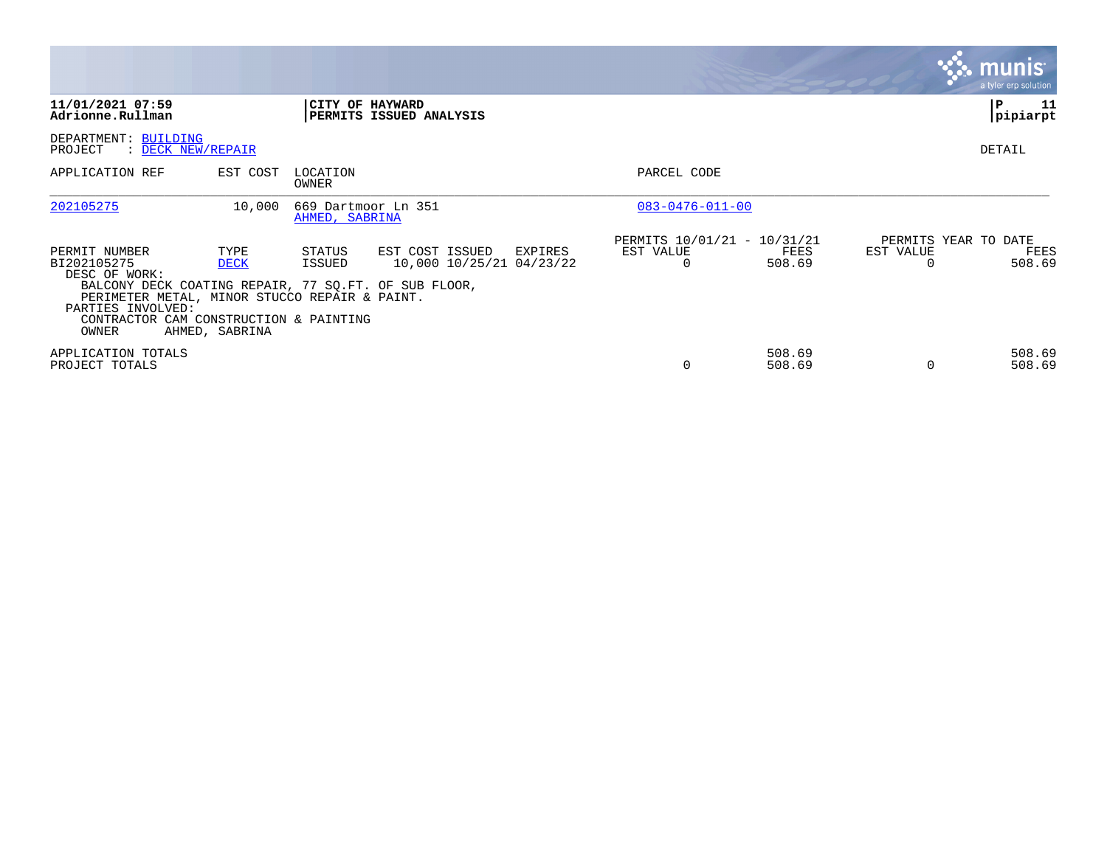|                                                                                                                                                                                                                                |                                       |                                       |                                                        |                                                      |                  |                       | <b>munis</b><br>a tyler erp solution   |
|--------------------------------------------------------------------------------------------------------------------------------------------------------------------------------------------------------------------------------|---------------------------------------|---------------------------------------|--------------------------------------------------------|------------------------------------------------------|------------------|-----------------------|----------------------------------------|
| 11/01/2021 07:59<br>Adrionne.Rullman                                                                                                                                                                                           |                                       |                                       | CITY OF HAYWARD<br>PERMITS ISSUED ANALYSIS             |                                                      |                  |                       | 11<br>l P<br> pipiarpt                 |
| DEPARTMENT: BUILDING<br>PROJECT<br>: DECK NEW/REPAIR                                                                                                                                                                           |                                       |                                       |                                                        |                                                      |                  |                       | DETAIL                                 |
| APPLICATION REF                                                                                                                                                                                                                | EST COST                              | LOCATION<br>OWNER                     |                                                        | PARCEL CODE                                          |                  |                       |                                        |
| 202105275                                                                                                                                                                                                                      | 10,000                                | 669 Dartmoor Ln 351<br>AHMED, SABRINA |                                                        | $083 - 0476 - 011 - 00$                              |                  |                       |                                        |
| PERMIT NUMBER<br>BI202105275<br>DESC OF WORK:<br>BALCONY DECK COATING REPAIR, 77 SQ.FT. OF SUB FLOOR,<br>PERIMETER METAL, MINOR STUCCO REPAIR & PAINT.<br>PARTIES INVOLVED:<br>CONTRACTOR CAM CONSTRUCTION & PAINTING<br>OWNER | TYPE<br><b>DECK</b><br>AHMED, SABRINA | STATUS<br>ISSUED                      | EST COST ISSUED<br>EXPIRES<br>10,000 10/25/21 04/23/22 | PERMITS 10/01/21 - 10/31/21<br>EST VALUE<br>$\Omega$ | FEES<br>508.69   | EST VALUE<br>$\Omega$ | PERMITS YEAR TO DATE<br>FEES<br>508.69 |
| APPLICATION TOTALS<br>PROJECT TOTALS                                                                                                                                                                                           |                                       |                                       |                                                        |                                                      | 508.69<br>508.69 | $\Omega$              | 508.69<br>508.69                       |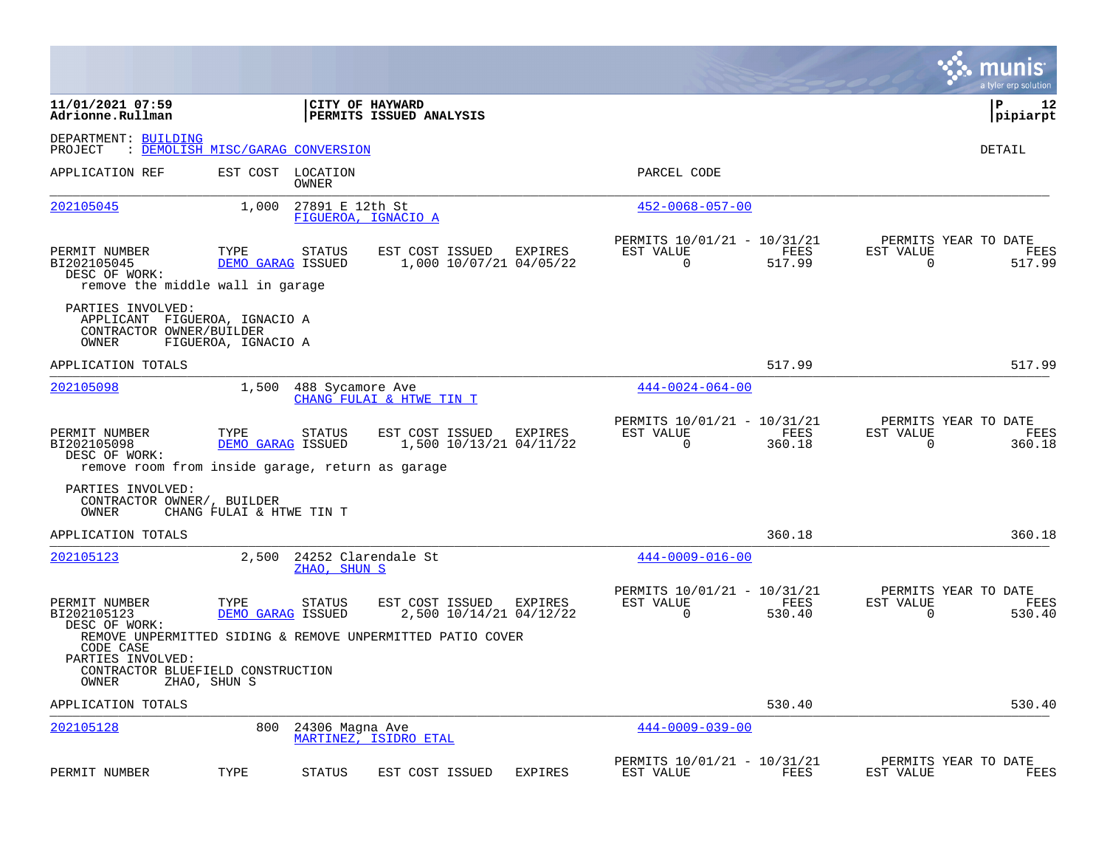|                                                                                                   |                                  |                            |                                                            |                |                                                         |                |                | munis<br>a tyler erp solution          |
|---------------------------------------------------------------------------------------------------|----------------------------------|----------------------------|------------------------------------------------------------|----------------|---------------------------------------------------------|----------------|----------------|----------------------------------------|
| 11/01/2021 07:59<br>Adrionne.Rullman                                                              |                                  |                            | CITY OF HAYWARD<br>PERMITS ISSUED ANALYSIS                 |                |                                                         |                |                | l P<br>12<br> pipiarpt                 |
| DEPARTMENT: BUILDING<br>PROJECT                                                                   | : DEMOLISH MISC/GARAG CONVERSION |                            |                                                            |                |                                                         |                |                | DETAIL                                 |
| APPLICATION REF                                                                                   |                                  | EST COST LOCATION<br>OWNER |                                                            |                | PARCEL CODE                                             |                |                |                                        |
| 202105045                                                                                         | 1,000                            | 27891 E 12th St            | FIGUEROA, IGNACIO A                                        |                | $452 - 0068 - 057 - 00$                                 |                |                |                                        |
| PERMIT NUMBER<br>BI202105045<br>DESC OF WORK:<br>remove the middle wall in garage                 | TYPE<br>DEMO GARAG ISSUED        | STATUS                     | EST COST ISSUED<br>1,000 10/07/21 04/05/22                 | EXPIRES        | PERMITS 10/01/21 - 10/31/21<br>EST VALUE<br>0           | FEES<br>517.99 | EST VALUE<br>0 | PERMITS YEAR TO DATE<br>FEES<br>517.99 |
| PARTIES INVOLVED:<br>APPLICANT FIGUEROA, IGNACIO A<br>CONTRACTOR OWNER/BUILDER<br>OWNER           | FIGUEROA, IGNACIO A              |                            |                                                            |                |                                                         |                |                |                                        |
| APPLICATION TOTALS                                                                                |                                  |                            |                                                            |                |                                                         | 517.99         |                | 517.99                                 |
| 202105098                                                                                         | 1,500                            | 488 Sycamore Ave           | CHANG FULAI & HTWE TIN T                                   |                | $444 - 0024 - 064 - 00$                                 |                |                |                                        |
| PERMIT NUMBER<br>BI202105098<br>DESC OF WORK:<br>remove room from inside garage, return as garage | TYPE<br>DEMO GARAG ISSUED        | STATUS                     | EST COST ISSUED<br>1,500 10/13/21 04/11/22                 | EXPIRES        | PERMITS 10/01/21 - 10/31/21<br>EST VALUE<br>$\mathbf 0$ | FEES<br>360.18 | EST VALUE<br>0 | PERMITS YEAR TO DATE<br>FEES<br>360.18 |
| PARTIES INVOLVED:<br>CONTRACTOR OWNER/, BUILDER<br>OWNER                                          | CHANG FULAI & HTWE TIN T         |                            |                                                            |                |                                                         |                |                |                                        |
| APPLICATION TOTALS                                                                                |                                  |                            |                                                            |                |                                                         | 360.18         |                | 360.18                                 |
| 202105123                                                                                         | 2,500                            | ZHAO, SHUN S               | 24252 Clarendale St                                        |                | $444 - 0009 - 016 - 00$                                 |                |                |                                        |
| PERMIT NUMBER<br>BI202105123<br>DESC OF WORK:                                                     | TYPE<br>DEMO GARAG ISSUED        | STATUS                     | EST COST ISSUED<br>2,500 10/14/21 04/12/22                 | EXPIRES        | PERMITS 10/01/21 - 10/31/21<br>EST VALUE<br>0           | FEES<br>530.40 | EST VALUE<br>0 | PERMITS YEAR TO DATE<br>FEES<br>530.40 |
| CODE CASE<br>PARTIES INVOLVED:<br>CONTRACTOR BLUEFIELD CONSTRUCTION<br>OWNER                      | ZHAO, SHUN S                     |                            | REMOVE UNPERMITTED SIDING & REMOVE UNPERMITTED PATIO COVER |                |                                                         |                |                |                                        |
| APPLICATION TOTALS                                                                                |                                  |                            |                                                            |                |                                                         | 530.40         |                | 530.40                                 |
| 202105128                                                                                         | 800                              | 24306 Magna Ave            | MARTINEZ, ISIDRO ETAL                                      |                | $444 - 0009 - 039 - 00$                                 |                |                |                                        |
| PERMIT NUMBER                                                                                     | TYPE                             | <b>STATUS</b>              | EST COST ISSUED                                            | <b>EXPIRES</b> | PERMITS 10/01/21 - 10/31/21<br>EST VALUE                | FEES           | EST VALUE      | PERMITS YEAR TO DATE<br>FEES           |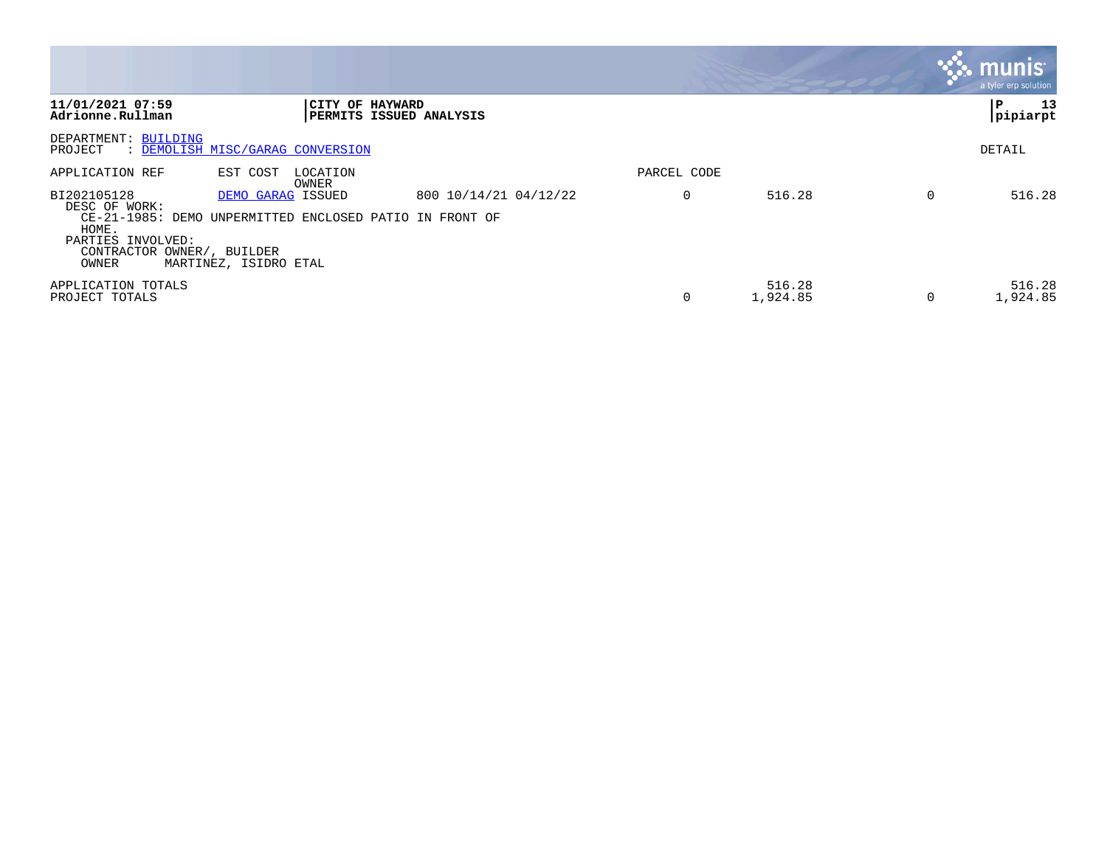|                                                                                                   |                                                                                                       |                                |             |                    |   | <b>munis</b> '<br>a tyler erp solution |
|---------------------------------------------------------------------------------------------------|-------------------------------------------------------------------------------------------------------|--------------------------------|-------------|--------------------|---|----------------------------------------|
| 11/01/2021 07:59<br>Adrionne.Rullman                                                              | <b>CITY OF HAYWARD</b>                                                                                | <b>PERMITS ISSUED ANALYSIS</b> |             |                    |   | 13<br>P<br> pipiarpt                   |
| DEPARTMENT: BUILDING<br>PROJECT                                                                   | : DEMOLISH MISC/GARAG CONVERSION                                                                      |                                |             |                    |   | DETAIL                                 |
| APPLICATION REF                                                                                   | EST COST<br>LOCATION<br>OWNER                                                                         |                                | PARCEL CODE |                    |   |                                        |
| BI202105128<br>DESC OF WORK:<br>HOME.<br>PARTIES INVOLVED:<br>CONTRACTOR OWNER/, BUILDER<br>OWNER | DEMO GARAG ISSUED<br>CE-21-1985: DEMO UNPERMITTED ENCLOSED PATIO IN FRONT OF<br>MARTINEZ, ISIDRO ETAL | 800 10/14/21 04/12/22          | 0           | 516.28             | 0 | 516.28                                 |
| APPLICATION TOTALS<br>PROJECT TOTALS                                                              |                                                                                                       |                                |             | 516.28<br>1,924.85 |   | 516.28<br>1,924.85                     |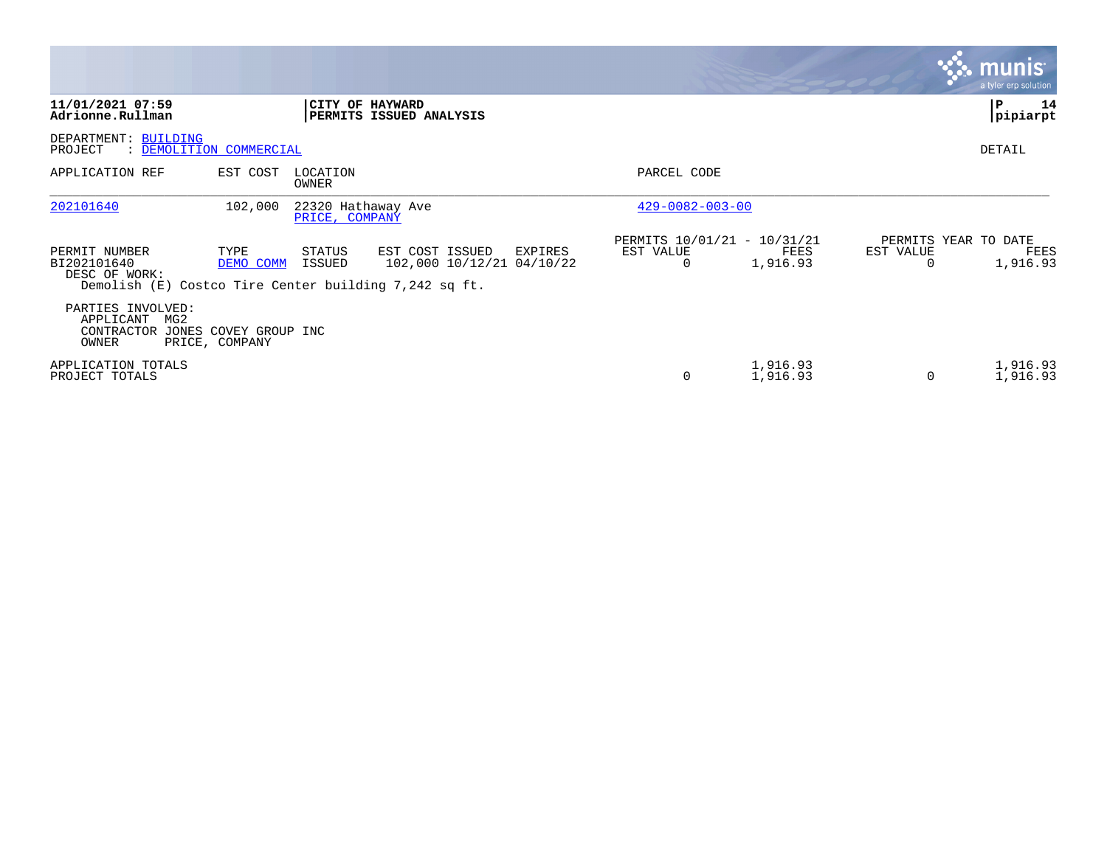|                                                                                                          |                   |                                      |                                              |         |                                                      |                      |                | <b>munis</b><br>a tyler erp solution     |
|----------------------------------------------------------------------------------------------------------|-------------------|--------------------------------------|----------------------------------------------|---------|------------------------------------------------------|----------------------|----------------|------------------------------------------|
| 11/01/2021 07:59<br>Adrionne.Rullman                                                                     |                   | CITY OF HAYWARD                      | PERMITS ISSUED ANALYSIS                      |         |                                                      |                      |                | P<br>14<br>pipiarpt                      |
| DEPARTMENT: BUILDING<br>: DEMOLITION COMMERCIAL<br>PROJECT                                               |                   |                                      |                                              |         |                                                      |                      |                | DETAIL                                   |
| APPLICATION REF                                                                                          | EST COST          | LOCATION<br>OWNER                    |                                              |         | PARCEL CODE                                          |                      |                |                                          |
| 202101640                                                                                                | 102,000           | 22320 Hathaway Ave<br>PRICE, COMPANY |                                              |         | $429 - 0082 - 003 - 00$                              |                      |                |                                          |
| PERMIT NUMBER<br>BI202101640<br>DESC OF WORK:<br>Demolish $(E)$ Costco Tire Center building 7,242 sq ft. | TYPE<br>DEMO COMM | STATUS<br>ISSUED                     | EST COST ISSUED<br>102,000 10/12/21 04/10/22 | EXPIRES | PERMITS 10/01/21 - 10/31/21<br>EST VALUE<br>$\Omega$ | FEES<br>1,916.93     | EST VALUE<br>O | PERMITS YEAR TO DATE<br>FEES<br>1,916.93 |
| PARTIES INVOLVED:<br>APPLICANT<br>MG2<br>CONTRACTOR JONES COVEY GROUP INC<br>OWNER                       | PRICE, COMPANY    |                                      |                                              |         |                                                      |                      |                |                                          |
| APPLICATION TOTALS<br>PROJECT TOTALS                                                                     |                   |                                      |                                              |         | 0                                                    | 1,916.93<br>1,916.93 | $\Omega$       | 1,916.93<br>1,916.93                     |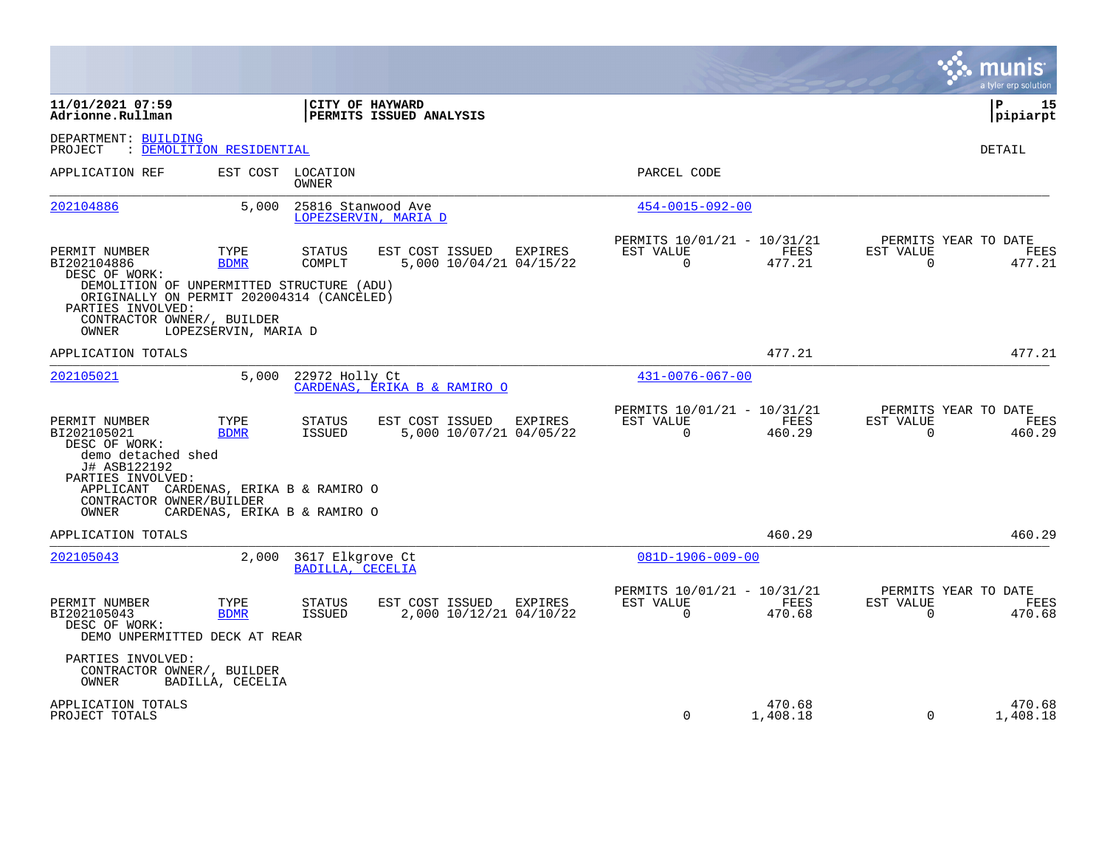|                                                                                                                                                                                |                              |                                      |                                            |                                    |                          |                                       |      |                                                  | munis<br>a tyler erp solution |
|--------------------------------------------------------------------------------------------------------------------------------------------------------------------------------|------------------------------|--------------------------------------|--------------------------------------------|------------------------------------|--------------------------|---------------------------------------|------|--------------------------------------------------|-------------------------------|
| 11/01/2021 07:59<br>Adrionne.Rullman                                                                                                                                           |                              |                                      | CITY OF HAYWARD<br>PERMITS ISSUED ANALYSIS |                                    |                          |                                       |      |                                                  | l P<br>15<br> pipiarpt        |
| DEPARTMENT: BUILDING<br>: DEMOLITION RESIDENTIAL<br>PROJECT                                                                                                                    |                              |                                      |                                            |                                    |                          |                                       |      |                                                  | DETAIL                        |
| APPLICATION REF                                                                                                                                                                | EST COST                     | LOCATION<br>OWNER                    |                                            |                                    | PARCEL CODE              |                                       |      |                                                  |                               |
| 202104886                                                                                                                                                                      | 5,000                        | 25816 Stanwood Ave                   | LOPEZSERVIN, MARIA D                       |                                    | 454-0015-092-00          |                                       |      |                                                  |                               |
| PERMIT NUMBER<br>BI202104886<br>DESC OF WORK:                                                                                                                                  | TYPE<br><b>BDMR</b>          | STATUS<br>COMPLT                     | EST COST ISSUED                            | EXPIRES<br>5,000 10/04/21 04/15/22 | EST VALUE<br>$\Omega$    | PERMITS 10/01/21 - 10/31/21<br>477.21 | FEES | PERMITS YEAR TO DATE<br>EST VALUE<br>$\Omega$    | FEES<br>477.21                |
| DEMOLITION OF UNPERMITTED STRUCTURE (ADU)<br>ORIGINALLY ON PERMIT 202004314 (CANCELED)<br>PARTIES INVOLVED:<br>CONTRACTOR OWNER/, BUILDER<br>OWNER                             | LOPEZSERVIN, MARIA D         |                                      |                                            |                                    |                          |                                       |      |                                                  |                               |
| APPLICATION TOTALS                                                                                                                                                             |                              |                                      |                                            |                                    |                          | 477.21                                |      |                                                  | 477.21                        |
| 202105021                                                                                                                                                                      | 5,000                        | 22972 Holly Ct                       | CARDENAS, ERIKA B & RAMIRO O               |                                    | $431 - 0076 - 067 - 00$  |                                       |      |                                                  |                               |
| PERMIT NUMBER<br>BI202105021<br>DESC OF WORK:<br>demo detached shed<br>J# ASB122192<br>PARTIES INVOLVED:<br>APPLICANT CARDENAS, ERIKA B & RAMIRO O<br>CONTRACTOR OWNER/BUILDER | TYPE<br><b>BDMR</b>          | STATUS<br>ISSUED                     | EST COST ISSUED                            | EXPIRES<br>5,000 10/07/21 04/05/22 | EST VALUE<br>$\mathbf 0$ | PERMITS 10/01/21 - 10/31/21<br>460.29 | FEES | PERMITS YEAR TO DATE<br>EST VALUE<br>$\mathbf 0$ | FEES<br>460.29                |
| OWNER<br>APPLICATION TOTALS                                                                                                                                                    | CARDENAS, ERIKA B & RAMIRO O |                                      |                                            |                                    |                          | 460.29                                |      |                                                  | 460.29                        |
| 202105043                                                                                                                                                                      | 2,000                        | 3617 Elkgrove Ct<br>BADILLA, CECELIA |                                            |                                    | $081D-1906-009-00$       |                                       |      |                                                  |                               |
| PERMIT NUMBER<br>BI202105043<br>DESC OF WORK:<br>DEMO UNPERMITTED DECK AT REAR                                                                                                 | TYPE<br><b>BDMR</b>          | <b>STATUS</b><br>ISSUED              | EST COST ISSUED                            | EXPIRES<br>2,000 10/12/21 04/10/22 | EST VALUE<br>$\Omega$    | PERMITS 10/01/21 - 10/31/21<br>470.68 | FEES | PERMITS YEAR TO DATE<br>EST VALUE<br>$\Omega$    | <b>FEES</b><br>470.68         |
| PARTIES INVOLVED:<br>CONTRACTOR OWNER/, BUILDER<br>OWNER                                                                                                                       | BADILLA, CECELIA             |                                      |                                            |                                    |                          |                                       |      |                                                  |                               |
| APPLICATION TOTALS<br>PROJECT TOTALS                                                                                                                                           |                              |                                      |                                            |                                    | 0                        | 470.68<br>1,408.18                    |      | $\mathbf 0$                                      | 470.68<br>1,408.18            |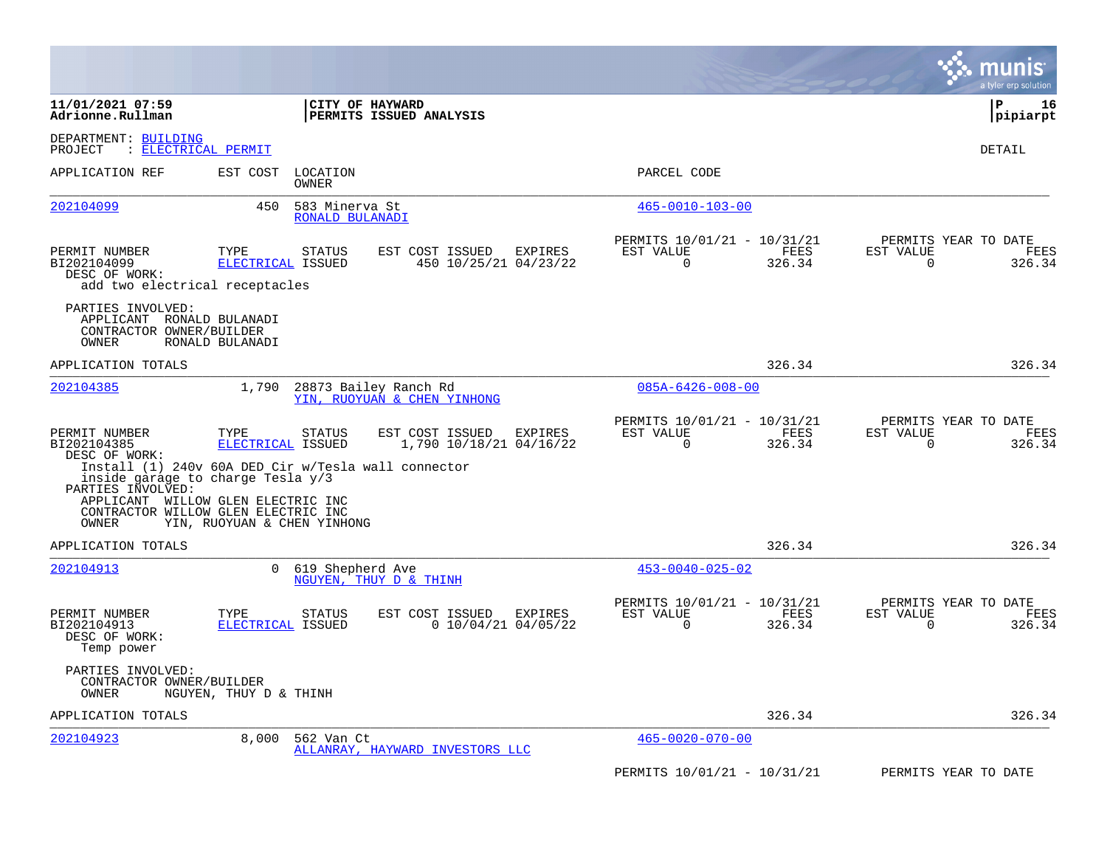|                                                                                                                                                                  |                             |                                   |                                                      |         |                                                         |                |                       | munis<br>a tyler erp solution          |
|------------------------------------------------------------------------------------------------------------------------------------------------------------------|-----------------------------|-----------------------------------|------------------------------------------------------|---------|---------------------------------------------------------|----------------|-----------------------|----------------------------------------|
| 11/01/2021 07:59<br>Adrionne.Rullman                                                                                                                             |                             | <b>CITY OF HAYWARD</b>            | <b>PERMITS ISSUED ANALYSIS</b>                       |         |                                                         |                |                       | l P<br>16<br>pipiarpt                  |
| DEPARTMENT: BUILDING<br>PROJECT                                                                                                                                  | : ELECTRICAL PERMIT         |                                   |                                                      |         |                                                         |                |                       | DETAIL                                 |
| APPLICATION REF                                                                                                                                                  | EST COST                    | LOCATION<br><b>OWNER</b>          |                                                      |         | PARCEL CODE                                             |                |                       |                                        |
| 202104099                                                                                                                                                        | 450                         | 583 Minerva St<br>RONALD BULANADI |                                                      |         | $465 - 0010 - 103 - 00$                                 |                |                       |                                        |
| PERMIT NUMBER<br>BI202104099<br>DESC OF WORK:<br>add two electrical receptacles                                                                                  | TYPE<br>ELECTRICAL ISSUED   | <b>STATUS</b>                     | EST COST ISSUED<br>450 10/25/21 04/23/22             | EXPIRES | PERMITS 10/01/21 - 10/31/21<br>EST VALUE<br>$\mathbf 0$ | FEES<br>326.34 | EST VALUE<br>0        | PERMITS YEAR TO DATE<br>FEES<br>326.34 |
| PARTIES INVOLVED:<br>APPLICANT RONALD BULANADI<br>CONTRACTOR OWNER/BUILDER<br>OWNER                                                                              | RONALD BULANADI             |                                   |                                                      |         |                                                         |                |                       |                                        |
| APPLICATION TOTALS                                                                                                                                               |                             |                                   |                                                      |         |                                                         | 326.34         |                       | 326.34                                 |
| 202104385                                                                                                                                                        | 1,790                       |                                   | 28873 Bailey Ranch Rd<br>YIN, RUOYUAN & CHEN YINHONG |         | $085A - 6426 - 008 - 00$                                |                |                       |                                        |
| PERMIT NUMBER<br>BI202104385<br>DESC OF WORK:<br>Install (1) 240v 60A DED Cir w/Tesla wall connector<br>inside garage to charge Tesla $y/3$<br>PARTIES INVOLVED: | TYPE<br>ELECTRICAL ISSUED   | <b>STATUS</b>                     | EST COST ISSUED<br>1,790 10/18/21 04/16/22           | EXPIRES | PERMITS 10/01/21 - 10/31/21<br>EST VALUE<br>$\Omega$    | FEES<br>326.34 | EST VALUE<br>$\Omega$ | PERMITS YEAR TO DATE<br>FEES<br>326.34 |
| APPLICANT WILLOW GLEN ELECTRIC INC<br>CONTRACTOR WILLOW GLEN ELECTRIC INC<br>OWNER                                                                               | YIN, RUOYUAN & CHEN YINHONG |                                   |                                                      |         |                                                         |                |                       |                                        |
| APPLICATION TOTALS                                                                                                                                               |                             |                                   |                                                      |         |                                                         | 326.34         |                       | 326.34                                 |
| 202104913                                                                                                                                                        | $\Omega$                    | 619 Shepherd Ave                  | NGUYEN, THUY D & THINH                               |         | $453 - 0040 - 025 - 02$                                 |                |                       |                                        |
| PERMIT NUMBER<br>BI202104913<br>DESC OF WORK:<br>Temp power                                                                                                      | TYPE<br>ELECTRICAL ISSUED   | STATUS                            | EST COST ISSUED<br>$0$ 10/04/21 04/05/22             | EXPIRES | PERMITS 10/01/21 - 10/31/21<br>EST VALUE<br>$\Omega$    | FEES<br>326.34 | EST VALUE<br>$\Omega$ | PERMITS YEAR TO DATE<br>FEES<br>326.34 |
| PARTIES INVOLVED:<br>CONTRACTOR OWNER/BUILDER<br>OWNER                                                                                                           | NGUYEN, THUY D & THINH      |                                   |                                                      |         |                                                         |                |                       |                                        |
| APPLICATION TOTALS                                                                                                                                               |                             |                                   |                                                      |         |                                                         | 326.34         |                       | 326.34                                 |
| 202104923                                                                                                                                                        | 8.000                       | 562 Van Ct                        | ALLANRAY, HAYWARD INVESTORS LLC                      |         | $465 - 0020 - 070 - 00$                                 |                |                       |                                        |
|                                                                                                                                                                  |                             |                                   |                                                      |         | PERMITS 10/01/21 - 10/31/21                             |                |                       | PERMITS YEAR TO DATE                   |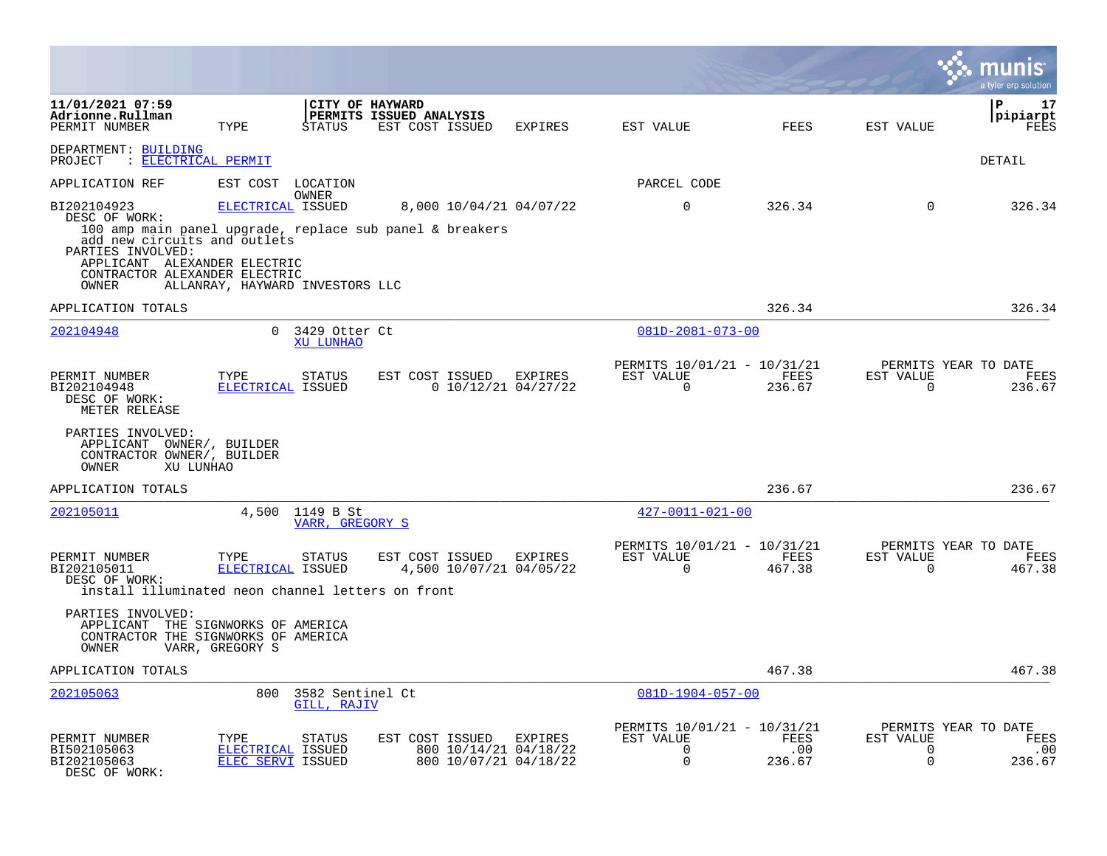|                                                                                                                                                             |                                                      |                                    |                                                                                     |                |                                                                        |                       |                               | a tyler erp solution                          |
|-------------------------------------------------------------------------------------------------------------------------------------------------------------|------------------------------------------------------|------------------------------------|-------------------------------------------------------------------------------------|----------------|------------------------------------------------------------------------|-----------------------|-------------------------------|-----------------------------------------------|
| 11/01/2021 07:59<br>Adrionne.Rullman<br>PERMIT NUMBER                                                                                                       | TYPE                                                 | CITY OF HAYWARD<br>STATUS          | PERMITS ISSUED ANALYSIS<br>EST COST ISSUED                                          | EXPIRES        | EST VALUE                                                              | FEES                  | EST VALUE                     | Р<br>17<br>pipiarpt<br>FEES                   |
| DEPARTMENT: BUILDING<br>PROJECT : ELECTRICAL PERMIT                                                                                                         |                                                      |                                    |                                                                                     |                |                                                                        |                       |                               | DETAIL                                        |
| APPLICATION REF                                                                                                                                             | EST COST LOCATION                                    |                                    |                                                                                     |                | PARCEL CODE                                                            |                       |                               |                                               |
| BI202104923<br>DESC OF WORK:<br>add new circuits and outlets<br>PARTIES INVOLVED:<br>APPLICANT ALEXANDER ELECTRIC<br>CONTRACTOR ALEXANDER ELECTRIC<br>OWNER | ELECTRICAL ISSUED<br>ALLANRAY, HAYWARD INVESTORS LLC | OWNER                              | 8,000 10/04/21 04/07/22<br>100 amp main panel upgrade, replace sub panel & breakers |                | $\mathbf 0$                                                            | 326.34                | 0                             | 326.34                                        |
| APPLICATION TOTALS                                                                                                                                          |                                                      |                                    |                                                                                     |                |                                                                        | 326.34                |                               | 326.34                                        |
| 202104948                                                                                                                                                   |                                                      | $0.3429$ Otter Ct<br>XU LUNHAO     |                                                                                     |                | 081D-2081-073-00                                                       |                       |                               |                                               |
| PERMIT NUMBER<br>BI202104948<br>DESC OF WORK:<br>METER RELEASE                                                                                              | TYPE<br>ELECTRICAL ISSUED                            | STATUS                             | EST COST ISSUED<br>0 10/12/21 04/27/22                                              | <b>EXPIRES</b> | PERMITS 10/01/21 - 10/31/21<br>EST VALUE<br>0                          | FEES<br>236.67        | EST VALUE<br>0                | PERMITS YEAR TO DATE<br>FEES<br>236.67        |
| PARTIES INVOLVED:<br>APPLICANT OWNER/, BUILDER<br>CONTRACTOR OWNER/, BUILDER<br>OWNER<br>XU LUNHAO                                                          |                                                      |                                    |                                                                                     |                |                                                                        |                       |                               |                                               |
| APPLICATION TOTALS                                                                                                                                          |                                                      |                                    |                                                                                     |                |                                                                        | 236.67                |                               | 236.67                                        |
| 202105011                                                                                                                                                   |                                                      | 4,500 1149 B St<br>VARR, GREGORY S |                                                                                     |                | $427 - 0011 - 021 - 00$                                                |                       |                               |                                               |
| PERMIT NUMBER<br>BI202105011<br>DESC OF WORK:<br>install illuminated neon channel letters on front                                                          | TYPE<br>ELECTRICAL ISSUED                            | <b>STATUS</b>                      | EST COST ISSUED<br>4,500 10/07/21 04/05/22                                          | EXPIRES        | PERMITS 10/01/21 - 10/31/21<br>EST VALUE<br>$\Omega$                   | FEES<br>467.38        | EST VALUE<br>$\Omega$         | PERMITS YEAR TO DATE<br>FEES<br>467.38        |
| PARTIES INVOLVED:<br>APPLICANT THE SIGNWORKS OF AMERICA<br>CONTRACTOR THE SIGNWORKS OF AMERICA<br>OWNER                                                     | VARR, GREGORY S                                      |                                    |                                                                                     |                |                                                                        |                       |                               |                                               |
| APPLICATION TOTALS                                                                                                                                          |                                                      |                                    |                                                                                     |                |                                                                        | 467.38                |                               | 467.38                                        |
| 202105063                                                                                                                                                   | 800                                                  | 3582 Sentinel Ct<br>GILL, RAJIV    |                                                                                     |                | $081D-1904-057-00$                                                     |                       |                               |                                               |
| PERMIT NUMBER<br>BI502105063<br>BI202105063<br>DESC OF WORK:                                                                                                | TYPE<br>ELECTRICAL ISSUED<br>ELEC SERVI ISSUED       | STATUS                             | EST COST ISSUED<br>800 10/14/21 04/18/22<br>800 10/07/21 04/18/22                   | EXPIRES        | PERMITS 10/01/21 - 10/31/21<br>EST VALUE<br>$\mathbf 0$<br>$\mathbf 0$ | FEES<br>.00<br>236.67 | EST VALUE<br>0<br>$\mathbf 0$ | PERMITS YEAR TO DATE<br>FEES<br>.00<br>236.67 |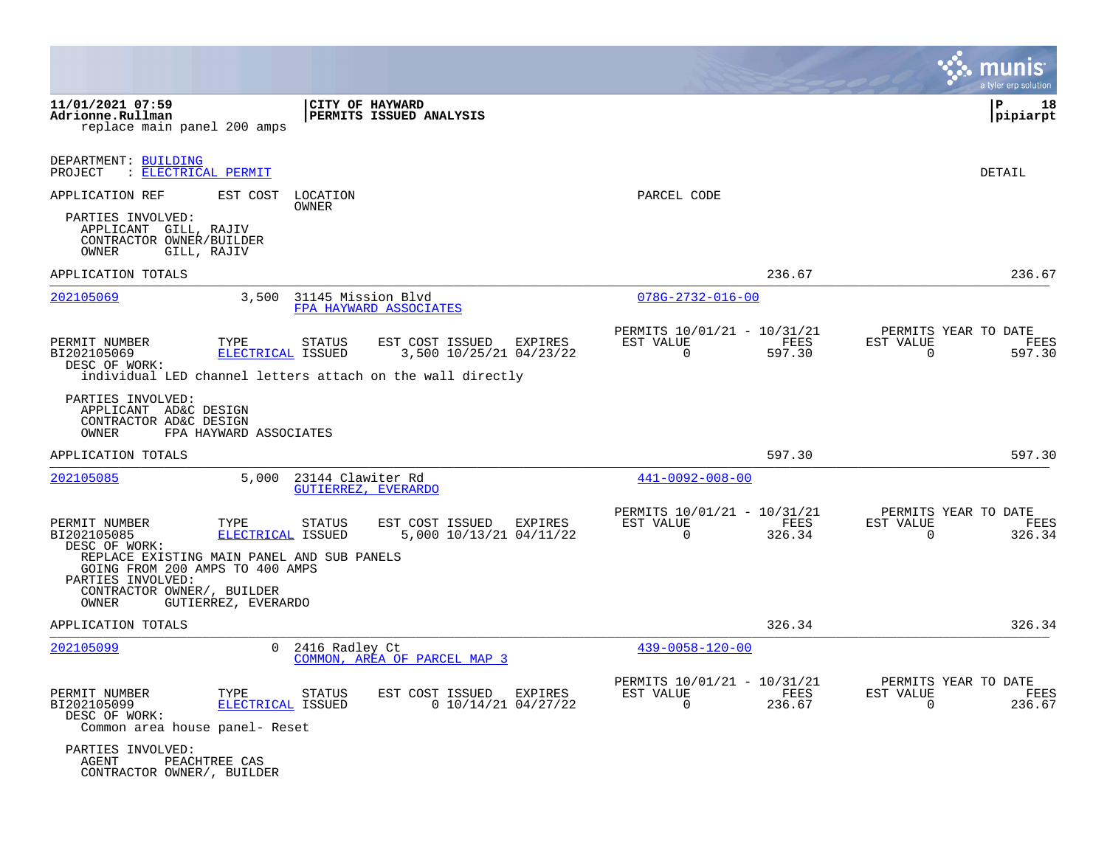|                                                                                                                                                     |                           |                    |                                                                                                                            |                                                            |                | a tyler erp solution                                            |
|-----------------------------------------------------------------------------------------------------------------------------------------------------|---------------------------|--------------------|----------------------------------------------------------------------------------------------------------------------------|------------------------------------------------------------|----------------|-----------------------------------------------------------------|
| 11/01/2021 07:59<br>Adrionne.Rullman<br>replace main panel 200 amps                                                                                 |                           | CITY OF HAYWARD    | PERMITS ISSUED ANALYSIS                                                                                                    |                                                            |                | ΙP<br>18<br> pipiarpt                                           |
| DEPARTMENT: BUILDING<br>: ELECTRICAL PERMIT<br>PROJECT                                                                                              |                           |                    |                                                                                                                            |                                                            |                | DETAIL                                                          |
| APPLICATION REF                                                                                                                                     | EST COST LOCATION         | OWNER              |                                                                                                                            | PARCEL CODE                                                |                |                                                                 |
| PARTIES INVOLVED:<br>APPLICANT GILL, RAJIV<br>CONTRACTOR OWNER/BUILDER<br>OWNER<br>GILL, RAJIV                                                      |                           |                    |                                                                                                                            |                                                            |                |                                                                 |
| APPLICATION TOTALS                                                                                                                                  |                           |                    |                                                                                                                            |                                                            | 236.67         | 236.67                                                          |
| 202105069                                                                                                                                           | 3,500                     | 31145 Mission Blvd | FPA HAYWARD ASSOCIATES                                                                                                     | $078G - 2732 - 016 - 00$                                   |                |                                                                 |
| PERMIT NUMBER<br>BI202105069<br>DESC OF WORK:                                                                                                       | TYPE<br>ELECTRICAL ISSUED | <b>STATUS</b>      | EST COST ISSUED<br><b>EXPIRES</b><br>3,500 10/25/21 04/23/22<br>individual LED channel letters attach on the wall directly | PERMITS 10/01/21 - 10/31/21<br>EST VALUE<br>$\Omega$       | FEES<br>597.30 | PERMITS YEAR TO DATE<br>EST VALUE<br>FEES<br>$\Omega$<br>597.30 |
| PARTIES INVOLVED:<br>APPLICANT AD&C DESIGN<br>CONTRACTOR AD&C DESIGN<br>OWNER                                                                       | FPA HAYWARD ASSOCIATES    |                    |                                                                                                                            |                                                            |                |                                                                 |
| APPLICATION TOTALS                                                                                                                                  |                           |                    |                                                                                                                            |                                                            | 597.30         | 597.30                                                          |
| 202105085                                                                                                                                           | 5,000                     | 23144 Clawiter Rd  | GUTIERREZ, EVERARDO                                                                                                        | $441 - 0092 - 008 - 00$                                    |                |                                                                 |
| PERMIT NUMBER<br>BI202105085<br>DESC OF WORK:<br>REPLACE EXISTING MAIN PANEL AND SUB PANELS<br>GOING FROM 200 AMPS TO 400 AMPS<br>PARTIES INVOLVED: | TYPE<br>ELECTRICAL ISSUED | STATUS             | EST COST ISSUED<br>EXPIRES<br>5,000 10/13/21 04/11/22                                                                      | PERMITS 10/01/21 - 10/31/21<br>EST VALUE<br>$\Omega$       | FEES<br>326.34 | PERMITS YEAR TO DATE<br>EST VALUE<br>FEES<br>$\Omega$<br>326.34 |
| CONTRACTOR OWNER/, BUILDER<br>OWNER                                                                                                                 | GUTIERREZ, EVERARDO       |                    |                                                                                                                            |                                                            |                |                                                                 |
| APPLICATION TOTALS                                                                                                                                  |                           |                    |                                                                                                                            |                                                            | 326.34         | 326.34                                                          |
| 202105099                                                                                                                                           | $\Omega$                  | 2416 Radley Ct     | COMMON, AREA OF PARCEL MAP 3                                                                                               | $439 - 0058 - 120 - 00$                                    |                |                                                                 |
| PERMIT NUMBER<br>BI202105099<br>DESC OF WORK:<br>Common area house panel- Reset                                                                     | TYPE<br>ELECTRICAL ISSUED | STATUS             | EST COST ISSUED<br>EXPIRES<br>$0$ 10/14/21 04/27/22                                                                        | PERMITS 10/01/21 - 10/31/21<br>EST VALUE<br>$\overline{0}$ | FEES<br>236.67 | PERMITS YEAR TO DATE<br>EST VALUE<br>FEES<br>$\Omega$<br>236.67 |
| PARTIES INVOLVED:<br>AGENT<br>CONTRACTOR OWNER/, BUILDER                                                                                            | PEACHTREE CAS             |                    |                                                                                                                            |                                                            |                |                                                                 |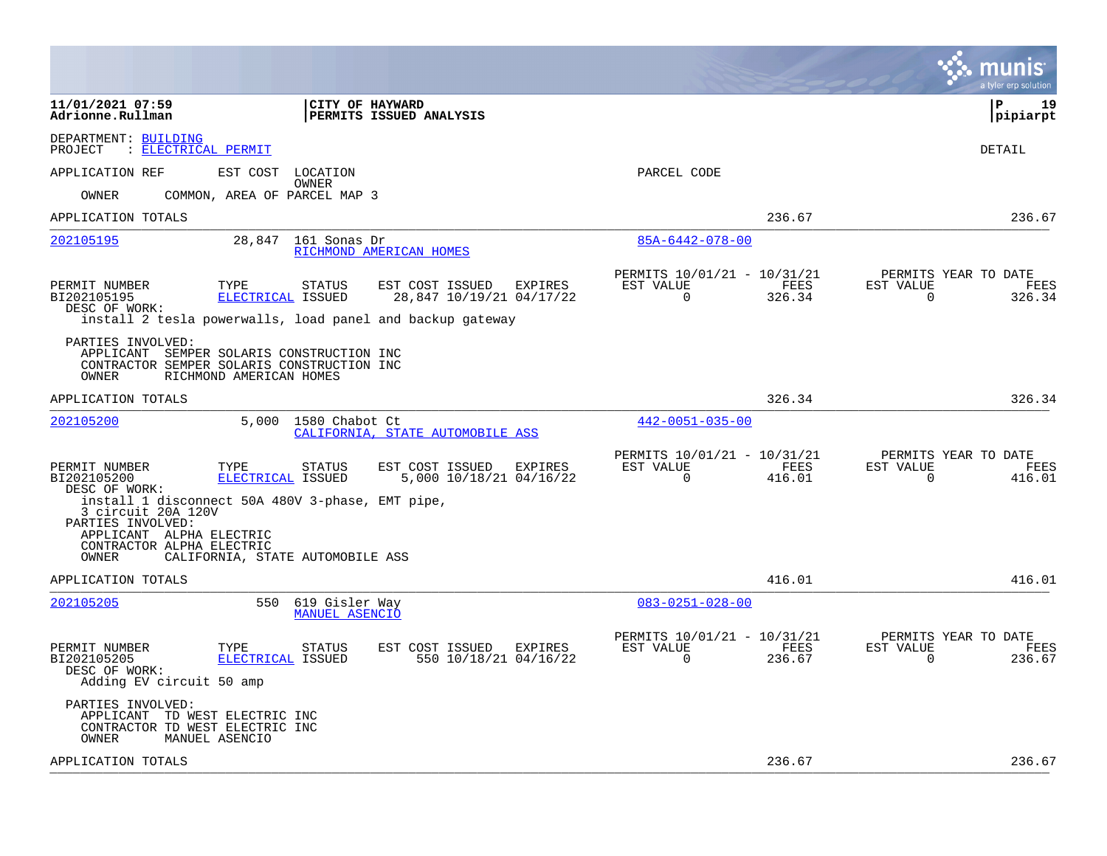|                                                                                                                                                                                                                                         |                                                                        | a tyler erp solution                                                   |
|-----------------------------------------------------------------------------------------------------------------------------------------------------------------------------------------------------------------------------------------|------------------------------------------------------------------------|------------------------------------------------------------------------|
| CITY OF HAYWARD<br>11/01/2021 07:59<br>Adrionne.Rullman<br><b>PERMITS ISSUED ANALYSIS</b>                                                                                                                                               |                                                                        | l P<br>19<br> pipiarpt                                                 |
| DEPARTMENT: BUILDING<br>PROJECT<br>: ELECTRICAL PERMIT                                                                                                                                                                                  |                                                                        | <b>DETAIL</b>                                                          |
| APPLICATION REF<br>EST COST<br>LOCATION<br>OWNER                                                                                                                                                                                        | PARCEL CODE                                                            |                                                                        |
| COMMON, AREA OF PARCEL MAP 3<br>OWNER<br>APPLICATION TOTALS                                                                                                                                                                             | 236.67                                                                 | 236.67                                                                 |
| 28,847 161 Sonas Dr<br>202105195<br>RICHMOND AMERICAN HOMES                                                                                                                                                                             | $85A - 6442 - 078 - 00$                                                |                                                                        |
| EST COST ISSUED<br>PERMIT NUMBER<br>TYPE<br><b>STATUS</b><br>EXPIRES<br>ELECTRICAL ISSUED<br>BI202105195<br>28,847 10/19/21 04/17/22<br>DESC OF WORK:<br>install 2 tesla powerwalls, load panel and backup gateway<br>PARTIES INVOLVED: | PERMITS 10/01/21 - 10/31/21<br>EST VALUE<br>FEES<br>$\Omega$<br>326.34 | PERMITS YEAR TO DATE<br>EST VALUE<br><b>FEES</b><br>$\Omega$<br>326.34 |
| APPLICANT SEMPER SOLARIS CONSTRUCTION INC<br>CONTRACTOR SEMPER SOLARIS CONSTRUCTION INC<br>OWNER<br>RICHMOND AMERICAN HOMES                                                                                                             |                                                                        |                                                                        |
| APPLICATION TOTALS                                                                                                                                                                                                                      | 326.34                                                                 | 326.34                                                                 |
| 5,000 1580 Chabot Ct<br>202105200<br>CALIFORNIA, STATE AUTOMOBILE ASS                                                                                                                                                                   | $442 - 0051 - 035 - 00$                                                |                                                                        |
| PERMIT NUMBER<br>TYPE<br><b>STATUS</b><br>EST COST ISSUED EXPIRES<br>5,000 10/18/21 04/16/22<br>BI202105200<br>ELECTRICAL ISSUED<br>DESC OF WORK:<br>install 1 disconnect 50A 480V 3-phase, EMT pipe,                                   | PERMITS 10/01/21 - 10/31/21<br>EST VALUE<br>FEES<br>416.01<br>$\Omega$ | PERMITS YEAR TO DATE<br>EST VALUE<br>FEES<br>$\Omega$<br>416.01        |
| 3 circuit 20A 120V<br>PARTIES INVOLVED:<br>APPLICANT ALPHA ELECTRIC<br>CONTRACTOR ALPHA ELECTRIC<br>CALIFORNIA, STATE AUTOMOBILE ASS<br>OWNER                                                                                           |                                                                        |                                                                        |
| APPLICATION TOTALS                                                                                                                                                                                                                      | 416.01                                                                 | 416.01                                                                 |
| 202105205<br>550<br>619 Gisler Way<br><b>MANUEL ASENCIO</b>                                                                                                                                                                             | $083 - 0251 - 028 - 00$                                                |                                                                        |
| PERMIT NUMBER<br>TYPE<br><b>STATUS</b><br>EST COST ISSUED<br>EXPIRES<br>550 10/18/21 04/16/22<br>BI202105205<br>ELECTRICAL ISSUED<br>DESC OF WORK:<br>Adding EV circuit 50 amp                                                          | PERMITS 10/01/21 - 10/31/21<br>EST VALUE<br>FEES<br>$\Omega$<br>236.67 | PERMITS YEAR TO DATE<br>FEES<br>EST VALUE<br>236.67<br>$\Omega$        |
| PARTIES INVOLVED:<br>APPLICANT TD WEST ELECTRIC INC<br>CONTRACTOR TD WEST ELECTRIC INC<br>MANUEL ASENCIO<br>OWNER                                                                                                                       |                                                                        |                                                                        |
| APPLICATION TOTALS                                                                                                                                                                                                                      | 236.67                                                                 | 236.67                                                                 |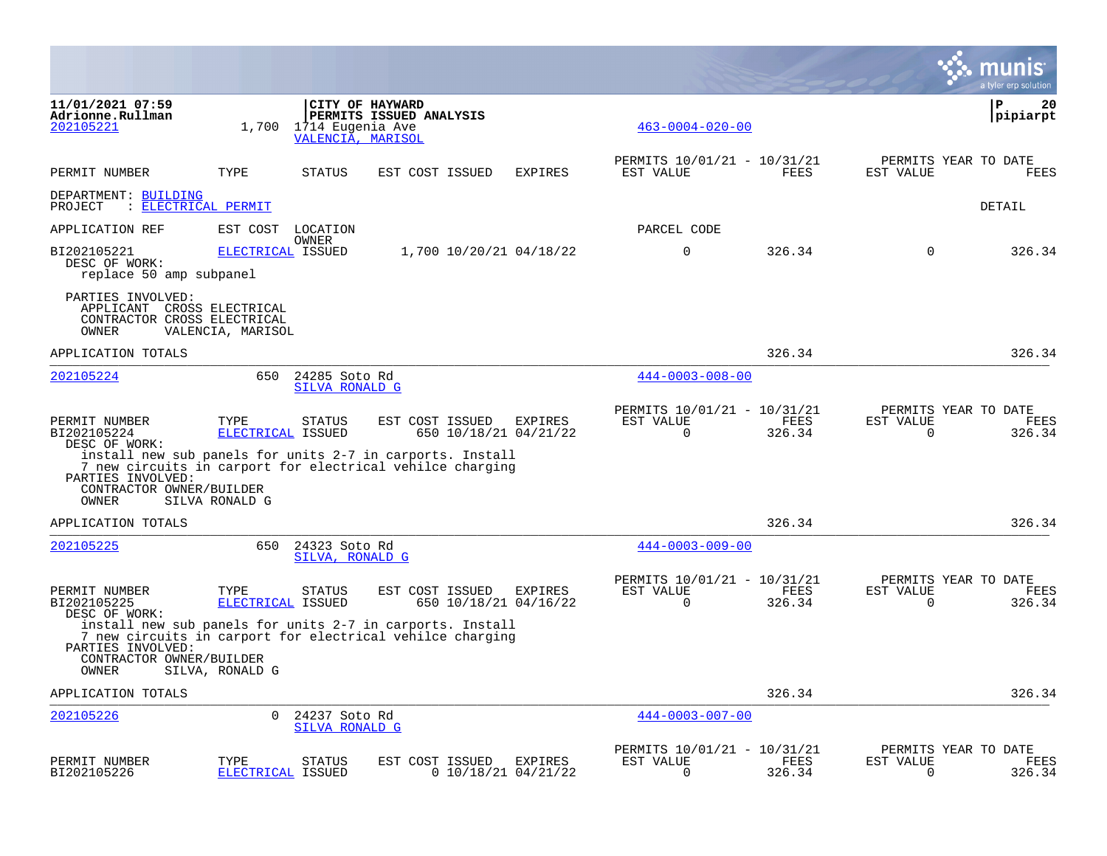|                                                                                                |                           |                                       |                                                                                                                                                                    |                                         |                                                      |                |                       | munis<br>a tyler erp solution          |
|------------------------------------------------------------------------------------------------|---------------------------|---------------------------------------|--------------------------------------------------------------------------------------------------------------------------------------------------------------------|-----------------------------------------|------------------------------------------------------|----------------|-----------------------|----------------------------------------|
| 11/01/2021 07:59<br>Adrionne.Rullman<br>202105221                                              | 1,700                     | 1714 Eugenia Ave<br>VALENCIA, MARISOL | CITY OF HAYWARD<br>PERMITS ISSUED ANALYSIS                                                                                                                         |                                         | $463 - 0004 - 020 - 00$                              |                |                       | ΙP<br>20<br> pipiarpt                  |
| PERMIT NUMBER                                                                                  | TYPE                      | <b>STATUS</b>                         | EST COST ISSUED                                                                                                                                                    | <b>EXPIRES</b>                          | PERMITS 10/01/21 - 10/31/21<br>EST VALUE             | FEES           | EST VALUE             | PERMITS YEAR TO DATE<br>FEES           |
| DEPARTMENT: BUILDING<br>PROJECT                                                                | : ELECTRICAL PERMIT       |                                       |                                                                                                                                                                    |                                         |                                                      |                |                       | DETAIL                                 |
| APPLICATION REF                                                                                | EST COST                  | LOCATION                              |                                                                                                                                                                    |                                         | PARCEL CODE                                          |                |                       |                                        |
| BI202105221<br>DESC OF WORK:<br>replace 50 amp subpanel                                        | ELECTRICAL ISSUED         | <b>OWNER</b>                          | 1,700 10/20/21 04/18/22                                                                                                                                            |                                         | 0                                                    | 326.34         | $\Omega$              | 326.34                                 |
| PARTIES INVOLVED:<br>APPLICANT CROSS ELECTRICAL<br>CONTRACTOR CROSS ELECTRICAL<br>OWNER        | VALENCIA, MARISOL         |                                       |                                                                                                                                                                    |                                         |                                                      |                |                       |                                        |
| APPLICATION TOTALS                                                                             |                           |                                       |                                                                                                                                                                    |                                         |                                                      | 326.34         |                       | 326.34                                 |
| 202105224                                                                                      | 650                       | 24285 Soto Rd<br>SILVA RONALD G       |                                                                                                                                                                    |                                         | $444 - 0003 - 008 - 00$                              |                |                       |                                        |
| PERMIT NUMBER<br>BI202105224<br>DESC OF WORK:<br>PARTIES INVOLVED:                             | TYPE<br>ELECTRICAL ISSUED | <b>STATUS</b>                         | EST COST ISSUED<br>650 10/18/21 04/21/22<br>install new sub panels for units 2-7 in carports. Install<br>7 new circuits in carport for electrical vehilce charging | EXPIRES                                 | PERMITS 10/01/21 - 10/31/21<br>EST VALUE<br>$\Omega$ | FEES<br>326.34 | EST VALUE<br>$\Omega$ | PERMITS YEAR TO DATE<br>FEES<br>326.34 |
| CONTRACTOR OWNER/BUILDER<br>OWNER                                                              | SILVA RONALD G            |                                       |                                                                                                                                                                    |                                         |                                                      |                |                       |                                        |
| APPLICATION TOTALS                                                                             |                           |                                       |                                                                                                                                                                    |                                         |                                                      | 326.34         |                       | 326.34                                 |
| 202105225                                                                                      | 650                       | 24323 Soto Rd<br>SILVA, RONALD G      |                                                                                                                                                                    |                                         | $444 - 0003 - 009 - 00$                              |                |                       |                                        |
| PERMIT NUMBER<br>BI202105225<br>DESC OF WORK:<br>PARTIES INVOLVED:<br>CONTRACTOR OWNER/BUILDER | TYPE<br>ELECTRICAL ISSUED | <b>STATUS</b>                         | EST COST ISSUED<br>650 10/18/21 04/16/22<br>install new sub panels for units 2-7 in carports. Install<br>7 new circuits in carport for electrical vehilce charging | EXPIRES                                 | PERMITS 10/01/21 - 10/31/21<br>EST VALUE<br>$\Omega$ | FEES<br>326.34 | EST VALUE<br>$\Omega$ | PERMITS YEAR TO DATE<br>FEES<br>326.34 |
| OWNER<br>APPLICATION TOTALS                                                                    | SILVA, RONALD G           |                                       |                                                                                                                                                                    |                                         |                                                      | 326.34         |                       | 326.34                                 |
| 202105226                                                                                      | $\Omega$                  | 24237 Soto Rd<br>SILVA RONALD G       |                                                                                                                                                                    |                                         | $444 - 0003 - 007 - 00$                              |                |                       |                                        |
| PERMIT NUMBER<br>BI202105226                                                                   | TYPE<br>ELECTRICAL ISSUED | <b>STATUS</b>                         | EST COST ISSUED                                                                                                                                                    | <b>EXPIRES</b><br>$0$ 10/18/21 04/21/22 | PERMITS 10/01/21 - 10/31/21<br>EST VALUE<br>$\Omega$ | FEES<br>326.34 | EST VALUE<br>0        | PERMITS YEAR TO DATE<br>FEES<br>326.34 |

**Contract**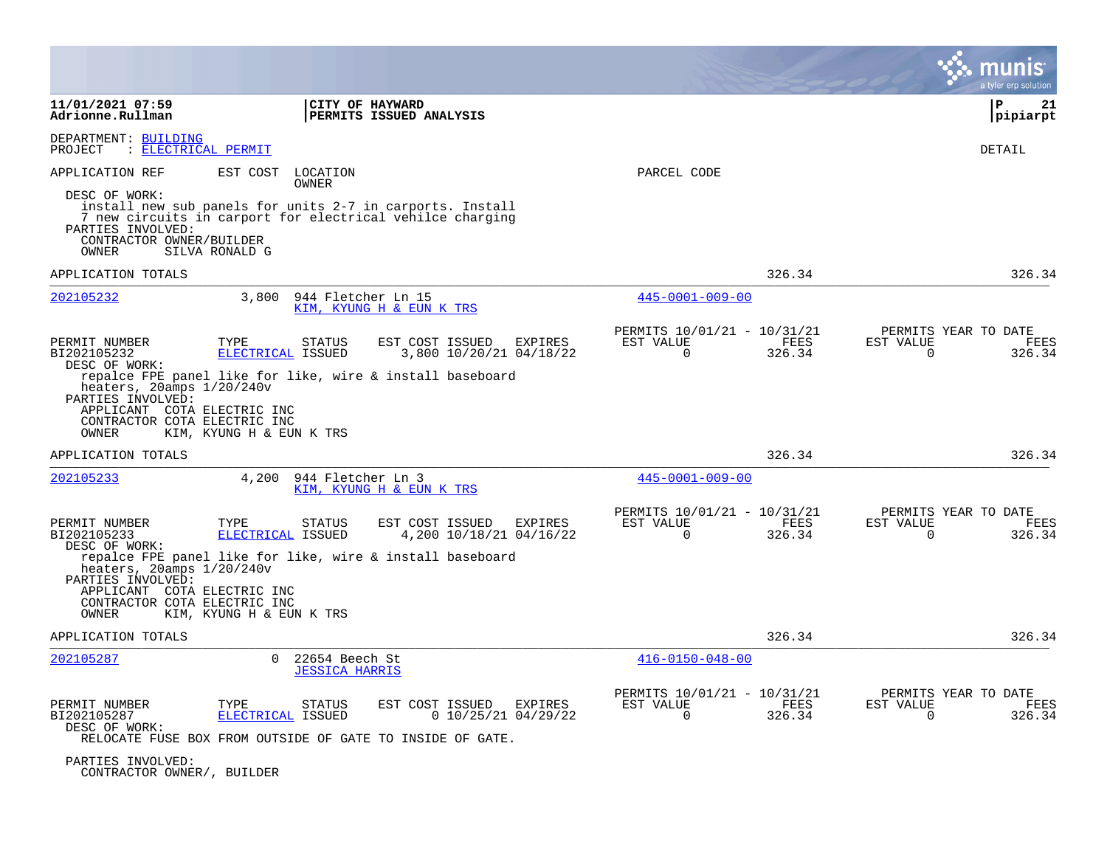|                                                                                                                                                                                                                                                                                                    |                                                                        |                                                      |                |                                                  | a tyler erp solution  |
|----------------------------------------------------------------------------------------------------------------------------------------------------------------------------------------------------------------------------------------------------------------------------------------------------|------------------------------------------------------------------------|------------------------------------------------------|----------------|--------------------------------------------------|-----------------------|
| 11/01/2021 07:59<br>Adrionne.Rullman                                                                                                                                                                                                                                                               | CITY OF HAYWARD<br>PERMITS ISSUED ANALYSIS                             |                                                      |                |                                                  | P<br>21<br>pipiarpt   |
| DEPARTMENT: BUILDING<br><u>ELECTRICAL PERMIT</u><br>PROJECT                                                                                                                                                                                                                                        |                                                                        |                                                      |                |                                                  | <b>DETAIL</b>         |
| APPLICATION REF<br>EST COST                                                                                                                                                                                                                                                                        | LOCATION                                                               | PARCEL CODE                                          |                |                                                  |                       |
| OWNER<br>DESC OF WORK:<br>install new sub panels for units 2-7 in carports. Install<br>7 new circuits in carport for electrical vehilce charging<br>PARTIES INVOLVED:<br>CONTRACTOR OWNER/BUILDER<br>SILVA RONALD G<br>OWNER                                                                       |                                                                        |                                                      |                |                                                  |                       |
| APPLICATION TOTALS                                                                                                                                                                                                                                                                                 |                                                                        |                                                      | 326.34         |                                                  | 326.34                |
| 202105232                                                                                                                                                                                                                                                                                          | 3,800 944 Fletcher Ln 15<br>KIM, KYUNG H & EUN K TRS                   | $445 - 0001 - 009 - 00$                              |                |                                                  |                       |
| PERMIT NUMBER<br>TYPE<br>BI202105232<br>ELECTRICAL ISSUED<br>DESC OF WORK:<br>repalce FPE panel like for like, wire & install baseboard<br>heaters, $20$ amps $1/20/240v$<br>PARTIES INVOLVED:<br>APPLICANT COTA ELECTRIC INC<br>CONTRACTOR COTA ELECTRIC INC<br>KIM, KYUNG H & EUN K TRS<br>OWNER | <b>STATUS</b><br>EST COST ISSUED<br>EXPIRES<br>3,800 10/20/21 04/18/22 | PERMITS 10/01/21 - 10/31/21<br>EST VALUE<br>$\Omega$ | FEES<br>326.34 | PERMITS YEAR TO DATE<br>EST VALUE<br>$\Omega$    | FEES<br>326.34        |
| APPLICATION TOTALS                                                                                                                                                                                                                                                                                 |                                                                        |                                                      | 326.34         |                                                  | 326.34                |
| 202105233<br>4,200                                                                                                                                                                                                                                                                                 | 944 Fletcher Ln 3<br>KIM, KYUNG H & EUN K TRS                          | $445 - 0001 - 009 - 00$                              |                |                                                  |                       |
| PERMIT NUMBER<br>TYPE<br>BI202105233<br>ELECTRICAL ISSUED<br>DESC OF WORK:<br>repalce FPE panel like for like, wire & install baseboard<br>heaters, 20amps 1/20/240v<br>PARTIES INVOLVED:<br>APPLICANT COTA ELECTRIC INC<br>CONTRACTOR COTA ELECTRIC INC<br>KIM, KYUNG H & EUN K TRS<br>OWNER      | <b>STATUS</b><br>EST COST ISSUED<br>EXPIRES<br>4,200 10/18/21 04/16/22 | PERMITS 10/01/21 - 10/31/21<br>EST VALUE<br>$\Omega$ | FEES<br>326.34 | PERMITS YEAR TO DATE<br>EST VALUE<br>$\mathbf 0$ | FEES<br>326.34        |
| APPLICATION TOTALS                                                                                                                                                                                                                                                                                 |                                                                        |                                                      | 326.34         |                                                  | 326.34                |
| 202105287<br>$\overline{0}$                                                                                                                                                                                                                                                                        | 22654 Beech St<br><b>JESSICA HARRIS</b>                                | $416 - 0150 - 048 - 00$                              |                |                                                  |                       |
| PERMIT NUMBER<br>TYPE<br>BI202105287<br>ELECTRICAL ISSUED<br>DESC OF WORK:<br>RELOCATE FUSE BOX FROM OUTSIDE OF GATE TO INSIDE OF GATE.<br>PARTIES INVOLVED:                                                                                                                                       | EST COST ISSUED<br>STATUS<br>EXPIRES<br>$0$ 10/25/21 04/29/22          | PERMITS 10/01/21 - 10/31/21<br>EST VALUE<br>$\Omega$ | FEES<br>326.34 | PERMITS YEAR TO DATE<br>EST VALUE<br>$\Omega$    | <b>FEES</b><br>326.34 |

CONTRACTOR OWNER/, BUILDER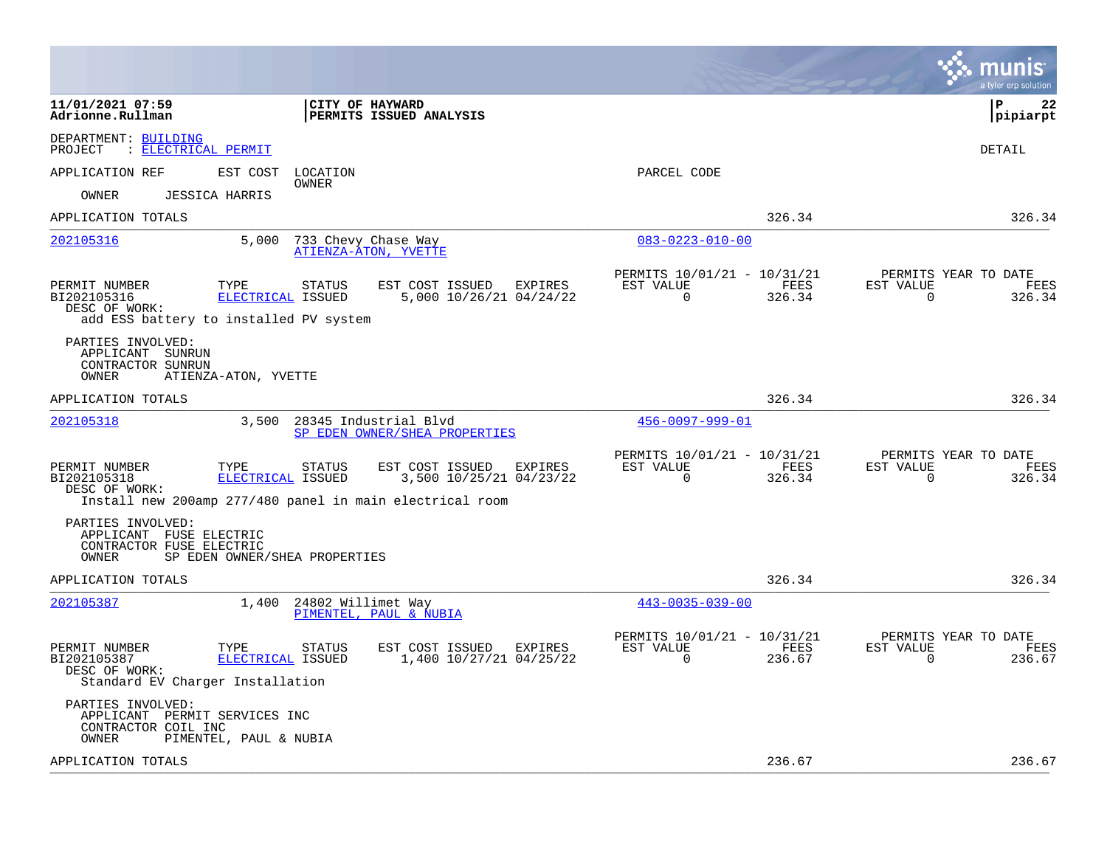|                                                                                                                                        |                                                        |                                            |         |                                                            |                |                       | munis<br>a tyler erp solution          |
|----------------------------------------------------------------------------------------------------------------------------------------|--------------------------------------------------------|--------------------------------------------|---------|------------------------------------------------------------|----------------|-----------------------|----------------------------------------|
| 11/01/2021 07:59<br>Adrionne.Rullman                                                                                                   | <b>CITY OF HAYWARD</b><br>PERMITS ISSUED ANALYSIS      |                                            |         |                                                            |                |                       | l P<br>22<br> pipiarpt                 |
| DEPARTMENT: BUILDING<br>: ELECTRICAL PERMIT<br>PROJECT                                                                                 |                                                        |                                            |         |                                                            |                |                       | DETAIL                                 |
| APPLICATION REF<br>EST COST                                                                                                            | LOCATION                                               |                                            |         | PARCEL CODE                                                |                |                       |                                        |
| <b>JESSICA HARRIS</b><br>OWNER                                                                                                         | OWNER                                                  |                                            |         |                                                            |                |                       |                                        |
| APPLICATION TOTALS                                                                                                                     |                                                        |                                            |         |                                                            | 326.34         |                       | 326.34                                 |
| 5,000<br>202105316                                                                                                                     | 733 Chevy Chase Way<br>ATIENZA-ATON, YVETTE            |                                            |         | $083 - 0223 - 010 - 00$                                    |                |                       |                                        |
| PERMIT NUMBER<br>TYPE<br>BI202105316<br>ELECTRICAL ISSUED<br>DESC OF WORK:<br>add ESS battery to installed PV system                   | <b>STATUS</b>                                          | EST COST ISSUED<br>5,000 10/26/21 04/24/22 | EXPIRES | PERMITS 10/01/21 - 10/31/21<br>EST VALUE<br>$\Omega$       | FEES<br>326.34 | EST VALUE<br>$\Omega$ | PERMITS YEAR TO DATE<br>FEES<br>326.34 |
| PARTIES INVOLVED:<br>APPLICANT SUNRUN<br>CONTRACTOR SUNRUN<br>OWNER<br>ATIENZA-ATON, YVETTE                                            |                                                        |                                            |         |                                                            |                |                       |                                        |
| APPLICATION TOTALS                                                                                                                     |                                                        |                                            |         |                                                            | 326.34         |                       | 326.34                                 |
| 202105318<br>3,500                                                                                                                     | 28345 Industrial Blvd<br>SP EDEN OWNER/SHEA PROPERTIES |                                            |         | 456-0097-999-01                                            |                |                       |                                        |
| PERMIT NUMBER<br>TYPE<br>BI202105318<br>ELECTRICAL ISSUED<br>DESC OF WORK:<br>Install new 200amp 277/480 panel in main electrical room | <b>STATUS</b>                                          | EST COST ISSUED<br>3,500 10/25/21 04/23/22 | EXPIRES | PERMITS 10/01/21 - 10/31/21<br>EST VALUE<br>$\Omega$       | FEES<br>326.34 | EST VALUE<br>$\Omega$ | PERMITS YEAR TO DATE<br>FEES<br>326.34 |
| PARTIES INVOLVED:<br>APPLICANT FUSE ELECTRIC<br>CONTRACTOR FUSE ELECTRIC<br>OWNER<br>SP EDEN OWNER/SHEA PROPERTIES                     |                                                        |                                            |         |                                                            |                |                       |                                        |
| APPLICATION TOTALS                                                                                                                     |                                                        |                                            |         |                                                            | 326.34         |                       | 326.34                                 |
| 202105387<br>1,400                                                                                                                     | 24802 Willimet Way<br>PIMENTEL, PAUL & NUBIA           |                                            |         | $443 - 0035 - 039 - 00$                                    |                |                       |                                        |
| PERMIT NUMBER<br>TYPE<br>BI202105387<br>ELECTRICAL ISSUED<br>DESC OF WORK:<br>Standard EV Charger Installation                         | STATUS                                                 | EST COST ISSUED<br>1,400 10/27/21 04/25/22 | EXPIRES | PERMITS 10/01/21 - 10/31/21<br>EST VALUE<br>$\overline{0}$ | FEES<br>236.67 | EST VALUE<br>0        | PERMITS YEAR TO DATE<br>FEES<br>236.67 |
| PARTIES INVOLVED:<br>APPLICANT PERMIT SERVICES INC<br>CONTRACTOR COIL INC<br>OWNER<br>PIMENTEL, PAUL & NUBIA                           |                                                        |                                            |         |                                                            |                |                       |                                        |
| APPLICATION TOTALS                                                                                                                     |                                                        |                                            |         |                                                            | 236.67         |                       | 236.67                                 |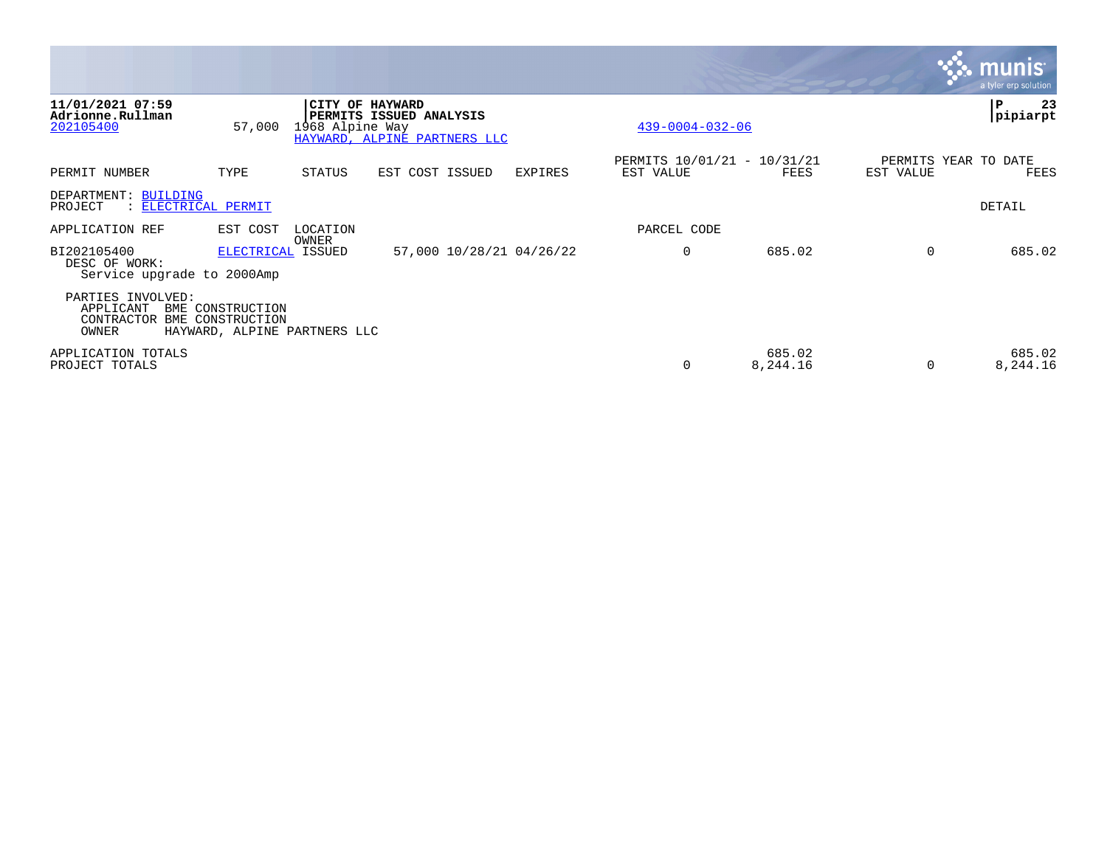|                                                            |                                                                      |                 |                                                                            |         |                                          |                    |           | <u>munis</u><br>a tyler erp solution |
|------------------------------------------------------------|----------------------------------------------------------------------|-----------------|----------------------------------------------------------------------------|---------|------------------------------------------|--------------------|-----------|--------------------------------------|
| 11/01/2021 07:59<br>Adrionne.Rullman<br>202105400          | 57,000                                                               | 1968 Alpine Way | CITY OF HAYWARD<br>PERMITS ISSUED ANALYSIS<br>HAYWARD, ALPINE PARTNERS LLC |         | $439 - 0004 - 032 - 06$                  |                    |           | 23<br>P<br>pipiarpt                  |
| PERMIT NUMBER                                              | TYPE                                                                 | STATUS          | EST COST ISSUED                                                            | EXPIRES | PERMITS 10/01/21 - 10/31/21<br>EST VALUE | FEES               | EST VALUE | PERMITS YEAR TO DATE<br>FEES         |
| DEPARTMENT: BUILDING<br>PROJECT<br>: ELECTRICAL PERMIT     |                                                                      |                 |                                                                            |         |                                          |                    |           | DETAIL                               |
| APPLICATION REF                                            | EST COST                                                             | LOCATION        |                                                                            |         | PARCEL CODE                              |                    |           |                                      |
| BI202105400<br>DESC OF WORK:<br>Service upgrade to 2000Amp | ELECTRICAL ISSUED                                                    | OWNER           | 57,000 10/28/21 04/26/22                                                   |         | $\mathbf 0$                              | 685.02             | $\Omega$  | 685.02                               |
| PARTIES INVOLVED:<br>APPLICANT<br>CONTRACTOR<br>OWNER      | BME CONSTRUCTION<br>BME CONSTRUCTION<br>HAYWARD, ALPINE PARTNERS LLC |                 |                                                                            |         |                                          |                    |           |                                      |
| APPLICATION TOTALS<br>PROJECT TOTALS                       |                                                                      |                 |                                                                            |         | 0                                        | 685.02<br>8,244.16 | $\Omega$  | 685.02<br>8,244.16                   |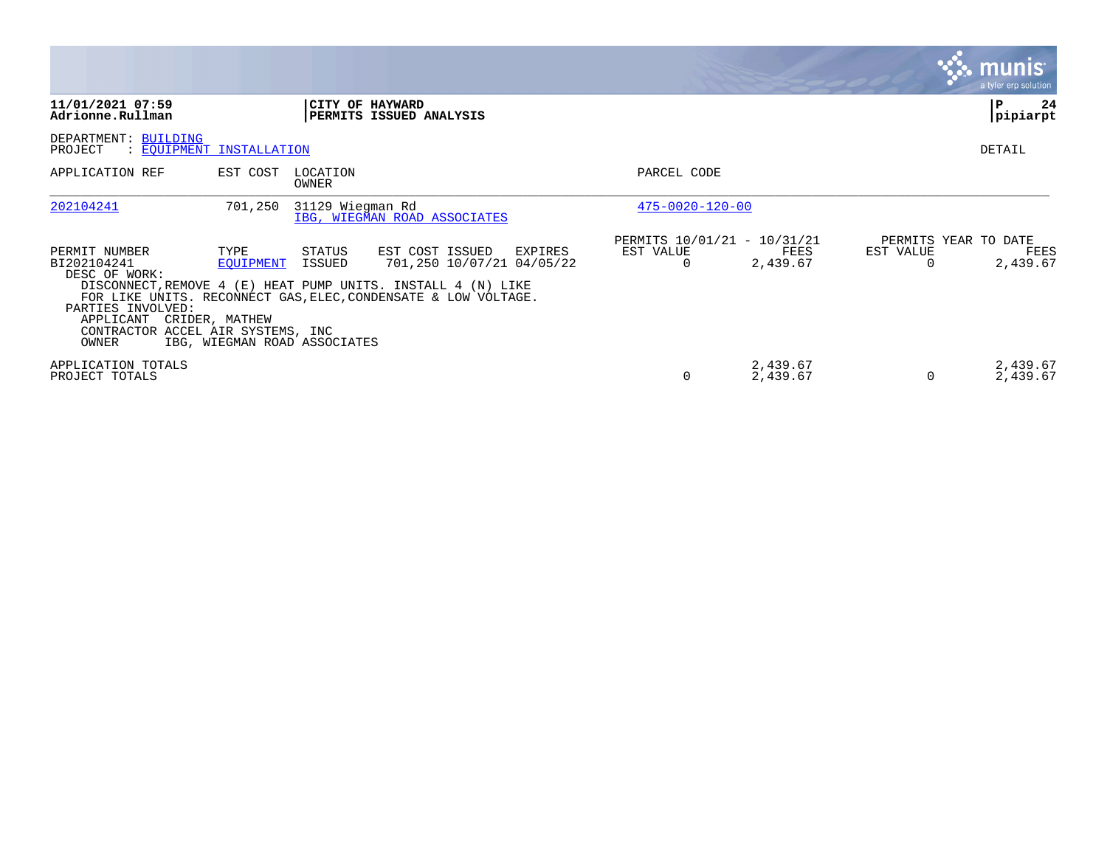|                                                                                                         |                                                                                                            |                                                                                                                                                                                           |                                                      |                      |                | <u>munis</u><br>a tyler erp solution     |
|---------------------------------------------------------------------------------------------------------|------------------------------------------------------------------------------------------------------------|-------------------------------------------------------------------------------------------------------------------------------------------------------------------------------------------|------------------------------------------------------|----------------------|----------------|------------------------------------------|
| 11/01/2021 07:59<br>Adrionne.Rullman                                                                    |                                                                                                            | CITY OF HAYWARD<br>PERMITS ISSUED ANALYSIS                                                                                                                                                |                                                      |                      |                | P<br>24<br> pipiarpt                     |
| DEPARTMENT: BUILDING<br>PROJECT                                                                         | : EOUIPMENT INSTALLATION                                                                                   |                                                                                                                                                                                           |                                                      |                      |                | DETAIL                                   |
| APPLICATION REF                                                                                         | LOCATION<br>EST COST<br>OWNER                                                                              |                                                                                                                                                                                           | PARCEL CODE                                          |                      |                |                                          |
| 202104241                                                                                               | 31129 Wiegman Rd<br>701,250                                                                                | IBG, WIEGMAN ROAD ASSOCIATES                                                                                                                                                              | $475 - 0020 - 120 - 00$                              |                      |                |                                          |
| PERMIT NUMBER<br>BI202104241<br>DESC OF WORK:<br>PARTIES INVOLVED:<br>APPLICANT CRIDER, MATHEW<br>OWNER | STATUS<br>TYPE<br>EOUIPMENT<br>ISSUED<br>CONTRACTOR ACCEL AIR SYSTEMS, INC<br>IBG, WIEGMAN ROAD ASSOCIATES | EST COST ISSUED<br>EXPIRES<br>701,250 10/07/21 04/05/22<br>DISCONNECT, REMOVE 4 (E) HEAT PUMP UNITS. INSTALL 4 (N) LIKE<br>FOR LIKE UNITS. RECONNECT GAS, ELEC, CONDENSATE & LOW VOLTAGE. | PERMITS 10/01/21 - 10/31/21<br>EST VALUE<br>$\Omega$ | FEES<br>2,439.67     | EST VALUE<br>0 | PERMITS YEAR TO DATE<br>FEES<br>2,439.67 |
| APPLICATION TOTALS<br>PROJECT TOTALS                                                                    |                                                                                                            |                                                                                                                                                                                           | 0                                                    | 2,439.67<br>2,439.67 | 0              | 2,439.67<br>2,439.67                     |

the control of the control of the control of the control of the control of the control of the control of the control of the control of the control of the control of the control of the control of the control of the control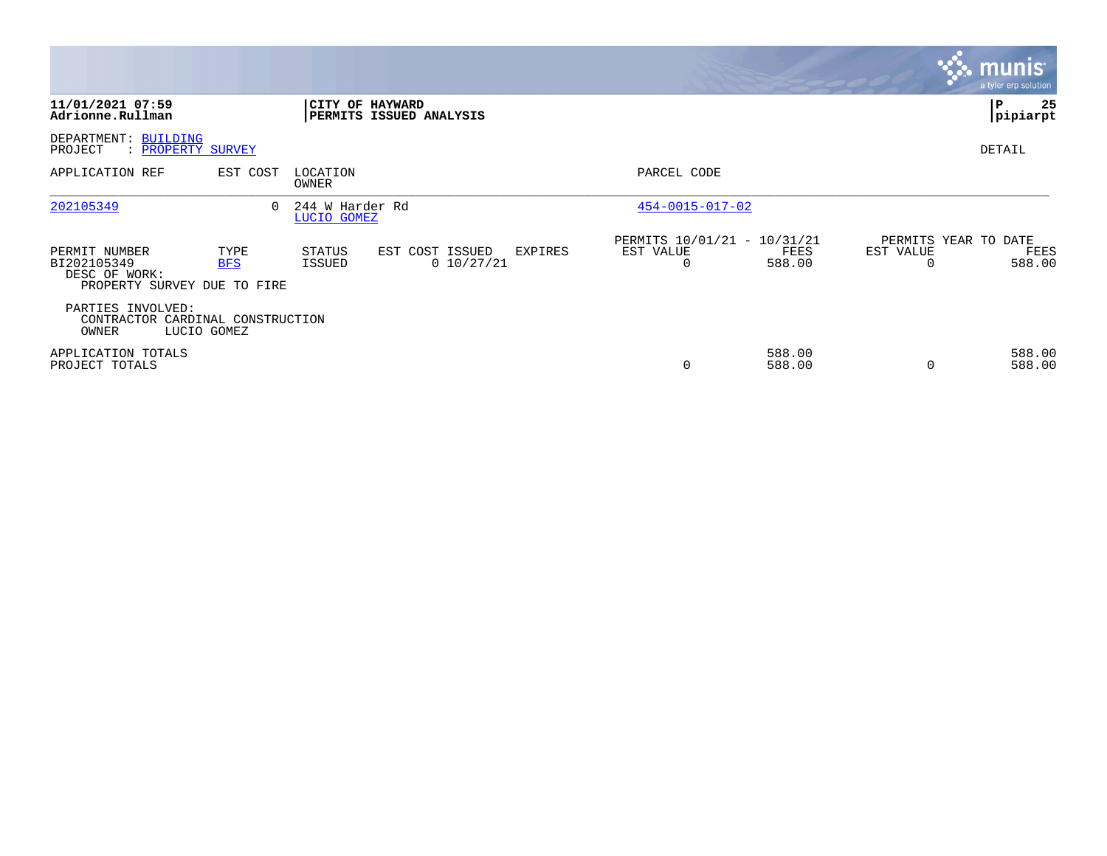|                                                                              |                    |                                |                                                   |                                                      |                  |                | $\mathbf{3.}$ munis<br>a tyler erp solution |
|------------------------------------------------------------------------------|--------------------|--------------------------------|---------------------------------------------------|------------------------------------------------------|------------------|----------------|---------------------------------------------|
| 11/01/2021 07:59<br>Adrionne.Rullman                                         |                    |                                | CITY OF HAYWARD<br><b>PERMITS ISSUED ANALYSIS</b> |                                                      |                  |                | 25<br>  P<br>pipiarpt                       |
| DEPARTMENT: BUILDING<br>PROJECT<br>: PROPERTY SURVEY                         |                    |                                |                                                   |                                                      |                  |                | DETAIL                                      |
| APPLICATION REF                                                              | EST COST           | LOCATION<br>OWNER              |                                                   | PARCEL CODE                                          |                  |                |                                             |
| 202105349                                                                    | $\Omega$           | 244 W Harder Rd<br>LUCIO GOMEZ |                                                   | $454 - 0015 - 017 - 02$                              |                  |                |                                             |
| PERMIT NUMBER<br>BI202105349<br>DESC OF WORK:<br>PROPERTY SURVEY DUE TO FIRE | TYPE<br><b>BFS</b> | STATUS<br>ISSUED               | EST COST ISSUED<br>EXPIRES<br>0 10/27/21          | PERMITS 10/01/21 - 10/31/21<br>EST VALUE<br>$\Omega$ | FEES<br>588.00   | EST VALUE<br>0 | PERMITS YEAR TO DATE<br>FEES<br>588.00      |
| PARTIES INVOLVED:<br>CONTRACTOR CARDINAL CONSTRUCTION<br>OWNER               | LUCIO GOMEZ        |                                |                                                   |                                                      |                  |                |                                             |
| APPLICATION TOTALS<br>PROJECT TOTALS                                         |                    |                                |                                                   | $\Omega$                                             | 588.00<br>588.00 | $\Omega$       | 588.00<br>588.00                            |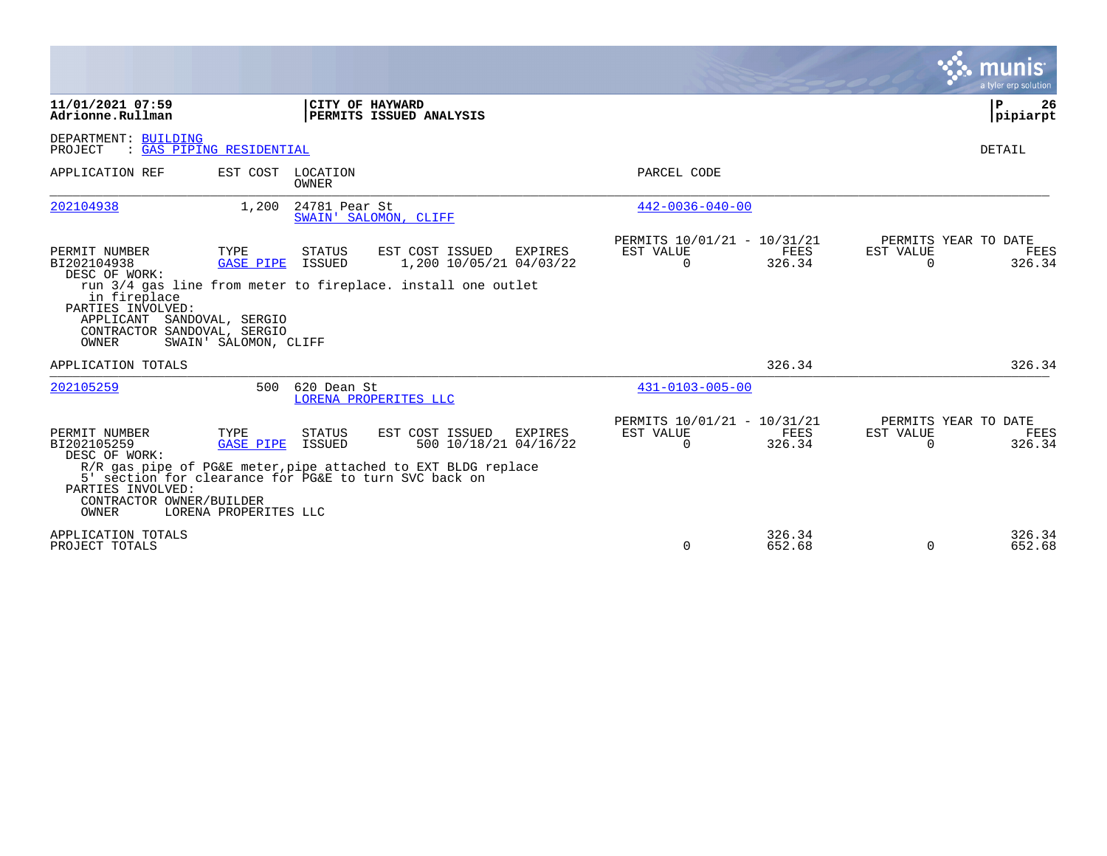|                                                                                                                                                                 |                                                   |                         |                                                                                                                                                                               |                                                      |                  |                       | munis<br>a tyler erp solution                 |
|-----------------------------------------------------------------------------------------------------------------------------------------------------------------|---------------------------------------------------|-------------------------|-------------------------------------------------------------------------------------------------------------------------------------------------------------------------------|------------------------------------------------------|------------------|-----------------------|-----------------------------------------------|
| 11/01/2021 07:59<br>Adrionne.Rullman                                                                                                                            |                                                   | CITY OF HAYWARD         | PERMITS ISSUED ANALYSIS                                                                                                                                                       |                                                      |                  |                       | ΙP<br>26<br> pipiarpt                         |
| DEPARTMENT: BUILDING<br>PROJECT                                                                                                                                 | : GAS PIPING RESIDENTIAL                          |                         |                                                                                                                                                                               |                                                      |                  |                       | DETAIL                                        |
| APPLICATION REF                                                                                                                                                 | EST COST LOCATION                                 | <b>OWNER</b>            |                                                                                                                                                                               | PARCEL CODE                                          |                  |                       |                                               |
| 202104938                                                                                                                                                       | 1,200                                             | 24781 Pear St           | SWAIN' SALOMON, CLIFF                                                                                                                                                         | $442 - 0036 - 040 - 00$                              |                  |                       |                                               |
| PERMIT NUMBER<br>BI202104938<br>DESC OF WORK:<br>in fireplace<br>PARTIES INVOLVED:<br>APPLICANT SANDOVAL, SERGIO<br>CONTRACTOR SANDOVAL, SERGIO<br><b>OWNER</b> | TYPE<br><b>GASE PIPE</b><br>SWAIN' SALOMON, CLIFF | <b>STATUS</b><br>ISSUED | EST COST ISSUED<br>EXPIRES<br>1,200 10/05/21 04/03/22<br>run 3/4 gas line from meter to fireplace. install one outlet                                                         | PERMITS 10/01/21 - 10/31/21<br>EST VALUE<br>$\Omega$ | FEES<br>326.34   | EST VALUE<br>$\Omega$ | PERMITS YEAR TO DATE<br><b>FEES</b><br>326.34 |
| APPLICATION TOTALS                                                                                                                                              |                                                   |                         |                                                                                                                                                                               |                                                      | 326.34           |                       | 326.34                                        |
| 202105259                                                                                                                                                       |                                                   | 500 620 Dean St         | LORENA PROPERITES LLC                                                                                                                                                         | $431 - 0103 - 005 - 00$                              |                  |                       |                                               |
| PERMIT NUMBER<br>BI202105259<br>DESC OF WORK:<br>PARTIES INVOLVED:<br>CONTRACTOR OWNER/BUILDER<br><b>OWNER</b>                                                  | TYPE<br><b>GASE PIPE</b><br>LORENA PROPERITES LLC | STATUS<br>ISSUED        | EST COST ISSUED<br>EXPIRES<br>500 10/18/21 04/16/22<br>R/R gas pipe of PG&E meter, pipe attached to EXT BLDG replace<br>5' section for clearance for PG&E to turn SVC back on | PERMITS 10/01/21 - 10/31/21<br>EST VALUE<br>$\Omega$ | FEES<br>326.34   | EST VALUE<br>$\Omega$ | PERMITS YEAR TO DATE<br>FEES<br>326.34        |
| APPLICATION TOTALS<br>PROJECT TOTALS                                                                                                                            |                                                   |                         |                                                                                                                                                                               | $\mathbf 0$                                          | 326.34<br>652.68 | $\mathbf 0$           | 326.34<br>652.68                              |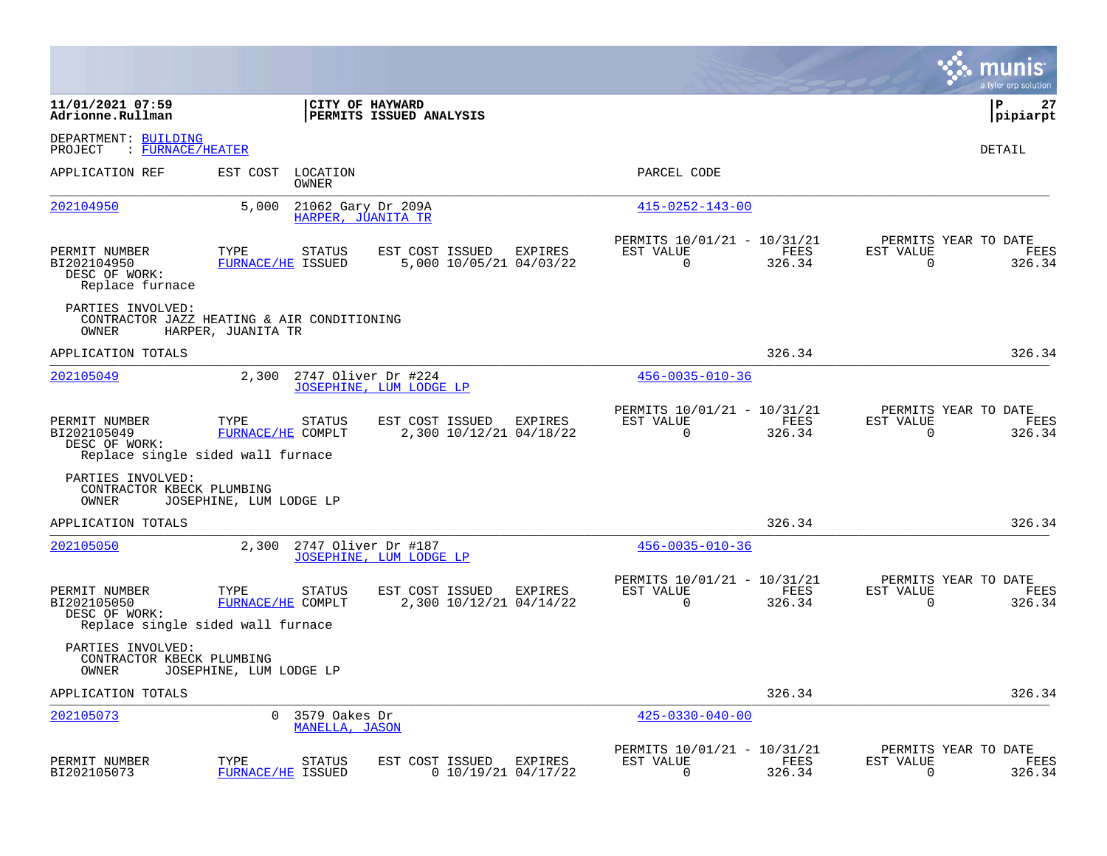|                                                                  |                                                                                 |                                                              |                                                         |                |                | munis<br>a tyler erp solution          |
|------------------------------------------------------------------|---------------------------------------------------------------------------------|--------------------------------------------------------------|---------------------------------------------------------|----------------|----------------|----------------------------------------|
| 11/01/2021 07:59<br>Adrionne.Rullman                             |                                                                                 | CITY OF HAYWARD<br>PERMITS ISSUED ANALYSIS                   |                                                         |                |                | ΙP<br>27<br> pipiarpt                  |
| DEPARTMENT: BUILDING<br>PROJECT<br>: FURNACE/HEATER              |                                                                                 |                                                              |                                                         |                |                | DETAIL                                 |
| APPLICATION REF                                                  | EST COST<br>LOCATION<br>OWNER                                                   |                                                              | PARCEL CODE                                             |                |                |                                        |
| <u>202104950</u>                                                 | 5,000                                                                           | 21062 Gary Dr 209A<br>HARPER, JUANITA TR                     | $415 - 0252 - 143 - 00$                                 |                |                |                                        |
| PERMIT NUMBER<br>BI202104950<br>DESC OF WORK:<br>Replace furnace | TYPE<br><b>STATUS</b><br><b>FURNACE/HE ISSUED</b>                               | EST COST ISSUED<br>EXPIRES<br>5,000 10/05/21 04/03/22        | PERMITS 10/01/21 - 10/31/21<br>EST VALUE<br>0           | FEES<br>326.34 | EST VALUE<br>0 | PERMITS YEAR TO DATE<br>FEES<br>326.34 |
| PARTIES INVOLVED:<br>OWNER                                       | CONTRACTOR JAZZ HEATING & AIR CONDITIONING<br>HARPER, JUANITA TR                |                                                              |                                                         |                |                |                                        |
| APPLICATION TOTALS                                               |                                                                                 |                                                              |                                                         | 326.34         |                | 326.34                                 |
| 202105049                                                        | 2,300                                                                           | 2747 Oliver Dr #224<br>JOSEPHINE, LUM LODGE LP               | $456 - 0035 - 010 - 36$                                 |                |                |                                        |
| PERMIT NUMBER<br>BI202105049<br>DESC OF WORK:                    | TYPE<br><b>STATUS</b><br>FURNACE/HE COMPLT<br>Replace single sided wall furnace | <b>EXPIRES</b><br>EST COST ISSUED<br>2,300 10/12/21 04/18/22 | PERMITS 10/01/21 - 10/31/21<br>EST VALUE<br>$\mathbf 0$ | FEES<br>326.34 | EST VALUE<br>0 | PERMITS YEAR TO DATE<br>FEES<br>326.34 |
| PARTIES INVOLVED:<br>CONTRACTOR KBECK PLUMBING<br>OWNER          | JOSEPHINE, LUM LODGE LP                                                         |                                                              |                                                         |                |                |                                        |
| APPLICATION TOTALS                                               |                                                                                 |                                                              |                                                         | 326.34         |                | 326.34                                 |
| 202105050                                                        | 2,300                                                                           | 2747 Oliver Dr #187<br>JOSEPHINE, LUM LODGE LP               | $456 - 0035 - 010 - 36$                                 |                |                |                                        |
| PERMIT NUMBER<br>BI202105050<br>DESC OF WORK:                    | TYPE<br>STATUS<br>FURNACE/HE COMPLT<br>Replace single sided wall furnace        | EST COST ISSUED<br>EXPIRES<br>2,300 10/12/21 04/14/22        | PERMITS 10/01/21 - 10/31/21<br>EST VALUE<br>$\mathbf 0$ | FEES<br>326.34 | EST VALUE<br>0 | PERMITS YEAR TO DATE<br>FEES<br>326.34 |
| PARTIES INVOLVED:<br>CONTRACTOR KBECK PLUMBING<br>OWNER          | JOSEPHINE, LUM LODGE LP                                                         |                                                              |                                                         |                |                |                                        |
| APPLICATION TOTALS                                               |                                                                                 |                                                              |                                                         | 326.34         |                | 326.34                                 |
| 202105073                                                        | $\Omega$<br>3579 Oakes Dr<br>MANELLA, JASON                                     |                                                              | $425 - 0330 - 040 - 00$                                 |                |                |                                        |
| PERMIT NUMBER<br>BI202105073                                     | TYPE<br><b>STATUS</b><br>FURNACE/HE ISSUED                                      | EST COST ISSUED<br>EXPIRES<br>$0$ 10/19/21 04/17/22          | PERMITS 10/01/21 - 10/31/21<br>EST VALUE<br>$\Omega$    | FEES<br>326.34 | EST VALUE<br>0 | PERMITS YEAR TO DATE<br>FEES<br>326.34 |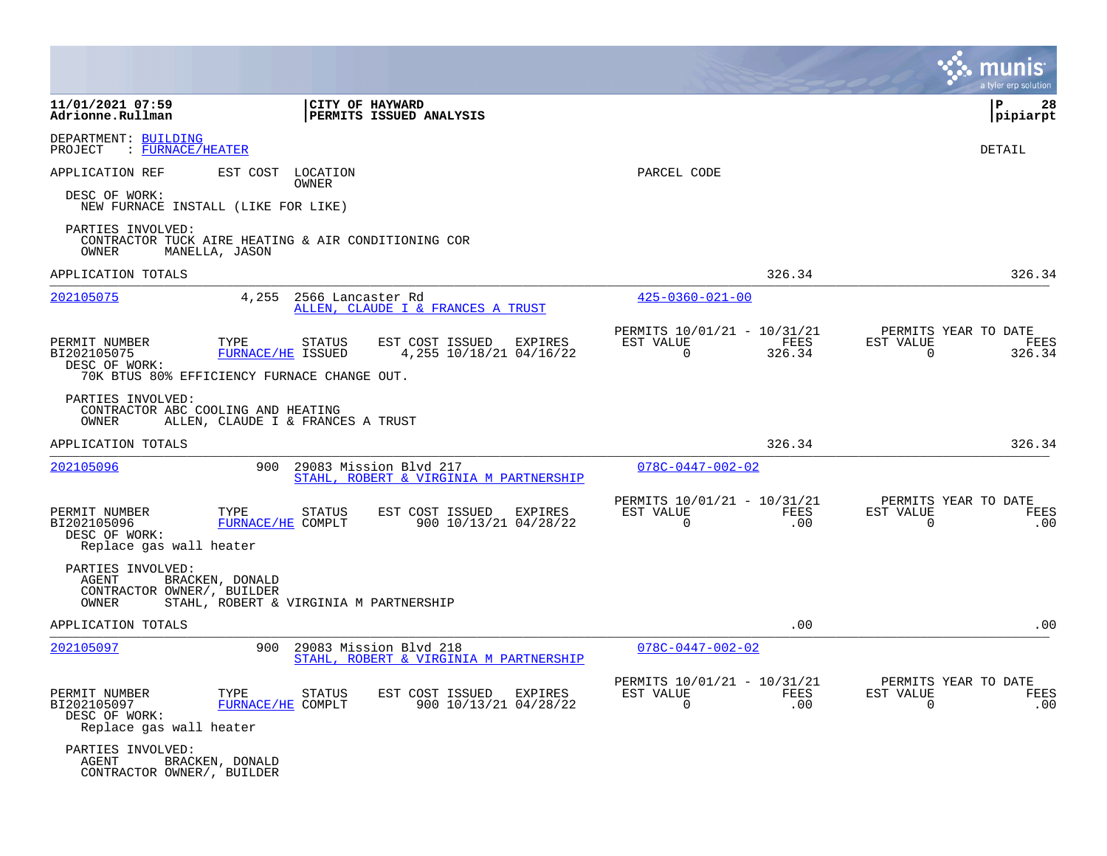|                                                                                                      |                                           |                                                                  |                                                         |                  | a tyler erp solution                                             |
|------------------------------------------------------------------------------------------------------|-------------------------------------------|------------------------------------------------------------------|---------------------------------------------------------|------------------|------------------------------------------------------------------|
| 11/01/2021 07:59<br>Adrionne.Rullman                                                                 |                                           | CITY OF HAYWARD<br>PERMITS ISSUED ANALYSIS                       |                                                         |                  | 28<br>l P<br> pipiarpt                                           |
| DEPARTMENT: BUILDING<br>PROJECT<br>: FURNACE/HEATER                                                  |                                           |                                                                  |                                                         |                  | DETAIL                                                           |
| APPLICATION REF<br>DESC OF WORK:<br>NEW FURNACE INSTALL (LIKE FOR LIKE)                              | EST COST LOCATION<br>OWNER                |                                                                  | PARCEL CODE                                             |                  |                                                                  |
| PARTIES INVOLVED:<br>CONTRACTOR TUCK AIRE HEATING & AIR CONDITIONING COR<br>OWNER<br>MANELLA, JASON  |                                           |                                                                  |                                                         |                  |                                                                  |
| APPLICATION TOTALS                                                                                   |                                           |                                                                  |                                                         | 326.34           | 326.34                                                           |
| 202105075                                                                                            | 4,255<br>2566 Lancaster Rd                | ALLEN, CLAUDE I & FRANCES A TRUST                                | $425 - 0360 - 021 - 00$                                 |                  |                                                                  |
| PERMIT NUMBER<br>TYPE<br>BI202105075<br>DESC OF WORK:<br>70K BTUS 80% EFFICIENCY FURNACE CHANGE OUT. | <b>STATUS</b><br><b>FURNACE/HE ISSUED</b> | EST COST ISSUED<br>EXPIRES<br>4,255 10/18/21 04/16/22            | PERMITS 10/01/21 - 10/31/21<br>EST VALUE<br>0           | FEES<br>326.34   | PERMITS YEAR TO DATE<br>EST VALUE<br>FEES<br>326.34<br>0         |
| PARTIES INVOLVED:<br>CONTRACTOR ABC COOLING AND HEATING<br>OWNER                                     | ALLEN, CLAUDE I & FRANCES A TRUST         |                                                                  |                                                         |                  |                                                                  |
| APPLICATION TOTALS                                                                                   |                                           |                                                                  |                                                         | 326.34           | 326.34                                                           |
| 202105096                                                                                            | 900                                       | 29083 Mission Blvd 217<br>STAHL, ROBERT & VIRGINIA M PARTNERSHIP | $078C - 0447 - 002 - 02$                                |                  |                                                                  |
| PERMIT NUMBER<br>TYPE<br>BI202105096<br>DESC OF WORK:<br>Replace gas wall heater                     | STATUS<br>FURNACE/HE COMPLT               | EST COST ISSUED<br>EXPIRES<br>900 10/13/21 04/28/22              | PERMITS 10/01/21 - 10/31/21<br>EST VALUE<br>$\mathbf 0$ | FEES<br>.00      | PERMITS YEAR TO DATE<br>EST VALUE<br>FEES<br>$\mathbf 0$<br>.00  |
| PARTIES INVOLVED:<br>AGENT<br>BRACKEN, DONALD<br>CONTRACTOR OWNER/, BUILDER<br>OWNER                 | STAHL, ROBERT & VIRGINIA M PARTNERSHIP    |                                                                  |                                                         |                  |                                                                  |
| APPLICATION TOTALS                                                                                   |                                           |                                                                  |                                                         | .00              | .00                                                              |
| 202105097                                                                                            | 900                                       | 29083 Mission Blvd 218<br>STAHL, ROBERT & VIRGINIA M PARTNERSHIP | $078C - 0447 - 002 - 02$                                |                  |                                                                  |
| PERMIT NUMBER<br>TYPE<br>BI202105097<br>DESC OF WORK:<br>Replace gas wall heater                     | STATUS<br>FURNACE/HE COMPLT               | EST COST ISSUED<br>EXPIRES<br>900 10/13/21 04/28/22              | PERMITS 10/01/21 - 10/31/21<br>EST VALUE<br>0           | FEES<br>$.00 \,$ | PERMITS YEAR TO DATE<br>EST VALUE<br>FEES<br>$\mathbf{0}$<br>.00 |
| PARTIES INVOLVED:<br>AGENT<br>BRACKEN, DONALD<br>CONTRACTOR OWNER/, BUILDER                          |                                           |                                                                  |                                                         |                  |                                                                  |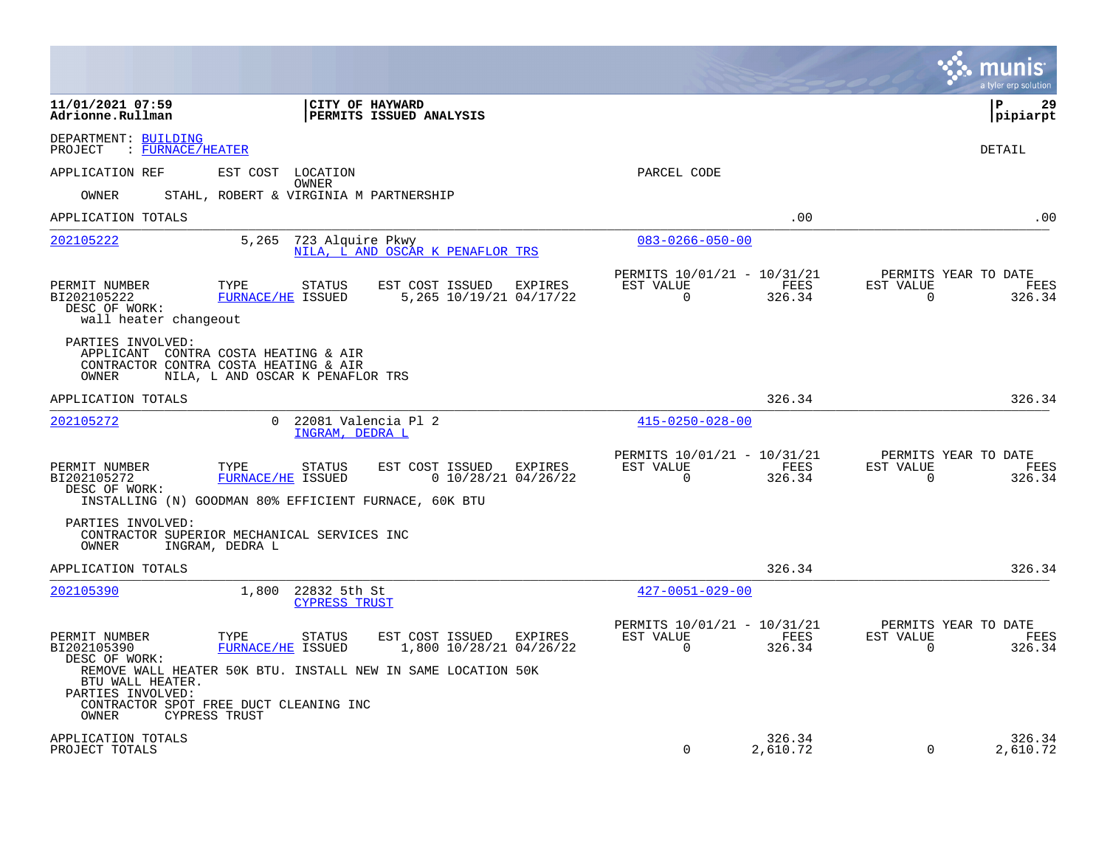|                                                                                                 |                                                                                                                                                                       |                                            |         |                                                      |                    |                       | a tyler erp solution                   |
|-------------------------------------------------------------------------------------------------|-----------------------------------------------------------------------------------------------------------------------------------------------------------------------|--------------------------------------------|---------|------------------------------------------------------|--------------------|-----------------------|----------------------------------------|
| 11/01/2021 07:59<br>Adrionne.Rullman                                                            | CITY OF HAYWARD                                                                                                                                                       | PERMITS ISSUED ANALYSIS                    |         |                                                      |                    |                       | l P<br>29<br> pipiarpt                 |
| DEPARTMENT: BUILDING<br>: FURNACE/HEATER<br>PROJECT                                             |                                                                                                                                                                       |                                            |         |                                                      |                    |                       | DETAIL                                 |
| APPLICATION REF                                                                                 | EST COST<br>LOCATION                                                                                                                                                  |                                            |         | PARCEL CODE                                          |                    |                       |                                        |
| OWNER                                                                                           | OWNER<br>STAHL, ROBERT & VIRGINIA M PARTNERSHIP                                                                                                                       |                                            |         |                                                      |                    |                       |                                        |
| APPLICATION TOTALS                                                                              |                                                                                                                                                                       |                                            |         |                                                      | .00                |                       | .00                                    |
| 202105222                                                                                       | 5,265 723 Alquire Pkwy                                                                                                                                                | NILA, L AND OSCAR K PENAFLOR TRS           |         | $083 - 0266 - 050 - 00$                              |                    |                       |                                        |
| PERMIT NUMBER<br>BI202105222<br>DESC OF WORK:<br>wall heater changeout                          | TYPE<br><b>STATUS</b><br>FURNACE/HE ISSUED                                                                                                                            | EST COST ISSUED<br>5,265 10/19/21 04/17/22 | EXPIRES | PERMITS 10/01/21 - 10/31/21<br>EST VALUE<br>$\Omega$ | FEES<br>326.34     | EST VALUE<br>$\Omega$ | PERMITS YEAR TO DATE<br>FEES<br>326.34 |
| PARTIES INVOLVED:<br>OWNER                                                                      | APPLICANT CONTRA COSTA HEATING & AIR<br>CONTRACTOR CONTRA COSTA HEATING & AIR<br>NILA, L AND OSCAR K PENAFLOR TRS                                                     |                                            |         |                                                      |                    |                       |                                        |
| APPLICATION TOTALS                                                                              |                                                                                                                                                                       |                                            |         |                                                      | 326.34             |                       | 326.34                                 |
| 202105272                                                                                       | 22081 Valencia Pl 2<br>$\Omega$<br>INGRAM, DEDRA L                                                                                                                    |                                            |         | $415 - 0250 - 028 - 00$                              |                    |                       |                                        |
| PERMIT NUMBER<br>BI202105272<br>DESC OF WORK:                                                   | TYPE<br><b>STATUS</b><br>FURNACE/HE ISSUED<br>INSTALLING (N) GOODMAN 80% EFFICIENT FURNACE, 60K BTU                                                                   | EST COST ISSUED<br>$0$ 10/28/21 04/26/22   | EXPIRES | PERMITS 10/01/21 - 10/31/21<br>EST VALUE<br>$\Omega$ | FEES<br>326.34     | EST VALUE<br>$\Omega$ | PERMITS YEAR TO DATE<br>FEES<br>326.34 |
| PARTIES INVOLVED:<br>OWNER                                                                      | CONTRACTOR SUPERIOR MECHANICAL SERVICES INC<br>INGRAM, DEDRA L                                                                                                        |                                            |         |                                                      |                    |                       |                                        |
| APPLICATION TOTALS                                                                              |                                                                                                                                                                       |                                            |         |                                                      | 326.34             |                       | 326.34                                 |
| 202105390                                                                                       | 22832 5th St<br>1,800<br><b>CYPRESS TRUST</b>                                                                                                                         |                                            |         | $427 - 0051 - 029 - 00$                              |                    |                       |                                        |
| PERMIT NUMBER<br>BI202105390<br>DESC OF WORK:<br>BTU WALL HEATER.<br>PARTIES INVOLVED:<br>OWNER | TYPE<br>STATUS<br>FURNACE/HE ISSUED<br>REMOVE WALL HEATER 50K BTU. INSTALL NEW IN SAME LOCATION 50K<br>CONTRACTOR SPOT FREE DUCT CLEANING INC<br><b>CYPRESS TRUST</b> | EST COST ISSUED<br>1,800 10/28/21 04/26/22 | EXPIRES | PERMITS 10/01/21 - 10/31/21<br>EST VALUE<br>$\Omega$ | FEES<br>326.34     | EST VALUE<br>$\Omega$ | PERMITS YEAR TO DATE<br>FEES<br>326.34 |
| APPLICATION TOTALS<br>PROJECT TOTALS                                                            |                                                                                                                                                                       |                                            |         | $\Omega$                                             | 326.34<br>2,610.72 | $\mathbf 0$           | 326.34<br>2,610.72                     |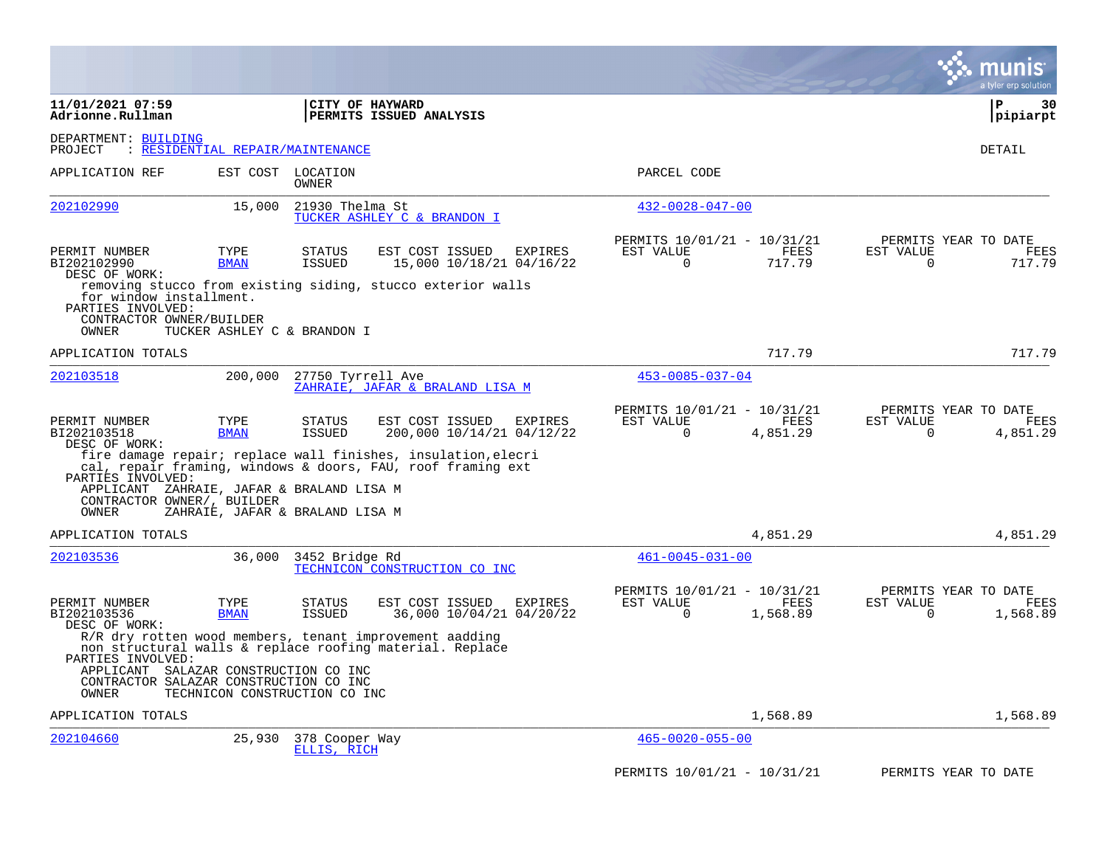|                                                                                          |                                  |                                |                                                                                                                              |                                                      |                  |                                               | a tyler erp solution            |
|------------------------------------------------------------------------------------------|----------------------------------|--------------------------------|------------------------------------------------------------------------------------------------------------------------------|------------------------------------------------------|------------------|-----------------------------------------------|---------------------------------|
| 11/01/2021 07:59<br>Adrionne.Rullman                                                     |                                  |                                | CITY OF HAYWARD<br>PERMITS ISSUED ANALYSIS                                                                                   |                                                      |                  |                                               | $\mathbf{P}$<br>30<br> pipiarpt |
| DEPARTMENT: BUILDING<br>PROJECT                                                          | : RESIDENTIAL REPAIR/MAINTENANCE |                                |                                                                                                                              |                                                      |                  |                                               | DETAIL                          |
| APPLICATION REF                                                                          |                                  | EST COST LOCATION<br>OWNER     |                                                                                                                              | PARCEL CODE                                          |                  |                                               |                                 |
| 202102990                                                                                | 15,000                           | 21930 Thelma St                | TUCKER ASHLEY C & BRANDON I                                                                                                  | $432 - 0028 - 047 - 00$                              |                  |                                               |                                 |
| PERMIT NUMBER<br>BI202102990<br>DESC OF WORK:                                            | TYPE<br><b>BMAN</b>              | <b>STATUS</b><br><b>ISSUED</b> | EST COST ISSUED<br>EXPIRES<br>15,000 10/18/21 04/16/22                                                                       | PERMITS 10/01/21 - 10/31/21<br>EST VALUE<br>$\Omega$ | FEES<br>717.79   | PERMITS YEAR TO DATE<br>EST VALUE<br>$\Omega$ | FEES<br>717.79                  |
| for window installment.<br>PARTIES INVOLVED:<br>CONTRACTOR OWNER/BUILDER<br>OWNER        | TUCKER ASHLEY C & BRANDON I      |                                | removing stucco from existing siding, stucco exterior walls                                                                  |                                                      |                  |                                               |                                 |
| APPLICATION TOTALS                                                                       |                                  |                                |                                                                                                                              |                                                      | 717.79           |                                               | 717.79                          |
| 202103518                                                                                | 200,000                          | 27750 Tyrrell Ave              | ZAHRAIE, JAFAR & BRALAND LISA M                                                                                              | $453 - 0085 - 037 - 04$                              |                  |                                               |                                 |
| PERMIT NUMBER<br>BI202103518<br>DESC OF WORK:                                            | TYPE<br><b>BMAN</b>              | <b>STATUS</b><br><b>ISSUED</b> | EST COST ISSUED<br>EXPIRES<br>200,000 10/14/21 04/12/22                                                                      | PERMITS 10/01/21 - 10/31/21<br>EST VALUE<br>$\Omega$ | FEES<br>4,851.29 | PERMITS YEAR TO DATE<br>EST VALUE<br>$\Omega$ | FEES<br>4,851.29                |
| PARTIES INVOLVED:                                                                        |                                  |                                | fire damage repair; replace wall finishes, insulation, elecri<br>cal, repair framing, windows & doors, FAU, roof framing ext |                                                      |                  |                                               |                                 |
| APPLICANT ZAHRAIE, JAFAR & BRALAND LISA M<br>CONTRACTOR OWNER/, BUILDER<br>OWNER         | ZAHRAIE, JAFAR & BRALAND LISA M  |                                |                                                                                                                              |                                                      |                  |                                               |                                 |
| APPLICATION TOTALS                                                                       |                                  |                                |                                                                                                                              |                                                      | 4,851.29         |                                               | 4,851.29                        |
| 202103536                                                                                | 36,000                           | 3452 Bridge Rd                 | TECHNICON CONSTRUCTION CO INC                                                                                                | $461 - 0045 - 031 - 00$                              |                  |                                               |                                 |
| PERMIT NUMBER<br>BI202103536<br>DESC OF WORK:                                            | TYPE<br><b>BMAN</b>              | <b>STATUS</b><br><b>ISSUED</b> | EST COST ISSUED<br><b>EXPIRES</b><br>36,000 10/04/21 04/20/22                                                                | PERMITS 10/01/21 - 10/31/21<br>EST VALUE<br>0        | FEES<br>1,568.89 | PERMITS YEAR TO DATE<br>EST VALUE<br>$\Omega$ | FEES<br>1,568.89                |
| PARTIES INVOLVED:                                                                        |                                  |                                | R/R dry rotten wood members, tenant improvement aadding<br>non structural walls & replace roofing material. Replace          |                                                      |                  |                                               |                                 |
| APPLICANT SALAZAR CONSTRUCTION CO INC<br>CONTRACTOR SALAZAR CONSTRUCTION CO INC<br>OWNER | TECHNICON CONSTRUCTION CO INC    |                                |                                                                                                                              |                                                      |                  |                                               |                                 |
| APPLICATION TOTALS                                                                       |                                  |                                |                                                                                                                              |                                                      | 1,568.89         |                                               | 1,568.89                        |
| 202104660                                                                                | 25,930                           | 378 Cooper Way<br>ELLIS, RICH  |                                                                                                                              | $465 - 0020 - 055 - 00$                              |                  |                                               |                                 |
|                                                                                          |                                  |                                |                                                                                                                              | PERMITS 10/01/21 - 10/31/21                          |                  | PERMITS YEAR TO DATE                          |                                 |

**Contract**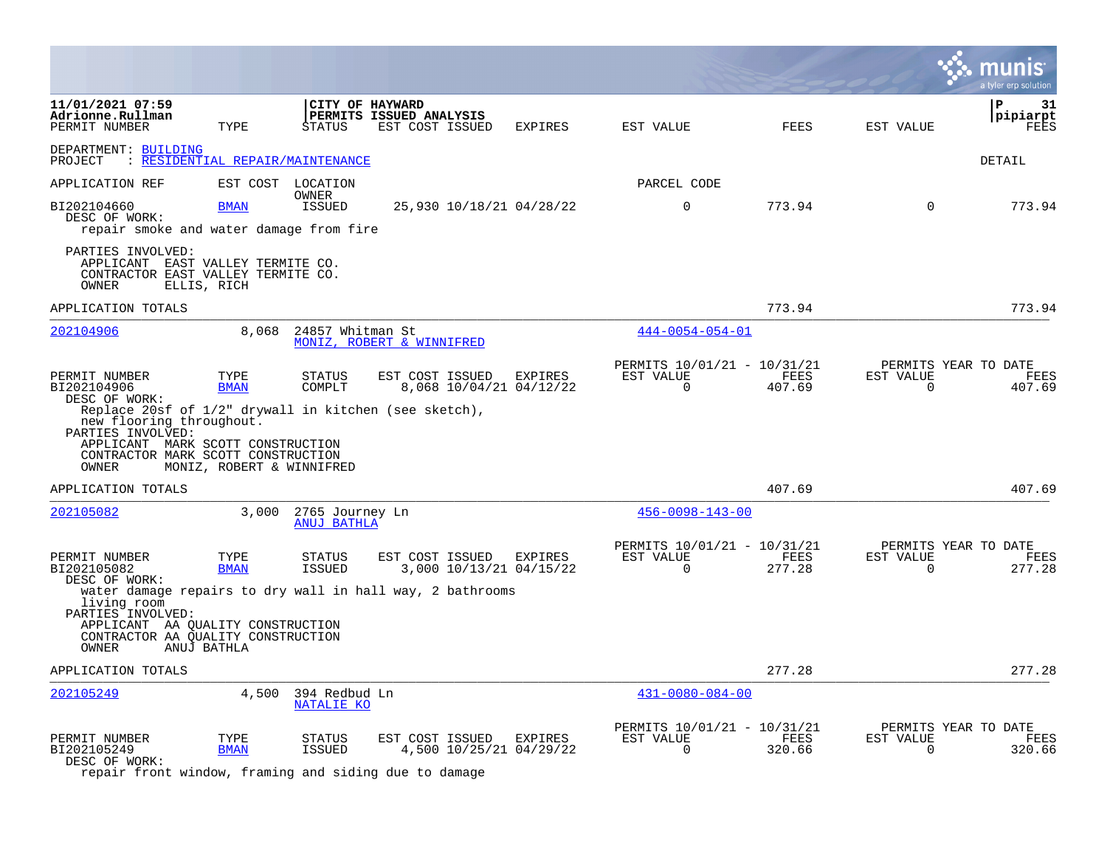|                                                                                                                                                                                   |                           |                                               |                                            |                         |                                           |                                                         |                       |                          | a tyler erp solution                       |
|-----------------------------------------------------------------------------------------------------------------------------------------------------------------------------------|---------------------------|-----------------------------------------------|--------------------------------------------|-------------------------|-------------------------------------------|---------------------------------------------------------|-----------------------|--------------------------|--------------------------------------------|
| 11/01/2021 07:59<br>Adrionne.Rullman<br>PERMIT NUMBER                                                                                                                             | TYPE                      | CITY OF HAYWARD<br><b>STATUS</b>              | PERMITS ISSUED ANALYSIS<br>EST COST ISSUED |                         | EXPIRES                                   | EST VALUE                                               | <b>FEES</b>           | EST VALUE                | ${\bf P}$<br>31<br>pipiarpt<br><b>FEES</b> |
| DEPARTMENT: BUILDING<br>: RESIDENTIAL REPAIR/MAINTENANCE<br>PROJECT                                                                                                               |                           |                                               |                                            |                         |                                           |                                                         |                       |                          | DETAIL                                     |
| APPLICATION REF                                                                                                                                                                   |                           | EST COST LOCATION                             |                                            |                         |                                           | PARCEL CODE                                             |                       |                          |                                            |
| BI202104660<br>DESC OF WORK:<br>repair smoke and water damage from fire                                                                                                           | <b>BMAN</b>               | OWNER<br><b>ISSUED</b>                        |                                            |                         | 25,930 10/18/21 04/28/22                  | $\mathbf 0$                                             | 773.94                | $\Omega$                 | 773.94                                     |
| PARTIES INVOLVED:<br>APPLICANT EAST VALLEY TERMITE CO.<br>CONTRACTOR EAST VALLEY TERMITE CO.<br>OWNER                                                                             | ELLIS, RICH               |                                               |                                            |                         |                                           |                                                         |                       |                          |                                            |
| APPLICATION TOTALS                                                                                                                                                                |                           |                                               |                                            |                         |                                           |                                                         | 773.94                |                          | 773.94                                     |
| 202104906                                                                                                                                                                         | 8,068                     | 24857 Whitman St<br>MONIZ, ROBERT & WINNIFRED |                                            |                         |                                           | $444 - 0054 - 054 - 01$                                 |                       |                          |                                            |
| PERMIT NUMBER<br>BI202104906<br>DESC OF WORK:<br>Replace 20sf of $1/2$ " drywall in kitchen (see sketch),                                                                         | TYPE<br><b>BMAN</b>       | STATUS<br>COMPLT                              | EST COST ISSUED                            |                         | EXPIRES<br>8,068 10/04/21 04/12/22        | PERMITS 10/01/21 - 10/31/21<br>EST VALUE<br>$\mathbf 0$ | FEES<br>407.69        | EST VALUE<br>$\Omega$    | PERMITS YEAR TO DATE<br>FEES<br>407.69     |
| new flooring throughout.<br>PARTIES INVOLVED:<br>APPLICANT MARK SCOTT CONSTRUCTION<br>CONTRACTOR MARK SCOTT CONSTRUCTION<br>OWNER                                                 | MONIZ, ROBERT & WINNIFRED |                                               |                                            |                         |                                           |                                                         |                       |                          |                                            |
| APPLICATION TOTALS                                                                                                                                                                |                           |                                               |                                            |                         |                                           |                                                         | 407.69                |                          | 407.69                                     |
| 202105082                                                                                                                                                                         | 3.000                     | 2765 Journey Ln<br><b>ANUJ BATHLA</b>         |                                            |                         |                                           | $456 - 0098 - 143 - 00$                                 |                       |                          |                                            |
| PERMIT NUMBER<br>BI202105082<br>DESC OF WORK:                                                                                                                                     | TYPE<br><b>BMAN</b>       | STATUS<br><b>ISSUED</b>                       |                                            | EST COST ISSUED EXPIRES | 3,000 10/13/21 04/15/22                   | PERMITS 10/01/21 - 10/31/21<br>EST VALUE<br>$\Omega$    | FEES<br>277.28        | EST VALUE<br>$\Omega$    | PERMITS YEAR TO DATE<br>FEES<br>277.28     |
| water damage repairs to dry wall in hall way, 2 bathrooms<br>living room<br>PARTIES INVOLVED:<br>APPLICANT AA QUALITY CONSTRUCTION<br>CONTRACTOR AA OUALITY CONSTRUCTION<br>OWNER | ANUJ BATHLA               |                                               |                                            |                         |                                           |                                                         |                       |                          |                                            |
| APPLICATION TOTALS                                                                                                                                                                |                           |                                               |                                            |                         |                                           |                                                         | 277.28                |                          | 277.28                                     |
| 202105249                                                                                                                                                                         | 4,500                     | 394 Redbud Ln<br><b>NATALIE KO</b>            |                                            |                         |                                           | $431 - 0080 - 084 - 00$                                 |                       |                          |                                            |
| PERMIT NUMBER<br>BI202105249<br>DESC OF WORK:                                                                                                                                     | TYPE<br><b>BMAN</b>       | <b>STATUS</b><br><b>ISSUED</b>                | EST COST ISSUED                            |                         | <b>EXPIRES</b><br>4,500 10/25/21 04/29/22 | PERMITS 10/01/21 - 10/31/21<br>EST VALUE<br>$\mathbf 0$ | <b>FEES</b><br>320.66 | EST VALUE<br>$\mathbf 0$ | PERMITS YEAR TO DATE<br>FEES<br>320.66     |

repair front window, framing and siding due to damage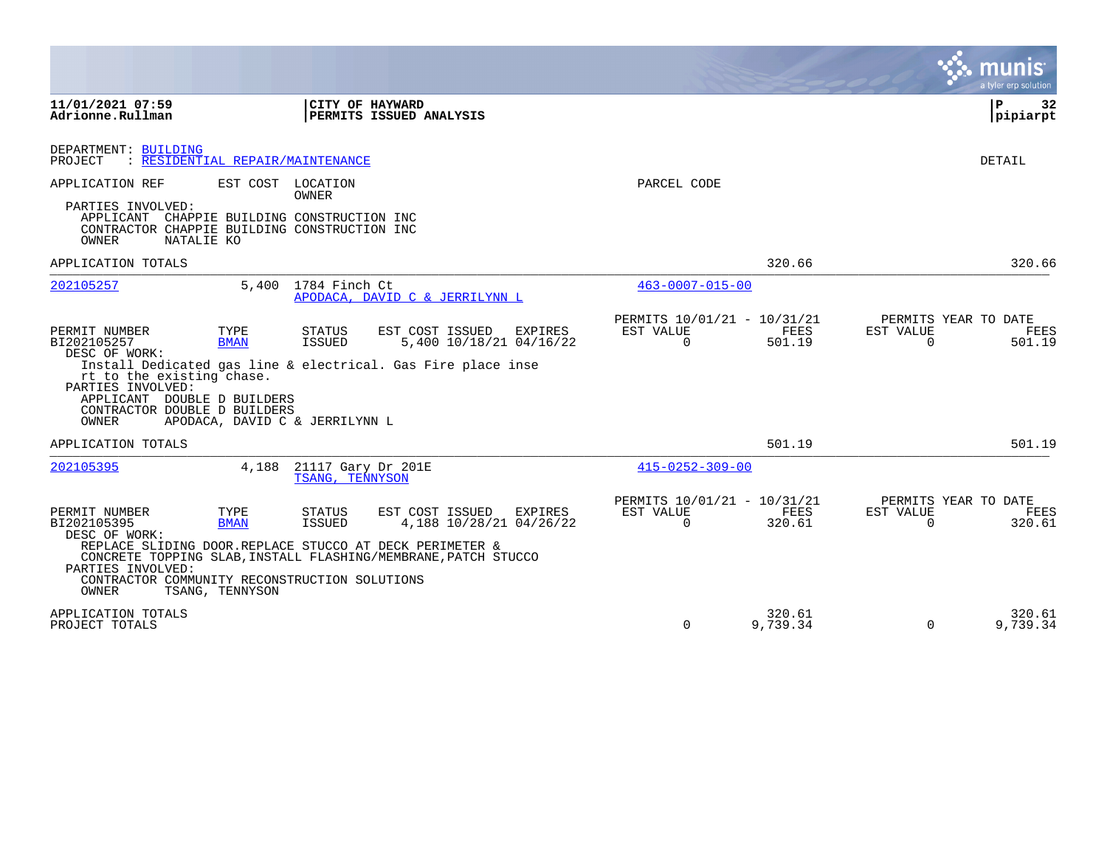|                                                                                                                                                                                                                                  |                                                                                                                                                                                                                      |                                                      |                    |                       | a tyler erp solution                   |
|----------------------------------------------------------------------------------------------------------------------------------------------------------------------------------------------------------------------------------|----------------------------------------------------------------------------------------------------------------------------------------------------------------------------------------------------------------------|------------------------------------------------------|--------------------|-----------------------|----------------------------------------|
| 11/01/2021 07:59<br>Adrionne.Rullman                                                                                                                                                                                             | CITY OF HAYWARD<br>PERMITS ISSUED ANALYSIS                                                                                                                                                                           |                                                      |                    |                       | l P<br>32<br> pipiarpt                 |
| DEPARTMENT: BUILDING<br>: RESIDENTIAL REPAIR/MAINTENANCE<br>PROJECT                                                                                                                                                              |                                                                                                                                                                                                                      |                                                      |                    |                       | <b>DETAIL</b>                          |
| APPLICATION REF<br>EST COST LOCATION                                                                                                                                                                                             | <b>OWNER</b>                                                                                                                                                                                                         | PARCEL CODE                                          |                    |                       |                                        |
| PARTIES INVOLVED:<br>APPLICANT CHAPPIE BUILDING CONSTRUCTION INC<br>CONTRACTOR CHAPPIE BUILDING CONSTRUCTION INC<br>OWNER<br>NATALIE KO                                                                                          |                                                                                                                                                                                                                      |                                                      |                    |                       |                                        |
| APPLICATION TOTALS                                                                                                                                                                                                               |                                                                                                                                                                                                                      |                                                      | 320.66             |                       | 320.66                                 |
| 202105257                                                                                                                                                                                                                        | 5,400 1784 Finch Ct<br>APODACA, DAVID C & JERRILYNN L                                                                                                                                                                | $463 - 0007 - 015 - 00$                              |                    |                       |                                        |
| PERMIT NUMBER<br>TYPE<br>BI202105257<br><b>BMAN</b><br>DESC OF WORK:<br>rt to the existing chase.<br>PARTIES INVOLVED:<br>APPLICANT DOUBLE D BUILDERS<br>CONTRACTOR DOUBLE D BUILDERS<br>OWNER<br>APODACA, DAVID C & JERRILYNN L | EST COST ISSUED<br><b>STATUS</b><br><b>EXPIRES</b><br><b>ISSUED</b><br>5,400 10/18/21 04/16/22<br>Install Dedicated gas line & electrical. Gas Fire place inse                                                       | PERMITS 10/01/21 - 10/31/21<br>EST VALUE<br>$\Omega$ | FEES<br>501.19     | EST VALUE<br>$\Omega$ | PERMITS YEAR TO DATE<br>FEES<br>501.19 |
| APPLICATION TOTALS                                                                                                                                                                                                               |                                                                                                                                                                                                                      |                                                      | 501.19             |                       | 501.19                                 |
| 202105395<br>4.188                                                                                                                                                                                                               | 21117 Gary Dr 201E<br><b>TSANG. TENNYSON</b>                                                                                                                                                                         | $415 - 0252 - 309 - 00$                              |                    |                       |                                        |
| PERMIT NUMBER<br>TYPE<br>BI202105395<br><b>BMAN</b><br>DESC OF WORK:<br>PARTIES INVOLVED:<br>CONTRACTOR COMMUNITY RECONSTRUCTION SOLUTIONS<br>OWNER<br>TSANG, TENNYSON                                                           | EST COST ISSUED<br><b>STATUS</b><br><b>EXPIRES</b><br>4,188 10/28/21 04/26/22<br>ISSUED<br>REPLACE SLIDING DOOR.REPLACE STUCCO AT DECK PERIMETER &<br>CONCRETE TOPPING SLAB, INSTALL FLASHING/MEMBRANE, PATCH STUCCO | PERMITS 10/01/21 - 10/31/21<br>EST VALUE<br>$\Omega$ | FEES<br>320.61     | EST VALUE<br>$\Omega$ | PERMITS YEAR TO DATE<br>FEES<br>320.61 |
| APPLICATION TOTALS<br>PROJECT TOTALS                                                                                                                                                                                             |                                                                                                                                                                                                                      | 0                                                    | 320.61<br>9,739.34 | $\Omega$              | 320.61<br>9,739.34                     |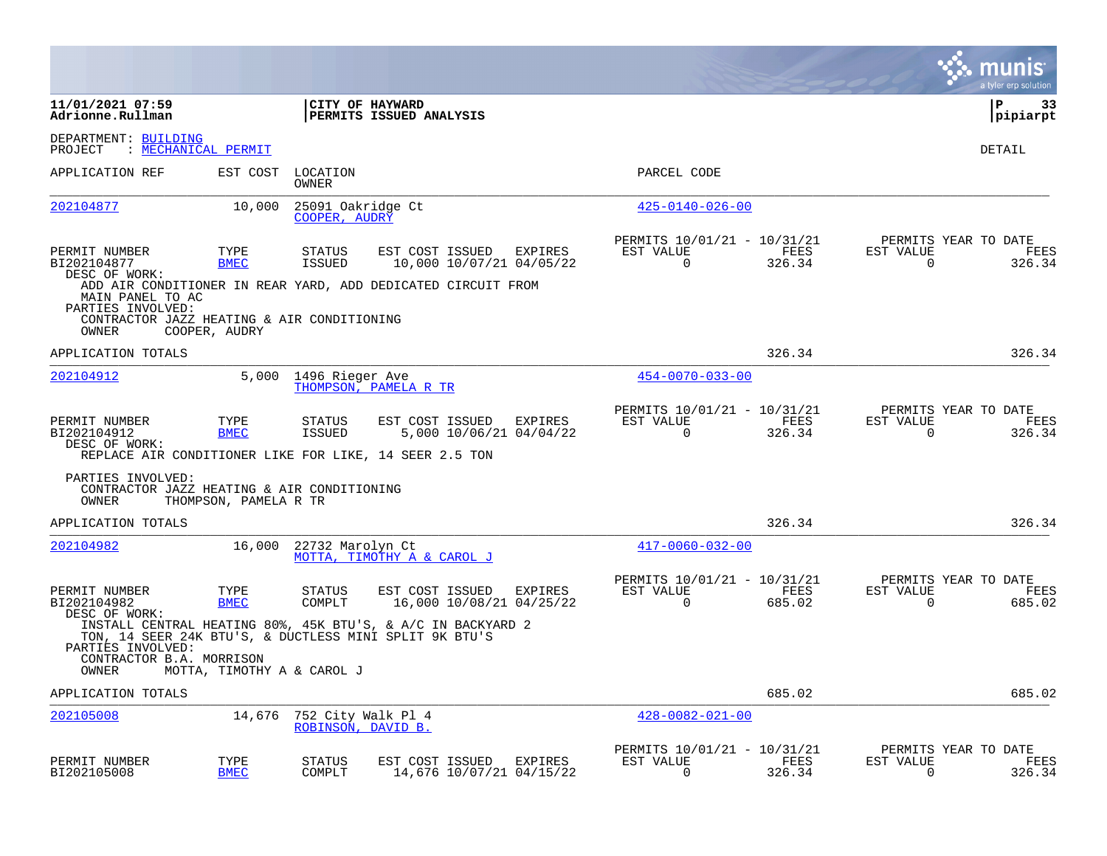|                                                                                              |                            |                                          |                                                                                                                       |         |                                                         |                |                          | munis<br>a tyler erp solution          |
|----------------------------------------------------------------------------------------------|----------------------------|------------------------------------------|-----------------------------------------------------------------------------------------------------------------------|---------|---------------------------------------------------------|----------------|--------------------------|----------------------------------------|
| 11/01/2021 07:59<br>Adrionne.Rullman                                                         |                            |                                          | CITY OF HAYWARD<br>PERMITS ISSUED ANALYSIS                                                                            |         |                                                         |                |                          | ΙP<br>33<br>pipiarpt                   |
| DEPARTMENT: BUILDING<br>PROJECT                                                              | : MECHANICAL PERMIT        |                                          |                                                                                                                       |         |                                                         |                |                          | DETAIL                                 |
| APPLICATION REF                                                                              | EST COST                   | LOCATION<br>OWNER                        |                                                                                                                       |         | PARCEL CODE                                             |                |                          |                                        |
| 202104877                                                                                    | 10,000                     | 25091 Oakridge Ct<br>COOPER, AUDRY       |                                                                                                                       |         | $425 - 0140 - 026 - 00$                                 |                |                          |                                        |
| PERMIT NUMBER<br>BI202104877<br>DESC OF WORK:                                                | TYPE<br><b>BMEC</b>        | <b>STATUS</b><br>ISSUED                  | EST COST ISSUED<br>10,000 10/07/21 04/05/22<br>ADD AIR CONDITIONER IN REAR YARD, ADD DEDICATED CIRCUIT FROM           | EXPIRES | PERMITS 10/01/21 - 10/31/21<br>EST VALUE<br>0           | FEES<br>326.34 | EST VALUE<br>0           | PERMITS YEAR TO DATE<br>FEES<br>326.34 |
| MAIN PANEL TO AC<br>PARTIES INVOLVED:<br>CONTRACTOR JAZZ HEATING & AIR CONDITIONING<br>OWNER | COOPER, AUDRY              |                                          |                                                                                                                       |         |                                                         |                |                          |                                        |
| APPLICATION TOTALS                                                                           |                            |                                          |                                                                                                                       |         |                                                         | 326.34         |                          | 326.34                                 |
| 202104912                                                                                    | 5,000                      | 1496 Rieger Ave                          | THOMPSON, PAMELA R TR                                                                                                 |         | $454 - 0070 - 033 - 00$                                 |                |                          |                                        |
| PERMIT NUMBER<br>BI202104912<br>DESC OF WORK:                                                | TYPE<br><b>BMEC</b>        | STATUS<br><b>ISSUED</b>                  | EST COST ISSUED<br>5,000 10/06/21 04/04/22<br>REPLACE AIR CONDITIONER LIKE FOR LIKE, 14 SEER 2.5 TON                  | EXPIRES | PERMITS 10/01/21 - 10/31/21<br>EST VALUE<br>$\mathbf 0$ | FEES<br>326.34 | EST VALUE<br>$\mathbf 0$ | PERMITS YEAR TO DATE<br>FEES<br>326.34 |
| PARTIES INVOLVED:<br>CONTRACTOR JAZZ HEATING & AIR CONDITIONING<br>OWNER                     | THOMPSON, PAMELA R TR      |                                          |                                                                                                                       |         |                                                         |                |                          |                                        |
| APPLICATION TOTALS                                                                           |                            |                                          |                                                                                                                       |         |                                                         | 326.34         |                          | 326.34                                 |
| 202104982                                                                                    | 16,000                     | 22732 Marolyn Ct                         | MOTTA, TIMOTHY A & CAROL J                                                                                            |         | $417 - 0060 - 032 - 00$                                 |                |                          |                                        |
| PERMIT NUMBER<br>BI202104982<br>DESC OF WORK:                                                | TYPE<br><b>BMEC</b>        | <b>STATUS</b><br>COMPLT                  | EST COST ISSUED<br>16,000 10/08/21 04/25/22                                                                           | EXPIRES | PERMITS 10/01/21 - 10/31/21<br>EST VALUE<br>$\Omega$    | FEES<br>685.02 | EST VALUE<br>$\Omega$    | PERMITS YEAR TO DATE<br>FEES<br>685.02 |
| PARTIES INVOLVED:<br>CONTRACTOR B.A. MORRISON<br>OWNER                                       | MOTTA, TIMOTHY A & CAROL J |                                          | INSTALL CENTRAL HEATING 80%, 45K BTU'S, & A/C IN BACKYARD 2<br>TON, 14 SEER 24K BTU'S, & DUCTLESS MINI SPLIT 9K BTU'S |         |                                                         |                |                          |                                        |
| APPLICATION TOTALS                                                                           |                            |                                          |                                                                                                                       |         |                                                         | 685.02         |                          | 685.02                                 |
| 202105008                                                                                    | 14,676                     | 752 City Walk Pl 4<br>ROBINSON, DAVID B. |                                                                                                                       |         | $428 - 0082 - 021 - 00$                                 |                |                          |                                        |
| PERMIT NUMBER<br>BI202105008                                                                 | TYPE<br><b>BMEC</b>        | <b>STATUS</b><br>COMPLT                  | EST COST ISSUED<br>14,676 10/07/21 04/15/22                                                                           | EXPIRES | PERMITS 10/01/21 - 10/31/21<br>EST VALUE<br>$\Omega$    | FEES<br>326.34 | EST VALUE<br>0           | PERMITS YEAR TO DATE<br>FEES<br>326.34 |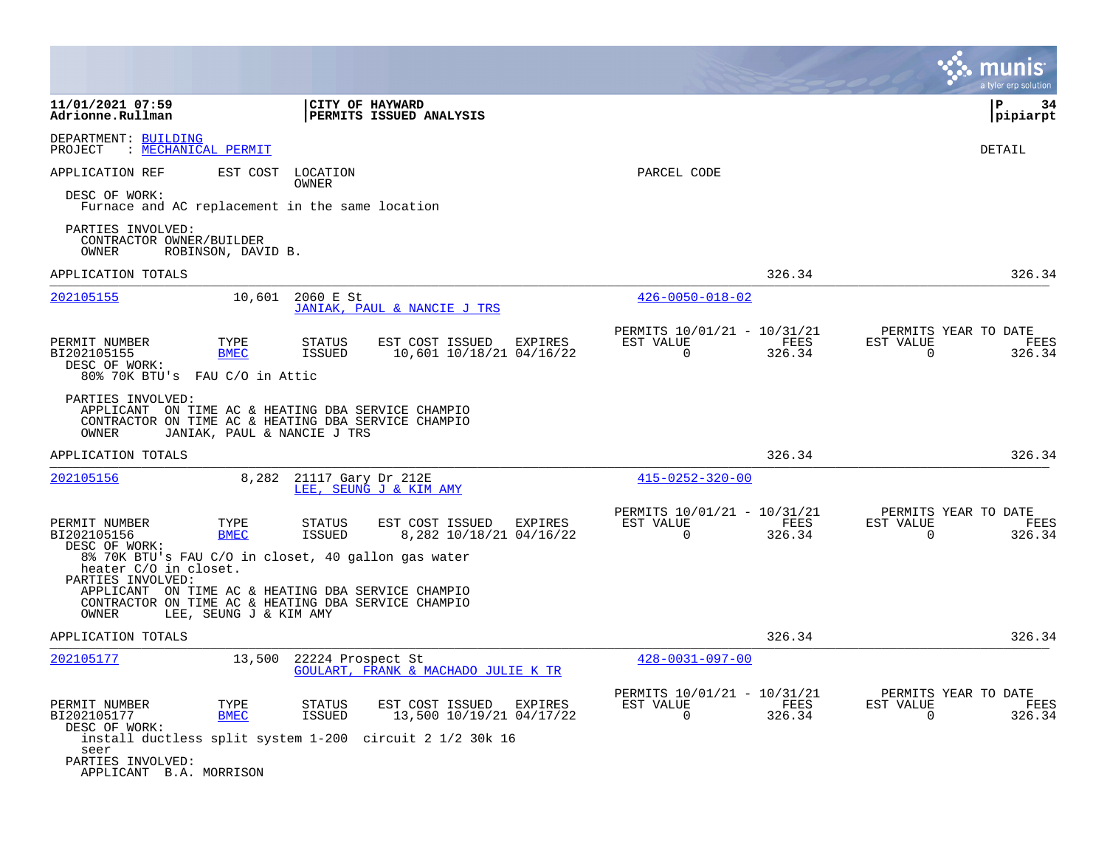|                                                                                                                                         |                                      |                                                        |                         |                                               | a tyler erp solution                                            |
|-----------------------------------------------------------------------------------------------------------------------------------------|--------------------------------------|--------------------------------------------------------|-------------------------|-----------------------------------------------|-----------------------------------------------------------------|
| 11/01/2021 07:59<br>Adrionne.Rullman                                                                                                    | CITY OF HAYWARD                      | PERMITS ISSUED ANALYSIS                                |                         |                                               | P<br>34<br>pipiarpt                                             |
| DEPARTMENT: BUILDING<br>: MECHANICAL PERMIT<br>PROJECT                                                                                  |                                      |                                                        |                         |                                               | DETAIL                                                          |
| APPLICATION REF                                                                                                                         | EST COST<br>LOCATION<br><b>OWNER</b> |                                                        | PARCEL CODE             |                                               |                                                                 |
| DESC OF WORK:<br>Furnace and AC replacement in the same location                                                                        |                                      |                                                        |                         |                                               |                                                                 |
| PARTIES INVOLVED:<br>CONTRACTOR OWNER/BUILDER<br>ROBINSON, DAVID B.<br>OWNER                                                            |                                      |                                                        |                         |                                               |                                                                 |
| APPLICATION TOTALS                                                                                                                      |                                      |                                                        |                         | 326.34                                        | 326.34                                                          |
| 202105155                                                                                                                               | 10,601<br>2060 E St                  | JANIAK, PAUL & NANCIE J TRS                            | $426 - 0050 - 018 - 02$ |                                               |                                                                 |
| PERMIT NUMBER<br>TYPE<br><b>BMEC</b><br>BI202105155                                                                                     | STATUS<br><b>ISSUED</b>              | EST COST ISSUED<br>EXPIRES<br>10,601 10/18/21 04/16/22 | EST VALUE<br>$\Omega$   | PERMITS 10/01/21 - 10/31/21<br>FEES<br>326.34 | PERMITS YEAR TO DATE<br>EST VALUE<br>FEES<br>$\Omega$<br>326.34 |
| DESC OF WORK:<br>80% 70K BTU's FAU C/O in Attic                                                                                         |                                      |                                                        |                         |                                               |                                                                 |
| PARTIES INVOLVED:<br>APPLICANT ON TIME AC & HEATING DBA SERVICE CHAMPIO<br>CONTRACTOR ON TIME AC & HEATING DBA SERVICE CHAMPIO<br>OWNER | JANIAK, PAUL & NANCIE J TRS          |                                                        |                         |                                               |                                                                 |
| APPLICATION TOTALS                                                                                                                      |                                      |                                                        |                         | 326.34                                        | 326.34                                                          |
| 202105156                                                                                                                               | 8,282 21117 Gary Dr 212E             | LEE, SEUNG J & KIM AMY                                 | $415 - 0252 - 320 - 00$ |                                               |                                                                 |
| PERMIT NUMBER<br>TYPE<br>BI202105156<br><b>BMEC</b>                                                                                     | STATUS<br><b>ISSUED</b>              | EST COST ISSUED<br>EXPIRES<br>8,282 10/18/21 04/16/22  | EST VALUE<br>$\Omega$   | PERMITS 10/01/21 - 10/31/21<br>FEES<br>326.34 | PERMITS YEAR TO DATE<br>EST VALUE<br>FEES<br>326.34<br>$\Omega$ |
| DESC OF WORK:<br>8% 70K BTU's FAU C/O in closet, 40 gallon gas water<br>heater C/O in closet.<br>PARTIES INVOLVED:                      |                                      |                                                        |                         |                                               |                                                                 |
| APPLICANT ON TIME AC & HEATING DBA SERVICE CHAMPIO<br>CONTRACTOR ON TIME AC & HEATING DBA SERVICE CHAMPIO<br>OWNER                      | LEE, SEUNG J & KIM AMY               |                                                        |                         |                                               |                                                                 |
| APPLICATION TOTALS                                                                                                                      |                                      |                                                        |                         | 326.34                                        | 326.34                                                          |
| 202105177                                                                                                                               | 13,500<br>22224 Prospect St          | GOULART, FRANK & MACHADO JULIE K TR                    | $428 - 0031 - 097 - 00$ |                                               |                                                                 |
| PERMIT NUMBER<br>TYPE<br><b>BMEC</b><br>BI202105177                                                                                     | STATUS<br><b>ISSUED</b>              | EST COST ISSUED EXPIRES<br>13,500 10/19/21 04/17/22    | EST VALUE<br>$\Omega$   | PERMITS 10/01/21 - 10/31/21<br>FEES<br>326.34 | PERMITS YEAR TO DATE<br>EST VALUE<br>FEES<br>$\Omega$<br>326.34 |
| DESC OF WORK:<br>install ductless split system 1-200 circuit 2 1/2 30k 16<br>seer                                                       |                                      |                                                        |                         |                                               |                                                                 |
| PARTIES INVOLVED:<br>APPLICANT B.A. MORRISON                                                                                            |                                      |                                                        |                         |                                               |                                                                 |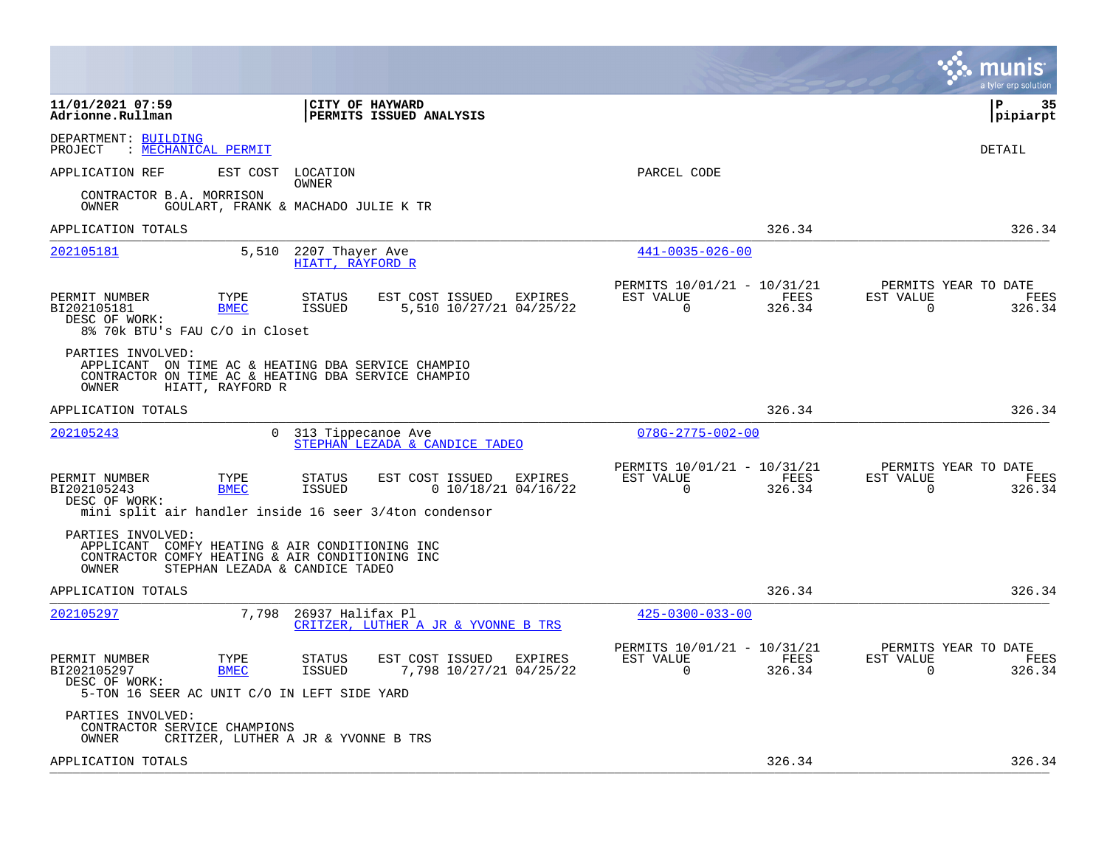|                                                                                                                                                                          |                                                                                                                                          |                                                                           | munis<br>a tyler erp solution                                      |
|--------------------------------------------------------------------------------------------------------------------------------------------------------------------------|------------------------------------------------------------------------------------------------------------------------------------------|---------------------------------------------------------------------------|--------------------------------------------------------------------|
| 11/01/2021 07:59<br>Adrionne.Rullman                                                                                                                                     | <b>CITY OF HAYWARD</b><br>PERMITS ISSUED ANALYSIS                                                                                        |                                                                           | l P<br>35<br> pipiarpt                                             |
| DEPARTMENT: BUILDING<br>PROJECT<br>: MECHANICAL PERMIT                                                                                                                   |                                                                                                                                          |                                                                           | <b>DETAIL</b>                                                      |
| EST COST<br>APPLICATION REF                                                                                                                                              | LOCATION<br><b>OWNER</b>                                                                                                                 | PARCEL CODE                                                               |                                                                    |
| CONTRACTOR B.A. MORRISON<br>OWNER                                                                                                                                        | GOULART, FRANK & MACHADO JULIE K TR                                                                                                      |                                                                           |                                                                    |
| APPLICATION TOTALS                                                                                                                                                       |                                                                                                                                          | 326.34                                                                    | 326.34                                                             |
| 202105181<br>5,510                                                                                                                                                       | 2207 Thayer Ave<br>HIATT, RAYFORD R                                                                                                      | $441 - 0035 - 026 - 00$                                                   |                                                                    |
| PERMIT NUMBER<br>TYPE<br>BI202105181<br><b>BMEC</b><br>DESC OF WORK:<br>8% 70k BTU's FAU C/O in Closet                                                                   | EST COST ISSUED<br>STATUS<br>EXPIRES<br>5,510 10/27/21 04/25/22<br>ISSUED                                                                | PERMITS 10/01/21 - 10/31/21<br>EST VALUE<br>FEES<br>$\mathbf 0$<br>326.34 | PERMITS YEAR TO DATE<br>EST VALUE<br>FEES<br>$\mathbf 0$<br>326.34 |
| PARTIES INVOLVED:<br>APPLICANT ON TIME AC & HEATING DBA SERVICE CHAMPIO<br>CONTRACTOR ON TIME AC & HEATING DBA SERVICE CHAMPIO<br>OWNER<br>HIATT, RAYFORD R              |                                                                                                                                          |                                                                           |                                                                    |
| APPLICATION TOTALS                                                                                                                                                       |                                                                                                                                          | 326.34                                                                    | 326.34                                                             |
| 202105243<br>$\Omega$                                                                                                                                                    | 313 Tippecanoe Ave<br>STEPHAN LEZADA & CANDICE TADEO                                                                                     | $078G - 2775 - 002 - 00$                                                  |                                                                    |
| PERMIT NUMBER<br>TYPE<br>BI202105243<br><b>BMEC</b><br>DESC OF WORK:                                                                                                     | EST COST ISSUED<br>STATUS<br>EXPIRES<br><b>ISSUED</b><br>$0$ 10/18/21 04/16/22<br>mini split air handler inside 16 seer 3/4ton condensor | PERMITS 10/01/21 - 10/31/21<br>EST VALUE<br>FEES<br>0<br>326.34           | PERMITS YEAR TO DATE<br>EST VALUE<br>FEES<br>$\mathbf 0$<br>326.34 |
| PARTIES INVOLVED:<br>APPLICANT COMFY HEATING & AIR CONDITIONING INC<br>CONTRACTOR COMFY HEATING & AIR CONDITIONING INC<br><b>OWNER</b><br>STEPHAN LEZADA & CANDICE TADEO |                                                                                                                                          |                                                                           |                                                                    |
| APPLICATION TOTALS                                                                                                                                                       |                                                                                                                                          | 326.34                                                                    | 326.34                                                             |
| 7,798<br>202105297                                                                                                                                                       | 26937 Halifax Pl<br>CRITZER, LUTHER A JR & YVONNE B TRS                                                                                  | $425 - 0300 - 033 - 00$                                                   |                                                                    |
| PERMIT NUMBER<br>TYPE<br>BI202105297<br><b>BMEC</b><br>DESC OF WORK:<br>5-TON 16 SEER AC UNIT C/O IN LEFT SIDE YARD                                                      | <b>STATUS</b><br>EST COST ISSUED EXPIRES<br>7,798 10/27/21 04/25/22<br>ISSUED                                                            | PERMITS 10/01/21 - 10/31/21<br>EST VALUE<br>FEES<br>326.34<br>0           | PERMITS YEAR TO DATE<br>EST VALUE<br>FEES<br>326.34<br>0           |
| PARTIES INVOLVED:<br>CONTRACTOR SERVICE CHAMPIONS<br>OWNER                                                                                                               | CRITZER, LUTHER A JR & YVONNE B TRS                                                                                                      |                                                                           |                                                                    |
| APPLICATION TOTALS                                                                                                                                                       |                                                                                                                                          | 326.34                                                                    | 326.34                                                             |
|                                                                                                                                                                          |                                                                                                                                          |                                                                           |                                                                    |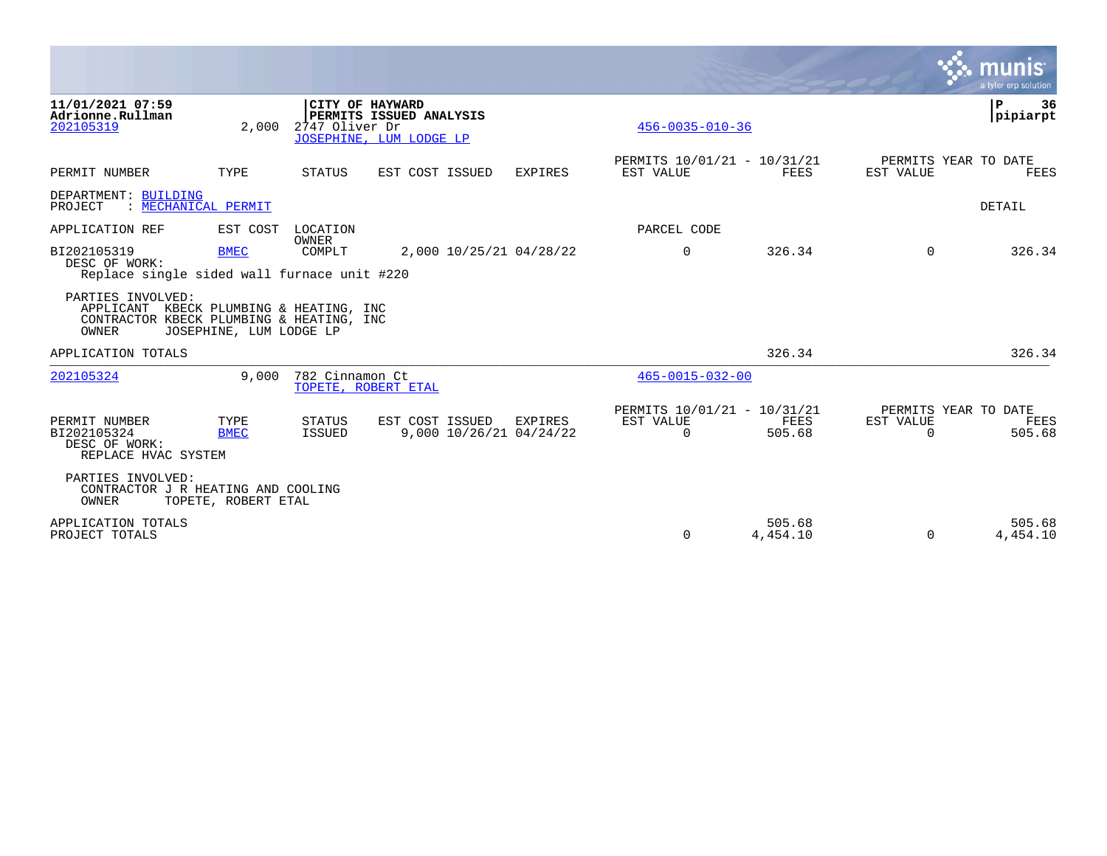|                                                                                                                   |                         |                        |                                                                       |                                    |                                               |                    |                          | munis<br>a tyler erp solution                 |
|-------------------------------------------------------------------------------------------------------------------|-------------------------|------------------------|-----------------------------------------------------------------------|------------------------------------|-----------------------------------------------|--------------------|--------------------------|-----------------------------------------------|
| 11/01/2021 07:59<br>Adrionne.Rullman<br>202105319                                                                 | 2,000                   | 2747 Oliver Dr         | CITY OF HAYWARD<br>PERMITS ISSUED ANALYSIS<br>JOSEPHINE, LUM LODGE LP |                                    | $456 - 0035 - 010 - 36$                       |                    |                          | P<br>36<br>pipiarpt                           |
| PERMIT NUMBER                                                                                                     | TYPE                    | <b>STATUS</b>          | EST COST ISSUED                                                       | <b>EXPIRES</b>                     | PERMITS 10/01/21 - 10/31/21<br>EST VALUE      | FEES               | EST VALUE                | PERMITS YEAR TO DATE<br>FEES                  |
| DEPARTMENT: BUILDING<br>PROJECT<br>: MECHANICAL PERMIT                                                            |                         |                        |                                                                       |                                    |                                               |                    |                          | DETAIL                                        |
| APPLICATION REF                                                                                                   | EST COST                | LOCATION               |                                                                       |                                    | PARCEL CODE                                   |                    |                          |                                               |
| BI202105319<br>DESC OF WORK:<br>Replace single sided wall furnace unit #220                                       | <b>BMEC</b>             | <b>OWNER</b><br>COMPLT |                                                                       | 2,000 10/25/21 04/28/22            | $\Omega$                                      | 326.34             | $\Omega$                 | 326.34                                        |
| PARTIES INVOLVED:<br>APPLICANT KBECK PLUMBING & HEATING, INC<br>CONTRACTOR KBECK PLUMBING & HEATING, INC<br>OWNER | JOSEPHINE, LUM LODGE LP |                        |                                                                       |                                    |                                               |                    |                          |                                               |
| APPLICATION TOTALS                                                                                                |                         |                        |                                                                       |                                    |                                               | 326.34             |                          | 326.34                                        |
| 202105324                                                                                                         | 9.000                   | 782 Cinnamon Ct        | TOPETE, ROBERT ETAL                                                   |                                    | $465 - 0015 - 032 - 00$                       |                    |                          |                                               |
| PERMIT NUMBER<br>BI202105324<br>DESC OF WORK:<br>REPLACE HVAC SYSTEM                                              | TYPE<br><b>BMEC</b>     | STATUS<br>ISSUED       | EST COST ISSUED                                                       | EXPIRES<br>9,000 10/26/21 04/24/22 | PERMITS 10/01/21 - 10/31/21<br>EST VALUE<br>0 | FEES<br>505.68     | EST VALUE<br>$\mathbf 0$ | PERMITS YEAR TO DATE<br><b>FEES</b><br>505.68 |
| PARTIES INVOLVED:<br>CONTRACTOR J R HEATING AND COOLING<br>OWNER                                                  | TOPETE, ROBERT ETAL     |                        |                                                                       |                                    |                                               |                    |                          |                                               |
| APPLICATION TOTALS<br>PROJECT TOTALS                                                                              |                         |                        |                                                                       |                                    | $\Omega$                                      | 505.68<br>4,454.10 | $\Omega$                 | 505.68<br>4,454.10                            |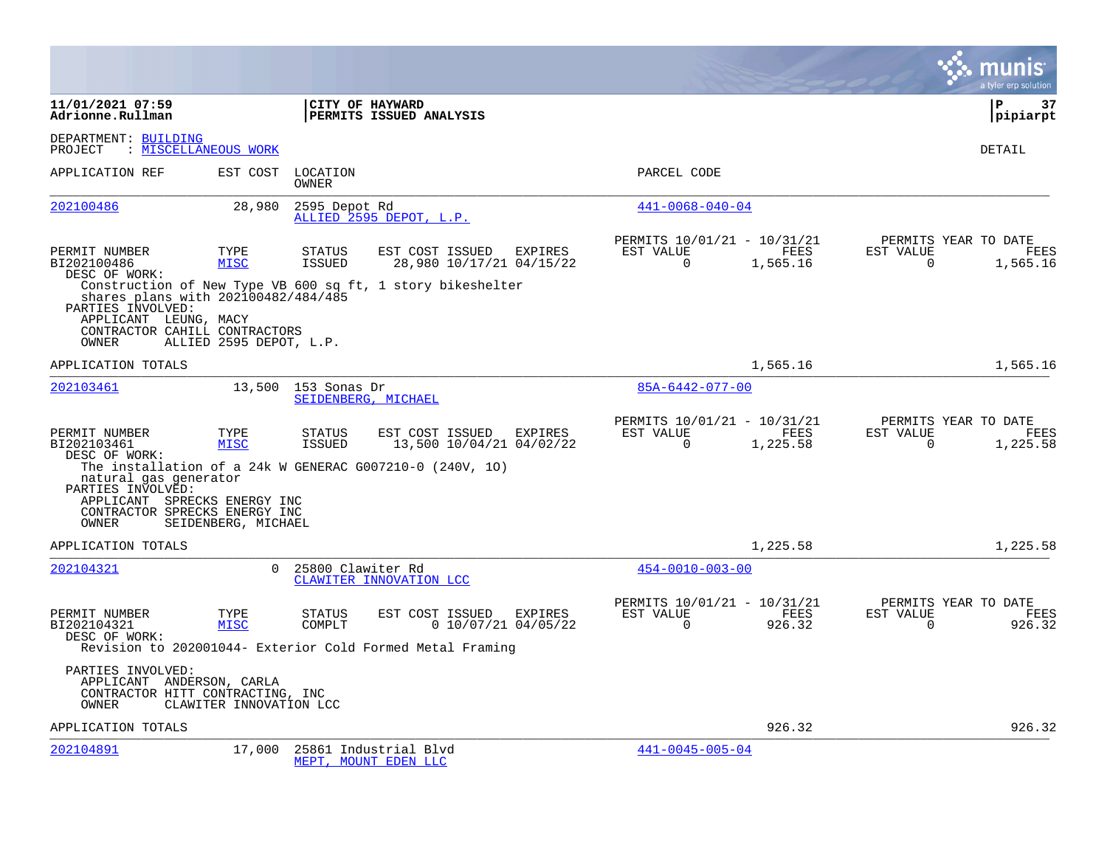|                                                                                                                                                              |                         |                                |                                                                                                           |                                  |                                                      |                  |                       | a tyler erp solution                     |
|--------------------------------------------------------------------------------------------------------------------------------------------------------------|-------------------------|--------------------------------|-----------------------------------------------------------------------------------------------------------|----------------------------------|------------------------------------------------------|------------------|-----------------------|------------------------------------------|
| 11/01/2021 07:59<br>Adrionne.Rullman                                                                                                                         |                         |                                | CITY OF HAYWARD<br>PERMITS ISSUED ANALYSIS                                                                |                                  |                                                      |                  |                       | l P<br>37<br> pipiarpt                   |
| DEPARTMENT: BUILDING<br>PROJECT                                                                                                                              | : MISCELLANEOUS WORK    |                                |                                                                                                           |                                  |                                                      |                  |                       | DETAIL                                   |
| APPLICATION REF                                                                                                                                              | EST COST                | LOCATION<br>OWNER              |                                                                                                           |                                  | PARCEL CODE                                          |                  |                       |                                          |
| 202100486                                                                                                                                                    | 28,980                  | 2595 Depot Rd                  | ALLIED 2595 DEPOT, L.P.                                                                                   |                                  | $441 - 0068 - 040 - 04$                              |                  |                       |                                          |
| PERMIT NUMBER<br>BI202100486<br>DESC OF WORK:<br>shares plans with 202100482/484/485                                                                         | TYPE<br><b>MISC</b>     | <b>STATUS</b><br>ISSUED        | EST COST ISSUED<br>28,980 10/17/21 04/15/22<br>Construction of New Type VB 600 sq ft, 1 story bikeshelter | EXPIRES                          | PERMITS 10/01/21 - 10/31/21<br>EST VALUE<br>$\Omega$ | FEES<br>1,565.16 | EST VALUE<br>$\Omega$ | PERMITS YEAR TO DATE<br>FEES<br>1,565.16 |
| PARTIES INVOLVED:<br>APPLICANT LEUNG, MACY<br>CONTRACTOR CAHILL CONTRACTORS<br>OWNER                                                                         | ALLIED 2595 DEPOT, L.P. |                                |                                                                                                           |                                  |                                                      |                  |                       |                                          |
| APPLICATION TOTALS                                                                                                                                           |                         |                                |                                                                                                           |                                  |                                                      | 1,565.16         |                       | 1,565.16                                 |
| 202103461                                                                                                                                                    |                         | 13,500 153 Sonas Dr            | SEIDENBERG, MICHAEL                                                                                       |                                  | 85A-6442-077-00                                      |                  |                       |                                          |
| PERMIT NUMBER<br>BI202103461<br>DESC OF WORK:<br>natural gas generator<br>PARTIES INVOLVED:<br>APPLICANT SPRECKS ENERGY INC<br>CONTRACTOR SPRECKS ENERGY INC | TYPE<br><b>MISC</b>     | <b>STATUS</b><br><b>ISSUED</b> | EST COST ISSUED<br>13,500 10/04/21 04/02/22<br>The installation of a 24k W GENERAC G007210-0 (240V, 10)   | EXPIRES                          | PERMITS 10/01/21 - 10/31/21<br>EST VALUE<br>$\Omega$ | FEES<br>1,225.58 | EST VALUE<br>$\Omega$ | PERMITS YEAR TO DATE<br>FEES<br>1,225.58 |
| OWNER                                                                                                                                                        | SEIDENBERG, MICHAEL     |                                |                                                                                                           |                                  |                                                      |                  |                       |                                          |
| APPLICATION TOTALS                                                                                                                                           |                         |                                |                                                                                                           |                                  |                                                      | 1,225.58         |                       | 1,225.58                                 |
| 202104321                                                                                                                                                    | $\Omega$                | 25800 Clawiter Rd              | CLAWITER INNOVATION LCC                                                                                   |                                  | $454 - 0010 - 003 - 00$                              |                  |                       |                                          |
| PERMIT NUMBER<br>BI202104321<br>DESC OF WORK:                                                                                                                | TYPE<br><b>MISC</b>     | <b>STATUS</b><br>COMPLT        | EST COST ISSUED<br>Revision to 202001044- Exterior Cold Formed Metal Framing                              | EXPIRES<br>$0$ 10/07/21 04/05/22 | PERMITS 10/01/21 - 10/31/21<br>EST VALUE<br>$\Omega$ | FEES<br>926.32   | EST VALUE<br>$\Omega$ | PERMITS YEAR TO DATE<br>FEES<br>926.32   |
| PARTIES INVOLVED:<br>APPLICANT ANDERSON, CARLA<br>CONTRACTOR HITT CONTRACTING, INC<br>OWNER                                                                  | CLAWITER INNOVATION LCC |                                |                                                                                                           |                                  |                                                      |                  |                       |                                          |
| APPLICATION TOTALS                                                                                                                                           |                         |                                |                                                                                                           |                                  |                                                      | 926.32           |                       | 926.32                                   |
| 202104891                                                                                                                                                    | 17,000                  |                                | 25861 Industrial Blvd<br>MEPT, MOUNT EDEN LLC                                                             |                                  | $441 - 0045 - 005 - 04$                              |                  |                       |                                          |

**Contract**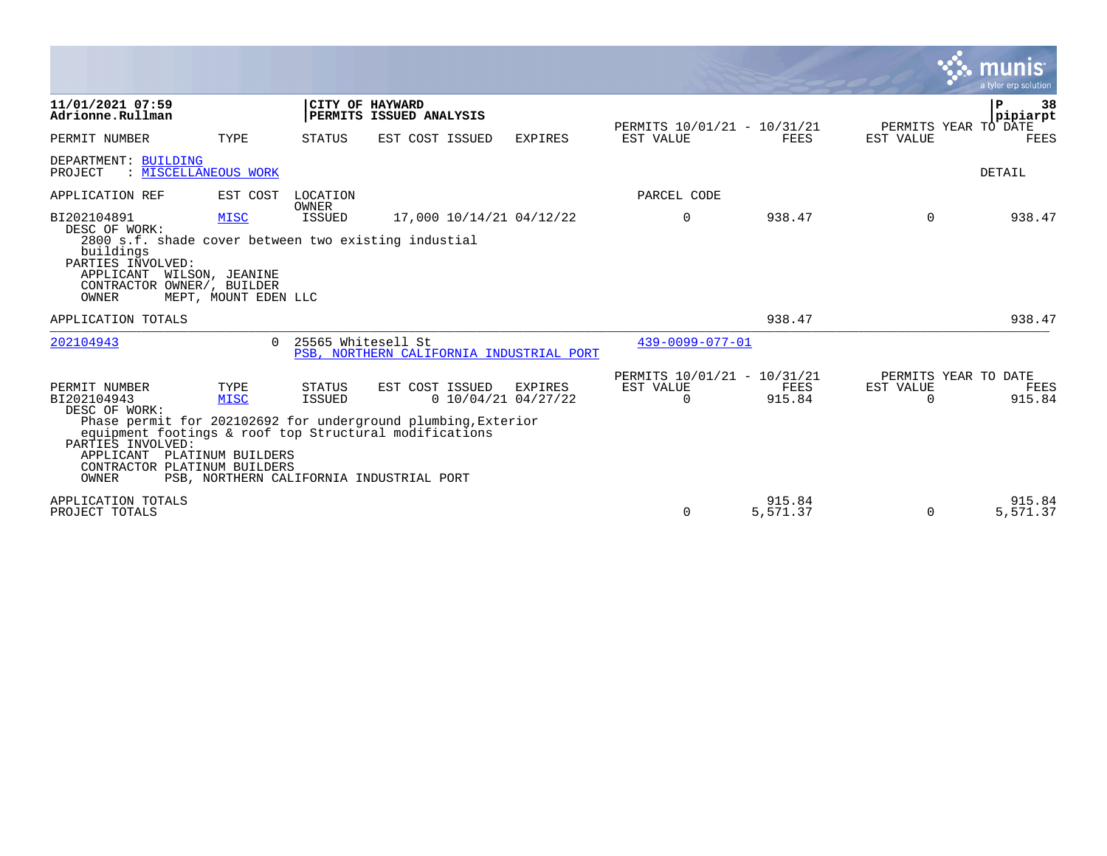|                                                                                                                                                                                                      |                                                 |                          |                                                                                                                              |                                  |                                                      |                    | munis                                         | a tyler erp solution |
|------------------------------------------------------------------------------------------------------------------------------------------------------------------------------------------------------|-------------------------------------------------|--------------------------|------------------------------------------------------------------------------------------------------------------------------|----------------------------------|------------------------------------------------------|--------------------|-----------------------------------------------|----------------------|
| 11/01/2021 07:59<br>Adrionne.Rullman                                                                                                                                                                 |                                                 | CITY OF HAYWARD          | PERMITS ISSUED ANALYSIS                                                                                                      |                                  | PERMITS 10/01/21 - 10/31/21                          |                    | P<br>PERMITS YEAR TO DATE                     | 38<br>pipiarpt       |
| PERMIT NUMBER                                                                                                                                                                                        | TYPE                                            | STATUS                   | EST COST ISSUED                                                                                                              | <b>EXPIRES</b>                   | EST VALUE                                            | FEES               | EST VALUE                                     | FEES                 |
| DEPARTMENT: BUILDING<br>: MISCELLANEOUS WORK<br>PROJECT                                                                                                                                              |                                                 |                          |                                                                                                                              |                                  |                                                      |                    | DETAIL                                        |                      |
| APPLICATION REF                                                                                                                                                                                      | EST COST                                        | LOCATION<br><b>OWNER</b> |                                                                                                                              |                                  | PARCEL CODE                                          |                    |                                               |                      |
| BI202104891<br>DESC OF WORK:<br>2800 s.f. shade cover between two existing industial<br>buildings<br>PARTIES INVOLVED:<br>APPLICANT<br>CONTRACTOR OWNER/, BUILDER<br>OWNER                           | MISC<br>WILSON, JEANINE<br>MEPT, MOUNT EDEN LLC | ISSUED                   | 17,000 10/14/21 04/12/22                                                                                                     |                                  | $\mathbf 0$                                          | 938.47             | $\Omega$                                      | 938.47               |
| APPLICATION TOTALS                                                                                                                                                                                   |                                                 |                          |                                                                                                                              |                                  |                                                      | 938.47             |                                               | 938.47               |
| 202104943                                                                                                                                                                                            | $\cap$                                          | 25565 Whitesell St       | PSB, NORTHERN CALIFORNIA INDUSTRIAL PORT                                                                                     |                                  | 439-0099-077-01                                      |                    |                                               |                      |
| PERMIT NUMBER<br>BI202104943<br>DESC OF WORK:<br>equipment footings & roof top Structural modifications<br>PARTIES INVOLVED:<br>APPLICANT PLATINUM BUILDERS<br>CONTRACTOR PLATINUM BUILDERS<br>OWNER | TYPE<br>MISC                                    | STATUS<br><b>ISSUED</b>  | EST COST ISSUED<br>Phase permit for 202102692 for underground plumbing, Exterior<br>PSB, NORTHERN CALIFORNIA INDUSTRIAL PORT | EXPIRES<br>$0$ 10/04/21 04/27/22 | PERMITS 10/01/21 - 10/31/21<br>EST VALUE<br>$\Omega$ | FEES<br>915.84     | PERMITS YEAR TO DATE<br>EST VALUE<br>$\Omega$ | FEES<br>915.84       |
| APPLICATION TOTALS<br>PROJECT TOTALS                                                                                                                                                                 |                                                 |                          |                                                                                                                              |                                  | 0                                                    | 915.84<br>5,571.37 | 0                                             | 915.84<br>5,571.37   |

 $\sim$   $\sim$   $\sim$   $\sim$   $\sim$   $\sim$   $\sim$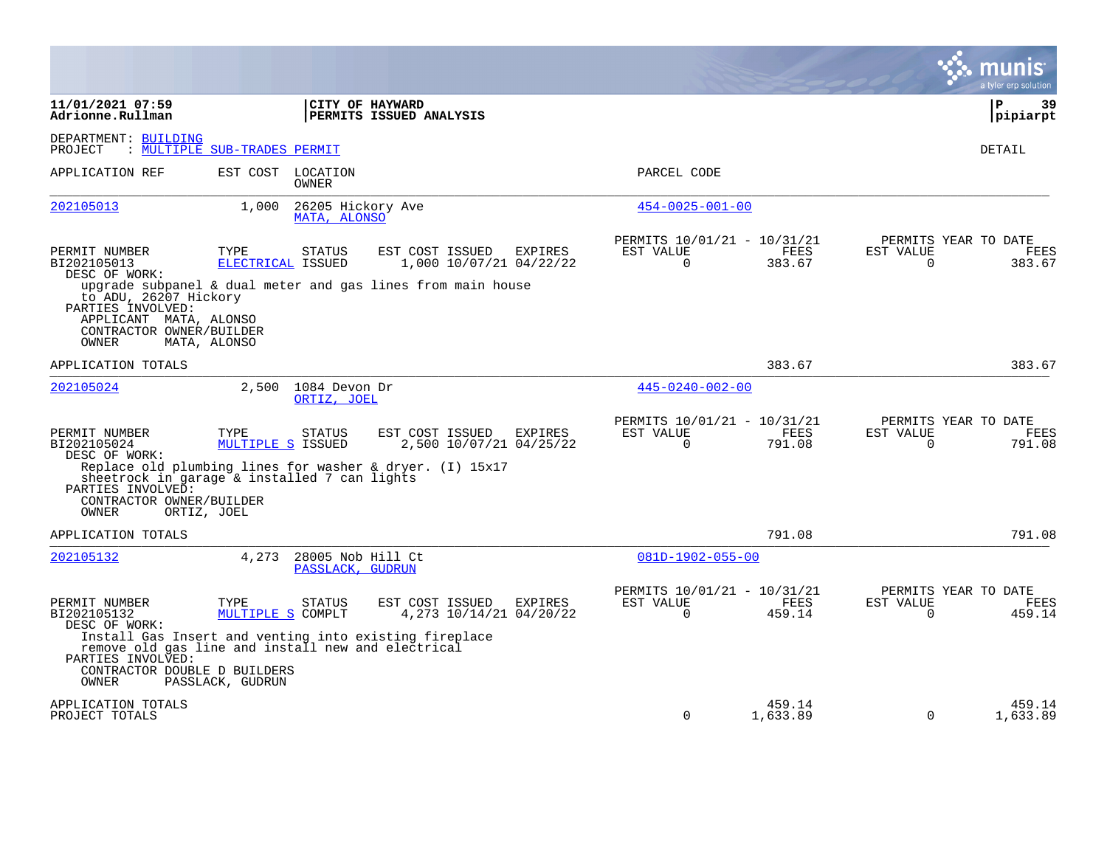|                                                                                                           |                                                                                                                                                            |                                                             |                                                      |                    |                       | munis<br>a tyler erp solution          |
|-----------------------------------------------------------------------------------------------------------|------------------------------------------------------------------------------------------------------------------------------------------------------------|-------------------------------------------------------------|------------------------------------------------------|--------------------|-----------------------|----------------------------------------|
| 11/01/2021 07:59<br>Adrionne.Rullman                                                                      |                                                                                                                                                            | CITY OF HAYWARD<br>PERMITS ISSUED ANALYSIS                  |                                                      |                    |                       | $\mathbf{P}$<br>39<br> pipiarpt        |
| DEPARTMENT: BUILDING<br>PROJECT                                                                           | : MULTIPLE SUB-TRADES PERMIT                                                                                                                               |                                                             |                                                      |                    |                       | DETAIL                                 |
| APPLICATION REF                                                                                           | EST COST<br>LOCATION<br>OWNER                                                                                                                              |                                                             | PARCEL CODE                                          |                    |                       |                                        |
| 202105013                                                                                                 | 1,000<br>MATA, ALONSO                                                                                                                                      | 26205 Hickory Ave                                           | $454 - 0025 - 001 - 00$                              |                    |                       |                                        |
| PERMIT NUMBER<br>BI202105013<br>DESC OF WORK:                                                             | TYPE<br>STATUS<br>ELECTRICAL ISSUED                                                                                                                        | EST COST ISSUED<br>EXPIRES<br>1,000 10/07/21 04/22/22       | PERMITS 10/01/21 - 10/31/21<br>EST VALUE<br>$\Omega$ | FEES<br>383.67     | EST VALUE<br>$\Omega$ | PERMITS YEAR TO DATE<br>FEES<br>383.67 |
| to ADU, 26207 Hickory<br>PARTIES INVOLVED:<br>APPLICANT MATA, ALONSO<br>CONTRACTOR OWNER/BUILDER<br>OWNER | MATA, ALONSO                                                                                                                                               | upgrade subpanel & dual meter and gas lines from main house |                                                      |                    |                       |                                        |
| APPLICATION TOTALS                                                                                        |                                                                                                                                                            |                                                             |                                                      | 383.67             |                       | 383.67                                 |
| 202105024                                                                                                 | 2,500<br>1084 Devon Dr<br>ORTIZ, JOEL                                                                                                                      |                                                             | $445 - 0240 - 002 - 00$                              |                    |                       |                                        |
| PERMIT NUMBER<br>BI202105024<br>DESC OF WORK:                                                             | TYPE<br>STATUS<br>MULTIPLE S ISSUED                                                                                                                        | EST COST ISSUED<br>EXPIRES<br>2,500 10/07/21 04/25/22       | PERMITS 10/01/21 - 10/31/21<br>EST VALUE<br>0        | FEES<br>791.08     | EST VALUE<br>0        | PERMITS YEAR TO DATE<br>FEES<br>791.08 |
| PARTIES INVOLVED:<br>CONTRACTOR OWNER/BUILDER<br>OWNER                                                    | sheetrock in garage & installed 7 can lights<br>ORTIZ, JOEL                                                                                                | Replace old plumbing lines for washer & dryer. $(I)$ 15x17  |                                                      |                    |                       |                                        |
| APPLICATION TOTALS                                                                                        |                                                                                                                                                            |                                                             |                                                      | 791.08             |                       | 791.08                                 |
| 202105132                                                                                                 | 4,273                                                                                                                                                      | 28005 Nob Hill Ct<br>PASSLACK, GUDRUN                       | $081D-1902-055-00$                                   |                    |                       |                                        |
| PERMIT NUMBER<br>BI202105132<br>DESC OF WORK:<br>PARTIES INVOLVED:<br>CONTRACTOR DOUBLE D BUILDERS        | TYPE<br><b>STATUS</b><br>MULTIPLE S COMPLT<br>Install Gas Insert and venting into existing fireplace<br>remove old gas line and install new and electrical | EST COST ISSUED<br>EXPIRES<br>4,273 10/14/21 04/20/22       | PERMITS 10/01/21 - 10/31/21<br>EST VALUE<br>$\Omega$ | FEES<br>459.14     | EST VALUE<br>$\Omega$ | PERMITS YEAR TO DATE<br>FEES<br>459.14 |
| OWNER                                                                                                     | PASSLACK, GUDRUN                                                                                                                                           |                                                             |                                                      |                    |                       |                                        |
| APPLICATION TOTALS<br>PROJECT TOTALS                                                                      |                                                                                                                                                            |                                                             | $\Omega$                                             | 459.14<br>1,633.89 | $\Omega$              | 459.14<br>1,633.89                     |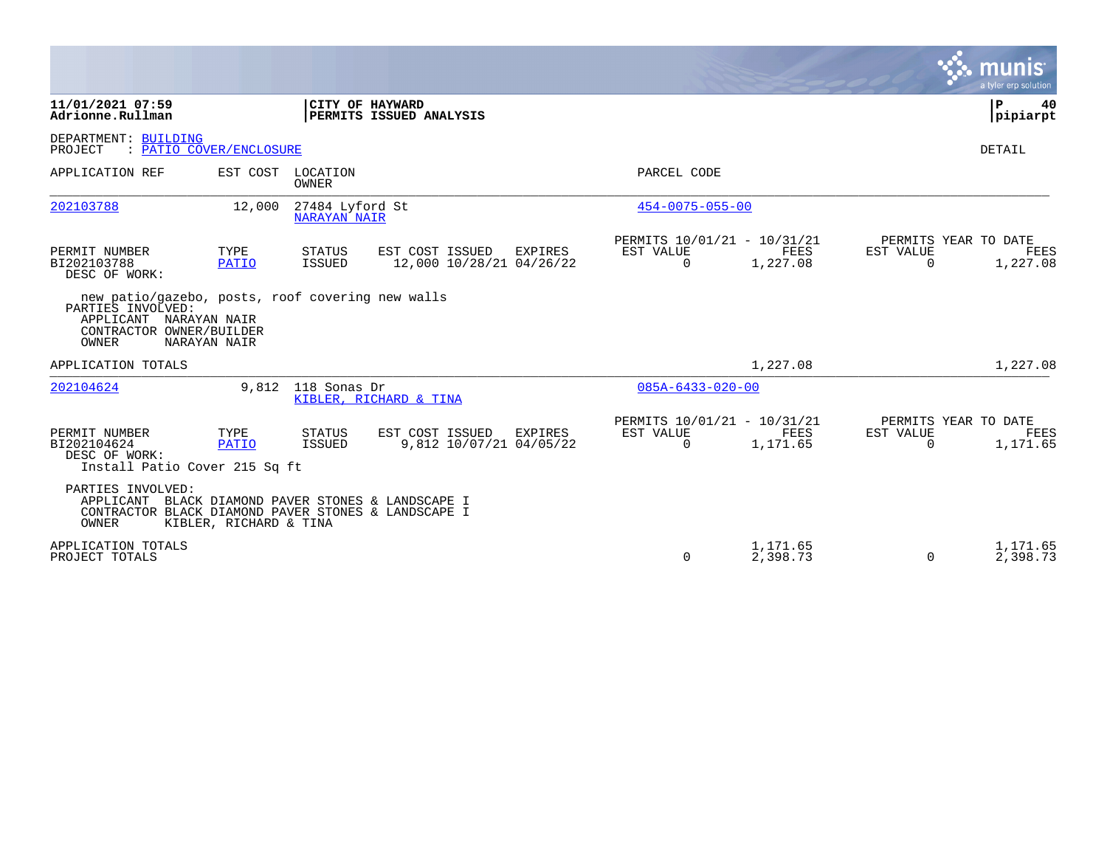|                                                                                                                                      |                         |                                        |                                             |         |                                                      |                         |                       | a tyler erp solution                     |
|--------------------------------------------------------------------------------------------------------------------------------------|-------------------------|----------------------------------------|---------------------------------------------|---------|------------------------------------------------------|-------------------------|-----------------------|------------------------------------------|
| 11/01/2021 07:59<br>Adrionne.Rullman                                                                                                 |                         |                                        | CITY OF HAYWARD<br>PERMITS ISSUED ANALYSIS  |         |                                                      |                         |                       | P<br>40<br> pipiarpt                     |
| DEPARTMENT: BUILDING<br>PROJECT                                                                                                      | : PATIO COVER/ENCLOSURE |                                        |                                             |         |                                                      |                         |                       | DETAIL                                   |
| APPLICATION REF                                                                                                                      | EST COST                | LOCATION<br><b>OWNER</b>               |                                             |         | PARCEL CODE                                          |                         |                       |                                          |
| 202103788                                                                                                                            | 12,000                  | 27484 Lyford St<br><b>NARAYAN NAIR</b> |                                             |         | $454 - 0075 - 055 - 00$                              |                         |                       |                                          |
| PERMIT NUMBER<br>BI202103788<br>DESC OF WORK:                                                                                        | TYPE<br>PATIO           | STATUS<br>ISSUED                       | EST COST ISSUED<br>12,000 10/28/21 04/26/22 | EXPIRES | PERMITS 10/01/21 - 10/31/21<br>EST VALUE<br>0        | FEES<br>1,227.08        | EST VALUE<br>0        | PERMITS YEAR TO DATE<br>FEES<br>1,227.08 |
| new patio/gazebo, posts, roof covering new walls<br>PARTIES INVOLVED:<br>APPLICANT NARAYAN NAIR<br>CONTRACTOR OWNER/BUILDER<br>OWNER | NARAYAN NAIR            |                                        |                                             |         |                                                      |                         |                       |                                          |
| APPLICATION TOTALS                                                                                                                   |                         |                                        |                                             |         |                                                      | 1,227.08                |                       | 1,227.08                                 |
| 202104624                                                                                                                            | 9,812                   | 118 Sonas Dr                           | KIBLER, RICHARD & TINA                      |         | $085A - 6433 - 020 - 00$                             |                         |                       |                                          |
| PERMIT NUMBER<br>BI202104624<br>DESC OF WORK:<br>Install Patio Cover 215 Sq ft                                                       | TYPE<br><b>PATIO</b>    | STATUS<br>ISSUED                       | EST COST ISSUED<br>9,812 10/07/21 04/05/22  | EXPIRES | PERMITS 10/01/21 - 10/31/21<br>EST VALUE<br>$\Omega$ | <b>FEES</b><br>1,171.65 | EST VALUE<br>$\Omega$ | PERMITS YEAR TO DATE<br>FEES<br>1,171.65 |
| PARTIES INVOLVED:<br>APPLICANT<br>CONTRACTOR BLACK DIAMOND PAVER STONES & LANDSCAPE I<br>OWNER                                       | KIBLER, RICHARD & TINA  |                                        | BLACK DIAMOND PAVER STONES & LANDSCAPE I    |         |                                                      |                         |                       |                                          |
| APPLICATION TOTALS<br>PROJECT TOTALS                                                                                                 |                         |                                        |                                             |         | $\Omega$                                             | 1,171.65<br>2,398.73    | $\Omega$              | 1,171.65<br>2,398.73                     |

 $\mathcal{L}^{\text{max}}$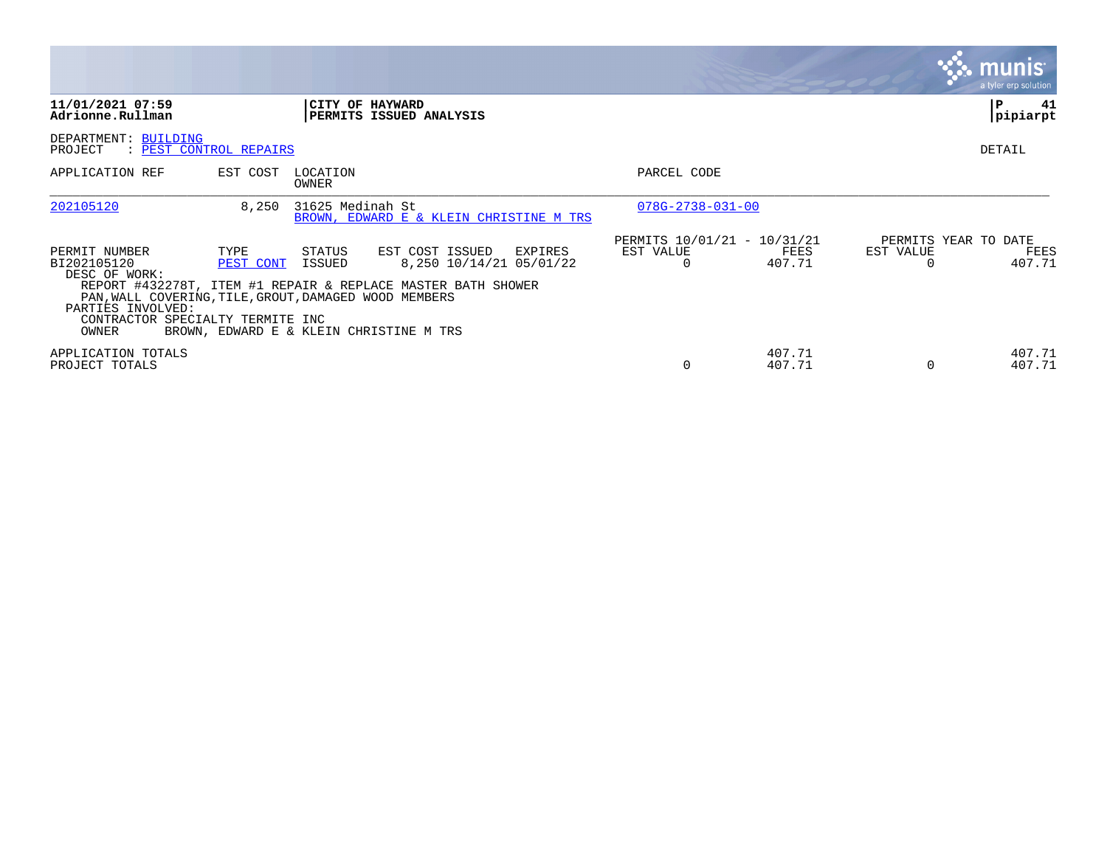|                                                                                                                                                                          |                        |                   |                                                                                                                                                                  |                                          |                  |                       | <b>munis</b><br>a tyler erp solution,  |
|--------------------------------------------------------------------------------------------------------------------------------------------------------------------------|------------------------|-------------------|------------------------------------------------------------------------------------------------------------------------------------------------------------------|------------------------------------------|------------------|-----------------------|----------------------------------------|
| 11/01/2021 07:59<br>Adrionne.Rullman                                                                                                                                     |                        |                   | CITY OF HAYWARD<br>PERMITS ISSUED ANALYSIS                                                                                                                       |                                          |                  |                       | 41<br>P<br>pipiarpt                    |
| DEPARTMENT: BUILDING<br>PROJECT                                                                                                                                          | : PEST CONTROL REPAIRS |                   |                                                                                                                                                                  |                                          |                  |                       | DETAIL                                 |
| APPLICATION REF                                                                                                                                                          | EST COST               | LOCATION<br>OWNER |                                                                                                                                                                  | PARCEL CODE                              |                  |                       |                                        |
| 202105120                                                                                                                                                                | 8,250                  | 31625 Medinah St  | BROWN, EDWARD E & KLEIN CHRISTINE M TRS                                                                                                                          | $078G - 2738 - 031 - 00$                 |                  |                       |                                        |
| PERMIT NUMBER<br>BI202105120<br>DESC OF WORK:<br>PAN, WALL COVERING, TILE, GROUT, DAMAGED WOOD MEMBERS<br>PARTIES INVOLVED:<br>CONTRACTOR SPECIALTY TERMITE INC<br>OWNER | TYPE<br>PEST CONT      | STATUS<br>ISSUED  | EST COST ISSUED<br>EXPIRES<br>8,250 10/14/21 05/01/22<br>REPORT #432278T, ITEM #1 REPAIR & REPLACE MASTER BATH SHOWER<br>BROWN, EDWARD E & KLEIN CHRISTINE M TRS | PERMITS 10/01/21 - 10/31/21<br>EST VALUE | FEES<br>407.71   | EST VALUE<br>$\Omega$ | PERMITS YEAR TO DATE<br>FEES<br>407.71 |
| APPLICATION TOTALS<br>PROJECT TOTALS                                                                                                                                     |                        |                   |                                                                                                                                                                  |                                          | 407.71<br>407.71 | $\Omega$              | 407.71<br>407.71                       |

the contract of the contract of

and the contract of the contract of the contract of the contract of the contract of the contract of the contract of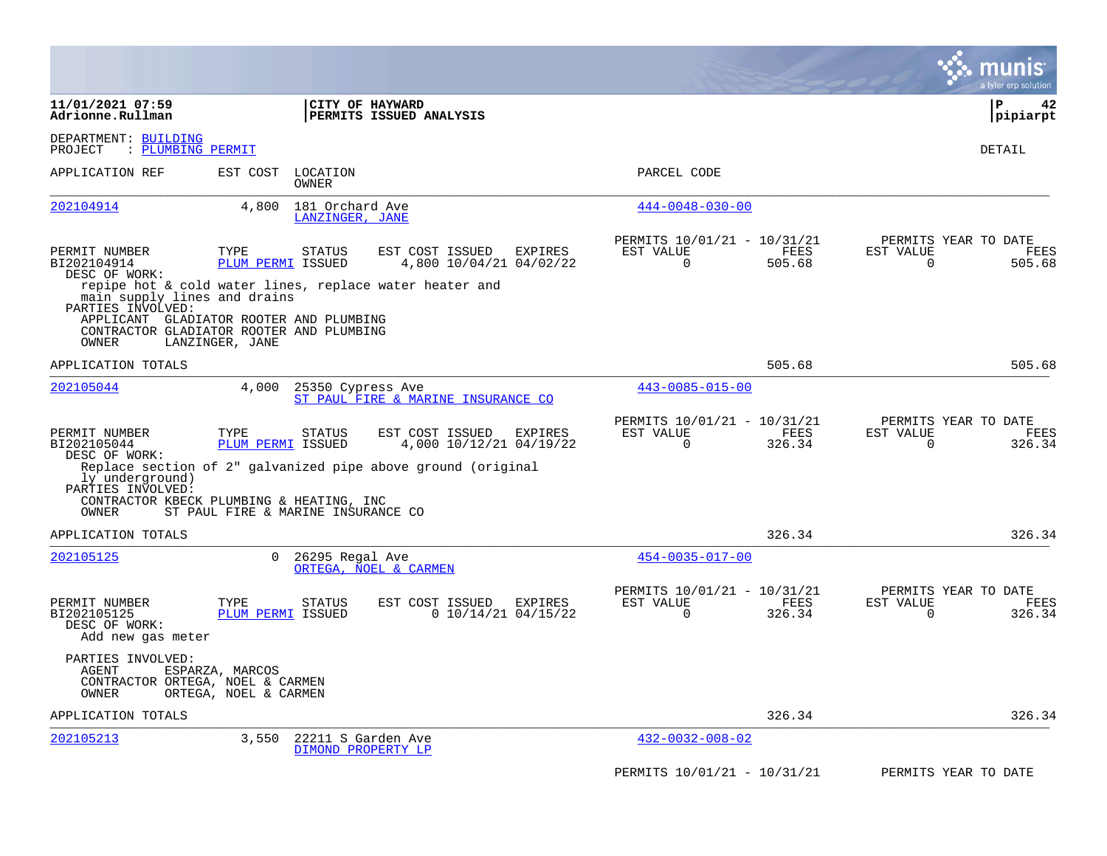|                                                                    |                                                                                                        |                                                              |                                                         |                | munis<br>a tyler erp solution                    |                |
|--------------------------------------------------------------------|--------------------------------------------------------------------------------------------------------|--------------------------------------------------------------|---------------------------------------------------------|----------------|--------------------------------------------------|----------------|
| 11/01/2021 07:59<br>Adrionne.Rullman                               |                                                                                                        | CITY OF HAYWARD<br><b>PERMITS ISSUED ANALYSIS</b>            |                                                         |                | l P<br> pipiarpt                                 | 42             |
| DEPARTMENT: BUILDING<br>: PLUMBING PERMIT<br>PROJECT               |                                                                                                        |                                                              |                                                         |                | DETAIL                                           |                |
| APPLICATION REF                                                    | EST COST<br>LOCATION<br>OWNER                                                                          |                                                              | PARCEL CODE                                             |                |                                                  |                |
| 202104914                                                          | 4,800<br>181 Orchard Ave<br>LANZINGER, JANE                                                            |                                                              | $444 - 0048 - 030 - 00$                                 |                |                                                  |                |
| PERMIT NUMBER<br>BI202104914<br>DESC OF WORK:                      | TYPE<br><b>STATUS</b><br>PLUM PERMI ISSUED<br>repipe hot & cold water lines, replace water heater and  | EST COST ISSUED<br>EXPIRES<br>4,800 10/04/21 04/02/22        | PERMITS 10/01/21 - 10/31/21<br>EST VALUE<br>0           | FEES<br>505.68 | PERMITS YEAR TO DATE<br>EST VALUE<br>$\Omega$    | FEES<br>505.68 |
| main supply lines and drains<br>PARTIES INVOLVED:<br>OWNER         | APPLICANT GLADIATOR ROOTER AND PLUMBING<br>CONTRACTOR GLADIATOR ROOTER AND PLUMBING<br>LANZINGER, JANE |                                                              |                                                         |                |                                                  |                |
| APPLICATION TOTALS                                                 |                                                                                                        |                                                              |                                                         | 505.68         |                                                  | 505.68         |
| 202105044                                                          | 4,000                                                                                                  | 25350 Cypress Ave<br>ST PAUL FIRE & MARINE INSURANCE CO      | $443 - 0085 - 015 - 00$                                 |                |                                                  |                |
| PERMIT NUMBER<br>BI202105044<br>DESC OF WORK:                      | TYPE<br><b>STATUS</b><br>PLUM PERMI ISSUED                                                             | EST COST ISSUED<br>EXPIRES<br>4,000 10/12/21 04/19/22        | PERMITS 10/01/21 - 10/31/21<br>EST VALUE<br>$\mathbf 0$ | FEES<br>326.34 | PERMITS YEAR TO DATE<br>EST VALUE<br>$\mathbf 0$ | FEES<br>326.34 |
| ly underground)<br>PARTIES INVOLVED:<br>OWNER                      | CONTRACTOR KBECK PLUMBING & HEATING, INC<br>ST PAUL FIRE & MARINE INSURANCE CO                         | Replace section of 2" galvanized pipe above ground (original |                                                         |                |                                                  |                |
| APPLICATION TOTALS                                                 |                                                                                                        |                                                              |                                                         | 326.34         |                                                  | 326.34         |
| 202105125                                                          | $\Omega$<br>26295 Regal Ave                                                                            | ORTEGA, NOEL & CARMEN                                        | $454 - 0035 - 017 - 00$                                 |                |                                                  |                |
| PERMIT NUMBER<br>BI202105125<br>DESC OF WORK:<br>Add new gas meter | TYPE<br><b>STATUS</b><br>PLUM PERMI ISSUED                                                             | EST COST ISSUED<br>EXPIRES<br>$0$ 10/14/21 04/15/22          | PERMITS 10/01/21 - 10/31/21<br>EST VALUE<br>0           | FEES<br>326.34 | PERMITS YEAR TO DATE<br>EST VALUE<br>0           | FEES<br>326.34 |
| PARTIES INVOLVED:<br>AGENT<br>OWNER                                | ESPARZA, MARCOS<br>CONTRACTOR ORTEGA, NOEL & CARMEN<br>ORTEGA, NOEL & CARMEN                           |                                                              |                                                         |                |                                                  |                |
| APPLICATION TOTALS                                                 |                                                                                                        |                                                              |                                                         | 326.34         |                                                  | 326.34         |
| 202105213                                                          | 3,550                                                                                                  | 22211 S Garden Ave<br>DIMOND PROPERTY LP                     | $432 - 0032 - 008 - 02$                                 |                |                                                  |                |
|                                                                    |                                                                                                        |                                                              | PERMITS 10/01/21 - 10/31/21                             |                | PERMITS YEAR TO DATE                             |                |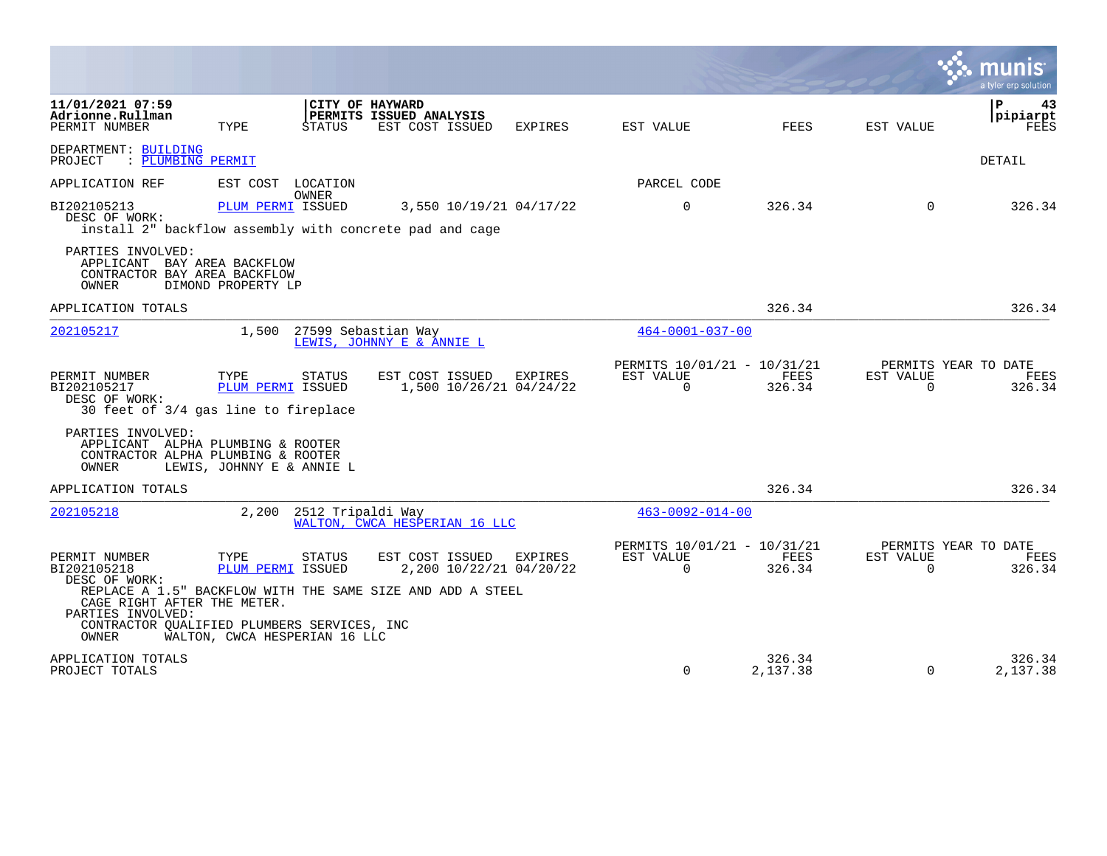|                                                                                                       |                               |                           |                                                                                                          |         |                                                      |                       |                          | a tyler erp solution                   |
|-------------------------------------------------------------------------------------------------------|-------------------------------|---------------------------|----------------------------------------------------------------------------------------------------------|---------|------------------------------------------------------|-----------------------|--------------------------|----------------------------------------|
| 11/01/2021 07:59<br>Adrionne.Rullman<br>PERMIT NUMBER                                                 | TYPE                          | CITY OF HAYWARD<br>STATUS | PERMITS ISSUED ANALYSIS<br>EST COST ISSUED                                                               | EXPIRES | EST VALUE                                            | FEES                  | EST VALUE                | ΙP<br>43<br>pipiarpt<br>FEES           |
| DEPARTMENT: BUILDING<br>PROJECT<br>: PLUMBING PERMIT                                                  |                               |                           |                                                                                                          |         |                                                      |                       |                          | DETAIL                                 |
| APPLICATION REF                                                                                       | EST COST LOCATION             |                           |                                                                                                          |         | PARCEL CODE                                          |                       |                          |                                        |
| BI202105213<br>DESC OF WORK:                                                                          | PLUM PERMI ISSUED             | <b>OWNER</b>              | 3,550 10/19/21 04/17/22<br>install 2" backflow assembly with concrete pad and cage                       |         | $\Omega$                                             | 326.34                | $\Omega$                 | 326.34                                 |
| PARTIES INVOLVED:<br>APPLICANT BAY AREA BACKFLOW<br>CONTRACTOR BAY AREA BACKFLOW<br>OWNER             | DIMOND PROPERTY LP            |                           |                                                                                                          |         |                                                      |                       |                          |                                        |
| APPLICATION TOTALS                                                                                    |                               |                           |                                                                                                          |         |                                                      | 326.34                |                          | 326.34                                 |
| 202105217                                                                                             |                               |                           | 1,500 27599 Sebastian Way<br>LEWIS, JOHNNY E & ANNIE L                                                   |         | $464 - 0001 - 037 - 00$                              |                       |                          |                                        |
| PERMIT NUMBER<br>BI202105217<br>DESC OF WORK:<br>30 feet of 3/4 gas line to fireplace                 | TYPE<br>PLUM PERMI ISSUED     | STATUS                    | EST COST ISSUED<br>1,500 10/26/21 04/24/22                                                               | EXPIRES | PERMITS 10/01/21 - 10/31/21<br>EST VALUE<br>$\Omega$ | <b>FEES</b><br>326.34 | EST VALUE<br>$\Omega$    | PERMITS YEAR TO DATE<br>FEES<br>326.34 |
| PARTIES INVOLVED:<br>APPLICANT ALPHA PLUMBING & ROOTER<br>CONTRACTOR ALPHA PLUMBING & ROOTER<br>OWNER | LEWIS, JOHNNY E & ANNIE L     |                           |                                                                                                          |         |                                                      |                       |                          |                                        |
| APPLICATION TOTALS                                                                                    |                               |                           |                                                                                                          |         |                                                      | 326.34                |                          | 326.34                                 |
| 202105218                                                                                             | 2,200                         | 2512 Tripaldi Way         | WALTON, CWCA HESPERIAN 16 LLC                                                                            |         | $463 - 0092 - 014 - 00$                              |                       |                          |                                        |
| PERMIT NUMBER<br>BI202105218<br>DESC OF WORK:<br>CAGE RIGHT AFTER THE METER.<br>PARTIES INVOLVED:     | TYPE<br>PLUM PERMI ISSUED     | <b>STATUS</b>             | EST COST ISSUED<br>2,200 10/22/21 04/20/22<br>REPLACE A 1.5" BACKFLOW WITH THE SAME SIZE AND ADD A STEEL | EXPIRES | PERMITS 10/01/21 - 10/31/21<br>EST VALUE<br>$\Omega$ | FEES<br>326.34        | EST VALUE<br>$\mathbf 0$ | PERMITS YEAR TO DATE<br>FEES<br>326.34 |
| CONTRACTOR QUALIFIED PLUMBERS SERVICES, INC<br>OWNER                                                  | WALTON, CWCA HESPERIAN 16 LLC |                           |                                                                                                          |         |                                                      |                       |                          |                                        |
| APPLICATION TOTALS<br>PROJECT TOTALS                                                                  |                               |                           |                                                                                                          |         | $\Omega$                                             | 326.34<br>2,137.38    | $\Omega$                 | 326.34<br>2,137.38                     |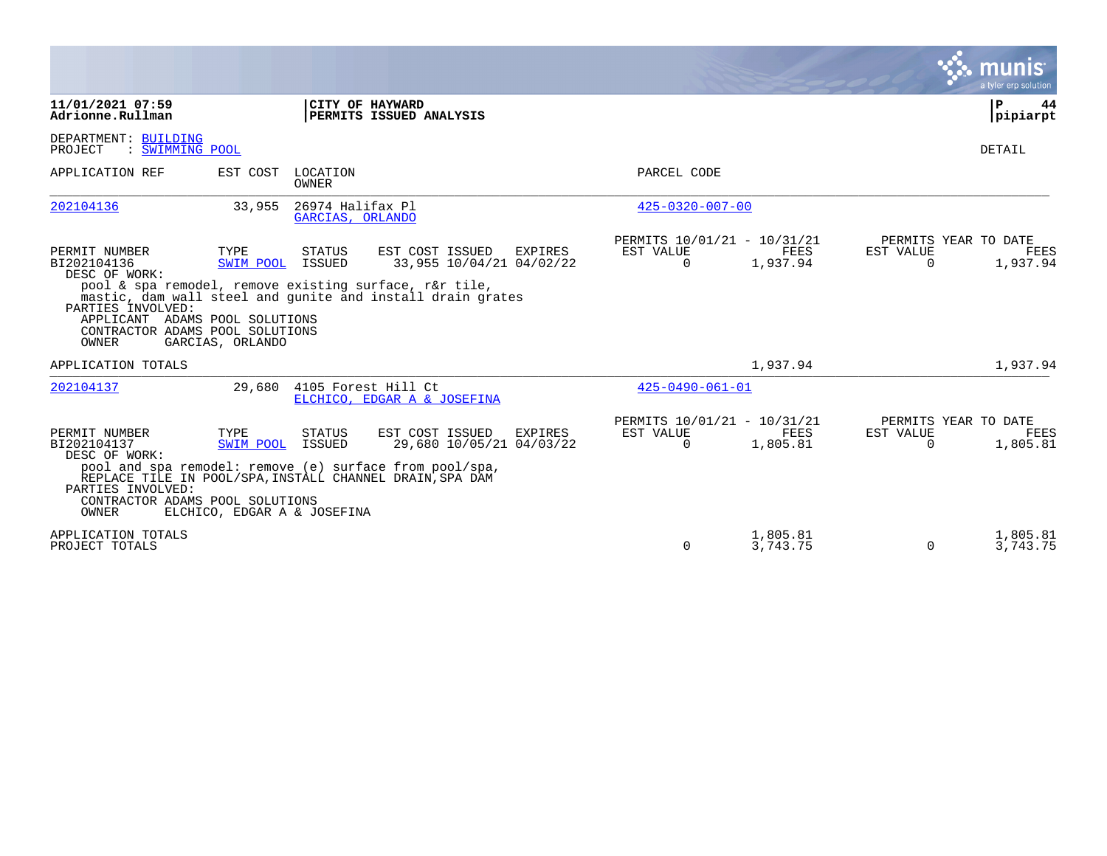|                                                                                                                                                  |                                                  |                                      |                                                                                                                                                                                       |                                                      |                         |                          | a tyler erp solution                            |
|--------------------------------------------------------------------------------------------------------------------------------------------------|--------------------------------------------------|--------------------------------------|---------------------------------------------------------------------------------------------------------------------------------------------------------------------------------------|------------------------------------------------------|-------------------------|--------------------------|-------------------------------------------------|
| 11/01/2021 07:59<br>Adrionne.Rullman                                                                                                             |                                                  |                                      | CITY OF HAYWARD<br>PERMITS ISSUED ANALYSIS                                                                                                                                            |                                                      |                         |                          | P<br>44<br> pipiarpt                            |
| DEPARTMENT: BUILDING<br>: SWIMMING POOL<br>PROJECT                                                                                               |                                                  |                                      |                                                                                                                                                                                       |                                                      |                         |                          | <b>DETAIL</b>                                   |
| APPLICATION REF                                                                                                                                  | EST COST LOCATION                                | OWNER                                |                                                                                                                                                                                       | PARCEL CODE                                          |                         |                          |                                                 |
| 202104136                                                                                                                                        | 33,955                                           | 26974 Halifax Pl<br>GARCIAS, ORLANDO |                                                                                                                                                                                       | $425 - 0320 - 007 - 00$                              |                         |                          |                                                 |
| PERMIT NUMBER<br>BI202104136<br>DESC OF WORK:<br>PARTIES INVOLVED:<br>APPLICANT ADAMS POOL SOLUTIONS<br>CONTRACTOR ADAMS POOL SOLUTIONS<br>OWNER | TYPE<br>SWIM POOL<br>GARCIAS, ORLANDO            | <b>STATUS</b><br>ISSUED              | EST COST ISSUED<br><b>EXPIRES</b><br>33,955 10/04/21 04/02/22<br>pool & spa remodel, remove existing surface, r&r tile,<br>mastic, dam wall steel and qunite and install drain grates | PERMITS 10/01/21 - 10/31/21<br>EST VALUE<br>$\Omega$ | FEES<br>1,937.94        | EST VALUE<br>$\mathbf 0$ | PERMITS YEAR TO DATE<br><b>FEES</b><br>1,937.94 |
| APPLICATION TOTALS                                                                                                                               |                                                  |                                      |                                                                                                                                                                                       |                                                      | 1,937.94                |                          | 1,937.94                                        |
| 202104137                                                                                                                                        | 29,680                                           |                                      | 4105 Forest Hill Ct<br>ELCHICO, EDGAR A & JOSEFINA                                                                                                                                    | $425 - 0490 - 061 - 01$                              |                         |                          |                                                 |
| PERMIT NUMBER<br>BI202104137<br>DESC OF WORK:<br>PARTIES INVOLVED:<br>CONTRACTOR ADAMS POOL SOLUTIONS<br>OWNER                                   | TYPE<br>SWIM POOL<br>ELCHICO, EDGAR A & JOSEFINA | STATUS<br>ISSUED                     | EST COST ISSUED<br><b>EXPIRES</b><br>29,680 10/05/21 04/03/22<br>pool and spa remodel: remove (e) surface from pool/spa,<br>REPLACE TILE IN POOL/SPA, INSTALL CHANNEL DRAIN, SPA DAM  | PERMITS 10/01/21 - 10/31/21<br>EST VALUE<br>$\Omega$ | <b>FEES</b><br>1,805.81 | EST VALUE<br>$\Omega$    | PERMITS YEAR TO DATE<br>FEES<br>1,805.81        |
| APPLICATION TOTALS<br>PROJECT TOTALS                                                                                                             |                                                  |                                      |                                                                                                                                                                                       | $\Omega$                                             | 1,805.81<br>3,743.75    | $\Omega$                 | 1,805.81<br>3,743.75                            |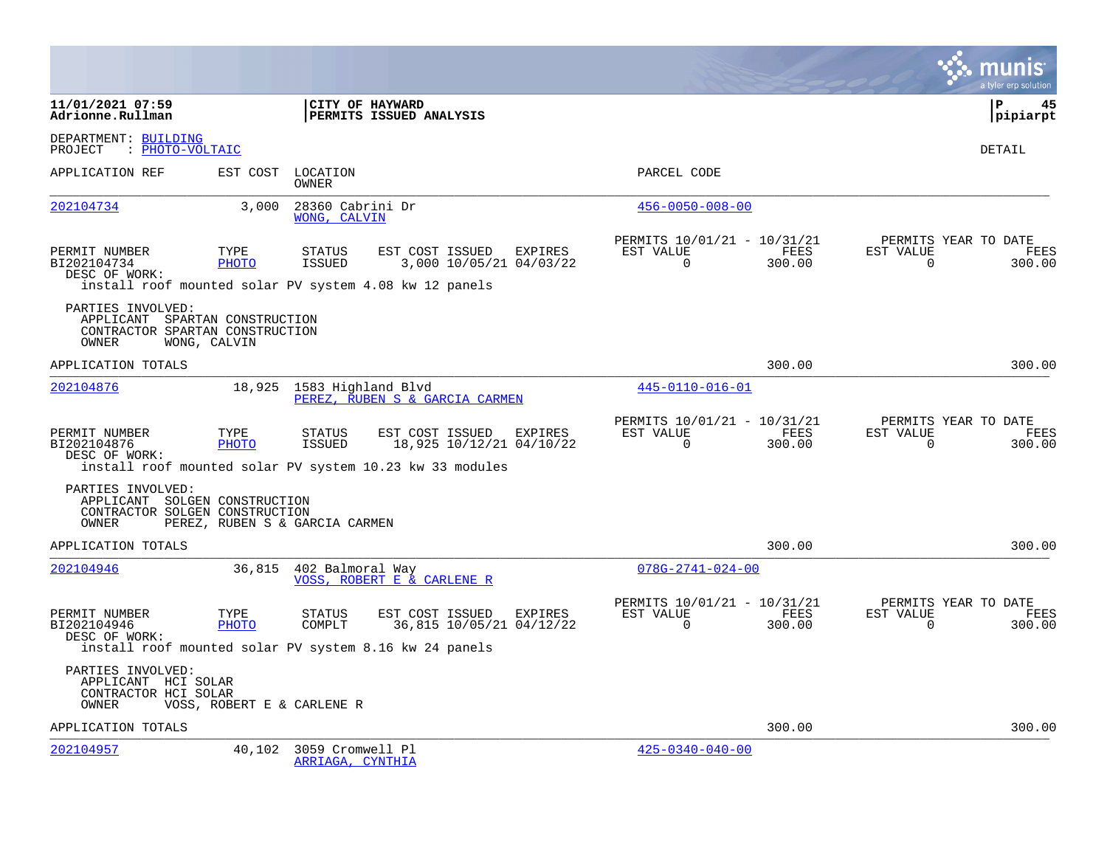|                                                                                                 |                            |                                                                                                                                               |                                                                        | a tyler erp solution                                            |
|-------------------------------------------------------------------------------------------------|----------------------------|-----------------------------------------------------------------------------------------------------------------------------------------------|------------------------------------------------------------------------|-----------------------------------------------------------------|
| 11/01/2021 07:59<br>Adrionne.Rullman                                                            |                            | <b>CITY OF HAYWARD</b><br>PERMITS ISSUED ANALYSIS                                                                                             |                                                                        | l P<br>45<br> pipiarpt                                          |
| DEPARTMENT: BUILDING<br>: PHOTO-VOLTAIC<br>PROJECT                                              |                            |                                                                                                                                               |                                                                        | <b>DETAIL</b>                                                   |
| APPLICATION REF                                                                                 | EST COST                   | LOCATION<br>OWNER                                                                                                                             | PARCEL CODE                                                            |                                                                 |
| 202104734                                                                                       | 3,000                      | 28360 Cabrini Dr<br>WONG, CALVIN                                                                                                              | $456 - 0050 - 008 - 00$                                                |                                                                 |
| PERMIT NUMBER<br>BI202104734<br>DESC OF WORK:                                                   | TYPE<br>PHOTO              | STATUS<br>EST COST ISSUED EXPIRES<br>3,000 10/05/21 04/03/22<br>ISSUED<br>install roof mounted solar PV system 4.08 kw 12 panels              | PERMITS 10/01/21 - 10/31/21<br>FEES<br>EST VALUE<br>$\Omega$<br>300.00 | PERMITS YEAR TO DATE<br>EST VALUE<br>FEES<br>$\Omega$<br>300.00 |
| PARTIES INVOLVED:<br>APPLICANT SPARTAN CONSTRUCTION<br>CONTRACTOR SPARTAN CONSTRUCTION<br>OWNER | WONG, CALVIN               |                                                                                                                                               |                                                                        |                                                                 |
| APPLICATION TOTALS                                                                              |                            |                                                                                                                                               | 300.00                                                                 | 300.00                                                          |
| 202104876                                                                                       |                            | 18,925 1583 Highland Blvd<br>PEREZ, RUBEN S & GARCIA CARMEN                                                                                   | 445-0110-016-01                                                        |                                                                 |
| PERMIT NUMBER<br>BI202104876<br>DESC OF WORK:                                                   | TYPE<br>PHOTO              | STATUS<br>EST COST ISSUED<br>EXPIRES<br><b>ISSUED</b><br>18,925 10/12/21 04/10/22<br>install roof mounted solar PV system 10.23 kw 33 modules | PERMITS 10/01/21 - 10/31/21<br>FEES<br>EST VALUE<br>$\Omega$<br>300.00 | PERMITS YEAR TO DATE<br>EST VALUE<br>FEES<br>$\Omega$<br>300.00 |
| PARTIES INVOLVED:<br>APPLICANT SOLGEN CONSTRUCTION<br>CONTRACTOR SOLGEN CONSTRUCTION<br>OWNER   |                            | PEREZ, RUBEN S & GARCIA CARMEN                                                                                                                |                                                                        |                                                                 |
| APPLICATION TOTALS                                                                              |                            |                                                                                                                                               | 300.00                                                                 | 300.00                                                          |
| 202104946                                                                                       |                            | 36,815 402 Balmoral Way<br>VOSS, ROBERT E & CARLENE R                                                                                         | $078G - 2741 - 024 - 00$                                               |                                                                 |
| PERMIT NUMBER<br>BI202104946<br>DESC OF WORK:                                                   | TYPE<br>PHOTO              | <b>STATUS</b><br>EST COST ISSUED<br>EXPIRES<br>36,815 10/05/21 04/12/22<br>COMPLT<br>install roof mounted solar PV system 8.16 kw 24 panels   | PERMITS 10/01/21 - 10/31/21<br>EST VALUE<br>FEES<br>300.00<br>$\Omega$ | PERMITS YEAR TO DATE<br>EST VALUE<br>FEES<br>300.00<br>$\Omega$ |
| PARTIES INVOLVED:<br>APPLICANT HCI SOLAR<br>CONTRACTOR HCI SOLAR<br>OWNER                       | VOSS, ROBERT E & CARLENE R |                                                                                                                                               |                                                                        |                                                                 |
| APPLICATION TOTALS                                                                              |                            |                                                                                                                                               | 300.00                                                                 | 300.00                                                          |
| 202104957                                                                                       | 40,102                     | 3059 Cromwell Pl<br>ARRIAGA, CYNTHIA                                                                                                          | $425 - 0340 - 040 - 00$                                                |                                                                 |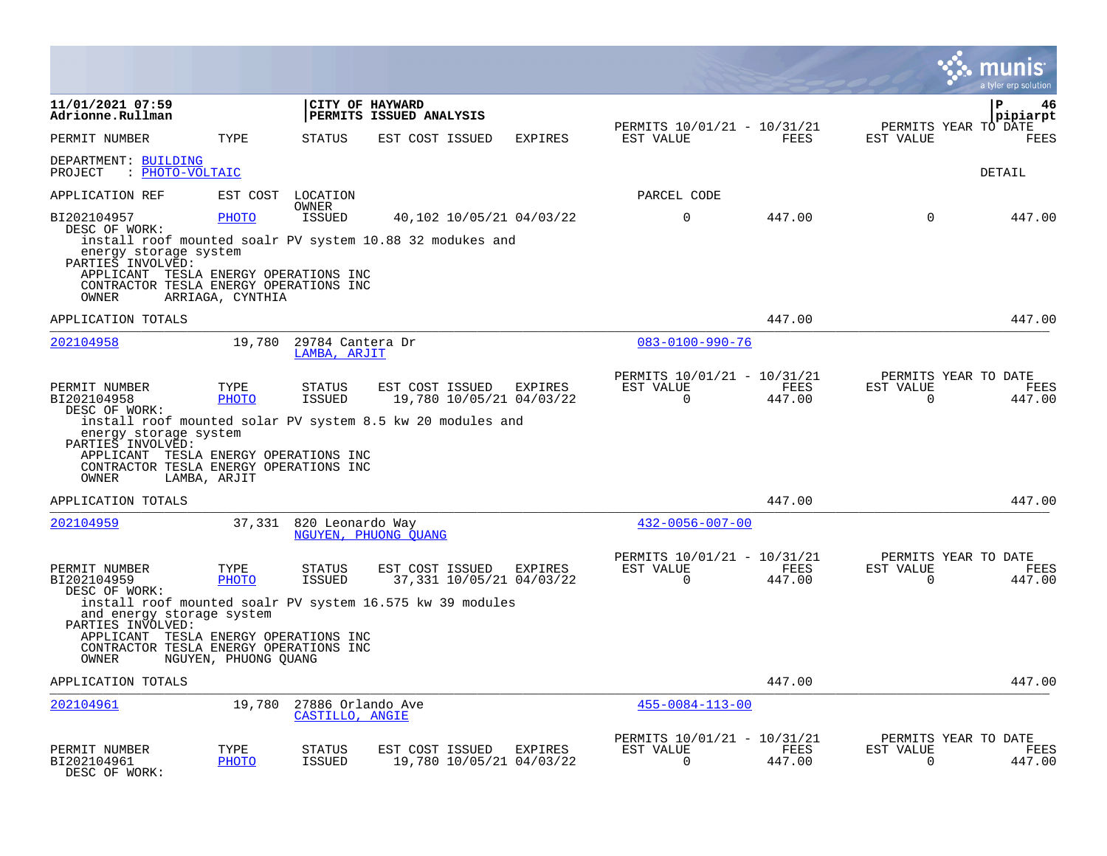|                                                                                                                     |                      |                                      |                                                                                                           |         |                                                         |                |                          | a tyler erp solution                   |
|---------------------------------------------------------------------------------------------------------------------|----------------------|--------------------------------------|-----------------------------------------------------------------------------------------------------------|---------|---------------------------------------------------------|----------------|--------------------------|----------------------------------------|
| 11/01/2021 07:59<br>Adrionne.Rullman                                                                                |                      |                                      | CITY OF HAYWARD<br>PERMITS ISSUED ANALYSIS                                                                |         |                                                         |                |                          | $\mathbf{P}$<br>46<br>pipiarpt         |
| PERMIT NUMBER                                                                                                       | TYPE                 | STATUS                               | EST COST ISSUED                                                                                           | EXPIRES | PERMITS 10/01/21 - 10/31/21<br>EST VALUE                | FEES           | EST VALUE                | PERMITS YEAR TO DATE<br><b>FEES</b>    |
| DEPARTMENT: BUILDING<br>: PHOTO-VOLTAIC<br>PROJECT                                                                  |                      |                                      |                                                                                                           |         |                                                         |                |                          | DETAIL                                 |
| APPLICATION REF                                                                                                     |                      | EST COST LOCATION<br>OWNER           |                                                                                                           |         | PARCEL CODE                                             |                |                          |                                        |
| BI202104957<br>DESC OF WORK:<br>energy storage system<br>PARTIES INVOLVED:<br>APPLICANT TESLA ENERGY OPERATIONS INC | <b>PHOTO</b>         | <b>ISSUED</b>                        | 40,102 10/05/21 04/03/22<br>install roof mounted soalr PV system 10.88 32 modukes and                     |         | $\Omega$                                                | 447.00         | $\Omega$                 | 447.00                                 |
| CONTRACTOR TESLA ENERGY OPERATIONS INC<br>OWNER                                                                     | ARRIAGA, CYNTHIA     |                                      |                                                                                                           |         |                                                         |                |                          |                                        |
| APPLICATION TOTALS                                                                                                  |                      |                                      |                                                                                                           |         |                                                         | 447.00         |                          | 447.00                                 |
| 202104958                                                                                                           | 19,780               | 29784 Cantera Dr<br>LAMBA, ARJIT     |                                                                                                           |         | $083 - 0100 - 990 - 76$                                 |                |                          |                                        |
| PERMIT NUMBER<br>BI202104958<br>DESC OF WORK:<br>energy storage system<br>PARTIES INVOLVED:                         | TYPE<br><b>PHOTO</b> | <b>STATUS</b><br><b>ISSUED</b>       | EST COST ISSUED<br>19,780 10/05/21 04/03/22<br>install roof mounted solar PV system 8.5 kw 20 modules and | EXPIRES | PERMITS 10/01/21 - 10/31/21<br>EST VALUE<br>$\Omega$    | FEES<br>447.00 | EST VALUE<br>$\Omega$    | PERMITS YEAR TO DATE<br>FEES<br>447.00 |
| APPLICANT TESLA ENERGY OPERATIONS INC<br>CONTRACTOR TESLA ENERGY OPERATIONS INC<br>OWNER                            | LAMBA, ARJIT         |                                      |                                                                                                           |         |                                                         |                |                          |                                        |
| APPLICATION TOTALS                                                                                                  |                      |                                      |                                                                                                           |         |                                                         | 447.00         |                          | 447.00                                 |
| 202104959                                                                                                           | 37,331               | 820 Leonardo Way                     | NGUYEN, PHUONG OUANG                                                                                      |         | $432 - 0056 - 007 - 00$                                 |                |                          |                                        |
| PERMIT NUMBER<br>BI202104959<br>DESC OF WORK:                                                                       | TYPE<br>PHOTO        | STATUS<br><b>ISSUED</b>              | EST COST ISSUED EXPIRES<br>37,331 10/05/21 04/03/22                                                       |         | PERMITS 10/01/21 - 10/31/21<br>EST VALUE<br>$\mathbf 0$ | FEES<br>447.00 | EST VALUE<br>$\mathbf 0$ | PERMITS YEAR TO DATE<br>FEES<br>447.00 |
| and energy storage system<br>PARTIES INVOLVED:                                                                      |                      |                                      | install roof mounted soalr PV system 16.575 kw 39 modules                                                 |         |                                                         |                |                          |                                        |
| APPLICANT TESLA ENERGY OPERATIONS INC<br>CONTRACTOR TESLA ENERGY OPERATIONS INC<br>OWNER                            | NGUYEN, PHUONG OUANG |                                      |                                                                                                           |         |                                                         |                |                          |                                        |
| APPLICATION TOTALS                                                                                                  |                      |                                      |                                                                                                           |         |                                                         | 447.00         |                          | 447.00                                 |
| 202104961                                                                                                           | 19,780               | 27886 Orlando Ave<br>CASTILLO, ANGIE |                                                                                                           |         | $455 - 0084 - 113 - 00$                                 |                |                          |                                        |
| PERMIT NUMBER<br>BI202104961<br>DESC OF WORK:                                                                       | TYPE<br><b>PHOTO</b> | STATUS<br><b>ISSUED</b>              | EST COST ISSUED EXPIRES<br>19,780 10/05/21 04/03/22                                                       |         | PERMITS 10/01/21 - 10/31/21<br>EST VALUE<br>$\Omega$    | FEES<br>447.00 | EST VALUE<br>$\Omega$    | PERMITS YEAR TO DATE<br>FEES<br>447.00 |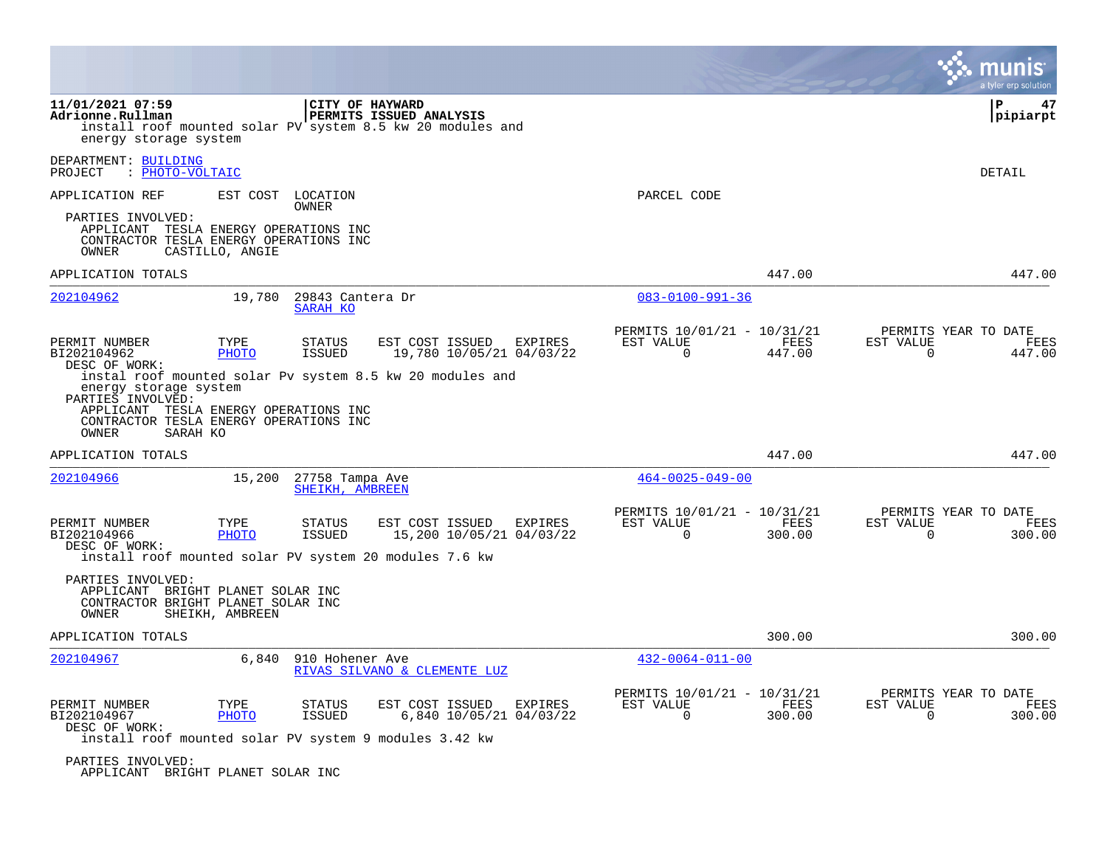|                                                                                                                                                                                |                      |                                    |                                                                                                          |         |                                                      |                |                       | a tyler erp solution                   |
|--------------------------------------------------------------------------------------------------------------------------------------------------------------------------------|----------------------|------------------------------------|----------------------------------------------------------------------------------------------------------|---------|------------------------------------------------------|----------------|-----------------------|----------------------------------------|
| 11/01/2021 07:59<br>Adrionne.Rullman<br>energy storage system                                                                                                                  |                      | CITY OF HAYWARD                    | <b>PERMITS ISSUED ANALYSIS</b><br>install roof mounted solar PV system 8.5 kw 20 modules and             |         |                                                      |                |                       | P<br>47<br> pipiarpt                   |
| DEPARTMENT: BUILDING<br>: PHOTO-VOLTAIC<br>PROJECT                                                                                                                             |                      |                                    |                                                                                                          |         |                                                      |                |                       | DETAIL                                 |
| APPLICATION REF                                                                                                                                                                |                      | EST COST LOCATION                  |                                                                                                          |         | PARCEL CODE                                          |                |                       |                                        |
| PARTIES INVOLVED:<br>APPLICANT TESLA ENERGY OPERATIONS INC<br>CONTRACTOR TESLA ENERGY OPERATIONS INC<br>OWNER                                                                  | CASTILLO, ANGIE      | OWNER                              |                                                                                                          |         |                                                      |                |                       |                                        |
| APPLICATION TOTALS                                                                                                                                                             |                      |                                    |                                                                                                          |         |                                                      | 447.00         |                       | 447.00                                 |
| 202104962                                                                                                                                                                      | 19,780               | 29843 Cantera Dr<br>SARAH KO       |                                                                                                          |         | $083 - 0100 - 991 - 36$                              |                |                       |                                        |
| PERMIT NUMBER<br>BI202104962<br>DESC OF WORK:<br>energy storage system<br>PARTIES INVOLVED:<br>APPLICANT TESLA ENERGY OPERATIONS INC<br>CONTRACTOR TESLA ENERGY OPERATIONS INC | TYPE<br>PHOTO        | <b>STATUS</b><br><b>ISSUED</b>     | EST COST ISSUED<br>19,780 10/05/21 04/03/22<br>instal roof mounted solar Pv system 8.5 kw 20 modules and | EXPIRES | PERMITS 10/01/21 - 10/31/21<br>EST VALUE<br>$\Omega$ | FEES<br>447.00 | EST VALUE<br>$\Omega$ | PERMITS YEAR TO DATE<br>FEES<br>447.00 |
| OWNER<br>APPLICATION TOTALS                                                                                                                                                    | SARAH KO             |                                    |                                                                                                          |         |                                                      | 447.00         |                       | 447.00                                 |
| 202104966                                                                                                                                                                      | 15,200               | 27758 Tampa Ave<br>SHEIKH, AMBREEN |                                                                                                          |         | $464 - 0025 - 049 - 00$                              |                |                       |                                        |
| PERMIT NUMBER<br>BI202104966<br>DESC OF WORK:                                                                                                                                  | TYPE<br>PHOTO        | <b>STATUS</b><br><b>ISSUED</b>     | EST COST ISSUED<br>15,200 10/05/21 04/03/22<br>install roof mounted solar PV system 20 modules 7.6 kw    | EXPIRES | PERMITS 10/01/21 - 10/31/21<br>EST VALUE<br>$\Omega$ | FEES<br>300.00 | EST VALUE<br>$\Omega$ | PERMITS YEAR TO DATE<br>FEES<br>300.00 |
| PARTIES INVOLVED:<br>APPLICANT BRIGHT PLANET SOLAR INC<br>CONTRACTOR BRIGHT PLANET SOLAR INC<br>OWNER                                                                          | SHEIKH, AMBREEN      |                                    |                                                                                                          |         |                                                      |                |                       |                                        |
| APPLICATION TOTALS                                                                                                                                                             |                      |                                    |                                                                                                          |         |                                                      | 300.00         |                       | 300.00                                 |
| 202104967                                                                                                                                                                      | 6,840                | 910 Hohener Ave                    | RIVAS SILVANO & CLEMENTE LUZ                                                                             |         | $432 - 0064 - 011 - 00$                              |                |                       |                                        |
| PERMIT NUMBER<br>BI202104967<br>DESC OF WORK:                                                                                                                                  | TYPE<br><b>PHOTO</b> | STATUS<br><b>ISSUED</b>            | EST COST ISSUED<br>6,840 10/05/21 04/03/22<br>install roof mounted solar PV system 9 modules 3.42 kw     | EXPIRES | PERMITS 10/01/21 - 10/31/21<br>EST VALUE<br>$\Omega$ | FEES<br>300.00 | EST VALUE<br>$\Omega$ | PERMITS YEAR TO DATE<br>FEES<br>300.00 |
| PARTIES INVOLVED:                                                                                                                                                              |                      |                                    |                                                                                                          |         |                                                      |                |                       |                                        |

APPLICANT BRIGHT PLANET SOLAR INC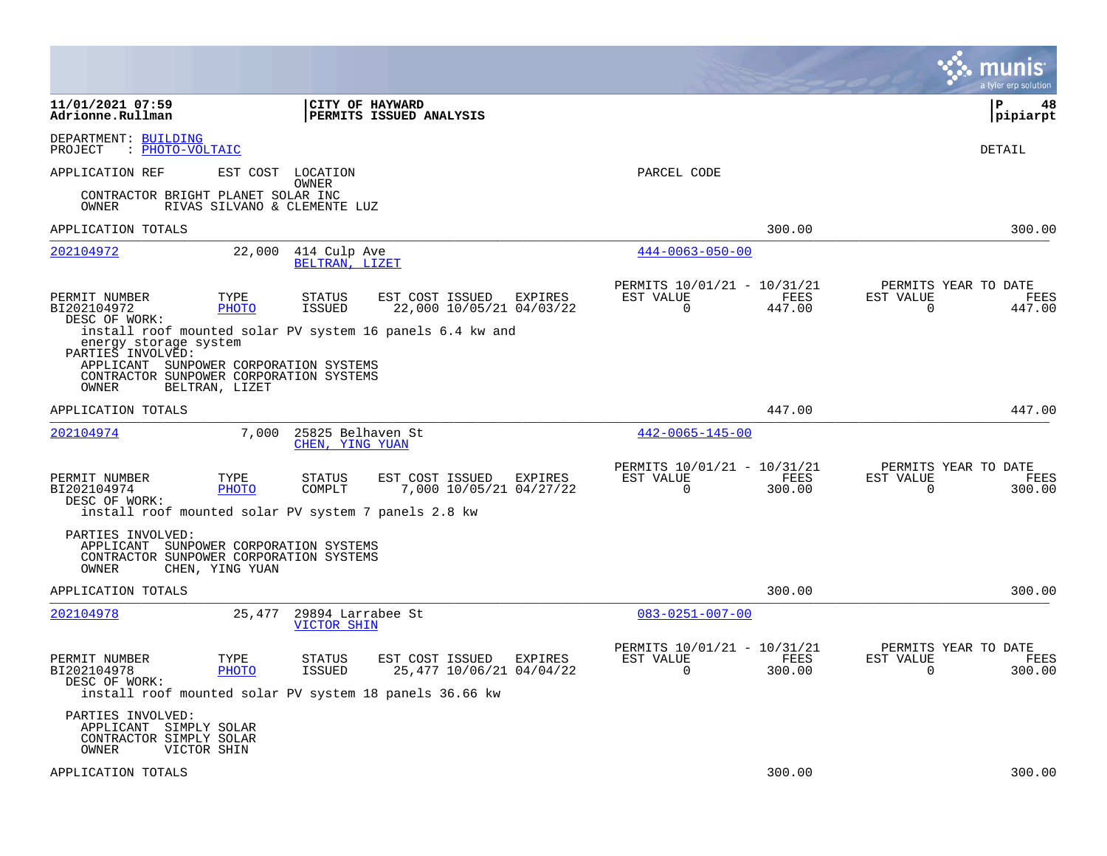|                                                                                                                                          |                              |                                      |                                                           |         |                                                            |                | munis<br>a tyler erp solution                                      |
|------------------------------------------------------------------------------------------------------------------------------------------|------------------------------|--------------------------------------|-----------------------------------------------------------|---------|------------------------------------------------------------|----------------|--------------------------------------------------------------------|
| 11/01/2021 07:59<br>Adrionne.Rullman                                                                                                     |                              | CITY OF HAYWARD                      | PERMITS ISSUED ANALYSIS                                   |         |                                                            |                | ∣P<br>48<br> pipiarpt                                              |
| DEPARTMENT: BUILDING<br>: PHOTO-VOLTAIC<br>PROJECT                                                                                       |                              |                                      |                                                           |         |                                                            |                | DETAIL                                                             |
| APPLICATION REF                                                                                                                          | EST COST LOCATION            | OWNER                                |                                                           |         | PARCEL CODE                                                |                |                                                                    |
| CONTRACTOR BRIGHT PLANET SOLAR INC<br>OWNER                                                                                              | RIVAS SILVANO & CLEMENTE LUZ |                                      |                                                           |         |                                                            |                |                                                                    |
| APPLICATION TOTALS                                                                                                                       |                              |                                      |                                                           |         |                                                            | 300.00         | 300.00                                                             |
| 202104972                                                                                                                                | 22,000                       | 414 Culp Ave<br>BELTRAN, LIZET       |                                                           |         | $444 - 0063 - 050 - 00$                                    |                |                                                                    |
| PERMIT NUMBER<br>BI202104972<br>DESC OF WORK:                                                                                            | TYPE<br>PHOTO                | STATUS<br><b>ISSUED</b>              | EST COST ISSUED<br>22,000 10/05/21 04/03/22               | EXPIRES | PERMITS 10/01/21 - 10/31/21<br>EST VALUE<br>0              | FEES<br>447.00 | PERMITS YEAR TO DATE<br>EST VALUE<br>FEES<br>0<br>447.00           |
| energy storage system<br>PARTIES INVOLVED:<br>APPLICANT SUNPOWER CORPORATION SYSTEMS<br>CONTRACTOR SUNPOWER CORPORATION SYSTEMS<br>OWNER | BELTRAN, LIZET               |                                      | install roof mounted solar PV system 16 panels 6.4 kw and |         |                                                            |                |                                                                    |
| APPLICATION TOTALS                                                                                                                       |                              |                                      |                                                           |         |                                                            | 447.00         | 447.00                                                             |
| 202104974                                                                                                                                | 7,000                        | 25825 Belhaven St<br>CHEN, YING YUAN |                                                           |         | $442 - 0065 - 145 - 00$                                    |                |                                                                    |
| PERMIT NUMBER<br>BI202104974<br>DESC OF WORK:<br>install roof mounted solar PV system 7 panels 2.8 kw                                    | TYPE<br>PHOTO                | <b>STATUS</b><br>COMPLT              | EST COST ISSUED<br>7,000 10/05/21 04/27/22                | EXPIRES | PERMITS 10/01/21 - 10/31/21<br>EST VALUE<br>$\overline{0}$ | FEES<br>300.00 | PERMITS YEAR TO DATE<br>EST VALUE<br>FEES<br>$\mathbf 0$<br>300.00 |
| PARTIES INVOLVED:<br>APPLICANT SUNPOWER CORPORATION SYSTEMS<br>CONTRACTOR SUNPOWER CORPORATION SYSTEMS<br>OWNER                          | CHEN, YING YUAN              |                                      |                                                           |         |                                                            |                |                                                                    |
| APPLICATION TOTALS                                                                                                                       |                              |                                      |                                                           |         |                                                            | 300.00         | 300.00                                                             |
| 202104978                                                                                                                                | 25,477                       | 29894 Larrabee St<br>VICTOR SHIN     |                                                           |         | $083 - 0251 - 007 - 00$                                    |                |                                                                    |
| PERMIT NUMBER<br>BI202104978<br>DESC OF WORK:<br>install roof mounted solar PV system 18 panels 36.66 kw                                 | TYPE<br><b>PHOTO</b>         | <b>STATUS</b><br>ISSUED              | EST COST ISSUED<br>25,477 10/06/21 04/04/22               | EXPIRES | PERMITS 10/01/21 - 10/31/21<br>EST VALUE<br>$\Omega$       | FEES<br>300.00 | PERMITS YEAR TO DATE<br>EST VALUE<br>FEES<br>0<br>300.00           |
| PARTIES INVOLVED:<br>APPLICANT SIMPLY SOLAR<br>CONTRACTOR SIMPLY SOLAR<br>OWNER                                                          | VICTOR SHIN                  |                                      |                                                           |         |                                                            |                |                                                                    |
| APPLICATION TOTALS                                                                                                                       |                              |                                      |                                                           |         |                                                            | 300.00         | 300.00                                                             |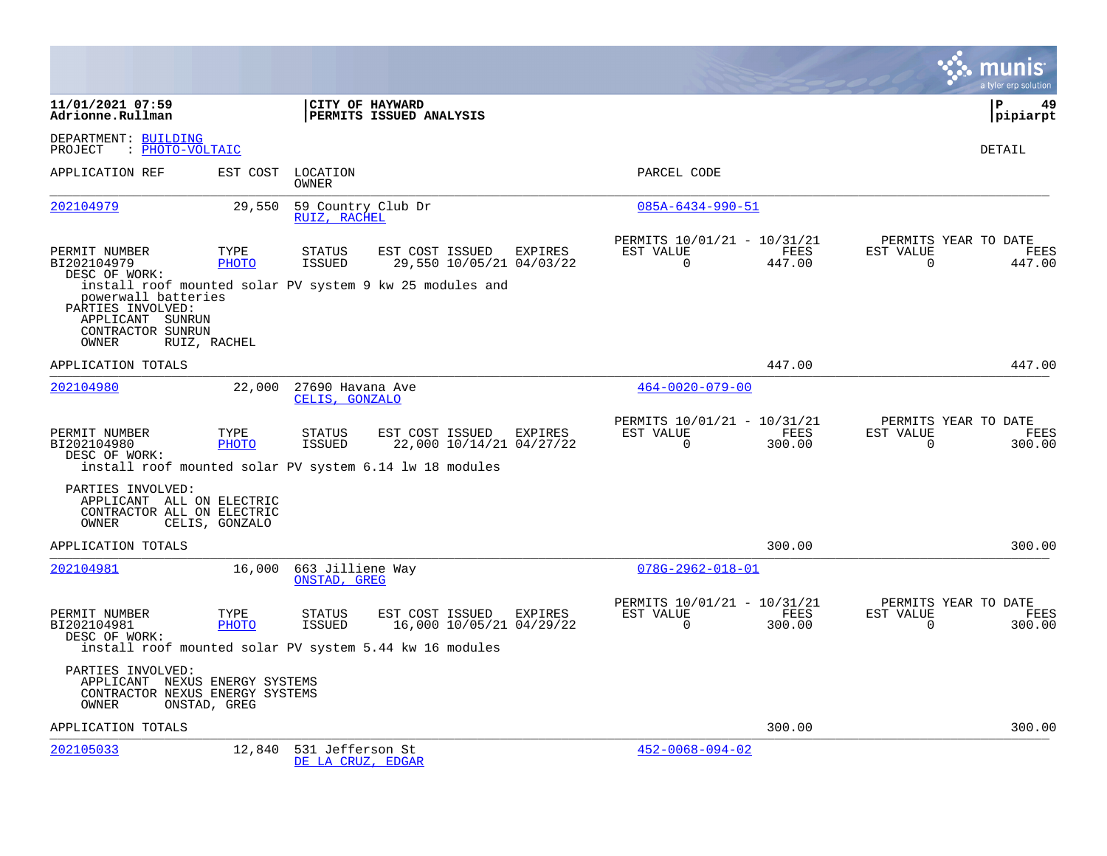|                                                                                                 |                      |                                                                                                              |                                     |                                                      |                       |                       | munis<br>a tyler erp solution          |
|-------------------------------------------------------------------------------------------------|----------------------|--------------------------------------------------------------------------------------------------------------|-------------------------------------|------------------------------------------------------|-----------------------|-----------------------|----------------------------------------|
| 11/01/2021 07:59<br>Adrionne.Rullman                                                            |                      | CITY OF HAYWARD<br>PERMITS ISSUED ANALYSIS                                                                   |                                     |                                                      |                       |                       | l P<br>49<br> pipiarpt                 |
| DEPARTMENT: BUILDING<br>PROJECT<br>: PHOTO-VOLTAIC                                              |                      |                                                                                                              |                                     |                                                      |                       |                       | DETAIL                                 |
| APPLICATION REF                                                                                 | EST COST             | LOCATION<br>OWNER                                                                                            |                                     | PARCEL CODE                                          |                       |                       |                                        |
| 202104979                                                                                       | 29,550               | 59 Country Club Dr<br>RUIZ, RACHEL                                                                           |                                     | $085A - 6434 - 990 - 51$                             |                       |                       |                                        |
| PERMIT NUMBER<br>BI202104979<br>DESC OF WORK:                                                   | TYPE<br>PHOTO        | <b>STATUS</b><br>EST COST ISSUED<br>ISSUED<br>install roof mounted solar PV system 9 kw 25 modules and       | EXPIRES<br>29,550 10/05/21 04/03/22 | PERMITS 10/01/21 - 10/31/21<br>EST VALUE<br>$\Omega$ | FEES<br>447.00        | EST VALUE<br>$\Omega$ | PERMITS YEAR TO DATE<br>FEES<br>447.00 |
| powerwall batteries<br>PARTIES INVOLVED:<br>APPLICANT SUNRUN<br>CONTRACTOR SUNRUN<br>OWNER      | RUIZ, RACHEL         |                                                                                                              |                                     |                                                      |                       |                       |                                        |
| APPLICATION TOTALS                                                                              |                      |                                                                                                              |                                     |                                                      | 447.00                |                       | 447.00                                 |
| 202104980                                                                                       | 22,000               | 27690 Havana Ave<br>CELIS, GONZALO                                                                           |                                     | $464 - 0020 - 079 - 00$                              |                       |                       |                                        |
| PERMIT NUMBER<br>BI202104980<br>DESC OF WORK:                                                   | TYPE<br><b>PHOTO</b> | <b>STATUS</b><br>EST COST ISSUED<br><b>ISSUED</b><br>install roof mounted solar PV system 6.14 lw 18 modules | EXPIRES<br>22,000 10/14/21 04/27/22 | PERMITS 10/01/21 - 10/31/21<br>EST VALUE<br>$\Omega$ | <b>FEES</b><br>300.00 | EST VALUE<br>$\Omega$ | PERMITS YEAR TO DATE<br>FEES<br>300.00 |
| PARTIES INVOLVED:<br>APPLICANT ALL ON ELECTRIC<br>CONTRACTOR ALL ON ELECTRIC<br>OWNER           | CELIS, GONZALO       |                                                                                                              |                                     |                                                      |                       |                       |                                        |
| APPLICATION TOTALS                                                                              |                      |                                                                                                              |                                     |                                                      | 300.00                |                       | 300.00                                 |
| 202104981                                                                                       | 16,000               | 663 Jilliene Way<br>ONSTAD, GREG                                                                             |                                     | $078G - 2962 - 018 - 01$                             |                       |                       |                                        |
| PERMIT NUMBER<br>BI202104981<br>DESC OF WORK:                                                   | TYPE<br>PHOTO        | <b>STATUS</b><br>EST COST ISSUED<br>ISSUED<br>install roof mounted solar PV system 5.44 kw 16 modules        | EXPIRES<br>16,000 10/05/21 04/29/22 | PERMITS 10/01/21 - 10/31/21<br>EST VALUE<br>$\Omega$ | FEES<br>300.00        | EST VALUE<br>$\Omega$ | PERMITS YEAR TO DATE<br>FEES<br>300.00 |
| PARTIES INVOLVED:<br>APPLICANT NEXUS ENERGY SYSTEMS<br>CONTRACTOR NEXUS ENERGY SYSTEMS<br>OWNER | ONSTAD, GREG         |                                                                                                              |                                     |                                                      |                       |                       |                                        |
| APPLICATION TOTALS                                                                              |                      |                                                                                                              |                                     |                                                      | 300.00                |                       | 300.00                                 |
| 202105033                                                                                       | 12,840               | 531 Jefferson St<br>DE LA CRUZ, EDGAR                                                                        |                                     | $452 - 0068 - 094 - 02$                              |                       |                       |                                        |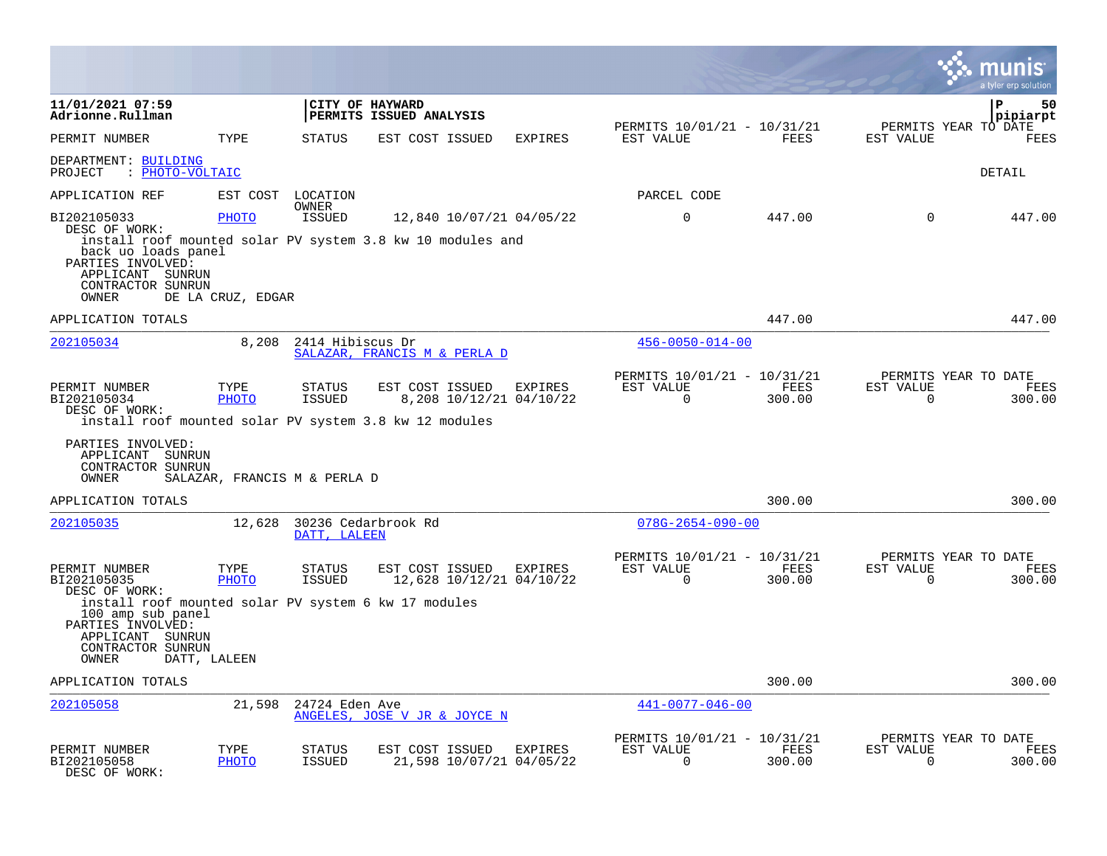|                                                                                                                                                                                          |                                   |                                |                                             |                                    |                                                      |                |                       | a tyler erp solution                   |
|------------------------------------------------------------------------------------------------------------------------------------------------------------------------------------------|-----------------------------------|--------------------------------|---------------------------------------------|------------------------------------|------------------------------------------------------|----------------|-----------------------|----------------------------------------|
| 11/01/2021 07:59<br>Adrionne.Rullman                                                                                                                                                     |                                   |                                | CITY OF HAYWARD<br>PERMITS ISSUED ANALYSIS  |                                    |                                                      |                |                       | P<br>50<br>pipiarpt                    |
| PERMIT NUMBER                                                                                                                                                                            | TYPE                              | <b>STATUS</b>                  | EST COST ISSUED                             | <b>EXPIRES</b>                     | PERMITS 10/01/21 - 10/31/21<br>EST VALUE             | FEES           | EST VALUE             | PERMITS YEAR TO DATE<br>FEES           |
| DEPARTMENT: BUILDING<br>: PHOTO-VOLTAIC<br>PROJECT                                                                                                                                       |                                   |                                |                                             |                                    |                                                      |                |                       | DETAIL                                 |
| APPLICATION REF                                                                                                                                                                          | EST COST                          | LOCATION<br><b>OWNER</b>       |                                             |                                    | PARCEL CODE                                          |                |                       |                                        |
| BI202105033<br>DESC OF WORK:<br>install roof mounted solar PV system 3.8 kw 10 modules and<br>back uo loads panel<br>PARTIES INVOLVED:<br>APPLICANT SUNRUN<br>CONTRACTOR SUNRUN<br>OWNER | <b>PHOTO</b><br>DE LA CRUZ, EDGAR | ISSUED                         | 12,840 10/07/21 04/05/22                    |                                    | $\mathbf 0$                                          | 447.00         | $\Omega$              | 447.00                                 |
| APPLICATION TOTALS                                                                                                                                                                       |                                   |                                |                                             |                                    |                                                      | 447.00         |                       | 447.00                                 |
| 202105034                                                                                                                                                                                | 8,208                             | 2414 Hibiscus Dr               | SALAZAR, FRANCIS M & PERLA D                |                                    | $456 - 0050 - 014 - 00$                              |                |                       |                                        |
| PERMIT NUMBER<br>BI202105034<br>DESC OF WORK:<br>install roof mounted solar PV system 3.8 kw 12 modules                                                                                  | TYPE<br>PHOTO                     | <b>STATUS</b><br><b>ISSUED</b> | EST COST ISSUED                             | EXPIRES<br>8,208 10/12/21 04/10/22 | PERMITS 10/01/21 - 10/31/21<br>EST VALUE<br>$\Omega$ | FEES<br>300.00 | EST VALUE<br>$\Omega$ | PERMITS YEAR TO DATE<br>FEES<br>300.00 |
| PARTIES INVOLVED:<br>APPLICANT SUNRUN<br>CONTRACTOR SUNRUN<br>OWNER                                                                                                                      |                                   | SALAZAR, FRANCIS M & PERLA D   |                                             |                                    |                                                      |                |                       |                                        |
| APPLICATION TOTALS                                                                                                                                                                       |                                   |                                |                                             |                                    |                                                      | 300.00         |                       | 300.00                                 |
| 202105035                                                                                                                                                                                | 12,628                            | DATT, LALEEN                   | 30236 Cedarbrook Rd                         |                                    | $078G - 2654 - 090 - 00$                             |                |                       |                                        |
| PERMIT NUMBER<br>BI202105035<br>DESC OF WORK:                                                                                                                                            | TYPE<br><b>PHOTO</b>              | STATUS<br><b>ISSUED</b>        | EST COST ISSUED<br>12,628 10/12/21 04/10/22 | EXPIRES                            | PERMITS 10/01/21 - 10/31/21<br>EST VALUE<br>$\Omega$ | FEES<br>300.00 | EST VALUE<br>$\Omega$ | PERMITS YEAR TO DATE<br>FEES<br>300.00 |
| install roof mounted solar PV system 6 kw 17 modules<br>100 amp sub panel<br>PARTIES INVOLVED:<br>APPLICANT SUNRUN<br>CONTRACTOR SUNRUN<br>OWNER                                         | DATT, LALEEN                      |                                |                                             |                                    |                                                      |                |                       |                                        |
| APPLICATION TOTALS                                                                                                                                                                       |                                   |                                |                                             |                                    |                                                      | 300.00         |                       | 300.00                                 |
| 202105058                                                                                                                                                                                | 21,598                            | 24724 Eden Ave                 | ANGELES, JOSE V JR & JOYCE N                |                                    | $441 - 0077 - 046 - 00$                              |                |                       |                                        |
| PERMIT NUMBER<br>BI202105058<br>DESC OF WORK:                                                                                                                                            | TYPE<br><b>PHOTO</b>              | STATUS<br><b>ISSUED</b>        | EST COST ISSUED<br>21,598 10/07/21 04/05/22 | EXPIRES                            | PERMITS 10/01/21 - 10/31/21<br>EST VALUE<br>$\Omega$ | FEES<br>300.00 | EST VALUE<br>$\Omega$ | PERMITS YEAR TO DATE<br>FEES<br>300.00 |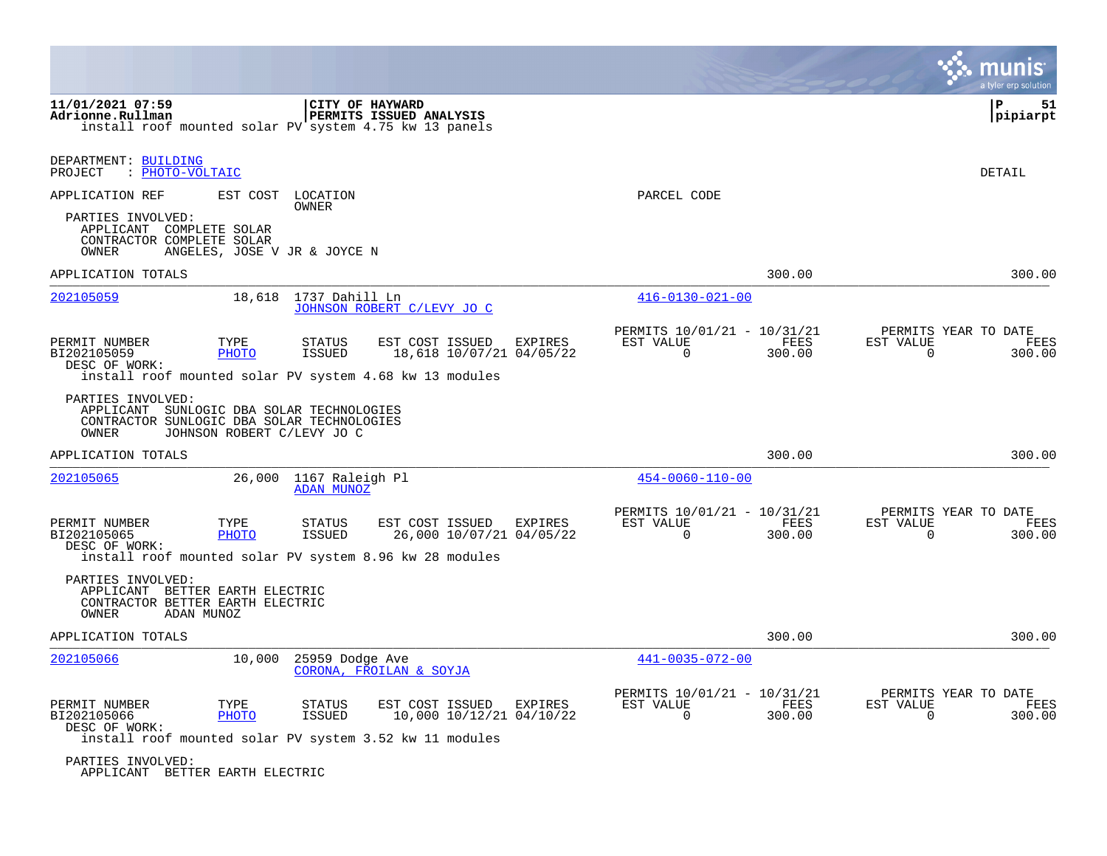|                                                                                                                       |                              |                                      |                                                                                                        |                |                                                      |                       |                       | a tyler erp solution                   |
|-----------------------------------------------------------------------------------------------------------------------|------------------------------|--------------------------------------|--------------------------------------------------------------------------------------------------------|----------------|------------------------------------------------------|-----------------------|-----------------------|----------------------------------------|
| 11/01/2021 07:59<br>Adrionne.Rullman                                                                                  |                              |                                      | CITY OF HAYWARD<br>PERMITS ISSUED ANALYSIS<br>install roof mounted solar PV system 4.75 kw 13 panels   |                |                                                      |                       |                       | P<br>51<br>pipiarpt                    |
| DEPARTMENT: BUILDING<br>PROJECT<br>: PHOTO-VOLTAIC                                                                    |                              |                                      |                                                                                                        |                |                                                      |                       |                       | <b>DETAIL</b>                          |
| APPLICATION REF                                                                                                       | EST COST                     | LOCATION<br>OWNER                    |                                                                                                        |                | PARCEL CODE                                          |                       |                       |                                        |
| PARTIES INVOLVED:<br>APPLICANT COMPLETE SOLAR<br>CONTRACTOR COMPLETE SOLAR<br>OWNER                                   | ANGELES, JOSE V JR & JOYCE N |                                      |                                                                                                        |                |                                                      |                       |                       |                                        |
| APPLICATION TOTALS                                                                                                    |                              |                                      |                                                                                                        |                |                                                      | 300.00                |                       | 300.00                                 |
| 202105059                                                                                                             | 18,618                       | 1737 Dahill Ln                       | JOHNSON ROBERT C/LEVY JO C                                                                             |                | $416 - 0130 - 021 - 00$                              |                       |                       |                                        |
| PERMIT NUMBER<br>BI202105059<br>DESC OF WORK:                                                                         | TYPE<br>PHOTO                | STATUS<br><b>ISSUED</b>              | EST COST ISSUED<br>18,618 10/07/21 04/05/22<br>install roof mounted solar PV system 4.68 kw 13 modules | <b>EXPIRES</b> | PERMITS 10/01/21 - 10/31/21<br>EST VALUE<br>$\Omega$ | <b>FEES</b><br>300.00 | EST VALUE<br>$\Omega$ | PERMITS YEAR TO DATE<br>FEES<br>300.00 |
| PARTIES INVOLVED:<br>APPLICANT SUNLOGIC DBA SOLAR TECHNOLOGIES<br>CONTRACTOR SUNLOGIC DBA SOLAR TECHNOLOGIES<br>OWNER | JOHNSON ROBERT C/LEVY JO C   |                                      |                                                                                                        |                |                                                      |                       |                       |                                        |
| APPLICATION TOTALS                                                                                                    |                              |                                      |                                                                                                        |                |                                                      | 300.00                |                       | 300.00                                 |
| 202105065                                                                                                             | 26,000                       | 1167 Raleigh Pl<br><b>ADAN MUNOZ</b> |                                                                                                        |                | $454 - 0060 - 110 - 00$                              |                       |                       |                                        |
| PERMIT NUMBER<br>BI202105065<br>DESC OF WORK:                                                                         | TYPE<br>PHOTO                | <b>STATUS</b><br><b>ISSUED</b>       | EST COST ISSUED<br>26,000 10/07/21 04/05/22<br>install roof mounted solar PV system 8.96 kw 28 modules | EXPIRES        | PERMITS 10/01/21 - 10/31/21<br>EST VALUE<br>$\Omega$ | FEES<br>300.00        | EST VALUE<br>$\cap$   | PERMITS YEAR TO DATE<br>FEES<br>300.00 |
| PARTIES INVOLVED:<br>APPLICANT BETTER EARTH ELECTRIC<br>CONTRACTOR BETTER EARTH ELECTRIC<br>OWNER                     | ADAN MUNOZ                   |                                      |                                                                                                        |                |                                                      |                       |                       |                                        |
| APPLICATION TOTALS                                                                                                    |                              |                                      |                                                                                                        |                |                                                      | 300.00                |                       | 300.00                                 |
| 202105066                                                                                                             | 10,000                       | 25959 Dodge Ave                      | CORONA, FROILAN & SOYJA                                                                                |                | $441 - 0035 - 072 - 00$                              |                       |                       |                                        |
| PERMIT NUMBER<br>BI202105066<br>DESC OF WORK:                                                                         | TYPE<br>PHOTO                | STATUS<br><b>ISSUED</b>              | EST COST ISSUED<br>10,000 10/12/21 04/10/22<br>install roof mounted solar PV system 3.52 kw 11 modules | EXPIRES        | PERMITS 10/01/21 - 10/31/21<br>EST VALUE<br>$\cap$   | FEES<br>300.00        | EST VALUE<br>$\Omega$ | PERMITS YEAR TO DATE<br>FEES<br>300.00 |
| PARTIES INVOLVED:                                                                                                     |                              |                                      |                                                                                                        |                |                                                      |                       |                       |                                        |

<u>and the second contract of the second contract of the second contract of the second contract of the second contract of the second contract of the second contract of the second contract of the second contract of the second</u>

APPLICANT BETTER EARTH ELECTRIC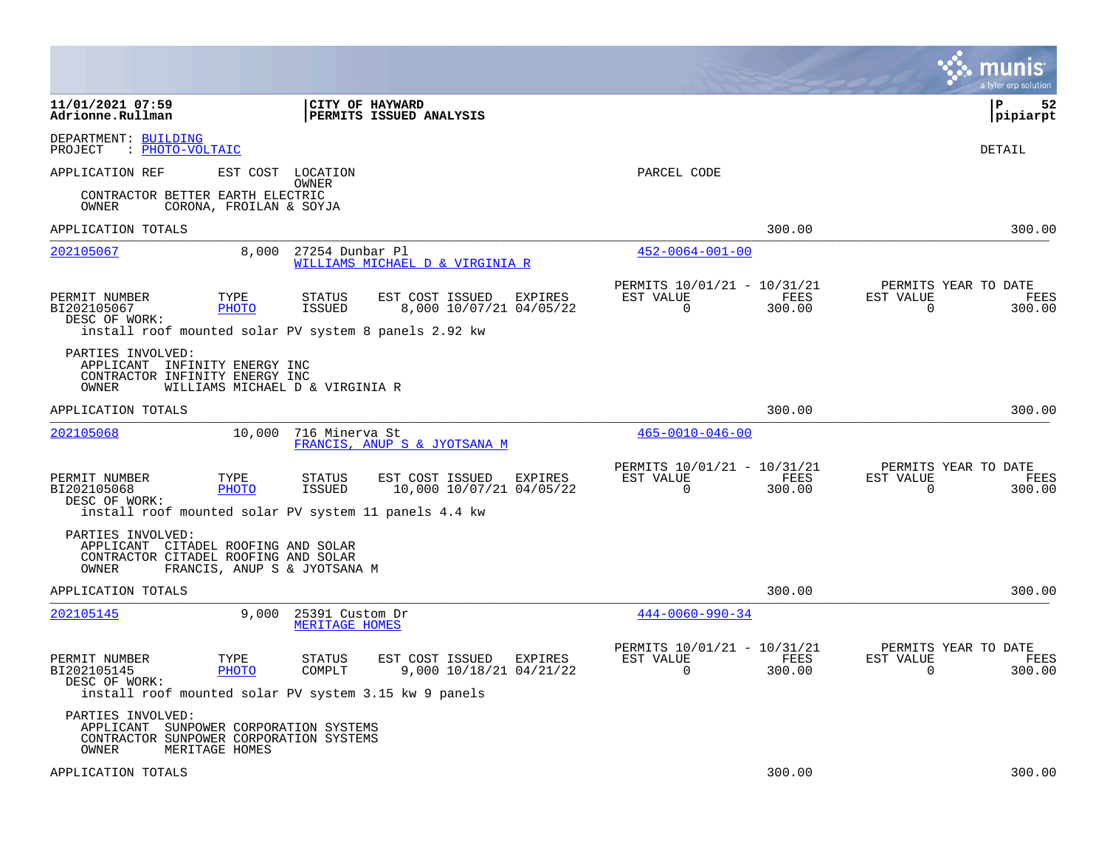|                                                                                               |                                                                                                                 |                                                        |                                                                        | munis<br>a tyler erp solution                                   |
|-----------------------------------------------------------------------------------------------|-----------------------------------------------------------------------------------------------------------------|--------------------------------------------------------|------------------------------------------------------------------------|-----------------------------------------------------------------|
| 11/01/2021 07:59<br>Adrionne.Rullman                                                          |                                                                                                                 | <b>CITY OF HAYWARD</b><br>PERMITS ISSUED ANALYSIS      |                                                                        | ΙP<br>52<br> pipiarpt                                           |
| DEPARTMENT: BUILDING<br>: PHOTO-VOLTAIC<br>PROJECT                                            |                                                                                                                 |                                                        |                                                                        | <b>DETAIL</b>                                                   |
| APPLICATION REF                                                                               | EST COST<br>LOCATION<br>OWNER                                                                                   |                                                        | PARCEL CODE                                                            |                                                                 |
| CONTRACTOR BETTER EARTH ELECTRIC<br>OWNER                                                     | CORONA, FROILAN & SOYJA                                                                                         |                                                        |                                                                        |                                                                 |
| APPLICATION TOTALS                                                                            |                                                                                                                 |                                                        | 300.00                                                                 | 300.00                                                          |
| 202105067                                                                                     | 8,000<br>27254 Dunbar Pl                                                                                        | WILLIAMS MICHAEL D & VIRGINIA R                        | $452 - 0064 - 001 - 00$                                                |                                                                 |
| PERMIT NUMBER<br>BI202105067<br>DESC OF WORK:                                                 | TYPE<br><b>STATUS</b><br><b>PHOTO</b><br><b>ISSUED</b><br>install roof mounted solar PV system 8 panels 2.92 kw | EST COST ISSUED<br>EXPIRES<br>8,000 10/07/21 04/05/22  | PERMITS 10/01/21 - 10/31/21<br>EST VALUE<br>FEES<br>0<br>300.00        | PERMITS YEAR TO DATE<br>EST VALUE<br>FEES<br>0<br>300.00        |
| PARTIES INVOLVED:<br>APPLICANT INFINITY ENERGY INC<br>CONTRACTOR INFINITY ENERGY INC<br>OWNER | WILLIAMS MICHAEL D & VIRGINIA R                                                                                 |                                                        |                                                                        |                                                                 |
| APPLICATION TOTALS                                                                            |                                                                                                                 |                                                        | 300.00                                                                 | 300.00                                                          |
| 202105068                                                                                     | 10,000<br>716 Minerva St                                                                                        | FRANCIS, ANUP S & JYOTSANA M                           | $465 - 0010 - 046 - 00$                                                |                                                                 |
| PERMIT NUMBER<br>BI202105068<br>DESC OF WORK:                                                 | TYPE<br>STATUS<br><b>PHOTO</b><br><b>ISSUED</b><br>install roof mounted solar PV system 11 panels 4.4 kw        | EST COST ISSUED<br>EXPIRES<br>10,000 10/07/21 04/05/22 | PERMITS 10/01/21 - 10/31/21<br>EST VALUE<br>FEES<br>$\Omega$<br>300.00 | PERMITS YEAR TO DATE<br>EST VALUE<br>FEES<br>$\Omega$<br>300.00 |
| PARTIES INVOLVED:<br>OWNER                                                                    | APPLICANT CITADEL ROOFING AND SOLAR<br>CONTRACTOR CITADEL ROOFING AND SOLAR<br>FRANCIS, ANUP S & JYOTSANA M     |                                                        |                                                                        |                                                                 |
| APPLICATION TOTALS                                                                            |                                                                                                                 |                                                        | 300.00                                                                 | 300.00                                                          |
| 202105145                                                                                     | 9.000<br>25391 Custom Dr<br>MERITAGE HOMES                                                                      |                                                        | $444 - 0060 - 990 - 34$                                                |                                                                 |
| PERMIT NUMBER<br>BI202105145<br>DESC OF WORK:                                                 | TYPE<br>STATUS<br><b>PHOTO</b><br>COMPLT<br>install roof mounted solar PV system 3.15 kw 9 panels               | EST COST ISSUED<br>EXPIRES<br>9,000 10/18/21 04/21/22  | PERMITS 10/01/21 - 10/31/21<br>EST VALUE<br>FEES<br>$\Omega$<br>300.00 | PERMITS YEAR TO DATE<br>EST VALUE<br>FEES<br>$\Omega$<br>300.00 |
| PARTIES INVOLVED:<br>APPLICANT<br>OWNER                                                       | SUNPOWER CORPORATION SYSTEMS<br>CONTRACTOR SUNPOWER CORPORATION SYSTEMS<br>MERITAGE HOMES                       |                                                        |                                                                        |                                                                 |
| APPLICATION TOTALS                                                                            |                                                                                                                 |                                                        | 300.00                                                                 | 300.00                                                          |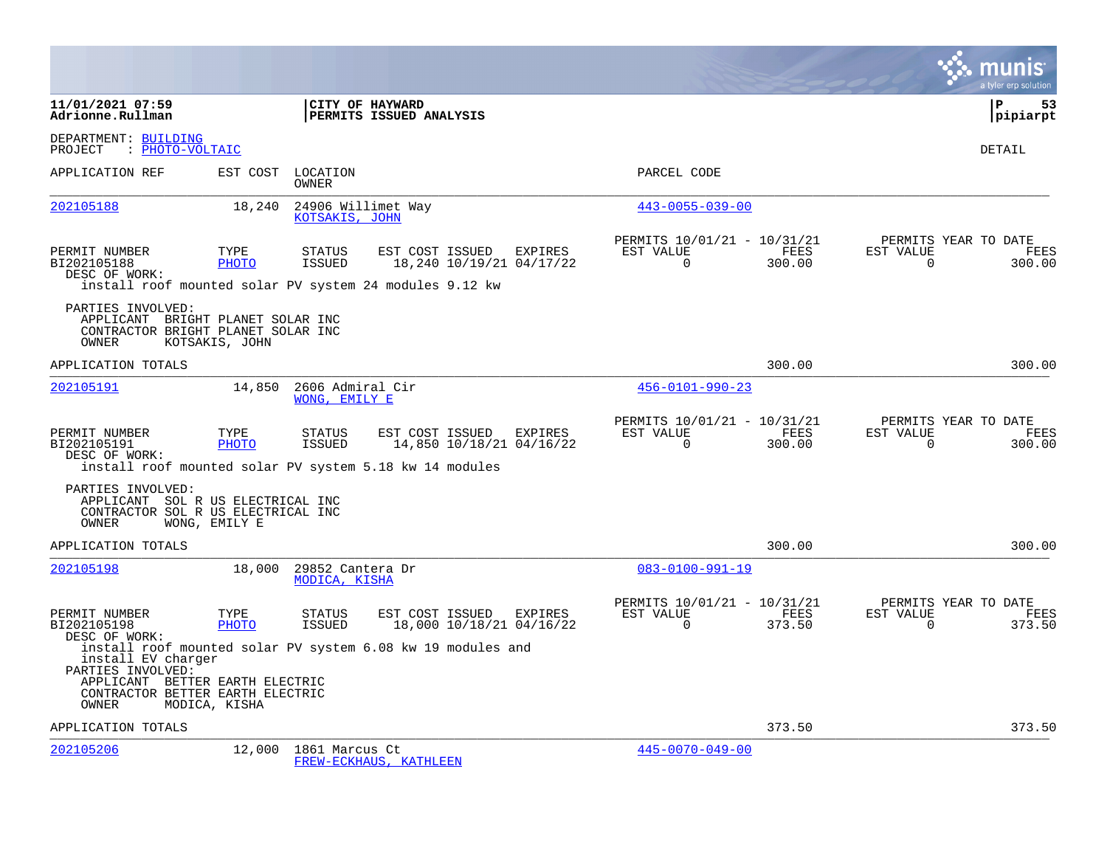|                                                                                                                                                                                        |                      |                                      |                         |                         |                                     |                                                      |                       |                          | a tyler erp solution                   |
|----------------------------------------------------------------------------------------------------------------------------------------------------------------------------------------|----------------------|--------------------------------------|-------------------------|-------------------------|-------------------------------------|------------------------------------------------------|-----------------------|--------------------------|----------------------------------------|
| 11/01/2021 07:59<br>Adrionne.Rullman                                                                                                                                                   |                      | <b>CITY OF HAYWARD</b>               | PERMITS ISSUED ANALYSIS |                         |                                     |                                                      |                       |                          | l P<br>53<br>pipiarpt                  |
| DEPARTMENT: BUILDING<br>: PHOTO-VOLTAIC<br>PROJECT                                                                                                                                     |                      |                                      |                         |                         |                                     |                                                      |                       |                          | <b>DETAIL</b>                          |
| APPLICATION REF                                                                                                                                                                        | EST COST             | LOCATION<br>OWNER                    |                         |                         |                                     | PARCEL CODE                                          |                       |                          |                                        |
| 202105188                                                                                                                                                                              | 18,240               | 24906 Willimet Way<br>KOTSAKIS, JOHN |                         |                         |                                     | $443 - 0055 - 039 - 00$                              |                       |                          |                                        |
| PERMIT NUMBER<br>BI202105188<br>DESC OF WORK:<br>install roof mounted solar PV system 24 modules 9.12 kw                                                                               | TYPE<br>PHOTO        | <b>STATUS</b><br><b>ISSUED</b>       |                         | EST COST ISSUED         | EXPIRES<br>18,240 10/19/21 04/17/22 | PERMITS 10/01/21 - 10/31/21<br>EST VALUE<br>$\Omega$ | FEES<br>300.00        | EST VALUE<br>$\mathbf 0$ | PERMITS YEAR TO DATE<br>FEES<br>300.00 |
| PARTIES INVOLVED:<br>APPLICANT BRIGHT PLANET SOLAR INC<br>CONTRACTOR BRIGHT PLANET SOLAR INC<br>OWNER                                                                                  | KOTSAKIS, JOHN       |                                      |                         |                         |                                     |                                                      |                       |                          |                                        |
| APPLICATION TOTALS                                                                                                                                                                     |                      |                                      |                         |                         |                                     |                                                      | 300.00                |                          | 300.00                                 |
| 202105191                                                                                                                                                                              | 14,850               | 2606 Admiral Cir<br>WONG, EMILY E    |                         |                         |                                     | $456 - 0101 - 990 - 23$                              |                       |                          |                                        |
| PERMIT NUMBER<br>BI202105191<br>DESC OF WORK:<br>install roof mounted solar PV system 5.18 kw 14 modules                                                                               | TYPE<br>PHOTO        | <b>STATUS</b><br><b>ISSUED</b>       |                         | EST COST ISSUED         | EXPIRES<br>14,850 10/18/21 04/16/22 | PERMITS 10/01/21 - 10/31/21<br>EST VALUE<br>$\Omega$ | <b>FEES</b><br>300.00 | EST VALUE<br>$\Omega$    | PERMITS YEAR TO DATE<br>FEES<br>300.00 |
| PARTIES INVOLVED:<br>APPLICANT SOL R US ELECTRICAL INC<br>CONTRACTOR SOL R US ELECTRICAL INC<br>OWNER                                                                                  | WONG, EMILY E        |                                      |                         |                         |                                     |                                                      |                       |                          |                                        |
| APPLICATION TOTALS                                                                                                                                                                     |                      |                                      |                         |                         |                                     |                                                      | 300.00                |                          | 300.00                                 |
| 202105198                                                                                                                                                                              | 18,000               | 29852 Cantera Dr<br>MODICA, KISHA    |                         |                         |                                     | $083 - 0100 - 991 - 19$                              |                       |                          |                                        |
| PERMIT NUMBER<br>BI202105198<br>DESC OF WORK:                                                                                                                                          | TYPE<br><b>PHOTO</b> | <b>STATUS</b><br>ISSUED              |                         | EST COST ISSUED EXPIRES | 18,000 10/18/21 04/16/22            | PERMITS 10/01/21 - 10/31/21<br>EST VALUE<br>$\Omega$ | FEES<br>373.50        | EST VALUE<br>$\Omega$    | PERMITS YEAR TO DATE<br>FEES<br>373.50 |
| install roof mounted solar PV system 6.08 kw 19 modules and<br>install EV charger<br>PARTIES INVOLVED:<br>APPLICANT BETTER EARTH ELECTRIC<br>CONTRACTOR BETTER EARTH ELECTRIC<br>OWNER | MODICA, KISHA        |                                      |                         |                         |                                     |                                                      |                       |                          |                                        |
| APPLICATION TOTALS                                                                                                                                                                     |                      |                                      |                         |                         |                                     |                                                      | 373.50                |                          | 373.50                                 |
| 202105206                                                                                                                                                                              | 12,000               | 1861 Marcus Ct                       | FREW-ECKHAUS, KATHLEEN  |                         |                                     | $445 - 0070 - 049 - 00$                              |                       |                          |                                        |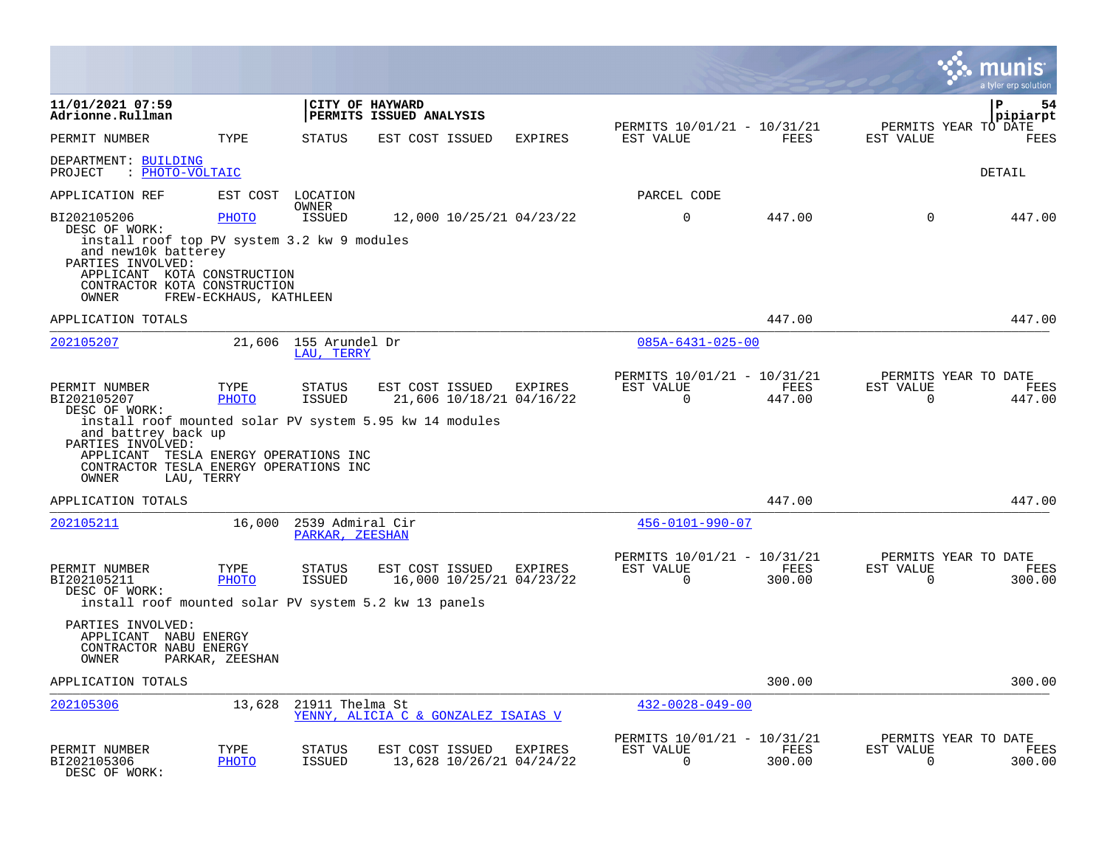|                                                                                                                                                                                                                                                  |                                        |                                     |                                             |         |                                                         |                |                          | a tyler erp solution                   |
|--------------------------------------------------------------------------------------------------------------------------------------------------------------------------------------------------------------------------------------------------|----------------------------------------|-------------------------------------|---------------------------------------------|---------|---------------------------------------------------------|----------------|--------------------------|----------------------------------------|
| 11/01/2021 07:59<br>Adrionne.Rullman                                                                                                                                                                                                             |                                        |                                     | CITY OF HAYWARD<br>PERMITS ISSUED ANALYSIS  |         |                                                         |                |                          | P<br>54<br>pipiarpt                    |
| PERMIT NUMBER                                                                                                                                                                                                                                    | TYPE                                   | <b>STATUS</b>                       | EST COST ISSUED                             | EXPIRES | PERMITS 10/01/21 - 10/31/21<br>EST VALUE                | FEES           | EST VALUE                | PERMITS YEAR TO DATE<br>FEES           |
| DEPARTMENT: BUILDING<br>: PHOTO-VOLTAIC<br>PROJECT                                                                                                                                                                                               |                                        |                                     |                                             |         |                                                         |                |                          | DETAIL                                 |
| APPLICATION REF                                                                                                                                                                                                                                  |                                        | EST COST LOCATION                   |                                             |         | PARCEL CODE                                             |                |                          |                                        |
| BI202105206<br>DESC OF WORK:<br>install roof top PV system 3.2 kw 9 modules<br>and new10k batterey<br>PARTIES INVOLVED:<br>APPLICANT KOTA CONSTRUCTION<br>CONTRACTOR KOTA CONSTRUCTION<br><b>OWNER</b>                                           | <b>PHOTO</b><br>FREW-ECKHAUS, KATHLEEN | OWNER<br><b>ISSUED</b>              | 12,000 10/25/21 04/23/22                    |         | $\mathbf 0$                                             | 447.00         | $\mathbf 0$              | 447.00                                 |
| APPLICATION TOTALS                                                                                                                                                                                                                               |                                        |                                     |                                             |         |                                                         | 447.00         |                          | 447.00                                 |
| 202105207                                                                                                                                                                                                                                        |                                        | 21,606 155 Arundel Dr<br>LAU. TERRY |                                             |         | $085A - 6431 - 025 - 00$                                |                |                          |                                        |
| PERMIT NUMBER<br>BI202105207<br>DESC OF WORK:<br>install roof mounted solar PV system 5.95 kw 14 modules<br>and battrey back up<br>PARTIES INVOLVED:<br>APPLICANT TESLA ENERGY OPERATIONS INC<br>CONTRACTOR TESLA ENERGY OPERATIONS INC<br>OWNER | TYPE<br>PHOTO<br>LAU, TERRY            | STATUS<br><b>ISSUED</b>             | EST COST ISSUED<br>21,606 10/18/21 04/16/22 | EXPIRES | PERMITS 10/01/21 - 10/31/21<br>EST VALUE<br>$\Omega$    | FEES<br>447.00 | EST VALUE<br>$\Omega$    | PERMITS YEAR TO DATE<br>FEES<br>447.00 |
| APPLICATION TOTALS                                                                                                                                                                                                                               |                                        |                                     |                                             |         |                                                         | 447.00         |                          | 447.00                                 |
| <u> 202105211</u>                                                                                                                                                                                                                                | 16,000                                 | 2539 Admiral Cir<br>PARKAR, ZEESHAN |                                             |         | $456 - 0101 - 990 - 07$                                 |                |                          |                                        |
| PERMIT NUMBER<br>BI202105211<br>DESC OF WORK:<br>install roof mounted solar PV system 5.2 kw 13 panels                                                                                                                                           | TYPE<br>PHOTO                          | STATUS<br>ISSUED                    | EST COST ISSUED<br>16,000 10/25/21 04/23/22 | EXPIRES | PERMITS 10/01/21 - 10/31/21<br>EST VALUE<br>$\mathbf 0$ | FEES<br>300.00 | EST VALUE<br>$\mathbf 0$ | PERMITS YEAR TO DATE<br>FEES<br>300.00 |
| PARTIES INVOLVED:<br>APPLICANT NABU ENERGY<br>CONTRACTOR NABU ENERGY<br>OWNER                                                                                                                                                                    | PARKAR, ZEESHAN                        |                                     |                                             |         |                                                         |                |                          |                                        |
| APPLICATION TOTALS                                                                                                                                                                                                                               |                                        |                                     |                                             |         |                                                         | 300.00         |                          | 300.00                                 |
| 202105306                                                                                                                                                                                                                                        | 13,628                                 | 21911 Thelma St                     | YENNY, ALICIA C & GONZALEZ ISAIAS V         |         | $432 - 0028 - 049 - 00$                                 |                |                          |                                        |
| PERMIT NUMBER<br>BI202105306<br>DESC OF WORK:                                                                                                                                                                                                    | TYPE<br><b>PHOTO</b>                   | STATUS<br><b>ISSUED</b>             | EST COST ISSUED<br>13,628 10/26/21 04/24/22 | EXPIRES | PERMITS 10/01/21 - 10/31/21<br>EST VALUE<br>$\Omega$    | FEES<br>300.00 | EST VALUE<br>$\Omega$    | PERMITS YEAR TO DATE<br>FEES<br>300.00 |

 $\bullet$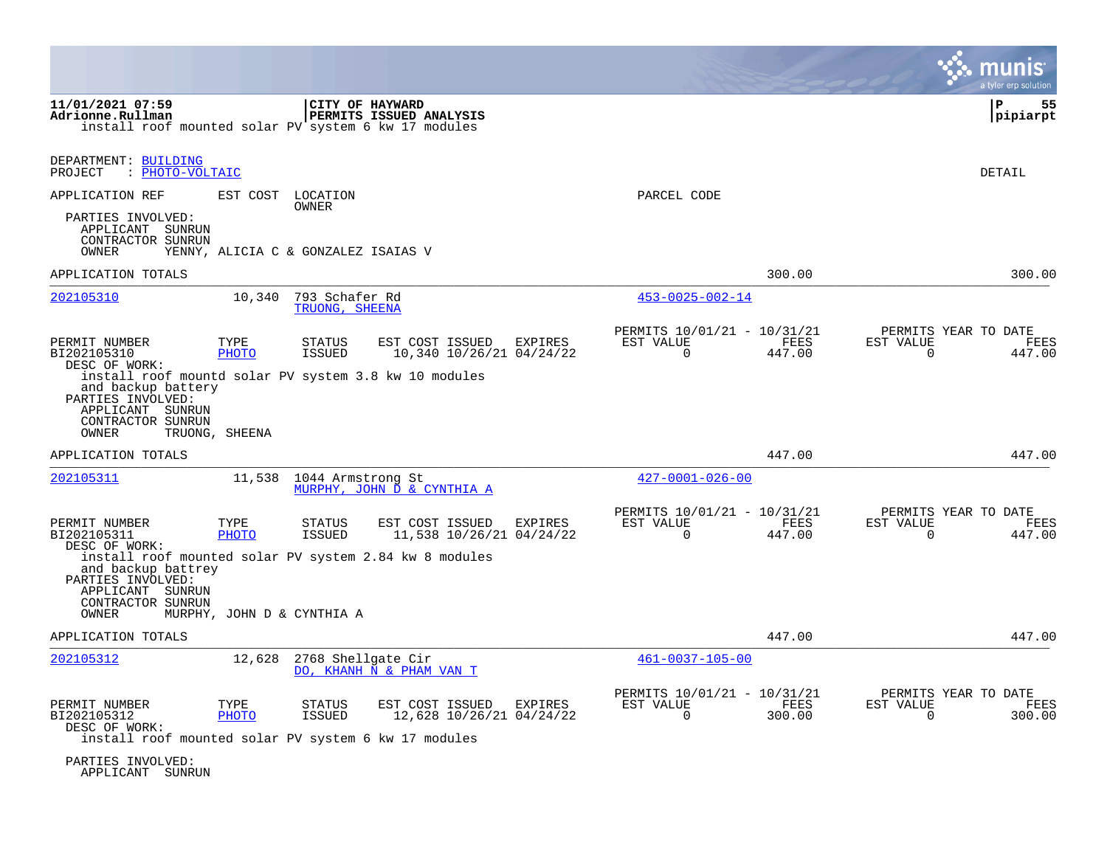|                                                                                                                                                                                                                                                                                                                                   |                                                                        | a tyler erp solution                                            |
|-----------------------------------------------------------------------------------------------------------------------------------------------------------------------------------------------------------------------------------------------------------------------------------------------------------------------------------|------------------------------------------------------------------------|-----------------------------------------------------------------|
| 11/01/2021 07:59<br>CITY OF HAYWARD<br>Adrionne.Rullman<br><b>PERMITS ISSUED ANALYSIS</b><br>install roof mounted solar PV system 6 kw 17 modules                                                                                                                                                                                 |                                                                        | P<br>55<br>pipiarpt                                             |
| DEPARTMENT: BUILDING<br>PROJECT<br>: PHOTO-VOLTAIC                                                                                                                                                                                                                                                                                |                                                                        | <b>DETAIL</b>                                                   |
| APPLICATION REF<br>EST COST LOCATION<br><b>OWNER</b>                                                                                                                                                                                                                                                                              | PARCEL CODE                                                            |                                                                 |
| PARTIES INVOLVED:<br>APPLICANT SUNRUN<br>CONTRACTOR SUNRUN<br>OWNER<br>YENNY, ALICIA C & GONZALEZ ISAIAS V                                                                                                                                                                                                                        |                                                                        |                                                                 |
| APPLICATION TOTALS                                                                                                                                                                                                                                                                                                                | 300.00                                                                 | 300.00                                                          |
| 202105310<br>793 Schafer Rd<br>10,340<br>TRUONG, SHEENA                                                                                                                                                                                                                                                                           | $453 - 0025 - 002 - 14$                                                |                                                                 |
| PERMIT NUMBER<br>TYPE<br>EST COST ISSUED<br><b>STATUS</b><br>EXPIRES<br>BI202105310<br>PHOTO<br>ISSUED<br>10,340 10/26/21 04/24/22<br>DESC OF WORK:<br>install roof mountd solar PV system 3.8 kw 10 modules<br>and backup battery<br>PARTIES INVOLVED:<br>APPLICANT SUNRUN<br>CONTRACTOR SUNRUN                                  | PERMITS 10/01/21 - 10/31/21<br>EST VALUE<br>FEES<br>$\Omega$<br>447.00 | PERMITS YEAR TO DATE<br>EST VALUE<br>FEES<br>$\Omega$<br>447.00 |
| OWNER<br>TRUONG, SHEENA                                                                                                                                                                                                                                                                                                           |                                                                        |                                                                 |
| APPLICATION TOTALS                                                                                                                                                                                                                                                                                                                | 447.00                                                                 | 447.00                                                          |
| 202105311<br>11,538<br>1044 Armstrong St<br>MURPHY, JOHN D & CYNTHIA A                                                                                                                                                                                                                                                            | $427 - 0001 - 026 - 00$                                                |                                                                 |
| PERMIT NUMBER<br>TYPE<br>STATUS<br>EST COST ISSUED<br>EXPIRES<br>BI202105311<br>PHOTO<br>ISSUED<br>11,538 10/26/21 04/24/22<br>DESC OF WORK:<br>install roof mounted solar PV system 2.84 kw 8 modules<br>and backup battrey<br>PARTIES INVOLVED:<br>APPLICANT SUNRUN<br>CONTRACTOR SUNRUN<br>OWNER<br>MURPHY, JOHN D & CYNTHIA A | PERMITS 10/01/21 - 10/31/21<br>EST VALUE<br>FEES<br>$\Omega$<br>447.00 | PERMITS YEAR TO DATE<br>EST VALUE<br>FEES<br>$\Omega$<br>447.00 |
| APPLICATION TOTALS                                                                                                                                                                                                                                                                                                                | 447.00                                                                 | 447.00                                                          |
| 202105312<br>12,628<br>2768 Shellgate Cir<br>DO, KHANH N & PHAM VAN T                                                                                                                                                                                                                                                             | $461 - 0037 - 105 - 00$                                                |                                                                 |
| PERMIT NUMBER<br>TYPE<br><b>STATUS</b><br>EST COST ISSUED<br>EXPIRES<br>BI202105312<br>PHOTO<br><b>ISSUED</b><br>12,628 10/26/21 04/24/22<br>DESC OF WORK:<br>install roof mounted solar PV system 6 kw 17 modules<br>PARTIES INVOLVED:                                                                                           | PERMITS 10/01/21 - 10/31/21<br>EST VALUE<br>FEES<br>$\Omega$<br>300.00 | PERMITS YEAR TO DATE<br>EST VALUE<br>FEES<br>$\Omega$<br>300.00 |

APPLICANT SUNRUN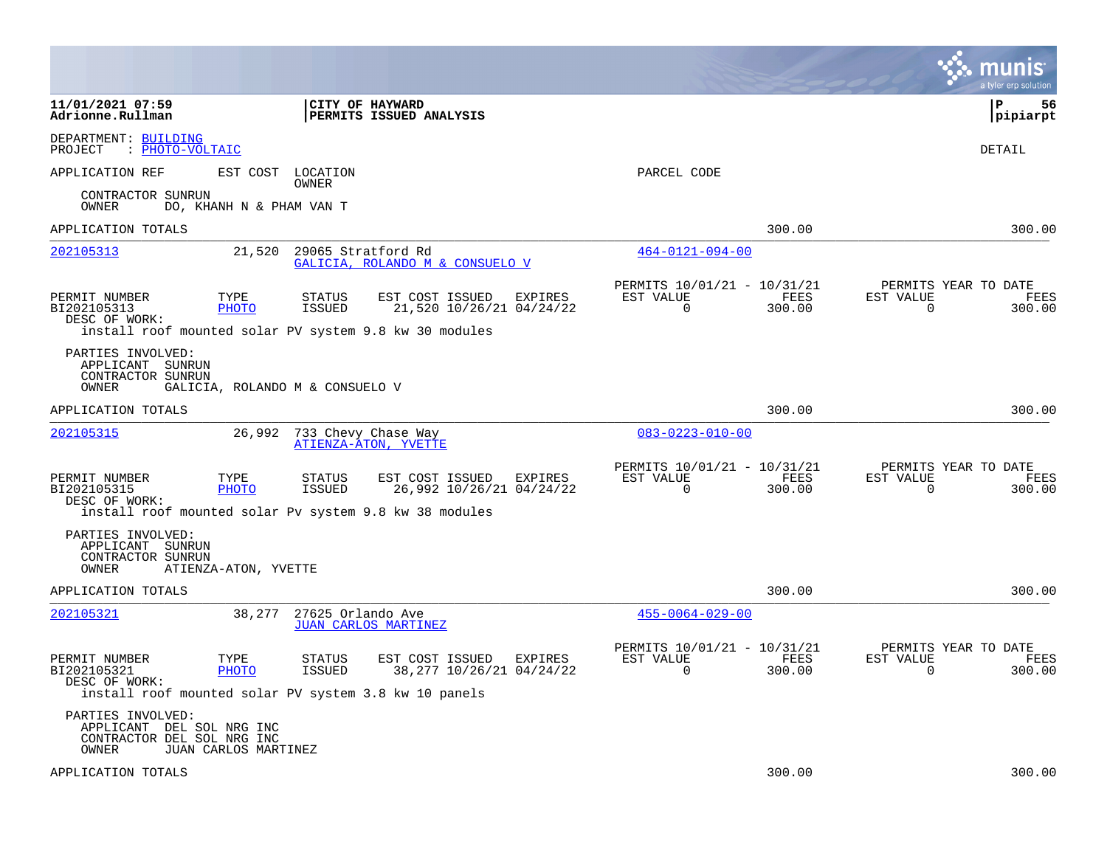|                                                                                                                                                |                          |                                 |                                              |         |                                                         |                | munis<br>a tyler erp solution                                      |
|------------------------------------------------------------------------------------------------------------------------------------------------|--------------------------|---------------------------------|----------------------------------------------|---------|---------------------------------------------------------|----------------|--------------------------------------------------------------------|
| 11/01/2021 07:59<br>Adrionne.Rullman                                                                                                           |                          | <b>CITY OF HAYWARD</b>          | PERMITS ISSUED ANALYSIS                      |         |                                                         |                | l P<br>56<br> pipiarpt                                             |
| DEPARTMENT: BUILDING<br>: PHOTO-VOLTAIC<br>PROJECT                                                                                             |                          |                                 |                                              |         |                                                         |                | <b>DETAIL</b>                                                      |
| APPLICATION REF                                                                                                                                | EST COST                 | LOCATION<br>OWNER               |                                              |         | PARCEL CODE                                             |                |                                                                    |
| CONTRACTOR SUNRUN<br>OWNER                                                                                                                     | DO, KHANH N & PHAM VAN T |                                 |                                              |         |                                                         |                |                                                                    |
| APPLICATION TOTALS                                                                                                                             |                          |                                 |                                              |         |                                                         | 300.00         | 300.00                                                             |
| 202105313                                                                                                                                      | 21,520                   | 29065 Stratford Rd              | GALICIA, ROLANDO M & CONSUELO V              |         | $464 - 0121 - 094 - 00$                                 |                |                                                                    |
| PERMIT NUMBER<br>BI202105313<br>DESC OF WORK:                                                                                                  | TYPE<br><b>PHOTO</b>     | <b>STATUS</b><br><b>ISSUED</b>  | EST COST ISSUED<br>21,520 10/26/21 04/24/22  | EXPIRES | PERMITS 10/01/21 - 10/31/21<br>EST VALUE<br>$\mathbf 0$ | FEES<br>300.00 | PERMITS YEAR TO DATE<br>EST VALUE<br>FEES<br>$\mathbf 0$<br>300.00 |
| install roof mounted solar PV system 9.8 kw 30 modules<br>PARTIES INVOLVED:<br>APPLICANT SUNRUN<br>CONTRACTOR SUNRUN<br>OWNER                  |                          | GALICIA, ROLANDO M & CONSUELO V |                                              |         |                                                         |                |                                                                    |
| APPLICATION TOTALS                                                                                                                             |                          |                                 |                                              |         |                                                         | 300.00         | 300.00                                                             |
| 202105315                                                                                                                                      | 26,992                   | 733 Chevy Chase Way             | ATIENZA-ATON, YVETTE                         |         | $083 - 0223 - 010 - 00$                                 |                |                                                                    |
| PERMIT NUMBER<br>BI202105315<br>DESC OF WORK:<br>install roof mounted solar Pv system 9.8 kw 38 modules                                        | TYPE<br><b>PHOTO</b>     | STATUS<br><b>ISSUED</b>         | EST COST ISSUED<br>26,992 10/26/21 04/24/22  | EXPIRES | PERMITS 10/01/21 - 10/31/21<br>EST VALUE<br>$\Omega$    | FEES<br>300.00 | PERMITS YEAR TO DATE<br>EST VALUE<br>FEES<br>$\Omega$<br>300.00    |
| PARTIES INVOLVED:<br>APPLICANT SUNRUN<br>CONTRACTOR SUNRUN<br>OWNER                                                                            | ATIENZA-ATON, YVETTE     |                                 |                                              |         |                                                         |                |                                                                    |
| APPLICATION TOTALS                                                                                                                             |                          |                                 |                                              |         |                                                         | 300.00         | 300.00                                                             |
| 202105321                                                                                                                                      | 38,277                   | 27625 Orlando Ave               | <b>JUAN CARLOS MARTINEZ</b>                  |         | $455 - 0064 - 029 - 00$                                 |                |                                                                    |
| PERMIT NUMBER<br>BI202105321<br>DESC OF WORK:                                                                                                  | TYPE<br><b>PHOTO</b>     | STATUS<br><b>ISSUED</b>         | EST COST ISSUED<br>38, 277 10/26/21 04/24/22 | EXPIRES | PERMITS 10/01/21 - 10/31/21<br>EST VALUE<br>$\Omega$    | FEES<br>300.00 | PERMITS YEAR TO DATE<br>EST VALUE<br>FEES<br>$\Omega$<br>300.00    |
| install roof mounted solar PV system 3.8 kw 10 panels<br>PARTIES INVOLVED:<br>APPLICANT DEL SOL NRG INC<br>CONTRACTOR DEL SOL NRG INC<br>OWNER | JUAN CARLOS MARTINEZ     |                                 |                                              |         |                                                         |                |                                                                    |
| APPLICATION TOTALS                                                                                                                             |                          |                                 |                                              |         |                                                         | 300.00         | 300.00                                                             |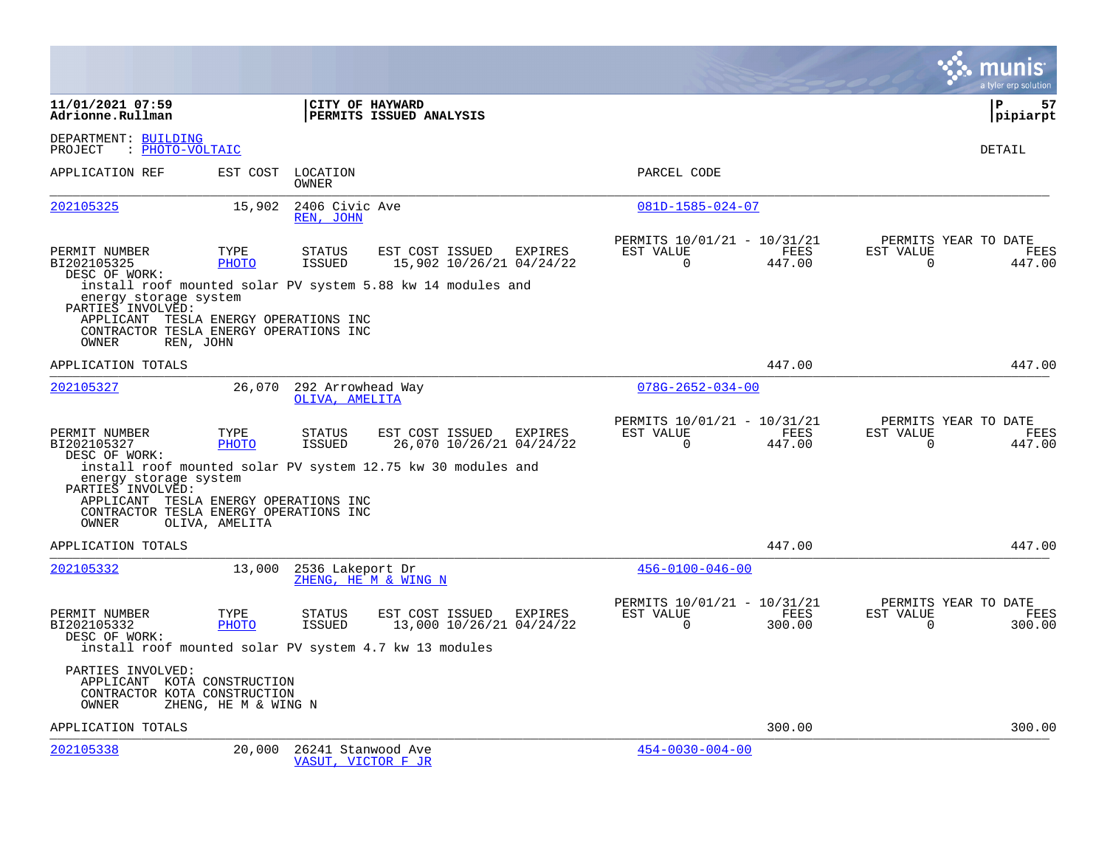|                                                                                                                                                                                                      |                      |                                                                                                             |                                                               |                                                      |                       |                       | a tyler erp solution                          |
|------------------------------------------------------------------------------------------------------------------------------------------------------------------------------------------------------|----------------------|-------------------------------------------------------------------------------------------------------------|---------------------------------------------------------------|------------------------------------------------------|-----------------------|-----------------------|-----------------------------------------------|
| 11/01/2021 07:59<br>Adrionne.Rullman                                                                                                                                                                 |                      | CITY OF HAYWARD<br>PERMITS ISSUED ANALYSIS                                                                  |                                                               |                                                      |                       |                       | l P<br>57<br> pipiarpt                        |
| DEPARTMENT: BUILDING<br>: PHOTO-VOLTAIC<br>PROJECT                                                                                                                                                   |                      |                                                                                                             |                                                               |                                                      |                       |                       | DETAIL                                        |
| APPLICATION REF                                                                                                                                                                                      |                      | EST COST LOCATION<br>OWNER                                                                                  |                                                               | PARCEL CODE                                          |                       |                       |                                               |
| 202105325                                                                                                                                                                                            | 15,902               | 2406 Civic Ave<br>REN, JOHN                                                                                 |                                                               | 081D-1585-024-07                                     |                       |                       |                                               |
| PERMIT NUMBER<br>BI202105325<br>DESC OF WORK:<br>energy storage system<br>PARTIES INVOLVED:<br>APPLICANT TESLA ENERGY OPERATIONS INC<br>CONTRACTOR TESLA ENERGY OPERATIONS INC<br>OWNER<br>REN, JOHN | TYPE<br>PHOTO        | <b>STATUS</b><br><b>ISSUED</b><br>install roof mounted solar PV system 5.88 kw 14 modules and               | EST COST ISSUED<br><b>EXPIRES</b><br>15,902 10/26/21 04/24/22 | PERMITS 10/01/21 - 10/31/21<br>EST VALUE<br>$\Omega$ | <b>FEES</b><br>447.00 | EST VALUE<br>$\Omega$ | PERMITS YEAR TO DATE<br>FEES<br>447.00        |
| APPLICATION TOTALS                                                                                                                                                                                   |                      |                                                                                                             |                                                               |                                                      | 447.00                |                       | 447.00                                        |
| 202105327                                                                                                                                                                                            | 26,070               | 292 Arrowhead Way<br>OLIVA, AMELITA                                                                         |                                                               | $078G - 2652 - 034 - 00$                             |                       |                       |                                               |
| PERMIT NUMBER<br>BI202105327<br>DESC OF WORK:<br>energy storage system<br>PARTIES INVOLVED:<br>APPLICANT TESLA ENERGY OPERATIONS INC<br>CONTRACTOR TESLA ENERGY OPERATIONS INC                       | TYPE<br>PHOTO        | EST COST ISSUED<br><b>STATUS</b><br>ISSUED<br>install roof mounted solar PV system 12.75 kw 30 modules and  | EXPIRES<br>26,070 10/26/21 04/24/22                           | PERMITS 10/01/21 - 10/31/21<br>EST VALUE<br>$\Omega$ | <b>FEES</b><br>447.00 | EST VALUE<br>$\Omega$ | PERMITS YEAR TO DATE<br><b>FEES</b><br>447.00 |
| OWNER<br>APPLICATION TOTALS                                                                                                                                                                          | OLIVA, AMELITA       |                                                                                                             |                                                               |                                                      | 447.00                |                       | 447.00                                        |
| 202105332                                                                                                                                                                                            | 13,000               | 2536 Lakeport Dr<br>ZHENG, HE M & WING N                                                                    |                                                               | $456 - 0100 - 046 - 00$                              |                       |                       |                                               |
| PERMIT NUMBER<br>BI202105332<br>DESC OF WORK:                                                                                                                                                        | TYPE<br>PHOTO        | <b>STATUS</b><br>EST COST ISSUED<br><b>ISSUED</b><br>install roof mounted solar PV system 4.7 kw 13 modules | EXPIRES<br>13,000 10/26/21 04/24/22                           | PERMITS 10/01/21 - 10/31/21<br>EST VALUE<br>$\Omega$ | FEES<br>300.00        | EST VALUE<br>$\Omega$ | PERMITS YEAR TO DATE<br><b>FEES</b><br>300.00 |
| PARTIES INVOLVED:<br>APPLICANT KOTA CONSTRUCTION<br>CONTRACTOR KOTA CONSTRUCTION<br>OWNER                                                                                                            | ZHENG, HE M & WING N |                                                                                                             |                                                               |                                                      |                       |                       |                                               |
| APPLICATION TOTALS                                                                                                                                                                                   |                      |                                                                                                             |                                                               |                                                      | 300.00                |                       | 300.00                                        |
| 202105338                                                                                                                                                                                            | 20,000               | 26241 Stanwood Ave<br>VASUT, VICTOR F JR                                                                    |                                                               | $454 - 0030 - 004 - 00$                              |                       |                       |                                               |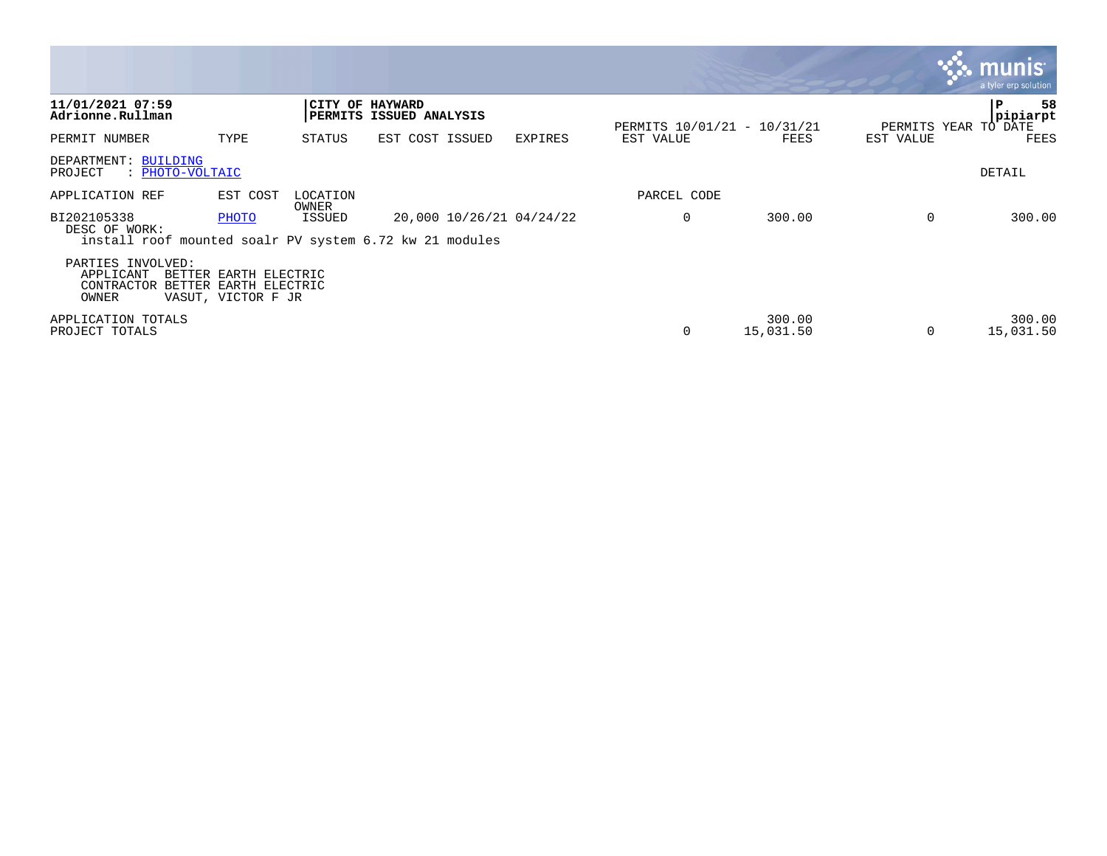|                                                       |                                                                      |                   |                                                                                     |         |                             |                     |           | <b>R.M. MUNIST</b><br>a tyler erp solution, |
|-------------------------------------------------------|----------------------------------------------------------------------|-------------------|-------------------------------------------------------------------------------------|---------|-----------------------------|---------------------|-----------|---------------------------------------------|
| 11/01/2021 07:59<br>Adrionne.Rullman                  |                                                                      |                   | CITY OF HAYWARD<br>PERMITS ISSUED ANALYSIS                                          |         | PERMITS 10/01/21 - 10/31/21 |                     |           | 58<br>P<br>pipiarpt<br>PERMITS YEAR TO DATE |
| PERMIT NUMBER                                         | TYPE                                                                 | STATUS            | EST COST ISSUED                                                                     | EXPIRES | EST VALUE                   | FEES                | EST VALUE | FEES                                        |
| DEPARTMENT: BUILDING<br>PROJECT<br>: PHOTO-VOLTAIC    |                                                                      |                   |                                                                                     |         |                             |                     |           | DETAIL                                      |
| APPLICATION REF                                       | EST COST                                                             | LOCATION<br>OWNER |                                                                                     |         | PARCEL CODE                 |                     |           |                                             |
| BI202105338<br>DESC OF WORK:                          | PHOTO                                                                | ISSUED            | 20,000 10/26/21 04/24/22<br>install roof mounted soalr PV system 6.72 kw 21 modules |         | 0                           | 300.00              | $\Omega$  | 300.00                                      |
| PARTIES INVOLVED:<br>APPLICANT<br>CONTRACTOR<br>OWNER | BETTER EARTH ELECTRIC<br>BETTER EARTH ELECTRIC<br>VASUT, VICTOR F JR |                   |                                                                                     |         |                             |                     |           |                                             |
| APPLICATION TOTALS<br>PROJECT TOTALS                  |                                                                      |                   |                                                                                     |         | 0                           | 300.00<br>15,031.50 | $\Omega$  | 300.00<br>15,031.50                         |

 $\sim$   $\sim$   $\sim$   $\sim$   $\sim$   $\sim$   $\sim$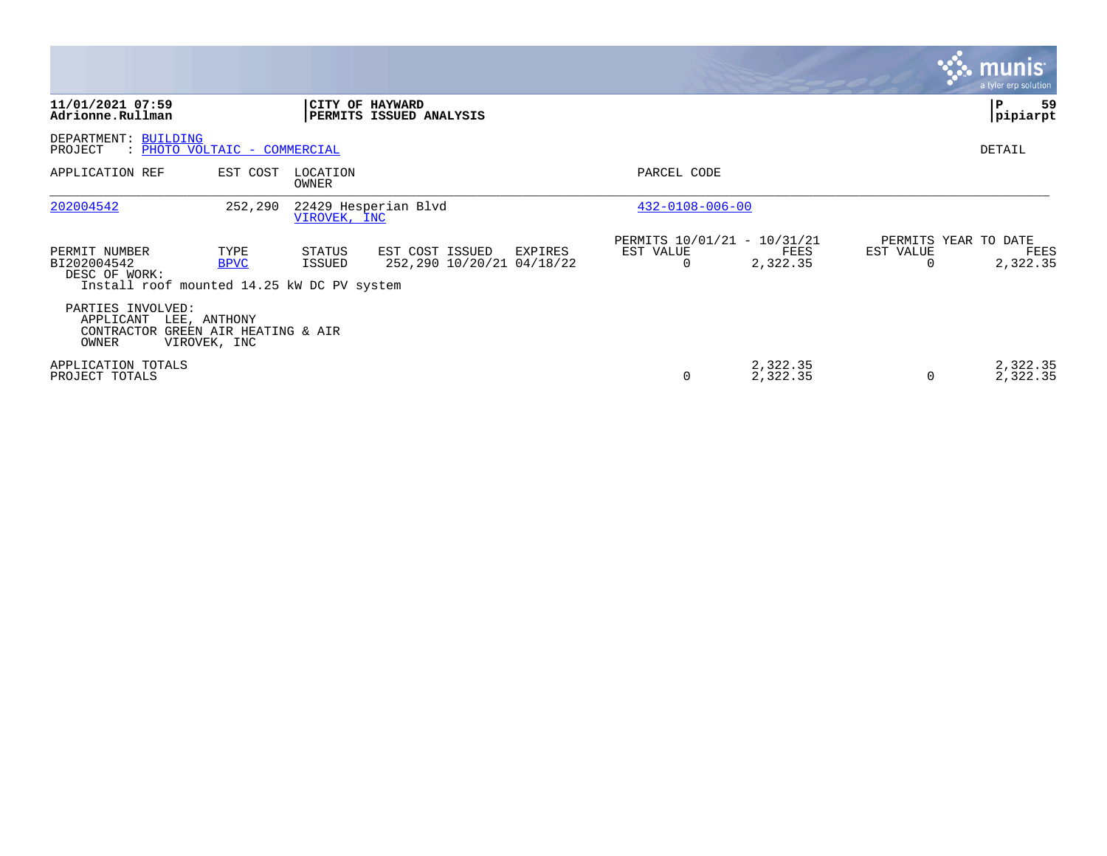|                                                                                             |                              |                   |                                                         |                                                      |                      |                       | <b>munis</b><br>a tyler erp solution     |
|---------------------------------------------------------------------------------------------|------------------------------|-------------------|---------------------------------------------------------|------------------------------------------------------|----------------------|-----------------------|------------------------------------------|
| 11/01/2021 07:59<br>Adrionne.Rullman                                                        |                              |                   | CITY OF HAYWARD<br>PERMITS ISSUED ANALYSIS              |                                                      |                      |                       | 59<br>P<br> pipiarpt                     |
| DEPARTMENT: BUILDING<br>: PHOTO VOLTAIC - COMMERCIAL<br>PROJECT                             |                              |                   |                                                         |                                                      |                      |                       | DETAIL                                   |
| APPLICATION REF                                                                             | EST COST                     | LOCATION<br>OWNER |                                                         | PARCEL CODE                                          |                      |                       |                                          |
| 202004542                                                                                   | 252,290                      | VIROVEK, INC      | 22429 Hesperian Blvd                                    | $432 - 0108 - 006 - 00$                              |                      |                       |                                          |
| PERMIT NUMBER<br>BI202004542<br>DESC OF WORK:<br>Install roof mounted 14.25 kW DC PV system | TYPE<br><b>BPVC</b>          | STATUS<br>ISSUED  | EST COST ISSUED<br>EXPIRES<br>252,290 10/20/21 04/18/22 | PERMITS 10/01/21 - 10/31/21<br>EST VALUE<br>$\Omega$ | FEES<br>2,322.35     | EST VALUE<br>$\Omega$ | PERMITS YEAR TO DATE<br>FEES<br>2,322.35 |
| PARTIES INVOLVED:<br>APPLICANT<br>CONTRACTOR GREEN AIR HEATING & AIR<br>OWNER               | LEE, ANTHONY<br>VIROVEK, INC |                   |                                                         |                                                      |                      |                       |                                          |
| APPLICATION TOTALS<br>PROJECT TOTALS                                                        |                              |                   |                                                         | $\Omega$                                             | 2,322.35<br>2,322.35 | 0                     | 2,322.35<br>2,322.35                     |

**The State**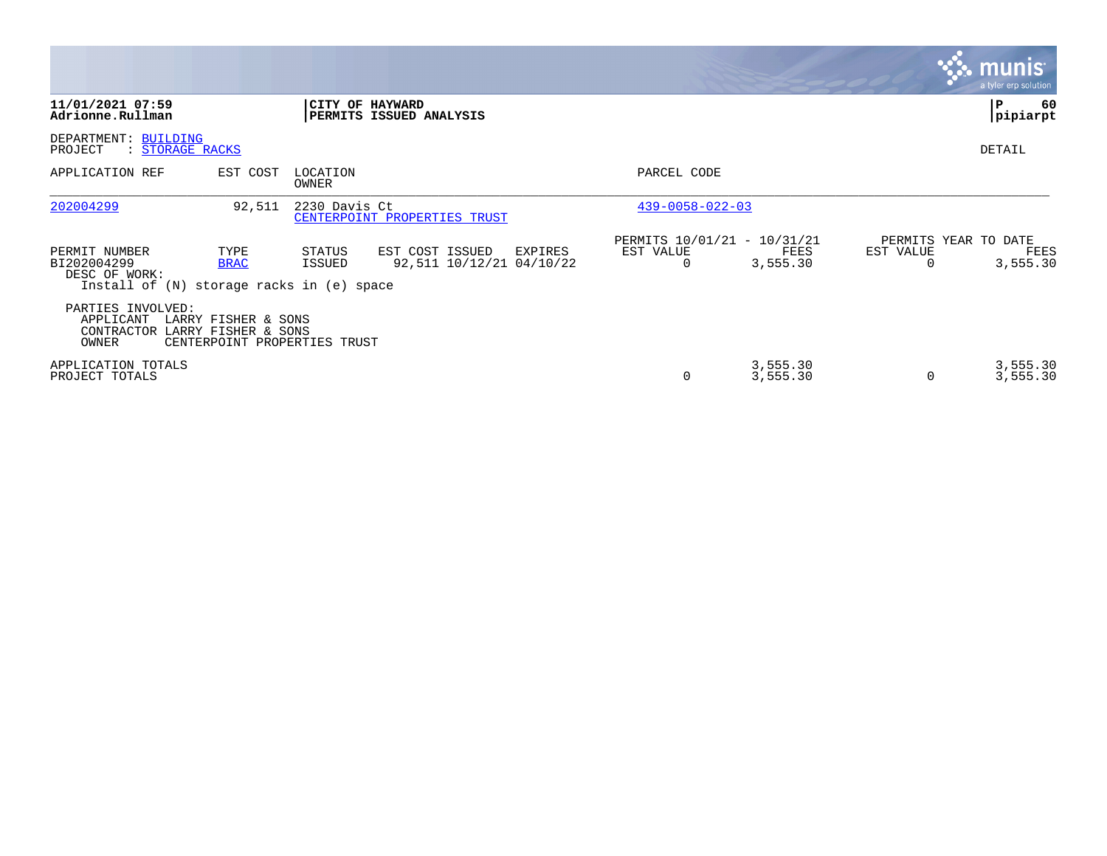|                                                                                            |                                                     |                   |                                                        |                                                      |                      |           | <b>munis</b><br>a tyler erp solution     |
|--------------------------------------------------------------------------------------------|-----------------------------------------------------|-------------------|--------------------------------------------------------|------------------------------------------------------|----------------------|-----------|------------------------------------------|
| 11/01/2021 07:59<br>Adrionne.Rullman                                                       |                                                     |                   | CITY OF HAYWARD<br>PERMITS ISSUED ANALYSIS             |                                                      |                      |           | P<br>60<br>pipiarpt                      |
| DEPARTMENT: BUILDING<br>PROJECT<br>: STORAGE RACKS                                         |                                                     |                   |                                                        |                                                      |                      |           | <b>DETAIL</b>                            |
| APPLICATION REF                                                                            | EST COST                                            | LOCATION<br>OWNER |                                                        | PARCEL CODE                                          |                      |           |                                          |
| 202004299                                                                                  | 92,511                                              | 2230 Davis Ct     | CENTERPOINT PROPERTIES TRUST                           | $439 - 0058 - 022 - 03$                              |                      |           |                                          |
| PERMIT NUMBER<br>BI202004299<br>DESC OF WORK:<br>Install of (N) storage racks in (e) space | TYPE<br><b>BRAC</b>                                 | STATUS<br>ISSUED  | EST COST ISSUED<br>EXPIRES<br>92,511 10/12/21 04/10/22 | PERMITS 10/01/21 - 10/31/21<br>EST VALUE<br>$\Omega$ | FEES<br>3,555.30     | EST VALUE | PERMITS YEAR TO DATE<br>FEES<br>3,555.30 |
| PARTIES INVOLVED:<br>APPLICANT<br>CONTRACTOR LARRY FISHER & SONS<br>OWNER                  | LARRY FISHER & SONS<br>CENTERPOINT PROPERTIES TRUST |                   |                                                        |                                                      |                      |           |                                          |
| APPLICATION TOTALS<br>PROJECT TOTALS                                                       |                                                     |                   |                                                        | 0                                                    | 3,555.30<br>3,555.30 | 0         | 3,555.30<br>3,555.30                     |

the contract of the contract of

and the contract of the contract of the contract of the contract of the contract of the contract of the contract of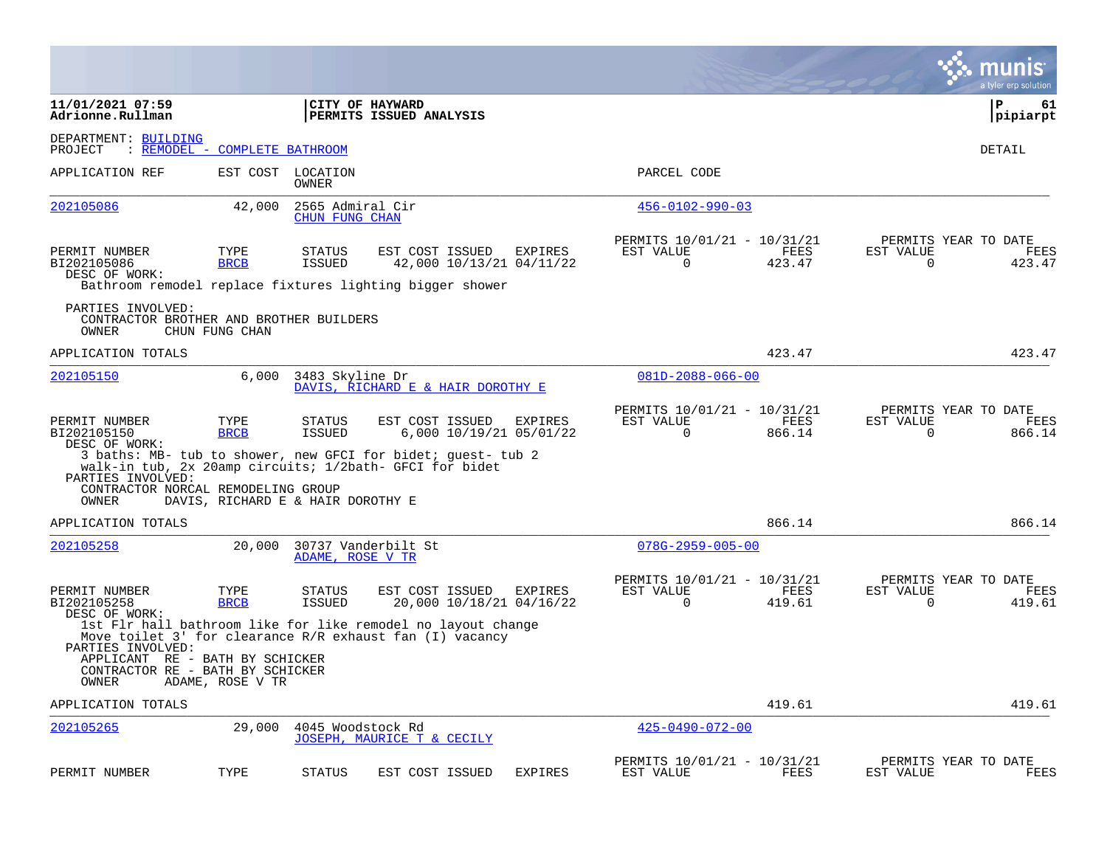|                                                                                                   |                                   |                                    |                                                                                                                         |                |                                                         |                |                          | munis<br>a tyler erp solution          |
|---------------------------------------------------------------------------------------------------|-----------------------------------|------------------------------------|-------------------------------------------------------------------------------------------------------------------------|----------------|---------------------------------------------------------|----------------|--------------------------|----------------------------------------|
| 11/01/2021 07:59<br>Adrionne.Rullman                                                              |                                   |                                    | CITY OF HAYWARD<br><b>PERMITS ISSUED ANALYSIS</b>                                                                       |                |                                                         |                |                          | $\mathbf{P}$<br>61<br> pipiarpt        |
| DEPARTMENT: BUILDING<br>PROJECT                                                                   | : REMODEL - COMPLETE BATHROOM     |                                    |                                                                                                                         |                |                                                         |                |                          | DETAIL                                 |
| APPLICATION REF                                                                                   |                                   | EST COST LOCATION<br>OWNER         |                                                                                                                         |                | PARCEL CODE                                             |                |                          |                                        |
| 202105086                                                                                         | 42,000                            | 2565 Admiral Cir<br>CHUN FUNG CHAN |                                                                                                                         |                | $456 - 0102 - 990 - 03$                                 |                |                          |                                        |
| PERMIT NUMBER<br>BI202105086<br>DESC OF WORK:                                                     | TYPE<br><b>BRCB</b>               | STATUS<br><b>ISSUED</b>            | EST COST ISSUED<br>42,000 10/13/21 04/11/22<br>Bathroom remodel replace fixtures lighting bigger shower                 | EXPIRES        | PERMITS 10/01/21 - 10/31/21<br>EST VALUE<br>$\Omega$    | FEES<br>423.47 | EST VALUE<br>$\Omega$    | PERMITS YEAR TO DATE<br>FEES<br>423.47 |
| PARTIES INVOLVED:<br>CONTRACTOR BROTHER AND BROTHER BUILDERS<br>OWNER                             | CHUN FUNG CHAN                    |                                    |                                                                                                                         |                |                                                         |                |                          |                                        |
| APPLICATION TOTALS                                                                                |                                   |                                    |                                                                                                                         |                |                                                         | 423.47         |                          | 423.47                                 |
| 202105150                                                                                         | 6,000                             | 3483 Skyline Dr                    | DAVIS, RICHARD E & HAIR DOROTHY E                                                                                       |                | $081D - 2088 - 066 - 00$                                |                |                          |                                        |
| PERMIT NUMBER<br>BI202105150<br>DESC OF WORK:                                                     | TYPE<br><b>BRCB</b>               | STATUS<br><b>ISSUED</b>            | EST COST ISSUED<br>6,000 10/19/21 05/01/22                                                                              | <b>EXPIRES</b> | PERMITS 10/01/21 - 10/31/21<br>EST VALUE<br>$\mathbf 0$ | FEES<br>866.14 | EST VALUE<br>$\mathbf 0$ | PERMITS YEAR TO DATE<br>FEES<br>866.14 |
| PARTIES INVOLVED:<br>CONTRACTOR NORCAL REMODELING GROUP<br>OWNER                                  | DAVIS, RICHARD E & HAIR DOROTHY E |                                    | 3 baths: MB- tub to shower, new GFCI for bidet; quest- tub 2<br>walk-in tub, 2x 20amp circuits; 1/2bath- GFCI for bidet |                |                                                         |                |                          |                                        |
| APPLICATION TOTALS                                                                                |                                   |                                    |                                                                                                                         |                |                                                         | 866.14         |                          | 866.14                                 |
| 202105258                                                                                         | 20,000                            | ADAME, ROSE V TR                   | 30737 Vanderbilt St                                                                                                     |                | $078G - 2959 - 005 - 00$                                |                |                          |                                        |
| PERMIT NUMBER<br>BI202105258<br>DESC OF WORK:                                                     | TYPE<br><b>BRCB</b>               | STATUS<br><b>ISSUED</b>            | EST COST ISSUED<br>20,000 10/18/21 04/16/22<br>1st Flr hall bathroom like for like remodel no layout change             | EXPIRES        | PERMITS 10/01/21 - 10/31/21<br>EST VALUE<br>$\Omega$    | FEES<br>419.61 | EST VALUE<br>$\Omega$    | PERMITS YEAR TO DATE<br>FEES<br>419.61 |
| PARTIES INVOLVED:<br>APPLICANT RE - BATH BY SCHICKER<br>CONTRACTOR RE - BATH BY SCHICKER<br>OWNER | ADAME, ROSE V TR                  |                                    | Move toilet $3'$ for clearance $R/R$ exhaust fan (I) vacancy                                                            |                |                                                         |                |                          |                                        |
| APPLICATION TOTALS                                                                                |                                   |                                    |                                                                                                                         |                |                                                         | 419.61         |                          | 419.61                                 |
| 202105265                                                                                         | 29,000                            | 4045 Woodstock Rd                  | JOSEPH, MAURICE T & CECILY                                                                                              |                | $425 - 0490 - 072 - 00$                                 |                |                          |                                        |
| PERMIT NUMBER                                                                                     | TYPE                              | <b>STATUS</b>                      | EST COST ISSUED                                                                                                         | <b>EXPIRES</b> | PERMITS 10/01/21 - 10/31/21<br>EST VALUE                | FEES           | EST VALUE                | PERMITS YEAR TO DATE<br>FEES           |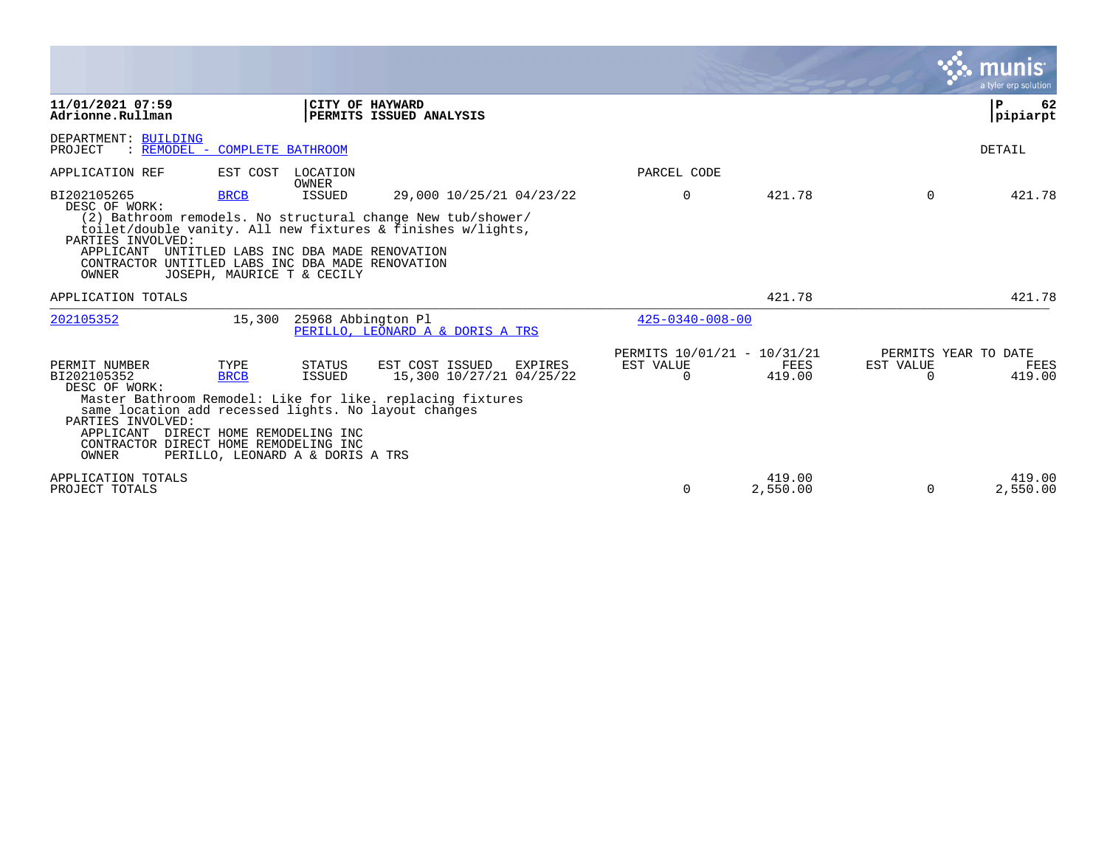|                                                                                                                                                                                                                      |                                           |                                                      |                                                                                                                                                        |                                                      |                    |                                               | munıs<br>a tyler erp solution |
|----------------------------------------------------------------------------------------------------------------------------------------------------------------------------------------------------------------------|-------------------------------------------|------------------------------------------------------|--------------------------------------------------------------------------------------------------------------------------------------------------------|------------------------------------------------------|--------------------|-----------------------------------------------|-------------------------------|
| 11/01/2021 07:59<br>Adrionne.Rullman                                                                                                                                                                                 |                                           |                                                      | CITY OF HAYWARD<br>PERMITS ISSUED ANALYSIS                                                                                                             |                                                      |                    |                                               | l P<br>62<br> pipiarpt        |
| DEPARTMENT: BUILDING<br>PROJECT<br>: REMODEL - COMPLETE BATHROOM                                                                                                                                                     |                                           |                                                      |                                                                                                                                                        |                                                      |                    |                                               | <b>DETAIL</b>                 |
| APPLICATION REF                                                                                                                                                                                                      | EST COST                                  | LOCATION<br>OWNER                                    |                                                                                                                                                        | PARCEL CODE                                          |                    |                                               |                               |
| BI202105265<br>DESC OF WORK:<br>PARTIES INVOLVED:<br>APPLICANT UNTITLED LABS INC DBA MADE RENOVATION<br>CONTRACTOR UNTITLED LABS INC DBA MADE RENOVATION<br>OWNER                                                    | <b>BRCB</b><br>JOSEPH, MAURICE T & CECILY | <b>ISSUED</b>                                        | 29,000 10/25/21 04/23/22<br>(2) Bathroom remodels. No structural change New tub/shower/<br>toilet/double vanity. All new fixtures & finishes w/lights, | $\Omega$                                             | 421.78             | $\Omega$                                      | 421.78                        |
| APPLICATION TOTALS                                                                                                                                                                                                   |                                           |                                                      |                                                                                                                                                        |                                                      | 421.78             |                                               | 421.78                        |
| 202105352                                                                                                                                                                                                            | 15,300                                    | 25968 Abbington Pl                                   | PERILLO, LEONARD A & DORIS A TRS                                                                                                                       | $425 - 0340 - 008 - 00$                              |                    |                                               |                               |
| PERMIT NUMBER<br>BI202105352<br>DESC OF WORK:<br>same location add recessed lights. No layout changes<br>PARTIES INVOLVED:<br>APPLICANT DIRECT HOME REMODELING INC<br>CONTRACTOR DIRECT HOME REMODELING INC<br>OWNER | TYPE<br><b>BRCB</b>                       | STATUS<br>ISSUED<br>PERILLO, LEONARD A & DORIS A TRS | EST COST ISSUED<br>EXPIRES<br>15,300 10/27/21 04/25/22<br>Master Bathroom Remodel: Like for like. replacing fixtures                                   | PERMITS 10/01/21 - 10/31/21<br>EST VALUE<br>$\Omega$ | FEES<br>419.00     | PERMITS YEAR TO DATE<br>EST VALUE<br>$\Omega$ | FEES<br>419.00                |
| APPLICATION TOTALS<br>PROJECT TOTALS                                                                                                                                                                                 |                                           |                                                      |                                                                                                                                                        | $\Omega$                                             | 419.00<br>2,550.00 | $\Omega$                                      | 419.00<br>2,550.00            |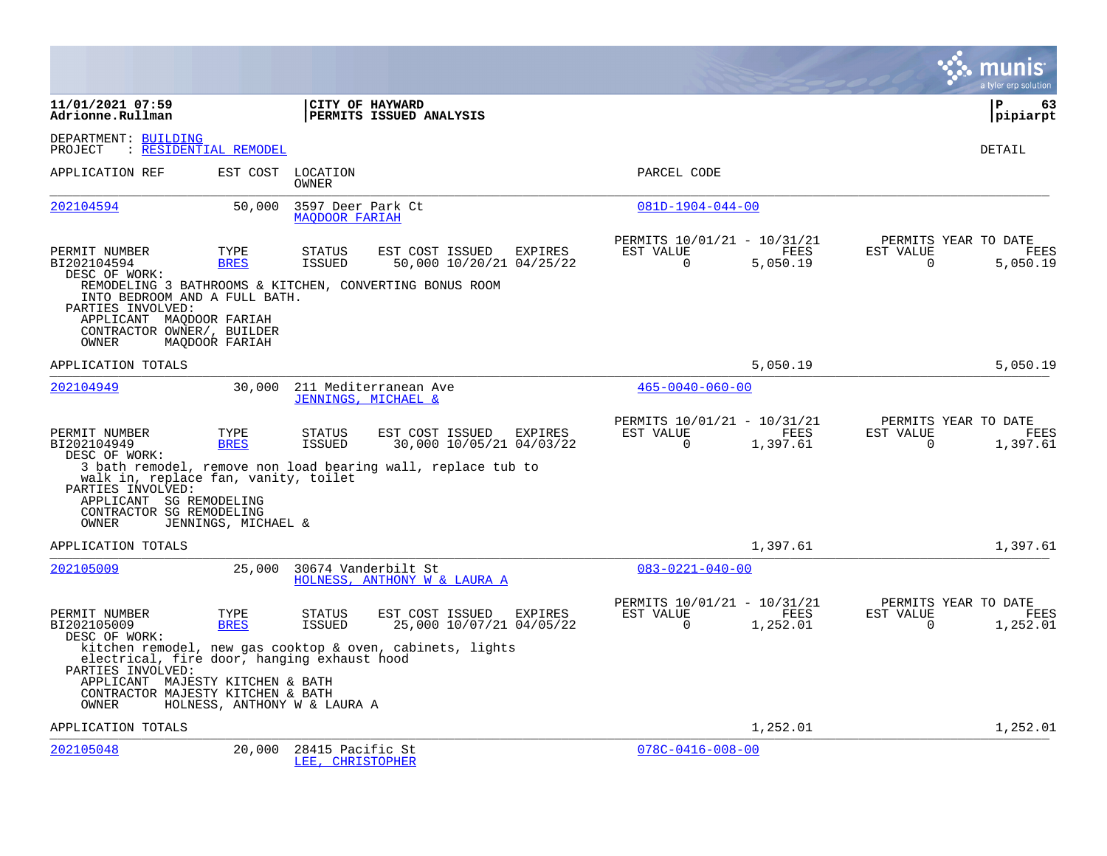|                                                                                                                                                                   |                              |                                            |                                                                                                                                    |         |                                                      |                  |                       | a tyler erp solution                            |
|-------------------------------------------------------------------------------------------------------------------------------------------------------------------|------------------------------|--------------------------------------------|------------------------------------------------------------------------------------------------------------------------------------|---------|------------------------------------------------------|------------------|-----------------------|-------------------------------------------------|
| 11/01/2021 07:59<br>Adrionne.Rullman                                                                                                                              |                              |                                            | CITY OF HAYWARD<br>PERMITS ISSUED ANALYSIS                                                                                         |         |                                                      |                  |                       | P<br>63<br> pipiarpt                            |
| DEPARTMENT: BUILDING<br>PROJECT                                                                                                                                   | : RESIDENTIAL REMODEL        |                                            |                                                                                                                                    |         |                                                      |                  |                       | DETAIL                                          |
| APPLICATION REF                                                                                                                                                   | EST COST                     | LOCATION<br><b>OWNER</b>                   |                                                                                                                                    |         | PARCEL CODE                                          |                  |                       |                                                 |
| 202104594                                                                                                                                                         | 50,000                       | 3597 Deer Park Ct<br><b>MAODOOR FARIAH</b> |                                                                                                                                    |         | $081D-1904-044-00$                                   |                  |                       |                                                 |
| PERMIT NUMBER<br>BI202104594<br>DESC OF WORK:<br>INTO BEDROOM AND A FULL BATH.<br>PARTIES INVOLVED:<br>APPLICANT MAQDOOR FARIAH<br>CONTRACTOR OWNER/, BUILDER     | TYPE<br><b>BRES</b>          | <b>STATUS</b><br><b>ISSUED</b>             | EST COST ISSUED<br>50,000 10/20/21 04/25/22<br>REMODELING 3 BATHROOMS & KITCHEN, CONVERTING BONUS ROOM                             | EXPIRES | PERMITS 10/01/21 - 10/31/21<br>EST VALUE<br>$\Omega$ | FEES<br>5,050.19 | EST VALUE<br>$\Omega$ | PERMITS YEAR TO DATE<br>FEES<br>5,050.19        |
| OWNER<br>APPLICATION TOTALS                                                                                                                                       | MAODOOR FARIAH               |                                            |                                                                                                                                    |         |                                                      | 5,050.19         |                       | 5,050.19                                        |
| 202104949                                                                                                                                                         | 30,000                       |                                            | 211 Mediterranean Ave                                                                                                              |         | $465 - 0040 - 060 - 00$                              |                  |                       |                                                 |
| PERMIT NUMBER<br>BI202104949<br>DESC OF WORK:<br>walk in, replace fan, vanity, toilet<br>PARTIES INVOLVED:<br>APPLICANT SG REMODELING<br>CONTRACTOR SG REMODELING | TYPE<br><b>BRES</b>          | <b>STATUS</b><br><b>ISSUED</b>             | JENNINGS, MICHAEL &<br>EST COST ISSUED<br>30,000 10/05/21 04/03/22<br>3 bath remodel, remove non load bearing wall, replace tub to | EXPIRES | PERMITS 10/01/21 - 10/31/21<br>EST VALUE<br>$\Omega$ | FEES<br>1,397.61 | EST VALUE<br>$\Omega$ | PERMITS YEAR TO DATE<br><b>FEES</b><br>1,397.61 |
| OWNER<br>APPLICATION TOTALS                                                                                                                                       | JENNINGS, MICHAEL &          |                                            |                                                                                                                                    |         |                                                      | 1,397.61         |                       | 1,397.61                                        |
| 202105009                                                                                                                                                         | 25,000                       |                                            | 30674 Vanderbilt St<br>HOLNESS, ANTHONY W & LAURA A                                                                                |         | $083 - 0221 - 040 - 00$                              |                  |                       |                                                 |
| PERMIT NUMBER<br>BI202105009<br>DESC OF WORK:                                                                                                                     | TYPE<br><b>BRES</b>          | <b>STATUS</b><br><b>ISSUED</b>             | EST COST ISSUED<br>25,000 10/07/21 04/05/22                                                                                        | EXPIRES | PERMITS 10/01/21 - 10/31/21<br>EST VALUE<br>$\Omega$ | FEES<br>1,252.01 | EST VALUE<br>$\Omega$ | PERMITS YEAR TO DATE<br>FEES<br>1,252.01        |
| electrical, fire door, hanging exhaust hood<br>PARTIES INVOLVED:<br>APPLICANT MAJESTY KITCHEN & BATH                                                              |                              |                                            | kitchen remodel, new gas cooktop & oven, cabinets, lights                                                                          |         |                                                      |                  |                       |                                                 |
| CONTRACTOR MAJESTY KITCHEN & BATH<br>OWNER                                                                                                                        | HOLNESS, ANTHONY W & LAURA A |                                            |                                                                                                                                    |         |                                                      |                  |                       |                                                 |
| APPLICATION TOTALS                                                                                                                                                |                              |                                            |                                                                                                                                    |         |                                                      | 1,252.01         |                       | 1,252.01                                        |
| 202105048                                                                                                                                                         | 20,000                       | 28415 Pacific St<br>LEE, CHRISTOPHER       |                                                                                                                                    |         | $078C - 0416 - 008 - 00$                             |                  |                       |                                                 |

**Contract**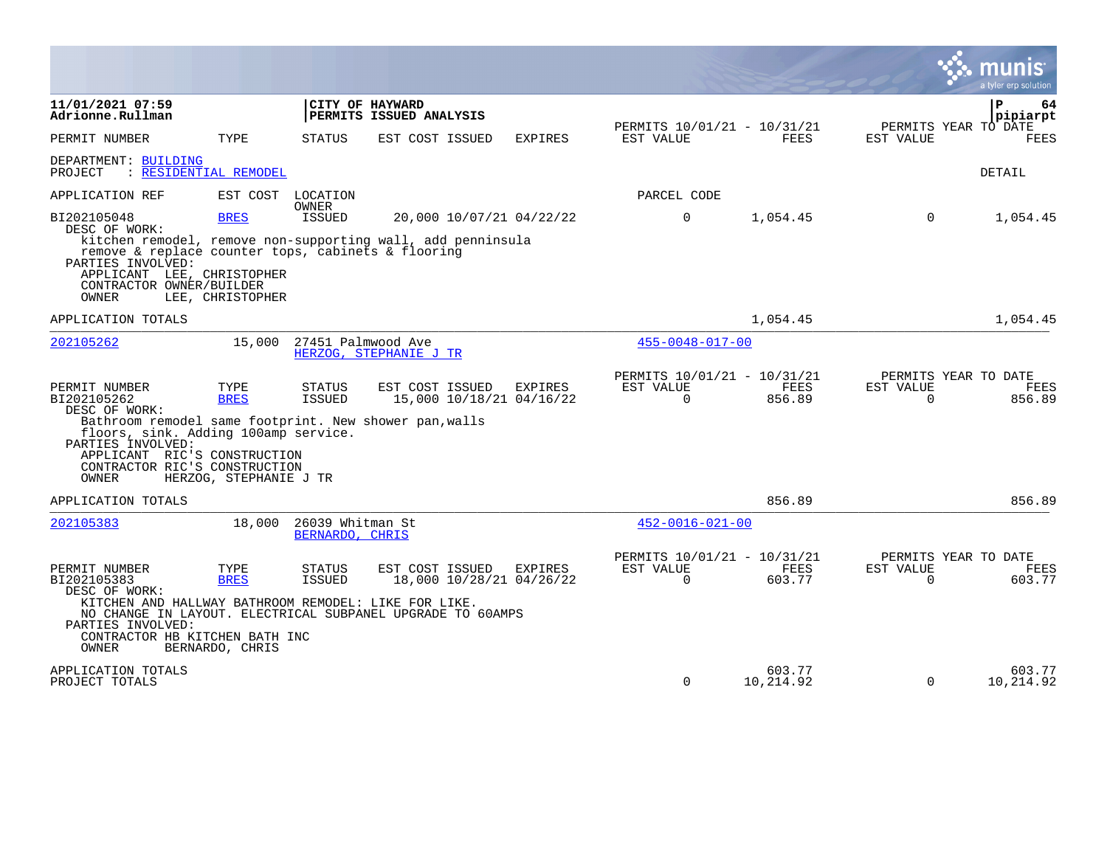|                                                                                                                                                                                                                                       |                                        |                                     |                                                                                                           |                |                                                      |                       |                       | munis<br>a tyler erp solution                 |
|---------------------------------------------------------------------------------------------------------------------------------------------------------------------------------------------------------------------------------------|----------------------------------------|-------------------------------------|-----------------------------------------------------------------------------------------------------------|----------------|------------------------------------------------------|-----------------------|-----------------------|-----------------------------------------------|
| 11/01/2021 07:59<br>Adrionne.Rullman                                                                                                                                                                                                  |                                        |                                     | CITY OF HAYWARD<br>PERMITS ISSUED ANALYSIS                                                                |                |                                                      |                       |                       | $\mathbf{P}$<br>64<br>pipiarpt                |
| PERMIT NUMBER                                                                                                                                                                                                                         | TYPE                                   | <b>STATUS</b>                       | EST COST ISSUED                                                                                           | <b>EXPIRES</b> | PERMITS 10/01/21 - 10/31/21<br>EST VALUE             | <b>FEES</b>           | EST VALUE             | PERMITS YEAR TO DATE<br><b>FEES</b>           |
| DEPARTMENT: BUILDING<br>PROJECT                                                                                                                                                                                                       | : RESIDENTIAL REMODEL                  |                                     |                                                                                                           |                |                                                      |                       |                       | <b>DETAIL</b>                                 |
| APPLICATION REF                                                                                                                                                                                                                       |                                        | EST COST LOCATION                   |                                                                                                           |                | PARCEL CODE                                          |                       |                       |                                               |
| BI202105048<br>DESC OF WORK:<br>remove & replace counter tops, cabinets & flooring<br>PARTIES INVOLVED:<br>APPLICANT LEE, CHRISTOPHER<br>CONTRACTOR OWNER/BUILDER<br>OWNER                                                            | <b>BRES</b><br>LEE, CHRISTOPHER        | <b>OWNER</b><br><b>ISSUED</b>       | 20,000 10/07/21 04/22/22<br>kitchen remodel, remove non-supporting wall, add penninsula                   |                | $\mathbf 0$                                          | 1,054.45              | $\mathbf 0$           | 1,054.45                                      |
| APPLICATION TOTALS                                                                                                                                                                                                                    |                                        |                                     |                                                                                                           |                |                                                      | 1,054.45              |                       | 1,054.45                                      |
| 202105262                                                                                                                                                                                                                             | 15,000                                 | 27451 Palmwood Ave                  | HERZOG, STEPHANIE J TR                                                                                    |                | $455 - 0048 - 017 - 00$                              |                       |                       |                                               |
| PERMIT NUMBER<br>BI202105262<br>DESC OF WORK:<br>Bathroom remodel same footprint. New shower pan, walls<br>floors, sink. Adding 100amp service.<br>PARTIES INVOLVED:<br>APPLICANT RIC'S CONSTRUCTION<br>CONTRACTOR RIC'S CONSTRUCTION | TYPE<br><b>BRES</b>                    | STATUS<br><b>ISSUED</b>             | EST COST ISSUED<br>15,000 10/18/21 04/16/22                                                               | EXPIRES        | PERMITS 10/01/21 - 10/31/21<br>EST VALUE<br>$\Omega$ | FEES<br>856.89        | EST VALUE<br>$\Omega$ | PERMITS YEAR TO DATE<br><b>FEES</b><br>856.89 |
| OWNER                                                                                                                                                                                                                                 | HERZOG, STEPHANIE J TR                 |                                     |                                                                                                           |                |                                                      |                       |                       |                                               |
| APPLICATION TOTALS                                                                                                                                                                                                                    |                                        |                                     |                                                                                                           |                |                                                      | 856.89                |                       | 856.89                                        |
| 202105383                                                                                                                                                                                                                             | 18,000                                 | 26039 Whitman St<br>BERNARDO, CHRIS |                                                                                                           |                | $452 - 0016 - 021 - 00$                              |                       |                       |                                               |
| PERMIT NUMBER<br>BI202105383<br>DESC OF WORK:<br>KITCHEN AND HALLWAY BATHROOM REMODEL: LIKE FOR LIKE.<br>PARTIES INVOLVED:<br>CONTRACTOR HB KITCHEN BATH INC<br>OWNER                                                                 | TYPE<br><b>BRES</b><br>BERNARDO, CHRIS | <b>STATUS</b><br><b>ISSUED</b>      | EST COST ISSUED<br>18,000 10/28/21 04/26/22<br>NO CHANGE IN LAYOUT. ELECTRICAL SUBPANEL UPGRADE TO 60AMPS | EXPIRES        | PERMITS 10/01/21 - 10/31/21<br>EST VALUE<br>$\Omega$ | <b>FEES</b><br>603.77 | EST VALUE<br>$\Omega$ | PERMITS YEAR TO DATE<br><b>FEES</b><br>603.77 |
| APPLICATION TOTALS                                                                                                                                                                                                                    |                                        |                                     |                                                                                                           |                |                                                      | 603.77                |                       | 603.77                                        |
| PROJECT TOTALS                                                                                                                                                                                                                        |                                        |                                     |                                                                                                           |                | $\Omega$                                             | 10,214.92             | $\mathbf 0$           | 10,214.92                                     |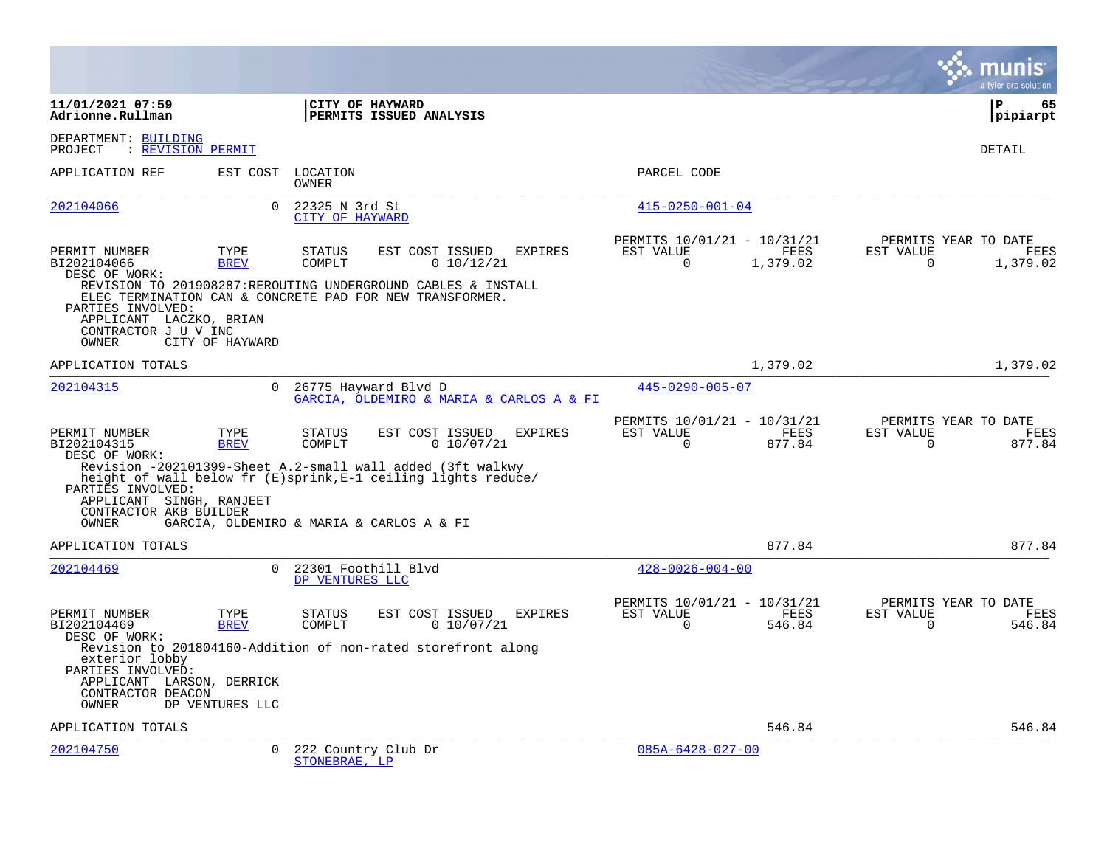|                                                                                                |                     |                                        |                                                                                                                                                              |                |                                                      |                       |                       | a tyler erp solution                     |
|------------------------------------------------------------------------------------------------|---------------------|----------------------------------------|--------------------------------------------------------------------------------------------------------------------------------------------------------------|----------------|------------------------------------------------------|-----------------------|-----------------------|------------------------------------------|
| 11/01/2021 07:59<br>Adrionne.Rullman                                                           |                     |                                        | CITY OF HAYWARD<br>PERMITS ISSUED ANALYSIS                                                                                                                   |                |                                                      |                       |                       | P<br>65<br> pipiarpt                     |
| DEPARTMENT: BUILDING<br>: REVISION PERMIT<br>PROJECT                                           |                     |                                        |                                                                                                                                                              |                |                                                      |                       |                       | DETAIL                                   |
| APPLICATION REF                                                                                | EST COST            | LOCATION<br><b>OWNER</b>               |                                                                                                                                                              |                | PARCEL CODE                                          |                       |                       |                                          |
| 202104066                                                                                      | $\Omega$            | 22325 N 3rd St<br>CITY OF HAYWARD      |                                                                                                                                                              |                | $415 - 0250 - 001 - 04$                              |                       |                       |                                          |
| PERMIT NUMBER<br>BI202104066<br>DESC OF WORK:                                                  | TYPE<br><b>BREV</b> | <b>STATUS</b><br>COMPLT                | EST COST ISSUED<br>0 10/12/21                                                                                                                                | <b>EXPIRES</b> | PERMITS 10/01/21 - 10/31/21<br>EST VALUE<br>$\Omega$ | FEES<br>1,379.02      | EST VALUE<br>$\Omega$ | PERMITS YEAR TO DATE<br>FEES<br>1,379.02 |
| PARTIES INVOLVED:<br>APPLICANT LACZKO, BRIAN<br>CONTRACTOR J U V INC<br>OWNER                  | CITY OF HAYWARD     |                                        | REVISION TO 201908287:REROUTING UNDERGROUND CABLES & INSTALL<br>ELEC TERMINATION CAN & CONCRETE PAD FOR NEW TRANSFORMER.                                     |                |                                                      |                       |                       |                                          |
| APPLICATION TOTALS                                                                             |                     |                                        |                                                                                                                                                              |                |                                                      | 1,379.02              |                       | 1,379.02                                 |
| 202104315                                                                                      | $\Omega$            |                                        | 26775 Hayward Blvd D<br>GARCIA, OLDEMIRO & MARIA & CARLOS A & FI                                                                                             |                | $445 - 0290 - 005 - 07$                              |                       |                       |                                          |
| PERMIT NUMBER<br>BI202104315<br>DESC OF WORK:<br>PARTIES INVOLVED:<br>APPLICANT SINGH, RANJEET | TYPE<br><b>BREV</b> | <b>STATUS</b><br>COMPLT                | EST COST ISSUED<br>0 10/07/21<br>Revision -202101399-Sheet A.2-small wall added (3ft walkwy<br>height of wall below fr (E)sprink, E-1 ceiling lights reduce/ | <b>EXPIRES</b> | PERMITS 10/01/21 - 10/31/21<br>EST VALUE<br>$\Omega$ | <b>FEES</b><br>877.84 | EST VALUE<br>$\Omega$ | PERMITS YEAR TO DATE<br>FEES<br>877.84   |
| CONTRACTOR AKB BUILDER<br>OWNER                                                                |                     |                                        | GARCIA, OLDEMIRO & MARIA & CARLOS A & FI                                                                                                                     |                |                                                      |                       |                       |                                          |
| APPLICATION TOTALS                                                                             |                     |                                        |                                                                                                                                                              |                |                                                      | 877.84                |                       | 877.84                                   |
| 202104469                                                                                      | $\Omega$            | 22301 Foothill Blyd<br>DP VENTURES LLC |                                                                                                                                                              |                | $428 - 0026 - 004 - 00$                              |                       |                       |                                          |
| PERMIT NUMBER<br>BI202104469<br>DESC OF WORK:                                                  | TYPE<br><b>BREV</b> | <b>STATUS</b><br>COMPLT                | EST COST ISSUED<br>0 10/07/21                                                                                                                                | EXPIRES        | PERMITS 10/01/21 - 10/31/21<br>EST VALUE<br>$\Omega$ | FEES<br>546.84        | EST VALUE<br>$\Omega$ | PERMITS YEAR TO DATE<br>FEES<br>546.84   |
| exterior lobby<br>PARTIES INVOLVED:<br>APPLICANT LARSON, DERRICK<br>CONTRACTOR DEACON<br>OWNER | DP VENTURES LLC     |                                        | Revision to 201804160-Addition of non-rated storefront along                                                                                                 |                |                                                      |                       |                       |                                          |
| APPLICATION TOTALS                                                                             |                     |                                        |                                                                                                                                                              |                |                                                      | 546.84                |                       | 546.84                                   |
| 202104750                                                                                      | $\Omega$            | 222 Country Club Dr<br>STONEBRAE, LP   |                                                                                                                                                              |                | $085A - 6428 - 027 - 00$                             |                       |                       |                                          |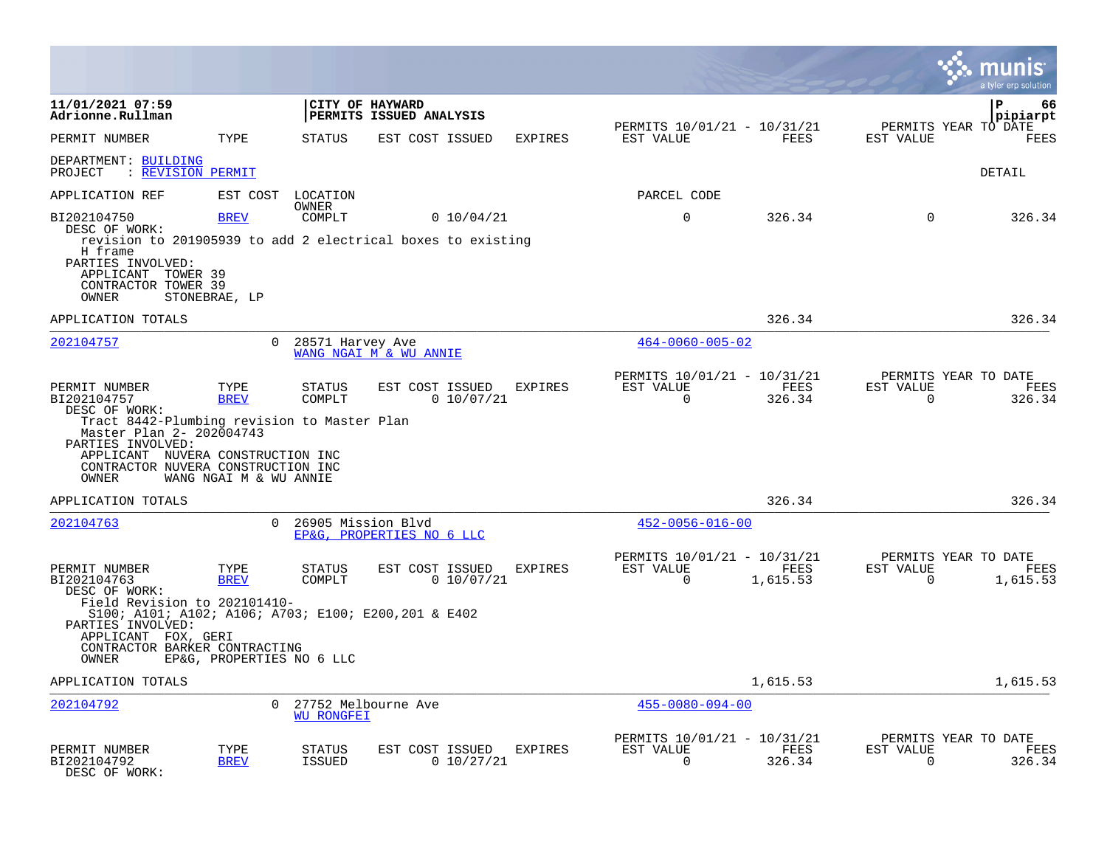|                                                                                                                                                                                                                                   |                                                  |                                          |                           |            |                |                                                         |                  |                          | a tyler erp solution                          |
|-----------------------------------------------------------------------------------------------------------------------------------------------------------------------------------------------------------------------------------|--------------------------------------------------|------------------------------------------|---------------------------|------------|----------------|---------------------------------------------------------|------------------|--------------------------|-----------------------------------------------|
| 11/01/2021 07:59<br>Adrionne.Rullman                                                                                                                                                                                              |                                                  | CITY OF HAYWARD                          | PERMITS ISSUED ANALYSIS   |            |                |                                                         |                  |                          | P<br>66<br>pipiarpt                           |
| PERMIT NUMBER                                                                                                                                                                                                                     | TYPE                                             | <b>STATUS</b>                            | EST COST ISSUED           |            | <b>EXPIRES</b> | PERMITS 10/01/21 - 10/31/21<br>EST VALUE                | FEES             | EST VALUE                | PERMITS YEAR TO DATE<br>FEES                  |
| DEPARTMENT: BUILDING<br>: REVISION PERMIT<br>PROJECT                                                                                                                                                                              |                                                  |                                          |                           |            |                |                                                         |                  |                          | DETAIL                                        |
| APPLICATION REF                                                                                                                                                                                                                   | EST COST                                         | LOCATION                                 |                           |            |                | PARCEL CODE                                             |                  |                          |                                               |
| BI202104750<br>DESC OF WORK:<br>revision to 201905939 to add 2 electrical boxes to existing<br>H frame<br>PARTIES INVOLVED:<br>APPLICANT TOWER 39<br>CONTRACTOR TOWER 39<br>OWNER                                                 | <b>BREV</b><br>STONEBRAE, LP                     | <b>OWNER</b><br>COMPLT                   |                           | 0 10/04/21 |                | $\mathbf 0$                                             | 326.34           | $\Omega$                 | 326.34                                        |
| APPLICATION TOTALS                                                                                                                                                                                                                |                                                  |                                          |                           |            |                |                                                         | 326.34           |                          | 326.34                                        |
| 202104757                                                                                                                                                                                                                         | $\Omega$                                         | 28571 Harvey Ave                         | WANG NGAI M & WU ANNIE    |            |                | $464 - 0060 - 005 - 02$                                 |                  |                          |                                               |
| PERMIT NUMBER<br>BI202104757<br>DESC OF WORK:<br>Tract 8442-Plumbing revision to Master Plan<br>Master Plan 2- 202004743<br>PARTIES INVOLVED:<br>APPLICANT NUVERA CONSTRUCTION INC<br>CONTRACTOR NUVERA CONSTRUCTION INC<br>OWNER | TYPE<br><b>BREV</b><br>WANG NGAI M & WU ANNIE    | <b>STATUS</b><br>COMPLT                  | EST COST ISSUED           | 0 10/07/21 | <b>EXPIRES</b> | PERMITS 10/01/21 - 10/31/21<br>EST VALUE<br>$\mathbf 0$ | FEES<br>326.34   | EST VALUE<br>$\Omega$    | PERMITS YEAR TO DATE<br><b>FEES</b><br>326.34 |
| APPLICATION TOTALS                                                                                                                                                                                                                |                                                  |                                          |                           |            |                |                                                         | 326.34           |                          | 326.34                                        |
| 202104763                                                                                                                                                                                                                         | $\Omega$                                         | 26905 Mission Blvd                       | EP&G, PROPERTIES NO 6 LLC |            |                | $452 - 0056 - 016 - 00$                                 |                  |                          |                                               |
| PERMIT NUMBER<br>BI202104763<br>DESC OF WORK:<br>Field Revision to 202101410-<br>S100; A101; A102; A106; A703; E100; E200, 201 & E402<br>PARTIES INVOLVED:<br>APPLICANT FOX, GERI<br>CONTRACTOR BARKER CONTRACTING<br>OWNER       | TYPE<br><b>BREV</b><br>EP&G, PROPERTIES NO 6 LLC | STATUS<br>COMPLT                         | EST COST ISSUED           | 0 10/07/21 | EXPIRES        | PERMITS 10/01/21 - 10/31/21<br>EST VALUE<br>$\Omega$    | FEES<br>1,615.53 | EST VALUE<br>$\Omega$    | PERMITS YEAR TO DATE<br>FEES<br>1,615.53      |
| APPLICATION TOTALS                                                                                                                                                                                                                |                                                  |                                          |                           |            |                |                                                         | 1,615.53         |                          | 1,615.53                                      |
| 202104792                                                                                                                                                                                                                         | $\Omega$                                         | 27752 Melbourne Ave<br><b>WU RONGFEI</b> |                           |            |                | $455 - 0080 - 094 - 00$                                 |                  |                          |                                               |
| PERMIT NUMBER<br>BI202104792<br>DESC OF WORK:                                                                                                                                                                                     | TYPE<br><b>BREV</b>                              | STATUS<br><b>ISSUED</b>                  | EST COST ISSUED           | 0 10/27/21 | <b>EXPIRES</b> | PERMITS 10/01/21 - 10/31/21<br>EST VALUE<br>$\mathbf 0$ | FEES<br>326.34   | EST VALUE<br>$\mathbf 0$ | PERMITS YEAR TO DATE<br>FEES<br>326.34        |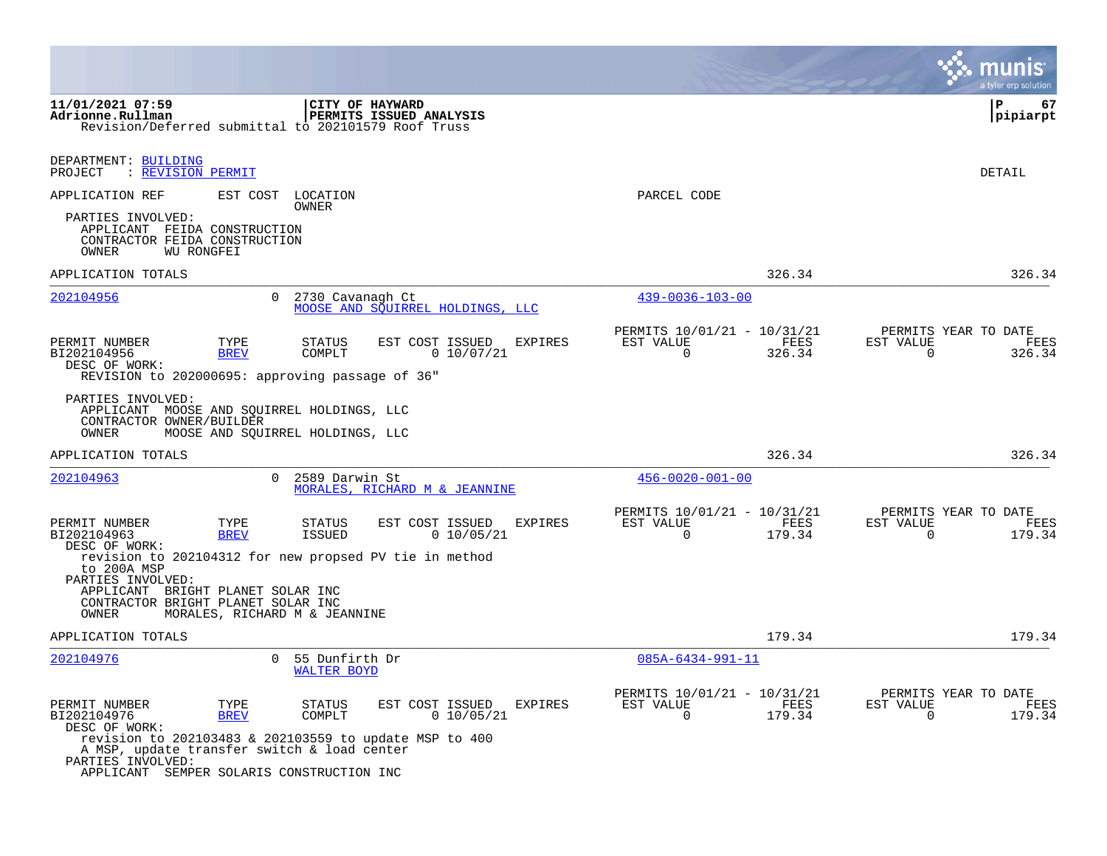|                                                                                                                      |                                                       |                                                                                                           |                                                         |                | a tyler erp solution                                                  |
|----------------------------------------------------------------------------------------------------------------------|-------------------------------------------------------|-----------------------------------------------------------------------------------------------------------|---------------------------------------------------------|----------------|-----------------------------------------------------------------------|
| 11/01/2021 07:59<br>Adrionne.Rullman<br>Revision/Deferred submittal to 202101579 Roof Truss                          |                                                       | CITY OF HAYWARD<br>PERMITS ISSUED ANALYSIS                                                                |                                                         |                | ΙP<br>67<br> pipiarpt                                                 |
| DEPARTMENT: BUILDING<br>: REVISION PERMIT<br>PROJECT                                                                 |                                                       |                                                                                                           |                                                         |                | DETAIL                                                                |
| APPLICATION REF                                                                                                      | EST COST LOCATION<br>OWNER                            |                                                                                                           | PARCEL CODE                                             |                |                                                                       |
| PARTIES INVOLVED:<br>APPLICANT FEIDA CONSTRUCTION<br>CONTRACTOR FEIDA CONSTRUCTION<br><b>WU RONGFEI</b><br>OWNER     |                                                       |                                                                                                           |                                                         |                |                                                                       |
| APPLICATION TOTALS                                                                                                   |                                                       |                                                                                                           |                                                         | 326.34         | 326.34                                                                |
| 202104956                                                                                                            | $\Omega$                                              | 2730 Cavanagh Ct<br>MOOSE AND SOUIRREL HOLDINGS, LLC                                                      | $439 - 0036 - 103 - 00$                                 |                |                                                                       |
| PERMIT NUMBER<br>BI202104956<br>DESC OF WORK:<br>REVISION to 202000695: approving passage of 36"                     | TYPE<br>STATUS<br><b>BREV</b><br>COMPLT               | EST COST ISSUED<br><b>EXPIRES</b><br>0 10/07/21                                                           | PERMITS 10/01/21 - 10/31/21<br>EST VALUE<br>$\Omega$    | FEES<br>326.34 | PERMITS YEAR TO DATE<br>EST VALUE<br>FEES<br>$\mathbf 0$<br>326.34    |
| PARTIES INVOLVED:<br>APPLICANT MOOSE AND SQUIRREL HOLDINGS, LLC<br>CONTRACTOR OWNER/BUILDER<br>OWNER                 | MOOSE AND SQUIRREL HOLDINGS, LLC                      |                                                                                                           |                                                         |                |                                                                       |
| APPLICATION TOTALS                                                                                                   |                                                       |                                                                                                           |                                                         | 326.34         | 326.34                                                                |
| 202104963                                                                                                            | $\Omega$<br>2589 Darwin St                            | MORALES, RICHARD M & JEANNINE                                                                             | $456 - 0020 - 001 - 00$                                 |                |                                                                       |
| PERMIT NUMBER<br>BI202104963<br>DESC OF WORK:                                                                        | TYPE<br><b>STATUS</b><br><b>ISSUED</b><br><b>BREV</b> | EST COST ISSUED<br><b>EXPIRES</b><br>0 10/05/21                                                           | PERMITS 10/01/21 - 10/31/21<br>EST VALUE<br>$\mathbf 0$ | FEES<br>179.34 | PERMITS YEAR TO DATE<br>EST VALUE<br>FEES<br>$\overline{0}$<br>179.34 |
| to 200A MSP<br>PARTIES INVOLVED:<br>APPLICANT BRIGHT PLANET SOLAR INC<br>CONTRACTOR BRIGHT PLANET SOLAR INC<br>OWNER | MORALES, RICHARD M & JEANNINE                         | revision to 202104312 for new propsed PV tie in method                                                    |                                                         |                |                                                                       |
| APPLICATION TOTALS                                                                                                   |                                                       |                                                                                                           |                                                         | 179.34         | 179.34                                                                |
| 202104976                                                                                                            | $\Omega$<br>55 Dunfirth Dr<br><b>WALTER BOYD</b>      |                                                                                                           | $085A - 6434 - 991 - 11$                                |                |                                                                       |
| PERMIT NUMBER<br>BI202104976<br>DESC OF WORK:<br>A MSP, update transfer switch & load center<br>PARTIES INVOLVED:    | TYPE<br>STATUS<br><b>BREV</b><br>COMPLT               | EST COST ISSUED<br><b>EXPIRES</b><br>0 10/05/21<br>revision to 202103483 & 202103559 to update MSP to 400 | PERMITS 10/01/21 - 10/31/21<br>EST VALUE<br>$\Omega$    | FEES<br>179.34 | PERMITS YEAR TO DATE<br>EST VALUE<br>FEES<br>$\mathbf 0$<br>179.34    |
| APPLICANT SEMPER SOLARIS CONSTRUCTION INC                                                                            |                                                       |                                                                                                           |                                                         |                |                                                                       |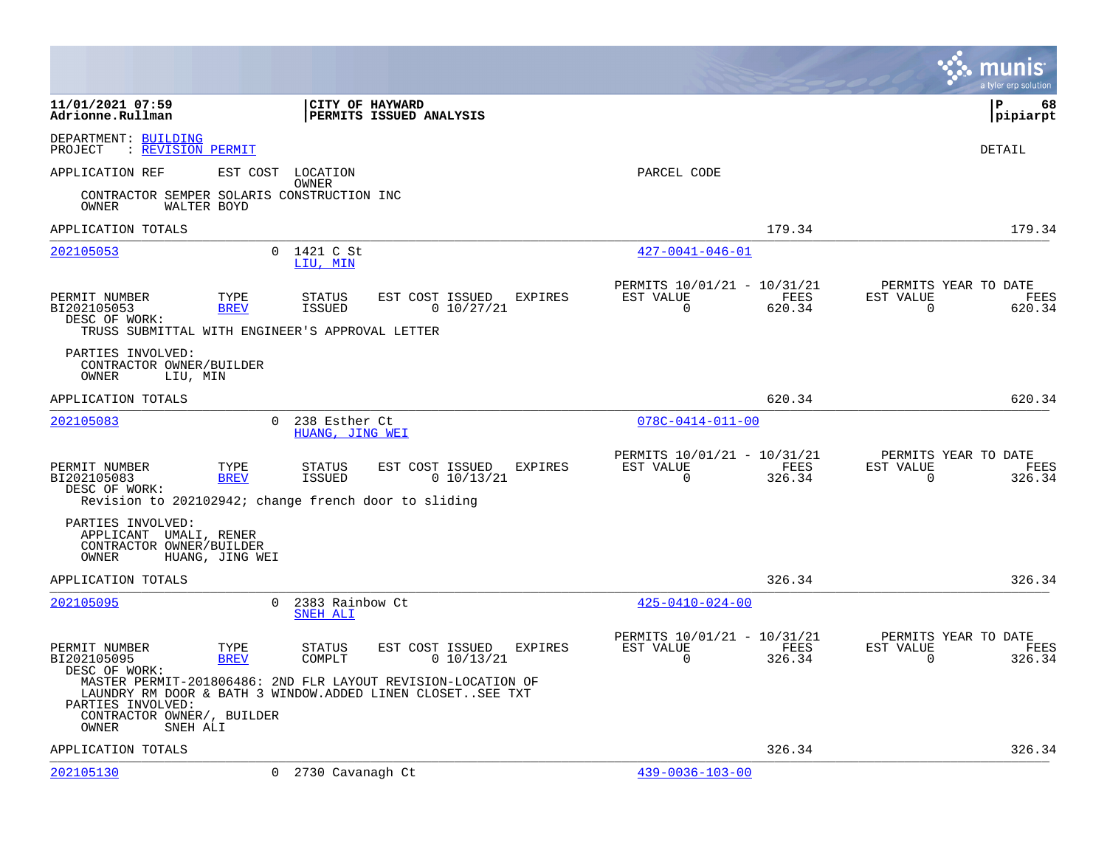|                                                                                                                                                                                                                        |                                              |                                                 |                                                         |                | munis<br>a tyler erp solution                                         |
|------------------------------------------------------------------------------------------------------------------------------------------------------------------------------------------------------------------------|----------------------------------------------|-------------------------------------------------|---------------------------------------------------------|----------------|-----------------------------------------------------------------------|
| 11/01/2021 07:59<br>Adrionne.Rullman                                                                                                                                                                                   | CITY OF HAYWARD                              | PERMITS ISSUED ANALYSIS                         |                                                         |                | l P<br>68<br> pipiarpt                                                |
| DEPARTMENT: BUILDING<br>: REVISION PERMIT<br>PROJECT                                                                                                                                                                   |                                              |                                                 |                                                         |                | <b>DETAIL</b>                                                         |
| APPLICATION REF                                                                                                                                                                                                        | EST COST LOCATION                            |                                                 | PARCEL CODE                                             |                |                                                                       |
| CONTRACTOR SEMPER SOLARIS CONSTRUCTION INC<br>WALTER BOYD<br>OWNER                                                                                                                                                     | OWNER                                        |                                                 |                                                         |                |                                                                       |
| APPLICATION TOTALS                                                                                                                                                                                                     |                                              |                                                 |                                                         | 179.34         | 179.34                                                                |
| 202105053                                                                                                                                                                                                              | $\Omega$<br>1421 C St<br>LIU, MIN            |                                                 | $427 - 0041 - 046 - 01$                                 |                |                                                                       |
| PERMIT NUMBER<br>TYPE<br>BI202105053<br><b>BREV</b><br>DESC OF WORK:<br>TRUSS SUBMITTAL WITH ENGINEER'S APPROVAL LETTER                                                                                                | STATUS<br><b>ISSUED</b>                      | EST COST ISSUED<br>EXPIRES<br>0 10/27/21        | PERMITS 10/01/21 - 10/31/21<br>EST VALUE<br>$\mathbf 0$ | FEES<br>620.34 | PERMITS YEAR TO DATE<br>EST VALUE<br>FEES<br>$\mathbf 0$<br>620.34    |
| PARTIES INVOLVED:<br>CONTRACTOR OWNER/BUILDER<br>OWNER<br>LIU, MIN                                                                                                                                                     |                                              |                                                 |                                                         |                |                                                                       |
| APPLICATION TOTALS                                                                                                                                                                                                     |                                              |                                                 |                                                         | 620.34         | 620.34                                                                |
| 202105083                                                                                                                                                                                                              | $\Omega$<br>238 Esther Ct<br>HUANG, JING WEI |                                                 | $078C - 0414 - 011 - 00$                                |                |                                                                       |
| PERMIT NUMBER<br>TYPE<br>BI202105083<br><b>BREV</b><br>DESC OF WORK:<br>Revision to 202102942; change french door to sliding                                                                                           | <b>STATUS</b><br><b>ISSUED</b>               | EST COST ISSUED<br>EXPIRES<br>0 10/13/21        | PERMITS 10/01/21 - 10/31/21<br>EST VALUE<br>0           | FEES<br>326.34 | PERMITS YEAR TO DATE<br>EST VALUE<br>FEES<br>0<br>326.34              |
| PARTIES INVOLVED:<br>APPLICANT UMALI, RENER<br>CONTRACTOR OWNER/BUILDER<br>HUANG, JING WEI<br>OWNER                                                                                                                    |                                              |                                                 |                                                         |                |                                                                       |
| APPLICATION TOTALS                                                                                                                                                                                                     |                                              |                                                 |                                                         | 326.34         | 326.34                                                                |
| 202105095                                                                                                                                                                                                              | $\Omega$<br>2383 Rainbow Ct<br>SNEH ALI      |                                                 | $425 - 0410 - 024 - 00$                                 |                |                                                                       |
| PERMIT NUMBER<br>TYPE<br>BI202105095<br><b>BREV</b><br>DESC OF WORK:<br>MASTER PERMIT-201806486: 2ND FLR LAYOUT REVISION-LOCATION OF<br>LAUNDRY RM DOOR & BATH 3 WINDOW.ADDED LINEN CLOSETSEE TXT<br>PARTIES INVOLVED: | <b>STATUS</b><br>COMPLT                      | EST COST ISSUED<br><b>EXPIRES</b><br>0 10/13/21 | PERMITS 10/01/21 - 10/31/21<br>EST VALUE<br>$\mathbf 0$ | FEES<br>326.34 | PERMITS YEAR TO DATE<br>EST VALUE<br>FEES<br>326.34<br>$\overline{0}$ |
| CONTRACTOR OWNER/, BUILDER<br>OWNER<br>SNEH ALI                                                                                                                                                                        |                                              |                                                 |                                                         |                |                                                                       |
| APPLICATION TOTALS                                                                                                                                                                                                     |                                              |                                                 |                                                         | 326.34         | 326.34                                                                |
| 202105130                                                                                                                                                                                                              | 0 2730 Cavanagh Ct                           |                                                 | $439 - 0036 - 103 - 00$                                 |                |                                                                       |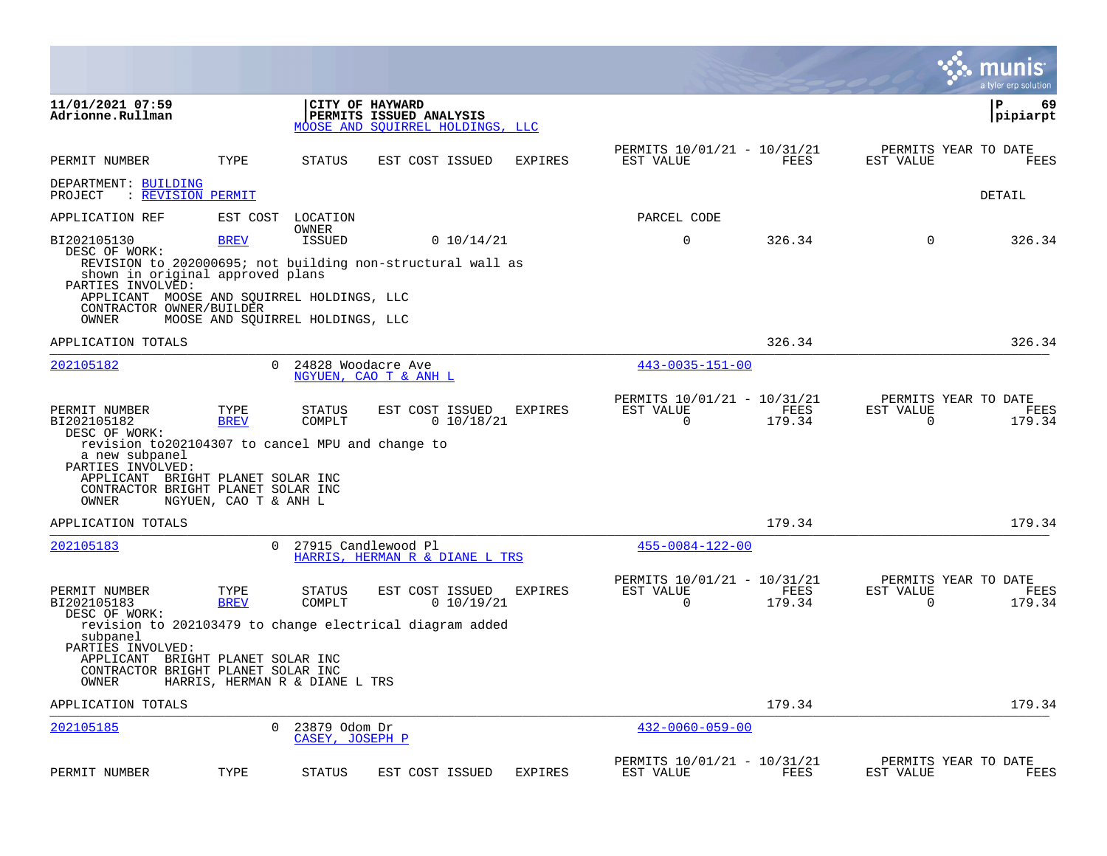|                                                                                                                                                                                                                              |                                                |                                  |                                                                                           |                |                                                      |                |                       | munis<br>a tyler erp solution          |
|------------------------------------------------------------------------------------------------------------------------------------------------------------------------------------------------------------------------------|------------------------------------------------|----------------------------------|-------------------------------------------------------------------------------------------|----------------|------------------------------------------------------|----------------|-----------------------|----------------------------------------|
| 11/01/2021 07:59<br>Adrionne.Rullman                                                                                                                                                                                         |                                                |                                  | CITY OF HAYWARD<br>PERMITS ISSUED ANALYSIS<br>MOOSE AND SOUIRREL HOLDINGS, LLC            |                |                                                      |                |                       | l P<br>69<br> pipiarpt                 |
| PERMIT NUMBER                                                                                                                                                                                                                | TYPE                                           | <b>STATUS</b>                    | EST COST ISSUED                                                                           | <b>EXPIRES</b> | PERMITS 10/01/21 - 10/31/21<br>EST VALUE             | FEES           | EST VALUE             | PERMITS YEAR TO DATE<br><b>FEES</b>    |
| DEPARTMENT: BUILDING<br>PROJECT                                                                                                                                                                                              | : REVISION PERMIT                              |                                  |                                                                                           |                |                                                      |                |                       | DETAIL                                 |
| APPLICATION REF                                                                                                                                                                                                              | EST COST                                       | LOCATION                         |                                                                                           |                | PARCEL CODE                                          |                |                       |                                        |
| BI202105130<br>DESC OF WORK:<br>shown in original approved plans<br>PARTIES INVOLVED:                                                                                                                                        | <b>BREV</b>                                    | OWNER<br><b>ISSUED</b>           | 0 10/14/21<br>REVISION to 202000695; not building non-structural wall as                  |                | $\mathbf 0$                                          | 326.34         | $\Omega$              | 326.34                                 |
| APPLICANT MOOSE AND SOUIRREL HOLDINGS, LLC<br>CONTRACTOR OWNER/BUILDER<br>OWNER                                                                                                                                              | MOOSE AND SQUIRREL HOLDINGS, LLC               |                                  |                                                                                           |                |                                                      |                |                       |                                        |
| APPLICATION TOTALS                                                                                                                                                                                                           |                                                |                                  |                                                                                           |                |                                                      | 326.34         |                       | 326.34                                 |
| 202105182                                                                                                                                                                                                                    | $\mathbf{0}$                                   | 24828 Woodacre Ave               | NGYUEN, CAO T & ANH L                                                                     |                | $443 - 0035 - 151 - 00$                              |                |                       |                                        |
| PERMIT NUMBER<br>BI202105182<br>DESC OF WORK:<br>revision to202104307 to cancel MPU and change to<br>a new subpanel<br>PARTIES INVOLVED:<br>APPLICANT BRIGHT PLANET SOLAR INC<br>CONTRACTOR BRIGHT PLANET SOLAR INC<br>OWNER | TYPE<br><b>BREV</b><br>NGYUEN, CAO T & ANH L   | <b>STATUS</b><br>COMPLT          | EST COST ISSUED<br>0 10/18/21                                                             | <b>EXPIRES</b> | PERMITS 10/01/21 - 10/31/21<br>EST VALUE<br>O        | FEES<br>179.34 | EST VALUE<br>0        | PERMITS YEAR TO DATE<br>FEES<br>179.34 |
| APPLICATION TOTALS                                                                                                                                                                                                           |                                                |                                  |                                                                                           |                |                                                      | 179.34         |                       | 179.34                                 |
| 202105183                                                                                                                                                                                                                    | $\Omega$                                       |                                  | 27915 Candlewood Pl<br>HARRIS, HERMAN R & DIANE L TRS                                     |                | $455 - 0084 - 122 - 00$                              |                |                       |                                        |
| PERMIT NUMBER<br>BI202105183<br>DESC OF WORK:<br>subpanel<br>PARTIES INVOLVED:<br>APPLICANT<br>CONTRACTOR BRIGHT PLANET SOLAR INC                                                                                            | TYPE<br><b>BREV</b><br>BRIGHT PLANET SOLAR INC | <b>STATUS</b><br>COMPLT          | EST COST ISSUED<br>0 10/19/21<br>revision to 202103479 to change electrical diagram added | <b>EXPIRES</b> | PERMITS 10/01/21 - 10/31/21<br>EST VALUE<br>$\Omega$ | FEES<br>179.34 | EST VALUE<br>$\Omega$ | PERMITS YEAR TO DATE<br>FEES<br>179.34 |
| OWNER                                                                                                                                                                                                                        | HARRIS, HERMAN R & DIANE L TRS                 |                                  |                                                                                           |                |                                                      |                |                       |                                        |
| APPLICATION TOTALS                                                                                                                                                                                                           |                                                |                                  |                                                                                           |                |                                                      | 179.34         |                       | 179.34                                 |
| 202105185                                                                                                                                                                                                                    | $\Omega$                                       | 23879 Odom Dr<br>CASEY, JOSEPH P |                                                                                           |                | $432 - 0060 - 059 - 00$                              |                |                       |                                        |
| PERMIT NUMBER                                                                                                                                                                                                                | TYPE                                           | <b>STATUS</b>                    | EST COST ISSUED                                                                           | <b>EXPIRES</b> | PERMITS 10/01/21 - 10/31/21<br>EST VALUE             | FEES           | EST VALUE             | PERMITS YEAR TO DATE<br>FEES           |

 $\bullet$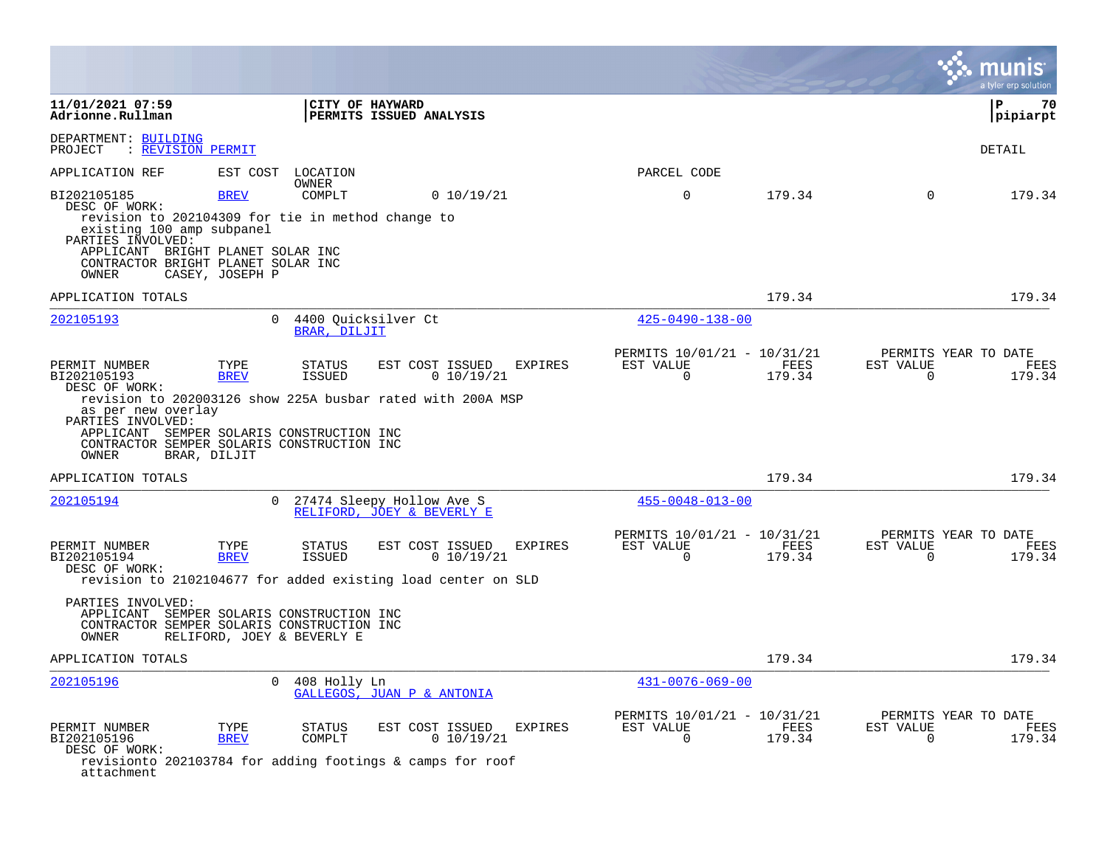|                                                                                                                                                                                                                         |                                     |                                                              |                                                                                               |                |                                                      |                |                          | a tyler erp solution                   |
|-------------------------------------------------------------------------------------------------------------------------------------------------------------------------------------------------------------------------|-------------------------------------|--------------------------------------------------------------|-----------------------------------------------------------------------------------------------|----------------|------------------------------------------------------|----------------|--------------------------|----------------------------------------|
| 11/01/2021 07:59<br>Adrionne.Rullman                                                                                                                                                                                    |                                     |                                                              | CITY OF HAYWARD<br>PERMITS ISSUED ANALYSIS                                                    |                |                                                      |                |                          | P.<br>70<br> pipiarpt                  |
| DEPARTMENT: BUILDING<br>: REVISION PERMIT<br>PROJECT                                                                                                                                                                    |                                     |                                                              |                                                                                               |                |                                                      |                |                          | <b>DETAIL</b>                          |
| APPLICATION REF                                                                                                                                                                                                         | EST COST                            | LOCATION                                                     |                                                                                               |                | PARCEL CODE                                          |                |                          |                                        |
| BI202105185<br>DESC OF WORK:<br>revision to 202104309 for tie in method change to<br>existing 100 amp subpanel<br>PARTIES INVOLVED:<br>APPLICANT BRIGHT PLANET SOLAR INC<br>CONTRACTOR BRIGHT PLANET SOLAR INC<br>OWNER | <b>BREV</b><br>CASEY, JOSEPH P      | OWNER<br>COMPLT                                              | 0 10/19/21                                                                                    |                | $\mathbf 0$                                          | 179.34         | $\Omega$                 | 179.34                                 |
| APPLICATION TOTALS                                                                                                                                                                                                      |                                     |                                                              |                                                                                               |                |                                                      | 179.34         |                          | 179.34                                 |
| 202105193                                                                                                                                                                                                               | $\Omega$                            | BRAR, DILJIT                                                 | 4400 Quicksilver Ct                                                                           |                | $425 - 0490 - 138 - 00$                              |                |                          |                                        |
| PERMIT NUMBER<br>BI202105193<br>DESC OF WORK:<br>as per new overlay<br>PARTIES INVOLVED:<br>APPLICANT SEMPER SOLARIS CONSTRUCTION INC<br>CONTRACTOR SEMPER SOLARIS CONSTRUCTION INC<br>OWNER                            | TYPE<br><b>BREV</b><br>BRAR, DILJIT | <b>STATUS</b><br><b>ISSUED</b>                               | EST COST ISSUED<br>0 10/19/21<br>revision to 202003126 show 225A busbar rated with 200A MSP   | <b>EXPIRES</b> | PERMITS 10/01/21 - 10/31/21<br>EST VALUE<br>$\Omega$ | FEES<br>179.34 | EST VALUE<br>$\Omega$    | PERMITS YEAR TO DATE<br>FEES<br>179.34 |
| APPLICATION TOTALS                                                                                                                                                                                                      |                                     |                                                              |                                                                                               |                |                                                      | 179.34         |                          | 179.34                                 |
| 202105194                                                                                                                                                                                                               | $\Omega$                            |                                                              | 27474 Sleepy Hollow Ave S<br>RELIFORD, JOEY & BEVERLY E                                       |                | $455 - 0048 - 013 - 00$                              |                |                          |                                        |
| PERMIT NUMBER<br>BI202105194<br>DESC OF WORK:<br>PARTIES INVOLVED:<br>APPLICANT SEMPER SOLARIS CONSTRUCTION INC<br>CONTRACTOR SEMPER SOLARIS CONSTRUCTION INC<br>OWNER                                                  | TYPE<br><b>BREV</b>                 | <b>STATUS</b><br><b>ISSUED</b><br>RELIFORD, JOEY & BEVERLY E | EST COST ISSUED<br>0 10/19/21<br>revision to 2102104677 for added existing load center on SLD | <b>EXPIRES</b> | PERMITS 10/01/21 - 10/31/21<br>EST VALUE<br>0        | FEES<br>179.34 | EST VALUE<br>$\mathbf 0$ | PERMITS YEAR TO DATE<br>FEES<br>179.34 |
| APPLICATION TOTALS                                                                                                                                                                                                      |                                     |                                                              |                                                                                               |                |                                                      | 179.34         |                          | 179.34                                 |
| 202105196                                                                                                                                                                                                               | $\Omega$                            | 408 Holly Ln                                                 | GALLEGOS, JUAN P & ANTONIA                                                                    |                | $431 - 0076 - 069 - 00$                              |                |                          |                                        |
| PERMIT NUMBER<br>BI202105196<br>DESC OF WORK:<br>attachment                                                                                                                                                             | TYPE<br><b>BREV</b>                 | <b>STATUS</b><br>COMPLT                                      | EST COST ISSUED<br>0 10/19/21<br>revisionto 202103784 for adding footings & camps for roof    | EXPIRES        | PERMITS 10/01/21 - 10/31/21<br>EST VALUE<br>$\Omega$ | FEES<br>179.34 | EST VALUE<br>$\Omega$    | PERMITS YEAR TO DATE<br>FEES<br>179.34 |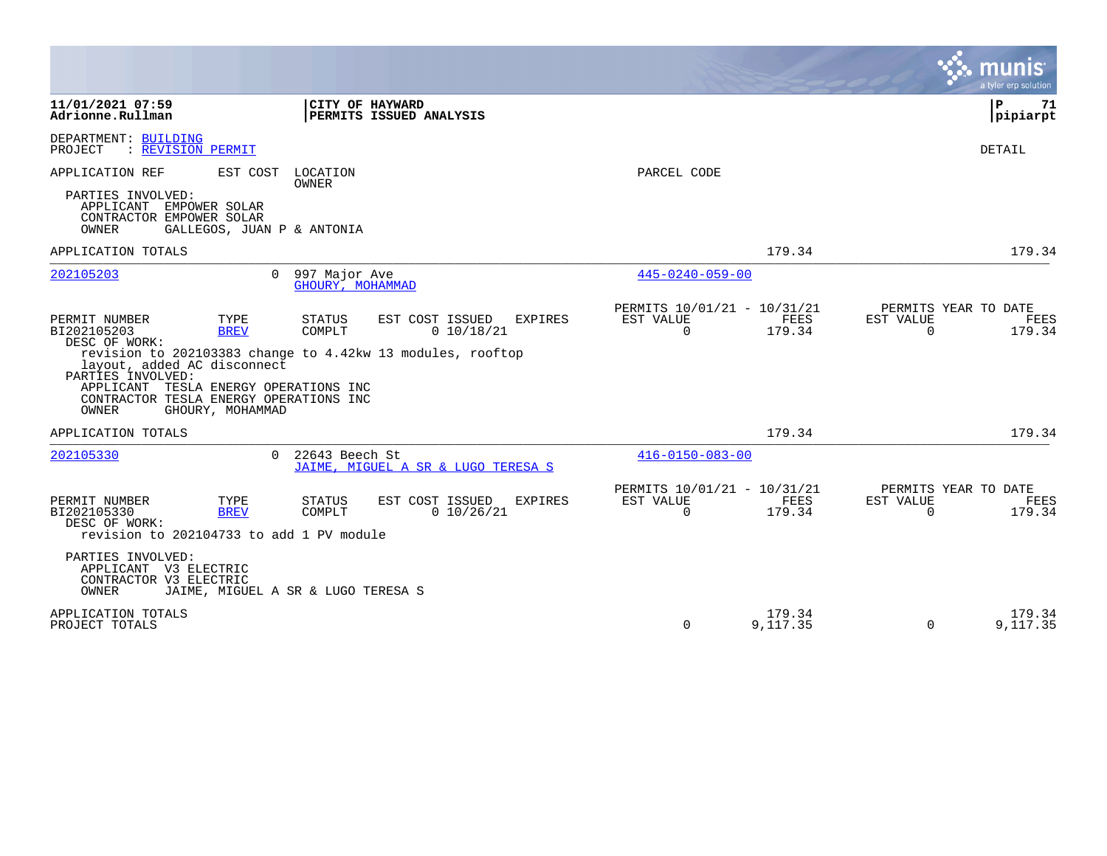|                                                                                                                                                                                                                                                                           |                                                                            |                                                      |                    | munis<br>a tyler erp solution                                   |
|---------------------------------------------------------------------------------------------------------------------------------------------------------------------------------------------------------------------------------------------------------------------------|----------------------------------------------------------------------------|------------------------------------------------------|--------------------|-----------------------------------------------------------------|
| 11/01/2021 07:59<br>Adrionne.Rullman                                                                                                                                                                                                                                      | CITY OF HAYWARD<br>PERMITS ISSUED ANALYSIS                                 |                                                      |                    | ΙP<br>71<br> pipiarpt                                           |
| DEPARTMENT: BUILDING<br>: REVISION PERMIT<br>PROJECT                                                                                                                                                                                                                      |                                                                            |                                                      |                    | <b>DETAIL</b>                                                   |
| APPLICATION REF<br>EST COST<br>PARTIES INVOLVED:<br>APPLICANT EMPOWER SOLAR<br>CONTRACTOR EMPOWER SOLAR                                                                                                                                                                   | LOCATION<br>OWNER                                                          | PARCEL CODE                                          |                    |                                                                 |
| OWNER<br>GALLEGOS, JUAN P & ANTONIA                                                                                                                                                                                                                                       |                                                                            |                                                      |                    | 179.34                                                          |
| APPLICATION TOTALS<br>202105203<br>$\Omega$                                                                                                                                                                                                                               | 997 Major Ave                                                              | $445 - 0240 - 059 - 00$                              | 179.34             |                                                                 |
|                                                                                                                                                                                                                                                                           | GHOURY, MOHAMMAD                                                           |                                                      |                    |                                                                 |
| PERMIT NUMBER<br>TYPE<br>BI202105203<br><b>BREV</b><br>DESC OF WORK:<br>revision to 202103383 change to 4.42kw 13 modules, rooftop<br>layout, added AC disconnect<br>PARTIES INVOLVED:<br>APPLICANT TESLA ENERGY OPERATIONS INC<br>CONTRACTOR TESLA ENERGY OPERATIONS INC | <b>STATUS</b><br>EST COST ISSUED<br><b>EXPIRES</b><br>COMPLT<br>0 10/18/21 | PERMITS 10/01/21 - 10/31/21<br>EST VALUE<br>$\Omega$ | FEES<br>179.34     | PERMITS YEAR TO DATE<br>EST VALUE<br>FEES<br>$\Omega$<br>179.34 |
| OWNER<br>GHOURY, MOHAMMAD                                                                                                                                                                                                                                                 |                                                                            |                                                      |                    |                                                                 |
| APPLICATION TOTALS                                                                                                                                                                                                                                                        |                                                                            |                                                      | 179.34             | 179.34                                                          |
| 202105330<br>$\Omega$                                                                                                                                                                                                                                                     | 22643 Beech St<br>JAIME, MIGUEL A SR & LUGO TERESA S                       | $416 - 0150 - 083 - 00$                              |                    |                                                                 |
| PERMIT NUMBER<br>TYPE<br>BI202105330<br><b>BREV</b><br>DESC OF WORK:<br>revision to 202104733 to add 1 PV module                                                                                                                                                          | EST COST ISSUED<br><b>STATUS</b><br><b>EXPIRES</b><br>0 10/26/21<br>COMPLT | PERMITS 10/01/21 - 10/31/21<br>EST VALUE<br>$\Omega$ | FEES<br>179.34     | PERMITS YEAR TO DATE<br>EST VALUE<br>FEES<br>$\Omega$<br>179.34 |
| PARTIES INVOLVED:<br>APPLICANT V3 ELECTRIC<br>CONTRACTOR V3 ELECTRIC<br>OWNER<br>JAIME, MIGUEL A SR & LUGO TERESA S                                                                                                                                                       |                                                                            |                                                      |                    |                                                                 |
| APPLICATION TOTALS<br>PROJECT TOTALS                                                                                                                                                                                                                                      |                                                                            | 0                                                    | 179.34<br>9,117.35 | 179.34<br>9,117.35<br>$\Omega$                                  |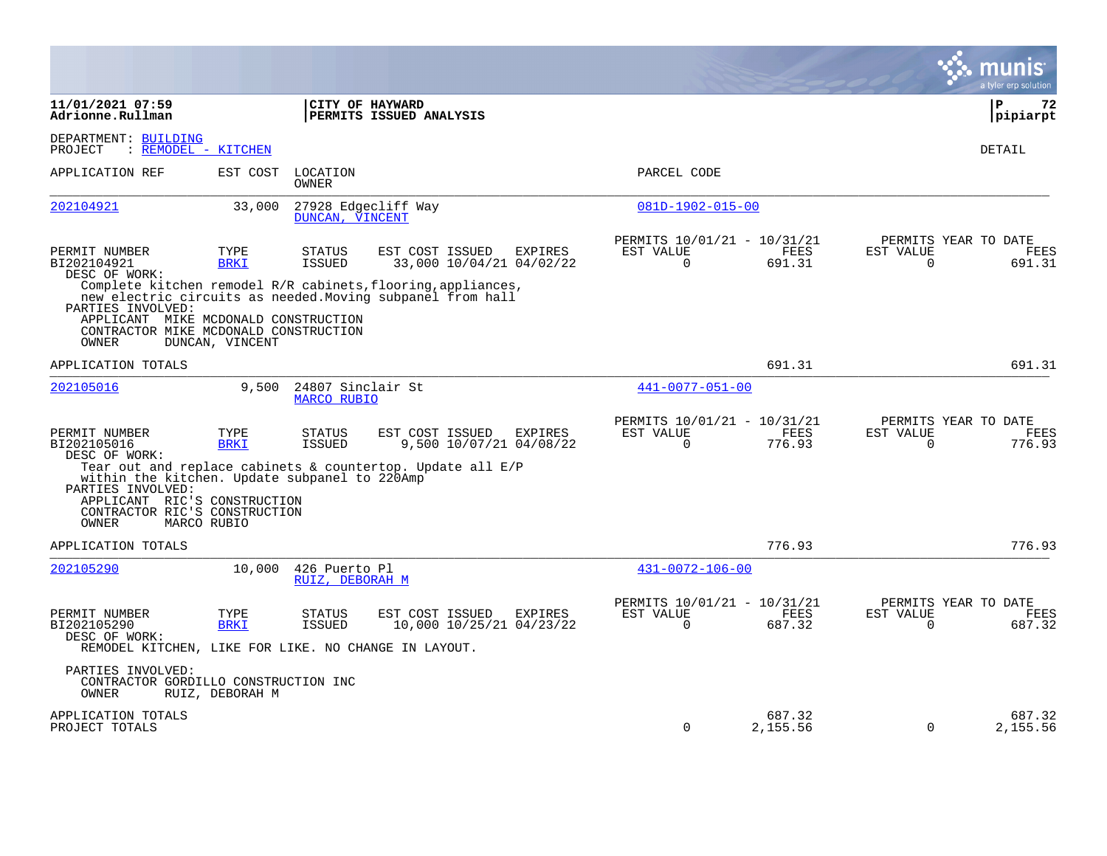|                                                                                                                                              |                     |                                         |                                                                                                                            |                |                                                      |                       |                       | munis<br>a tyler erp solution          |
|----------------------------------------------------------------------------------------------------------------------------------------------|---------------------|-----------------------------------------|----------------------------------------------------------------------------------------------------------------------------|----------------|------------------------------------------------------|-----------------------|-----------------------|----------------------------------------|
| 11/01/2021 07:59<br>Adrionne.Rullman                                                                                                         |                     | CITY OF HAYWARD                         | PERMITS ISSUED ANALYSIS                                                                                                    |                |                                                      |                       |                       | ΙP<br>72<br> pipiarpt                  |
| DEPARTMENT: BUILDING<br>: REMODEL - KITCHEN<br>PROJECT                                                                                       |                     |                                         |                                                                                                                            |                |                                                      |                       |                       | DETAIL                                 |
| APPLICATION REF                                                                                                                              | EST COST            | LOCATION<br>OWNER                       |                                                                                                                            |                | PARCEL CODE                                          |                       |                       |                                        |
| 202104921                                                                                                                                    | 33,000              | 27928 Edgecliff Way<br>DUNCAN, VINCENT  |                                                                                                                            |                | 081D-1902-015-00                                     |                       |                       |                                        |
| PERMIT NUMBER<br>BI202104921<br>DESC OF WORK:                                                                                                | TYPE<br><b>BRKI</b> | <b>STATUS</b><br><b>ISSUED</b>          | EST COST ISSUED<br>33,000 10/04/21 04/02/22                                                                                | <b>EXPIRES</b> | PERMITS 10/01/21 - 10/31/21<br>EST VALUE<br>$\Omega$ | <b>FEES</b><br>691.31 | EST VALUE<br>$\Omega$ | PERMITS YEAR TO DATE<br>FEES<br>691.31 |
| PARTIES INVOLVED:<br>APPLICANT MIKE MCDONALD CONSTRUCTION<br>CONTRACTOR MIKE MCDONALD CONSTRUCTION<br>OWNER                                  | DUNCAN, VINCENT     |                                         | Complete kitchen remodel R/R cabinets, flooring, appliances,<br>new electric circuits as needed. Moving subpanel from hall |                |                                                      |                       |                       |                                        |
| APPLICATION TOTALS                                                                                                                           |                     |                                         |                                                                                                                            |                |                                                      | 691.31                |                       | 691.31                                 |
| 202105016                                                                                                                                    | 9,500               | 24807 Sinclair St<br><b>MARCO RUBIO</b> |                                                                                                                            |                | 441-0077-051-00                                      |                       |                       |                                        |
| PERMIT NUMBER<br>BI202105016<br>DESC OF WORK:                                                                                                | TYPE<br><b>BRKI</b> | <b>STATUS</b><br>ISSUED                 | EST COST ISSUED<br>9,500 10/07/21 04/08/22                                                                                 | EXPIRES        | PERMITS 10/01/21 - 10/31/21<br>EST VALUE<br>$\Omega$ | FEES<br>776.93        | EST VALUE<br>$\Omega$ | PERMITS YEAR TO DATE<br>FEES<br>776.93 |
| within the kitchen. Update subpanel to 220Amp<br>PARTIES INVOLVED:<br>APPLICANT RIC'S CONSTRUCTION<br>CONTRACTOR RIC'S CONSTRUCTION<br>OWNER | MARCO RUBIO         |                                         | Tear out and replace cabinets & countertop. Update all $E/P$                                                               |                |                                                      |                       |                       |                                        |
| APPLICATION TOTALS                                                                                                                           |                     |                                         |                                                                                                                            |                |                                                      | 776.93                |                       | 776.93                                 |
| 202105290                                                                                                                                    | 10,000              | 426 Puerto Pl<br>RUIZ, DEBORAH M        |                                                                                                                            |                | $431 - 0072 - 106 - 00$                              |                       |                       |                                        |
| PERMIT NUMBER<br>BI202105290<br>DESC OF WORK:<br>REMODEL KITCHEN, LIKE FOR LIKE. NO CHANGE IN LAYOUT.                                        | TYPE<br><b>BRKI</b> | <b>STATUS</b><br><b>ISSUED</b>          | EST COST ISSUED<br>10,000 10/25/21 04/23/22                                                                                | <b>EXPIRES</b> | PERMITS 10/01/21 - 10/31/21<br>EST VALUE<br>$\Omega$ | <b>FEES</b><br>687.32 | EST VALUE<br>$\Omega$ | PERMITS YEAR TO DATE<br>FEES<br>687.32 |
| PARTIES INVOLVED:<br>CONTRACTOR GORDILLO CONSTRUCTION INC<br>OWNER                                                                           | RUIZ, DEBORAH M     |                                         |                                                                                                                            |                |                                                      |                       |                       |                                        |
| APPLICATION TOTALS<br>PROJECT TOTALS                                                                                                         |                     |                                         |                                                                                                                            |                | $\Omega$                                             | 687.32<br>2,155.56    | 0                     | 687.32<br>2,155.56                     |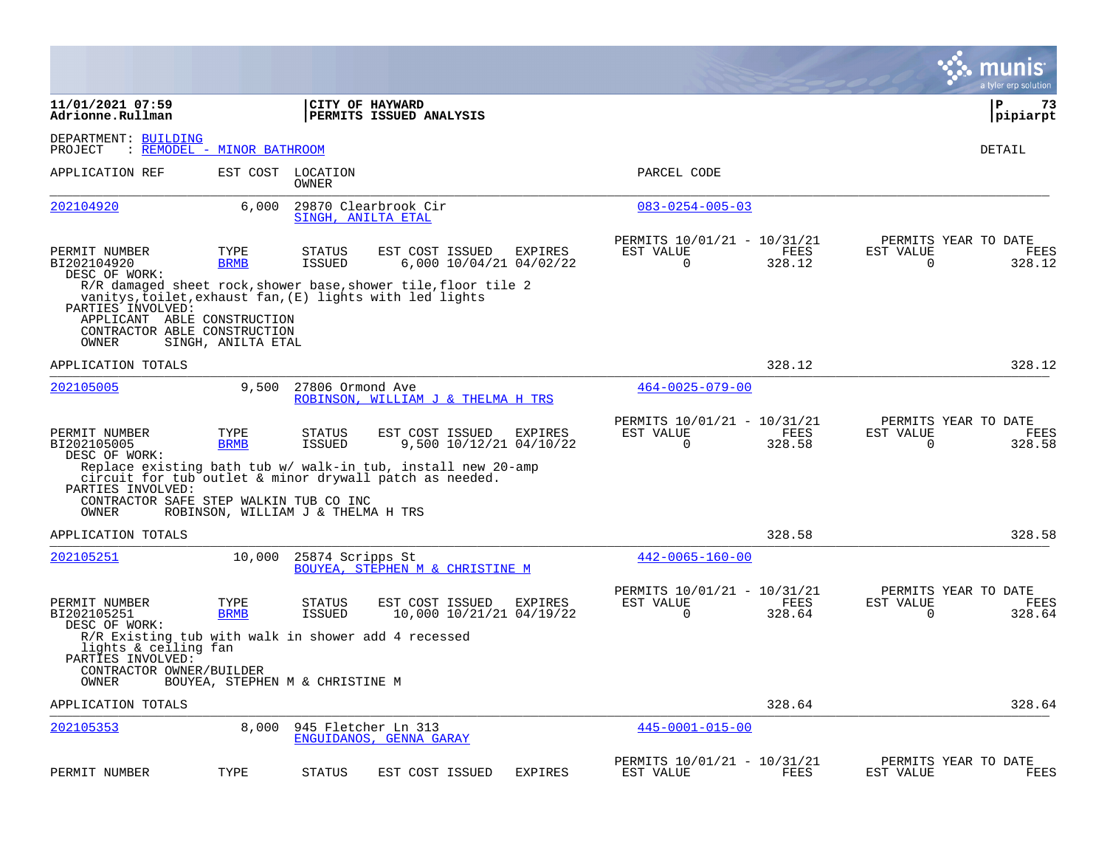|                                                                                                                              |                                    |                                |                                                                                                                                                                       |                |                                                         |                |                          | munis<br>a tyler erp solution          |
|------------------------------------------------------------------------------------------------------------------------------|------------------------------------|--------------------------------|-----------------------------------------------------------------------------------------------------------------------------------------------------------------------|----------------|---------------------------------------------------------|----------------|--------------------------|----------------------------------------|
| 11/01/2021 07:59<br>Adrionne.Rullman                                                                                         |                                    |                                | CITY OF HAYWARD<br><b>PERMITS ISSUED ANALYSIS</b>                                                                                                                     |                |                                                         |                |                          | ${\bf P}$<br>73<br> pipiarpt           |
| DEPARTMENT: BUILDING<br>PROJECT                                                                                              | : REMODEL - MINOR BATHROOM         |                                |                                                                                                                                                                       |                |                                                         |                |                          | DETAIL                                 |
| APPLICATION REF                                                                                                              | EST COST                           | LOCATION<br><b>OWNER</b>       |                                                                                                                                                                       |                | PARCEL CODE                                             |                |                          |                                        |
| 202104920                                                                                                                    | 6,000                              | SINGH, ANILTA ETAL             | 29870 Clearbrook Cir                                                                                                                                                  |                | $083 - 0254 - 005 - 03$                                 |                |                          |                                        |
| PERMIT NUMBER<br>BI202104920<br>DESC OF WORK:                                                                                | TYPE<br><b>BRMB</b>                | <b>STATUS</b><br>ISSUED        | EST COST ISSUED<br>6,000 10/04/21 04/02/22<br>R/R damaged sheet rock, shower base, shower tile, floor tile 2<br>vanitys,toilet,exhaust fan,(E) lights with led lights | EXPIRES        | PERMITS 10/01/21 - 10/31/21<br>EST VALUE<br>0           | FEES<br>328.12 | EST VALUE<br>0           | PERMITS YEAR TO DATE<br>FEES<br>328.12 |
| PARTIES INVOLVED:<br>APPLICANT ABLE CONSTRUCTION<br>CONTRACTOR ABLE CONSTRUCTION<br>OWNER                                    | SINGH, ANILTA ETAL                 |                                |                                                                                                                                                                       |                |                                                         |                |                          |                                        |
| APPLICATION TOTALS                                                                                                           |                                    |                                |                                                                                                                                                                       |                |                                                         | 328.12         |                          | 328.12                                 |
| 202105005                                                                                                                    | 9,500                              | 27806 Ormond Ave               | ROBINSON, WILLIAM J & THELMA H TRS                                                                                                                                    |                | $464 - 0025 - 079 - 00$                                 |                |                          |                                        |
| PERMIT NUMBER<br>BI202105005<br>DESC OF WORK:                                                                                | TYPE<br><b>BRMB</b>                | <b>STATUS</b><br>ISSUED        | EST COST ISSUED<br>9,500 10/12/21 04/10/22                                                                                                                            | EXPIRES        | PERMITS 10/01/21 - 10/31/21<br>EST VALUE<br>$\mathbf 0$ | FEES<br>328.58 | EST VALUE<br>$\mathbf 0$ | PERMITS YEAR TO DATE<br>FEES<br>328.58 |
| PARTIES INVOLVED:<br>CONTRACTOR SAFE STEP WALKIN TUB CO INC<br>OWNER                                                         | ROBINSON, WILLIAM J & THELMA H TRS |                                | Replace existing bath tub w/ walk-in tub, install new 20-amp<br>circuit for tub outlet & minor drywall patch as needed.                                               |                |                                                         |                |                          |                                        |
| APPLICATION TOTALS                                                                                                           |                                    |                                |                                                                                                                                                                       |                |                                                         | 328.58         |                          | 328.58                                 |
| 202105251                                                                                                                    | 10,000                             | 25874 Scripps St               | <b>BOUYEA, STEPHEN M &amp; CHRISTINE M</b>                                                                                                                            |                | $442 - 0065 - 160 - 00$                                 |                |                          |                                        |
| PERMIT NUMBER<br>BI202105251<br>DESC OF WORK:                                                                                | TYPE<br><b>BRMB</b>                | <b>STATUS</b><br><b>ISSUED</b> | EST COST ISSUED<br>10,000 10/21/21 04/19/22                                                                                                                           | EXPIRES        | PERMITS 10/01/21 - 10/31/21<br>EST VALUE<br>0           | FEES<br>328.64 | EST VALUE<br>$\mathbf 0$ | PERMITS YEAR TO DATE<br>FEES<br>328.64 |
| R/R Existing tub with walk in shower add 4 recessed<br>lights & ceiling fan<br>PARTIES INVOLVED:<br>CONTRACTOR OWNER/BUILDER |                                    |                                |                                                                                                                                                                       |                |                                                         |                |                          |                                        |
| OWNER                                                                                                                        | BOUYEA, STEPHEN M & CHRISTINE M    |                                |                                                                                                                                                                       |                |                                                         |                |                          |                                        |
| APPLICATION TOTALS                                                                                                           |                                    |                                |                                                                                                                                                                       |                |                                                         | 328.64         |                          | 328.64                                 |
| 202105353                                                                                                                    | 8,000                              |                                | 945 Fletcher Ln 313<br>ENGUIDANOS, GENNA GARAY                                                                                                                        |                | $445 - 0001 - 015 - 00$                                 |                |                          |                                        |
| PERMIT NUMBER                                                                                                                | TYPE                               | <b>STATUS</b>                  | EST COST ISSUED                                                                                                                                                       | <b>EXPIRES</b> | PERMITS 10/01/21 - 10/31/21<br>EST VALUE                | FEES           | EST VALUE                | PERMITS YEAR TO DATE<br>FEES           |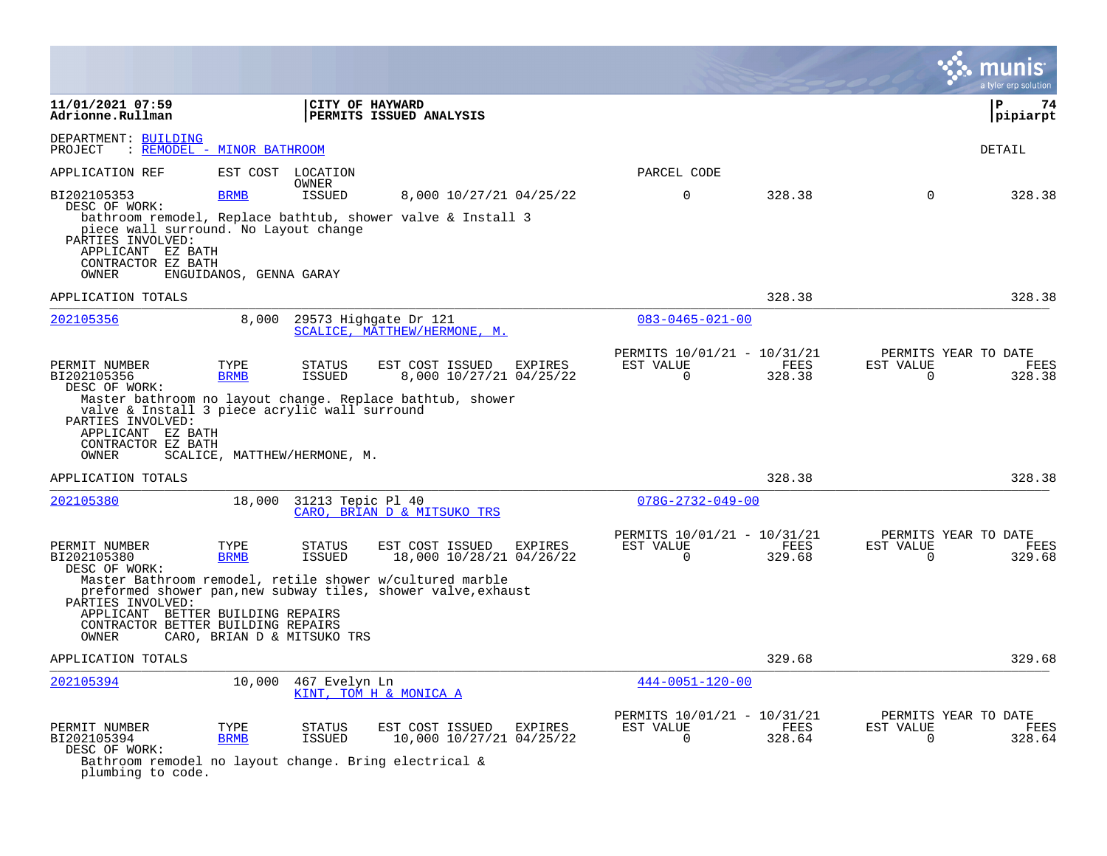|                                                                                                                                                                         |                                                     |                                   |                                                                                                                                                                          |                |                                                      |                       |                       | a tyler erp solution                   |
|-------------------------------------------------------------------------------------------------------------------------------------------------------------------------|-----------------------------------------------------|-----------------------------------|--------------------------------------------------------------------------------------------------------------------------------------------------------------------------|----------------|------------------------------------------------------|-----------------------|-----------------------|----------------------------------------|
| 11/01/2021 07:59<br>Adrionne.Rullman                                                                                                                                    |                                                     | CITY OF HAYWARD                   | PERMITS ISSUED ANALYSIS                                                                                                                                                  |                |                                                      |                       |                       | l P<br>74<br> pipiarpt                 |
| DEPARTMENT: BUILDING<br>PROJECT                                                                                                                                         | : REMODEL - MINOR BATHROOM                          |                                   |                                                                                                                                                                          |                |                                                      |                       |                       | <b>DETAIL</b>                          |
| APPLICATION REF                                                                                                                                                         |                                                     | EST COST LOCATION<br><b>OWNER</b> |                                                                                                                                                                          |                | PARCEL CODE                                          |                       |                       |                                        |
| BI202105353<br>DESC OF WORK:<br>piece wall surround. No Layout change<br>PARTIES INVOLVED:<br>APPLICANT EZ BATH<br>CONTRACTOR EZ BATH<br>OWNER                          | <b>BRMB</b><br>ENGUIDANOS, GENNA GARAY              | ISSUED                            | 8,000 10/27/21 04/25/22<br>bathroom remodel, Replace bathtub, shower valve & Install 3                                                                                   |                | $\Omega$                                             | 328.38                | $\Omega$              | 328.38                                 |
| APPLICATION TOTALS                                                                                                                                                      |                                                     |                                   |                                                                                                                                                                          |                |                                                      | 328.38                |                       | 328.38                                 |
| 202105356                                                                                                                                                               | 8.000                                               |                                   | 29573 Highgate Dr 121<br>SCALICE, MATTHEW/HERMONE, M.                                                                                                                    |                | $083 - 0465 - 021 - 00$                              |                       |                       |                                        |
| PERMIT NUMBER<br>BI202105356<br>DESC OF WORK:<br>valve & Install 3 piece acrylic wall surround<br>PARTIES INVOLVED:<br>APPLICANT EZ BATH<br>CONTRACTOR EZ BATH<br>OWNER | TYPE<br><b>BRMB</b><br>SCALICE, MATTHEW/HERMONE, M. | <b>STATUS</b><br>ISSUED           | EST COST ISSUED<br>8,000 10/27/21 04/25/22<br>Master bathroom no layout change. Replace bathtub, shower                                                                  | EXPIRES        | PERMITS 10/01/21 - 10/31/21<br>EST VALUE<br>$\Omega$ | FEES<br>328.38        | EST VALUE<br>$\Omega$ | PERMITS YEAR TO DATE<br>FEES<br>328.38 |
| APPLICATION TOTALS                                                                                                                                                      |                                                     |                                   |                                                                                                                                                                          |                |                                                      | 328.38                |                       | 328.38                                 |
| 202105380                                                                                                                                                               | 18,000                                              | 31213 Tepic Pl 40                 | CARO, BRIAN D & MITSUKO TRS                                                                                                                                              |                | $078G - 2732 - 049 - 00$                             |                       |                       |                                        |
| PERMIT NUMBER<br>BI202105380<br>DESC OF WORK:<br>PARTIES INVOLVED:<br>APPLICANT BETTER BUILDING REPAIRS<br>CONTRACTOR BETTER BUILDING REPAIRS<br>OWNER                  | TYPE<br><b>BRMB</b><br>CARO, BRIAN D & MITSUKO TRS  | <b>STATUS</b><br><b>ISSUED</b>    | EST COST ISSUED<br>18,000 10/28/21 04/26/22<br>Master Bathroom remodel, retile shower w/cultured marble<br>preformed shower pan, new subway tiles, shower valve, exhaust | <b>EXPIRES</b> | PERMITS 10/01/21 - 10/31/21<br>EST VALUE<br>$\Omega$ | <b>FEES</b><br>329.68 | EST VALUE<br>$\Omega$ | PERMITS YEAR TO DATE<br>FEES<br>329.68 |
| APPLICATION TOTALS                                                                                                                                                      |                                                     |                                   |                                                                                                                                                                          |                |                                                      | 329.68                |                       | 329.68                                 |
| 202105394                                                                                                                                                               | 10,000                                              | 467 Evelyn Ln                     | KINT, TOM H & MONICA A                                                                                                                                                   |                | $444 - 0051 - 120 - 00$                              |                       |                       |                                        |
| PERMIT NUMBER<br>BI202105394<br>DESC OF WORK:<br>Bathroom remodel no layout change. Bring electrical &<br>plumbing to code.                                             | TYPE<br><b>BRMB</b>                                 | <b>STATUS</b><br><b>ISSUED</b>    | EST COST ISSUED<br>10,000 10/27/21 04/25/22                                                                                                                              | EXPIRES        | PERMITS 10/01/21 - 10/31/21<br>EST VALUE<br>$\Omega$ | FEES<br>328.64        | EST VALUE<br>$\Omega$ | PERMITS YEAR TO DATE<br>FEES<br>328.64 |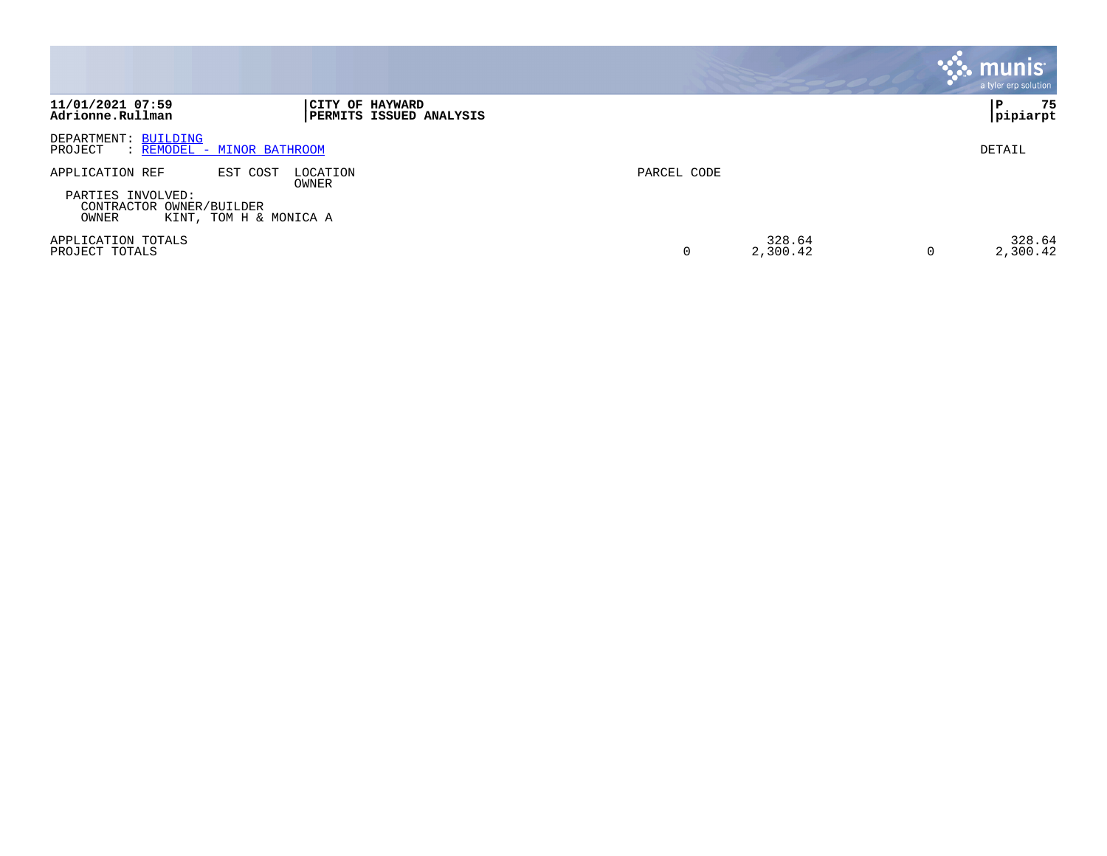|                                                                                                                 |                                                   |             |                    | $\boldsymbol{\ddot{\cdot}}$ . munis<br>a tyler erp solution |
|-----------------------------------------------------------------------------------------------------------------|---------------------------------------------------|-------------|--------------------|-------------------------------------------------------------|
| 11/01/2021 07:59<br>Adrionne.Rullman                                                                            | CITY OF HAYWARD<br><b>PERMITS ISSUED ANALYSIS</b> |             |                    | 75<br>P<br> pipiarpt                                        |
| DEPARTMENT: BUILDING<br>: REMODEL - MINOR BATHROOM<br>PROJECT                                                   |                                                   |             |                    | DETAIL                                                      |
| APPLICATION REF<br>EST COST<br>PARTIES INVOLVED:<br>CONTRACTOR OWNER/BUILDER<br>OWNER<br>KINT, TOM H & MONICA A | LOCATION<br>OWNER                                 | PARCEL CODE |                    |                                                             |
| APPLICATION TOTALS<br>PROJECT TOTALS                                                                            |                                                   |             | 328.64<br>2,300.42 | 328.64<br>2,300.42<br>0                                     |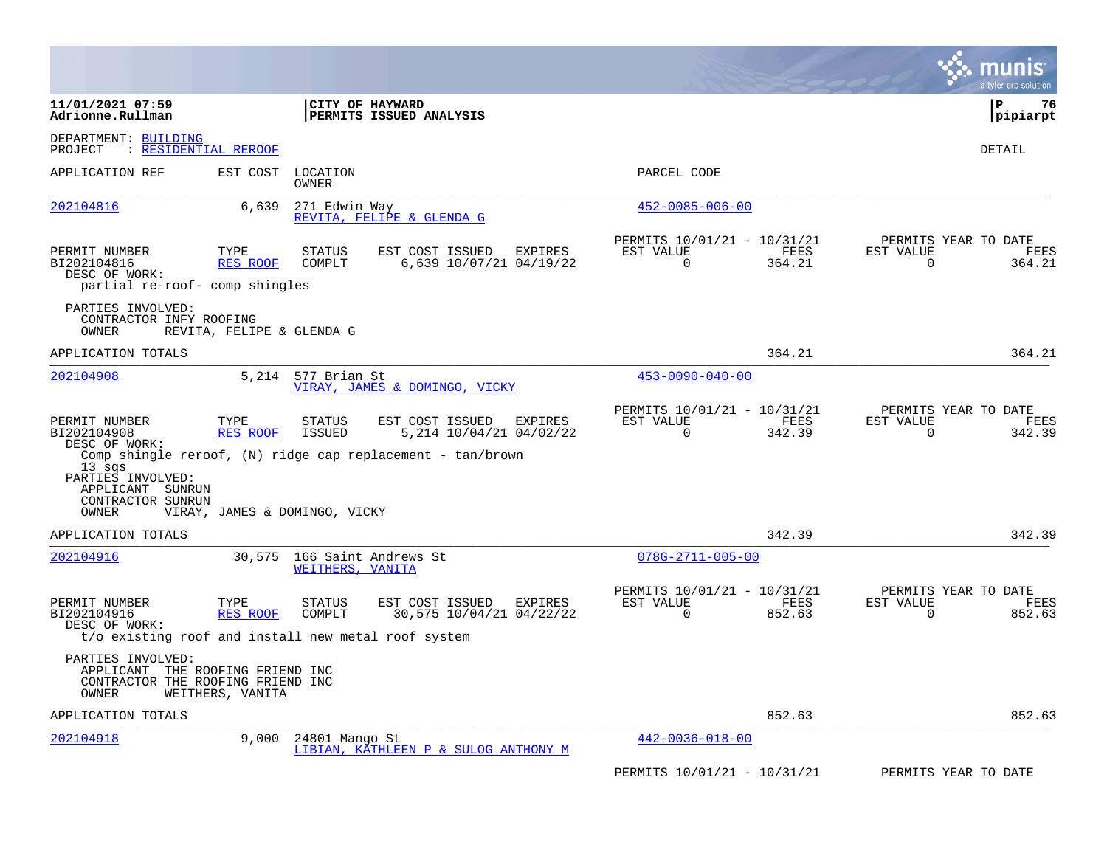|                                                                                                      |                           |                               |                                                                                                                     |                                                                | a tyler erp solution                                                           |
|------------------------------------------------------------------------------------------------------|---------------------------|-------------------------------|---------------------------------------------------------------------------------------------------------------------|----------------------------------------------------------------|--------------------------------------------------------------------------------|
| 11/01/2021 07:59<br>Adrionne.Rullman                                                                 |                           |                               | CITY OF HAYWARD<br>PERMITS ISSUED ANALYSIS                                                                          |                                                                | lР<br>76<br> pipiarpt                                                          |
| DEPARTMENT: BUILDING<br>: RESIDENTIAL REROOF<br>PROJECT                                              |                           |                               |                                                                                                                     |                                                                | DETAIL                                                                         |
| APPLICATION REF                                                                                      | EST COST                  | LOCATION<br>OWNER             |                                                                                                                     | PARCEL CODE                                                    |                                                                                |
| 202104816                                                                                            | 6,639                     | 271 Edwin Way                 | REVITA, FELIPE & GLENDA G                                                                                           | $452 - 0085 - 006 - 00$                                        |                                                                                |
| PERMIT NUMBER<br>BI202104816<br>DESC OF WORK:<br>partial re-roof- comp shingles                      | TYPE<br>RES ROOF          | <b>STATUS</b><br>COMPLT       | EST COST ISSUED<br>EXPIRES<br>6,639 10/07/21 04/19/22                                                               | PERMITS 10/01/21 - 10/31/21<br>EST VALUE<br>364.21<br>$\Omega$ | PERMITS YEAR TO DATE<br>FEES<br>EST VALUE<br>FEES<br>$\Omega$<br>364.21        |
| PARTIES INVOLVED:<br>CONTRACTOR INFY ROOFING<br>OWNER                                                | REVITA, FELIPE & GLENDA G |                               |                                                                                                                     |                                                                |                                                                                |
| APPLICATION TOTALS                                                                                   |                           |                               |                                                                                                                     | 364.21                                                         | 364.21                                                                         |
| 202104908                                                                                            |                           | 5.214 577 Brian St            | VIRAY, JAMES & DOMINGO, VICKY                                                                                       | $453 - 0090 - 040 - 00$                                        |                                                                                |
| PERMIT NUMBER<br>BI202104908<br>DESC OF WORK:<br>$13$ sqs<br>PARTIES INVOLVED:<br>APPLICANT SUNRUN   | TYPE<br><b>RES ROOF</b>   | <b>STATUS</b><br>ISSUED       | EST COST ISSUED<br>EXPIRES<br>5,214 10/04/21 04/02/22<br>Comp shingle reroof, (N) ridge cap replacement - tan/brown | PERMITS 10/01/21 - 10/31/21<br>EST VALUE<br>$\Omega$<br>342.39 | PERMITS YEAR TO DATE<br><b>FEES</b><br>EST VALUE<br>FEES<br>342.39<br>$\Omega$ |
| CONTRACTOR SUNRUN<br>OWNER                                                                           |                           | VIRAY, JAMES & DOMINGO, VICKY |                                                                                                                     |                                                                |                                                                                |
| APPLICATION TOTALS                                                                                   |                           |                               |                                                                                                                     | 342.39                                                         | 342.39                                                                         |
| 202104916                                                                                            | 30,575                    | WEITHERS, VANITA              | 166 Saint Andrews St                                                                                                | $078G - 2711 - 005 - 00$                                       |                                                                                |
| PERMIT NUMBER<br>BI202104916<br>DESC OF WORK:<br>t/o existing roof and install new metal roof system | TYPE<br>RES ROOF          | <b>STATUS</b><br>COMPLT       | EST COST ISSUED<br>EXPIRES<br>30,575 10/04/21 04/22/22                                                              | PERMITS 10/01/21 - 10/31/21<br>EST VALUE<br>$\Omega$<br>852.63 | PERMITS YEAR TO DATE<br><b>FEES</b><br>EST VALUE<br>FEES<br>$\Omega$<br>852.63 |
| PARTIES INVOLVED:<br>APPLICANT THE ROOFING FRIEND INC<br>CONTRACTOR THE ROOFING FRIEND INC<br>OWNER  | WEITHERS, VANITA          |                               |                                                                                                                     |                                                                |                                                                                |
| APPLICATION TOTALS                                                                                   |                           |                               |                                                                                                                     | 852.63                                                         | 852.63                                                                         |
| 202104918                                                                                            | 9,000                     | 24801 Mango St                | LIBIAN, KATHLEEN P & SULOG ANTHONY M                                                                                | $442 - 0036 - 018 - 00$                                        |                                                                                |
|                                                                                                      |                           |                               |                                                                                                                     | PERMITS 10/01/21 - 10/31/21                                    | PERMITS YEAR TO DATE                                                           |

**Contract**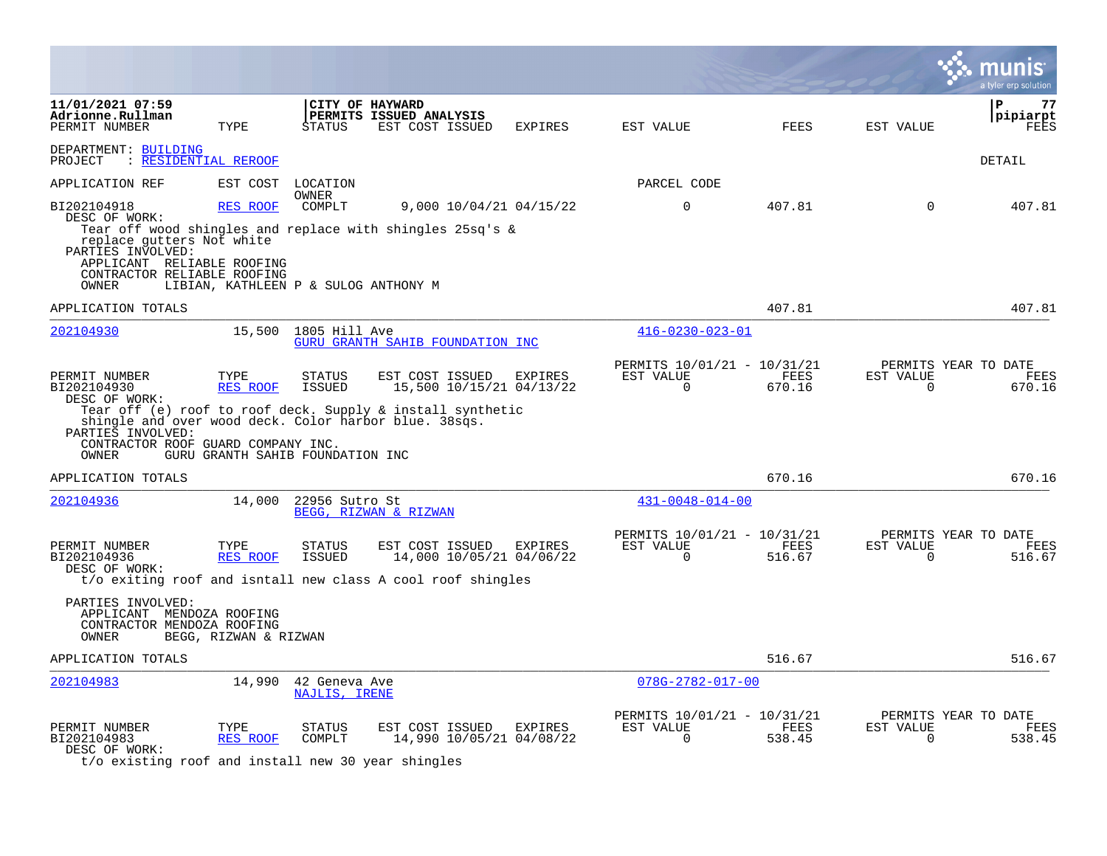|                                                                                                                           |                         |                                      |                                                                                                            |                |                                                         |                       |                          | a tyler erp solution                   |
|---------------------------------------------------------------------------------------------------------------------------|-------------------------|--------------------------------------|------------------------------------------------------------------------------------------------------------|----------------|---------------------------------------------------------|-----------------------|--------------------------|----------------------------------------|
| 11/01/2021 07:59<br>Adrionne.Rullman<br>PERMIT NUMBER                                                                     | TYPE                    | CITY OF HAYWARD<br><b>STATUS</b>     | PERMITS ISSUED ANALYSIS<br>EST COST ISSUED                                                                 | <b>EXPIRES</b> | EST VALUE                                               | <b>FEES</b>           | EST VALUE                | 77<br>ΙP<br>pipiarpt<br>FEES           |
| DEPARTMENT: BUILDING<br>PROJECT<br>: RESIDENTIAL REROOF                                                                   |                         |                                      |                                                                                                            |                |                                                         |                       |                          | DETAIL                                 |
| APPLICATION REF                                                                                                           | EST COST                | LOCATION                             |                                                                                                            |                | PARCEL CODE                                             |                       |                          |                                        |
| BI202104918<br>DESC OF WORK:<br>replace qutters Not white<br>PARTIES INVOLVED:<br>APPLICANT RELIABLE ROOFING              | <b>RES ROOF</b>         | OWNER<br>COMPLT                      | 9,000 10/04/21 04/15/22<br>Tear off wood shingles and replace with shingles 25sq's $\&$                    |                | $\Omega$                                                | 407.81                | $\Omega$                 | 407.81                                 |
| CONTRACTOR RELIABLE ROOFING<br>OWNER                                                                                      |                         | LIBIAN, KATHLEEN P & SULOG ANTHONY M |                                                                                                            |                |                                                         |                       |                          |                                        |
| APPLICATION TOTALS                                                                                                        |                         |                                      |                                                                                                            |                |                                                         | 407.81                |                          | 407.81                                 |
| 202104930                                                                                                                 |                         | 15,500 1805 Hill Ave                 | GURU GRANTH SAHIB FOUNDATION INC                                                                           |                | $416 - 0230 - 023 - 01$                                 |                       |                          |                                        |
| PERMIT NUMBER<br>BI202104930<br>DESC OF WORK:                                                                             | TYPE<br>RES ROOF        | <b>STATUS</b><br><b>ISSUED</b>       | EST COST ISSUED<br>15,500 10/15/21 04/13/22<br>Tear off (e) roof to roof deck. Supply & install synthetic  | EXPIRES        | PERMITS 10/01/21 - 10/31/21<br>EST VALUE<br>$\Omega$    | <b>FEES</b><br>670.16 | EST VALUE<br>0           | PERMITS YEAR TO DATE<br>FEES<br>670.16 |
| shingle and over wood deck. Color harbor blue. 38sqs.<br>PARTIES INVOLVED:<br>CONTRACTOR ROOF GUARD COMPANY INC.<br>OWNER |                         | GURU GRANTH SAHIB FOUNDATION INC     |                                                                                                            |                |                                                         |                       |                          |                                        |
| APPLICATION TOTALS                                                                                                        |                         |                                      |                                                                                                            |                |                                                         | 670.16                |                          | 670.16                                 |
| 202104936                                                                                                                 | 14,000                  | 22956 Sutro St                       | BEGG, RIZWAN & RIZWAN                                                                                      |                | $431 - 0048 - 014 - 00$                                 |                       |                          |                                        |
| PERMIT NUMBER<br>BI202104936<br>DESC OF WORK:                                                                             | TYPE<br>RES ROOF        | STATUS<br><b>ISSUED</b>              | EST COST ISSUED<br>14,000 10/05/21 04/06/22<br>t/o exiting roof and isntall new class A cool roof shingles | EXPIRES        | PERMITS 10/01/21 - 10/31/21<br>EST VALUE<br>$\Omega$    | FEES<br>516.67        | EST VALUE<br>$\mathbf 0$ | PERMITS YEAR TO DATE<br>FEES<br>516.67 |
| PARTIES INVOLVED:<br>APPLICANT MENDOZA ROOFING<br>CONTRACTOR MENDOZA ROOFING<br>OWNER                                     | BEGG, RIZWAN & RIZWAN   |                                      |                                                                                                            |                |                                                         |                       |                          |                                        |
| APPLICATION TOTALS                                                                                                        |                         |                                      |                                                                                                            |                |                                                         | 516.67                |                          | 516.67                                 |
| 202104983                                                                                                                 | 14,990                  | 42 Geneva Ave<br>NAJLIS, IRENE       |                                                                                                            |                | $078G - 2782 - 017 - 00$                                |                       |                          |                                        |
| PERMIT NUMBER<br>BI202104983<br>DESC OF WORK:                                                                             | TYPE<br><b>RES ROOF</b> | <b>STATUS</b><br>COMPLT              | EST COST ISSUED<br>14,990 10/05/21 04/08/22                                                                | <b>EXPIRES</b> | PERMITS 10/01/21 - 10/31/21<br>EST VALUE<br>$\mathbf 0$ | FEES<br>538.45        | EST VALUE<br>$\mathbf 0$ | PERMITS YEAR TO DATE<br>FEES<br>538.45 |

t/o existing roof and install new 30 year shingles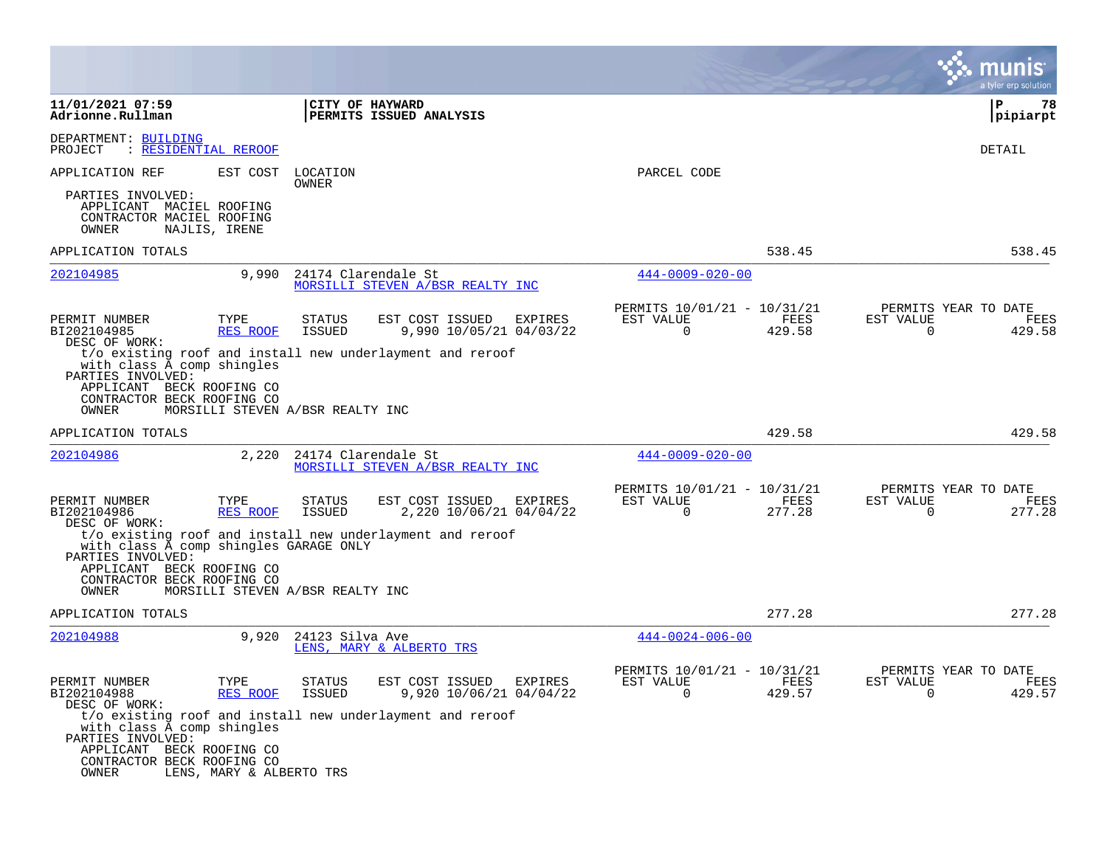|                                                                                                            |                          |                                  |                                                           |         |                                                      |                |                       | a tyler erp solution                          |
|------------------------------------------------------------------------------------------------------------|--------------------------|----------------------------------|-----------------------------------------------------------|---------|------------------------------------------------------|----------------|-----------------------|-----------------------------------------------|
| 11/01/2021 07:59<br>Adrionne.Rullman                                                                       |                          | CITY OF HAYWARD                  | PERMITS ISSUED ANALYSIS                                   |         |                                                      |                |                       | ΙP<br>78<br> pipiarpt                         |
| DEPARTMENT: BUILDING<br>: RESIDENTIAL REROOF<br>PROJECT                                                    |                          |                                  |                                                           |         |                                                      |                |                       | DETAIL                                        |
| APPLICATION REF                                                                                            | EST COST                 | LOCATION<br>OWNER                |                                                           |         | PARCEL CODE                                          |                |                       |                                               |
| PARTIES INVOLVED:<br>APPLICANT MACIEL ROOFING<br>CONTRACTOR MACIEL ROOFING<br>OWNER                        | NAJLIS, IRENE            |                                  |                                                           |         |                                                      |                |                       |                                               |
| APPLICATION TOTALS                                                                                         |                          |                                  |                                                           |         |                                                      | 538.45         |                       | 538.45                                        |
| 202104985                                                                                                  | 9,990                    | 24174 Clarendale St              | MORSILLI STEVEN A/BSR REALTY INC                          |         | $444 - 0009 - 020 - 00$                              |                |                       |                                               |
| PERMIT NUMBER<br>BI202104985<br>DESC OF WORK:                                                              | TYPE<br>RES ROOF         | STATUS<br><b>ISSUED</b>          | EST COST ISSUED<br>9,990 10/05/21 04/03/22                | EXPIRES | PERMITS 10/01/21 - 10/31/21<br>EST VALUE<br>0        | FEES<br>429.58 | EST VALUE<br>0        | PERMITS YEAR TO DATE<br><b>FEES</b><br>429.58 |
| with class A comp shingles<br>PARTIES INVOLVED:<br>APPLICANT BECK ROOFING CO<br>CONTRACTOR BECK ROOFING CO |                          |                                  | t/o existing roof and install new underlayment and reroof |         |                                                      |                |                       |                                               |
| OWNER                                                                                                      |                          | MORSILLI STEVEN A/BSR REALTY INC |                                                           |         |                                                      |                |                       |                                               |
| APPLICATION TOTALS                                                                                         |                          |                                  |                                                           |         |                                                      | 429.58         |                       | 429.58                                        |
| 202104986                                                                                                  | 2,220                    | 24174 Clarendale St              | MORSILLI STEVEN A/BSR REALTY INC                          |         | $444 - 0009 - 020 - 00$                              |                |                       |                                               |
| PERMIT NUMBER<br>BI202104986<br>DESC OF WORK:                                                              | TYPE<br><b>RES ROOF</b>  | STATUS<br><b>ISSUED</b>          | EST COST ISSUED<br>2,220 10/06/21 04/04/22                | EXPIRES | PERMITS 10/01/21 - 10/31/21<br>EST VALUE<br>$\Omega$ | FEES<br>277.28 | EST VALUE<br>$\Omega$ | PERMITS YEAR TO DATE<br>FEES<br>277.28        |
| with class A comp shingles GARAGE ONLY<br>PARTIES INVOLVED:<br>APPLICANT BECK ROOFING CO                   |                          |                                  | t/o existing roof and install new underlayment and reroof |         |                                                      |                |                       |                                               |
| CONTRACTOR BECK ROOFING CO<br>OWNER                                                                        |                          | MORSILLI STEVEN A/BSR REALTY INC |                                                           |         |                                                      |                |                       |                                               |
| APPLICATION TOTALS                                                                                         |                          |                                  |                                                           |         |                                                      | 277.28         |                       | 277.28                                        |
| 202104988                                                                                                  | 9,920                    | 24123 Silva Ave                  | LENS, MARY & ALBERTO TRS                                  |         | $444 - 0024 - 006 - 00$                              |                |                       |                                               |
| PERMIT NUMBER<br>BI202104988<br>DESC OF WORK:                                                              | TYPE<br>RES ROOF         | <b>STATUS</b><br><b>ISSUED</b>   | EST COST ISSUED<br>9,920 10/06/21 04/04/22                | EXPIRES | PERMITS 10/01/21 - 10/31/21<br>EST VALUE<br>0        | FEES<br>429.57 | EST VALUE<br>0        | PERMITS YEAR TO DATE<br>FEES<br>429.57        |
| with class A comp shingles<br>PARTIES INVOLVED:                                                            |                          |                                  | t/o existing roof and install new underlayment and reroof |         |                                                      |                |                       |                                               |
| APPLICANT BECK ROOFING CO<br>CONTRACTOR BECK ROOFING CO<br>OWNER                                           | LENS, MARY & ALBERTO TRS |                                  |                                                           |         |                                                      |                |                       |                                               |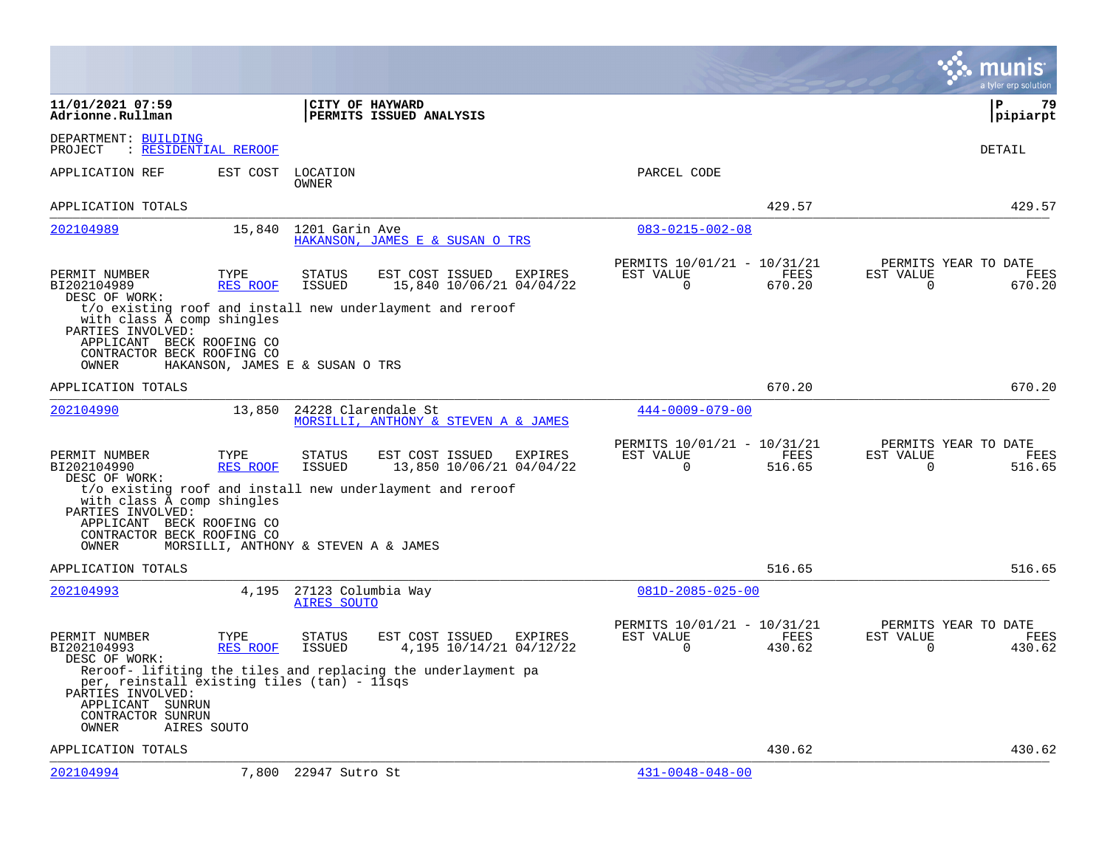|                                                                                                                    |                                      |                                          |                                                              |                                                          |                | a tyler erp solution                                                   |
|--------------------------------------------------------------------------------------------------------------------|--------------------------------------|------------------------------------------|--------------------------------------------------------------|----------------------------------------------------------|----------------|------------------------------------------------------------------------|
| 11/01/2021 07:59<br>Adrionne.Rullman                                                                               |                                      |                                          | CITY OF HAYWARD<br>PERMITS ISSUED ANALYSIS                   |                                                          |                | l P<br>79<br> pipiarpt                                                 |
| DEPARTMENT: BUILDING<br>PROJECT                                                                                    | : RESIDENTIAL REROOF                 |                                          |                                                              |                                                          |                | DETAIL                                                                 |
| APPLICATION REF                                                                                                    | EST COST                             | LOCATION<br>OWNER                        |                                                              | PARCEL CODE                                              |                |                                                                        |
| APPLICATION TOTALS                                                                                                 |                                      |                                          |                                                              |                                                          | 429.57         | 429.57                                                                 |
| 202104989                                                                                                          | 15,840                               | 1201 Garin Ave                           | HAKANSON, JAMES E & SUSAN O TRS                              | $083 - 0215 - 002 - 08$                                  |                |                                                                        |
| PERMIT NUMBER<br>BI202104989<br>DESC OF WORK:                                                                      | TYPE<br>RES ROOF                     | STATUS<br>ISSUED                         | EST COST ISSUED<br>EXPIRES<br>15,840 10/06/21 04/04/22       | PERMITS 10/01/21 - 10/31/21<br>EST VALUE<br>$\mathsf{O}$ | FEES<br>670.20 | PERMITS YEAR TO DATE<br>FEES<br>EST VALUE<br>0<br>670.20               |
| with class A comp shingles<br>PARTIES INVOLVED:                                                                    |                                      |                                          | t/o existing roof and install new underlayment and reroof    |                                                          |                |                                                                        |
| APPLICANT BECK ROOFING CO<br>CONTRACTOR BECK ROOFING CO<br>OWNER                                                   | HAKANSON, JAMES E & SUSAN O TRS      |                                          |                                                              |                                                          |                |                                                                        |
| APPLICATION TOTALS                                                                                                 |                                      |                                          |                                                              |                                                          | 670.20         | 670.20                                                                 |
| 202104990                                                                                                          | 13,850                               |                                          | 24228 Clarendale St<br>MORSILLI, ANTHONY & STEVEN A & JAMES  | $444 - 0009 - 079 - 00$                                  |                |                                                                        |
| PERMIT NUMBER<br>BI202104990<br>DESC OF WORK:                                                                      | TYPE<br>RES ROOF                     | <b>STATUS</b><br><b>ISSUED</b>           | EST COST ISSUED<br>EXPIRES<br>13,850 10/06/21 04/04/22       | PERMITS 10/01/21 - 10/31/21<br>EST VALUE<br>$\Omega$     | FEES<br>516.65 | PERMITS YEAR TO DATE<br>EST VALUE<br>FEES<br>516.65<br>0               |
| with class A comp shingles<br>PARTIES INVOLVED:                                                                    |                                      |                                          | t/o existing roof and install new underlayment and reroof    |                                                          |                |                                                                        |
| APPLICANT BECK ROOFING CO<br>CONTRACTOR BECK ROOFING CO<br>OWNER                                                   | MORSILLI, ANTHONY & STEVEN A & JAMES |                                          |                                                              |                                                          |                |                                                                        |
| APPLICATION TOTALS                                                                                                 |                                      |                                          |                                                              |                                                          | 516.65         | 516.65                                                                 |
| 202104993                                                                                                          | 4,195                                | 27123 Columbia Way<br><b>AIRES SOUTO</b> |                                                              | $081D - 2085 - 025 - 00$                                 |                |                                                                        |
| PERMIT NUMBER<br>BI202104993<br>DESC OF WORK:                                                                      | TYPE<br>RES ROOF                     | <b>STATUS</b><br><b>ISSUED</b>           | EST COST ISSUED<br>EXPIRES<br>4,195 10/14/21 04/12/22        | PERMITS 10/01/21 - 10/31/21<br>EST VALUE<br>$\Omega$     | FEES<br>430.62 | PERMITS YEAR TO DATE<br>EST VALUE<br><b>FEES</b><br>$\Omega$<br>430.62 |
| per, reinstall existing tiles (tan) - 11sqs<br>PARTIES INVOLVED:<br>APPLICANT SUNRUN<br>CONTRACTOR SUNRUN<br>OWNER | AIRES SOUTO                          |                                          | Reroof- lifiting the tiles and replacing the underlayment pa |                                                          |                |                                                                        |
| APPLICATION TOTALS                                                                                                 |                                      |                                          |                                                              |                                                          | 430.62         | 430.62                                                                 |
| 202104994                                                                                                          |                                      | 7,800 22947 Sutro St                     |                                                              | $431 - 0048 - 048 - 00$                                  |                |                                                                        |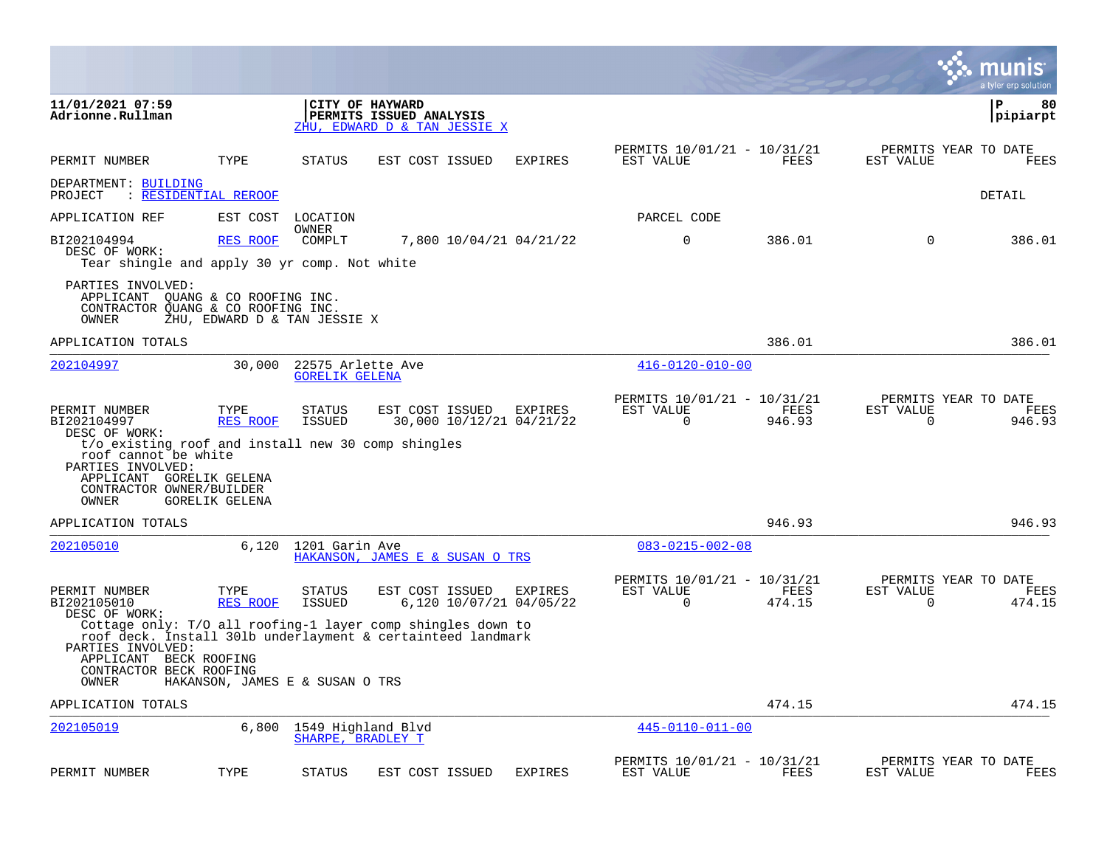|                                                                                                                                                                                                                   |                                    |                                            |                                                                                                                                                                          |                |                                                      |                |                       | munis<br>a tyler erp solution          |
|-------------------------------------------------------------------------------------------------------------------------------------------------------------------------------------------------------------------|------------------------------------|--------------------------------------------|--------------------------------------------------------------------------------------------------------------------------------------------------------------------------|----------------|------------------------------------------------------|----------------|-----------------------|----------------------------------------|
| 11/01/2021 07:59<br>Adrionne.Rullman                                                                                                                                                                              |                                    |                                            | CITY OF HAYWARD<br>PERMITS ISSUED ANALYSIS<br>ZHU, EDWARD D & TAN JESSIE X                                                                                               |                |                                                      |                |                       | ΙP<br>80<br> pipiarpt                  |
| PERMIT NUMBER                                                                                                                                                                                                     | TYPE                               | STATUS                                     | EST COST ISSUED                                                                                                                                                          | <b>EXPIRES</b> | PERMITS 10/01/21 - 10/31/21<br>EST VALUE             | FEES           | EST VALUE             | PERMITS YEAR TO DATE<br>FEES           |
| DEPARTMENT: BUILDING<br>PROJECT                                                                                                                                                                                   | : RESIDENTIAL REROOF               |                                            |                                                                                                                                                                          |                |                                                      |                |                       | DETAIL                                 |
| APPLICATION REF                                                                                                                                                                                                   |                                    | EST COST LOCATION                          |                                                                                                                                                                          |                | PARCEL CODE                                          |                |                       |                                        |
| BI202104994<br>DESC OF WORK:<br>Tear shingle and apply 30 yr comp. Not white                                                                                                                                      | <b>RES ROOF</b>                    | OWNER<br>COMPLT                            | 7,800 10/04/21 04/21/22                                                                                                                                                  |                | 0                                                    | 386.01         | $\mathbf 0$           | 386.01                                 |
| PARTIES INVOLVED:<br>APPLICANT QUANG & CO ROOFING INC.<br>CONTRACTOR QUANG & CO ROOFING INC.<br>OWNER                                                                                                             | ZHU, EDWARD D & TAN JESSIE X       |                                            |                                                                                                                                                                          |                |                                                      |                |                       |                                        |
| APPLICATION TOTALS                                                                                                                                                                                                |                                    |                                            |                                                                                                                                                                          |                |                                                      | 386.01         |                       | 386.01                                 |
| 202104997                                                                                                                                                                                                         | 30,000                             | 22575 Arlette Ave<br><b>GORELIK GELENA</b> |                                                                                                                                                                          |                | $416 - 0120 - 010 - 00$                              |                |                       |                                        |
| PERMIT NUMBER<br>BI202104997<br>DESC OF WORK:<br>t/o existing roof and install new 30 comp shingles<br>roof cannot be white<br>PARTIES INVOLVED:<br>APPLICANT GORELIK GELENA<br>CONTRACTOR OWNER/BUILDER<br>OWNER | TYPE<br>RES ROOF<br>GORELIK GELENA | <b>STATUS</b><br>ISSUED                    | EST COST ISSUED<br>30,000 10/12/21 04/21/22                                                                                                                              | EXPIRES        | PERMITS 10/01/21 - 10/31/21<br>EST VALUE<br>$\Omega$ | FEES<br>946.93 | EST VALUE<br>$\Omega$ | PERMITS YEAR TO DATE<br>FEES<br>946.93 |
| APPLICATION TOTALS                                                                                                                                                                                                |                                    |                                            |                                                                                                                                                                          |                |                                                      | 946.93         |                       | 946.93                                 |
| 202105010                                                                                                                                                                                                         | 6,120                              | 1201 Garin Ave                             | HAKANSON, JAMES E & SUSAN O TRS                                                                                                                                          |                | $083 - 0215 - 002 - 08$                              |                |                       |                                        |
| PERMIT NUMBER<br>BI202105010<br>DESC OF WORK:<br>PARTIES INVOLVED:<br>APPLICANT BECK ROOFING<br>CONTRACTOR BECK ROOFING                                                                                           | TYPE<br>RES ROOF                   | <b>STATUS</b><br><b>ISSUED</b>             | EST COST ISSUED<br>6,120 10/07/21 04/05/22<br>Cottage only: T/O all roofing-1 layer comp shingles down to<br>roof deck. Install 301b underlayment & certainteed landmark | EXPIRES        | PERMITS 10/01/21 - 10/31/21<br>EST VALUE<br>$\Omega$ | FEES<br>474.15 | EST VALUE<br>$\Omega$ | PERMITS YEAR TO DATE<br>FEES<br>474.15 |
| OWNER                                                                                                                                                                                                             | HAKANSON, JAMES E & SUSAN O TRS    |                                            |                                                                                                                                                                          |                |                                                      |                |                       |                                        |
| APPLICATION TOTALS                                                                                                                                                                                                |                                    |                                            |                                                                                                                                                                          |                |                                                      | 474.15         |                       | 474.15                                 |
| 202105019                                                                                                                                                                                                         | 6,800                              | 1549 Highland Blvd<br>SHARPE, BRADLEY T    |                                                                                                                                                                          |                | $445 - 0110 - 011 - 00$                              |                |                       |                                        |
| PERMIT NUMBER                                                                                                                                                                                                     | TYPE                               | <b>STATUS</b>                              | EST COST ISSUED                                                                                                                                                          | <b>EXPIRES</b> | PERMITS 10/01/21 - 10/31/21<br>EST VALUE             | FEES           | EST VALUE             | PERMITS YEAR TO DATE<br>FEES           |

**Contract**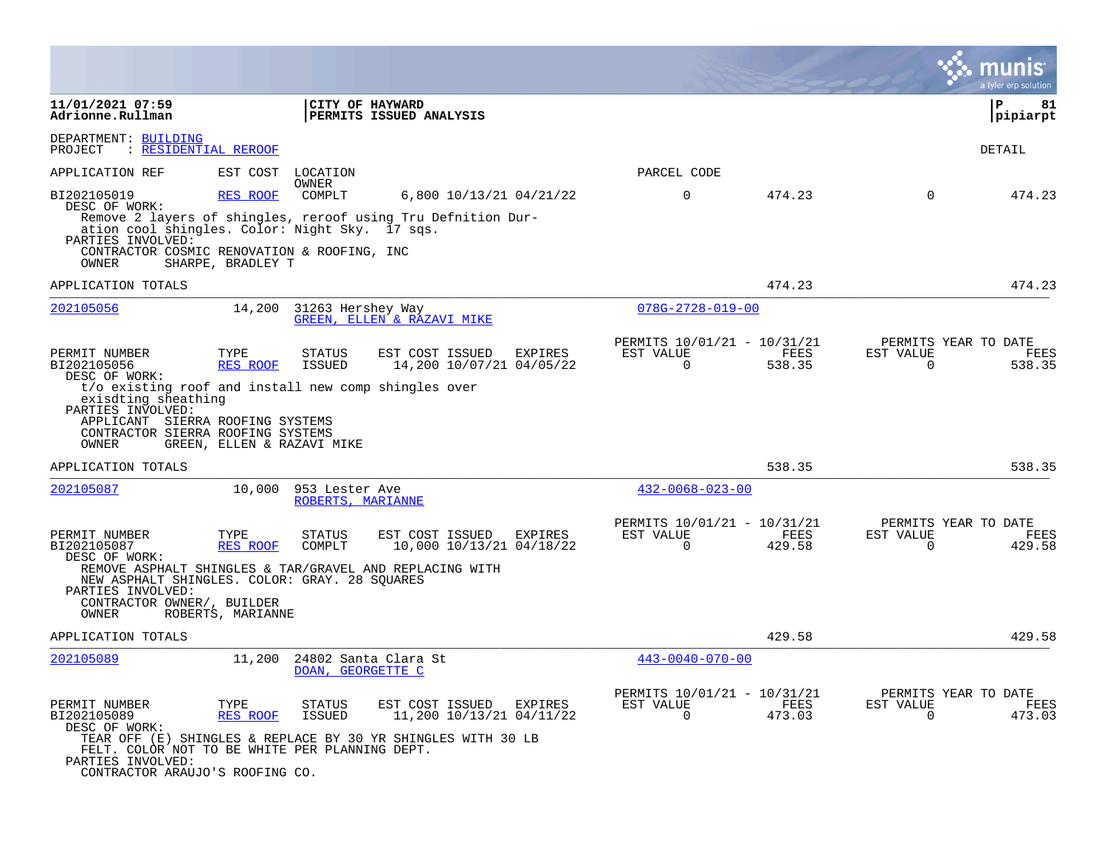|                                                                                                                                                                                                                                     |                                                |                                     |                                                                                                             |         |                                                         |                |                          | a tyler erp solution                   |
|-------------------------------------------------------------------------------------------------------------------------------------------------------------------------------------------------------------------------------------|------------------------------------------------|-------------------------------------|-------------------------------------------------------------------------------------------------------------|---------|---------------------------------------------------------|----------------|--------------------------|----------------------------------------|
| 11/01/2021 07:59<br>Adrionne.Rullman                                                                                                                                                                                                |                                                | CITY OF HAYWARD                     | PERMITS ISSUED ANALYSIS                                                                                     |         |                                                         |                |                          | 81<br>ΙP<br> pipiarpt                  |
| DEPARTMENT: BUILDING<br>: RESIDENTIAL REROOF<br>PROJECT                                                                                                                                                                             |                                                |                                     |                                                                                                             |         |                                                         |                |                          | <b>DETAIL</b>                          |
| APPLICATION REF                                                                                                                                                                                                                     | EST COST                                       | LOCATION<br>OWNER                   |                                                                                                             |         | PARCEL CODE                                             |                |                          |                                        |
| BI202105019<br>DESC OF WORK:<br>ation cool shingles. Color: Night Sky. 17 sqs.<br>PARTIES INVOLVED:<br>CONTRACTOR COSMIC RENOVATION & ROOFING, INC<br>OWNER                                                                         | <b>RES ROOF</b><br>SHARPE, BRADLEY T           | COMPLT                              | 6,800 10/13/21 04/21/22<br>Remove 2 layers of shingles, reroof using Tru Defnition Dur-                     |         | 0                                                       | 474.23         | $\Omega$                 | 474.23                                 |
| APPLICATION TOTALS                                                                                                                                                                                                                  |                                                |                                     |                                                                                                             |         |                                                         | 474.23         |                          | 474.23                                 |
| 202105056                                                                                                                                                                                                                           | 14,200                                         | 31263 Hershey Way                   | <b>GREEN, ELLEN &amp; RAZAVI MIKE</b>                                                                       |         | $078G - 2728 - 019 - 00$                                |                |                          |                                        |
| PERMIT NUMBER<br>BI202105056<br>DESC OF WORK:<br>t/o existing roof and install new comp shingles over<br>exisdting sheathing<br>PARTIES INVOLVED:<br>APPLICANT SIERRA ROOFING SYSTEMS<br>CONTRACTOR SIERRA ROOFING SYSTEMS<br>OWNER | TYPE<br>RES ROOF<br>GREEN, ELLEN & RAZAVI MIKE | <b>STATUS</b><br>ISSUED             | EST COST ISSUED<br>14,200 10/07/21 04/05/22                                                                 | EXPIRES | PERMITS 10/01/21 - 10/31/21<br>EST VALUE<br>$\mathbf 0$ | FEES<br>538.35 | EST VALUE<br>$\mathbf 0$ | PERMITS YEAR TO DATE<br>FEES<br>538.35 |
| APPLICATION TOTALS                                                                                                                                                                                                                  |                                                |                                     |                                                                                                             |         |                                                         | 538.35         |                          | 538.35                                 |
| 202105087                                                                                                                                                                                                                           | 10,000                                         | 953 Lester Ave<br>ROBERTS, MARIANNE |                                                                                                             |         | $432 - 0068 - 023 - 00$                                 |                |                          |                                        |
| PERMIT NUMBER<br>BI202105087<br>DESC OF WORK:<br>REMOVE ASPHALT SHINGLES & TAR/GRAVEL AND REPLACING WITH<br>NEW ASPHALT SHINGLES. COLOR: GRAY. 28 SQUARES<br>PARTIES INVOLVED:<br>CONTRACTOR OWNER/, BUILDER<br>OWNER               | TYPE<br>RES ROOF<br>ROBERTS, MARIANNE          | <b>STATUS</b><br>COMPLT             | EST COST ISSUED<br>10,000 10/13/21 04/18/22                                                                 | EXPIRES | PERMITS 10/01/21 - 10/31/21<br>EST VALUE<br>0           | FEES<br>429.58 | EST VALUE<br>0           | PERMITS YEAR TO DATE<br>FEES<br>429.58 |
| APPLICATION TOTALS                                                                                                                                                                                                                  |                                                |                                     |                                                                                                             |         |                                                         | 429.58         |                          | 429.58                                 |
| 202105089                                                                                                                                                                                                                           | 11,200                                         | DOAN, GEORGETTE C                   | 24802 Santa Clara St                                                                                        |         | $443 - 0040 - 070 - 00$                                 |                |                          |                                        |
| PERMIT NUMBER<br>BI202105089<br>DESC OF WORK:<br>FELT. COLOR NOT TO BE WHITE PER PLANNING DEPT.<br>PARTIES INVOLVED:<br>CONTRACTOR ARAUJO'S ROOFING CO.                                                                             | TYPE<br><b>RES ROOF</b>                        | <b>STATUS</b><br><b>ISSUED</b>      | EST COST ISSUED<br>11,200 10/13/21 04/11/22<br>TEAR OFF (E) SHINGLES & REPLACE BY 30 YR SHINGLES WITH 30 LB | EXPIRES | PERMITS 10/01/21 - 10/31/21<br>EST VALUE<br>$\mathbf 0$ | FEES<br>473.03 | EST VALUE<br>$\mathbf 0$ | PERMITS YEAR TO DATE<br>FEES<br>473.03 |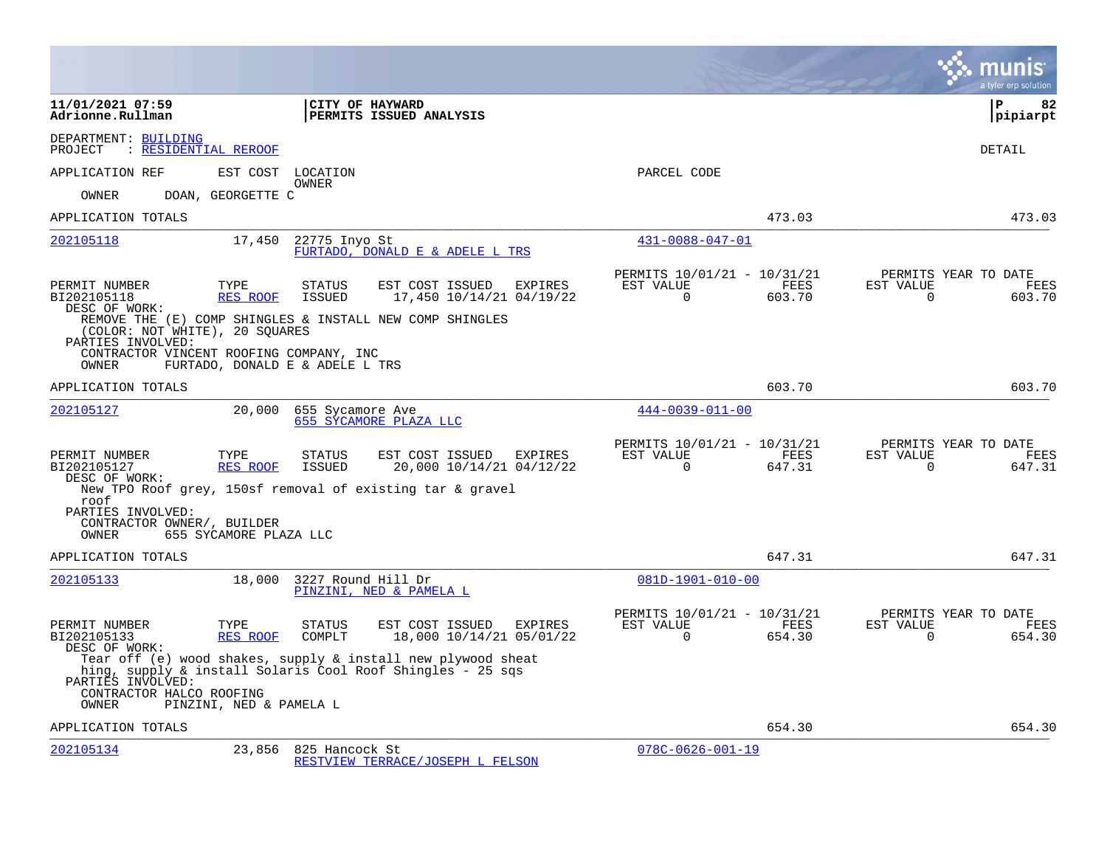|                                                                                                                                                          |                         |                                                            |                                                                                                                               |         |                                                      |                |                          | a tyler erp solution                   |
|----------------------------------------------------------------------------------------------------------------------------------------------------------|-------------------------|------------------------------------------------------------|-------------------------------------------------------------------------------------------------------------------------------|---------|------------------------------------------------------|----------------|--------------------------|----------------------------------------|
| 11/01/2021 07:59<br>Adrionne.Rullman                                                                                                                     |                         | CITY OF HAYWARD                                            | PERMITS ISSUED ANALYSIS                                                                                                       |         |                                                      |                |                          | l P<br>82<br> pipiarpt                 |
| DEPARTMENT: BUILDING<br>: RESIDENTIAL REROOF<br>PROJECT                                                                                                  |                         |                                                            |                                                                                                                               |         |                                                      |                |                          | DETAIL                                 |
| APPLICATION REF                                                                                                                                          | EST COST                | LOCATION                                                   |                                                                                                                               |         | PARCEL CODE                                          |                |                          |                                        |
| <b>OWNER</b>                                                                                                                                             | DOAN, GEORGETTE C       | OWNER                                                      |                                                                                                                               |         |                                                      |                |                          |                                        |
| APPLICATION TOTALS                                                                                                                                       |                         |                                                            |                                                                                                                               |         |                                                      | 473.03         |                          | 473.03                                 |
| 202105118                                                                                                                                                | 17,450                  | 22775 Inyo St                                              | FURTADO, DONALD E & ADELE L TRS                                                                                               |         | $431 - 0088 - 047 - 01$                              |                |                          |                                        |
| PERMIT NUMBER<br>BI202105118<br>DESC OF WORK:<br>(COLOR: NOT WHITE), 20 SQUARES<br>PARTIES INVOLVED:<br>CONTRACTOR VINCENT ROOFING COMPANY, INC<br>OWNER | TYPE<br>RES ROOF        | <b>STATUS</b><br>ISSUED<br>FURTADO, DONALD E & ADELE L TRS | EST COST ISSUED<br>17,450 10/14/21 04/19/22<br>REMOVE THE (E) COMP SHINGLES & INSTALL NEW COMP SHINGLES                       | EXPIRES | PERMITS 10/01/21 - 10/31/21<br>EST VALUE<br>0        | FEES<br>603.70 | EST VALUE<br>$\mathbf 0$ | PERMITS YEAR TO DATE<br>FEES<br>603.70 |
| APPLICATION TOTALS                                                                                                                                       |                         |                                                            |                                                                                                                               |         |                                                      | 603.70         |                          | 603.70                                 |
| 202105127                                                                                                                                                | 20,000                  | 655 Sycamore Ave                                           | 655 SYCAMORE PLAZA LLC                                                                                                        |         | $444 - 0039 - 011 - 00$                              |                |                          |                                        |
| PERMIT NUMBER<br>BI202105127<br>DESC OF WORK:<br>roof<br>PARTIES INVOLVED:                                                                               | TYPE<br>RES ROOF        | <b>STATUS</b><br><b>ISSUED</b>                             | EST COST ISSUED<br>20,000 10/14/21 04/12/22<br>New TPO Roof grey, 150sf removal of existing tar & gravel                      | EXPIRES | PERMITS 10/01/21 - 10/31/21<br>EST VALUE<br>$\Omega$ | FEES<br>647.31 | EST VALUE<br>$\Omega$    | PERMITS YEAR TO DATE<br>FEES<br>647.31 |
| CONTRACTOR OWNER/, BUILDER<br><b>OWNER</b>                                                                                                               | 655 SYCAMORE PLAZA LLC  |                                                            |                                                                                                                               |         |                                                      |                |                          |                                        |
| APPLICATION TOTALS                                                                                                                                       |                         |                                                            |                                                                                                                               |         |                                                      | 647.31         |                          | 647.31                                 |
| 202105133                                                                                                                                                | 18,000                  | 3227 Round Hill Dr                                         | PINZINI, NED & PAMELA L                                                                                                       |         | $081D-1901-010-00$                                   |                |                          |                                        |
| PERMIT NUMBER<br>BI202105133<br>DESC OF WORK:                                                                                                            | TYPE<br><b>RES ROOF</b> | <b>STATUS</b><br>COMPLT                                    | EST COST ISSUED<br>18,000 10/14/21 05/01/22                                                                                   | EXPIRES | PERMITS 10/01/21 - 10/31/21<br>EST VALUE<br>$\Omega$ | FEES<br>654.30 | EST VALUE<br>$\Omega$    | PERMITS YEAR TO DATE<br>FEES<br>654.30 |
| PARTIES INVOLVED:<br>CONTRACTOR HALCO ROOFING<br><b>OWNER</b>                                                                                            | PINZINI, NED & PAMELA L |                                                            | Tear off (e) wood shakes, supply $\&$ install new plywood sheat<br>hing, supply & install Solaris Cool Roof Shingles - 25 sqs |         |                                                      |                |                          |                                        |
| APPLICATION TOTALS                                                                                                                                       |                         |                                                            |                                                                                                                               |         |                                                      | 654.30         |                          | 654.30                                 |
| 202105134                                                                                                                                                | 23,856                  | 825 Hancock St                                             | RESTVIEW TERRACE/JOSEPH L FELSON                                                                                              |         | $078C - 0626 - 001 - 19$                             |                |                          |                                        |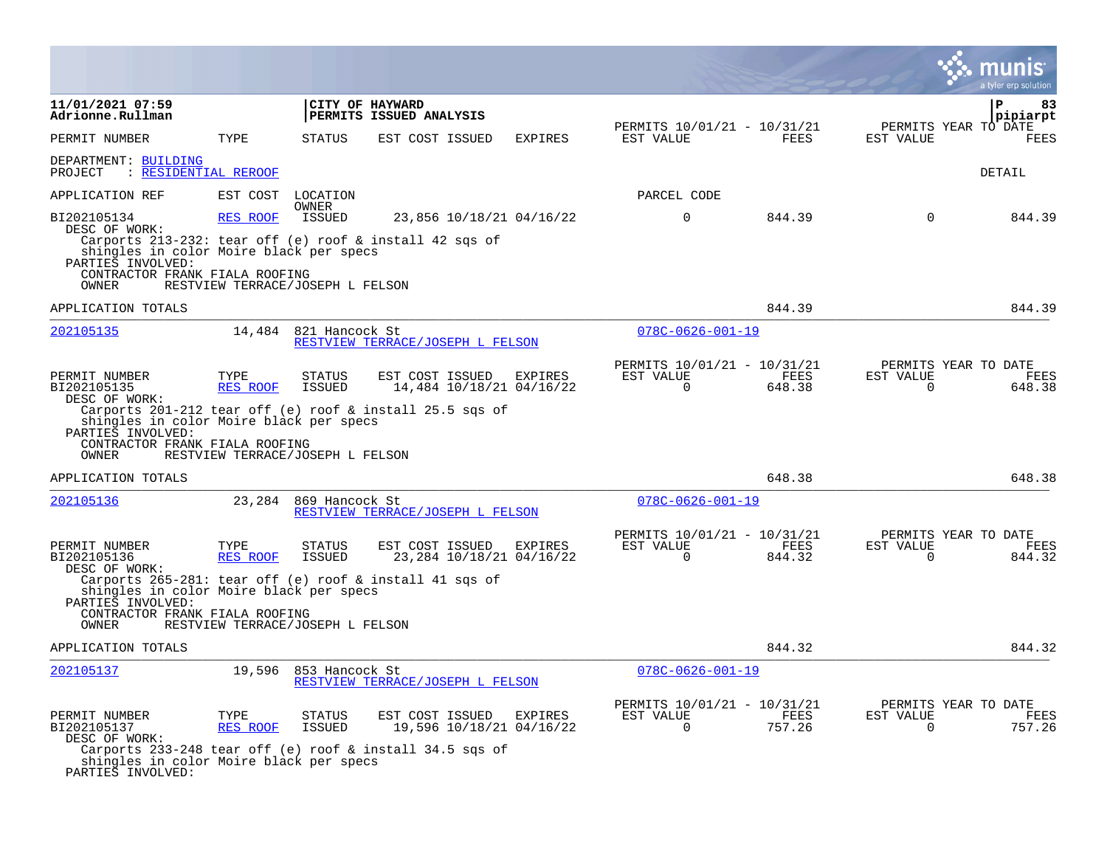|                                                                                                                                                                                                                      |                                                                                 |                                              |         |                                                      |                |                       | munis<br>a tyler erp solution                 |
|----------------------------------------------------------------------------------------------------------------------------------------------------------------------------------------------------------------------|---------------------------------------------------------------------------------|----------------------------------------------|---------|------------------------------------------------------|----------------|-----------------------|-----------------------------------------------|
| 11/01/2021 07:59<br>Adrionne.Rullman                                                                                                                                                                                 |                                                                                 | CITY OF HAYWARD<br>PERMITS ISSUED ANALYSIS   |         |                                                      |                |                       | P<br>83<br>pipiarpt                           |
| PERMIT NUMBER                                                                                                                                                                                                        | TYPE<br><b>STATUS</b>                                                           | EST COST ISSUED                              | EXPIRES | PERMITS 10/01/21 - 10/31/21<br>EST VALUE             | FEES           | EST VALUE             | PERMITS YEAR TO DATE<br><b>FEES</b>           |
| DEPARTMENT: BUILDING<br>: RESIDENTIAL REROOF<br>PROJECT                                                                                                                                                              |                                                                                 |                                              |         |                                                      |                |                       | DETAIL                                        |
| APPLICATION REF                                                                                                                                                                                                      | EST COST<br>LOCATION                                                            |                                              |         | PARCEL CODE                                          |                |                       |                                               |
| BI202105134<br>DESC OF WORK:<br>Carports 213-232: tear off (e) roof & install 42 sqs of<br>shingles in color Moire black per specs<br>PARTIES INVOLVED:<br>CONTRACTOR FRANK FIALA ROOFING<br>OWNER                   | <b>OWNER</b><br>RES ROOF<br>ISSUED<br>RESTVIEW TERRACE/JOSEPH L FELSON          | 23,856 10/18/21 04/16/22                     |         | $\Omega$                                             | 844.39         | $\Omega$              | 844.39                                        |
| APPLICATION TOTALS                                                                                                                                                                                                   |                                                                                 |                                              |         |                                                      | 844.39         |                       | 844.39                                        |
| 202105135                                                                                                                                                                                                            | 14,484 821 Hancock St                                                           | RESTVIEW TERRACE/JOSEPH L FELSON             |         | $078C - 0626 - 001 - 19$                             |                |                       |                                               |
| PERMIT NUMBER<br>BI202105135<br>DESC OF WORK:<br>Carports 201-212 tear off (e) roof & install 25.5 sqs of<br>shingles in color Moire black per specs<br>PARTIES INVOLVED:<br>CONTRACTOR FRANK FIALA ROOFING<br>OWNER | TYPE<br><b>STATUS</b><br>RES ROOF<br>ISSUED<br>RESTVIEW TERRACE/JOSEPH L FELSON | EST COST ISSUED<br>14,484 10/18/21 04/16/22  | EXPIRES | PERMITS 10/01/21 - 10/31/21<br>EST VALUE<br>$\Omega$ | FEES<br>648.38 | EST VALUE<br>$\Omega$ | PERMITS YEAR TO DATE<br><b>FEES</b><br>648.38 |
| APPLICATION TOTALS                                                                                                                                                                                                   |                                                                                 |                                              |         |                                                      | 648.38         |                       | 648.38                                        |
| 202105136                                                                                                                                                                                                            | 23,284<br>869 Hancock St                                                        | RESTVIEW TERRACE/JOSEPH L FELSON             |         | $078C - 0626 - 001 - 19$                             |                |                       |                                               |
| PERMIT NUMBER<br>BI202105136<br>DESC OF WORK:<br>Carports 265-281: tear off (e) roof & install 41 sqs of                                                                                                             | TYPE<br><b>STATUS</b><br>RES ROOF<br><b>ISSUED</b>                              | EST COST ISSUED<br>23, 284 10/18/21 04/16/22 | EXPIRES | PERMITS 10/01/21 - 10/31/21<br>EST VALUE<br>$\Omega$ | FEES<br>844.32 | EST VALUE<br>$\Omega$ | PERMITS YEAR TO DATE<br>FEES<br>844.32        |
| shingles in color Moire black per specs<br>PARTIES INVOLVED:<br>CONTRACTOR FRANK FIALA ROOFING<br>OWNER                                                                                                              | RESTVIEW TERRACE/JOSEPH L FELSON                                                |                                              |         |                                                      |                |                       |                                               |
| APPLICATION TOTALS                                                                                                                                                                                                   |                                                                                 |                                              |         |                                                      | 844.32         |                       | 844.32                                        |
| 202105137                                                                                                                                                                                                            | 19,596<br>853 Hancock St                                                        | RESTVIEW TERRACE/JOSEPH L FELSON             |         | $078C - 0626 - 001 - 19$                             |                |                       |                                               |
| PERMIT NUMBER<br>BI202105137<br>DESC OF WORK:<br>Carports 233-248 tear off (e) roof & install 34.5 sqs of<br>shingles in color Moire black per specs<br>PARTIES INVOLVED:                                            | TYPE<br>STATUS<br>RES ROOF<br>ISSUED                                            | EST COST ISSUED<br>19,596 10/18/21 04/16/22  | EXPIRES | PERMITS 10/01/21 - 10/31/21<br>EST VALUE<br>$\Omega$ | FEES<br>757.26 | EST VALUE<br>0        | PERMITS YEAR TO DATE<br>FEES<br>757.26        |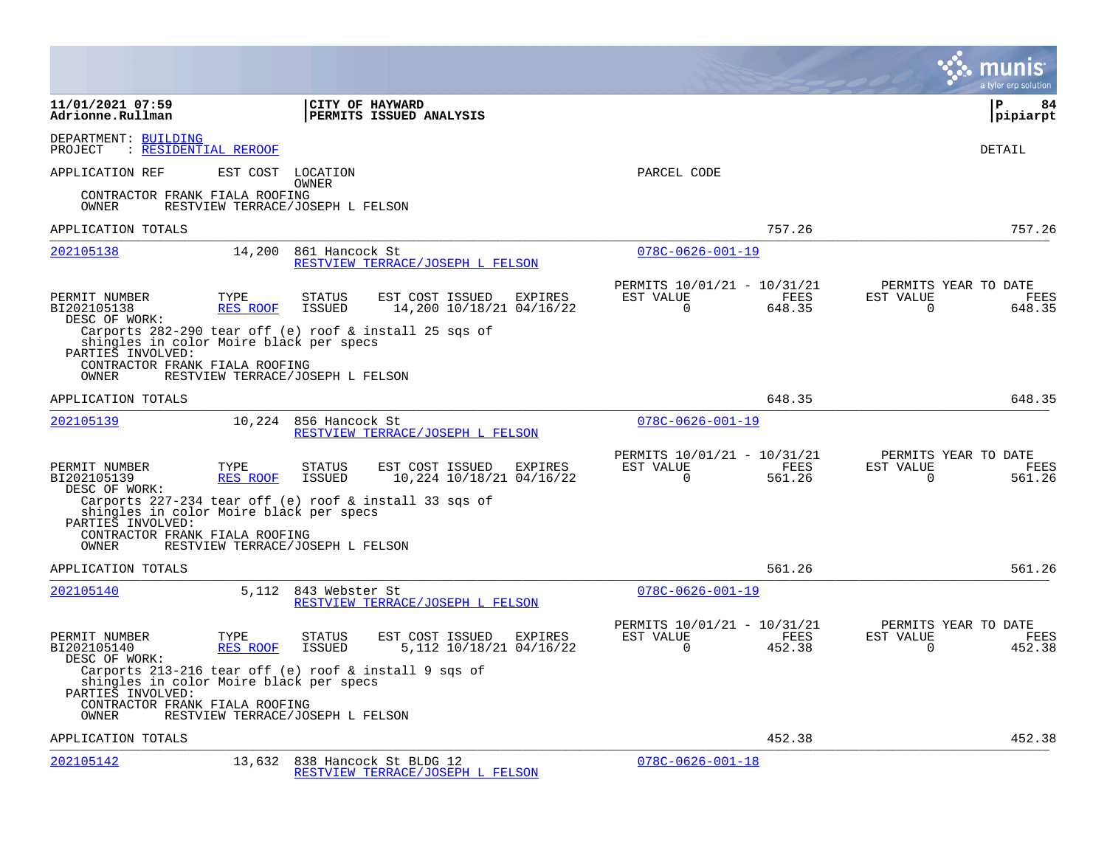|                                                                                                                                                                     |                                              |                          |                                                            |                                                         |                       |                          | a tyler erp solution                          |
|---------------------------------------------------------------------------------------------------------------------------------------------------------------------|----------------------------------------------|--------------------------|------------------------------------------------------------|---------------------------------------------------------|-----------------------|--------------------------|-----------------------------------------------|
| 11/01/2021 07:59<br>Adrionne.Rullman                                                                                                                                |                                              |                          | <b>CITY OF HAYWARD</b><br><b>PERMITS ISSUED ANALYSIS</b>   |                                                         |                       |                          | l P<br>84<br> pipiarpt                        |
| DEPARTMENT: BUILDING<br>: RESIDENTIAL REROOF<br>PROJECT                                                                                                             |                                              |                          |                                                            |                                                         |                       |                          | DETAIL                                        |
| APPLICATION REF<br>CONTRACTOR FRANK FIALA ROOFING<br>OWNER                                                                                                          | EST COST<br>RESTVIEW TERRACE/JOSEPH L FELSON | LOCATION<br><b>OWNER</b> |                                                            | PARCEL CODE                                             |                       |                          |                                               |
| APPLICATION TOTALS                                                                                                                                                  |                                              |                          |                                                            |                                                         | 757.26                |                          | 757.26                                        |
| 202105138                                                                                                                                                           | 14,200                                       | 861 Hancock St           | RESTVIEW TERRACE/JOSEPH L FELSON                           | $078C - 0626 - 001 - 19$                                |                       |                          |                                               |
| PERMIT NUMBER<br>BI202105138<br>DESC OF WORK:                                                                                                                       | TYPE<br>RES ROOF                             | <b>STATUS</b><br>ISSUED  | EST COST ISSUED<br>EXPIRES<br>14,200 10/18/21 04/16/22     | PERMITS 10/01/21 - 10/31/21<br>EST VALUE<br>$\Omega$    | FEES<br>648.35        | EST VALUE<br>$\Omega$    | PERMITS YEAR TO DATE<br><b>FEES</b><br>648.35 |
| shingles in color Moire black per specs<br>PARTIES INVOLVED:<br>CONTRACTOR FRANK FIALA ROOFING<br>OWNER                                                             | RESTVIEW TERRACE/JOSEPH L FELSON             |                          | Carports $282-290$ tear off (e) roof & install 25 sqs of   |                                                         |                       |                          |                                               |
| APPLICATION TOTALS                                                                                                                                                  |                                              |                          |                                                            |                                                         | 648.35                |                          | 648.35                                        |
| 202105139                                                                                                                                                           | 10,224                                       | 856 Hancock St           | RESTVIEW TERRACE/JOSEPH L FELSON                           | $078C - 0626 - 001 - 19$                                |                       |                          |                                               |
| PERMIT NUMBER<br>BI202105139<br>DESC OF WORK:                                                                                                                       | TYPE<br>RES ROOF                             | <b>STATUS</b><br>ISSUED  | EST COST ISSUED<br>EXPIRES<br>10,224 10/18/21 04/16/22     | PERMITS 10/01/21 - 10/31/21<br>EST VALUE<br>$\mathbf 0$ | FEES<br>561.26        | EST VALUE<br>$\mathbf 0$ | PERMITS YEAR TO DATE<br>FEES<br>561.26        |
| shingles in color Moire black per specs<br>PARTIES INVOLVED:<br>CONTRACTOR FRANK FIALA ROOFING<br>OWNER                                                             | RESTVIEW TERRACE/JOSEPH L FELSON             |                          | Carports 227-234 tear off (e) roof & install 33 sqs of     |                                                         |                       |                          |                                               |
| APPLICATION TOTALS                                                                                                                                                  |                                              |                          |                                                            |                                                         | 561.26                |                          | 561.26                                        |
| 202105140                                                                                                                                                           | 5,112                                        | 843 Webster St           | RESTVIEW TERRACE/JOSEPH L FELSON                           | $078C - 0626 - 001 - 19$                                |                       |                          |                                               |
| PERMIT NUMBER<br>BI202105140<br>DESC OF WORK:                                                                                                                       | TYPE<br>RES ROOF                             | STATUS<br>ISSUED         | EST COST ISSUED<br>EXPIRES<br>5,112 10/18/21 04/16/22      | PERMITS 10/01/21 - 10/31/21<br>EST VALUE<br>$\Omega$    | <b>FEES</b><br>452.38 | EST VALUE<br>$\Omega$    | PERMITS YEAR TO DATE<br>FEES<br>452.38        |
| Carports 213-216 tear off (e) roof $\&$ install 9 sqs of<br>shingles in color Moire black per specs<br>PARTIES INVOLVED:<br>CONTRACTOR FRANK FIALA ROOFING<br>OWNER | RESTVIEW TERRACE/JOSEPH L FELSON             |                          |                                                            |                                                         |                       |                          |                                               |
| APPLICATION TOTALS                                                                                                                                                  |                                              |                          |                                                            |                                                         | 452.38                |                          | 452.38                                        |
| 202105142                                                                                                                                                           | 13,632                                       |                          | 838 Hancock St BLDG 12<br>RESTVIEW TERRACE/JOSEPH L FELSON | $078C - 0626 - 001 - 18$                                |                       |                          |                                               |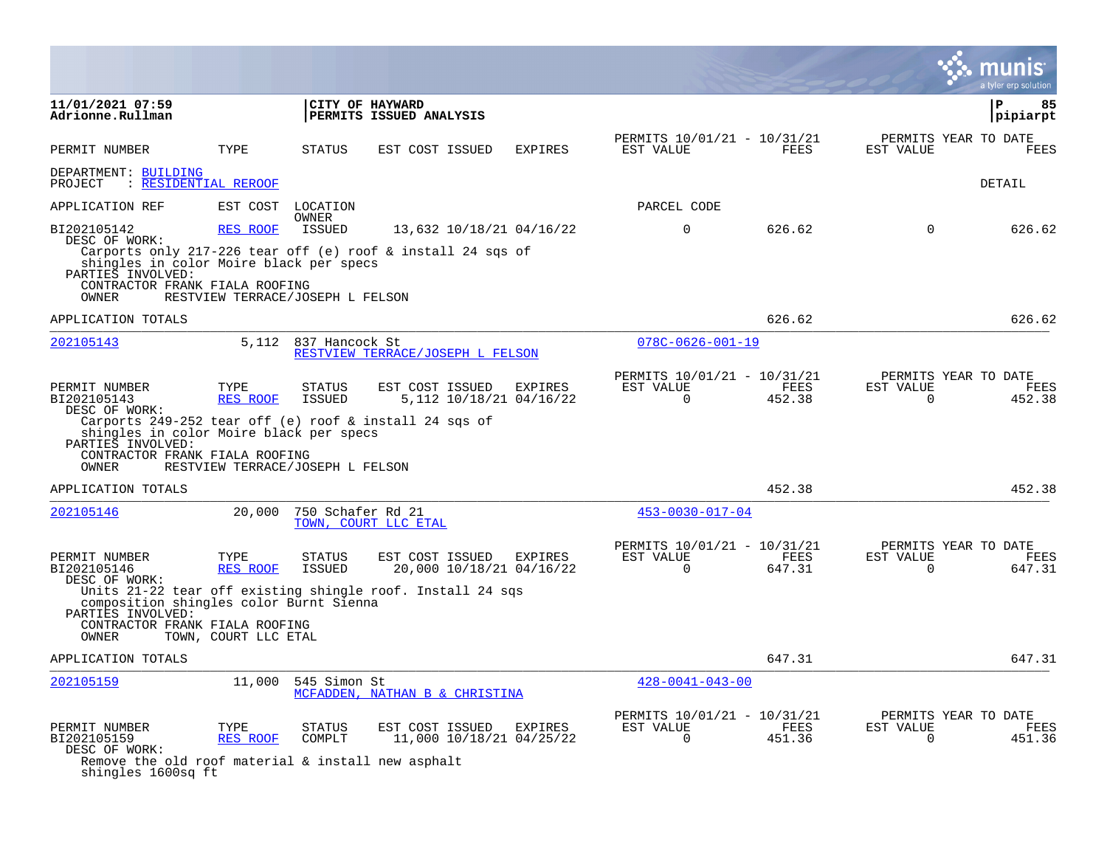|                                                                                                                                                |                                              |                                |                                                                                                      |                |                                                      |                |                       | munis<br>a tyler erp solution          |
|------------------------------------------------------------------------------------------------------------------------------------------------|----------------------------------------------|--------------------------------|------------------------------------------------------------------------------------------------------|----------------|------------------------------------------------------|----------------|-----------------------|----------------------------------------|
| 11/01/2021 07:59<br>Adrionne.Rullman                                                                                                           |                                              |                                | CITY OF HAYWARD<br>PERMITS ISSUED ANALYSIS                                                           |                |                                                      |                |                       | $\mathbf{P}$<br>85<br> pipiarpt        |
| PERMIT NUMBER                                                                                                                                  | TYPE                                         | <b>STATUS</b>                  | EST COST ISSUED                                                                                      | <b>EXPIRES</b> | PERMITS 10/01/21 - 10/31/21<br>EST VALUE             | <b>FEES</b>    | EST VALUE             | PERMITS YEAR TO DATE<br>FEES           |
| DEPARTMENT: BUILDING<br>PROJECT<br>: RESIDENTIAL REROOF                                                                                        |                                              |                                |                                                                                                      |                |                                                      |                |                       | DETAIL                                 |
| APPLICATION REF                                                                                                                                |                                              | EST COST LOCATION              |                                                                                                      |                | PARCEL CODE                                          |                |                       |                                        |
| BI202105142<br>DESC OF WORK:<br>shingles in color Moire black per specs<br>PARTIES INVOLVED:<br>CONTRACTOR FRANK FIALA ROOFING<br><b>OWNER</b> | RES ROOF<br>RESTVIEW TERRACE/JOSEPH L FELSON | <b>OWNER</b><br>ISSUED         | 13,632 10/18/21 04/16/22<br>Carports only 217-226 tear off (e) roof & install 24 sqs of              |                | $\Omega$                                             | 626.62         | $\Omega$              | 626.62                                 |
| APPLICATION TOTALS                                                                                                                             |                                              |                                |                                                                                                      |                |                                                      | 626.62         |                       | 626.62                                 |
| 202105143                                                                                                                                      | 5,112                                        | 837 Hancock St                 | RESTVIEW TERRACE/JOSEPH L FELSON                                                                     |                | $078C - 0626 - 001 - 19$                             |                |                       |                                        |
| PERMIT NUMBER<br>BI202105143<br>DESC OF WORK:<br>shingles in color Moire black per specs                                                       | TYPE<br><b>RES ROOF</b>                      | <b>STATUS</b><br><b>ISSUED</b> | EST COST ISSUED<br>5,112 10/18/21 04/16/22<br>Carports 249-252 tear off (e) roof & install 24 sqs of | EXPIRES        | PERMITS 10/01/21 - 10/31/21<br>EST VALUE<br>$\Omega$ | FEES<br>452.38 | EST VALUE<br>$\Omega$ | PERMITS YEAR TO DATE<br>FEES<br>452.38 |
| PARTIES INVOLVED:<br>CONTRACTOR FRANK FIALA ROOFING<br>OWNER                                                                                   | RESTVIEW TERRACE/JOSEPH L FELSON             |                                |                                                                                                      |                |                                                      |                |                       |                                        |
| APPLICATION TOTALS                                                                                                                             |                                              |                                |                                                                                                      |                |                                                      | 452.38         |                       | 452.38                                 |
| 202105146                                                                                                                                      | 20,000                                       | 750 Schafer Rd 21              | TOWN, COURT LLC ETAL                                                                                 |                | $453 - 0030 - 017 - 04$                              |                |                       |                                        |
| PERMIT NUMBER<br>BI202105146<br>DESC OF WORK:                                                                                                  | TYPE<br>RES ROOF                             | <b>STATUS</b><br>ISSUED        | EST COST ISSUED<br>20,000 10/18/21 04/16/22                                                          | EXPIRES        | PERMITS 10/01/21 - 10/31/21<br>EST VALUE<br>$\Omega$ | FEES<br>647.31 | EST VALUE<br>$\Omega$ | PERMITS YEAR TO DATE<br>FEES<br>647.31 |
| composition shingles color Burnt Sienna<br>PARTIES INVOLVED:<br>CONTRACTOR FRANK FIALA ROOFING<br>OWNER                                        | TOWN, COURT LLC ETAL                         |                                | Units 21-22 tear off existing shingle roof. Install 24 sqs                                           |                |                                                      |                |                       |                                        |
| APPLICATION TOTALS                                                                                                                             |                                              |                                |                                                                                                      |                |                                                      | 647.31         |                       | 647.31                                 |
| 202105159                                                                                                                                      | 11,000                                       | 545 Simon St                   | MCFADDEN, NATHAN B & CHRISTINA                                                                       |                | $428 - 0041 - 043 - 00$                              |                |                       |                                        |
| PERMIT NUMBER<br>BI202105159<br>DESC OF WORK:<br>Remove the old roof material & install new asphalt<br>shingles 1600sq ft                      | TYPE<br>RES ROOF                             | <b>STATUS</b><br>COMPLT        | EST COST ISSUED<br>11,000 10/18/21 04/25/22                                                          | EXPIRES        | PERMITS 10/01/21 - 10/31/21<br>EST VALUE<br>$\Omega$ | FEES<br>451.36 | EST VALUE<br>$\Omega$ | PERMITS YEAR TO DATE<br>FEES<br>451.36 |

 $\mathcal{L}$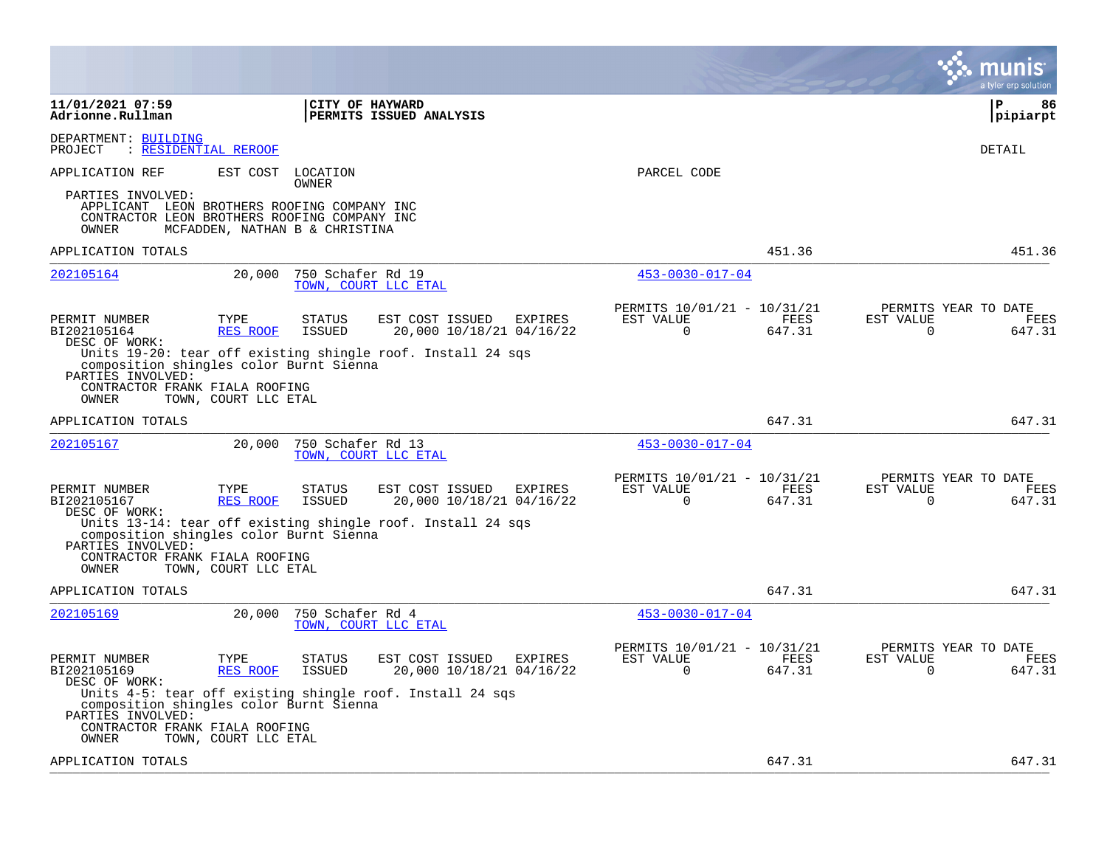|                                                                                                                           |                         |                                |                                                               |           |                                         |                | a tyler erp solution                                               |
|---------------------------------------------------------------------------------------------------------------------------|-------------------------|--------------------------------|---------------------------------------------------------------|-----------|-----------------------------------------|----------------|--------------------------------------------------------------------|
| 11/01/2021 07:59<br>Adrionne.Rullman                                                                                      |                         | CITY OF HAYWARD                | PERMITS ISSUED ANALYSIS                                       |           |                                         |                | ΙP<br>86<br> pipiarpt                                              |
| DEPARTMENT: BUILDING<br><u>: RESIDENTIAL REROOF</u><br>PROJECT                                                            |                         |                                |                                                               |           |                                         |                | <b>DETAIL</b>                                                      |
| APPLICATION REF                                                                                                           | EST COST                | LOCATION<br><b>OWNER</b>       |                                                               |           | PARCEL CODE                             |                |                                                                    |
| PARTIES INVOLVED:<br>APPLICANT LEON BROTHERS ROOFING COMPANY INC<br>CONTRACTOR LEON BROTHERS ROOFING COMPANY INC<br>OWNER |                         | MCFADDEN, NATHAN B & CHRISTINA |                                                               |           |                                         |                |                                                                    |
| APPLICATION TOTALS                                                                                                        |                         |                                |                                                               |           |                                         | 451.36         | 451.36                                                             |
| 202105164                                                                                                                 | 20,000                  | 750 Schafer Rd 19              | TOWN, COURT LLC ETAL                                          |           | $453 - 0030 - 017 - 04$                 |                |                                                                    |
| PERMIT NUMBER<br>BI202105164<br>DESC OF WORK:                                                                             | TYPE<br>RES ROOF        | <b>STATUS</b><br><b>ISSUED</b> | EST COST ISSUED<br>EXPIRES<br>20,000 10/18/21 04/16/22        | EST VALUE | PERMITS 10/01/21 - 10/31/21<br>$\Omega$ | FEES<br>647.31 | PERMITS YEAR TO DATE<br>EST VALUE<br>FEES<br>$\Omega$<br>647.31    |
| composition shingles color Burnt Sienna<br>PARTIES INVOLVED:<br>CONTRACTOR FRANK FIALA ROOFING<br>OWNER                   | TOWN, COURT LLC ETAL    |                                | Units 19-20: tear off existing shingle roof. Install 24 sgs   |           |                                         |                |                                                                    |
| APPLICATION TOTALS                                                                                                        |                         |                                |                                                               |           |                                         | 647.31         | 647.31                                                             |
| 202105167                                                                                                                 | 20,000                  | 750 Schafer Rd 13              | TOWN, COURT LLC ETAL                                          |           | $453 - 0030 - 017 - 04$                 |                |                                                                    |
| PERMIT NUMBER<br>BI202105167<br>DESC OF WORK:                                                                             | TYPE<br><b>RES ROOF</b> | <b>STATUS</b><br><b>ISSUED</b> | EST COST ISSUED<br>EXPIRES<br>20,000 10/18/21 04/16/22        | EST VALUE | PERMITS 10/01/21 - 10/31/21<br>0        | FEES<br>647.31 | PERMITS YEAR TO DATE<br>EST VALUE<br>FEES<br>647.31<br>$\mathbf 0$ |
| composition shingles color Burnt Sienna<br>PARTIES INVOLVED:<br>CONTRACTOR FRANK FIALA ROOFING                            |                         |                                | Units 13-14: tear off existing shingle roof. Install 24 sqs   |           |                                         |                |                                                                    |
| OWNER<br>APPLICATION TOTALS                                                                                               | TOWN, COURT LLC ETAL    |                                |                                                               |           |                                         | 647.31         | 647.31                                                             |
| 202105169                                                                                                                 | 20,000                  | 750 Schafer Rd 4               | TOWN, COURT LLC ETAL                                          |           | $453 - 0030 - 017 - 04$                 |                |                                                                    |
| PERMIT NUMBER<br>BI202105169<br>DESC OF WORK:                                                                             | TYPE<br>RES ROOF        | <b>STATUS</b><br><b>ISSUED</b> | EST COST ISSUED<br><b>EXPIRES</b><br>20,000 10/18/21 04/16/22 | EST VALUE | PERMITS 10/01/21 - 10/31/21<br>0        | FEES<br>647.31 | PERMITS YEAR TO DATE<br>EST VALUE<br>FEES<br>647.31<br>$\Omega$    |
| composition shingles color Burnt Sienna<br>PARTIES INVOLVED:<br>CONTRACTOR FRANK FIALA ROOFING                            |                         |                                | Units 4-5: tear off existing shingle roof. Install 24 sgs     |           |                                         |                |                                                                    |
| OWNER                                                                                                                     | TOWN, COURT LLC ETAL    |                                |                                                               |           |                                         |                |                                                                    |
| APPLICATION TOTALS                                                                                                        |                         |                                |                                                               |           |                                         | 647.31         | 647.31                                                             |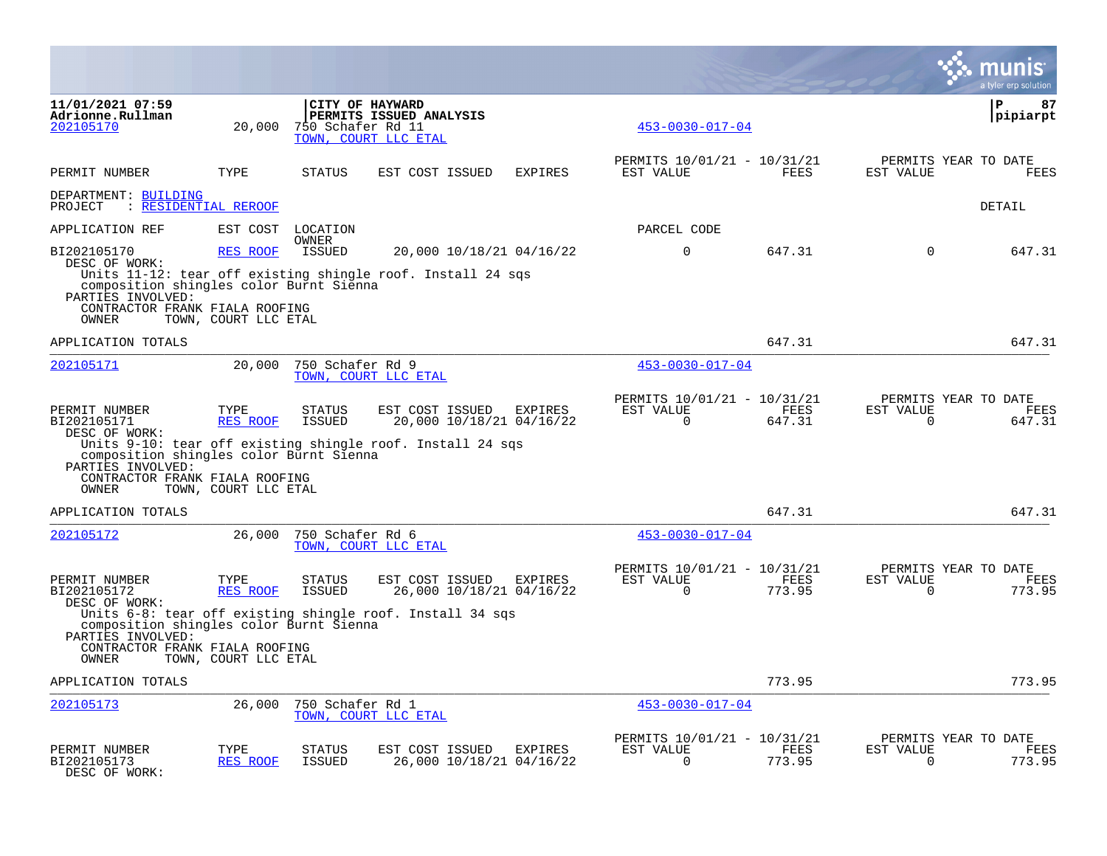|                                                                                                                                                          |                                          |                                |                                                                                                           |                |                                                         |                |                          | a tyler erp solution                          |
|----------------------------------------------------------------------------------------------------------------------------------------------------------|------------------------------------------|--------------------------------|-----------------------------------------------------------------------------------------------------------|----------------|---------------------------------------------------------|----------------|--------------------------|-----------------------------------------------|
| 11/01/2021 07:59<br>Adrionne.Rullman<br>202105170                                                                                                        | 20,000                                   | 750 Schafer Rd 11              | CITY OF HAYWARD<br>PERMITS ISSUED ANALYSIS<br>TOWN, COURT LLC ETAL                                        |                | $453 - 0030 - 017 - 04$                                 |                |                          | ΙP<br>87<br> pipiarpt                         |
| PERMIT NUMBER                                                                                                                                            | TYPE                                     | <b>STATUS</b>                  | EST COST ISSUED                                                                                           | <b>EXPIRES</b> | PERMITS 10/01/21 - 10/31/21<br>EST VALUE                | FEES           | EST VALUE                | PERMITS YEAR TO DATE<br><b>FEES</b>           |
| DEPARTMENT: BUILDING<br>PROJECT<br>: RESIDENTIAL REROOF                                                                                                  |                                          |                                |                                                                                                           |                |                                                         |                |                          | DETAIL                                        |
| APPLICATION REF                                                                                                                                          | EST COST                                 | LOCATION                       |                                                                                                           |                | PARCEL CODE                                             |                |                          |                                               |
| BI202105170<br>DESC OF WORK:<br>composition shingles color Burnt Sienna<br>PARTIES INVOLVED:<br>CONTRACTOR FRANK FIALA ROOFING<br><b>OWNER</b>           | RES ROOF<br>TOWN, COURT LLC ETAL         | <b>OWNER</b><br>ISSUED         | 20,000 10/18/21 04/16/22<br>Units $11-12$ : tear off existing shingle roof. Install 24 sqs                |                | $\mathbf 0$                                             | 647.31         | $\Omega$                 | 647.31                                        |
| APPLICATION TOTALS                                                                                                                                       |                                          |                                |                                                                                                           |                |                                                         | 647.31         |                          | 647.31                                        |
| 202105171                                                                                                                                                | 20,000                                   | 750 Schafer Rd 9               | TOWN, COURT LLC ETAL                                                                                      |                | $453 - 0030 - 017 - 04$                                 |                |                          |                                               |
| PERMIT NUMBER<br>BI202105171<br>DESC OF WORK:<br>composition shingles color Burnt Sienna<br>PARTIES INVOLVED:<br>CONTRACTOR FRANK FIALA ROOFING<br>OWNER | TYPE<br>RES ROOF<br>TOWN, COURT LLC ETAL | <b>STATUS</b><br><b>ISSUED</b> | EST COST ISSUED<br>20,000 10/18/21 04/16/22<br>Units 9-10: tear off existing shingle roof. Install 24 sqs | EXPIRES        | PERMITS 10/01/21 - 10/31/21<br>EST VALUE<br>$\mathbf 0$ | FEES<br>647.31 | EST VALUE<br>$\mathbf 0$ | PERMITS YEAR TO DATE<br>FEES<br>647.31        |
| APPLICATION TOTALS                                                                                                                                       |                                          |                                |                                                                                                           |                |                                                         | 647.31         |                          | 647.31                                        |
| 202105172                                                                                                                                                | 26,000                                   | 750 Schafer Rd 6               | TOWN, COURT LLC ETAL                                                                                      |                | $453 - 0030 - 017 - 04$                                 |                |                          |                                               |
| PERMIT NUMBER<br>BI202105172<br>DESC OF WORK:<br>composition shingles color Burnt Sienna<br>PARTIES INVOLVED:<br>CONTRACTOR FRANK FIALA ROOFING<br>OWNER | TYPE<br>RES ROOF<br>TOWN, COURT LLC ETAL | <b>STATUS</b><br><b>ISSUED</b> | EST COST ISSUED<br>26,000 10/18/21 04/16/22<br>Units 6-8: tear off existing shingle roof. Install 34 sqs  | <b>EXPIRES</b> | PERMITS 10/01/21 - 10/31/21<br>EST VALUE<br>$\Omega$    | FEES<br>773.95 | EST VALUE<br>$\Omega$    | PERMITS YEAR TO DATE<br><b>FEES</b><br>773.95 |
| APPLICATION TOTALS                                                                                                                                       |                                          |                                |                                                                                                           |                |                                                         | 773.95         |                          | 773.95                                        |
| 202105173                                                                                                                                                | 26,000                                   | 750 Schafer Rd 1               | TOWN, COURT LLC ETAL                                                                                      |                | $453 - 0030 - 017 - 04$                                 |                |                          |                                               |
| PERMIT NUMBER<br>BI202105173<br>DESC OF WORK:                                                                                                            | TYPE<br><b>RES ROOF</b>                  | STATUS<br><b>ISSUED</b>        | EST COST ISSUED<br>26,000 10/18/21 04/16/22                                                               | EXPIRES        | PERMITS 10/01/21 - 10/31/21<br>EST VALUE<br>$\Omega$    | FEES<br>773.95 | EST VALUE<br>$\Omega$    | PERMITS YEAR TO DATE<br>FEES<br>773.95        |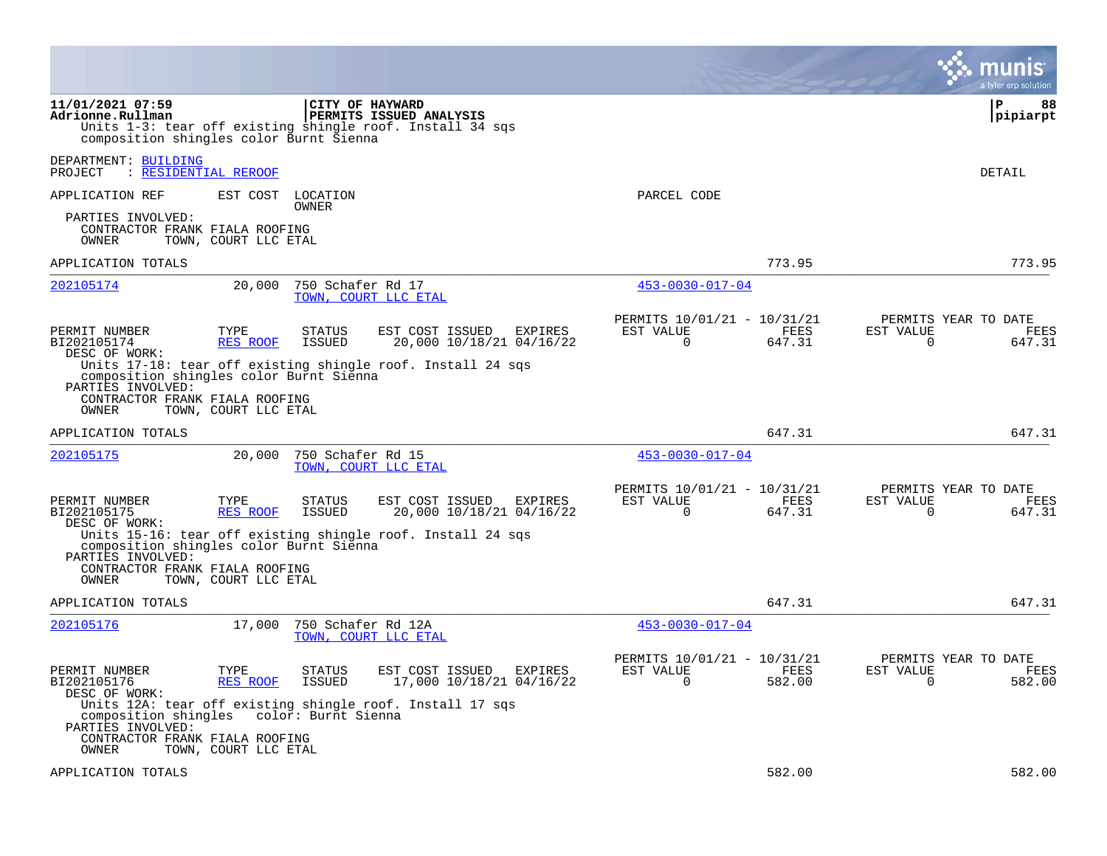|                                                                                                                                                                 |                                                 |                                                |                                                                                                                              |                                                      |                |                       | a tyler erp solution                   |
|-----------------------------------------------------------------------------------------------------------------------------------------------------------------|-------------------------------------------------|------------------------------------------------|------------------------------------------------------------------------------------------------------------------------------|------------------------------------------------------|----------------|-----------------------|----------------------------------------|
| 11/01/2021 07:59<br>Adrionne.Rullman<br>composition shingles color Burnt Sienna                                                                                 |                                                 | CITY OF HAYWARD                                | PERMITS ISSUED ANALYSIS<br>Units 1-3: tear off existing shingle roof. Install 34 sqs                                         |                                                      |                |                       | 88<br>P<br> pipiarpt                   |
| DEPARTMENT: BUILDING<br>PROJECT                                                                                                                                 | : RESIDENTIAL REROOF                            |                                                |                                                                                                                              |                                                      |                |                       | DETAIL                                 |
| APPLICATION REF<br>PARTIES INVOLVED:<br>CONTRACTOR FRANK FIALA ROOFING<br>OWNER                                                                                 | EST COST LOCATION<br>TOWN, COURT LLC ETAL       | OWNER                                          |                                                                                                                              | PARCEL CODE                                          |                |                       |                                        |
| APPLICATION TOTALS                                                                                                                                              |                                                 |                                                |                                                                                                                              |                                                      | 773.95         |                       | 773.95                                 |
| 202105174                                                                                                                                                       | 20,000                                          | 750 Schafer Rd 17                              | TOWN, COURT LLC ETAL                                                                                                         | $453 - 0030 - 017 - 04$                              |                |                       |                                        |
| PERMIT NUMBER<br>BI202105174<br>DESC OF WORK:<br>composition shingles color Burnt Sienna<br>PARTIES INVOLVED:<br>CONTRACTOR FRANK FIALA ROOFING<br>OWNER        | TYPE<br>RES ROOF<br>TOWN, COURT LLC ETAL        | <b>STATUS</b><br><b>ISSUED</b>                 | EST COST ISSUED<br><b>EXPIRES</b><br>20,000 10/18/21 04/16/22<br>Units 17-18: tear off existing shingle roof. Install 24 sqs | PERMITS 10/01/21 - 10/31/21<br>EST VALUE<br>0        | FEES<br>647.31 | EST VALUE<br>0        | PERMITS YEAR TO DATE<br>FEES<br>647.31 |
| APPLICATION TOTALS                                                                                                                                              |                                                 |                                                |                                                                                                                              |                                                      | 647.31         |                       | 647.31                                 |
| 202105175                                                                                                                                                       | 20,000                                          | 750 Schafer Rd 15                              | TOWN, COURT LLC ETAL                                                                                                         | $453 - 0030 - 017 - 04$                              |                |                       |                                        |
| PERMIT NUMBER<br>BI202105175<br>DESC OF WORK:<br>composition shingles color Burnt Sienna<br>PARTIES INVOLVED:<br>CONTRACTOR FRANK FIALA ROOFING<br><b>OWNER</b> | TYPE<br><b>RES ROOF</b><br>TOWN, COURT LLC ETAL | STATUS<br><b>ISSUED</b>                        | EST COST ISSUED<br>EXPIRES<br>20,000 10/18/21 04/16/22<br>Units 15-16: tear off existing shingle roof. Install 24 sqs        | PERMITS 10/01/21 - 10/31/21<br>EST VALUE<br>$\Omega$ | FEES<br>647.31 | EST VALUE<br>$\Omega$ | PERMITS YEAR TO DATE<br>FEES<br>647.31 |
| APPLICATION TOTALS                                                                                                                                              |                                                 |                                                |                                                                                                                              |                                                      | 647.31         |                       | 647.31                                 |
| 202105176                                                                                                                                                       | 17,000                                          | 750 Schafer Rd 12A                             | TOWN, COURT LLC ETAL                                                                                                         | $453 - 0030 - 017 - 04$                              |                |                       |                                        |
| PERMIT NUMBER<br>BI202105176<br>DESC OF WORK:<br>composition shingles<br>PARTIES INVOLVED:<br>CONTRACTOR FRANK FIALA ROOFING<br>OWNER                           | TYPE<br>RES ROOF<br>TOWN, COURT LLC ETAL        | <b>STATUS</b><br>ISSUED<br>color: Burnt Sienna | EST COST ISSUED<br><b>EXPIRES</b><br>17,000 10/18/21 04/16/22<br>Units 12A: tear off existing shingle roof. Install 17 sqs   | PERMITS 10/01/21 - 10/31/21<br>EST VALUE<br>0        | FEES<br>582.00 | EST VALUE<br>0        | PERMITS YEAR TO DATE<br>FEES<br>582.00 |
| APPLICATION TOTALS                                                                                                                                              |                                                 |                                                |                                                                                                                              |                                                      | 582.00         |                       | 582.00                                 |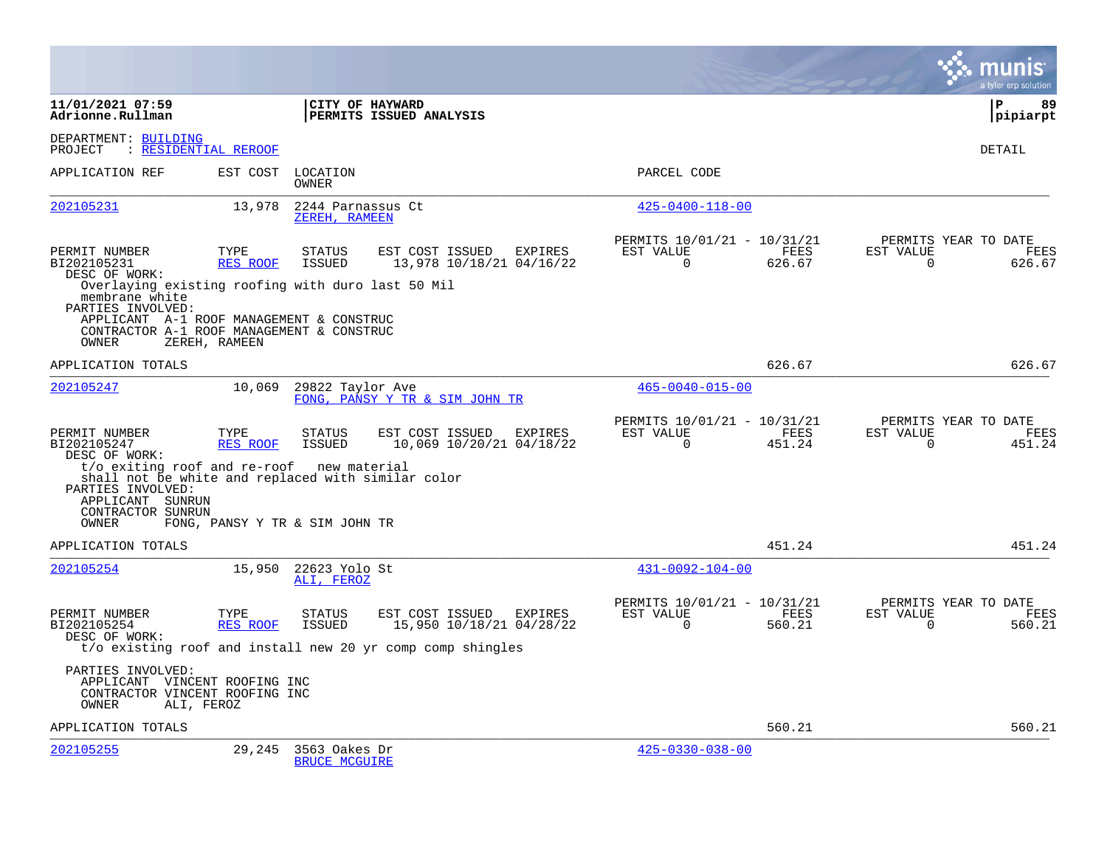|                                                                                                                                                                                       |                                |                                       |                                                                                                                   |         |                                                      |                |                       | a tyler erp solution                   |
|---------------------------------------------------------------------------------------------------------------------------------------------------------------------------------------|--------------------------------|---------------------------------------|-------------------------------------------------------------------------------------------------------------------|---------|------------------------------------------------------|----------------|-----------------------|----------------------------------------|
| 11/01/2021 07:59<br>Adrionne.Rullman                                                                                                                                                  |                                | CITY OF HAYWARD                       | PERMITS ISSUED ANALYSIS                                                                                           |         |                                                      |                |                       | ∣P<br>89<br>pipiarpt                   |
| DEPARTMENT: BUILDING<br>PROJECT                                                                                                                                                       | : RESIDENTIAL REROOF           |                                       |                                                                                                                   |         |                                                      |                |                       | DETAIL                                 |
| APPLICATION REF                                                                                                                                                                       | EST COST                       | LOCATION<br>OWNER                     |                                                                                                                   |         | PARCEL CODE                                          |                |                       |                                        |
| 202105231                                                                                                                                                                             | 13,978                         | 2244 Parnassus Ct<br>ZEREH, RAMEEN    |                                                                                                                   |         | $425 - 0400 - 118 - 00$                              |                |                       |                                        |
| PERMIT NUMBER<br>BI202105231<br>DESC OF WORK:<br>Overlaying existing roofing with duro last 50 Mil<br>membrane white<br>PARTIES INVOLVED:<br>APPLICANT A-1 ROOF MANAGEMENT & CONSTRUC | TYPE<br>RES ROOF               | <b>STATUS</b><br>ISSUED               | EST COST ISSUED EXPIRES<br>13,978 10/18/21 04/16/22                                                               |         | PERMITS 10/01/21 - 10/31/21<br>EST VALUE<br>$\Omega$ | FEES<br>626.67 | EST VALUE<br>$\Omega$ | PERMITS YEAR TO DATE<br>FEES<br>626.67 |
| CONTRACTOR A-1 ROOF MANAGEMENT & CONSTRUC<br>OWNER                                                                                                                                    | ZEREH, RAMEEN                  |                                       |                                                                                                                   |         |                                                      |                |                       |                                        |
| APPLICATION TOTALS                                                                                                                                                                    |                                |                                       |                                                                                                                   |         |                                                      | 626.67         |                       | 626.67                                 |
| 202105247                                                                                                                                                                             | 10,069                         | 29822 Taylor Ave                      | FONG, PANSY Y TR & SIM JOHN TR                                                                                    |         | $465 - 0040 - 015 - 00$                              |                |                       |                                        |
| PERMIT NUMBER<br>BI202105247<br>DESC OF WORK:<br>t/o exiting roof and re-roof new material<br>shall not be white and replaced with similar color<br>PARTIES INVOLVED:                 | TYPE<br><b>RES ROOF</b>        | <b>STATUS</b><br>ISSUED               | EST COST ISSUED<br>10,069 10/20/21 04/18/22                                                                       | EXPIRES | PERMITS 10/01/21 - 10/31/21<br>EST VALUE<br>$\Omega$ | FEES<br>451.24 | EST VALUE<br>$\Omega$ | PERMITS YEAR TO DATE<br>FEES<br>451.24 |
| APPLICANT SUNRUN<br>CONTRACTOR SUNRUN<br>OWNER                                                                                                                                        | FONG, PANSY Y TR & SIM JOHN TR |                                       |                                                                                                                   |         |                                                      |                |                       |                                        |
| APPLICATION TOTALS                                                                                                                                                                    |                                |                                       |                                                                                                                   |         |                                                      | 451.24         |                       | 451.24                                 |
| 202105254                                                                                                                                                                             | 15,950                         | 22623 Yolo St<br>ALI, FEROZ           |                                                                                                                   |         | $431 - 0092 - 104 - 00$                              |                |                       |                                        |
| PERMIT NUMBER<br>BI202105254<br>DESC OF WORK:                                                                                                                                         | TYPE<br><b>RES ROOF</b>        | <b>STATUS</b><br>ISSUED               | EST COST ISSUED EXPIRES<br>15,950 10/18/21 04/28/22<br>t/o existing roof and install new 20 yr comp comp shingles |         | PERMITS 10/01/21 - 10/31/21<br>EST VALUE<br>$\Omega$ | FEES<br>560.21 | EST VALUE<br>$\Omega$ | PERMITS YEAR TO DATE<br>FEES<br>560.21 |
| PARTIES INVOLVED:<br>APPLICANT VINCENT ROOFING INC<br>CONTRACTOR VINCENT ROOFING INC<br>OWNER                                                                                         | ALI, FEROZ                     |                                       |                                                                                                                   |         |                                                      |                |                       |                                        |
| APPLICATION TOTALS                                                                                                                                                                    |                                |                                       |                                                                                                                   |         |                                                      | 560.21         |                       | 560.21                                 |
| 202105255                                                                                                                                                                             | 29,245                         | 3563 Oakes Dr<br><b>BRUCE MCGUIRE</b> |                                                                                                                   |         | $425 - 0330 - 038 - 00$                              |                |                       |                                        |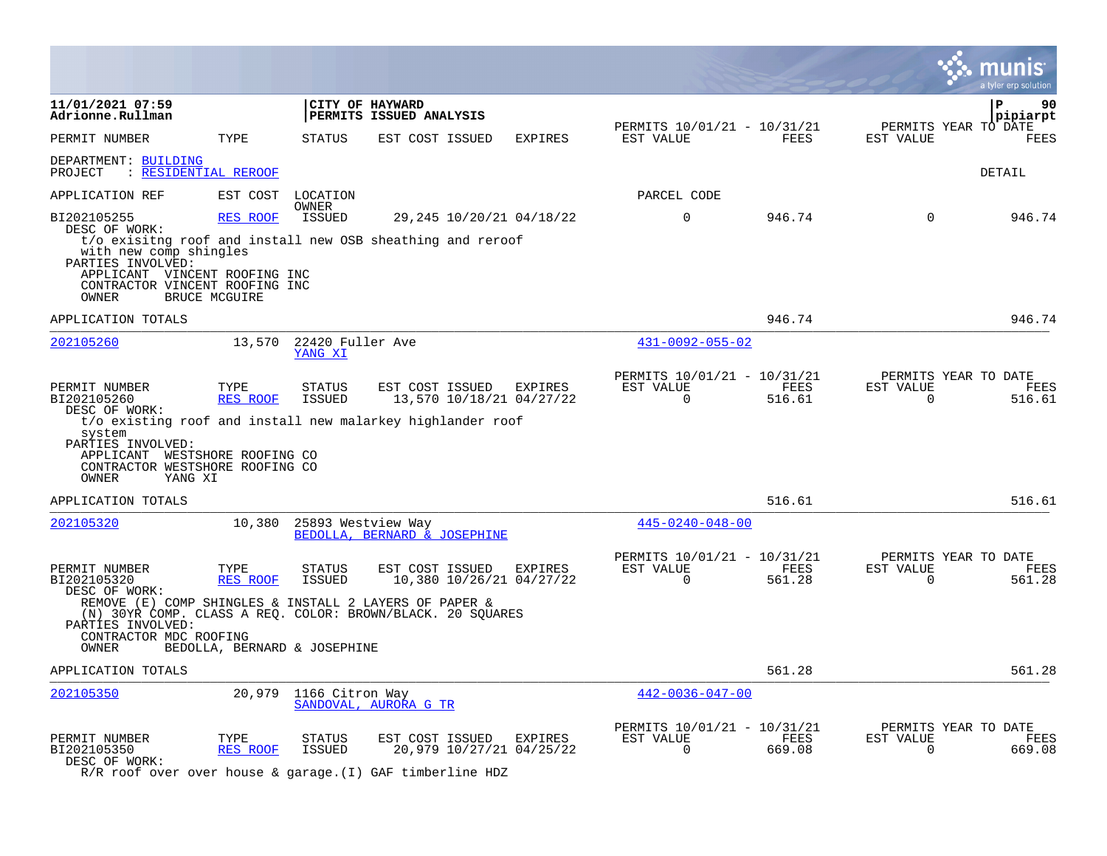|                                                                                                                                                                                    |                         |                                    |                                            |                                                     |                                                      |                       |                          | a tyler erp solution                   |
|------------------------------------------------------------------------------------------------------------------------------------------------------------------------------------|-------------------------|------------------------------------|--------------------------------------------|-----------------------------------------------------|------------------------------------------------------|-----------------------|--------------------------|----------------------------------------|
| 11/01/2021 07:59<br>Adrionne.Rullman                                                                                                                                               |                         |                                    | CITY OF HAYWARD<br>PERMITS ISSUED ANALYSIS |                                                     |                                                      |                       |                          | ${\bf P}$<br>90<br>pipiarpt            |
| PERMIT NUMBER                                                                                                                                                                      | TYPE                    | STATUS                             | EST COST ISSUED                            | EXPIRES                                             | PERMITS 10/01/21 - 10/31/21<br>EST VALUE             | FEES                  | EST VALUE                | PERMITS YEAR TO DATE<br><b>FEES</b>    |
| DEPARTMENT: BUILDING<br><u>: RESIDENTIAL REROOF</u><br>PROJECT                                                                                                                     |                         |                                    |                                            |                                                     |                                                      |                       |                          | DETAIL                                 |
| APPLICATION REF                                                                                                                                                                    | EST COST                | LOCATION                           |                                            |                                                     | PARCEL CODE                                          |                       |                          |                                        |
| BI202105255<br>DESC OF WORK:                                                                                                                                                       | RES ROOF                | <b>OWNER</b><br>ISSUED             |                                            | 29,245 10/20/21 04/18/22                            | $\Omega$                                             | 946.74                | $\Omega$                 | 946.74                                 |
| t/o exisitng roof and install new OSB sheathing and reroof<br>with new comp shingles<br>PARTIES INVOLVED:                                                                          |                         |                                    |                                            |                                                     |                                                      |                       |                          |                                        |
| APPLICANT VINCENT ROOFING INC<br>CONTRACTOR VINCENT ROOFING INC<br>OWNER                                                                                                           | <b>BRUCE MCGUIRE</b>    |                                    |                                            |                                                     |                                                      |                       |                          |                                        |
| APPLICATION TOTALS                                                                                                                                                                 |                         |                                    |                                            |                                                     |                                                      | 946.74                |                          | 946.74                                 |
| 202105260                                                                                                                                                                          |                         | 13,570 22420 Fuller Ave<br>YANG XI |                                            |                                                     | $431 - 0092 - 055 - 02$                              |                       |                          |                                        |
| PERMIT NUMBER<br>BI202105260<br>DESC OF WORK:                                                                                                                                      | TYPE<br>RES ROOF        | <b>STATUS</b><br>ISSUED            |                                            | EST COST ISSUED EXPIRES<br>13,570 10/18/21 04/27/22 | PERMITS 10/01/21 - 10/31/21<br>EST VALUE<br>$\Omega$ | FEES<br>516.61        | EST VALUE<br>$\mathbf 0$ | PERMITS YEAR TO DATE<br>FEES<br>516.61 |
| t/o existing roof and install new malarkey highlander roof<br>system<br>PARTIES INVOLVED:<br>APPLICANT WESTSHORE ROOFING CO<br>CONTRACTOR WESTSHORE ROOFING CO<br>YANG XI<br>OWNER |                         |                                    |                                            |                                                     |                                                      |                       |                          |                                        |
| APPLICATION TOTALS                                                                                                                                                                 |                         |                                    |                                            |                                                     |                                                      | 516.61                |                          | 516.61                                 |
| 202105320                                                                                                                                                                          | 10,380                  | 25893 Westview Way                 | BEDOLLA, BERNARD & JOSEPHINE               |                                                     | $445 - 0240 - 048 - 00$                              |                       |                          |                                        |
| PERMIT NUMBER<br>BI202105320<br>DESC OF WORK:                                                                                                                                      | TYPE<br><b>RES ROOF</b> | <b>STATUS</b><br><b>ISSUED</b>     | EST COST ISSUED                            | <b>EXPIRES</b><br>10,380 10/26/21 04/27/22          | PERMITS 10/01/21 - 10/31/21<br>EST VALUE<br>$\Omega$ | <b>FEES</b><br>561.28 | EST VALUE<br>$\Omega$    | PERMITS YEAR TO DATE<br>FEES<br>561.28 |
| REMOVE (E) COMP SHINGLES & INSTALL 2 LAYERS OF PAPER &<br>(N) 30YR COMP. CLASS A REO. COLOR: BROWN/BLACK. 20 SOUARES<br>PARTIES INVOLVED:                                          |                         |                                    |                                            |                                                     |                                                      |                       |                          |                                        |
| CONTRACTOR MDC ROOFING<br>OWNER                                                                                                                                                    |                         | BEDOLLA, BERNARD & JOSEPHINE       |                                            |                                                     |                                                      |                       |                          |                                        |
| APPLICATION TOTALS                                                                                                                                                                 |                         |                                    |                                            |                                                     |                                                      | 561.28                |                          | 561.28                                 |
| 202105350                                                                                                                                                                          |                         | 20,979 1166 Citron Way             | SANDOVAL, AURORA G TR                      |                                                     | $442 - 0036 - 047 - 00$                              |                       |                          |                                        |
| PERMIT NUMBER<br>BI202105350<br>DESC OF WORK:                                                                                                                                      | TYPE<br><b>RES ROOF</b> | <b>STATUS</b><br><b>ISSUED</b>     | EST COST ISSUED                            | <b>EXPIRES</b><br>20,979 10/27/21 04/25/22          | PERMITS 10/01/21 - 10/31/21<br>EST VALUE<br>$\Omega$ | FEES<br>669.08        | EST VALUE<br>0           | PERMITS YEAR TO DATE<br>FEES<br>669.08 |

 $\bullet$ 

R/R roof over over house & garage.(I) GAF timberline HDZ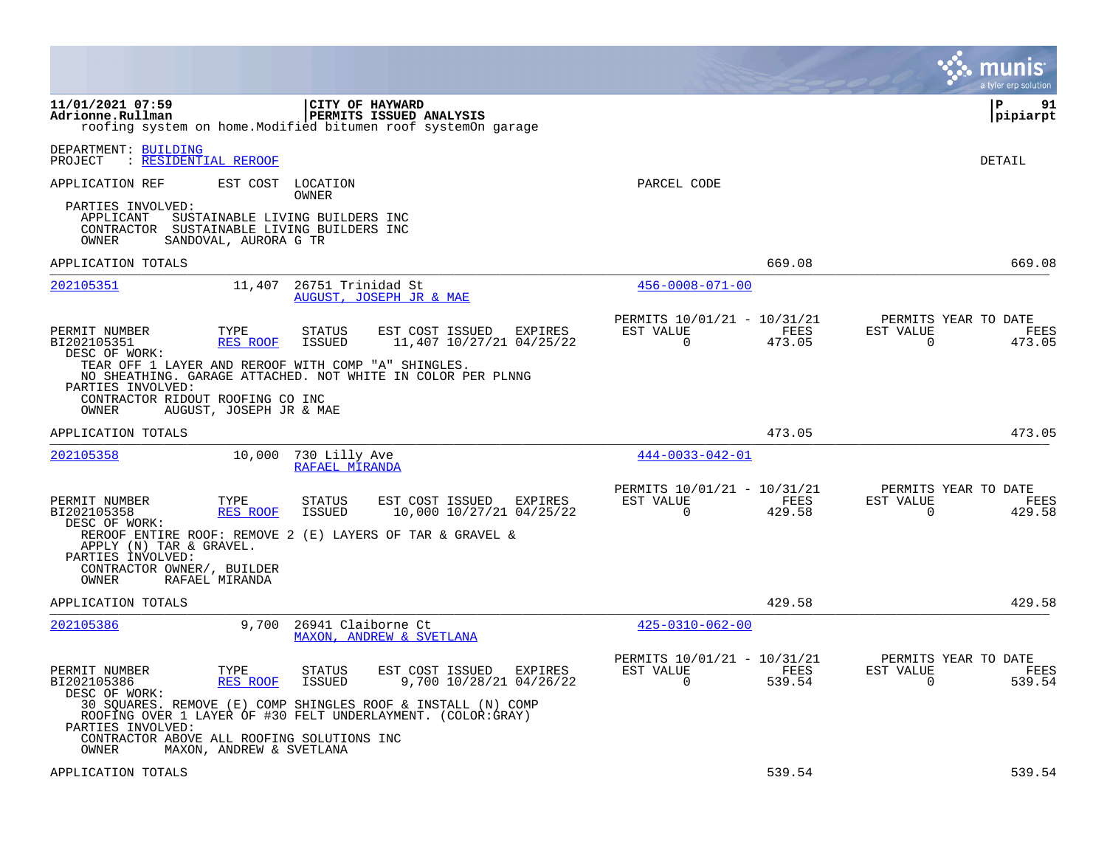|                                               |                                                                                                                                                                                   |                                                            |                | a tyler erp solution                                               |
|-----------------------------------------------|-----------------------------------------------------------------------------------------------------------------------------------------------------------------------------------|------------------------------------------------------------|----------------|--------------------------------------------------------------------|
| 11/01/2021 07:59<br>Adrionne.Rullman          | CITY OF HAYWARD<br><b>PERMITS ISSUED ANALYSIS</b><br>roofing system on home. Modified bitumen roof systemOn garage                                                                |                                                            |                | l P<br>91<br> pipiarpt                                             |
| DEPARTMENT: BUILDING<br>PROJECT               | : RESIDENTIAL REROOF                                                                                                                                                              |                                                            |                | DETAIL                                                             |
| APPLICATION REF                               | EST COST LOCATION                                                                                                                                                                 | PARCEL CODE                                                |                |                                                                    |
| PARTIES INVOLVED:<br>APPLICANT<br>OWNER       | OWNER<br>SUSTAINABLE LIVING BUILDERS INC<br>CONTRACTOR SUSTAINABLE LIVING BUILDERS INC<br>SANDOVAL, AURORA G TR                                                                   |                                                            |                |                                                                    |
| APPLICATION TOTALS                            |                                                                                                                                                                                   |                                                            | 669.08         | 669.08                                                             |
| 202105351                                     | 11,407<br>26751 Trinidad St<br>AUGUST, JOSEPH JR & MAE                                                                                                                            | $456 - 0008 - 071 - 00$                                    |                |                                                                    |
| PERMIT NUMBER<br>BI202105351<br>DESC OF WORK: | <b>STATUS</b><br>EST COST ISSUED<br>EXPIRES<br>TYPE<br>ISSUED<br>11,407 10/27/21 04/25/22<br>RES ROOF                                                                             | PERMITS 10/01/21 - 10/31/21<br>EST VALUE<br>0              | FEES<br>473.05 | PERMITS YEAR TO DATE<br>EST VALUE<br>FEES<br>$\mathbf 0$<br>473.05 |
| PARTIES INVOLVED:<br>OWNER                    | TEAR OFF 1 LAYER AND REROOF WITH COMP "A" SHINGLES.<br>NO SHEATHING. GARAGE ATTACHED. NOT WHITE IN COLOR PER PLNNG<br>CONTRACTOR RIDOUT ROOFING CO INC<br>AUGUST, JOSEPH JR & MAE |                                                            |                |                                                                    |
| APPLICATION TOTALS                            |                                                                                                                                                                                   |                                                            | 473.05         | 473.05                                                             |
| 202105358                                     | 10,000<br>730 Lilly Ave<br>RAFAEL MIRANDA                                                                                                                                         | $444 - 0033 - 042 - 01$                                    |                |                                                                    |
| PERMIT NUMBER<br>BI202105358<br>DESC OF WORK: | EST COST ISSUED<br>TYPE<br>STATUS<br>EXPIRES<br>RES ROOF<br><b>ISSUED</b><br>10,000 10/27/21 04/25/22                                                                             | PERMITS 10/01/21 - 10/31/21<br>EST VALUE<br>$\overline{0}$ | FEES<br>429.58 | PERMITS YEAR TO DATE<br>EST VALUE<br>FEES<br>$\mathbf 0$<br>429.58 |
| APPLY (N) TAR & GRAVEL.<br>PARTIES INVOLVED:  | REROOF ENTIRE ROOF: REMOVE 2 (E) LAYERS OF TAR & GRAVEL &                                                                                                                         |                                                            |                |                                                                    |
| CONTRACTOR OWNER/, BUILDER<br>OWNER           | RAFAEL MIRANDA                                                                                                                                                                    |                                                            |                |                                                                    |
| APPLICATION TOTALS                            |                                                                                                                                                                                   |                                                            | 429.58         | 429.58                                                             |
| 202105386                                     | 9,700<br>26941 Claiborne Ct<br>MAXON, ANDREW & SVETLANA                                                                                                                           | $425 - 0310 - 062 - 00$                                    |                |                                                                    |
| PERMIT NUMBER<br>BI202105386<br>DESC OF WORK: | TYPE<br><b>STATUS</b><br>EST COST ISSUED<br>EXPIRES<br><b>RES ROOF</b><br><b>ISSUED</b><br>9,700 10/28/21 04/26/22                                                                | PERMITS 10/01/21 - 10/31/21<br>EST VALUE<br>$\Omega$       | FEES<br>539.54 | PERMITS YEAR TO DATE<br>EST VALUE<br>FEES<br>$\Omega$<br>539.54    |
| PARTIES INVOLVED:                             | 30 SQUARES. REMOVE (E) COMP SHINGLES ROOF & INSTALL (N) COMP<br>ROOFING OVER 1 LAYER OF #30 FELT UNDERLAYMENT. (COLOR:GRAY)<br>CONTRACTOR ABOVE ALL ROOFING SOLUTIONS INC         |                                                            |                |                                                                    |
| OWNER<br>APPLICATION TOTALS                   | MAXON, ANDREW & SVETLANA                                                                                                                                                          |                                                            | 539.54         | 539.54                                                             |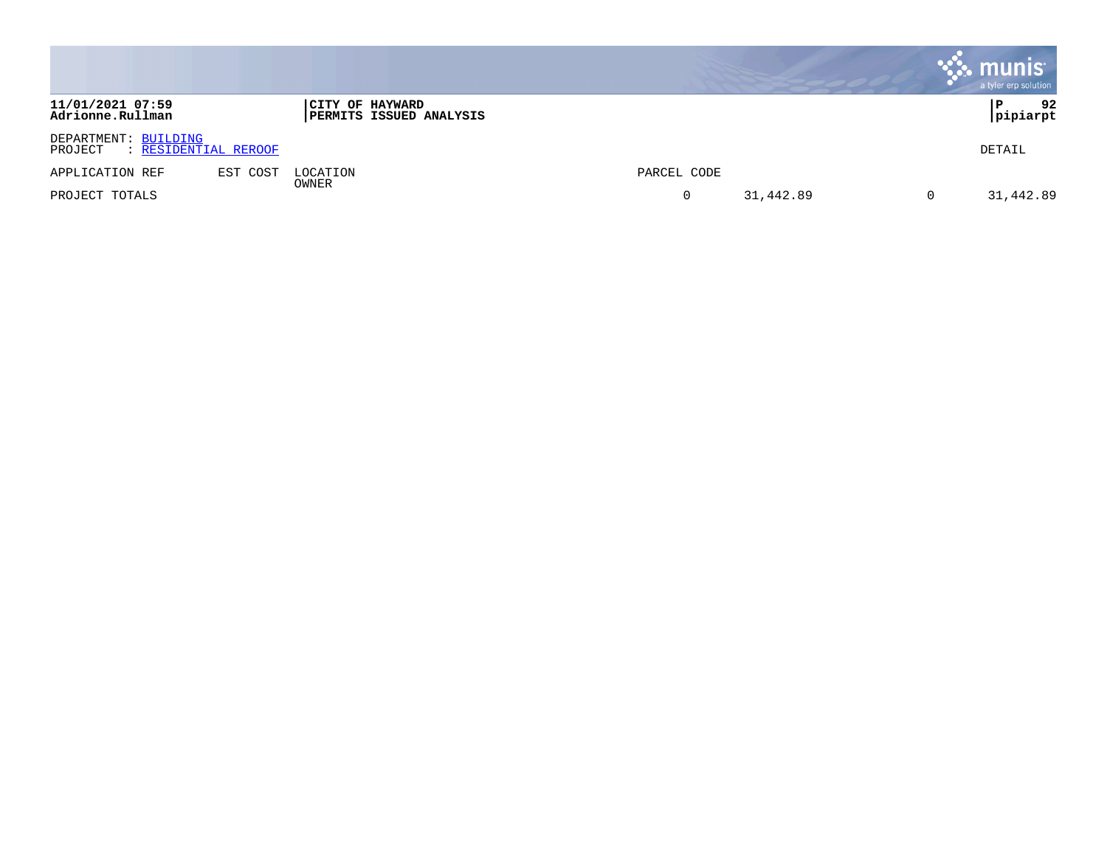|                                                         |          |                                                   |                     | munis<br>a tyler erp solution |
|---------------------------------------------------------|----------|---------------------------------------------------|---------------------|-------------------------------|
| 11/01/2021 07:59<br>Adrionne.Rullman                    |          | CITY OF HAYWARD<br><b>PERMITS ISSUED ANALYSIS</b> |                     | 92<br>P<br>pipiarpt           |
| DEPARTMENT: BUILDING<br>: RESIDENTIAL REROOF<br>PROJECT |          |                                                   |                     | DETAIL                        |
| APPLICATION REF                                         | EST COST | LOCATION                                          | PARCEL CODE         |                               |
| PROJECT TOTALS                                          |          | OWNER                                             | 31,442.89<br>0<br>0 | 31,442.89                     |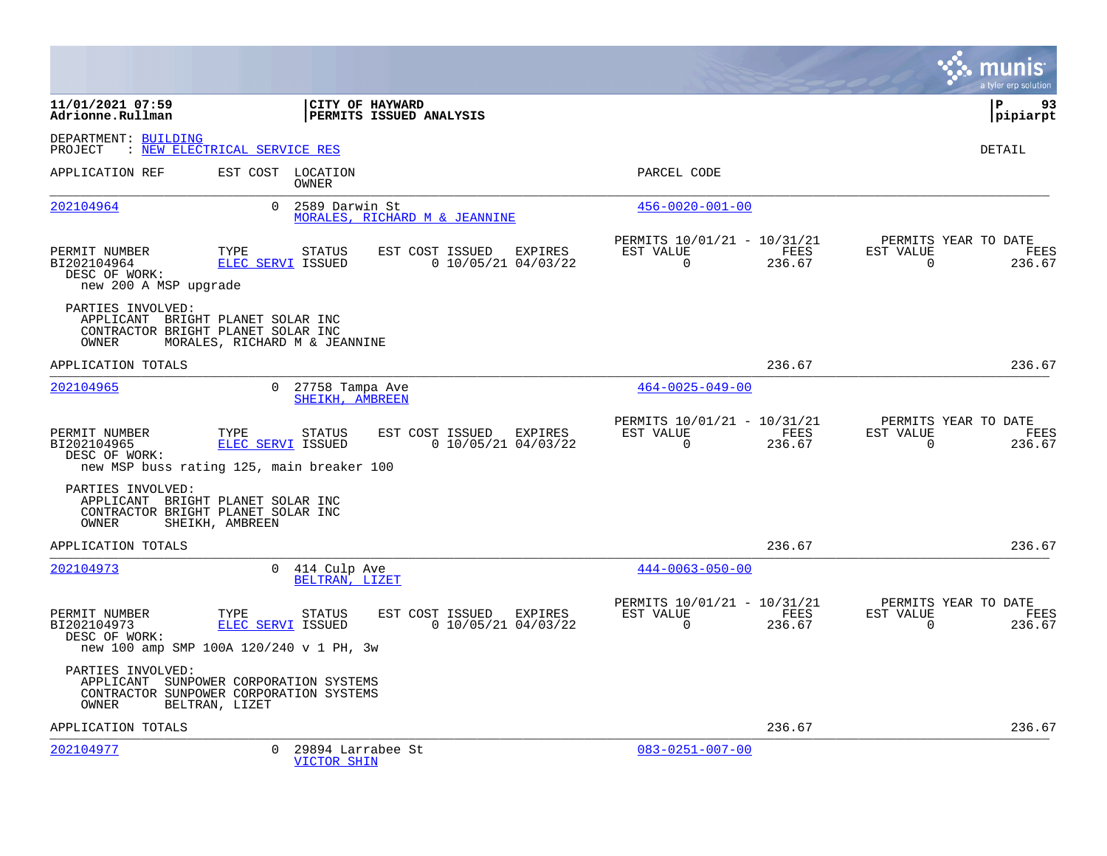|                                                                        |                                                                                                          |                                                     |                                                         |                |                          | a tyler erp solution                   |
|------------------------------------------------------------------------|----------------------------------------------------------------------------------------------------------|-----------------------------------------------------|---------------------------------------------------------|----------------|--------------------------|----------------------------------------|
| 11/01/2021 07:59<br>Adrionne.Rullman                                   |                                                                                                          | CITY OF HAYWARD<br>PERMITS ISSUED ANALYSIS          |                                                         |                |                          | P<br>93<br> pipiarpt                   |
| DEPARTMENT: BUILDING<br>PROJECT                                        | : NEW ELECTRICAL SERVICE RES                                                                             |                                                     |                                                         |                |                          | <b>DETAIL</b>                          |
| APPLICATION REF                                                        | EST COST LOCATION<br>OWNER                                                                               |                                                     | PARCEL CODE                                             |                |                          |                                        |
| 202104964                                                              | $\Omega$<br>2589 Darwin St                                                                               | MORALES, RICHARD M & JEANNINE                       | $456 - 0020 - 001 - 00$                                 |                |                          |                                        |
| PERMIT NUMBER<br>BI202104964<br>DESC OF WORK:<br>new 200 A MSP upgrade | TYPE<br><b>STATUS</b><br><b>ELEC SERVI ISSUED</b>                                                        | EST COST ISSUED<br>EXPIRES<br>$0$ 10/05/21 04/03/22 | PERMITS 10/01/21 - 10/31/21<br>EST VALUE<br>$\mathbf 0$ | FEES<br>236.67 | EST VALUE<br>$\mathbf 0$ | PERMITS YEAR TO DATE<br>FEES<br>236.67 |
| PARTIES INVOLVED:<br>OWNER                                             | APPLICANT BRIGHT PLANET SOLAR INC<br>CONTRACTOR BRIGHT PLANET SOLAR INC<br>MORALES, RICHARD M & JEANNINE |                                                     |                                                         |                |                          |                                        |
| APPLICATION TOTALS                                                     |                                                                                                          |                                                     |                                                         | 236.67         |                          | 236.67                                 |
| 202104965                                                              | $\Omega$<br>27758 Tampa Ave<br>SHEIKH, AMBREEN                                                           |                                                     | $464 - 0025 - 049 - 00$                                 |                |                          |                                        |
| PERMIT NUMBER<br>BI202104965<br>DESC OF WORK:                          | TYPE<br><b>STATUS</b><br>ELEC SERVI ISSUED<br>new MSP buss rating 125, main breaker 100                  | EST COST ISSUED<br>EXPIRES<br>$0$ 10/05/21 04/03/22 | PERMITS 10/01/21 - 10/31/21<br>EST VALUE<br>$\Omega$    | FEES<br>236.67 | EST VALUE<br>$\Omega$    | PERMITS YEAR TO DATE<br>FEES<br>236.67 |
| PARTIES INVOLVED:<br>OWNER                                             | APPLICANT BRIGHT PLANET SOLAR INC<br>CONTRACTOR BRIGHT PLANET SOLAR INC<br>SHEIKH, AMBREEN               |                                                     |                                                         |                |                          |                                        |
| APPLICATION TOTALS                                                     |                                                                                                          |                                                     |                                                         | 236.67         |                          | 236.67                                 |
| 202104973                                                              | $\overline{0}$<br>414 Culp Ave<br>BELTRAN, LIZET                                                         |                                                     | $444 - 0063 - 050 - 00$                                 |                |                          |                                        |
| PERMIT NUMBER<br>BI202104973<br>DESC OF WORK:                          | TYPE<br><b>STATUS</b><br>ELEC SERVI ISSUED<br>new 100 amp SMP 100A 120/240 v 1 PH, 3w                    | EST COST ISSUED EXPIRES<br>$0$ 10/05/21 04/03/22    | PERMITS 10/01/21 - 10/31/21<br>EST VALUE<br>$\Omega$    | FEES<br>236.67 | EST VALUE<br>$\Omega$    | PERMITS YEAR TO DATE<br>FEES<br>236.67 |
| PARTIES INVOLVED:<br>OWNER                                             | APPLICANT SUNPOWER CORPORATION SYSTEMS<br>CONTRACTOR SUNPOWER CORPORATION SYSTEMS<br>BELTRAN, LIZET      |                                                     |                                                         |                |                          |                                        |
| APPLICATION TOTALS                                                     |                                                                                                          |                                                     |                                                         | 236.67         |                          | 236.67                                 |
| 202104977                                                              | 0<br>29894 Larrabee St<br><b>VICTOR SHIN</b>                                                             |                                                     | $083 - 0251 - 007 - 00$                                 |                |                          |                                        |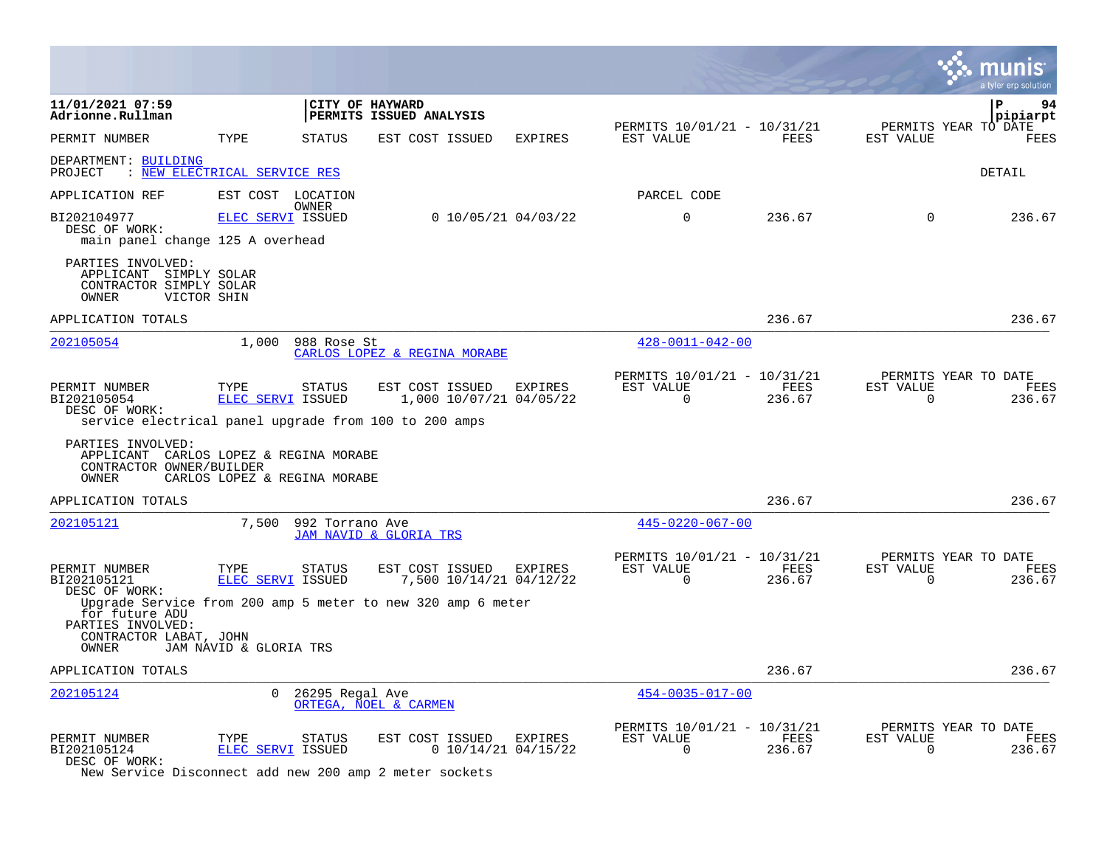|                                                                                                                |                                                                        |                                                                                                                      |                                                         |                       |                          | a tyler erp solution                   |
|----------------------------------------------------------------------------------------------------------------|------------------------------------------------------------------------|----------------------------------------------------------------------------------------------------------------------|---------------------------------------------------------|-----------------------|--------------------------|----------------------------------------|
| 11/01/2021 07:59<br>Adrionne.Rullman                                                                           |                                                                        | CITY OF HAYWARD<br>PERMITS ISSUED ANALYSIS                                                                           |                                                         |                       |                          | ΙP<br>94<br> pipiarpt                  |
| PERMIT NUMBER                                                                                                  | TYPE<br><b>STATUS</b>                                                  | EST COST ISSUED<br><b>EXPIRES</b>                                                                                    | PERMITS 10/01/21 - 10/31/21<br>EST VALUE                | <b>FEES</b>           | EST VALUE                | PERMITS YEAR TO DATE<br>FEES           |
| DEPARTMENT: BUILDING<br>PROJECT                                                                                | : NEW ELECTRICAL SERVICE RES                                           |                                                                                                                      |                                                         |                       |                          | DETAIL                                 |
| APPLICATION REF                                                                                                | EST COST LOCATION<br>OWNER                                             |                                                                                                                      | PARCEL CODE                                             |                       |                          |                                        |
| BI202104977<br>DESC OF WORK:<br>main panel change 125 A overhead                                               | ELEC SERVI ISSUED                                                      | $0$ 10/05/21 04/03/22                                                                                                | $\mathbf 0$                                             | 236.67                | $\mathbf 0$              | 236.67                                 |
| PARTIES INVOLVED:<br>APPLICANT SIMPLY SOLAR<br>CONTRACTOR SIMPLY SOLAR<br>OWNER<br>VICTOR SHIN                 |                                                                        |                                                                                                                      |                                                         |                       |                          |                                        |
| APPLICATION TOTALS                                                                                             |                                                                        |                                                                                                                      |                                                         | 236.67                |                          | 236.67                                 |
| 202105054                                                                                                      | 1,000<br>988 Rose St                                                   | CARLOS LOPEZ & REGINA MORABE                                                                                         | $428 - 0011 - 042 - 00$                                 |                       |                          |                                        |
| PERMIT NUMBER<br>BI202105054<br>DESC OF WORK:                                                                  | TYPE<br><b>STATUS</b><br>ELEC SERVI ISSUED                             | EST COST ISSUED<br>EXPIRES<br>1,000 10/07/21 04/05/22<br>service electrical panel upgrade from 100 to 200 amps       | PERMITS 10/01/21 - 10/31/21<br>EST VALUE<br>$\Omega$    | FEES<br>236.67        | EST VALUE<br>$\Omega$    | PERMITS YEAR TO DATE<br>FEES<br>236.67 |
| PARTIES INVOLVED:<br>CONTRACTOR OWNER/BUILDER<br>OWNER                                                         | APPLICANT CARLOS LOPEZ & REGINA MORABE<br>CARLOS LOPEZ & REGINA MORABE |                                                                                                                      |                                                         |                       |                          |                                        |
| APPLICATION TOTALS                                                                                             |                                                                        |                                                                                                                      |                                                         | 236.67                |                          | 236.67                                 |
| 202105121                                                                                                      | 7,500                                                                  | 992 Torrano Ave<br>JAM NAVID & GLORIA TRS                                                                            | $445 - 0220 - 067 - 00$                                 |                       |                          |                                        |
| PERMIT NUMBER<br>BI202105121<br>DESC OF WORK:<br>for future ADU<br>PARTIES INVOLVED:<br>CONTRACTOR LABAT, JOHN | TYPE<br><b>STATUS</b><br>ELEC SERVI ISSUED                             | EST COST ISSUED<br>EXPIRES<br>7,500 10/14/21 04/12/22<br>Upgrade Service from 200 amp 5 meter to new 320 amp 6 meter | PERMITS 10/01/21 - 10/31/21<br>EST VALUE<br>$\mathbf 0$ | <b>FEES</b><br>236.67 | EST VALUE<br>$\mathbf 0$ | PERMITS YEAR TO DATE<br>FEES<br>236.67 |
| OWNER                                                                                                          | JAM NAVID & GLORIA TRS                                                 |                                                                                                                      |                                                         |                       |                          |                                        |
| APPLICATION TOTALS                                                                                             |                                                                        |                                                                                                                      |                                                         | 236.67                |                          | 236.67                                 |
| 202105124                                                                                                      | $\Omega$                                                               | 26295 Regal Ave<br>ORTEGA, NOEL & CARMEN                                                                             | $454 - 0035 - 017 - 00$                                 |                       |                          |                                        |
| PERMIT NUMBER<br>BI202105124<br>DESC OF WORK:                                                                  | TYPE<br><b>STATUS</b><br><b>ELEC SERVI ISSUED</b>                      | EST COST ISSUED<br>EXPIRES<br>$0$ 10/14/21 04/15/22                                                                  | PERMITS 10/01/21 - 10/31/21<br>EST VALUE<br>0           | FEES<br>236.67        | EST VALUE<br>$\Omega$    | PERMITS YEAR TO DATE<br>FEES<br>236.67 |

New Service Disconnect add new 200 amp 2 meter sockets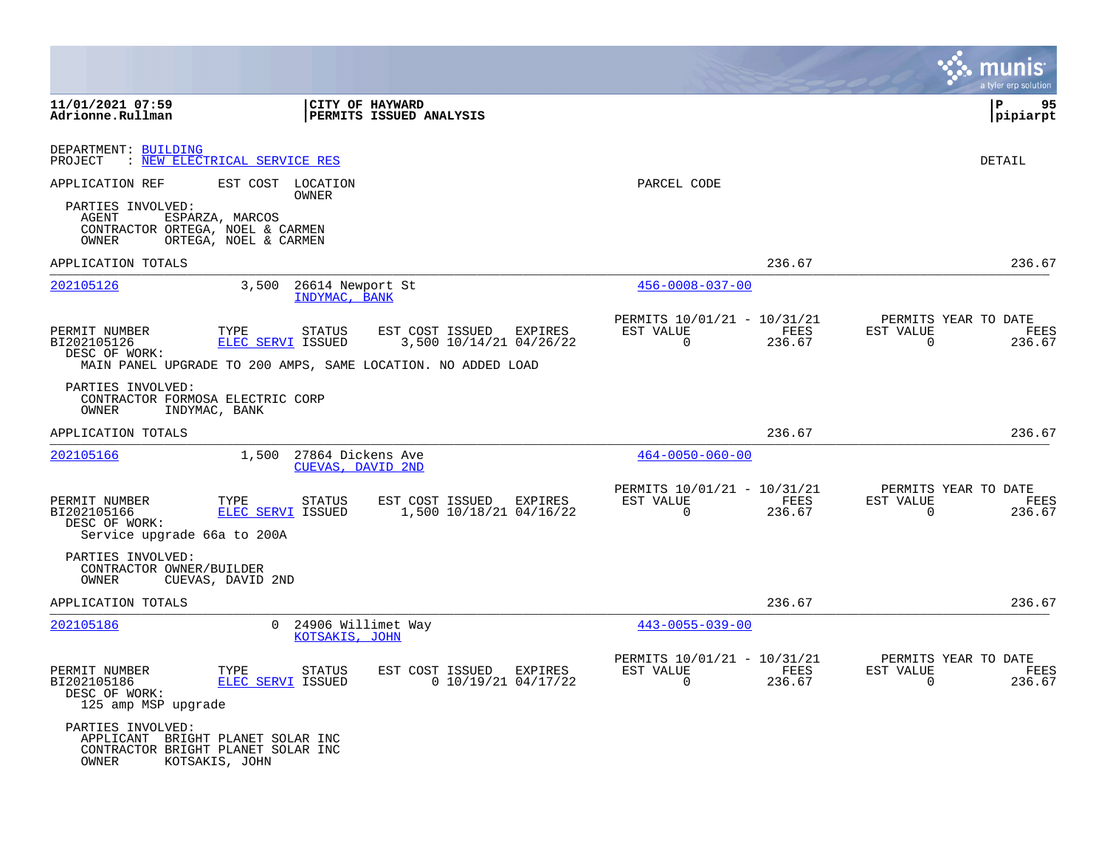|                                                                              |                                                                                           |                                                                                                                    |                                                         |                | a tyler erp solution                                            |
|------------------------------------------------------------------------------|-------------------------------------------------------------------------------------------|--------------------------------------------------------------------------------------------------------------------|---------------------------------------------------------|----------------|-----------------------------------------------------------------|
| 11/01/2021 07:59<br>Adrionne.Rullman                                         |                                                                                           | CITY OF HAYWARD<br>PERMITS ISSUED ANALYSIS                                                                         |                                                         |                | $\mathbf{P}$<br>95<br> pipiarpt                                 |
| DEPARTMENT: BUILDING<br>PROJECT                                              | : NEW ELECTRICAL SERVICE RES                                                              |                                                                                                                    |                                                         |                | DETAIL                                                          |
| APPLICATION REF                                                              | EST COST LOCATION<br>OWNER                                                                |                                                                                                                    | PARCEL CODE                                             |                |                                                                 |
| PARTIES INVOLVED:<br>AGENT<br>CONTRACTOR ORTEGA, NOEL & CARMEN<br>OWNER      | ESPARZA, MARCOS<br>ORTEGA, NOEL & CARMEN                                                  |                                                                                                                    |                                                         |                |                                                                 |
| APPLICATION TOTALS                                                           |                                                                                           |                                                                                                                    |                                                         | 236.67         | 236.67                                                          |
| 202105126                                                                    | 3,500<br>26614 Newport St<br>INDYMAC, BANK                                                |                                                                                                                    | $456 - 0008 - 037 - 00$                                 |                |                                                                 |
| PERMIT NUMBER<br>BI202105126<br>DESC OF WORK:                                | TYPE<br>STATUS<br>ELEC SERVI ISSUED                                                       | EST COST ISSUED EXPIRES<br>3,500 10/14/21 04/26/22<br>MAIN PANEL UPGRADE TO 200 AMPS, SAME LOCATION. NO ADDED LOAD | PERMITS 10/01/21 - 10/31/21<br>EST VALUE<br>$\mathbf 0$ | FEES<br>236.67 | PERMITS YEAR TO DATE<br>EST VALUE<br>FEES<br>$\Omega$<br>236.67 |
| PARTIES INVOLVED:<br>CONTRACTOR FORMOSA ELECTRIC CORP<br>OWNER               | INDYMAC, BANK                                                                             |                                                                                                                    |                                                         |                |                                                                 |
| APPLICATION TOTALS                                                           |                                                                                           |                                                                                                                    |                                                         | 236.67         | 236.67                                                          |
| 202105166                                                                    | 1,500 27864 Dickens Ave<br>CUEVAS, DAVID 2ND                                              |                                                                                                                    | $464 - 0050 - 060 - 00$                                 |                |                                                                 |
| PERMIT NUMBER<br>BI202105166<br>DESC OF WORK:<br>Service upgrade 66a to 200A | TYPE<br>STATUS<br>ELEC SERVI ISSUED                                                       | EST COST ISSUED EXPIRES<br>1,500 10/18/21 04/16/22                                                                 | PERMITS 10/01/21 - 10/31/21<br>EST VALUE<br>$\Omega$    | FEES<br>236.67 | PERMITS YEAR TO DATE<br>EST VALUE<br>FEES<br>$\Omega$<br>236.67 |
| PARTIES INVOLVED:<br>CONTRACTOR OWNER/BUILDER<br>OWNER                       | CUEVAS, DAVID 2ND                                                                         |                                                                                                                    |                                                         |                |                                                                 |
| APPLICATION TOTALS                                                           |                                                                                           |                                                                                                                    |                                                         | 236.67         | 236.67                                                          |
| 202105186                                                                    | $\Omega$<br>24906 Willimet Way<br>KOTSAKIS, JOHN                                          |                                                                                                                    | $443 - 0055 - 039 - 00$                                 |                |                                                                 |
| PERMIT NUMBER<br>BI202105186<br>DESC OF WORK:<br>125 amp MSP upgrade         | TYPE<br>STATUS<br>ELEC SERVI ISSUED                                                       | EST COST ISSUED<br>EXPIRES<br>$0$ 10/19/21 04/17/22                                                                | PERMITS 10/01/21 - 10/31/21<br>EST VALUE<br>$\mathbf 0$ | FEES<br>236.67 | PERMITS YEAR TO DATE<br>EST VALUE<br>FEES<br>$\Omega$<br>236.67 |
| PARTIES INVOLVED:<br>OWNER                                                   | APPLICANT BRIGHT PLANET SOLAR INC<br>CONTRACTOR BRIGHT PLANET SOLAR INC<br>KOTSAKIS, JOHN |                                                                                                                    |                                                         |                |                                                                 |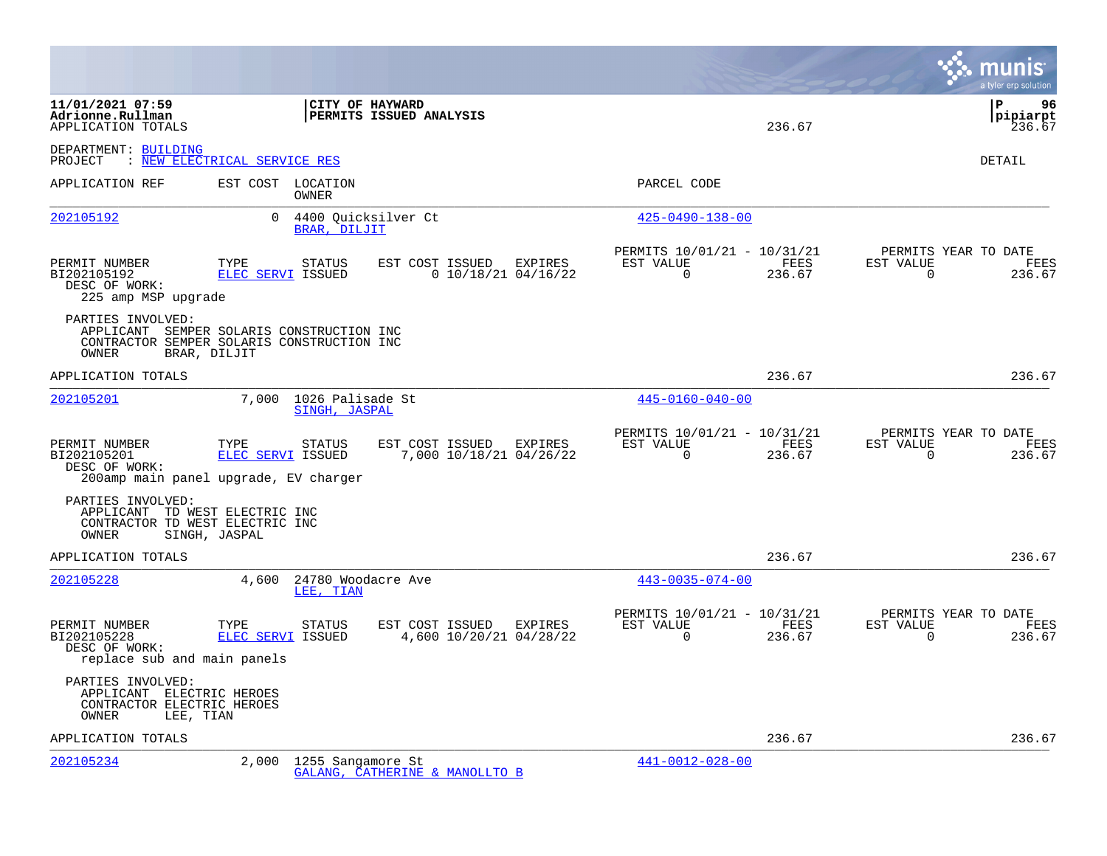|                                                                                                    |                                                                                                         |                                                     |                                                         | munis<br>a tyler erp solution                                                        |
|----------------------------------------------------------------------------------------------------|---------------------------------------------------------------------------------------------------------|-----------------------------------------------------|---------------------------------------------------------|--------------------------------------------------------------------------------------|
| 11/01/2021 07:59<br>Adrionne.Rullman<br>APPLICATION TOTALS                                         |                                                                                                         | <b>CITY OF HAYWARD</b><br>PERMITS ISSUED ANALYSIS   |                                                         | l P<br>96<br> pipiarpt<br>236.67<br>236.67                                           |
| DEPARTMENT: BUILDING<br>PROJECT : NEW ELECTRICAL SERVICE RES                                       |                                                                                                         |                                                     |                                                         | <b>DETAIL</b>                                                                        |
| APPLICATION REF                                                                                    | EST COST LOCATION<br>OWNER                                                                              |                                                     | PARCEL CODE                                             |                                                                                      |
| 202105192                                                                                          | $\mathbf{0}$<br>BRAR, DILJIT                                                                            | 4400 Quicksilver Ct                                 | $425 - 0490 - 138 - 00$                                 |                                                                                      |
| PERMIT NUMBER<br>BI202105192<br>DESC OF WORK:<br>225 amp MSP upgrade                               | TYPE<br>STATUS<br>ELEC SERVI ISSUED                                                                     | EST COST ISSUED<br>EXPIRES<br>$0$ 10/18/21 04/16/22 | PERMITS 10/01/21 - 10/31/21<br>EST VALUE<br>$\Omega$    | PERMITS YEAR TO DATE<br>FEES<br>EST VALUE<br>FEES<br>236.67<br>$\Omega$<br>236.67    |
| PARTIES INVOLVED:<br>OWNER                                                                         | APPLICANT SEMPER SOLARIS CONSTRUCTION INC<br>CONTRACTOR SEMPER SOLARIS CONSTRUCTION INC<br>BRAR, DILJIT |                                                     |                                                         |                                                                                      |
| APPLICATION TOTALS                                                                                 |                                                                                                         |                                                     |                                                         | 236.67<br>236.67                                                                     |
| 202105201                                                                                          | 7,000<br><b>SINGH, JASPAL</b>                                                                           | 1026 Palisade St                                    | $445 - 0160 - 040 - 00$                                 |                                                                                      |
| PERMIT NUMBER<br>BI202105201<br>DESC OF WORK:                                                      | <b>STATUS</b><br>TYPE<br>ELEC SERVI ISSUED<br>200amp main panel upgrade, EV charger                     | EST COST ISSUED EXPIRES<br>7,000 10/18/21 04/26/22  | PERMITS 10/01/21 - 10/31/21<br>EST VALUE<br>$\Omega$    | PERMITS YEAR TO DATE<br>EST VALUE<br>FEES<br>FEES<br>$\Omega$<br>236.67<br>236.67    |
| PARTIES INVOLVED:<br>APPLICANT TD WEST ELECTRIC INC<br>CONTRACTOR TD WEST ELECTRIC INC<br>OWNER    | SINGH, JASPAL                                                                                           |                                                     |                                                         |                                                                                      |
| APPLICATION TOTALS                                                                                 |                                                                                                         |                                                     |                                                         | 236.67<br>236.67                                                                     |
| 202105228                                                                                          | 4,600<br>LEE, TIAN                                                                                      | 24780 Woodacre Ave                                  | $443 - 0035 - 074 - 00$                                 |                                                                                      |
| PERMIT NUMBER<br>BI202105228<br>DESC OF WORK:<br>replace sub and main panels                       | TYPE<br>STATUS<br>ELEC SERVI ISSUED                                                                     | EST COST ISSUED EXPIRES<br>4,600 10/20/21 04/28/22  | PERMITS 10/01/21 - 10/31/21<br>EST VALUE<br>$\mathbf 0$ | PERMITS YEAR TO DATE<br>FEES<br>EST VALUE<br>FEES<br>236.67<br>$\mathbf 0$<br>236.67 |
| PARTIES INVOLVED:<br>APPLICANT ELECTRIC HEROES<br>CONTRACTOR ELECTRIC HEROES<br>LEE, TIAN<br>OWNER |                                                                                                         |                                                     |                                                         |                                                                                      |
| APPLICATION TOTALS                                                                                 |                                                                                                         |                                                     |                                                         | 236.67<br>236.67                                                                     |
| 202105234                                                                                          | 2,000                                                                                                   | 1255 Sangamore St<br>GALANG, CATHERINE & MANOLLTO B | $441 - 0012 - 028 - 00$                                 |                                                                                      |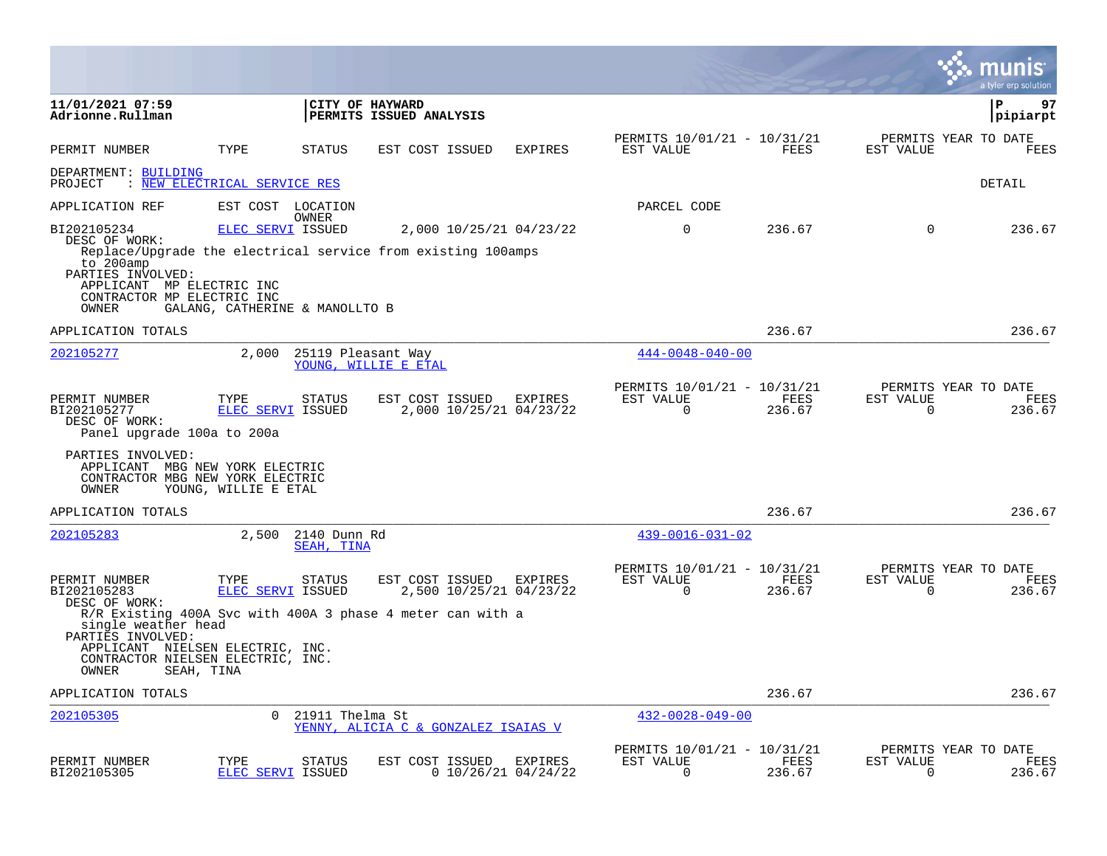|                                                                                                                                                                                                                                           |                                                            |                            |                                     |                                    |                                                         |                |                          | munis<br>a tyler erp solution          |
|-------------------------------------------------------------------------------------------------------------------------------------------------------------------------------------------------------------------------------------------|------------------------------------------------------------|----------------------------|-------------------------------------|------------------------------------|---------------------------------------------------------|----------------|--------------------------|----------------------------------------|
| 11/01/2021 07:59<br>Adrionne.Rullman                                                                                                                                                                                                      |                                                            | CITY OF HAYWARD            | PERMITS ISSUED ANALYSIS             |                                    |                                                         |                |                          | ΙP<br>97<br> pipiarpt                  |
| PERMIT NUMBER                                                                                                                                                                                                                             | TYPE                                                       | <b>STATUS</b>              | EST COST ISSUED                     | <b>EXPIRES</b>                     | PERMITS 10/01/21 - 10/31/21<br>EST VALUE                | FEES           | EST VALUE                | PERMITS YEAR TO DATE<br><b>FEES</b>    |
| DEPARTMENT: BUILDING<br>PROJECT                                                                                                                                                                                                           | : NEW ELECTRICAL SERVICE RES                               |                            |                                     |                                    |                                                         |                |                          | DETAIL                                 |
| APPLICATION REF                                                                                                                                                                                                                           | EST COST LOCATION                                          |                            |                                     |                                    | PARCEL CODE                                             |                |                          |                                        |
| BI202105234<br>DESC OF WORK:<br>Replace/Upgrade the electrical service from existing 100amps<br>to 200amp<br>PARTIES INVOLVED:<br>APPLICANT MP ELECTRIC INC<br>CONTRACTOR MP ELECTRIC INC<br>OWNER                                        | <b>ELEC SERVI ISSUED</b><br>GALANG, CATHERINE & MANOLLTO B | OWNER                      |                                     | 2,000 10/25/21 04/23/22            | $\mathbf 0$                                             | 236.67         | $\Omega$                 | 236.67                                 |
| APPLICATION TOTALS                                                                                                                                                                                                                        |                                                            |                            |                                     |                                    |                                                         | 236.67         |                          | 236.67                                 |
| 202105277                                                                                                                                                                                                                                 | 2,000                                                      | 25119 Pleasant Way         | YOUNG, WILLIE E ETAL                |                                    | $444 - 0048 - 040 - 00$                                 |                |                          |                                        |
| PERMIT NUMBER<br>BI202105277<br>DESC OF WORK:<br>Panel upgrade 100a to 200a                                                                                                                                                               | TYPE<br><b>ELEC SERVI ISSUED</b>                           | <b>STATUS</b>              | EST COST ISSUED                     | EXPIRES<br>2,000 10/25/21 04/23/22 | PERMITS 10/01/21 - 10/31/21<br>EST VALUE<br>$\mathbf 0$ | FEES<br>236.67 | EST VALUE<br>$\mathbf 0$ | PERMITS YEAR TO DATE<br>FEES<br>236.67 |
| PARTIES INVOLVED:<br>APPLICANT MBG NEW YORK ELECTRIC<br>CONTRACTOR MBG NEW YORK ELECTRIC<br>OWNER                                                                                                                                         | YOUNG, WILLIE E ETAL                                       |                            |                                     |                                    |                                                         |                |                          |                                        |
| APPLICATION TOTALS                                                                                                                                                                                                                        |                                                            |                            |                                     |                                    |                                                         | 236.67         |                          | 236.67                                 |
| 202105283                                                                                                                                                                                                                                 | 2,500                                                      | 2140 Dunn Rd<br>SEAH, TINA |                                     |                                    | $439 - 0016 - 031 - 02$                                 |                |                          |                                        |
| PERMIT NUMBER<br>BI202105283<br>DESC OF WORK:<br>R/R Existing 400A Svc with 400A 3 phase 4 meter can with a<br>single weather head<br>PARTIES INVOLVED:<br>APPLICANT NIELSEN ELECTRIC, INC.<br>CONTRACTOR NIELSEN ELECTRIC, INC.<br>OWNER | TYPE<br>ELEC SERVI ISSUED<br>SEAH, TINA                    | STATUS                     | EST COST ISSUED EXPIRES             | 2,500 10/25/21 04/23/22            | PERMITS 10/01/21 - 10/31/21<br>EST VALUE<br>$\Omega$    | FEES<br>236.67 | EST VALUE<br>$\Omega$    | PERMITS YEAR TO DATE<br>FEES<br>236.67 |
| APPLICATION TOTALS                                                                                                                                                                                                                        |                                                            |                            |                                     |                                    |                                                         | 236.67         |                          | 236.67                                 |
| 202105305                                                                                                                                                                                                                                 | $\Omega$                                                   | 21911 Thelma St            | YENNY, ALICIA C & GONZALEZ ISAIAS V |                                    | $432 - 0028 - 049 - 00$                                 |                |                          |                                        |
| PERMIT NUMBER<br>BI202105305                                                                                                                                                                                                              | TYPE<br>ELEC SERVI ISSUED                                  | <b>STATUS</b>              | EST COST ISSUED                     | EXPIRES<br>$0$ 10/26/21 04/24/22   | PERMITS 10/01/21 - 10/31/21<br>EST VALUE<br>$\Omega$    | FEES<br>236.67 | EST VALUE<br>0           | PERMITS YEAR TO DATE<br>FEES<br>236.67 |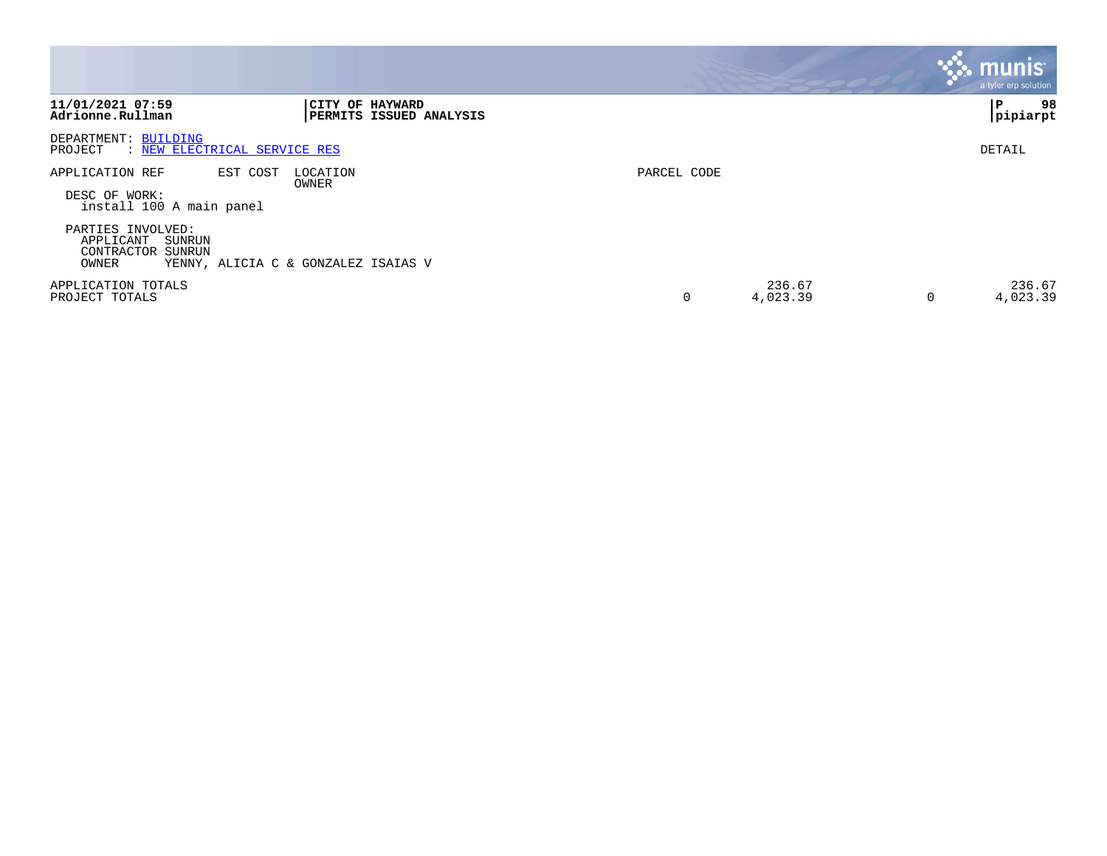|                                                                           |                                            |             |                    | <b>munis</b><br>a tyler erp solution |
|---------------------------------------------------------------------------|--------------------------------------------|-------------|--------------------|--------------------------------------|
| 11/01/2021 07:59<br>Adrionne.Rullman                                      | CITY OF HAYWARD<br>PERMITS ISSUED ANALYSIS |             |                    | 98<br>P<br>pipiarpt                  |
| DEPARTMENT: BUILDING<br>: NEW ELECTRICAL SERVICE RES<br>PROJECT           |                                            |             |                    | DETAIL                               |
| EST COST<br>APPLICATION REF<br>DESC OF WORK:<br>install 100 A main panel  | LOCATION<br>OWNER                          | PARCEL CODE |                    |                                      |
| PARTIES INVOLVED:<br>APPLICANT<br>SUNRUN<br>CONTRACTOR<br>SUNRUN<br>OWNER | YENNY, ALICIA C & GONZALEZ ISAIAS V        |             |                    |                                      |
| APPLICATION TOTALS<br>PROJECT TOTALS                                      |                                            | $\Omega$    | 236.67<br>4,023.39 | 236.67<br>4,023.39                   |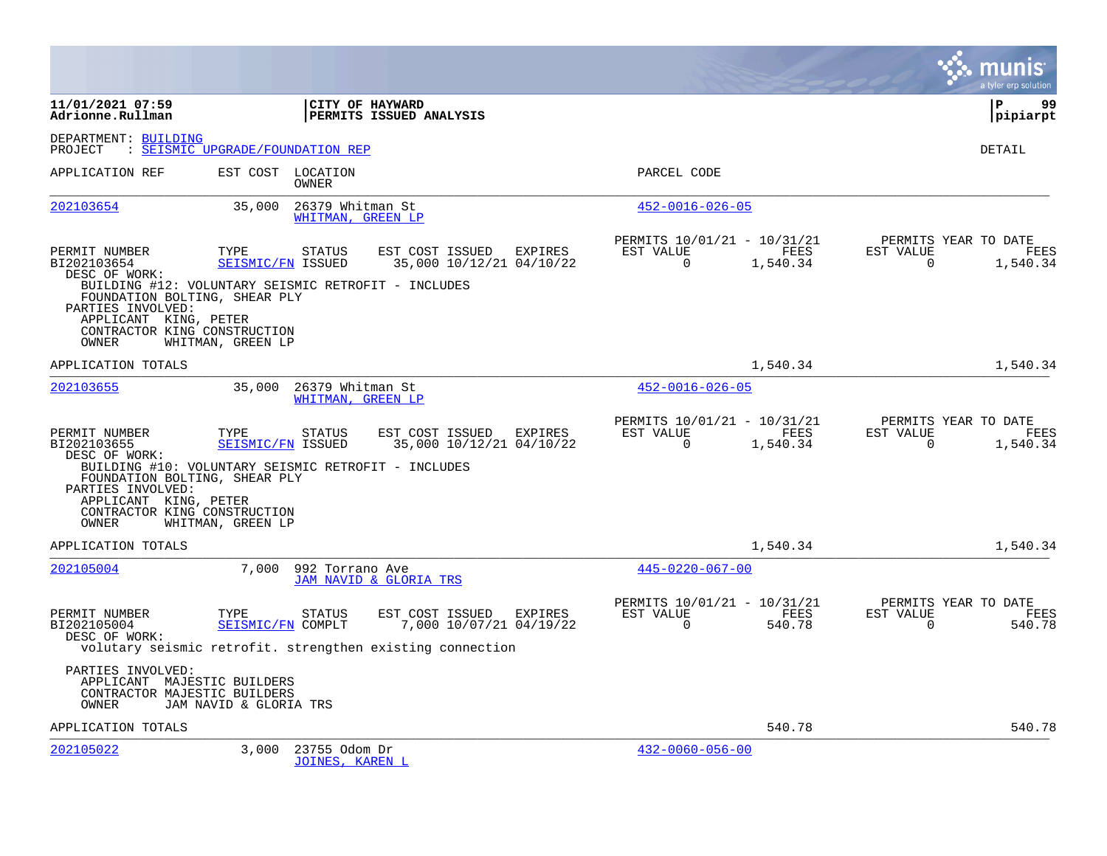|                                                                                                                                       |                                  |                                         |                                                                                                         |         |                                                         |                  |                          | a tyler erp solution                     |
|---------------------------------------------------------------------------------------------------------------------------------------|----------------------------------|-----------------------------------------|---------------------------------------------------------------------------------------------------------|---------|---------------------------------------------------------|------------------|--------------------------|------------------------------------------|
| 11/01/2021 07:59<br>Adrionne.Rullman                                                                                                  |                                  | CITY OF HAYWARD                         | PERMITS ISSUED ANALYSIS                                                                                 |         |                                                         |                  |                          | l P<br>99<br> pipiarpt                   |
| DEPARTMENT: BUILDING<br>PROJECT                                                                                                       | : SEISMIC UPGRADE/FOUNDATION REP |                                         |                                                                                                         |         |                                                         |                  |                          | DETAIL                                   |
| APPLICATION REF                                                                                                                       |                                  | EST COST LOCATION<br>OWNER              |                                                                                                         |         | PARCEL CODE                                             |                  |                          |                                          |
| 202103654                                                                                                                             | 35,000                           | 26379 Whitman St<br>WHITMAN, GREEN LP   |                                                                                                         |         | $452 - 0016 - 026 - 05$                                 |                  |                          |                                          |
| PERMIT NUMBER<br>BI202103654<br>DESC OF WORK:<br>BUILDING #12: VOLUNTARY SEISMIC RETROFIT - INCLUDES                                  | TYPE<br>SEISMIC/FN ISSUED        | <b>STATUS</b>                           | EST COST ISSUED EXPIRES<br>35,000 10/12/21 04/10/22                                                     |         | PERMITS 10/01/21 - 10/31/21<br>EST VALUE<br>$\mathbf 0$ | FEES<br>1,540.34 | EST VALUE<br>$\mathbf 0$ | PERMITS YEAR TO DATE<br>FEES<br>1,540.34 |
| FOUNDATION BOLTING, SHEAR PLY<br>PARTIES INVOLVED:<br>APPLICANT KING, PETER<br>CONTRACTOR KING CONSTRUCTION<br>OWNER                  | WHITMAN, GREEN LP                |                                         |                                                                                                         |         |                                                         |                  |                          |                                          |
| APPLICATION TOTALS                                                                                                                    |                                  |                                         |                                                                                                         |         |                                                         | 1,540.34         |                          | 1,540.34                                 |
| 202103655                                                                                                                             | 35,000                           | 26379 Whitman St<br>WHITMAN, GREEN LP   |                                                                                                         |         | $452 - 0016 - 026 - 05$                                 |                  |                          |                                          |
| PERMIT NUMBER<br>BI202103655<br>DESC OF WORK:<br>BUILDING #10: VOLUNTARY SEISMIC RETROFIT - INCLUDES<br>FOUNDATION BOLTING, SHEAR PLY | TYPE<br>SEISMIC/FN ISSUED        | <b>STATUS</b>                           | EST COST ISSUED<br>35,000 10/12/21 04/10/22                                                             | EXPIRES | PERMITS 10/01/21 - 10/31/21<br>EST VALUE<br>$\Omega$    | FEES<br>1,540.34 | EST VALUE<br>$\Omega$    | PERMITS YEAR TO DATE<br>FEES<br>1,540.34 |
| PARTIES INVOLVED:<br>APPLICANT KING, PETER<br>CONTRACTOR KING CONSTRUCTION<br>OWNER                                                   | WHITMAN, GREEN LP                |                                         |                                                                                                         |         |                                                         |                  |                          |                                          |
| APPLICATION TOTALS                                                                                                                    |                                  |                                         |                                                                                                         |         |                                                         | 1,540.34         |                          | 1,540.34                                 |
| 202105004                                                                                                                             | 7,000                            | 992 Torrano Ave                         | JAM NAVID & GLORIA TRS                                                                                  |         | $445 - 0220 - 067 - 00$                                 |                  |                          |                                          |
| PERMIT NUMBER<br>BI202105004<br>DESC OF WORK:                                                                                         | TYPE<br>SEISMIC/FN COMPLT        | <b>STATUS</b>                           | EST COST ISSUED<br>7,000 10/07/21 04/19/22<br>volutary seismic retrofit. strengthen existing connection | EXPIRES | PERMITS 10/01/21 - 10/31/21<br>EST VALUE<br>$\Omega$    | FEES<br>540.78   | EST VALUE<br>$\Omega$    | PERMITS YEAR TO DATE<br>FEES<br>540.78   |
| PARTIES INVOLVED:<br>APPLICANT MAJESTIC BUILDERS<br>CONTRACTOR MAJESTIC BUILDERS<br>OWNER                                             | JAM NAVID & GLORIA TRS           |                                         |                                                                                                         |         |                                                         |                  |                          |                                          |
| APPLICATION TOTALS                                                                                                                    |                                  |                                         |                                                                                                         |         |                                                         | 540.78           |                          | 540.78                                   |
| 202105022                                                                                                                             | 3,000                            | 23755 Odom Dr<br><b>JOINES, KAREN L</b> |                                                                                                         |         | $432 - 0060 - 056 - 00$                                 |                  |                          |                                          |

 $\mathcal{L}^{\text{max}}$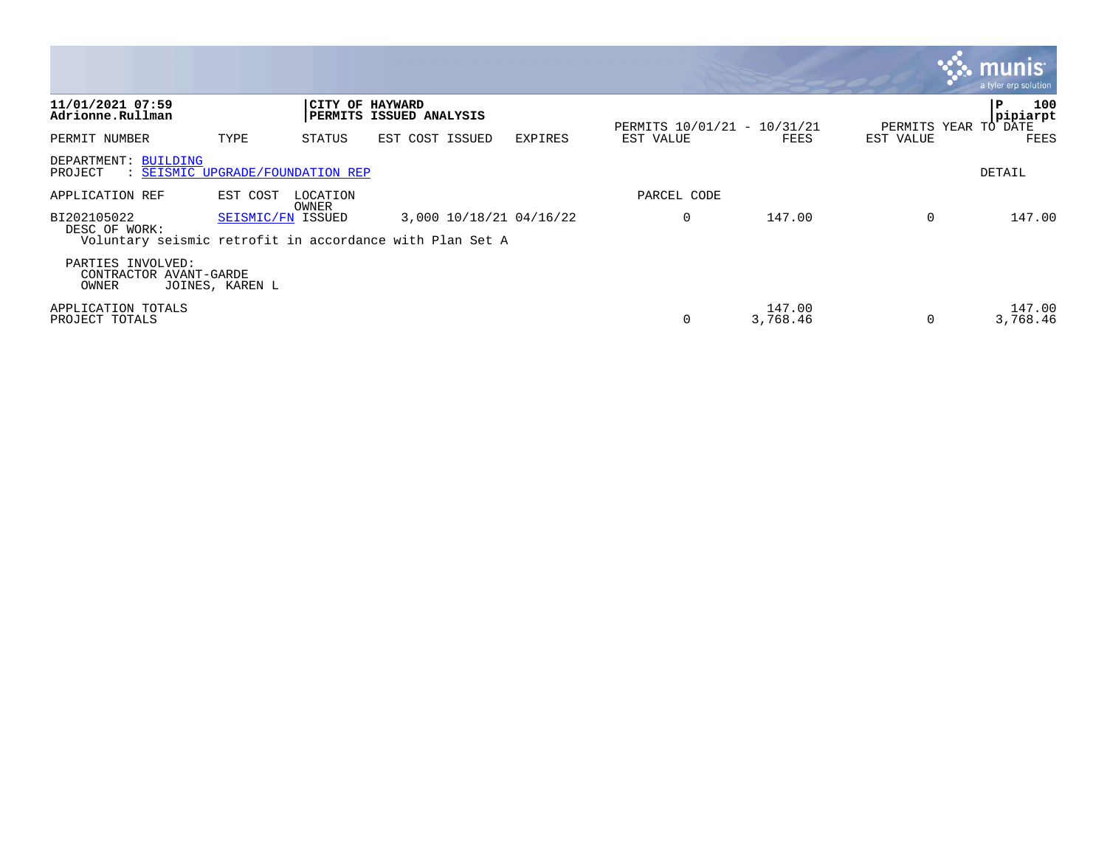|                                                                                          |                   |                 |                                |         |                             |                    |           | a tyler erp solution                         |
|------------------------------------------------------------------------------------------|-------------------|-----------------|--------------------------------|---------|-----------------------------|--------------------|-----------|----------------------------------------------|
| 11/01/2021 07:59<br>Adrionne.Rullman                                                     |                   | CITY OF HAYWARD | <b>PERMITS ISSUED ANALYSIS</b> |         | PERMITS 10/01/21 - 10/31/21 |                    |           | 100<br>P<br>pipiarpt<br>PERMITS YEAR TO DATE |
| PERMIT NUMBER                                                                            | TYPE              | STATUS          | EST COST ISSUED                | EXPIRES | EST VALUE                   | FEES               | EST VALUE | FEES                                         |
| DEPARTMENT: BUILDING<br>PROJECT<br>: SEISMIC UPGRADE/FOUNDATION REP                      |                   |                 |                                |         |                             |                    |           | DETAIL                                       |
| APPLICATION REF                                                                          | EST COST          | LOCATION        |                                |         | PARCEL CODE                 |                    |           |                                              |
| BI202105022<br>DESC OF WORK:<br>Voluntary seismic retrofit in accordance with Plan Set A | SEISMIC/FN ISSUED | OWNER           | 3,000 10/18/21 04/16/22        |         | 0                           | 147.00             | $\Omega$  | 147.00                                       |
| PARTIES INVOLVED:<br>CONTRACTOR AVANT-GARDE<br>OWNER                                     | JOINES, KAREN L   |                 |                                |         |                             |                    |           |                                              |
| APPLICATION TOTALS<br>PROJECT TOTALS                                                     |                   |                 |                                |         | 0                           | 147.00<br>3,768.46 | $\Omega$  | 147.00<br>3,768.46                           |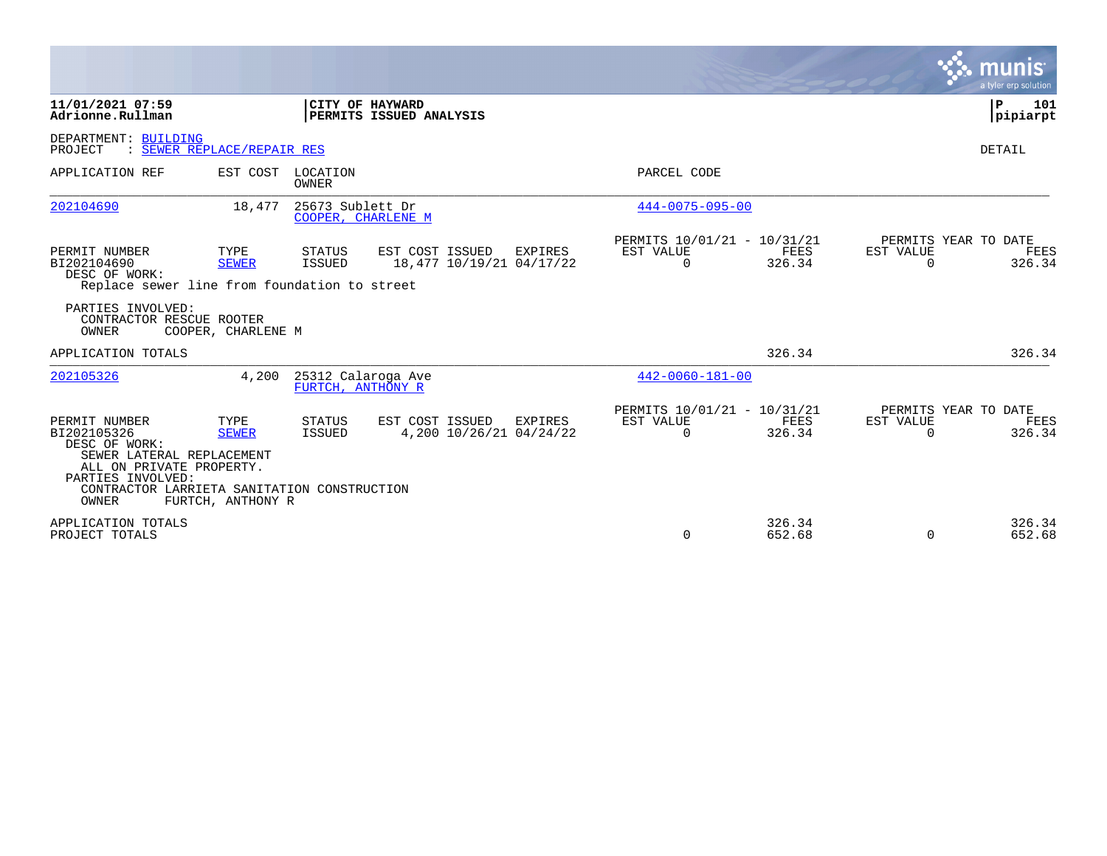|                                                                                                                                                                                            |                                           |                                         |                                                    |         |                                                      |                  |                       | a tyler erp solution                   |
|--------------------------------------------------------------------------------------------------------------------------------------------------------------------------------------------|-------------------------------------------|-----------------------------------------|----------------------------------------------------|---------|------------------------------------------------------|------------------|-----------------------|----------------------------------------|
| 11/01/2021 07:59<br>Adrionne.Rullman                                                                                                                                                       |                                           |                                         | CITY OF HAYWARD<br><b> PERMITS ISSUED ANALYSIS</b> |         |                                                      |                  |                       | 101<br>P<br> pipiarpt                  |
| DEPARTMENT: BUILDING<br>: SEWER REPLACE/REPAIR RES<br>PROJECT                                                                                                                              |                                           |                                         |                                                    |         |                                                      |                  |                       | <b>DETAIL</b>                          |
| APPLICATION REF                                                                                                                                                                            |                                           | EST COST LOCATION<br>OWNER              |                                                    |         | PARCEL CODE                                          |                  |                       |                                        |
| 202104690                                                                                                                                                                                  | 18,477                                    | 25673 Sublett Dr<br>COOPER, CHARLENE M  |                                                    |         | $444 - 0075 - 095 - 00$                              |                  |                       |                                        |
| PERMIT NUMBER<br>BI202104690<br>DESC OF WORK:<br>Replace sewer line from foundation to street                                                                                              | TYPE<br><b>SEWER</b>                      | STATUS<br>ISSUED                        | EST COST ISSUED<br>18,477 10/19/21 04/17/22        | EXPIRES | PERMITS 10/01/21 - 10/31/21<br>EST VALUE<br>$\Omega$ | FEES<br>326.34   | EST VALUE<br>$\Omega$ | PERMITS YEAR TO DATE<br>FEES<br>326.34 |
| PARTIES INVOLVED:<br>CONTRACTOR RESCUE ROOTER<br>OWNER                                                                                                                                     | COOPER, CHARLENE M                        |                                         |                                                    |         |                                                      |                  |                       |                                        |
| APPLICATION TOTALS                                                                                                                                                                         |                                           |                                         |                                                    |         |                                                      | 326.34           |                       | 326.34                                 |
| 202105326                                                                                                                                                                                  | 4,200                                     | 25312 Calaroga Ave<br>FURTCH, ANTHONY R |                                                    |         | $442 - 0060 - 181 - 00$                              |                  |                       |                                        |
| PERMIT NUMBER<br>BI202105326<br>DESC OF WORK:<br>SEWER LATERAL REPLACEMENT<br>ALL ON PRIVATE PROPERTY.<br>PARTIES INVOLVED:<br>CONTRACTOR LARRIETA SANITATION CONSTRUCTION<br><b>OWNER</b> | TYPE<br><b>SEWER</b><br>FURTCH, ANTHONY R | <b>STATUS</b><br>ISSUED                 | EST COST ISSUED<br>4,200 10/26/21 04/24/22         | EXPIRES | PERMITS 10/01/21 - 10/31/21<br>EST VALUE<br>$\Omega$ | FEES<br>326.34   | EST VALUE<br>$\Omega$ | PERMITS YEAR TO DATE<br>FEES<br>326.34 |
| APPLICATION TOTALS<br>PROJECT TOTALS                                                                                                                                                       |                                           |                                         |                                                    |         | $\Omega$                                             | 326.34<br>652.68 | $\mathbf 0$           | 326.34<br>652.68                       |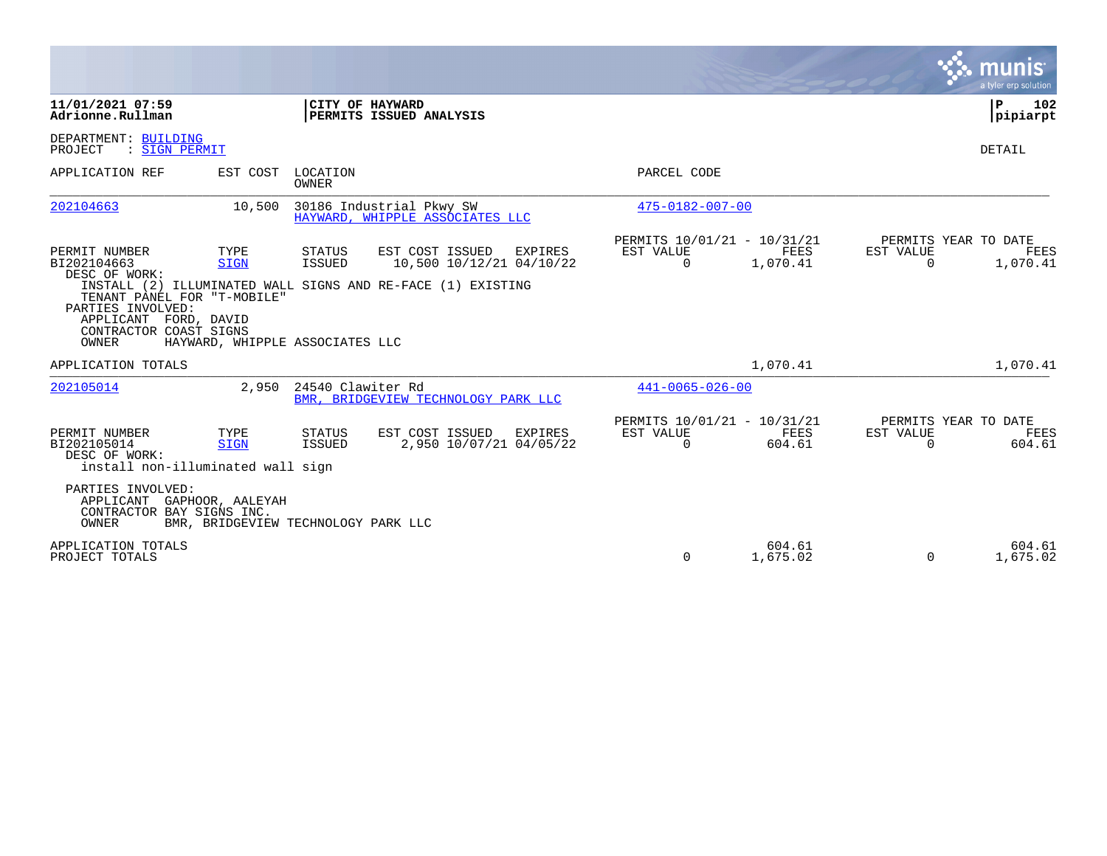|                                                                                                                                                               |                                                        |                         |                                                                                                                              |                                                      |                         |                       | munis<br>a tyler erp solution                   |
|---------------------------------------------------------------------------------------------------------------------------------------------------------------|--------------------------------------------------------|-------------------------|------------------------------------------------------------------------------------------------------------------------------|------------------------------------------------------|-------------------------|-----------------------|-------------------------------------------------|
| 11/01/2021 07:59<br>Adrionne.Rullman                                                                                                                          |                                                        |                         | CITY OF HAYWARD<br>PERMITS ISSUED ANALYSIS                                                                                   |                                                      |                         |                       | 102<br>ΙP<br> pipiarpt                          |
| DEPARTMENT: BUILDING<br>PROJECT<br>: SIGN PERMIT                                                                                                              |                                                        |                         |                                                                                                                              |                                                      |                         |                       | DETAIL                                          |
| APPLICATION REF                                                                                                                                               | EST COST                                               | LOCATION<br>OWNER       |                                                                                                                              | PARCEL CODE                                          |                         |                       |                                                 |
| 202104663                                                                                                                                                     | 10,500                                                 |                         | 30186 Industrial Pkwy SW<br>HAYWARD, WHIPPLE ASSOCIATES LLC                                                                  | 475-0182-007-00                                      |                         |                       |                                                 |
| PERMIT NUMBER<br>BI202104663<br>DESC OF WORK:<br>TENANT PANEL FOR "T-MOBILE"<br>PARTIES INVOLVED:<br>APPLICANT FORD, DAVID<br>CONTRACTOR COAST SIGNS<br>OWNER | TYPE<br><b>SIGN</b><br>HAYWARD, WHIPPLE ASSOCIATES LLC | STATUS<br><b>ISSUED</b> | EST COST ISSUED<br><b>EXPIRES</b><br>10,500 10/12/21 04/10/22<br>INSTALL (2) ILLUMINATED WALL SIGNS AND RE-FACE (1) EXISTING | PERMITS 10/01/21 - 10/31/21<br>EST VALUE<br>$\Omega$ | <b>FEES</b><br>1,070.41 | EST VALUE<br>$\Omega$ | PERMITS YEAR TO DATE<br><b>FEES</b><br>1,070.41 |
| APPLICATION TOTALS                                                                                                                                            |                                                        |                         |                                                                                                                              |                                                      | 1,070.41                |                       | 1,070.41                                        |
| 202105014                                                                                                                                                     | 2,950                                                  | 24540 Clawiter Rd       | BMR. BRIDGEVIEW TECHNOLOGY PARK LLC                                                                                          | $441 - 0065 - 026 - 00$                              |                         |                       |                                                 |
| PERMIT NUMBER<br>BI202105014<br>DESC OF WORK:<br>install non-illuminated wall sign                                                                            | TYPE<br><b>SIGN</b>                                    | <b>STATUS</b><br>ISSUED | EST COST ISSUED<br><b>EXPIRES</b><br>2,950 10/07/21 04/05/22                                                                 | PERMITS 10/01/21 - 10/31/21<br>EST VALUE<br>$\Omega$ | FEES<br>604.61          | EST VALUE<br>$\Omega$ | PERMITS YEAR TO DATE<br>FEES<br>604.61          |
| PARTIES INVOLVED:<br>APPLICANT GAPHOOR, AALEYAH<br>CONTRACTOR BAY SIGNS INC.<br>OWNER                                                                         | BMR, BRIDGEVIEW TECHNOLOGY PARK LLC                    |                         |                                                                                                                              |                                                      |                         |                       |                                                 |
| APPLICATION TOTALS<br>PROJECT TOTALS                                                                                                                          |                                                        |                         |                                                                                                                              | 0                                                    | 604.61<br>1,675.02      | 0                     | 604.61<br>1,675.02                              |

**Contract**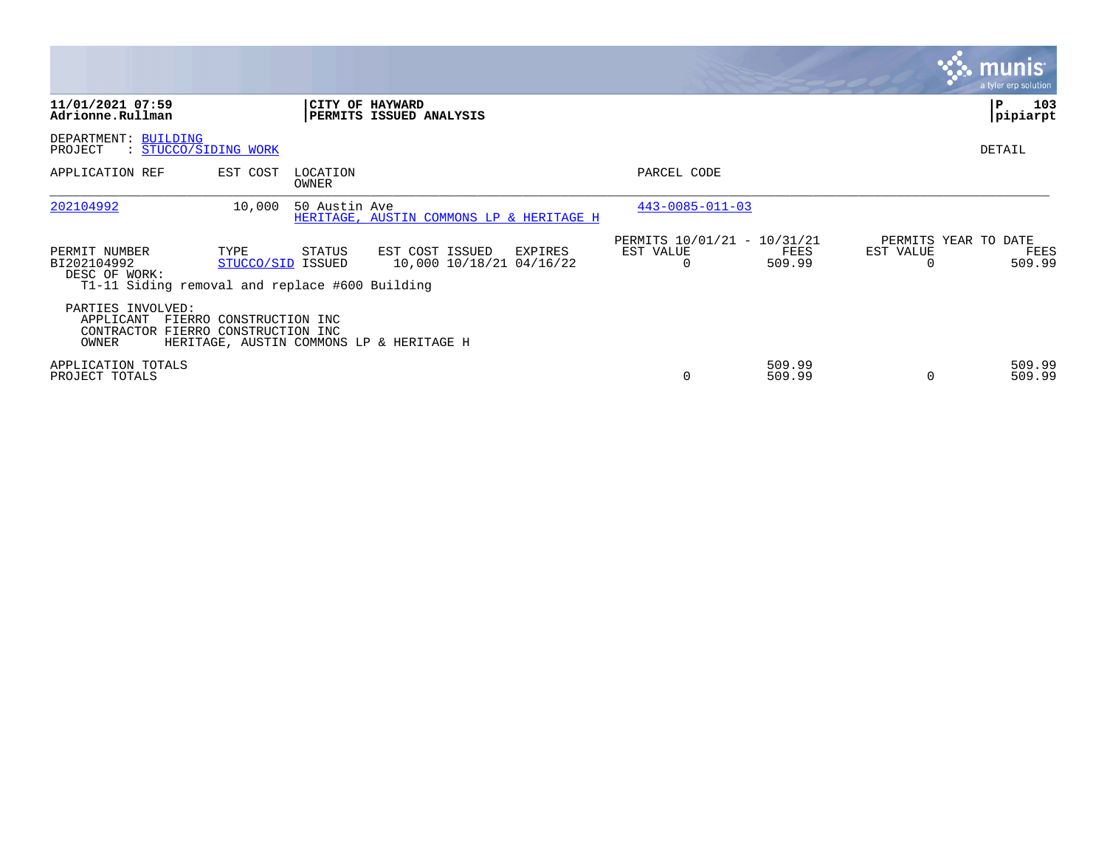|                                                                                                 |                           |                        |                                                        |                                                      |                  |                       | <b>munis</b><br>a tyler erp solution   |
|-------------------------------------------------------------------------------------------------|---------------------------|------------------------|--------------------------------------------------------|------------------------------------------------------|------------------|-----------------------|----------------------------------------|
| 11/01/2021 07:59<br>Adrionne.Rullman                                                            |                           | <b>CITY OF HAYWARD</b> | PERMITS ISSUED ANALYSIS                                |                                                      |                  |                       | 103<br>ΙP<br> pipiarpt                 |
| DEPARTMENT: BUILDING<br>: STUCCO/SIDING WORK<br>PROJECT                                         |                           |                        |                                                        |                                                      |                  |                       | DETAIL                                 |
| APPLICATION REF                                                                                 | EST COST                  | LOCATION<br>OWNER      |                                                        | PARCEL CODE                                          |                  |                       |                                        |
| 202104992                                                                                       | 10,000                    | 50 Austin Ave          | HERITAGE, AUSTIN COMMONS LP & HERITAGE H               | $443 - 0085 - 011 - 03$                              |                  |                       |                                        |
| PERMIT NUMBER<br>BI202104992<br>DESC OF WORK:<br>T1-11 Siding removal and replace #600 Building | TYPE<br>STUCCO/SID ISSUED | STATUS                 | EST COST ISSUED<br>EXPIRES<br>10,000 10/18/21 04/16/22 | PERMITS 10/01/21 - 10/31/21<br>EST VALUE<br>$\Omega$ | FEES<br>509.99   | EST VALUE<br>$\Omega$ | PERMITS YEAR TO DATE<br>FEES<br>509.99 |
| PARTIES INVOLVED:<br>APPLICANT<br>CONTRACTOR FIERRO CONSTRUCTION INC<br>OWNER                   | FIERRO CONSTRUCTION INC   |                        | HERITAGE, AUSTIN COMMONS LP & HERITAGE H               |                                                      |                  |                       |                                        |
| APPLICATION TOTALS<br>PROJECT TOTALS                                                            |                           |                        |                                                        |                                                      | 509.99<br>509.99 | $\Omega$              | 509.99<br>509.99                       |

the contract of the contract of

and the contract of the contract of the contract of the contract of the contract of the contract of the contract of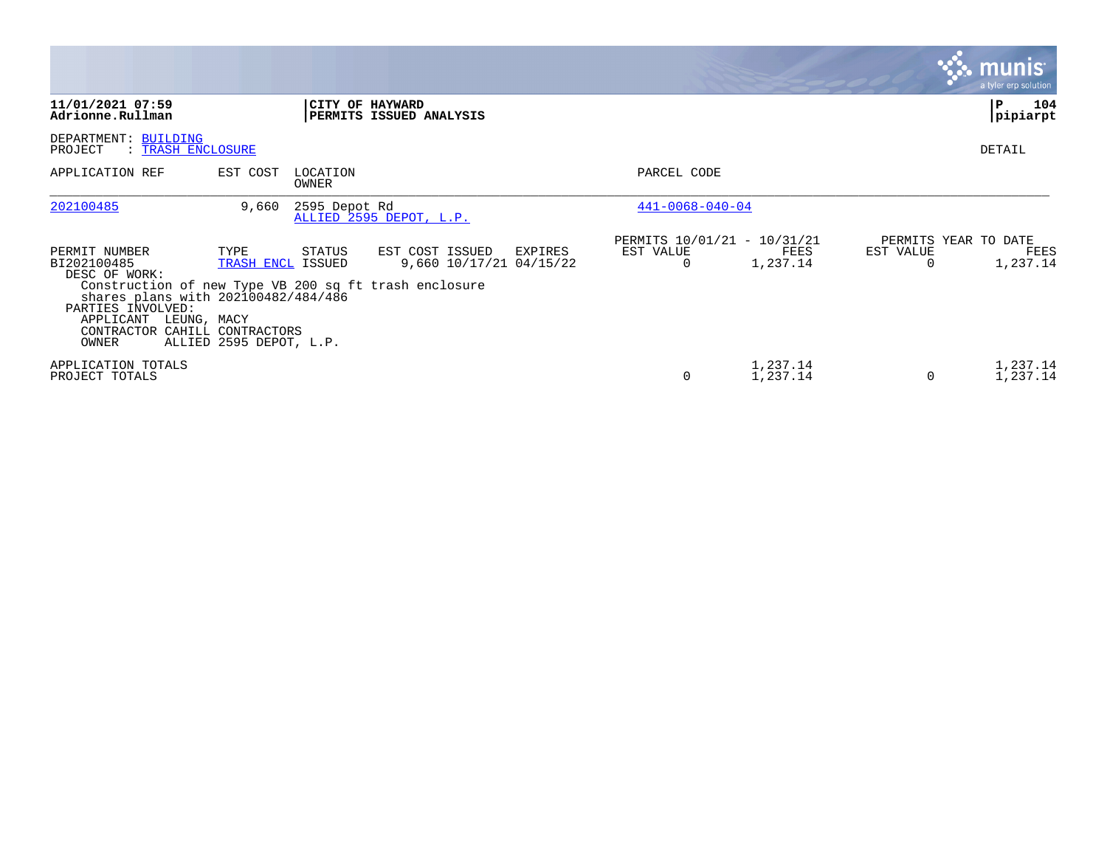|                                                                                                                                                                                                                                       |                                                      |                   |                                                       |                                               |                      |                | <b>munis</b><br>a tyler erp solution     |
|---------------------------------------------------------------------------------------------------------------------------------------------------------------------------------------------------------------------------------------|------------------------------------------------------|-------------------|-------------------------------------------------------|-----------------------------------------------|----------------------|----------------|------------------------------------------|
| 11/01/2021 07:59<br>Adrionne.Rullman                                                                                                                                                                                                  |                                                      |                   | CITY OF HAYWARD<br>PERMITS ISSUED ANALYSIS            |                                               |                      |                | 104<br>P.<br> pipiarpt                   |
| DEPARTMENT: BUILDING<br>PROJECT<br>: TRASH ENCLOSURE                                                                                                                                                                                  |                                                      |                   |                                                       |                                               |                      |                | DETAIL                                   |
| APPLICATION REF                                                                                                                                                                                                                       | EST COST                                             | LOCATION<br>OWNER |                                                       | PARCEL CODE                                   |                      |                |                                          |
| 202100485                                                                                                                                                                                                                             | 9,660                                                | 2595 Depot Rd     | ALLIED 2595 DEPOT, L.P.                               | $441 - 0068 - 040 - 04$                       |                      |                |                                          |
| PERMIT NUMBER<br>BI202100485<br>DESC OF WORK:<br>Construction of new Type VB 200 sq ft trash enclosure<br>shares plans with 202100482/484/486<br>PARTIES INVOLVED:<br>APPLICANT LEUNG, MACY<br>CONTRACTOR CAHILL CONTRACTORS<br>OWNER | TYPE<br>TRASH ENCL ISSUED<br>ALLIED 2595 DEPOT, L.P. | STATUS            | EST COST ISSUED<br>EXPIRES<br>9,660 10/17/21 04/15/22 | PERMITS 10/01/21 - 10/31/21<br>EST VALUE<br>0 | FEES<br>1,237.14     | EST VALUE<br>0 | PERMITS YEAR TO DATE<br>FEES<br>1,237.14 |
| APPLICATION TOTALS<br>PROJECT TOTALS                                                                                                                                                                                                  |                                                      |                   |                                                       | $\Omega$                                      | 1,237.14<br>1,237.14 | 0              | 1,237.14<br>1,237.14                     |

 $\mathcal{L}^{\text{max}}$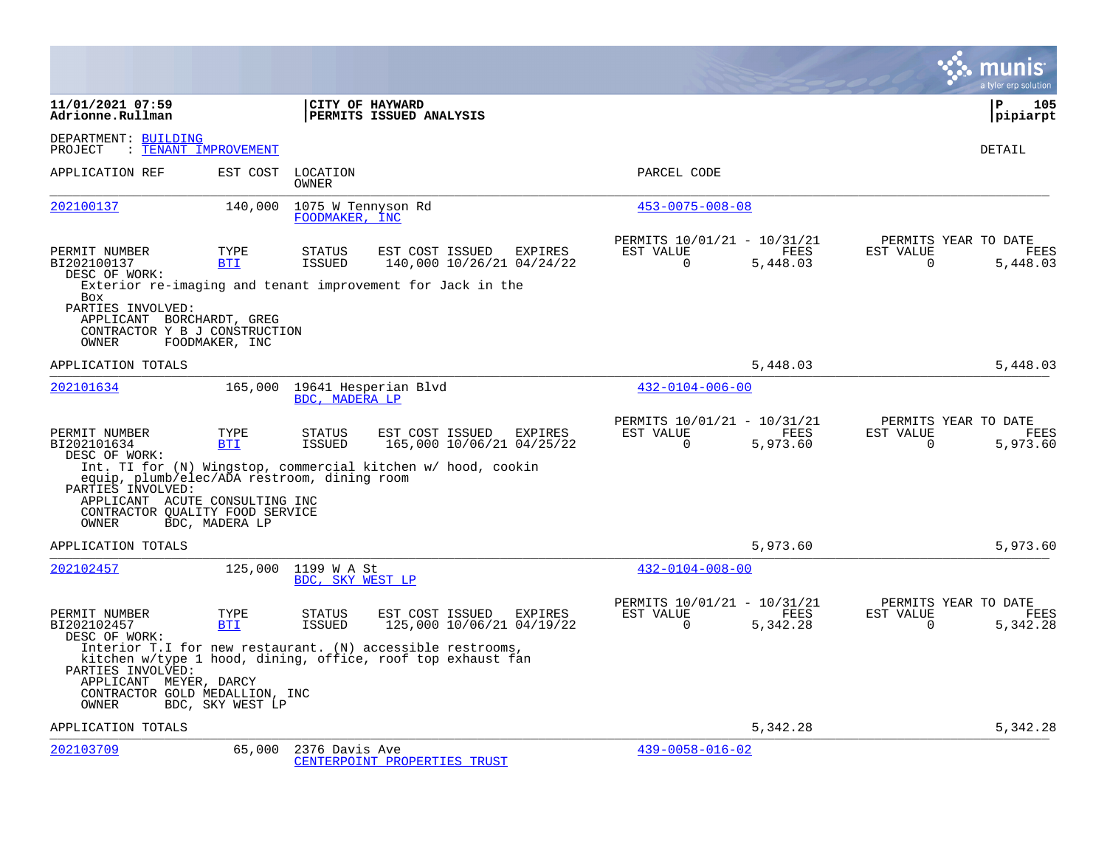|                                                                                                                   |                      |                                      |                                                                                                                           |         |                                                      |                         |                       | a tyler erp solution                     |
|-------------------------------------------------------------------------------------------------------------------|----------------------|--------------------------------------|---------------------------------------------------------------------------------------------------------------------------|---------|------------------------------------------------------|-------------------------|-----------------------|------------------------------------------|
| 11/01/2021 07:59<br>Adrionne.Rullman                                                                              |                      |                                      | CITY OF HAYWARD<br>PERMITS ISSUED ANALYSIS                                                                                |         |                                                      |                         |                       | P<br>105<br> pipiarpt                    |
| DEPARTMENT: BUILDING<br>PROJECT                                                                                   | : TENANT IMPROVEMENT |                                      |                                                                                                                           |         |                                                      |                         |                       | DETAIL                                   |
| APPLICATION REF                                                                                                   | EST COST             | LOCATION<br>OWNER                    |                                                                                                                           |         | PARCEL CODE                                          |                         |                       |                                          |
| 202100137                                                                                                         | 140,000              | 1075 W Tennyson Rd<br>FOODMAKER, INC |                                                                                                                           |         | $453 - 0075 - 008 - 08$                              |                         |                       |                                          |
| PERMIT NUMBER<br>BI202100137<br>DESC OF WORK:                                                                     | TYPE<br><b>BTI</b>   | <b>STATUS</b><br>ISSUED              | EST COST ISSUED<br>140,000 10/26/21 04/24/22<br>Exterior re-imaging and tenant improvement for Jack in the                | EXPIRES | PERMITS 10/01/21 - 10/31/21<br>EST VALUE<br>$\Omega$ | FEES<br>5,448.03        | EST VALUE<br>$\Omega$ | PERMITS YEAR TO DATE<br>FEES<br>5,448.03 |
| <b>Box</b><br>PARTIES INVOLVED:<br>APPLICANT BORCHARDT, GREG<br>CONTRACTOR Y B J CONSTRUCTION<br>OWNER            | FOODMAKER, INC       |                                      |                                                                                                                           |         |                                                      |                         |                       |                                          |
| APPLICATION TOTALS                                                                                                |                      |                                      |                                                                                                                           |         |                                                      | 5,448.03                |                       | 5,448.03                                 |
| 202101634                                                                                                         | 165,000              | BDC. MADERA LP                       | 19641 Hesperian Blvd                                                                                                      |         | $432 - 0104 - 006 - 00$                              |                         |                       |                                          |
| PERMIT NUMBER<br>BI202101634<br>DESC OF WORK:<br>equip, plumb/elec/ADA restroom, dining room<br>PARTIES INVOLVED: | TYPE<br><b>BTI</b>   | <b>STATUS</b><br><b>ISSUED</b>       | EST COST ISSUED<br>165,000 10/06/21 04/25/22<br>Int. TI for (N) Wingstop, commercial kitchen w/ hood, cookin              | EXPIRES | PERMITS 10/01/21 - 10/31/21<br>EST VALUE<br>$\Omega$ | <b>FEES</b><br>5,973.60 | EST VALUE<br>$\Omega$ | PERMITS YEAR TO DATE<br>FEES<br>5,973.60 |
| APPLICANT ACUTE CONSULTING INC<br>CONTRACTOR OUALITY FOOD SERVICE<br>OWNER                                        | BDC, MADERA LP       |                                      |                                                                                                                           |         |                                                      |                         |                       |                                          |
| APPLICATION TOTALS                                                                                                |                      |                                      |                                                                                                                           |         |                                                      | 5,973.60                |                       | 5,973.60                                 |
| 202102457                                                                                                         | 125,000              | 1199 W A St<br>BDC, SKY WEST LP      |                                                                                                                           |         | $432 - 0104 - 008 - 00$                              |                         |                       |                                          |
| PERMIT NUMBER<br>BI202102457<br>DESC OF WORK:                                                                     | TYPE<br><b>BTI</b>   | <b>STATUS</b><br><b>ISSUED</b>       | EST COST ISSUED<br>125,000 10/06/21 04/19/22                                                                              | EXPIRES | PERMITS 10/01/21 - 10/31/21<br>EST VALUE<br>$\Omega$ | FEES<br>5,342.28        | EST VALUE<br>$\Omega$ | PERMITS YEAR TO DATE<br>FEES<br>5,342.28 |
| PARTIES INVOLVED:<br>APPLICANT MEYER, DARCY<br>CONTRACTOR GOLD MEDALLION, INC<br>OWNER                            | BDC, SKY WEST LP     |                                      | Interior T.I for new restaurant. (N) accessible restrooms,<br>kitchen w/type 1 hood, dining, office, roof top exhaust fan |         |                                                      |                         |                       |                                          |
| APPLICATION TOTALS                                                                                                |                      |                                      |                                                                                                                           |         |                                                      | 5,342.28                |                       | 5,342.28                                 |
| 202103709                                                                                                         | 65,000               | 2376 Davis Ave                       | CENTERPOINT PROPERTIES TRUST                                                                                              |         | $439 - 0058 - 016 - 02$                              |                         |                       |                                          |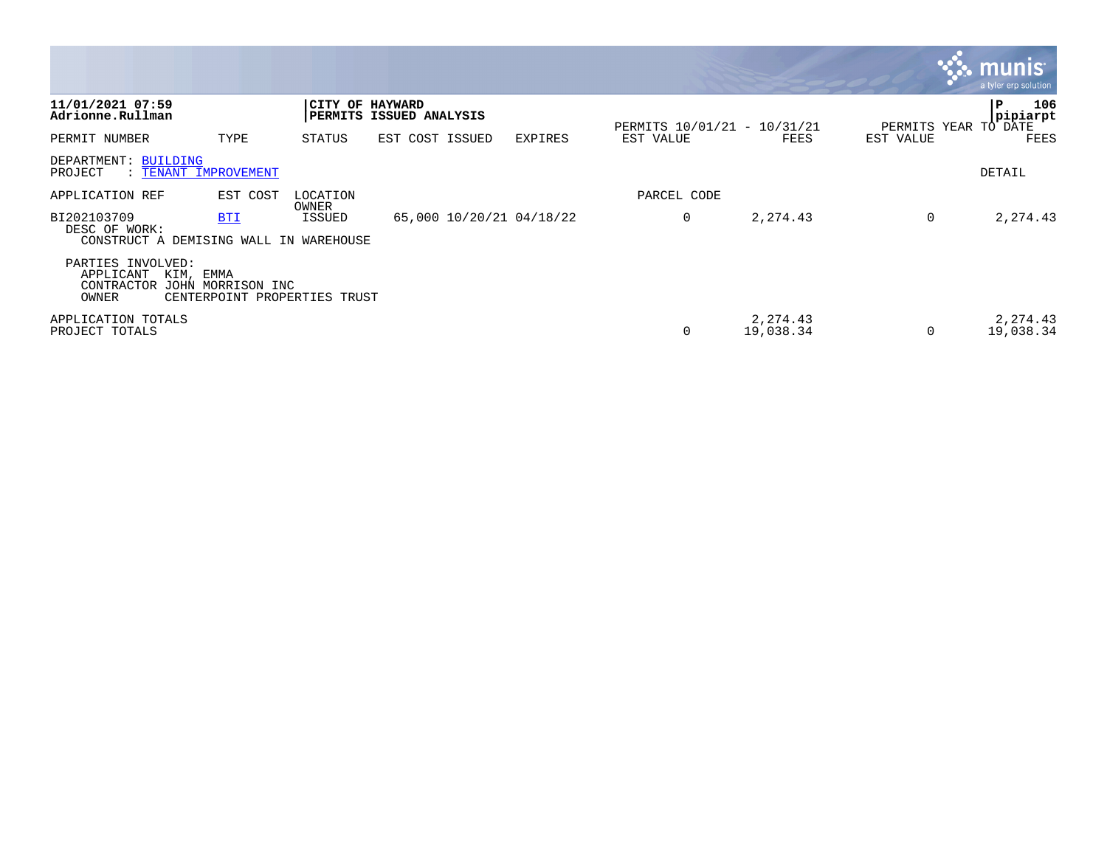|                                                                        |                                                   |                        |                          |                |                             |                        |           | <b>M.M. MUNIS</b><br>a tyler erp solution    |
|------------------------------------------------------------------------|---------------------------------------------------|------------------------|--------------------------|----------------|-----------------------------|------------------------|-----------|----------------------------------------------|
| 11/01/2021 07:59<br>Adrionne.Rullman                                   |                                                   | <b>CITY OF HAYWARD</b> | PERMITS ISSUED ANALYSIS  |                | PERMITS 10/01/21 - 10/31/21 |                        |           | 106<br>P<br>pipiarpt<br>PERMITS YEAR TO DATE |
| PERMIT NUMBER                                                          | TYPE                                              | STATUS                 | EST COST ISSUED          | <b>EXPIRES</b> | EST VALUE                   | FEES                   | EST VALUE | FEES                                         |
| DEPARTMENT: BUILDING<br>PROJECT                                        | : TENANT IMPROVEMENT                              |                        |                          |                |                             |                        |           | DETAIL                                       |
| APPLICATION REF                                                        | EST COST                                          | LOCATION<br>OWNER      |                          |                | PARCEL CODE                 |                        |           |                                              |
| BI202103709<br>DESC OF WORK:<br>CONSTRUCT A DEMISING WALL IN WAREHOUSE | <b>BTI</b>                                        | ISSUED                 | 65,000 10/20/21 04/18/22 |                | 0                           | 2, 274.43              | 0         | 2,274.43                                     |
| PARTIES INVOLVED:<br>APPLICANT<br>KIM, EMMA<br>CONTRACTOR<br>OWNER     | JOHN MORRISON INC<br>CENTERPOINT PROPERTIES TRUST |                        |                          |                |                             |                        |           |                                              |
| APPLICATION TOTALS<br>PROJECT TOTALS                                   |                                                   |                        |                          |                | 0                           | 2, 274.43<br>19,038.34 | $\Omega$  | 2, 274.43<br>19,038.34                       |

the contract of the contract of the contract of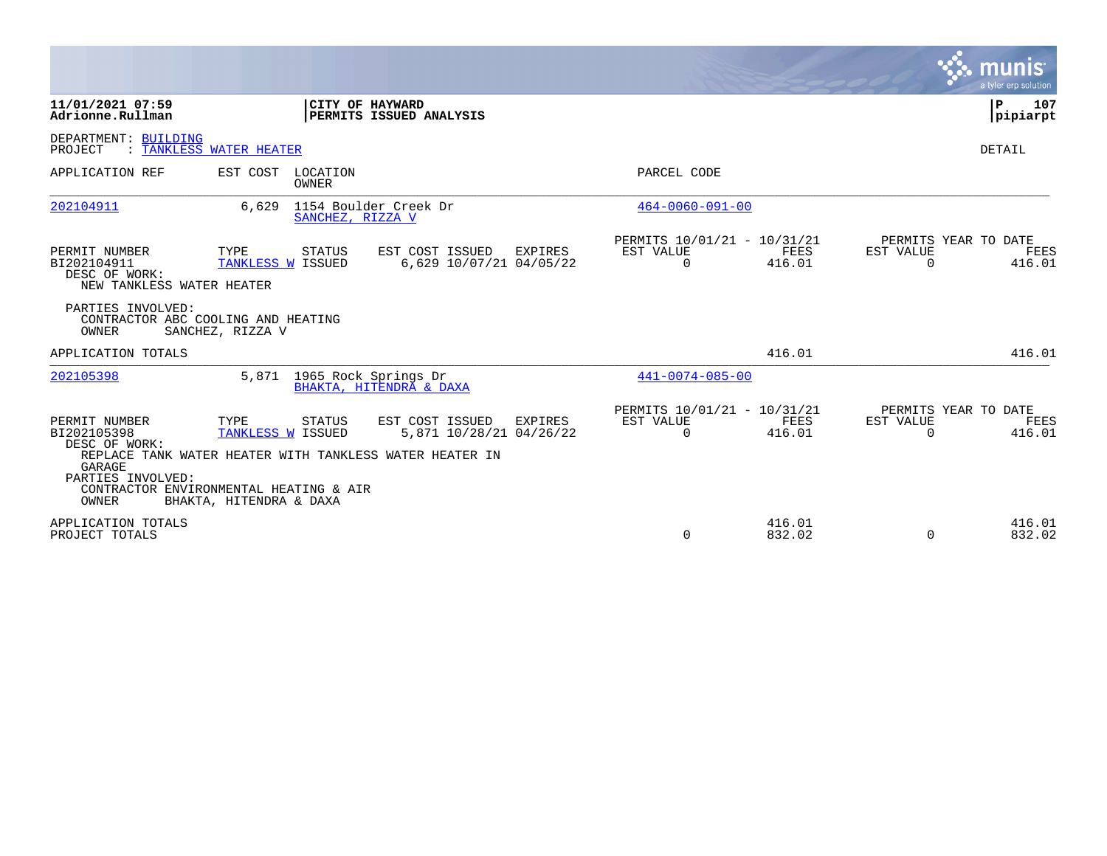|                                                                                       |                                                                                                                 |                                                                                                                         |                                                         |                       |                       | munis<br>a tyler erp solution          |
|---------------------------------------------------------------------------------------|-----------------------------------------------------------------------------------------------------------------|-------------------------------------------------------------------------------------------------------------------------|---------------------------------------------------------|-----------------------|-----------------------|----------------------------------------|
| 11/01/2021 07:59<br>Adrionne.Rullman                                                  |                                                                                                                 | CITY OF HAYWARD<br><b>PERMITS ISSUED ANALYSIS</b>                                                                       |                                                         |                       |                       | 107<br>P<br>pipiarpt                   |
| DEPARTMENT: BUILDING<br>PROJECT                                                       | : TANKLESS WATER HEATER                                                                                         |                                                                                                                         |                                                         |                       |                       | <b>DETAIL</b>                          |
| APPLICATION REF                                                                       | EST COST<br>LOCATION<br>OWNER                                                                                   |                                                                                                                         | PARCEL CODE                                             |                       |                       |                                        |
| 202104911                                                                             | 6,629                                                                                                           | 1154 Boulder Creek Dr<br>SANCHEZ, RIZZA V                                                                               | $464 - 0060 - 091 - 00$                                 |                       |                       |                                        |
| PERMIT NUMBER<br>BI202104911<br>DESC OF WORK:<br>NEW TANKLESS WATER HEATER            | TYPE<br><b>STATUS</b><br>TANKLESS W ISSUED                                                                      | EST COST ISSUED<br>EXPIRES<br>6,629 10/07/21 04/05/22                                                                   | PERMITS 10/01/21 - 10/31/21<br>EST VALUE<br>$\mathbf 0$ | FEES<br>416.01        | EST VALUE<br>$\Omega$ | PERMITS YEAR TO DATE<br>FEES<br>416.01 |
| PARTIES INVOLVED:<br>OWNER                                                            | CONTRACTOR ABC COOLING AND HEATING<br>SANCHEZ, RIZZA V                                                          |                                                                                                                         |                                                         |                       |                       |                                        |
| APPLICATION TOTALS                                                                    |                                                                                                                 |                                                                                                                         |                                                         | 416.01                |                       | 416.01                                 |
| 202105398                                                                             | 5,871                                                                                                           | 1965 Rock Springs Dr<br>BHAKTA, HITENDRA & DAXA                                                                         | $441 - 0074 - 085 - 00$                                 |                       |                       |                                        |
| PERMIT NUMBER<br>BI202105398<br>DESC OF WORK:<br>GARAGE<br>PARTIES INVOLVED:<br>OWNER | TYPE<br><b>STATUS</b><br>TANKLESS W ISSUED<br>CONTRACTOR ENVIRONMENTAL HEATING & AIR<br>BHAKTA, HITENDRA & DAXA | EST COST ISSUED<br><b>EXPIRES</b><br>5,871 10/28/21 04/26/22<br>REPLACE TANK WATER HEATER WITH TANKLESS WATER HEATER IN | PERMITS 10/01/21 - 10/31/21<br>EST VALUE<br>$\Omega$    | <b>FEES</b><br>416.01 | EST VALUE<br>$\Omega$ | PERMITS YEAR TO DATE<br>FEES<br>416.01 |
| APPLICATION TOTALS<br>PROJECT TOTALS                                                  |                                                                                                                 |                                                                                                                         | $\Omega$                                                | 416.01<br>832.02      | $\Omega$              | 416.01<br>832.02                       |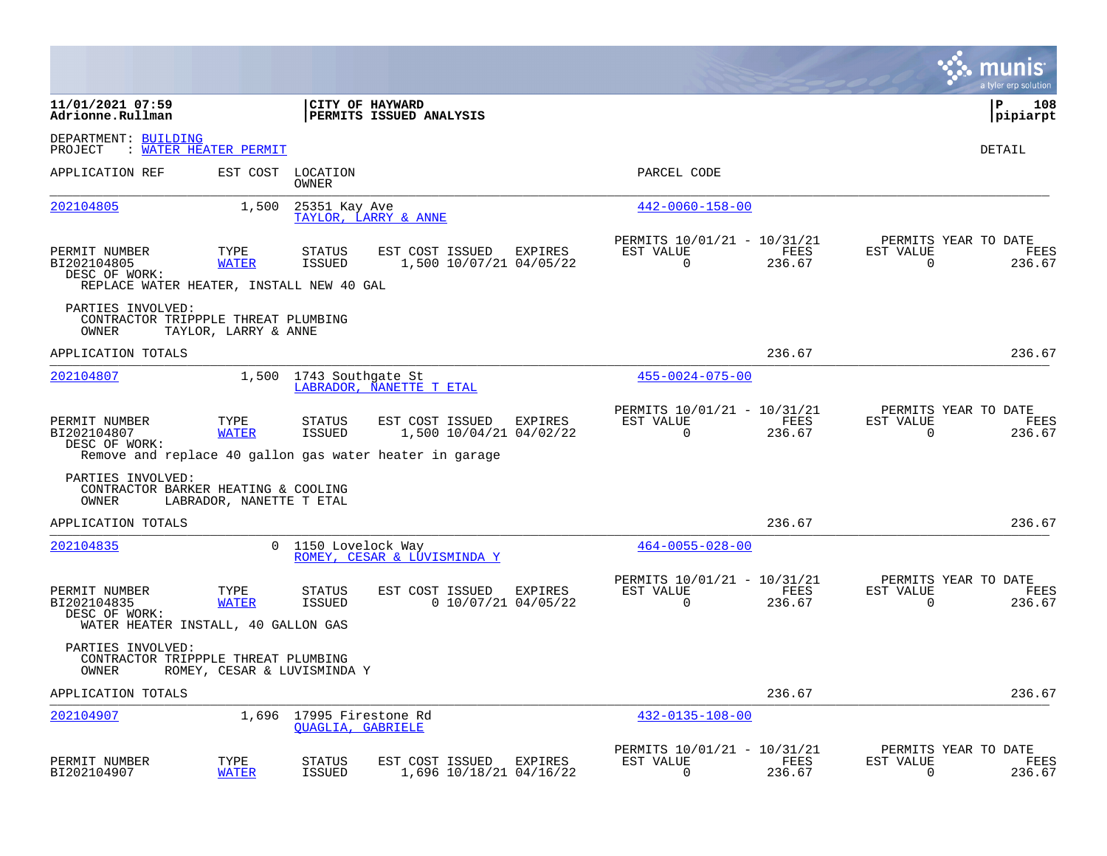|                                                                                           |                             |                                         |                                                                                                       |         |                                                         |                |                          | munis<br>a tyler erp solution          |
|-------------------------------------------------------------------------------------------|-----------------------------|-----------------------------------------|-------------------------------------------------------------------------------------------------------|---------|---------------------------------------------------------|----------------|--------------------------|----------------------------------------|
| 11/01/2021 07:59<br>Adrionne.Rullman                                                      |                             |                                         | CITY OF HAYWARD<br>PERMITS ISSUED ANALYSIS                                                            |         |                                                         |                |                          | P<br>108<br> pipiarpt                  |
| DEPARTMENT: BUILDING<br>PROJECT                                                           | : WATER HEATER PERMIT       |                                         |                                                                                                       |         |                                                         |                |                          | DETAIL                                 |
| APPLICATION REF                                                                           | EST COST                    | LOCATION<br>OWNER                       |                                                                                                       |         | PARCEL CODE                                             |                |                          |                                        |
| 202104805                                                                                 | 1,500                       | 25351 Kay Ave                           | TAYLOR, LARRY & ANNE                                                                                  |         | $442 - 0060 - 158 - 00$                                 |                |                          |                                        |
| PERMIT NUMBER<br>BI202104805<br>DESC OF WORK:<br>REPLACE WATER HEATER, INSTALL NEW 40 GAL | TYPE<br><b>WATER</b>        | STATUS<br>ISSUED                        | EST COST ISSUED<br>1,500 10/07/21 04/05/22                                                            | EXPIRES | PERMITS 10/01/21 - 10/31/21<br>EST VALUE<br>$\Omega$    | FEES<br>236.67 | EST VALUE<br>$\Omega$    | PERMITS YEAR TO DATE<br>FEES<br>236.67 |
| PARTIES INVOLVED:<br>CONTRACTOR TRIPPPLE THREAT PLUMBING<br>OWNER                         | TAYLOR, LARRY & ANNE        |                                         |                                                                                                       |         |                                                         |                |                          |                                        |
| APPLICATION TOTALS                                                                        |                             |                                         |                                                                                                       |         |                                                         | 236.67         |                          | 236.67                                 |
| 202104807                                                                                 | 1,500                       | 1743 Southgate St                       | LABRADOR, NANETTE T ETAL                                                                              |         | $455 - 0024 - 075 - 00$                                 |                |                          |                                        |
| PERMIT NUMBER<br>BI202104807<br>DESC OF WORK:                                             | TYPE<br><b>WATER</b>        | STATUS<br><b>ISSUED</b>                 | EST COST ISSUED<br>1,500 10/04/21 04/02/22<br>Remove and replace 40 gallon gas water heater in garage | EXPIRES | PERMITS 10/01/21 - 10/31/21<br>EST VALUE<br>$\mathbf 0$ | FEES<br>236.67 | EST VALUE<br>$\mathbf 0$ | PERMITS YEAR TO DATE<br>FEES<br>236.67 |
| PARTIES INVOLVED:<br>CONTRACTOR BARKER HEATING & COOLING<br>OWNER                         | LABRADOR, NANETTE T ETAL    |                                         |                                                                                                       |         |                                                         |                |                          |                                        |
| APPLICATION TOTALS                                                                        |                             |                                         |                                                                                                       |         |                                                         | 236.67         |                          | 236.67                                 |
| 202104835                                                                                 | $\Omega$                    | 1150 Lovelock Way                       | ROMEY, CESAR & LUVISMINDA Y                                                                           |         | $464 - 0055 - 028 - 00$                                 |                |                          |                                        |
| PERMIT NUMBER<br>BI202104835<br>DESC OF WORK:<br>WATER HEATER INSTALL, 40 GALLON GAS      | TYPE<br><b>WATER</b>        | STATUS<br>ISSUED                        | EST COST ISSUED<br>$0$ 10/07/21 04/05/22                                                              | EXPIRES | PERMITS 10/01/21 - 10/31/21<br>EST VALUE<br>0           | FEES<br>236.67 | EST VALUE<br>0           | PERMITS YEAR TO DATE<br>FEES<br>236.67 |
| PARTIES INVOLVED:<br>CONTRACTOR TRIPPPLE THREAT PLUMBING<br>OWNER                         | ROMEY, CESAR & LUVISMINDA Y |                                         |                                                                                                       |         |                                                         |                |                          |                                        |
| APPLICATION TOTALS                                                                        |                             |                                         |                                                                                                       |         |                                                         | 236.67         |                          | 236.67                                 |
| 202104907                                                                                 | 1,696                       | 17995 Firestone Rd<br>QUAGLIA, GABRIELE |                                                                                                       |         | $432 - 0135 - 108 - 00$                                 |                |                          |                                        |
| PERMIT NUMBER<br>BI202104907                                                              | TYPE<br><b>WATER</b>        | STATUS<br><b>ISSUED</b>                 | EST COST ISSUED<br>1,696 10/18/21 04/16/22                                                            | EXPIRES | PERMITS 10/01/21 - 10/31/21<br>EST VALUE<br>$\Omega$    | FEES<br>236.67 | EST VALUE<br>0           | PERMITS YEAR TO DATE<br>FEES<br>236.67 |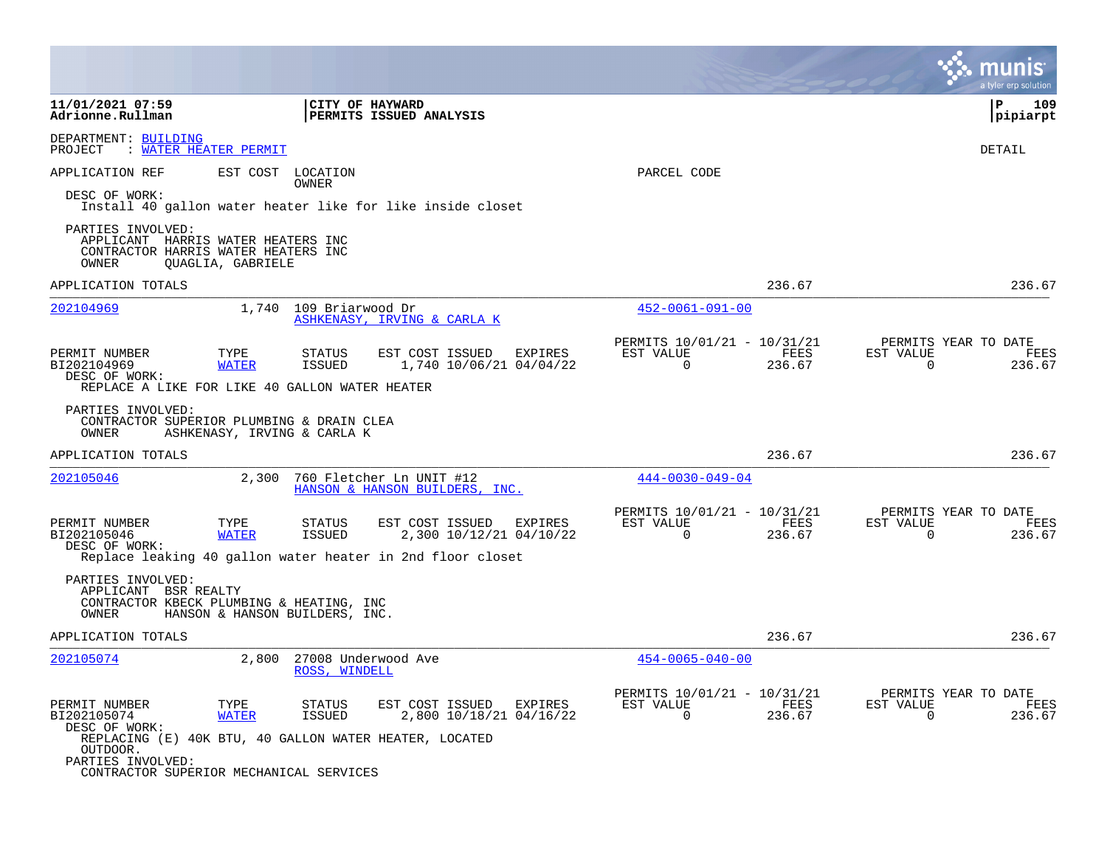|                                                                                                                           |                      |                                      |                                                            |                                                      |                | a tyler erp solution                                                  |
|---------------------------------------------------------------------------------------------------------------------------|----------------------|--------------------------------------|------------------------------------------------------------|------------------------------------------------------|----------------|-----------------------------------------------------------------------|
| 11/01/2021 07:59<br>Adrionne.Rullman                                                                                      |                      | CITY OF HAYWARD                      | PERMITS ISSUED ANALYSIS                                    |                                                      |                | l P<br>109<br> pipiarpt                                               |
| DEPARTMENT: BUILDING<br>WATER HEATER PERMIT<br>PROJECT                                                                    |                      |                                      |                                                            |                                                      |                | DETAIL                                                                |
| APPLICATION REF                                                                                                           |                      | EST COST LOCATION<br>OWNER           |                                                            | PARCEL CODE                                          |                |                                                                       |
| DESC OF WORK:                                                                                                             |                      |                                      | Install 40 gallon water heater like for like inside closet |                                                      |                |                                                                       |
| PARTIES INVOLVED:<br>APPLICANT HARRIS WATER HEATERS INC<br>CONTRACTOR HARRIS WATER HEATERS INC<br>OWNER                   | QUAGLIA, GABRIELE    |                                      |                                                            |                                                      |                |                                                                       |
| APPLICATION TOTALS                                                                                                        |                      |                                      |                                                            |                                                      | 236.67         | 236.67                                                                |
| 202104969                                                                                                                 |                      | 1,740 109 Briarwood Dr               | ASHKENASY, IRVING & CARLA K                                | $452 - 0061 - 091 - 00$                              |                |                                                                       |
| PERMIT NUMBER<br>BI202104969<br>DESC OF WORK:                                                                             | TYPE<br><b>WATER</b> | STATUS<br>ISSUED                     | EST COST ISSUED EXPIRES<br>1,740 10/06/21 04/04/22         | PERMITS 10/01/21 - 10/31/21<br>EST VALUE<br>$\Omega$ | FEES<br>236.67 | PERMITS YEAR TO DATE<br>EST VALUE<br>FEES<br>$\Omega$<br>236.67       |
| REPLACE A LIKE FOR LIKE 40 GALLON WATER HEATER<br>PARTIES INVOLVED:<br>CONTRACTOR SUPERIOR PLUMBING & DRAIN CLEA<br>OWNER |                      | ASHKENASY, IRVING & CARLA K          |                                                            |                                                      |                |                                                                       |
| APPLICATION TOTALS                                                                                                        |                      |                                      |                                                            |                                                      | 236.67         | 236.67                                                                |
| 202105046                                                                                                                 | 2,300                |                                      | 760 Fletcher Ln UNIT #12<br>HANSON & HANSON BUILDERS, INC. | $444 - 0030 - 049 - 04$                              |                |                                                                       |
| PERMIT NUMBER<br>BI202105046<br>DESC OF WORK:                                                                             | TYPE<br><b>WATER</b> | <b>STATUS</b><br>ISSUED              | EST COST ISSUED<br>EXPIRES<br>2,300 10/12/21 04/10/22      | PERMITS 10/01/21 - 10/31/21<br>EST VALUE<br>$\Omega$ | FEES<br>236.67 | PERMITS YEAR TO DATE<br>EST VALUE<br>FEES<br>$\Omega$<br>236.67       |
|                                                                                                                           |                      |                                      | Replace leaking 40 gallon water heater in 2nd floor closet |                                                      |                |                                                                       |
| PARTIES INVOLVED:<br>APPLICANT BSR REALTY<br>CONTRACTOR KBECK PLUMBING & HEATING, INC<br>OWNER                            |                      | HANSON & HANSON BUILDERS, INC.       |                                                            |                                                      |                |                                                                       |
| APPLICATION TOTALS                                                                                                        |                      |                                      |                                                            |                                                      | 236.67         | 236.67                                                                |
| 202105074                                                                                                                 | 2,800                | 27008 Underwood Ave<br>ROSS, WINDELL |                                                            | $454 - 0065 - 040 - 00$                              |                |                                                                       |
| PERMIT NUMBER<br>BI202105074<br>DESC OF WORK:<br>REPLACING (E) 40K BTU, 40 GALLON WATER HEATER, LOCATED                   | TYPE<br><b>WATER</b> | STATUS<br>ISSUED                     | EST COST ISSUED EXPIRES<br>2,800 10/18/21 04/16/22         | PERMITS 10/01/21 - 10/31/21<br>EST VALUE<br>$\Omega$ | FEES<br>236.67 | PERMITS YEAR TO DATE<br>FEES<br>EST VALUE<br>$\overline{0}$<br>236.67 |
| OUTDOOR.<br>PARTIES INVOLVED:<br>CONTRACTOR SUPERIOR MECHANICAL SERVICES                                                  |                      |                                      |                                                            |                                                      |                |                                                                       |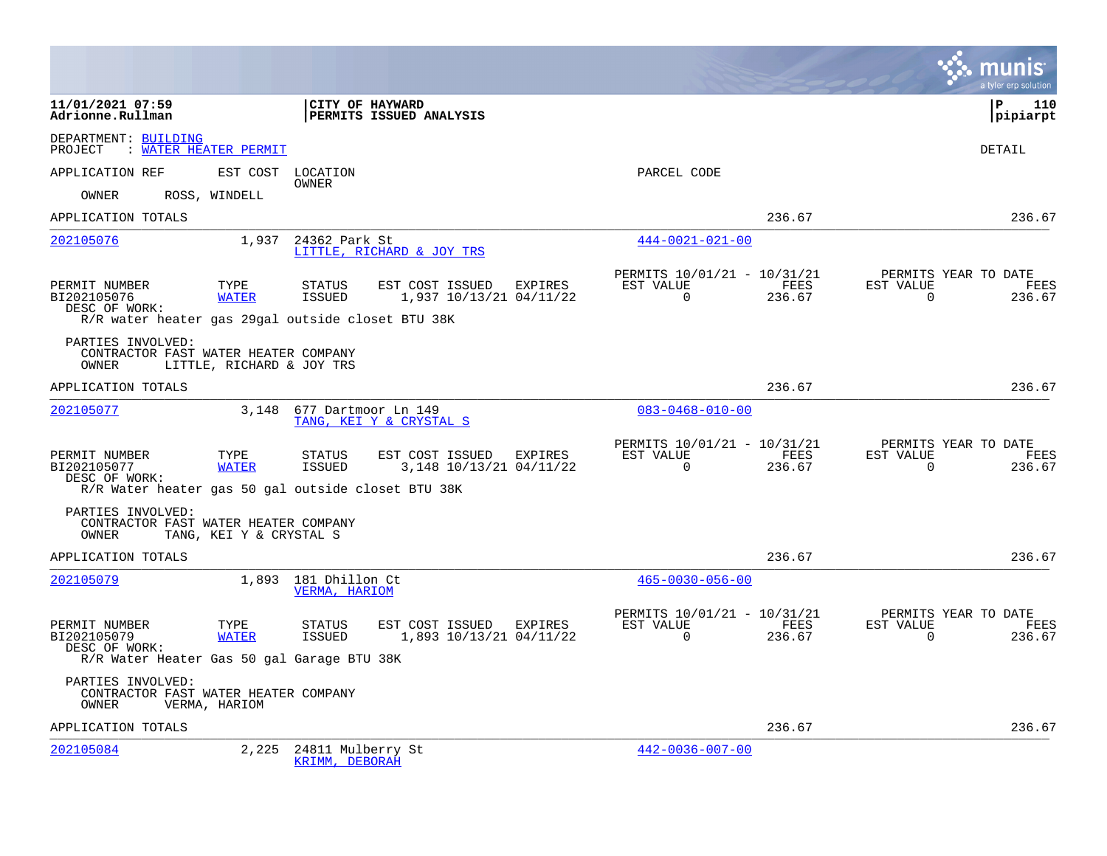|                                                                                                     |                           |                                       |                                             |         |                                                         |                |                       | a tyler erp solution                   |
|-----------------------------------------------------------------------------------------------------|---------------------------|---------------------------------------|---------------------------------------------|---------|---------------------------------------------------------|----------------|-----------------------|----------------------------------------|
| 11/01/2021 07:59<br>Adrionne.Rullman                                                                |                           | <b>CITY OF HAYWARD</b>                | <b>PERMITS ISSUED ANALYSIS</b>              |         |                                                         |                |                       | <b>P</b><br>110<br> pipiarpt           |
| DEPARTMENT: BUILDING<br>: WATER HEATER PERMIT<br>PROJECT                                            |                           |                                       |                                             |         |                                                         |                |                       | <b>DETAIL</b>                          |
| APPLICATION REF                                                                                     | EST COST                  | LOCATION<br>OWNER                     |                                             |         | PARCEL CODE                                             |                |                       |                                        |
| OWNER                                                                                               | ROSS, WINDELL             |                                       |                                             |         |                                                         |                |                       |                                        |
| APPLICATION TOTALS                                                                                  |                           |                                       |                                             |         |                                                         | 236.67         |                       | 236.67                                 |
| 202105076                                                                                           | 1,937                     | 24362 Park St                         | LITTLE, RICHARD & JOY TRS                   |         | $444 - 0021 - 021 - 00$                                 |                |                       |                                        |
| PERMIT NUMBER<br>BI202105076<br>DESC OF WORK:<br>R/R water heater gas 29gal outside closet BTU 38K  | TYPE<br><b>WATER</b>      | STATUS<br>ISSUED                      | EST COST ISSUED<br>1,937 10/13/21 04/11/22  | EXPIRES | PERMITS 10/01/21 - 10/31/21<br>EST VALUE<br>$\Omega$    | FEES<br>236.67 | EST VALUE<br>$\Omega$ | PERMITS YEAR TO DATE<br>FEES<br>236.67 |
| PARTIES INVOLVED:<br>CONTRACTOR FAST WATER HEATER COMPANY<br>OWNER                                  | LITTLE, RICHARD & JOY TRS |                                       |                                             |         |                                                         |                |                       |                                        |
| APPLICATION TOTALS                                                                                  |                           |                                       |                                             |         |                                                         | 236.67         |                       | 236.67                                 |
| 202105077                                                                                           | 3,148                     | 677 Dartmoor Ln 149                   | TANG, KEI Y & CRYSTAL S                     |         | $083 - 0468 - 010 - 00$                                 |                |                       |                                        |
| PERMIT NUMBER<br>BI202105077<br>DESC OF WORK:<br>R/R Water heater gas 50 gal outside closet BTU 38K | TYPE<br><b>WATER</b>      | STATUS<br><b>ISSUED</b>               | EST COST ISSUED<br>3, 148 10/13/21 04/11/22 | EXPIRES | PERMITS 10/01/21 - 10/31/21<br>EST VALUE<br>$\mathbf 0$ | FEES<br>236.67 | EST VALUE<br>$\Omega$ | PERMITS YEAR TO DATE<br>FEES<br>236.67 |
| PARTIES INVOLVED:<br>CONTRACTOR FAST WATER HEATER COMPANY<br>OWNER                                  | TANG, KEI Y & CRYSTAL S   |                                       |                                             |         |                                                         |                |                       |                                        |
| APPLICATION TOTALS                                                                                  |                           |                                       |                                             |         |                                                         | 236.67         |                       | 236.67                                 |
| 202105079                                                                                           |                           | 1,893 181 Dhillon Ct<br>VERMA, HARIOM |                                             |         | $465 - 0030 - 056 - 00$                                 |                |                       |                                        |
| PERMIT NUMBER<br>BI202105079<br>DESC OF WORK:<br>R/R Water Heater Gas 50 gal Garage BTU 38K         | TYPE<br><b>WATER</b>      | STATUS<br><b>ISSUED</b>               | EST COST ISSUED<br>1,893 10/13/21 04/11/22  | EXPIRES | PERMITS 10/01/21 - 10/31/21<br>EST VALUE<br>$\Omega$    | FEES<br>236.67 | EST VALUE<br>$\Omega$ | PERMITS YEAR TO DATE<br>FEES<br>236.67 |
| PARTIES INVOLVED:<br>CONTRACTOR FAST WATER HEATER COMPANY<br>OWNER                                  | VERMA, HARIOM             |                                       |                                             |         |                                                         |                |                       |                                        |
| APPLICATION TOTALS                                                                                  |                           |                                       |                                             |         |                                                         | 236.67         |                       | 236.67                                 |
| 202105084                                                                                           | 2,225                     | 24811 Mulberry St<br>KRIMM, DEBORAH   |                                             |         | $442 - 0036 - 007 - 00$                                 |                |                       |                                        |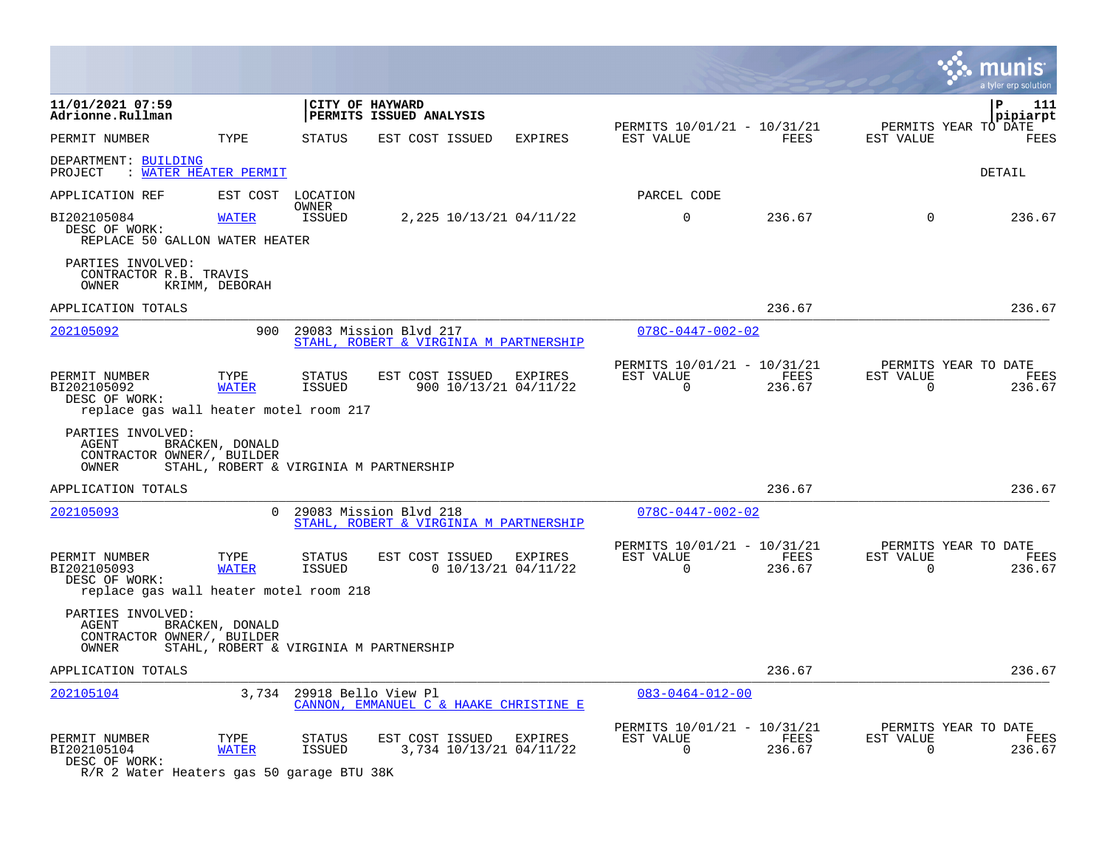|                                                                                            |                      |                                |                                                                  |                                  |                                                      |                |                          | a tyler erp solution                   |
|--------------------------------------------------------------------------------------------|----------------------|--------------------------------|------------------------------------------------------------------|----------------------------------|------------------------------------------------------|----------------|--------------------------|----------------------------------------|
| 11/01/2021 07:59<br>Adrionne.Rullman                                                       |                      |                                | CITY OF HAYWARD<br>PERMITS ISSUED ANALYSIS                       |                                  |                                                      |                |                          | P<br>111<br>pipiarpt                   |
| PERMIT NUMBER                                                                              | TYPE                 | STATUS                         | EST COST ISSUED                                                  | <b>EXPIRES</b>                   | PERMITS 10/01/21 - 10/31/21<br>EST VALUE             | FEES           | EST VALUE                | PERMITS YEAR TO DATE<br>FEES           |
| DEPARTMENT: BUILDING<br>: WATER HEATER PERMIT<br>PROJECT                                   |                      |                                |                                                                  |                                  |                                                      |                |                          | DETAIL                                 |
| APPLICATION REF                                                                            | EST COST             | LOCATION                       |                                                                  |                                  | PARCEL CODE                                          |                |                          |                                        |
| BI202105084<br>DESC OF WORK:<br>REPLACE 50 GALLON WATER HEATER                             | <b>WATER</b>         | OWNER<br><b>ISSUED</b>         | 2,225 10/13/21 04/11/22                                          |                                  | $\mathbf 0$                                          | 236.67         | $\Omega$                 | 236.67                                 |
| PARTIES INVOLVED:<br>CONTRACTOR R.B. TRAVIS<br>OWNER                                       | KRIMM, DEBORAH       |                                |                                                                  |                                  |                                                      |                |                          |                                        |
| APPLICATION TOTALS                                                                         |                      |                                |                                                                  |                                  |                                                      | 236.67         |                          | 236.67                                 |
| 202105092                                                                                  | 900                  |                                | 29083 Mission Blvd 217<br>STAHL, ROBERT & VIRGINIA M PARTNERSHIP |                                  | $078C - 0447 - 002 - 02$                             |                |                          |                                        |
| PERMIT NUMBER<br>BI202105092<br>DESC OF WORK:<br>replace gas wall heater motel room 217    | TYPE<br><b>WATER</b> | <b>STATUS</b><br><b>ISSUED</b> | EST COST ISSUED                                                  | EXPIRES<br>900 10/13/21 04/11/22 | PERMITS 10/01/21 - 10/31/21<br>EST VALUE<br>0        | FEES<br>236.67 | EST VALUE<br>0           | PERMITS YEAR TO DATE<br>FEES<br>236.67 |
| PARTIES INVOLVED:<br><b>AGENT</b><br>CONTRACTOR OWNER/, BUILDER<br>OWNER                   | BRACKEN, DONALD      |                                | STAHL, ROBERT & VIRGINIA M PARTNERSHIP                           |                                  |                                                      |                |                          |                                        |
| APPLICATION TOTALS                                                                         |                      |                                |                                                                  |                                  |                                                      | 236.67         |                          | 236.67                                 |
| 202105093                                                                                  | $\Omega$             |                                | 29083 Mission Blvd 218<br>STAHL, ROBERT & VIRGINIA M PARTNERSHIP |                                  | $078C - 0447 - 002 - 02$                             |                |                          |                                        |
| PERMIT NUMBER<br>BI202105093<br>DESC OF WORK:<br>replace gas wall heater motel room 218    | TYPE<br><b>WATER</b> | STATUS<br><b>ISSUED</b>        | EST COST ISSUED                                                  | EXPIRES<br>$0$ 10/13/21 04/11/22 | PERMITS 10/01/21 - 10/31/21<br>EST VALUE<br>$\Omega$ | FEES<br>236.67 | EST VALUE<br>$\Omega$    | PERMITS YEAR TO DATE<br>FEES<br>236.67 |
| PARTIES INVOLVED:<br>AGENT<br>CONTRACTOR OWNER/, BUILDER<br>OWNER                          | BRACKEN, DONALD      |                                | STAHL, ROBERT & VIRGINIA M PARTNERSHIP                           |                                  |                                                      |                |                          |                                        |
| APPLICATION TOTALS                                                                         |                      |                                |                                                                  |                                  |                                                      | 236.67         |                          | 236.67                                 |
| 202105104                                                                                  |                      | 3,734 29918 Bello View Pl      | CANNON, EMMANUEL C & HAAKE CHRISTINE E                           |                                  | $083 - 0464 - 012 - 00$                              |                |                          |                                        |
| PERMIT NUMBER<br>BI202105104<br>DESC OF WORK:<br>R/R 2 Water Heaters gas 50 garage BTU 38K | TYPE<br><b>WATER</b> | <b>STATUS</b><br>ISSUED        | EST COST ISSUED<br>3,734 10/13/21 04/11/22                       | EXPIRES                          | PERMITS 10/01/21 - 10/31/21<br>EST VALUE<br>0        | FEES<br>236.67 | EST VALUE<br>$\mathbf 0$ | PERMITS YEAR TO DATE<br>FEES<br>236.67 |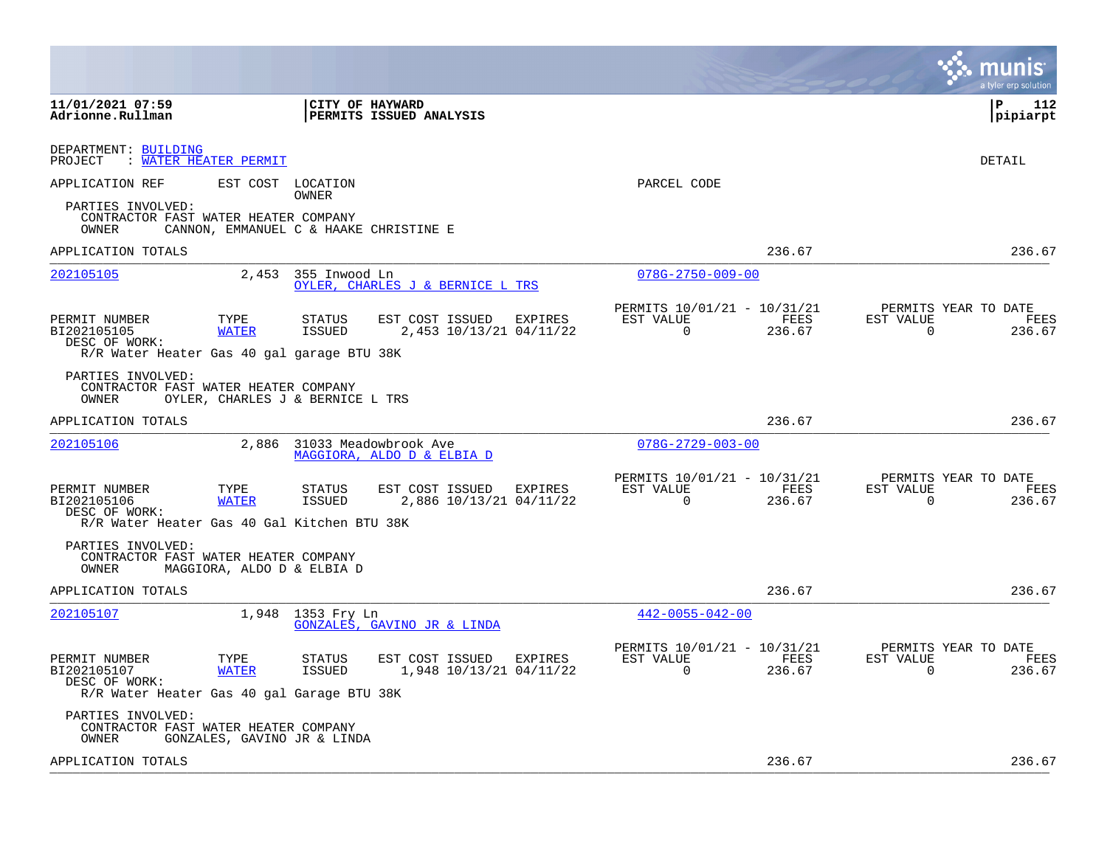|                                                                                              |                                  |                                |                                                     |                |                                                      |                | a tvler erp solution                                            |
|----------------------------------------------------------------------------------------------|----------------------------------|--------------------------------|-----------------------------------------------------|----------------|------------------------------------------------------|----------------|-----------------------------------------------------------------|
| 11/01/2021 07:59<br>Adrionne.Rullman                                                         |                                  | CITY OF HAYWARD                | PERMITS ISSUED ANALYSIS                             |                |                                                      |                | l P<br>112<br> pipiarpt                                         |
| DEPARTMENT: BUILDING<br>PROJECT                                                              | : WATER HEATER PERMIT            |                                |                                                     |                |                                                      |                | DETAIL                                                          |
| APPLICATION REF                                                                              | EST COST                         | LOCATION<br>OWNER              |                                                     |                | PARCEL CODE                                          |                |                                                                 |
| PARTIES INVOLVED:<br>CONTRACTOR FAST WATER HEATER COMPANY<br>OWNER                           |                                  |                                | CANNON, EMMANUEL C & HAAKE CHRISTINE E              |                |                                                      |                |                                                                 |
| APPLICATION TOTALS                                                                           |                                  |                                |                                                     |                |                                                      | 236.67         | 236.67                                                          |
| 202105105                                                                                    | 2,453                            | 355 Inwood Ln                  | OYLER, CHARLES J & BERNICE L TRS                    |                | $078G - 2750 - 009 - 00$                             |                |                                                                 |
| PERMIT NUMBER<br>BI202105105<br>DESC OF WORK:<br>R/R Water Heater Gas 40 gal garage BTU 38K  | TYPE<br><b>WATER</b>             | <b>STATUS</b><br>ISSUED        | EST COST ISSUED<br>2,453 10/13/21 04/11/22          | <b>EXPIRES</b> | PERMITS 10/01/21 - 10/31/21<br>EST VALUE<br>0        | FEES<br>236.67 | PERMITS YEAR TO DATE<br>EST VALUE<br>FEES<br>0<br>236.67        |
| PARTIES INVOLVED:<br>CONTRACTOR FAST WATER HEATER COMPANY<br>OWNER                           | OYLER, CHARLES J & BERNICE L TRS |                                |                                                     |                |                                                      |                |                                                                 |
| APPLICATION TOTALS                                                                           |                                  |                                |                                                     |                |                                                      | 236.67         | 236.67                                                          |
| 202105106                                                                                    | 2,886                            |                                | 31033 Meadowbrook Ave<br>MAGGIORA, ALDO D & ELBIA D |                | $078G - 2729 - 003 - 00$                             |                |                                                                 |
| PERMIT NUMBER<br>BI202105106<br>DESC OF WORK:<br>R/R Water Heater Gas 40 Gal Kitchen BTU 38K | TYPE<br><b>WATER</b>             | <b>STATUS</b><br><b>ISSUED</b> | EST COST ISSUED EXPIRES<br>2,886 10/13/21 04/11/22  |                | PERMITS 10/01/21 - 10/31/21<br>EST VALUE<br>$\Omega$ | FEES<br>236.67 | PERMITS YEAR TO DATE<br>EST VALUE<br>FEES<br>$\Omega$<br>236.67 |
| PARTIES INVOLVED:<br>CONTRACTOR FAST WATER HEATER COMPANY<br>OWNER                           | MAGGIORA, ALDO D & ELBIA D       |                                |                                                     |                |                                                      |                |                                                                 |
| APPLICATION TOTALS                                                                           |                                  |                                |                                                     |                |                                                      | 236.67         | 236.67                                                          |
| 202105107                                                                                    |                                  | 1,948 1353 Fry Ln              | GONZALES, GAVINO JR & LINDA                         |                | $442 - 0055 - 042 - 00$                              |                |                                                                 |
| PERMIT NUMBER<br>BI202105107<br>DESC OF WORK:<br>R/R Water Heater Gas 40 gal Garage BTU 38K  | TYPE<br><b>WATER</b>             | <b>STATUS</b><br><b>ISSUED</b> | EST COST ISSUED EXPIRES<br>1,948 10/13/21 04/11/22  |                | PERMITS 10/01/21 - 10/31/21<br>EST VALUE<br>$\Omega$ | FEES<br>236.67 | PERMITS YEAR TO DATE<br>EST VALUE<br>FEES<br>$\Omega$<br>236.67 |
| PARTIES INVOLVED:<br>CONTRACTOR FAST WATER HEATER COMPANY<br>OWNER                           | GONZALES, GAVINO JR & LINDA      |                                |                                                     |                |                                                      |                |                                                                 |
| APPLICATION TOTALS                                                                           |                                  |                                |                                                     |                |                                                      | 236.67         | 236.67                                                          |
|                                                                                              |                                  |                                |                                                     |                |                                                      |                |                                                                 |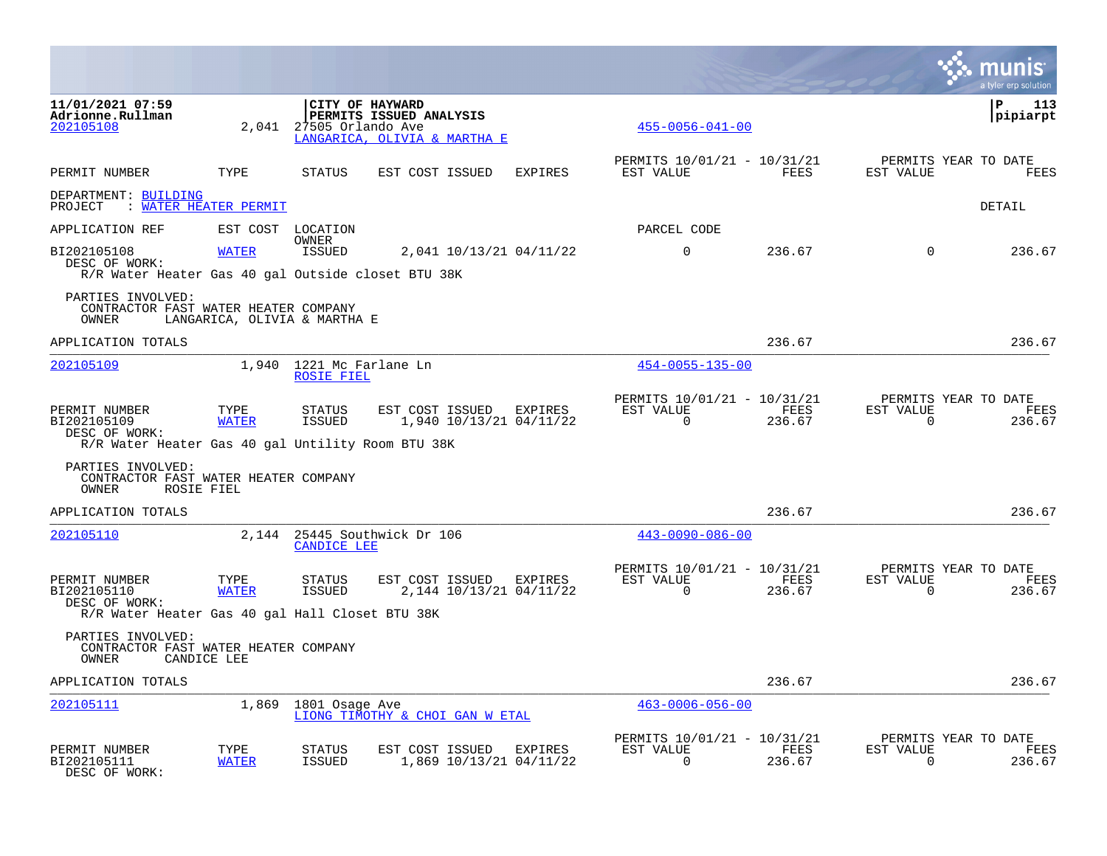|                                                                                                    |                              |                                               |                                                                            |                |                                                         |                |                                                     | a tyler erp solution  |
|----------------------------------------------------------------------------------------------------|------------------------------|-----------------------------------------------|----------------------------------------------------------------------------|----------------|---------------------------------------------------------|----------------|-----------------------------------------------------|-----------------------|
| 11/01/2021 07:59<br>Adrionne.Rullman<br>202105108                                                  | 2.041                        | 27505 Orlando Ave                             | CITY OF HAYWARD<br>PERMITS ISSUED ANALYSIS<br>LANGARICA, OLIVIA & MARTHA E |                | $455 - 0056 - 041 - 00$                                 |                |                                                     | P<br>113<br> pipiarpt |
| PERMIT NUMBER                                                                                      | TYPE                         | STATUS                                        | EST COST ISSUED                                                            | <b>EXPIRES</b> | PERMITS 10/01/21 - 10/31/21<br>EST VALUE                | FEES           | PERMITS YEAR TO DATE<br>EST VALUE                   | <b>FEES</b>           |
| DEPARTMENT: BUILDING<br>PROJECT : WATER HEATER PERMIT                                              |                              |                                               |                                                                            |                |                                                         |                |                                                     | DETAIL                |
| APPLICATION REF                                                                                    |                              | EST COST LOCATION                             |                                                                            |                | PARCEL CODE                                             |                |                                                     |                       |
| BI202105108<br>DESC OF WORK:<br>R/R Water Heater Gas 40 gal Outside closet BTU 38K                 | <b>WATER</b>                 | OWNER<br>ISSUED                               | 2,041 10/13/21 04/11/22                                                    |                | $\mathbf 0$                                             | 236.67         | $\Omega$                                            | 236.67                |
| PARTIES INVOLVED:<br>CONTRACTOR FAST WATER HEATER COMPANY<br>OWNER                                 | LANGARICA, OLIVIA & MARTHA E |                                               |                                                                            |                |                                                         |                |                                                     |                       |
| APPLICATION TOTALS                                                                                 |                              |                                               |                                                                            |                |                                                         | 236.67         |                                                     | 236.67                |
| 202105109                                                                                          |                              | 1,940 1221 Mc Farlane Ln<br><b>ROSIE FIEL</b> |                                                                            |                | $454 - 0055 - 135 - 00$                                 |                |                                                     |                       |
| PERMIT NUMBER<br>BI202105109<br>DESC OF WORK:<br>R/R Water Heater Gas 40 gal Untility Room BTU 38K | TYPE<br><b>WATER</b>         | STATUS<br>ISSUED                              | EST COST ISSUED EXPIRES<br>1,940 10/13/21 04/11/22                         |                | PERMITS 10/01/21 - 10/31/21<br>EST VALUE<br>$\mathbf 0$ | FEES<br>236.67 | PERMITS YEAR TO DATE<br>EST VALUE<br>$\overline{0}$ | FEES<br>236.67        |
| PARTIES INVOLVED:<br>CONTRACTOR FAST WATER HEATER COMPANY<br>OWNER                                 | ROSIE FIEL                   |                                               |                                                                            |                |                                                         |                |                                                     |                       |
| APPLICATION TOTALS                                                                                 |                              |                                               |                                                                            |                |                                                         | 236.67         |                                                     | 236.67                |
| 202105110                                                                                          |                              | <b>CANDICE LEE</b>                            | 2,144 25445 Southwick Dr 106                                               |                | $443 - 0090 - 086 - 00$                                 |                |                                                     |                       |
| PERMIT NUMBER<br>BI202105110<br>DESC OF WORK:<br>R/R Water Heater Gas 40 gal Hall Closet BTU 38K   | TYPE<br><b>WATER</b>         | STATUS<br>ISSUED                              | EST COST ISSUED EXPIRES<br>2,144 10/13/21 04/11/22                         |                | PERMITS 10/01/21 - 10/31/21<br>EST VALUE<br>$\Omega$    | FEES<br>236.67 | PERMITS YEAR TO DATE<br>EST VALUE<br>$\Omega$       | FEES<br>236.67        |
| PARTIES INVOLVED:<br>CONTRACTOR FAST WATER HEATER COMPANY<br>OWNER                                 | CANDICE LEE                  |                                               |                                                                            |                |                                                         |                |                                                     |                       |
| APPLICATION TOTALS                                                                                 |                              |                                               |                                                                            |                |                                                         | 236.67         |                                                     | 236.67                |
| 202105111                                                                                          | 1,869                        | 1801 Osage Ave                                | LIONG TIMOTHY & CHOI GAN W ETAL                                            |                | $463 - 0006 - 056 - 00$                                 |                |                                                     |                       |
| PERMIT NUMBER<br>BI202105111<br>DESC OF WORK:                                                      | TYPE<br><b>WATER</b>         | STATUS<br><b>ISSUED</b>                       | EST COST ISSUED<br>1,869 10/13/21 04/11/22                                 | EXPIRES        | PERMITS 10/01/21 - 10/31/21<br>EST VALUE<br>$\Omega$    | FEES<br>236.67 | PERMITS YEAR TO DATE<br>EST VALUE<br>$\Omega$       | FEES<br>236.67        |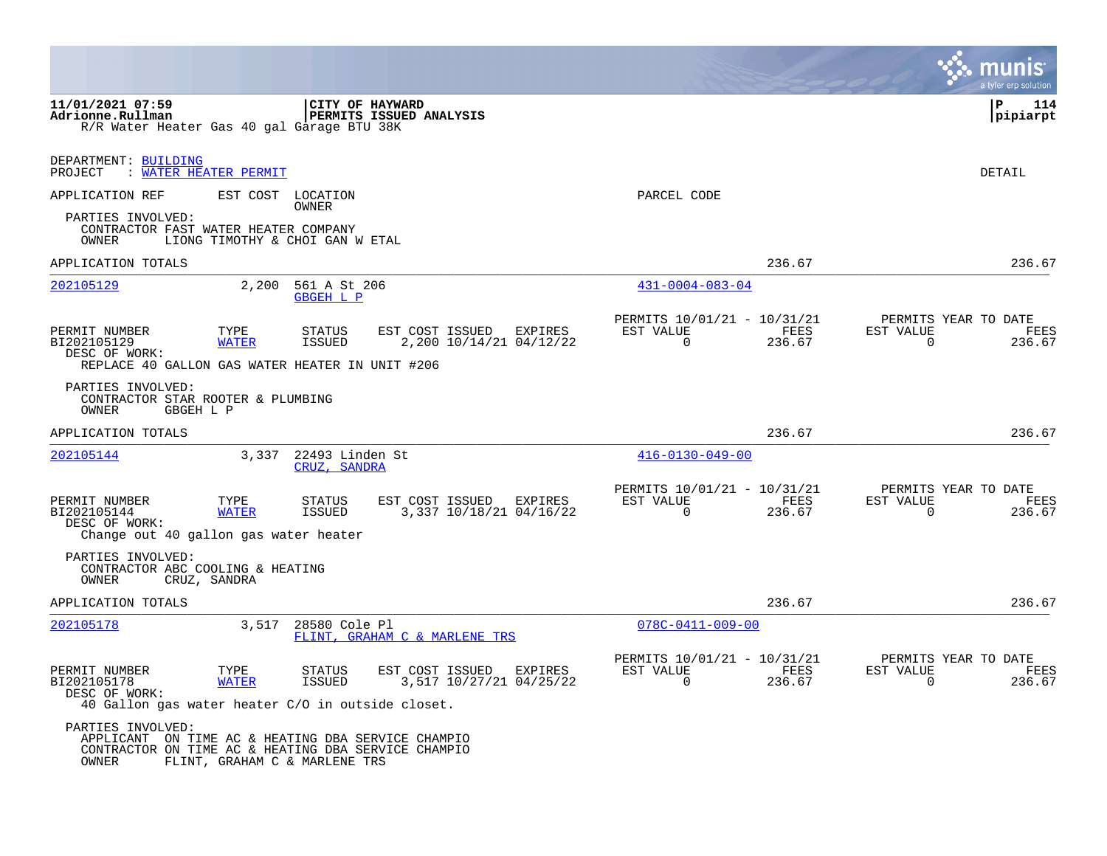|                                                                                                                                         |                                 |                                  |                                            |         |                                                         |                |                          | a tyler erp solution                   |
|-----------------------------------------------------------------------------------------------------------------------------------------|---------------------------------|----------------------------------|--------------------------------------------|---------|---------------------------------------------------------|----------------|--------------------------|----------------------------------------|
| 11/01/2021 07:59<br>Adrionne.Rullman<br>R/R Water Heater Gas 40 gal Garage BTU 38K                                                      |                                 | CITY OF HAYWARD                  | PERMITS ISSUED ANALYSIS                    |         |                                                         |                |                          | ΙP<br>114<br> pipiarpt                 |
| DEPARTMENT: BUILDING<br>PROJECT                                                                                                         | : WATER HEATER PERMIT           |                                  |                                            |         |                                                         |                |                          | DETAIL                                 |
| APPLICATION REF                                                                                                                         | EST COST                        | LOCATION<br>OWNER                |                                            |         | PARCEL CODE                                             |                |                          |                                        |
| PARTIES INVOLVED:<br>CONTRACTOR FAST WATER HEATER COMPANY<br>OWNER                                                                      | LIONG TIMOTHY & CHOI GAN W ETAL |                                  |                                            |         |                                                         |                |                          |                                        |
| APPLICATION TOTALS                                                                                                                      |                                 |                                  |                                            |         |                                                         | 236.67         |                          | 236.67                                 |
| 202105129                                                                                                                               | 2,200                           | 561 A St 206<br><b>GBGEH L P</b> |                                            |         | $431 - 0004 - 083 - 04$                                 |                |                          |                                        |
| PERMIT NUMBER<br>BI202105129<br>DESC OF WORK:<br>REPLACE 40 GALLON GAS WATER HEATER IN UNIT #206                                        | TYPE<br><b>WATER</b>            | STATUS<br><b>ISSUED</b>          | EST COST ISSUED<br>2,200 10/14/21 04/12/22 | EXPIRES | PERMITS 10/01/21 - 10/31/21<br>EST VALUE<br>$\mathbf 0$ | FEES<br>236.67 | EST VALUE<br>$\mathbf 0$ | PERMITS YEAR TO DATE<br>FEES<br>236.67 |
| PARTIES INVOLVED:<br>CONTRACTOR STAR ROOTER & PLUMBING<br>OWNER<br>GBGEH L P                                                            |                                 |                                  |                                            |         |                                                         |                |                          |                                        |
| APPLICATION TOTALS                                                                                                                      |                                 |                                  |                                            |         |                                                         | 236.67         |                          | 236.67                                 |
| 202105144                                                                                                                               | 3,337                           | 22493 Linden St<br>CRUZ, SANDRA  |                                            |         | $416 - 0130 - 049 - 00$                                 |                |                          |                                        |
| PERMIT NUMBER<br>BI202105144<br>DESC OF WORK:<br>Change out 40 gallon gas water heater                                                  | TYPE<br><b>WATER</b>            | STATUS<br><b>ISSUED</b>          | EST COST ISSUED<br>3,337 10/18/21 04/16/22 | EXPIRES | PERMITS 10/01/21 - 10/31/21<br>EST VALUE<br>$\Omega$    | FEES<br>236.67 | EST VALUE<br>0           | PERMITS YEAR TO DATE<br>FEES<br>236.67 |
| PARTIES INVOLVED:<br>CONTRACTOR ABC COOLING & HEATING<br>OWNER                                                                          | CRUZ, SANDRA                    |                                  |                                            |         |                                                         |                |                          |                                        |
| APPLICATION TOTALS                                                                                                                      |                                 |                                  |                                            |         |                                                         | 236.67         |                          | 236.67                                 |
| 202105178                                                                                                                               | 3,517                           | 28580 Cole Pl                    | FLINT, GRAHAM C & MARLENE TRS              |         | $078C - 0411 - 009 - 00$                                |                |                          |                                        |
| PERMIT NUMBER<br>BI202105178<br>DESC OF WORK:<br>40 Gallon gas water heater C/O in outside closet.                                      | TYPE<br><b>WATER</b>            | STATUS<br><b>ISSUED</b>          | EST COST ISSUED<br>3,517 10/27/21 04/25/22 | EXPIRES | PERMITS 10/01/21 - 10/31/21<br>EST VALUE<br>$\Omega$    | FEES<br>236.67 | EST VALUE<br>$\mathbf 0$ | PERMITS YEAR TO DATE<br>FEES<br>236.67 |
| PARTIES INVOLVED:<br>APPLICANT ON TIME AC & HEATING DBA SERVICE CHAMPIO<br>CONTRACTOR ON TIME AC & HEATING DBA SERVICE CHAMPIO<br>OWNER | FLINT, GRAHAM C & MARLENE TRS   |                                  |                                            |         |                                                         |                |                          |                                        |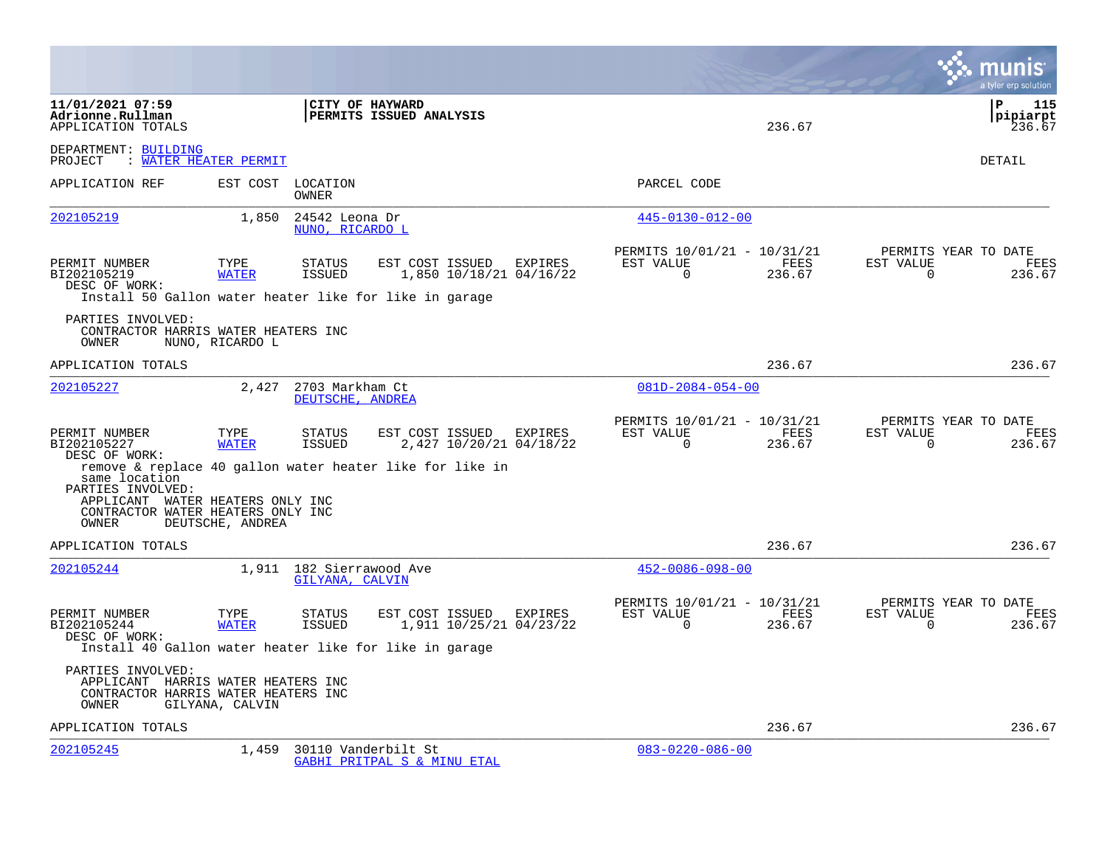|                                                                                                         |                      |                                             |                                                                                                                |         |                                                      |                |                          | a tyler erp solution                   |
|---------------------------------------------------------------------------------------------------------|----------------------|---------------------------------------------|----------------------------------------------------------------------------------------------------------------|---------|------------------------------------------------------|----------------|--------------------------|----------------------------------------|
| 11/01/2021 07:59<br>Adrionne.Rullman<br>APPLICATION TOTALS                                              |                      | CITY OF HAYWARD                             | PERMITS ISSUED ANALYSIS                                                                                        |         |                                                      | 236.67         |                          | l P<br>115<br>pipiarpt<br>236.67       |
| DEPARTMENT: BUILDING<br>PROJECT : WATER HEATER PERMIT                                                   |                      |                                             |                                                                                                                |         |                                                      |                |                          | DETAIL                                 |
| APPLICATION REF                                                                                         |                      | EST COST LOCATION<br>OWNER                  |                                                                                                                |         | PARCEL CODE                                          |                |                          |                                        |
| 202105219                                                                                               | 1,850                | 24542 Leona Dr<br>NUNO, RICARDO L           |                                                                                                                |         | $445 - 0130 - 012 - 00$                              |                |                          |                                        |
| PERMIT NUMBER<br>BI202105219<br>DESC OF WORK:                                                           | TYPE<br><b>WATER</b> | STATUS<br><b>ISSUED</b>                     | EST COST ISSUED<br>1,850 10/18/21 04/16/22<br>Install 50 Gallon water heater like for like in garage           | EXPIRES | PERMITS 10/01/21 - 10/31/21<br>EST VALUE<br>$\Omega$ | FEES<br>236.67 | EST VALUE<br>$\Omega$    | PERMITS YEAR TO DATE<br>FEES<br>236.67 |
| PARTIES INVOLVED:<br>CONTRACTOR HARRIS WATER HEATERS INC<br>OWNER                                       | NUNO, RICARDO L      |                                             |                                                                                                                |         |                                                      |                |                          |                                        |
| APPLICATION TOTALS                                                                                      |                      |                                             |                                                                                                                |         |                                                      | 236.67         |                          | 236.67                                 |
| 202105227                                                                                               | 2,427                | 2703 Markham Ct<br>DEUTSCHE, ANDREA         |                                                                                                                |         | $081D - 2084 - 054 - 00$                             |                |                          |                                        |
| PERMIT NUMBER<br>BI202105227<br>DESC OF WORK:<br>same location<br>PARTIES INVOLVED:                     | TYPE<br><b>WATER</b> | STATUS<br><b>ISSUED</b>                     | EST COST ISSUED EXPIRES<br>2,427 10/20/21 04/18/22<br>remove & replace 40 gallon water heater like for like in |         | PERMITS 10/01/21 - 10/31/21<br>EST VALUE<br>$\Omega$ | FEES<br>236.67 | EST VALUE<br>$\Omega$    | PERMITS YEAR TO DATE<br>FEES<br>236.67 |
| APPLICANT WATER HEATERS ONLY INC<br>CONTRACTOR WATER HEATERS ONLY INC<br>OWNER                          | DEUTSCHE, ANDREA     |                                             |                                                                                                                |         |                                                      |                |                          |                                        |
| APPLICATION TOTALS                                                                                      |                      |                                             |                                                                                                                |         |                                                      | 236.67         |                          | 236.67                                 |
| 202105244                                                                                               |                      | 1,911 182 Sierrawood Ave<br>GILYANA, CALVIN |                                                                                                                |         | $452 - 0086 - 098 - 00$                              |                |                          |                                        |
| PERMIT NUMBER<br>BI202105244<br>DESC OF WORK:                                                           | TYPE<br><b>WATER</b> | <b>STATUS</b><br>ISSUED                     | EST COST ISSUED EXPIRES<br>1,911 10/25/21 04/23/22<br>Install 40 Gallon water heater like for like in garage   |         | PERMITS 10/01/21 - 10/31/21<br>EST VALUE<br>$\Omega$ | FEES<br>236.67 | EST VALUE<br>$\mathbf 0$ | PERMITS YEAR TO DATE<br>FEES<br>236.67 |
| PARTIES INVOLVED:<br>APPLICANT HARRIS WATER HEATERS INC<br>CONTRACTOR HARRIS WATER HEATERS INC<br>OWNER | GILYANA, CALVIN      |                                             |                                                                                                                |         |                                                      |                |                          |                                        |
| APPLICATION TOTALS                                                                                      |                      |                                             |                                                                                                                |         |                                                      | 236.67         |                          | 236.67                                 |
| 202105245                                                                                               | 1,459                | 30110 Vanderbilt St                         | GABHI PRITPAL S & MINU ETAL                                                                                    |         | $083 - 0220 - 086 - 00$                              |                |                          |                                        |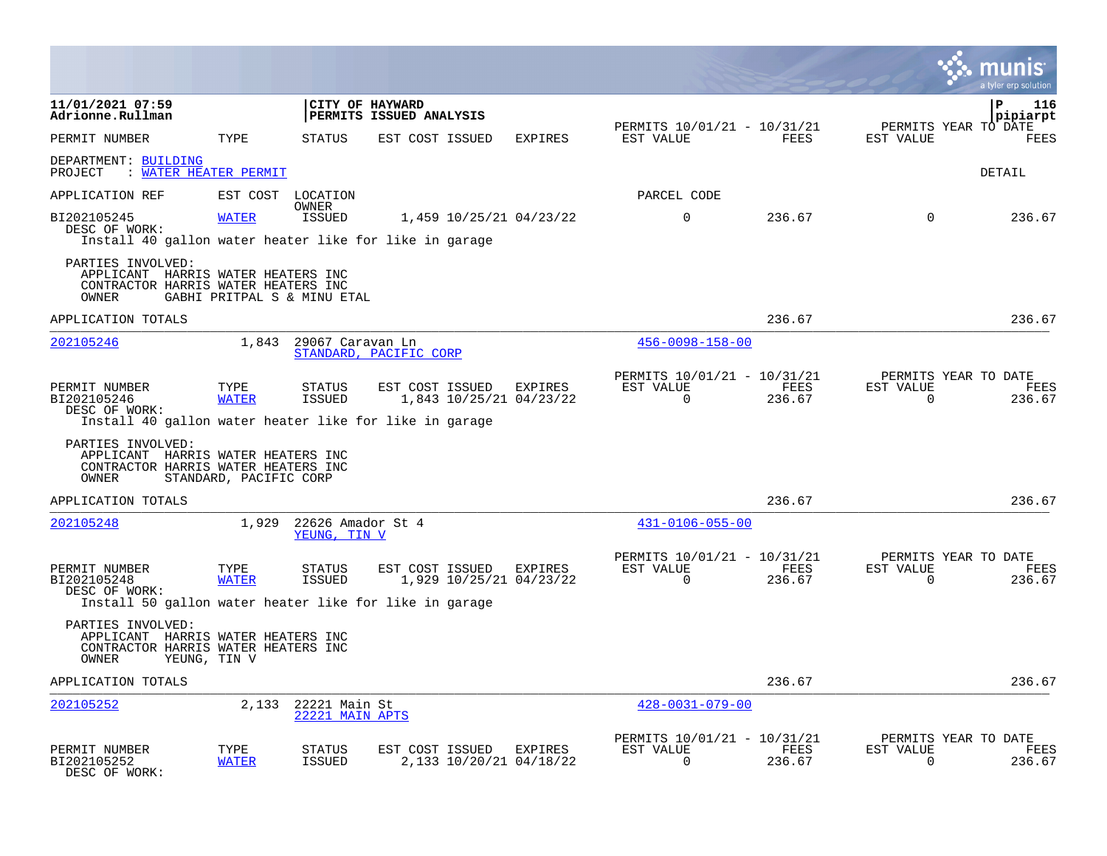|                                                                                                         |                        |                                                  |                         |                                           |                                                      |                |                       | a tyler erp solution                   |
|---------------------------------------------------------------------------------------------------------|------------------------|--------------------------------------------------|-------------------------|-------------------------------------------|------------------------------------------------------|----------------|-----------------------|----------------------------------------|
| 11/01/2021 07:59<br>Adrionne.Rullman                                                                    |                        | CITY OF HAYWARD                                  | PERMITS ISSUED ANALYSIS |                                           |                                                      |                |                       | P<br>116<br>pipiarpt                   |
| PERMIT NUMBER                                                                                           | TYPE                   | <b>STATUS</b>                                    | EST COST ISSUED         | <b>EXPIRES</b>                            | PERMITS 10/01/21 - 10/31/21<br>EST VALUE             | FEES           | EST VALUE             | PERMITS YEAR TO DATE<br>FEES           |
| DEPARTMENT: BUILDING<br>: WATER HEATER PERMIT<br>PROJECT                                                |                        |                                                  |                         |                                           |                                                      |                |                       | DETAIL                                 |
| APPLICATION REF                                                                                         |                        | EST COST LOCATION<br><b>OWNER</b>                |                         |                                           | PARCEL CODE                                          |                |                       |                                        |
| BI202105245<br>DESC OF WORK:<br>Install 40 gallon water heater like for like in garage                  | <b>WATER</b>           | <b>ISSUED</b>                                    |                         | 1,459 10/25/21 04/23/22                   | $\mathbf 0$                                          | 236.67         | $\Omega$              | 236.67                                 |
| PARTIES INVOLVED:<br>APPLICANT HARRIS WATER HEATERS INC<br>CONTRACTOR HARRIS WATER HEATERS INC<br>OWNER |                        | GABHI PRITPAL S & MINU ETAL                      |                         |                                           |                                                      |                |                       |                                        |
| APPLICATION TOTALS                                                                                      |                        |                                                  |                         |                                           |                                                      | 236.67         |                       | 236.67                                 |
| 202105246                                                                                               |                        | 1,843 29067 Caravan Ln<br>STANDARD, PACIFIC CORP |                         |                                           | $456 - 0098 - 158 - 00$                              |                |                       |                                        |
| PERMIT NUMBER<br>BI202105246<br>DESC OF WORK:<br>Install 40 gallon water heater like for like in garage | TYPE<br><b>WATER</b>   | <b>STATUS</b><br><b>ISSUED</b>                   | EST COST ISSUED         | <b>EXPIRES</b><br>1,843 10/25/21 04/23/22 | PERMITS 10/01/21 - 10/31/21<br>EST VALUE<br>$\Omega$ | FEES<br>236.67 | EST VALUE<br>$\Omega$ | PERMITS YEAR TO DATE<br>FEES<br>236.67 |
| PARTIES INVOLVED:<br>APPLICANT HARRIS WATER HEATERS INC<br>CONTRACTOR HARRIS WATER HEATERS INC<br>OWNER | STANDARD, PACIFIC CORP |                                                  |                         |                                           |                                                      |                |                       |                                        |
| APPLICATION TOTALS                                                                                      |                        |                                                  |                         |                                           |                                                      | 236.67         |                       | 236.67                                 |
| 202105248                                                                                               | 1,929                  | 22626 Amador St 4<br>YEUNG, TIN V                |                         |                                           | $431 - 0106 - 055 - 00$                              |                |                       |                                        |
| PERMIT NUMBER<br>BI202105248<br>DESC OF WORK:                                                           | TYPE<br><b>WATER</b>   | STATUS<br><b>ISSUED</b>                          | EST COST ISSUED         | EXPIRES<br>1,929 10/25/21 04/23/22        | PERMITS 10/01/21 - 10/31/21<br>EST VALUE<br>$\Omega$ | FEES<br>236.67 | EST VALUE<br>$\Omega$ | PERMITS YEAR TO DATE<br>FEES<br>236.67 |
| Install 50 gallon water heater like for like in garage                                                  |                        |                                                  |                         |                                           |                                                      |                |                       |                                        |
| PARTIES INVOLVED:<br>APPLICANT HARRIS WATER HEATERS INC<br>CONTRACTOR HARRIS WATER HEATERS INC<br>OWNER | YEUNG, TIN V           |                                                  |                         |                                           |                                                      |                |                       |                                        |
| APPLICATION TOTALS                                                                                      |                        |                                                  |                         |                                           |                                                      | 236.67         |                       | 236.67                                 |
| 202105252                                                                                               | 2,133                  | 22221 Main St<br>22221 MAIN APTS                 |                         |                                           | $428 - 0031 - 079 - 00$                              |                |                       |                                        |
| PERMIT NUMBER<br>BI202105252<br>DESC OF WORK:                                                           | TYPE<br>WATER          | STATUS<br><b>ISSUED</b>                          | EST COST ISSUED EXPIRES | 2,133 10/20/21 04/18/22                   | PERMITS 10/01/21 - 10/31/21<br>EST VALUE<br>$\Omega$ | FEES<br>236.67 | EST VALUE<br>$\Omega$ | PERMITS YEAR TO DATE<br>FEES<br>236.67 |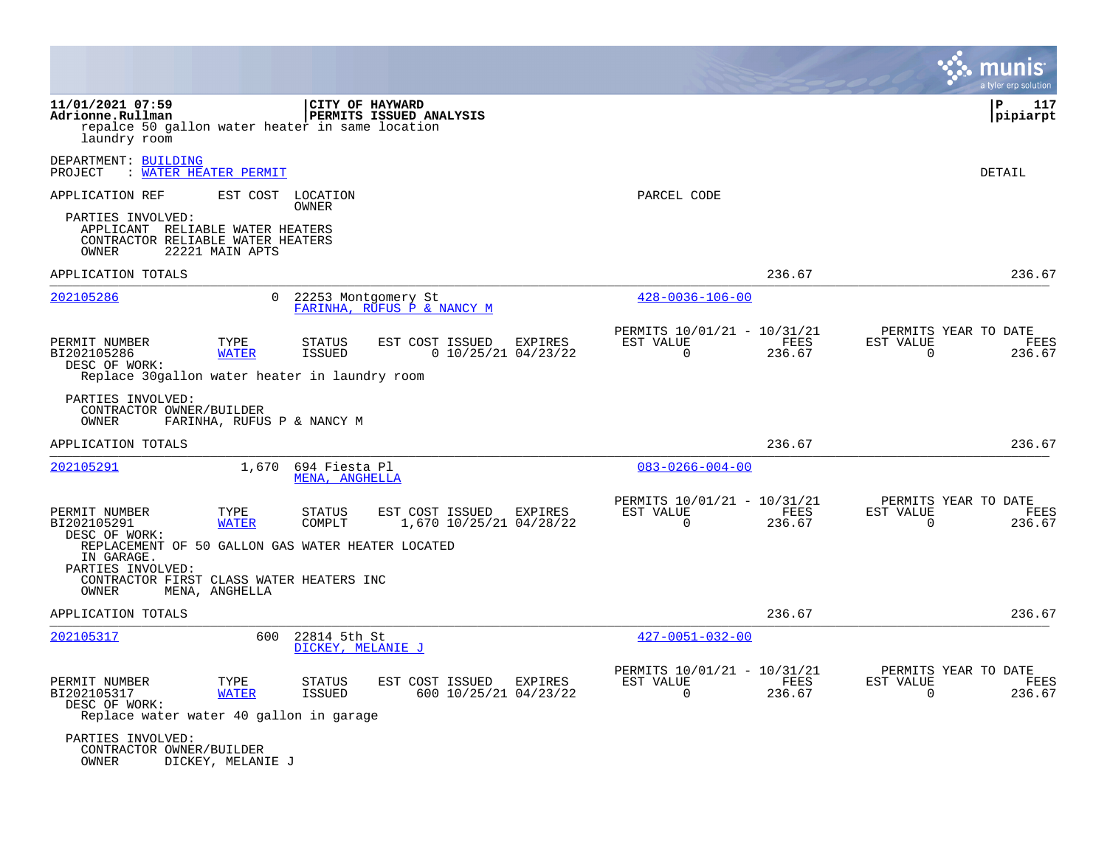|                                                                                                                                  |                            |                                   |                            |                                           |                                                         |                       |                          | a tyler erp solution                   |
|----------------------------------------------------------------------------------------------------------------------------------|----------------------------|-----------------------------------|----------------------------|-------------------------------------------|---------------------------------------------------------|-----------------------|--------------------------|----------------------------------------|
| 11/01/2021 07:59<br>Adrionne.Rullman<br>repalce 50 gallon water heater in same location<br>laundry room                          |                            | CITY OF HAYWARD                   | PERMITS ISSUED ANALYSIS    |                                           |                                                         |                       |                          | ∣P<br>117<br> pipiarpt                 |
| DEPARTMENT: BUILDING<br>PROJECT                                                                                                  | <b>WATER HEATER PERMIT</b> |                                   |                            |                                           |                                                         |                       |                          | <b>DETAIL</b>                          |
| APPLICATION REF                                                                                                                  | EST COST                   | LOCATION<br>OWNER                 |                            |                                           | PARCEL CODE                                             |                       |                          |                                        |
| PARTIES INVOLVED:<br>APPLICANT RELIABLE WATER HEATERS<br>CONTRACTOR RELIABLE WATER HEATERS<br>OWNER                              | 22221 MAIN APTS            |                                   |                            |                                           |                                                         |                       |                          |                                        |
| APPLICATION TOTALS                                                                                                               |                            |                                   |                            |                                           |                                                         | 236.67                |                          | 236.67                                 |
| 202105286                                                                                                                        | 0                          | 22253 Montgomery St               | FARINHA, RUFUS P & NANCY M |                                           | $428 - 0036 - 106 - 00$                                 |                       |                          |                                        |
| PERMIT NUMBER<br>BI202105286<br>DESC OF WORK:<br>Replace 30 gallon water heater in laundry room                                  | TYPE<br><b>WATER</b>       | <b>STATUS</b><br><b>ISSUED</b>    | EST COST ISSUED            | <b>EXPIRES</b><br>$0$ 10/25/21 04/23/22   | PERMITS 10/01/21 - 10/31/21<br>EST VALUE<br>$\Omega$    | <b>FEES</b><br>236.67 | EST VALUE<br>$\Omega$    | PERMITS YEAR TO DATE<br>FEES<br>236.67 |
| PARTIES INVOLVED:<br>CONTRACTOR OWNER/BUILDER<br>OWNER                                                                           | FARINHA, RUFUS P & NANCY M |                                   |                            |                                           |                                                         |                       |                          |                                        |
| APPLICATION TOTALS                                                                                                               |                            |                                   |                            |                                           |                                                         | 236.67                |                          | 236.67                                 |
| 202105291                                                                                                                        | 1,670                      | 694 Fiesta Pl<br>MENA, ANGHELLA   |                            |                                           | $083 - 0266 - 004 - 00$                                 |                       |                          |                                        |
| PERMIT NUMBER<br>BI202105291<br>DESC OF WORK:                                                                                    | TYPE<br><b>WATER</b>       | <b>STATUS</b><br>COMPLT           | EST COST ISSUED            | <b>EXPIRES</b><br>1,670 10/25/21 04/28/22 | PERMITS 10/01/21 - 10/31/21<br>EST VALUE<br>$\mathbf 0$ | FEES<br>236.67        | EST VALUE<br>0           | PERMITS YEAR TO DATE<br>FEES<br>236.67 |
| REPLACEMENT OF 50 GALLON GAS WATER HEATER LOCATED<br>IN GARAGE.<br>PARTIES INVOLVED:<br>CONTRACTOR FIRST CLASS WATER HEATERS INC |                            |                                   |                            |                                           |                                                         |                       |                          |                                        |
| OWNER                                                                                                                            | MENA, ANGHELLA             |                                   |                            |                                           |                                                         |                       |                          |                                        |
| APPLICATION TOTALS                                                                                                               |                            |                                   |                            |                                           |                                                         | 236.67                |                          | 236.67                                 |
| 202105317                                                                                                                        | 600                        | 22814 5th St<br>DICKEY, MELANIE J |                            |                                           | $427 - 0051 - 032 - 00$                                 |                       |                          |                                        |
| PERMIT NUMBER<br>BI202105317<br>DESC OF WORK:<br>Replace water water 40 gallon in garage                                         | TYPE<br><b>WATER</b>       | <b>STATUS</b><br>ISSUED           | EST COST ISSUED            | <b>EXPIRES</b><br>600 10/25/21 04/23/22   | PERMITS 10/01/21 - 10/31/21<br>EST VALUE<br>$\Omega$    | FEES<br>236.67        | EST VALUE<br>$\mathbf 0$ | PERMITS YEAR TO DATE<br>FEES<br>236.67 |
| PARTIES INVOLVED:<br>CONTRACTOR OWNER/BUILDER<br>OWNER                                                                           | DICKEY, MELANIE J          |                                   |                            |                                           |                                                         |                       |                          |                                        |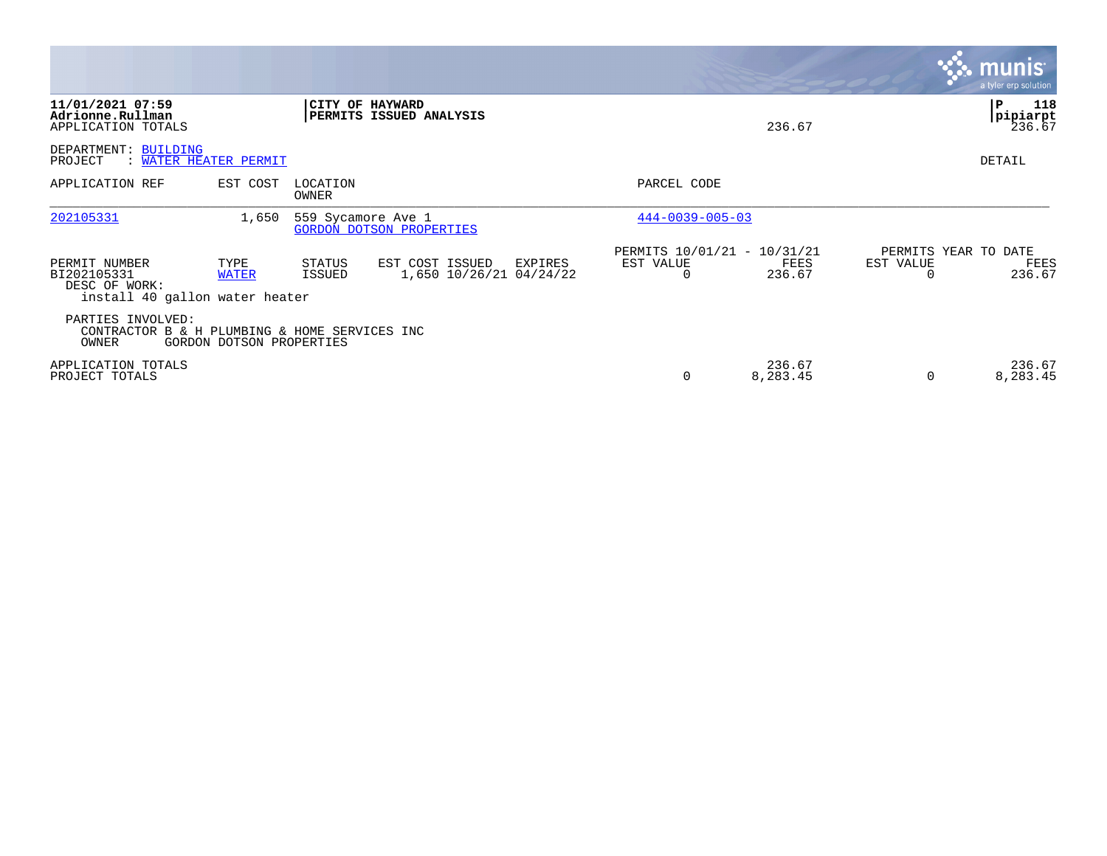|                                                                                 |                          |                    |                                                       |                                                      |                    |                       | <b>munis</b><br>a tyler erp solution   |
|---------------------------------------------------------------------------------|--------------------------|--------------------|-------------------------------------------------------|------------------------------------------------------|--------------------|-----------------------|----------------------------------------|
| 11/01/2021 07:59<br>Adrionne.Rullman<br>APPLICATION TOTALS                      |                          |                    | <b>CITY OF HAYWARD</b><br>PERMITS ISSUED ANALYSIS     |                                                      | 236.67             |                       | 118<br>P<br>pipiarpt<br>236.67         |
| DEPARTMENT: BUILDING<br>WATER HEATER PERMIT<br>PROJECT                          |                          |                    |                                                       |                                                      |                    |                       | DETAIL                                 |
| APPLICATION REF                                                                 | EST COST                 | LOCATION<br>OWNER  |                                                       | PARCEL CODE                                          |                    |                       |                                        |
| 202105331                                                                       | 1,650                    | 559 Sycamore Ave 1 | <b>GORDON DOTSON PROPERTIES</b>                       | $444 - 0039 - 005 - 03$                              |                    |                       |                                        |
| PERMIT NUMBER<br>BI202105331<br>DESC OF WORK:<br>install 40 gallon water heater | TYPE<br><b>WATER</b>     | STATUS<br>ISSUED   | EST COST ISSUED<br>EXPIRES<br>1,650 10/26/21 04/24/22 | PERMITS 10/01/21 - 10/31/21<br>EST VALUE<br>$\Omega$ | FEES<br>236.67     | EST VALUE<br>$\Omega$ | PERMITS YEAR TO DATE<br>FEES<br>236.67 |
| PARTIES INVOLVED:<br>CONTRACTOR B & H PLUMBING & HOME SERVICES INC<br>OWNER     | GORDON DOTSON PROPERTIES |                    |                                                       |                                                      |                    |                       |                                        |
| APPLICATION TOTALS<br>PROJECT TOTALS                                            |                          |                    |                                                       | 0                                                    | 236.67<br>8,283.45 | $\Omega$              | 236.67<br>8,283.45                     |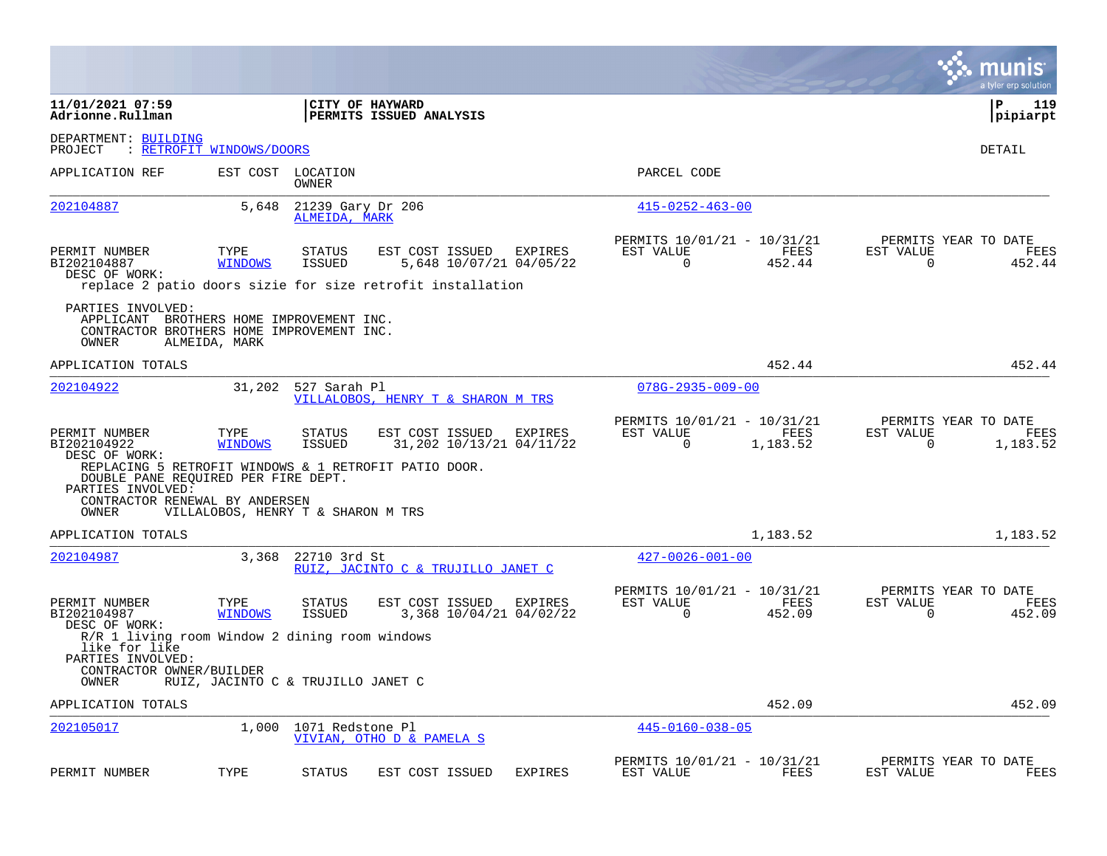|                                                                                                                     |                                    |                                    |                                                                                                          |                |                                                         |                  |                          | munis<br>a tyler erp solution            |
|---------------------------------------------------------------------------------------------------------------------|------------------------------------|------------------------------------|----------------------------------------------------------------------------------------------------------|----------------|---------------------------------------------------------|------------------|--------------------------|------------------------------------------|
| 11/01/2021 07:59<br>Adrionne.Rullman                                                                                |                                    |                                    | CITY OF HAYWARD<br><b>PERMITS ISSUED ANALYSIS</b>                                                        |                |                                                         |                  |                          | l P<br>119<br> pipiarpt                  |
| DEPARTMENT: BUILDING<br>PROJECT                                                                                     | : RETROFIT WINDOWS/DOORS           |                                    |                                                                                                          |                |                                                         |                  |                          | DETAIL                                   |
| APPLICATION REF                                                                                                     | EST COST                           | LOCATION<br><b>OWNER</b>           |                                                                                                          |                | PARCEL CODE                                             |                  |                          |                                          |
| 202104887                                                                                                           | 5,648                              | 21239 Gary Dr 206<br>ALMEIDA, MARK |                                                                                                          |                | $415 - 0252 - 463 - 00$                                 |                  |                          |                                          |
| PERMIT NUMBER<br>BI202104887<br>DESC OF WORK:                                                                       | TYPE<br><b>WINDOWS</b>             | <b>STATUS</b><br>ISSUED            | EST COST ISSUED<br>5,648 10/07/21 04/05/22<br>replace 2 patio doors sizie for size retrofit installation | EXPIRES        | PERMITS 10/01/21 - 10/31/21<br>EST VALUE<br>0           | FEES<br>452.44   | EST VALUE<br>0           | PERMITS YEAR TO DATE<br>FEES<br>452.44   |
| PARTIES INVOLVED:<br>APPLICANT BROTHERS HOME IMPROVEMENT INC.<br>CONTRACTOR BROTHERS HOME IMPROVEMENT INC.<br>OWNER | ALMEIDA, MARK                      |                                    |                                                                                                          |                |                                                         |                  |                          |                                          |
| APPLICATION TOTALS                                                                                                  |                                    |                                    |                                                                                                          |                |                                                         | 452.44           |                          | 452.44                                   |
| 202104922                                                                                                           | 31,202                             | 527 Sarah Pl                       | VILLALOBOS, HENRY T & SHARON M TRS                                                                       |                | $078G - 2935 - 009 - 00$                                |                  |                          |                                          |
| PERMIT NUMBER<br>BI202104922<br>DESC OF WORK:                                                                       | TYPE<br><b>WINDOWS</b>             | <b>STATUS</b><br><b>ISSUED</b>     | EST COST ISSUED<br>31,202 10/13/21 04/11/22                                                              | EXPIRES        | PERMITS 10/01/21 - 10/31/21<br>EST VALUE<br>$\mathbf 0$ | FEES<br>1,183.52 | EST VALUE<br>$\mathbf 0$ | PERMITS YEAR TO DATE<br>FEES<br>1,183.52 |
| DOUBLE PANE REQUIRED PER FIRE DEPT.<br>PARTIES INVOLVED:<br>CONTRACTOR RENEWAL BY ANDERSEN<br>OWNER                 | VILLALOBOS, HENRY T & SHARON M TRS |                                    | REPLACING 5 RETROFIT WINDOWS & 1 RETROFIT PATIO DOOR.                                                    |                |                                                         |                  |                          |                                          |
| APPLICATION TOTALS                                                                                                  |                                    |                                    |                                                                                                          |                |                                                         | 1,183.52         |                          | 1,183.52                                 |
| 202104987                                                                                                           | 3,368                              | 22710 3rd St                       | RUIZ, JACINTO C & TRUJILLO JANET C                                                                       |                | $427 - 0026 - 001 - 00$                                 |                  |                          |                                          |
| PERMIT NUMBER<br>BI202104987<br>DESC OF WORK:                                                                       | TYPE<br><b>WINDOWS</b>             | <b>STATUS</b><br>ISSUED            | EST COST ISSUED<br>3,368 10/04/21 04/02/22                                                               | EXPIRES        | PERMITS 10/01/21 - 10/31/21<br>EST VALUE<br>$\mathbf 0$ | FEES<br>452.09   | EST VALUE<br>$\mathbf 0$ | PERMITS YEAR TO DATE<br>FEES<br>452.09   |
| R/R 1 living room Window 2 dining room windows<br>like for like<br>PARTIES INVOLVED:<br>CONTRACTOR OWNER/BUILDER    |                                    |                                    |                                                                                                          |                |                                                         |                  |                          |                                          |
| OWNER<br>APPLICATION TOTALS                                                                                         | RUIZ, JACINTO C & TRUJILLO JANET C |                                    |                                                                                                          |                |                                                         | 452.09           |                          | 452.09                                   |
| 202105017                                                                                                           | 1,000                              | 1071 Redstone Pl                   |                                                                                                          |                | $445 - 0160 - 038 - 05$                                 |                  |                          |                                          |
|                                                                                                                     |                                    |                                    | VIVIAN, OTHO D & PAMELA S                                                                                |                |                                                         |                  |                          |                                          |
| PERMIT NUMBER                                                                                                       | TYPE                               | <b>STATUS</b>                      | EST COST ISSUED                                                                                          | <b>EXPIRES</b> | PERMITS 10/01/21 - 10/31/21<br>EST VALUE                | FEES             | EST VALUE                | PERMITS YEAR TO DATE<br>FEES             |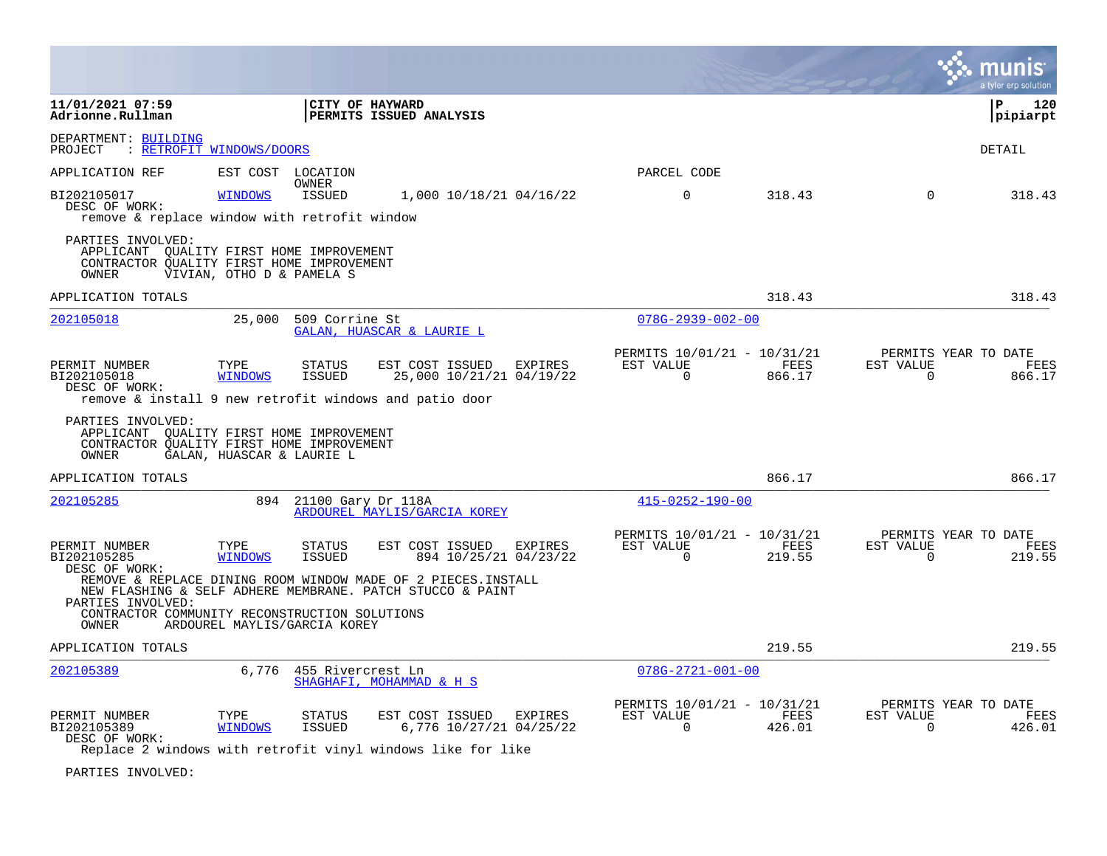|                                                                                                                                                                                                  |                           |                                |                                             |                |                                                      |                |                          | a tyler erp solution                   |
|--------------------------------------------------------------------------------------------------------------------------------------------------------------------------------------------------|---------------------------|--------------------------------|---------------------------------------------|----------------|------------------------------------------------------|----------------|--------------------------|----------------------------------------|
| 11/01/2021 07:59<br>Adrionne.Rullman                                                                                                                                                             |                           | CITY OF HAYWARD                | PERMITS ISSUED ANALYSIS                     |                |                                                      |                |                          | ∣P.<br>120<br>pipiarpt                 |
| DEPARTMENT: BUILDING<br>: RETROFIT WINDOWS/DOORS<br>PROJECT                                                                                                                                      |                           |                                |                                             |                |                                                      |                |                          | DETAIL                                 |
| APPLICATION REF                                                                                                                                                                                  | EST COST LOCATION         |                                |                                             |                | PARCEL CODE                                          |                |                          |                                        |
| BI202105017<br>DESC OF WORK:<br>remove & replace window with retrofit window                                                                                                                     | <b>WINDOWS</b>            | OWNER<br><b>ISSUED</b>         | 1,000 10/18/21 04/16/22                     |                | $\Omega$                                             | 318.43         | $\Omega$                 | 318.43                                 |
| PARTIES INVOLVED:<br>APPLICANT QUALITY FIRST HOME IMPROVEMENT<br>CONTRACTOR QUALITY FIRST HOME IMPROVEMENT<br>OWNER                                                                              | VIVIAN, OTHO D & PAMELA S |                                |                                             |                |                                                      |                |                          |                                        |
| APPLICATION TOTALS                                                                                                                                                                               |                           |                                |                                             |                |                                                      | 318.43         |                          | 318.43                                 |
| 202105018                                                                                                                                                                                        | 25,000                    | 509 Corrine St                 | GALAN, HUASCAR & LAURIE L                   |                | $078G - 2939 - 002 - 00$                             |                |                          |                                        |
| PERMIT NUMBER<br>BI202105018<br>DESC OF WORK:<br>remove & install 9 new retrofit windows and patio door                                                                                          | TYPE<br><b>WINDOWS</b>    | <b>STATUS</b><br>ISSUED        | EST COST ISSUED<br>25,000 10/21/21 04/19/22 | EXPIRES        | PERMITS 10/01/21 - 10/31/21<br>EST VALUE<br>$\Omega$ | FEES<br>866.17 | EST VALUE<br>$\Omega$    | PERMITS YEAR TO DATE<br>FEES<br>866.17 |
| PARTIES INVOLVED:<br>APPLICANT QUALITY FIRST HOME IMPROVEMENT<br>CONTRACTOR OUALITY FIRST HOME IMPROVEMENT<br>OWNER                                                                              | GALAN, HUASCAR & LAURIE L |                                |                                             |                |                                                      |                |                          |                                        |
| APPLICATION TOTALS                                                                                                                                                                               |                           |                                |                                             |                |                                                      | 866.17         |                          | 866.17                                 |
| 202105285                                                                                                                                                                                        | 894                       | 21100 Gary Dr 118A             | ARDOUREL MAYLIS/GARCIA KOREY                |                | $415 - 0252 - 190 - 00$                              |                |                          |                                        |
| PERMIT NUMBER<br>BI202105285<br>DESC OF WORK:                                                                                                                                                    | TYPE<br><b>WINDOWS</b>    | <b>STATUS</b><br><b>ISSUED</b> | EST COST ISSUED<br>894 10/25/21 04/23/22    | <b>EXPIRES</b> | PERMITS 10/01/21 - 10/31/21<br>EST VALUE<br>$\Omega$ | FEES<br>219.55 | EST VALUE<br>$\mathbf 0$ | PERMITS YEAR TO DATE<br>FEES<br>219.55 |
| REMOVE & REPLACE DINING ROOM WINDOW MADE OF 2 PIECES. INSTALL<br>NEW FLASHING & SELF ADHERE MEMBRANE. PATCH STUCCO & PAINT<br>PARTIES INVOLVED:<br>CONTRACTOR COMMUNITY RECONSTRUCTION SOLUTIONS |                           |                                |                                             |                |                                                      |                |                          |                                        |
| OWNER                                                                                                                                                                                            |                           | ARDOUREL MAYLIS/GARCIA KOREY   |                                             |                |                                                      |                |                          |                                        |
| APPLICATION TOTALS                                                                                                                                                                               |                           |                                |                                             |                |                                                      | 219.55         |                          | 219.55                                 |
| 202105389                                                                                                                                                                                        | 6,776                     | 455 Rivercrest Ln              | SHAGHAFI, MOHAMMAD & H S                    |                | $078G - 2721 - 001 - 00$                             |                |                          |                                        |
| PERMIT NUMBER<br>BI202105389<br>DESC OF WORK:<br>Replace 2 windows with retrofit vinyl windows like for like                                                                                     | TYPE<br><b>WINDOWS</b>    | <b>STATUS</b><br><b>ISSUED</b> | EST COST ISSUED<br>6,776 10/27/21 04/25/22  | EXPIRES        | PERMITS 10/01/21 - 10/31/21<br>EST VALUE<br>$\Omega$ | FEES<br>426.01 | EST VALUE<br>$\Omega$    | PERMITS YEAR TO DATE<br>FEES<br>426.01 |

PARTIES INVOLVED: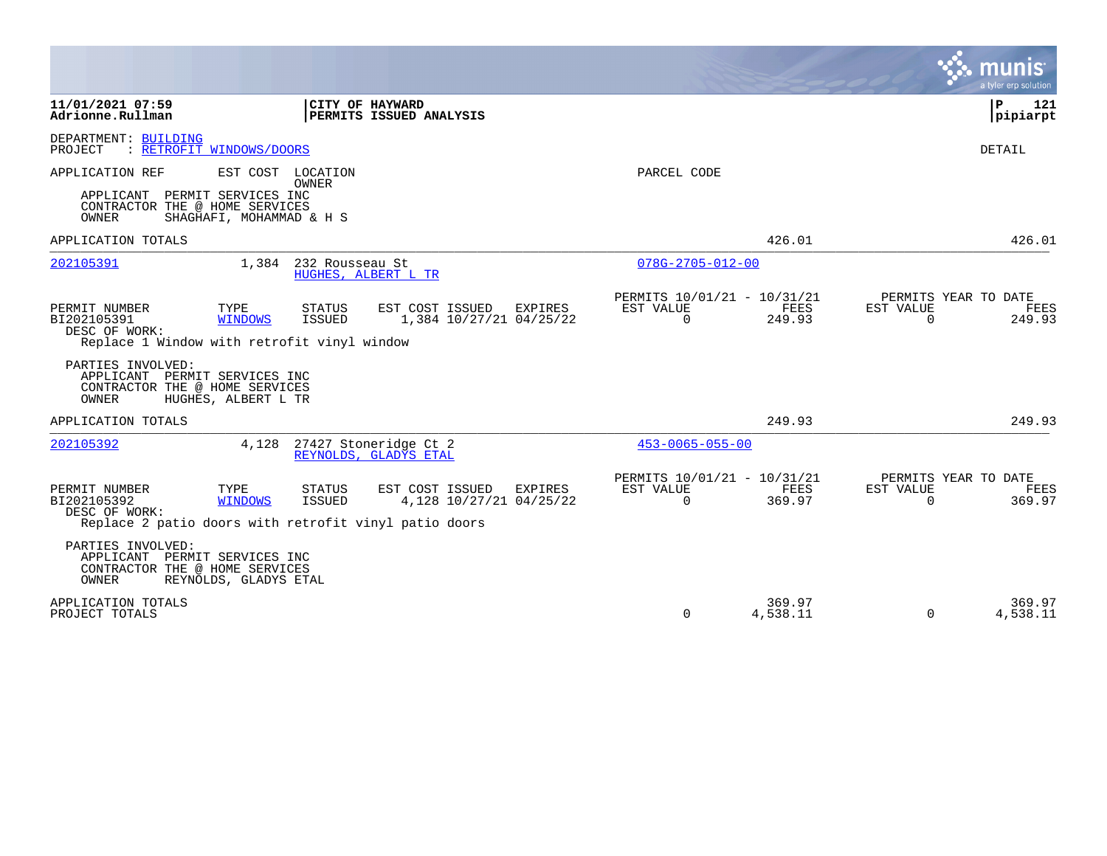|                                                                                                                           |                                                      |                                                       |                                                      |                    |                       | a tyler erp solution                   |
|---------------------------------------------------------------------------------------------------------------------------|------------------------------------------------------|-------------------------------------------------------|------------------------------------------------------|--------------------|-----------------------|----------------------------------------|
| 11/01/2021 07:59<br>Adrionne.Rullman                                                                                      | CITY OF HAYWARD<br>PERMITS ISSUED ANALYSIS           |                                                       |                                                      |                    |                       | $\mathbf{P}$<br>121<br> pipiarpt       |
| DEPARTMENT: BUILDING<br>: RETROFIT WINDOWS/DOORS<br>PROJECT                                                               |                                                      |                                                       |                                                      |                    |                       | <b>DETAIL</b>                          |
| APPLICATION REF                                                                                                           | EST COST LOCATION<br><b>OWNER</b>                    |                                                       | PARCEL CODE                                          |                    |                       |                                        |
| APPLICANT PERMIT SERVICES INC<br>CONTRACTOR THE @ HOME SERVICES<br>OWNER<br>SHAGHAFI, MOHAMMAD & H S                      |                                                      |                                                       |                                                      |                    |                       |                                        |
| APPLICATION TOTALS                                                                                                        |                                                      |                                                       |                                                      | 426.01             |                       | 426.01                                 |
| 202105391                                                                                                                 | 1,384<br>232 Rousseau St<br>HUGHES, ALBERT L TR      |                                                       | $078G - 2705 - 012 - 00$                             |                    |                       |                                        |
| TYPE<br>PERMIT NUMBER<br>BI202105391<br><b>WINDOWS</b><br>DESC OF WORK:<br>Replace 1 Window with retrofit vinyl window    | <b>STATUS</b><br><b>ISSUED</b>                       | EST COST ISSUED EXPIRES<br>1,384 10/27/21 04/25/22    | PERMITS 10/01/21 - 10/31/21<br>EST VALUE<br>$\Omega$ | FEES<br>249.93     | EST VALUE<br>$\Omega$ | PERMITS YEAR TO DATE<br>FEES<br>249.93 |
| PARTIES INVOLVED:<br>PERMIT SERVICES INC<br>APPLICANT<br>CONTRACTOR THE @ HOME SERVICES<br>OWNER<br>HUGHES, ALBERT L TR   |                                                      |                                                       |                                                      |                    |                       |                                        |
| APPLICATION TOTALS                                                                                                        |                                                      |                                                       |                                                      | 249.93             |                       | 249.93                                 |
| 202105392                                                                                                                 | 4,128 27427 Stoneridge Ct 2<br>REYNOLDS, GLADYS ETAL |                                                       | $453 - 0065 - 055 - 00$                              |                    |                       |                                        |
| PERMIT NUMBER<br>TYPE<br>BI202105392<br>WINDOWS<br>DESC OF WORK:<br>Replace 2 patio doors with retrofit vinyl patio doors | <b>STATUS</b><br>ISSUED                              | EST COST ISSUED<br>EXPIRES<br>4,128 10/27/21 04/25/22 | PERMITS 10/01/21 - 10/31/21<br>EST VALUE<br>$\Omega$ | FEES<br>369.97     | EST VALUE<br>$\Omega$ | PERMITS YEAR TO DATE<br>FEES<br>369.97 |
| PARTIES INVOLVED:<br>APPLICANT<br>PERMIT SERVICES INC<br>CONTRACTOR THE @ HOME SERVICES<br>OWNER<br>REYNOLDS, GLADYS ETAL |                                                      |                                                       |                                                      |                    |                       |                                        |
| APPLICATION TOTALS<br>PROJECT TOTALS                                                                                      |                                                      |                                                       | $\Omega$                                             | 369.97<br>4,538.11 | $\Omega$              | 369.97<br>4,538.11                     |